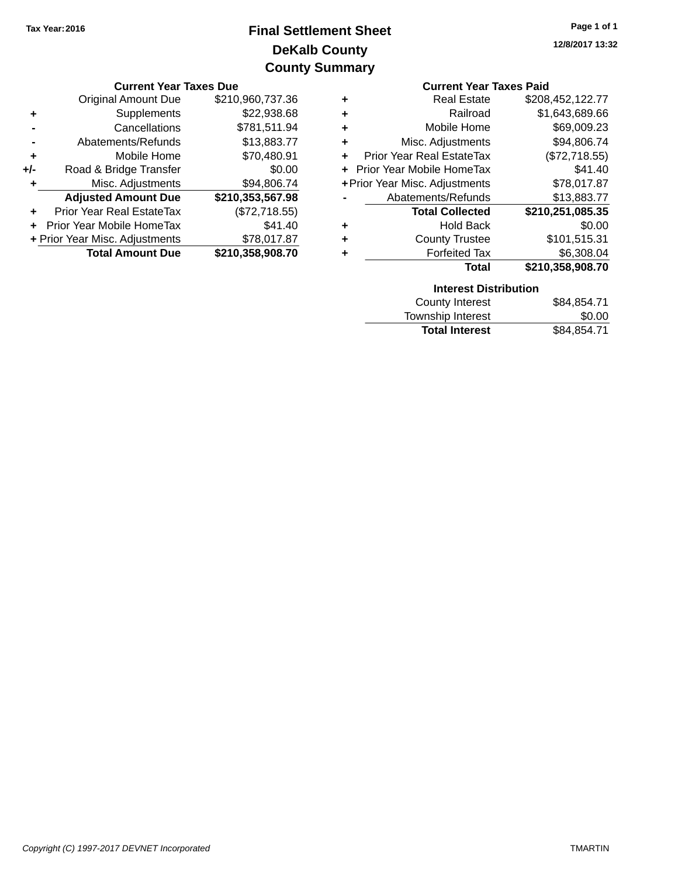# **DeKalb County Final Settlement Sheet Tax Year:2016 County Summary**

|           | <b>Current Year Taxes Due</b>    |                  |    | <b>Current Year Taxes Paid</b>   |                  |  |
|-----------|----------------------------------|------------------|----|----------------------------------|------------------|--|
|           | Original Amount Due              | \$210,960,737.36 | ٠  | <b>Real Estate</b>               | \$208,452,122.77 |  |
| ٠         | Supplements                      | \$22,938.68      | ÷  | Railroad                         | \$1,643,689.66   |  |
|           | Cancellations                    | \$781,511.94     | ÷  | Mobile Home                      | \$69,009.23      |  |
|           | Abatements/Refunds               | \$13,883.77      | ÷. | Misc. Adjustments                | \$94,806.74      |  |
| $\ddot{}$ | Mobile Home                      | \$70,480.91      | ÷. | <b>Prior Year Real EstateTax</b> | (\$72,718.55)    |  |
| +/-       | Road & Bridge Transfer           | \$0.00           |    | + Prior Year Mobile HomeTax      | \$41.40          |  |
|           | Misc. Adjustments                | \$94,806.74      |    | + Prior Year Misc. Adjustments   | \$78,017.87      |  |
|           | <b>Adjusted Amount Due</b>       | \$210,353,567.98 |    | Abatements/Refunds               | \$13,883.77      |  |
|           | <b>Prior Year Real EstateTax</b> | (\$72,718.55)    |    | <b>Total Collected</b>           | \$210,251,085.35 |  |
|           | + Prior Year Mobile HomeTax      | \$41.40          | ٠  | <b>Hold Back</b>                 | \$0.00           |  |
|           | + Prior Year Misc. Adjustments   | \$78,017.87      | ٠  | <b>County Trustee</b>            | \$101,515.31     |  |
|           | <b>Total Amount Due</b>          | \$210,358,908.70 | ٠  | <b>Forfeited Tax</b>             | \$6,308.04       |  |
|           |                                  |                  |    | <b>Total</b>                     | \$210.358.908.70 |  |

|                                       | <b>Current Year Taxes Paid</b> |
|---------------------------------------|--------------------------------|
| <b>Real Estate</b><br>٠               | \$208,452,122.77               |
| Railroad<br>٠                         | \$1,643,689.66                 |
| Mobile Home<br>٠                      | \$69,009.23                    |
| Misc. Adjustments<br>٠                | \$94,806.74                    |
| <b>Prior Year Real EstateTax</b><br>÷ | (\$72,718.55)                  |
| <b>Prior Year Mobile HomeTax</b>      | \$41.40                        |
| + Prior Year Misc. Adjustments        | \$78,017.87                    |
| Abatements/Refunds                    | \$13,883.77                    |
| <b>Total Collected</b>                | \$210,251,085.35               |
| <b>Hold Back</b><br>÷                 | \$0.00                         |
| <b>County Trustee</b><br>÷            | \$101,515.31                   |
| <b>Forfeited Tax</b>                  | \$6.308.04                     |
| Total                                 | \$210,358,908.70               |

| <b>Interest Distribution</b> |             |
|------------------------------|-------------|
| County Interest              | \$84,854.71 |
| Township Interest            | \$0.00      |
| <b>Total Interest</b>        | \$84,854.71 |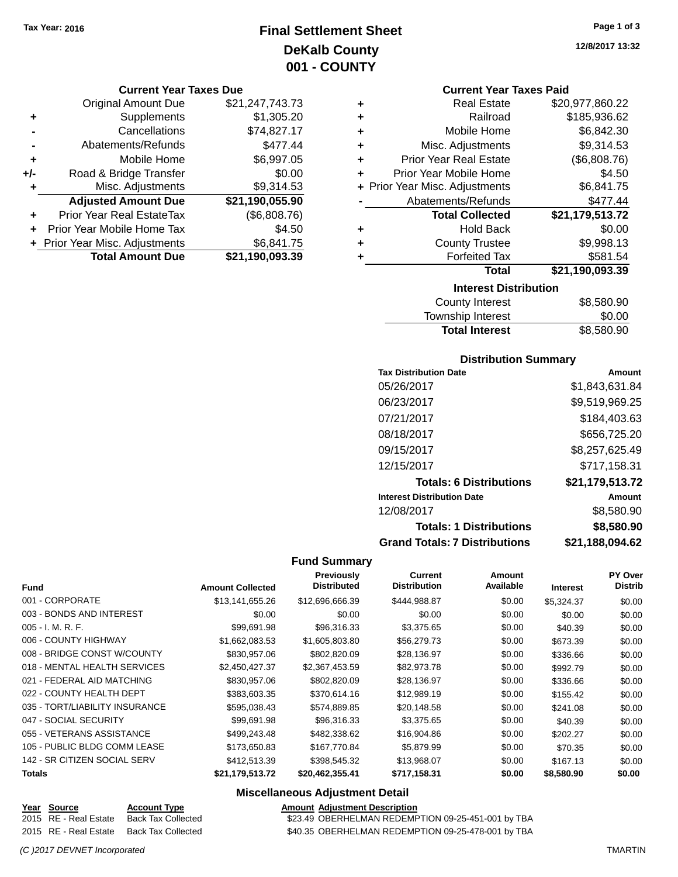# **Final Settlement Sheet Tax Year: 2016 Page 1 of 3 DeKalb County 001 - COUNTY**

#### **Current Year Taxes Due**

|     | <b>Original Amount Due</b>     | \$21,247,743.73 |
|-----|--------------------------------|-----------------|
| ٠   | Supplements                    | \$1,305.20      |
|     | Cancellations                  | \$74,827.17     |
|     | Abatements/Refunds             | \$477.44        |
| ٠   | Mobile Home                    | \$6,997.05      |
| +/- | Road & Bridge Transfer         | \$0.00          |
| ٠   | Misc. Adjustments              | \$9,314.53      |
|     | <b>Adjusted Amount Due</b>     | \$21,190,055.90 |
|     | Prior Year Real EstateTax      | (\$6,808.76)    |
|     | Prior Year Mobile Home Tax     | \$4.50          |
|     | + Prior Year Misc. Adjustments | \$6,841.75      |
|     | <b>Total Amount Due</b>        | \$21,190,093.39 |

#### **Current Year Taxes Paid**

| ٠ | <b>Real Estate</b>             | \$20,977,860.22 |
|---|--------------------------------|-----------------|
| ٠ | Railroad                       | \$185,936.62    |
| ٠ | Mobile Home                    | \$6,842.30      |
| ٠ | Misc. Adjustments              | \$9,314.53      |
| ٠ | <b>Prior Year Real Estate</b>  | (\$6,808.76)    |
| ٠ | Prior Year Mobile Home         | \$4.50          |
|   | + Prior Year Misc. Adjustments | \$6,841.75      |
|   | Abatements/Refunds             | \$477.44        |
|   | <b>Total Collected</b>         | \$21,179,513.72 |
| ٠ | <b>Hold Back</b>               | \$0.00          |
| ٠ | <b>County Trustee</b>          | \$9,998.13      |
| ٠ | <b>Forfeited Tax</b>           | \$581.54        |
|   | Total                          | \$21,190,093.39 |
|   | <b>Interest Distribution</b>   |                 |

| \$8,580.90 |
|------------|
| \$0.00     |
| \$8,580.90 |
|            |

### **Distribution Summary**

| <b>Tax Distribution Date</b>         | Amount          |
|--------------------------------------|-----------------|
| 05/26/2017                           | \$1,843,631.84  |
| 06/23/2017                           | \$9,519,969.25  |
| 07/21/2017                           | \$184,403.63    |
| 08/18/2017                           | \$656,725.20    |
| 09/15/2017                           | \$8,257,625.49  |
| 12/15/2017                           | \$717,158.31    |
| <b>Totals: 6 Distributions</b>       | \$21,179,513.72 |
| <b>Interest Distribution Date</b>    | Amount          |
| 12/08/2017                           | \$8,580.90      |
| <b>Totals: 1 Distributions</b>       | \$8,580.90      |
| <b>Grand Totals: 7 Distributions</b> | \$21,188,094.62 |

### **Fund Summary**

| <b>Fund</b>                    | <b>Amount Collected</b> | <b>Previously</b><br><b>Distributed</b> | <b>Current</b><br><b>Distribution</b> | Amount<br>Available | <b>Interest</b> | PY Over<br><b>Distrib</b> |
|--------------------------------|-------------------------|-----------------------------------------|---------------------------------------|---------------------|-----------------|---------------------------|
| 001 - CORPORATE                | \$13,141,655.26         | \$12,696,666.39                         | \$444,988.87                          | \$0.00              | \$5,324.37      | \$0.00                    |
| 003 - BONDS AND INTEREST       | \$0.00                  | \$0.00                                  | \$0.00                                | \$0.00              | \$0.00          | \$0.00                    |
| $005 - I. M. R. F.$            | \$99,691.98             | \$96,316.33                             | \$3,375.65                            | \$0.00              | \$40.39         | \$0.00                    |
| 006 - COUNTY HIGHWAY           | \$1,662,083.53          | \$1,605,803.80                          | \$56,279.73                           | \$0.00              | \$673.39        | \$0.00                    |
| 008 - BRIDGE CONST W/COUNTY    | \$830,957.06            | \$802,820.09                            | \$28,136.97                           | \$0.00              | \$336.66        | \$0.00                    |
| 018 - MENTAL HEALTH SERVICES   | \$2,450,427.37          | \$2,367,453.59                          | \$82,973.78                           | \$0.00              | \$992.79        | \$0.00                    |
| 021 - FEDERAL AID MATCHING     | \$830,957.06            | \$802,820.09                            | \$28,136.97                           | \$0.00              | \$336.66        | \$0.00                    |
| 022 - COUNTY HEALTH DEPT       | \$383,603.35            | \$370,614.16                            | \$12,989.19                           | \$0.00              | \$155.42        | \$0.00                    |
| 035 - TORT/LIABILITY INSURANCE | \$595,038.43            | \$574,889.85                            | \$20,148.58                           | \$0.00              | \$241.08        | \$0.00                    |
| 047 - SOCIAL SECURITY          | \$99.691.98             | \$96,316.33                             | \$3,375.65                            | \$0.00              | \$40.39         | \$0.00                    |
| 055 - VETERANS ASSISTANCE      | \$499,243.48            | \$482,338.62                            | \$16,904.86                           | \$0.00              | \$202.27        | \$0.00                    |
| 105 - PUBLIC BLDG COMM LEASE   | \$173,650.83            | \$167,770.84                            | \$5,879.99                            | \$0.00              | \$70.35         | \$0.00                    |
| 142 - SR CITIZEN SOCIAL SERV   | \$412,513.39            | \$398,545.32                            | \$13,968.07                           | \$0.00              | \$167.13        | \$0.00                    |
| <b>Totals</b>                  | \$21,179,513.72         | \$20,462,355.41                         | \$717,158.31                          | \$0.00              | \$8,580.90      | \$0.00                    |

|  | <b>Account Type</b>                                           |                                          | <b>Amount Adjustment Description</b>               |
|--|---------------------------------------------------------------|------------------------------------------|----------------------------------------------------|
|  |                                                               |                                          | \$23.49 OBERHELMAN REDEMPTION 09-25-451-001 by TBA |
|  |                                                               |                                          | \$40.35 OBERHELMAN REDEMPTION 09-25-478-001 by TBA |
|  | Year Source<br>2015 RE - Real Estate<br>2015 RE - Real Estate | Back Tax Collected<br>Back Tax Collected |                                                    |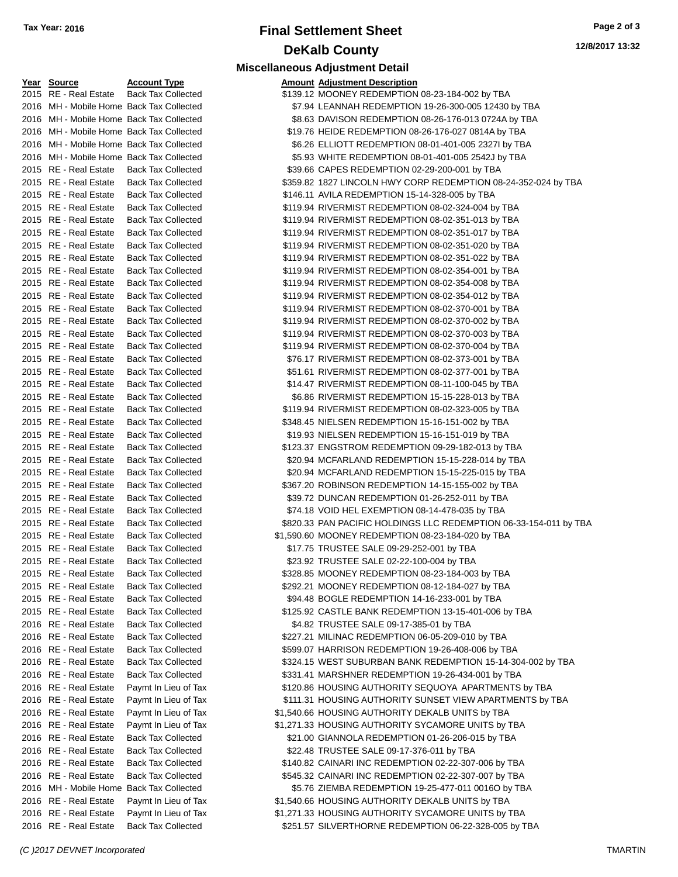# **Final Settlement Sheet Tax Year: 2016 Page 2 of 3 DeKalb County**

| <u>Year Source</u>                             | <b>Account Type</b>                                    | <b>Amount Adjustment Description</b> |
|------------------------------------------------|--------------------------------------------------------|--------------------------------------|
| 2015 RE - Real Estate                          | <b>Back Tax Collected</b>                              | \$139.12 MOONEY REDEMPTION           |
| 2016 MH - Mobile Home Back Tax Collected       |                                                        | \$7.94 LEANNAH REDEMPTION            |
| 2016 MH - Mobile Home Back Tax Collected       |                                                        | \$8.63 DAVISON REDEMPTION            |
| 2016 MH - Mobile Home Back Tax Collected       |                                                        | \$19.76 HEIDE REDEMPTION 08          |
| 2016 MH - Mobile Home Back Tax Collected       |                                                        | \$6.26 ELLIOTT REDEMPTION            |
| 2016 MH - Mobile Home Back Tax Collected       |                                                        | \$5.93 WHITE REDEMPTION 08           |
| 2015 RE - Real Estate                          | <b>Back Tax Collected</b>                              | \$39.66 CAPES REDEMPTION 0           |
| 2015 RE - Real Estate                          | <b>Back Tax Collected</b>                              | \$359.82 1827 LINCOLN HWY CO         |
| 2015 RE - Real Estate                          | <b>Back Tax Collected</b>                              | \$146.11 AVILA REDEMPTION 15-        |
| 2015 RE - Real Estate                          | <b>Back Tax Collected</b>                              | \$119.94 RIVERMIST REDEMPTIO         |
| 2015 RE - Real Estate                          | <b>Back Tax Collected</b>                              | \$119.94 RIVERMIST REDEMPTIO         |
| 2015 RE - Real Estate                          | <b>Back Tax Collected</b>                              | \$119.94 RIVERMIST REDEMPTIO         |
| 2015 RE - Real Estate                          | <b>Back Tax Collected</b>                              | \$119.94 RIVERMIST REDEMPTIO         |
| 2015 RE - Real Estate                          | <b>Back Tax Collected</b>                              | \$119.94 RIVERMIST REDEMPTIO         |
| 2015 RE - Real Estate                          | <b>Back Tax Collected</b>                              | \$119.94 RIVERMIST REDEMPTIO         |
| 2015 RE - Real Estate                          | <b>Back Tax Collected</b>                              | \$119.94 RIVERMIST REDEMPTIO         |
| 2015 RE - Real Estate                          | <b>Back Tax Collected</b>                              | \$119.94 RIVERMIST REDEMPTIO         |
| 2015 RE - Real Estate                          | <b>Back Tax Collected</b>                              | \$119.94 RIVERMIST REDEMPTIO         |
| 2015 RE - Real Estate                          | <b>Back Tax Collected</b>                              | \$119.94 RIVERMIST REDEMPTIO         |
| 2015 RE - Real Estate                          | <b>Back Tax Collected</b>                              | \$119.94 RIVERMIST REDEMPTIO         |
| 2015 RE - Real Estate                          | <b>Back Tax Collected</b>                              | \$119.94 RIVERMIST REDEMPTIO         |
| 2015 RE - Real Estate                          | <b>Back Tax Collected</b>                              | \$76.17 RIVERMIST REDEMPTIO          |
| 2015 RE - Real Estate                          | <b>Back Tax Collected</b>                              | \$51.61 RIVERMIST REDEMPTIO          |
| 2015 RE - Real Estate                          | <b>Back Tax Collected</b>                              | \$14.47 RIVERMIST REDEMPTIO          |
| 2015 RE - Real Estate                          | <b>Back Tax Collected</b>                              | \$6.86 RIVERMIST REDEMPTIO           |
| 2015 RE - Real Estate                          | <b>Back Tax Collected</b>                              | \$119.94 RIVERMIST REDEMPTIO         |
| 2015 RE - Real Estate                          | <b>Back Tax Collected</b>                              | \$348.45 NIELSEN REDEMPTION          |
| 2015 RE - Real Estate                          | <b>Back Tax Collected</b>                              | \$19.93 NIELSEN REDEMPTION           |
| 2015 RE - Real Estate                          | <b>Back Tax Collected</b>                              | \$123.37 ENGSTROM REDEMPTI           |
| 2015 RE - Real Estate                          | <b>Back Tax Collected</b>                              | \$20.94 MCFARLAND REDEMPT            |
| 2015 RE - Real Estate                          | <b>Back Tax Collected</b>                              | \$20.94 MCFARLAND REDEMPT            |
| 2015 RE - Real Estate                          | <b>Back Tax Collected</b>                              | \$367.20 ROBINSON REDEMPTIC          |
| 2015 RE - Real Estate                          | <b>Back Tax Collected</b>                              | \$39.72 DUNCAN REDEMPTION            |
| 2015 RE - Real Estate                          | <b>Back Tax Collected</b>                              | \$74.18 VOID HEL EXEMPTION           |
| 2015 RE - Real Estate                          | <b>Back Tax Collected</b>                              | \$820.33 PAN PACIFIC HOLDINGS        |
| 2015 RE - Real Estate                          | <b>Back Tax Collected</b>                              | \$1,590.60 MOONEY REDEMPTION         |
| 2015 RE - Real Estate                          | <b>Back Tax Collected</b>                              | \$17.75 TRUSTEE SALE 09-29-2         |
| 2015 RE - Real Estate                          | <b>Back Tax Collected</b>                              | \$23.92 TRUSTEE SALE 02-22-1         |
| 2015 RE - Real Estate                          | <b>Back Tax Collected</b>                              | \$328.85 MOONEY REDEMPTION           |
| 2015 RE - Real Estate                          | <b>Back Tax Collected</b>                              | \$292.21 MOONEY REDEMPTION           |
| 2015 RE - Real Estate                          | <b>Back Tax Collected</b>                              | \$94.48 BOGLE REDEMPTION 1           |
| 2015 RE - Real Estate                          | <b>Back Tax Collected</b>                              | \$125.92 CASTLE BANK REDEMF          |
| 2016 RE - Real Estate                          | <b>Back Tax Collected</b>                              | \$4.82 TRUSTEE SALE 09-17-3          |
| 2016 RE - Real Estate                          | <b>Back Tax Collected</b>                              | \$227.21 MILINAC REDEMPTION          |
| 2016 RE - Real Estate                          | <b>Back Tax Collected</b>                              | \$599.07 HARRISON REDEMPTIC          |
| 2016 RE - Real Estate                          | <b>Back Tax Collected</b>                              | \$324.15 WEST SUBURBAN BANI          |
| 2016 RE - Real Estate                          | <b>Back Tax Collected</b>                              | \$331.41 MARSHNER REDEMPTI           |
| 2016 RE - Real Estate                          | Paymt In Lieu of Tax                                   | \$120.86 HOUSING AUTHORITY \$        |
| 2016 RE - Real Estate                          | Paymt In Lieu of Tax                                   | \$111.31 HOUSING AUTHORITY \$        |
| 2016 RE - Real Estate                          | Paymt In Lieu of Tax                                   | \$1,540.66 HOUSING AUTHORITY I       |
| 2016 RE - Real Estate                          | Paymt In Lieu of Tax                                   | \$1,271.33 HOUSING AUTHORITY \$      |
| 2016 RE - Real Estate                          | <b>Back Tax Collected</b>                              | \$21.00 GIANNOLA REDEMPTIO           |
|                                                |                                                        | \$22.48 TRUSTEE SALE 09-17-3         |
| 2016 RE - Real Estate<br>2016 RE - Real Estate | <b>Back Tax Collected</b><br><b>Back Tax Collected</b> | \$140.82 CAINARI INC REDEMPT         |
| 2016 RE - Real Estate                          | <b>Back Tax Collected</b>                              | \$545.32 CAINARI INC REDEMPT         |
| 2016 MH - Mobile Home Back Tax Collected       |                                                        | \$5.76 ZIEMBA REDEMPTION 1           |
| 2016 RE - Real Estate                          | Paymt In Lieu of Tax                                   | \$1,540.66 HOUSING AUTHORITY I       |
| 2016 RE - Real Estate                          | Paymt In Lieu of Tax                                   | \$1,271.33 HOUSING AUTHORITY \$      |
|                                                |                                                        |                                      |

|                                          |                           | <b>Miscellaneous Adjustment Detail</b>                            |
|------------------------------------------|---------------------------|-------------------------------------------------------------------|
| Year Source                              | <b>Account Type</b>       | <b>Amount Adjustment Description</b>                              |
| 2015 RE - Real Estate                    | <b>Back Tax Collected</b> | \$139.12 MOONEY REDEMPTION 08-23-184-002 by TBA                   |
| 2016 MH - Mobile Home Back Tax Collected |                           | \$7.94 LEANNAH REDEMPTION 19-26-300-005 12430 by TBA              |
| 2016 MH - Mobile Home Back Tax Collected |                           | \$8.63 DAVISON REDEMPTION 08-26-176-013 0724A by TBA              |
| 2016 MH - Mobile Home Back Tax Collected |                           | \$19.76 HEIDE REDEMPTION 08-26-176-027 0814A by TBA               |
| 2016 MH - Mobile Home Back Tax Collected |                           | \$6.26 ELLIOTT REDEMPTION 08-01-401-005 2327I by TBA              |
| 2016 MH - Mobile Home Back Tax Collected |                           | \$5.93 WHITE REDEMPTION 08-01-401-005 2542J by TBA                |
| 2015 RE - Real Estate                    | <b>Back Tax Collected</b> | \$39.66 CAPES REDEMPTION 02-29-200-001 by TBA                     |
| 2015 RE - Real Estate                    | <b>Back Tax Collected</b> | \$359.82 1827 LINCOLN HWY CORP REDEMPTION 08-24-352-024 by TBA    |
| 2015 RE - Real Estate                    | <b>Back Tax Collected</b> | \$146.11 AVILA REDEMPTION 15-14-328-005 by TBA                    |
| 2015 RE - Real Estate                    | <b>Back Tax Collected</b> | \$119.94 RIVERMIST REDEMPTION 08-02-324-004 by TBA                |
| 2015 RE - Real Estate                    | <b>Back Tax Collected</b> | \$119.94 RIVERMIST REDEMPTION 08-02-351-013 by TBA                |
| 2015 RE - Real Estate                    | <b>Back Tax Collected</b> | \$119.94 RIVERMIST REDEMPTION 08-02-351-017 by TBA                |
| 2015 RE - Real Estate                    | <b>Back Tax Collected</b> | \$119.94 RIVERMIST REDEMPTION 08-02-351-020 by TBA                |
| 2015 RE - Real Estate                    | <b>Back Tax Collected</b> | \$119.94 RIVERMIST REDEMPTION 08-02-351-022 by TBA                |
| 2015 RE - Real Estate                    | <b>Back Tax Collected</b> | \$119.94 RIVERMIST REDEMPTION 08-02-354-001 by TBA                |
| 2015 RE - Real Estate                    | <b>Back Tax Collected</b> | \$119.94 RIVERMIST REDEMPTION 08-02-354-008 by TBA                |
| 2015 RE - Real Estate                    | <b>Back Tax Collected</b> | \$119.94 RIVERMIST REDEMPTION 08-02-354-012 by TBA                |
| 2015 RE - Real Estate                    | <b>Back Tax Collected</b> | \$119.94 RIVERMIST REDEMPTION 08-02-370-001 by TBA                |
| 2015 RE - Real Estate                    | <b>Back Tax Collected</b> | \$119.94 RIVERMIST REDEMPTION 08-02-370-002 by TBA                |
| 2015 RE - Real Estate                    | <b>Back Tax Collected</b> | \$119.94 RIVERMIST REDEMPTION 08-02-370-003 by TBA                |
| 2015 RE - Real Estate                    | <b>Back Tax Collected</b> | \$119.94 RIVERMIST REDEMPTION 08-02-370-004 by TBA                |
| 2015 RE - Real Estate                    | <b>Back Tax Collected</b> | \$76.17 RIVERMIST REDEMPTION 08-02-373-001 by TBA                 |
| 2015 RE - Real Estate                    | <b>Back Tax Collected</b> | \$51.61 RIVERMIST REDEMPTION 08-02-377-001 by TBA                 |
| 2015 RE - Real Estate                    | <b>Back Tax Collected</b> | \$14.47 RIVERMIST REDEMPTION 08-11-100-045 by TBA                 |
| 2015 RE - Real Estate                    | <b>Back Tax Collected</b> | \$6.86 RIVERMIST REDEMPTION 15-15-228-013 by TBA                  |
| 2015 RE - Real Estate                    | <b>Back Tax Collected</b> | \$119.94 RIVERMIST REDEMPTION 08-02-323-005 by TBA                |
| 2015 RE - Real Estate                    | <b>Back Tax Collected</b> | \$348.45 NIELSEN REDEMPTION 15-16-151-002 by TBA                  |
| 2015 RE - Real Estate                    | <b>Back Tax Collected</b> | \$19.93 NIELSEN REDEMPTION 15-16-151-019 by TBA                   |
| 2015 RE - Real Estate                    | <b>Back Tax Collected</b> | \$123.37 ENGSTROM REDEMPTION 09-29-182-013 by TBA                 |
| 2015 RE - Real Estate                    | <b>Back Tax Collected</b> | \$20.94 MCFARLAND REDEMPTION 15-15-228-014 by TBA                 |
| 2015 RE - Real Estate                    | <b>Back Tax Collected</b> | \$20.94 MCFARLAND REDEMPTION 15-15-225-015 by TBA                 |
| 2015 RE - Real Estate                    | <b>Back Tax Collected</b> | \$367.20 ROBINSON REDEMPTION 14-15-155-002 by TBA                 |
| 2015 RE - Real Estate                    | <b>Back Tax Collected</b> | \$39.72 DUNCAN REDEMPTION 01-26-252-011 by TBA                    |
| 2015 RE - Real Estate                    | <b>Back Tax Collected</b> | \$74.18 VOID HEL EXEMPTION 08-14-478-035 by TBA                   |
| 2015 RE - Real Estate                    | <b>Back Tax Collected</b> | \$820.33 PAN PACIFIC HOLDINGS LLC REDEMPTION 06-33-154-011 by TBA |
| 2015 RE - Real Estate                    | <b>Back Tax Collected</b> | \$1,590.60 MOONEY REDEMPTION 08-23-184-020 by TBA                 |
| 2015 RE - Real Estate                    | <b>Back Tax Collected</b> | \$17.75 TRUSTEE SALE 09-29-252-001 by TBA                         |
| 2015 RE - Real Estate                    | <b>Back Tax Collected</b> | \$23.92 TRUSTEE SALE 02-22-100-004 by TBA                         |
| 2015 RE - Real Estate                    | <b>Back Tax Collected</b> | \$328.85 MOONEY REDEMPTION 08-23-184-003 by TBA                   |
| 2015 RE - Real Estate                    | <b>Back Tax Collected</b> | \$292.21 MOONEY REDEMPTION 08-12-184-027 by TBA                   |
|                                          |                           |                                                                   |

- 2015 real and the Collected \$94.48 BOGLE REDEMPTION 14-16-233-001 by TBA 2015 real Estate Back Tax Collected \$125.92 CASTLE BANK REDEMPTION 13-15-401-006 by TBA 2016 rted  $$4.82$  TRUSTEE SALE 09-17-385-01 by TBA
- 227.21 MILINAC REDEMPTION 06-05-209-010 by TBA
- 2016 RE Real Estate Back Tax Collected \$599.07 HARRISON REDEMPTION 19-26-408-006 by TBA
- 2016 2016 Real Estate Back Tax Collected \$324.15 WEST SUBURBAN BANK REDEMPTION 15-14-304-002 by TBA
- 2016 rted \$331.41 MARSHNER REDEMPTION 19-26-434-001 by TBA
- 2016 REAL TEAT 10016 REAL ESTATE REAL ESTATE PAYMENTS AND REAL STATE REAL STATE STATE STATE STATE STATE STATE S
- 2016 6111.31 ROUSING AUTHORITY SUNSET VIEW APARTMENTS by TBA
- of Tax  $$1,540.66$  HOUSING AUTHORITY DEKALB UNITS by TBA
- of Tax  $$1,271.33$  HOUSING AUTHORITY SYCAMORE UNITS by TBA
- 21.00 GIANNOLA REDEMPTION 01-26-206-015 by TBA
- 22.48 TRUSTEE SALE 09-17-376-011 by TBA
- 2016 cted \$140.82 CAINARI INC REDEMPTION 02-22-307-006 by TBA
- 2016 222-307 Real Estate Back Tax 6545.32 CAINARI INC REDEMPTION 02-22-307-007 by TBA 2016 2016 MH - Mobile St.76 ZIEMBA REDEMPTION 19-25-477-011
- of Tax  $$1,540.66$  HOUSING AUTHORITY DEKALB UNITS by TBA
- of Tax  $$1,271.33$  HOUSING AUTHORITY SYCAMORE UNITS by TBA
- 2016 RE Real Estate Back Tax Collected \$251.57 SILVERTHORNE REDEMPTION 06-22-328-005 by TBA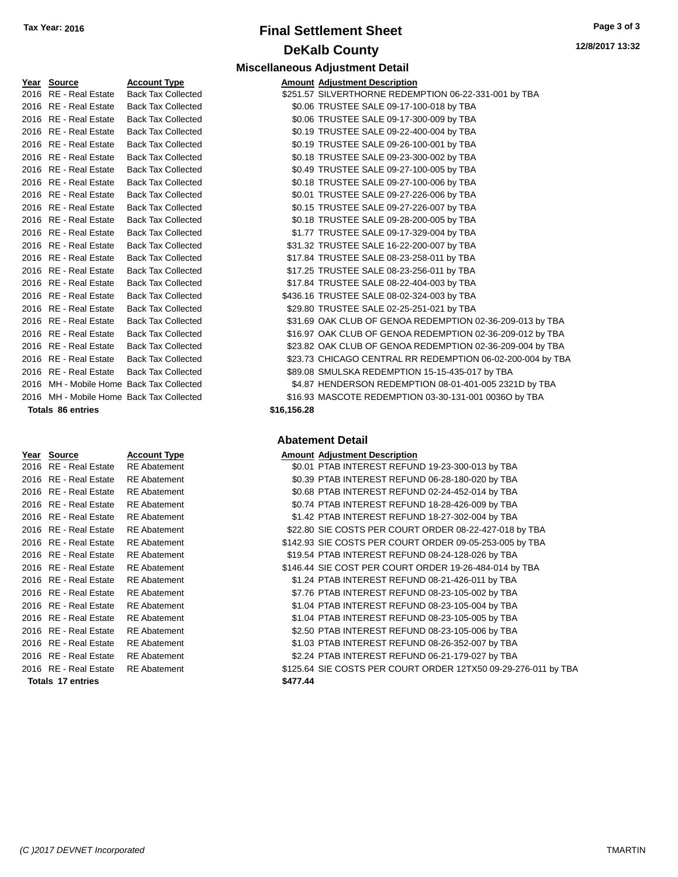# **Final Settlement Sheet Tax Year: 2016 Page 3 of 3 DeKalb County**

**12/8/2017 13:32**

| <u>Year</u> | <b>Source</b>                            | <b>Account Type</b>       |     |
|-------------|------------------------------------------|---------------------------|-----|
| 2016        | <b>RE</b> - Real Estate                  | <b>Back Tax Collected</b> |     |
|             | 2016 RE - Real Estate                    | <b>Back Tax Collected</b> |     |
|             | 2016 RE - Real Estate                    | <b>Back Tax Collected</b> |     |
|             | 2016 RE - Real Estate                    | <b>Back Tax Collected</b> |     |
|             | 2016 RE - Real Estate                    | <b>Back Tax Collected</b> |     |
|             | 2016 RE - Real Estate                    | <b>Back Tax Collected</b> |     |
| 2016        | <b>RE</b> - Real Estate                  | <b>Back Tax Collected</b> |     |
|             | 2016 RE - Real Estate                    | <b>Back Tax Collected</b> |     |
|             | 2016 RE - Real Estate                    | <b>Back Tax Collected</b> |     |
|             | 2016   RE - Real Estate                  | <b>Back Tax Collected</b> |     |
| 2016        | <b>RE</b> - Real Estate                  | <b>Back Tax Collected</b> |     |
| 2016        | <b>RE</b> - Real Estate                  | <b>Back Tax Collected</b> |     |
| 2016        | <b>RE</b> - Real Estate                  | <b>Back Tax Collected</b> |     |
| 2016        | <b>RE</b> - Real Estate                  | <b>Back Tax Collected</b> |     |
|             | 2016 RE - Real Estate                    | <b>Back Tax Collected</b> |     |
| 2016        | <b>RE</b> - Real Estate                  | <b>Back Tax Collected</b> |     |
| 2016        | <b>RE</b> - Real Estate                  | <b>Back Tax Collected</b> |     |
| 2016        | <b>RE</b> - Real Estate                  | <b>Back Tax Collected</b> |     |
| 2016        | <b>RE</b> - Real Estate                  | <b>Back Tax Collected</b> |     |
| 2016        | <b>RE</b> - Real Estate                  | <b>Back Tax Collected</b> |     |
| 2016        | RE - Real Estate                         | <b>Back Tax Collected</b> |     |
|             | 2016 RE - Real Estate                    | <b>Back Tax Collected</b> |     |
| 2016        | <b>RE</b> - Real Estate                  | <b>Back Tax Collected</b> |     |
|             | 2016 MH - Mobile Home Back Tax Collected |                           |     |
|             | 2016 MH - Mobile Home Back Tax Collected |                           |     |
|             | <b>Totals 86 entries</b>                 |                           | \$1 |

#### **Year Source Account Type Amount Adjustment Description** 2016 RE - Real Estate RE Abatement 2016 RE - Real Estate RE Abatement 2016 RE - Real Estate RE Abatement 2016 RE - Real Estate RE Abatement 2016 RE - Real Estate RE Abatement 2016 RE - Real Estate RE Abatement 2016 RE - Real Estate RE Abatement \$ 2016 RE - Real Estate RE Abatement 2016 RE - Real Estate RE Abatement \$146.44 S 2016 RE - Real Estate RE Abatement 2016 RE - Real Estate RE Abatement 2016 RE - Real Estate RE Abatement 2016 RE - Real Estate RE Abatement 2016 RE - Real Estate RE Abatement 2016 RE - Real Estate RE Abatement 2016 RE - Real Estate RE Abatement 2016 RE - Real Estate RE Abatement \$ **Totals 17 entries \$477.444**

**Miscellaneous Adjustment Detail**

| Year Source                              | <b>Account Type</b>       |             | <b>Amount Adjustment Description</b>                       |
|------------------------------------------|---------------------------|-------------|------------------------------------------------------------|
| 2016 RE - Real Estate                    | <b>Back Tax Collected</b> |             | \$251.57 SILVERTHORNE REDEMPTION 06-22-331-001 by TBA      |
| 2016 RE - Real Estate                    | <b>Back Tax Collected</b> |             | \$0.06 TRUSTEE SALE 09-17-100-018 by TBA                   |
| 2016 RE - Real Estate                    | <b>Back Tax Collected</b> |             | \$0.06 TRUSTEE SALE 09-17-300-009 by TBA                   |
| 2016 RE - Real Estate                    | <b>Back Tax Collected</b> |             | \$0.19 TRUSTEE SALE 09-22-400-004 by TBA                   |
| 2016 RE - Real Estate                    | <b>Back Tax Collected</b> |             | \$0.19 TRUSTEE SALE 09-26-100-001 by TBA                   |
| 2016 RE - Real Estate                    | <b>Back Tax Collected</b> |             | \$0.18 TRUSTEE SALE 09-23-300-002 by TBA                   |
| 2016 RE - Real Estate                    | <b>Back Tax Collected</b> |             | \$0.49 TRUSTEE SALE 09-27-100-005 by TBA                   |
| 2016 RE - Real Estate                    | <b>Back Tax Collected</b> |             | \$0.18 TRUSTEE SALE 09-27-100-006 by TBA                   |
| 2016 RE - Real Estate                    | <b>Back Tax Collected</b> |             | \$0.01 TRUSTEE SALE 09-27-226-006 by TBA                   |
| 2016 RE - Real Estate                    | <b>Back Tax Collected</b> |             | \$0.15 TRUSTEE SALE 09-27-226-007 by TBA                   |
| 2016 RE - Real Estate                    | <b>Back Tax Collected</b> |             | \$0.18 TRUSTEE SALE 09-28-200-005 by TBA                   |
| 2016 RE - Real Estate                    | <b>Back Tax Collected</b> |             | \$1.77 TRUSTEE SALE 09-17-329-004 by TBA                   |
| 2016 RE - Real Estate                    | <b>Back Tax Collected</b> |             | \$31.32 TRUSTEE SALE 16-22-200-007 by TBA                  |
| 2016 RE - Real Estate                    | <b>Back Tax Collected</b> |             | \$17.84 TRUSTEE SALE 08-23-258-011 by TBA                  |
| 2016 RE - Real Estate                    | <b>Back Tax Collected</b> |             | \$17.25 TRUSTEE SALE 08-23-256-011 by TBA                  |
| 2016 RE - Real Estate                    | <b>Back Tax Collected</b> |             | \$17.84 TRUSTEE SALE 08-22-404-003 by TBA                  |
| 2016 RE - Real Estate                    | <b>Back Tax Collected</b> |             | \$436.16 TRUSTEE SALE 08-02-324-003 by TBA                 |
| 2016 RE - Real Estate                    | <b>Back Tax Collected</b> |             | \$29.80 TRUSTEE SALE 02-25-251-021 by TBA                  |
| 2016 RE - Real Estate                    | <b>Back Tax Collected</b> |             | \$31.69 OAK CLUB OF GENOA REDEMPTION 02-36-209-013 by TBA  |
| 2016 RE - Real Estate                    | <b>Back Tax Collected</b> |             | \$16.97 OAK CLUB OF GENOA REDEMPTION 02-36-209-012 by TBA  |
| 2016 RE - Real Estate                    | <b>Back Tax Collected</b> |             | \$23.82 OAK CLUB OF GENOA REDEMPTION 02-36-209-004 by TBA  |
| 2016 RE - Real Estate                    | <b>Back Tax Collected</b> |             | \$23.73 CHICAGO CENTRAL RR REDEMPTION 06-02-200-004 by TBA |
| 2016 RE - Real Estate                    | <b>Back Tax Collected</b> |             | \$89.08 SMULSKA REDEMPTION 15-15-435-017 by TBA            |
| 2016 MH - Mobile Home Back Tax Collected |                           |             | \$4.87 HENDERSON REDEMPTION 08-01-401-005 2321D by TBA     |
| 2016 MH - Mobile Home Back Tax Collected |                           |             | \$16.93 MASCOTE REDEMPTION 03-30-131-001 0036O by TBA      |
| <b>Totals 86 entries</b>                 |                           | \$16,156.28 |                                                            |
|                                          |                           |             |                                                            |

### **Abatement Detail**

|        | mount Adjustment Description                                 |
|--------|--------------------------------------------------------------|
|        |                                                              |
|        | \$0.01 PTAB INTEREST REFUND 19-23-300-013 by TBA             |
|        | \$0.39 PTAB INTEREST REFUND 06-28-180-020 by TBA             |
|        | \$0.68 PTAB INTEREST REFUND 02-24-452-014 by TBA             |
|        | \$0.74 PTAB INTEREST REFUND 18-28-426-009 by TBA             |
|        | \$1.42 PTAB INTEREST REFUND 18-27-302-004 by TBA             |
|        | \$22.80 SIE COSTS PER COURT ORDER 08-22-427-018 by TBA       |
|        | 142.93 SIE COSTS PER COURT ORDER 09-05-253-005 by TBA        |
|        | \$19.54 PTAB INTEREST REFUND 08-24-128-026 by TBA            |
|        | 146.44 SIE COST PER COURT ORDER 19-26-484-014 by TBA         |
|        | \$1.24 PTAB INTEREST REFUND 08-21-426-011 by TBA             |
|        | \$7.76 PTAB INTEREST REFUND 08-23-105-002 by TBA             |
|        | \$1.04 PTAB INTEREST REFUND 08-23-105-004 by TBA             |
|        | \$1.04 PTAB INTEREST REFUND 08-23-105-005 by TBA             |
|        | \$2.50 PTAB INTEREST REFUND 08-23-105-006 by TBA             |
|        | \$1.03 PTAB INTEREST REFUND 08-26-352-007 by TBA             |
|        | \$2.24 PTAB INTEREST REFUND 06-21-179-027 by TBA             |
|        | 125.64 SIE COSTS PER COURT ORDER 12TX50 09-29-276-011 by TBA |
| 477.44 |                                                              |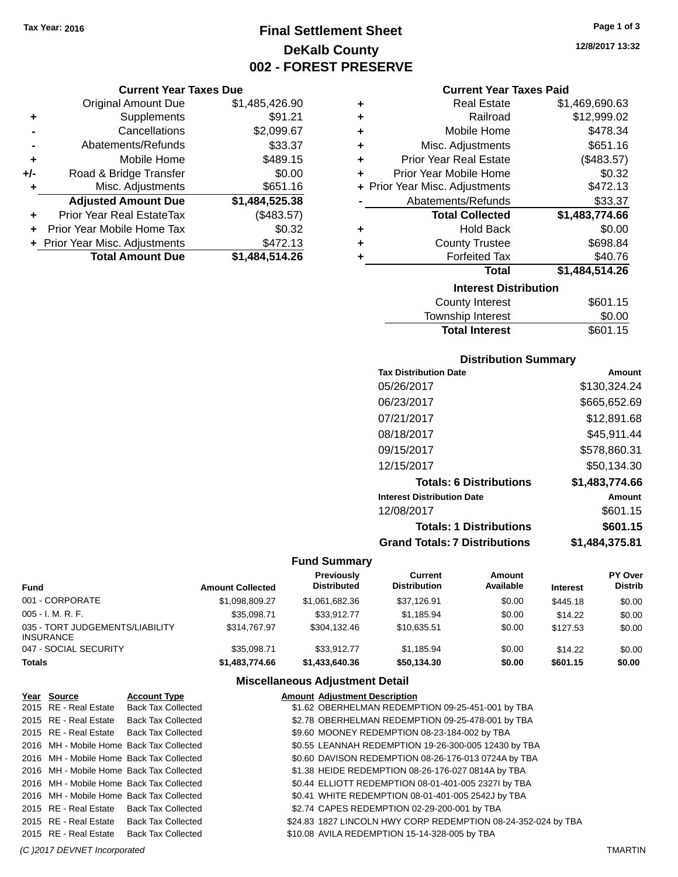# **Final Settlement Sheet Tax Year: 2016 Page 1 of 3 DeKalb County 002 - FOREST PRESERVE**

### **Current Year Taxes Due**

|       | <b>Original Amount Due</b>       | \$1,485,426.90 |
|-------|----------------------------------|----------------|
| ٠     | Supplements                      | \$91.21        |
|       | Cancellations                    | \$2,099.67     |
|       | Abatements/Refunds               | \$33.37        |
| ٠     | Mobile Home                      | \$489.15       |
| $+/-$ | Road & Bridge Transfer           | \$0.00         |
| ٠     | Misc. Adjustments                | \$651.16       |
|       | <b>Adjusted Amount Due</b>       | \$1,484,525.38 |
|       | <b>Prior Year Real EstateTax</b> | (\$483.57)     |
|       | Prior Year Mobile Home Tax       | \$0.32         |
|       | + Prior Year Misc. Adjustments   | \$472.13       |
|       | <b>Total Amount Due</b>          | \$1,484,514.26 |

| ٠ | <b>Real Estate</b>             | \$1,469,690.63 |
|---|--------------------------------|----------------|
| ٠ | Railroad                       | \$12,999.02    |
| ٠ | Mobile Home                    | \$478.34       |
| ٠ | Misc. Adjustments              | \$651.16       |
| ٠ | <b>Prior Year Real Estate</b>  | (\$483.57)     |
| ٠ | Prior Year Mobile Home         | \$0.32         |
|   | + Prior Year Misc. Adjustments | \$472.13       |
|   | Abatements/Refunds             | \$33.37        |
|   | <b>Total Collected</b>         | \$1,483,774.66 |
| ٠ | <b>Hold Back</b>               | \$0.00         |
| ٠ | <b>County Trustee</b>          | \$698.84       |
| ٠ | <b>Forfeited Tax</b>           | \$40.76        |
|   | <b>Total</b>                   | \$1,484,514.26 |
|   |                                |                |
|   | <b>Interest Distribution</b>   |                |

| <b>Total Interest</b> | \$601.15 |
|-----------------------|----------|
| Township Interest     | \$0.00   |
| County Interest       | \$601.15 |

### **Distribution Summary**

| <b>Tax Distribution Date</b>         | Amount         |
|--------------------------------------|----------------|
| 05/26/2017                           | \$130,324.24   |
| 06/23/2017                           | \$665,652.69   |
| 07/21/2017                           | \$12,891.68    |
| 08/18/2017                           | \$45,911.44    |
| 09/15/2017                           | \$578,860.31   |
| 12/15/2017                           | \$50.134.30    |
| <b>Totals: 6 Distributions</b>       | \$1,483,774.66 |
| <b>Interest Distribution Date</b>    | Amount         |
| 12/08/2017                           | \$601.15       |
| <b>Totals: 1 Distributions</b>       | \$601.15       |
| <b>Grand Totals: 7 Distributions</b> | \$1,484,375.81 |

### **Fund Summary**

| Fund                                         | <b>Amount Collected</b> | <b>Previously</b><br><b>Distributed</b> | Current<br><b>Distribution</b> | Amount<br>Available | <b>Interest</b> | PY Over<br><b>Distrib</b> |
|----------------------------------------------|-------------------------|-----------------------------------------|--------------------------------|---------------------|-----------------|---------------------------|
| 001 - CORPORATE                              | \$1.098.809.27          | \$1.061.682.36                          | \$37,126.91                    | \$0.00              | \$445.18        | \$0.00                    |
| 005 - I. M. R. F.                            | \$35.098.71             | \$33,912.77                             | \$1.185.94                     | \$0.00              | \$14.22         | \$0.00                    |
| 035 - TORT JUDGEMENTS/LIABILITY<br>INSURANCE | \$314,767.97            | \$304.132.46                            | \$10.635.51                    | \$0.00              | \$127.53        | \$0.00                    |
| 047 - SOCIAL SECURITY                        | \$35,098.71             | \$33.912.77                             | \$1.185.94                     | \$0.00              | \$14.22         | \$0.00                    |
| Totals                                       | \$1,483,774.66          | \$1,433,640,36                          | \$50.134.30                    | \$0.00              | \$601.15        | \$0.00                    |

| Year Source | <b>Account Type</b>                      | <b>Amount Adjustment Description</b>                          |
|-------------|------------------------------------------|---------------------------------------------------------------|
|             | 2015 RE - Real Estate Back Tax Collected | \$1.62 OBERHELMAN REDEMPTION 09-25-451-001 by TBA             |
|             | 2015 RE - Real Estate Back Tax Collected | \$2.78 OBERHELMAN REDEMPTION 09-25-478-001 by TBA             |
|             | 2015 RE - Real Estate Back Tax Collected | \$9.60 MOONEY REDEMPTION 08-23-184-002 by TBA                 |
|             | 2016 MH - Mobile Home Back Tax Collected | \$0.55 LEANNAH REDEMPTION 19-26-300-005 12430 by TBA          |
|             | 2016 MH - Mobile Home Back Tax Collected | \$0.60 DAVISON REDEMPTION 08-26-176-013 0724A by TBA          |
|             | 2016 MH - Mobile Home Back Tax Collected | \$1.38 HEIDE REDEMPTION 08-26-176-027 0814A by TBA            |
|             | 2016 MH - Mobile Home Back Tax Collected | \$0.44 ELLIOTT REDEMPTION 08-01-401-005 2327I by TBA          |
|             | 2016 MH - Mobile Home Back Tax Collected | \$0.41 WHITE REDEMPTION 08-01-401-005 2542J by TBA            |
|             | 2015 RE - Real Estate Back Tax Collected | \$2.74 CAPES REDEMPTION 02-29-200-001 by TBA                  |
|             | 2015 RE - Real Estate Back Tax Collected | \$24.83 1827 LINCOLN HWY CORP REDEMPTION 08-24-352-024 by TBA |
|             | 2015 RE - Real Estate Back Tax Collected | \$10.08 AVILA REDEMPTION 15-14-328-005 by TBA                 |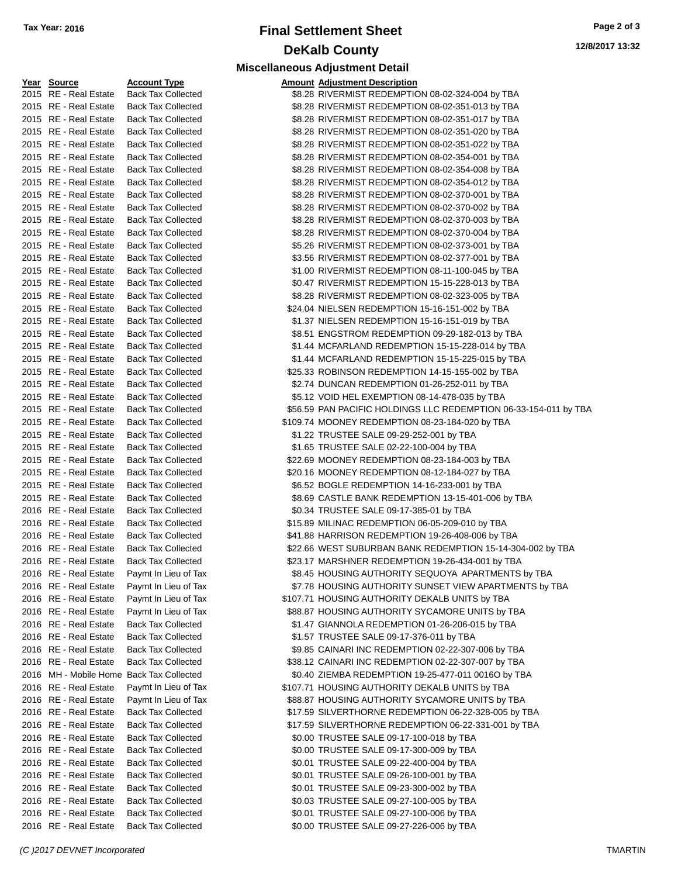## **Final Settlement Sheet Tax Year: 2016 Page 2 of 3 DeKalb County Miscellaneous Adjustment Detail**

**12/8/2017 13:32**

#### **Year Source Account Type** 2015 RE - Real Estate Back Tax Collected 2015 RE - Real Estate Back Tax Collected 2015 RE - Real Estate Back Tax Collected 2015 RE - Real Estate Back Tax Collected 2015 RE - Real Estate Back Tax Collected 2015 RE - Real Estate Back Tax Collected 2015 RE - Real Estate Back Tax Collected 2015 RE - Real Estate Back Tax Collected 2015 RE - Real Estate Back Tax Collected 2015 RE - Real Estate Back Tax Collected 2015 RE - Real Estate Back Tax Collected 2015 RE - Real Estate Back Tax Collected 2015 RE - Real Estate Back Tax Collected 2015 RE - Real Estate Back Tax Collected 2015 RE - Real Estate Back Tax Collected 2015 RE - Real Estate Back Tax Collected 2015 RE - Real Estate Back Tax Collected 2015 RE - Real Estate Back Tax Collected 2015 RE - Real Estate Back Tax Collected 2015 RE - Real Estate Back Tax Collected 2015 RE - Real Estate Back Tax Collected 2015 RE - Real Estate Back Tax Collected 2015 RE - Real Estate Back Tax Collected 2015 RE - Real Estate Back Tax Collected 2015 RE - Real Estate Back Tax Collected 2015 RE - Real Estate Back Tax Collected 2015 RE - Real Estate Back Tax Collected 2015 RE - Real Estate Back Tax Collected 2015 RE - Real Estate Back Tax Collected 2015 RE - Real Estate Back Tax Collected 2015 RE - Real Estate Back Tax Collected 2015 RE - Real Estate Back Tax Collected 2016 RE - Real Estate Back Tax Collected 2016 RE - Real Estate Back Tax Collected 2016 RE - Real Estate Back Tax Collected 2016 RE - Real Estate Back Tax Collected 2016 RE - Real Estate Back Tax Collected 2016 RE - Real Estate Paymt In Lieu of Tax 2016 RE - Real Estate Paymt In Lieu of Tax 2016 RE - Real Estate Paymt In Lieu of Tax 2016 RE - Real Estate Paymt In Lieu of Tax 2016 RE - Real Estate Back Tax Collected 2016 RE - Real Estate Back Tax Collected 2016 RE - Real Estate Back Tax Collected 2016 RE - Real Estate Back Tax Collected 2016 MH - Mobile Home Back Tax Collected 2016 RE - Real Estate Paymt In Lieu of Tax 2016 RE - Real Estate Paymt In Lieu of Tax 2016 RE - Real Estate Back Tax Collected 2016 RE - Real Estate Back Tax Collected 2016 RE - Real Estate Back Tax Collected 2016 RE - Real Estate Back Tax Collected 2016 RE - Real Estate Back Tax Collected 2016 RE - Real Estate Back Tax Collected 2016 RE - Real Estate Back Tax Collected 2016 RE - Real Estate Back Tax Collected 2016 RE - Real Estate Back Tax Collected

| Year Source                              | <b>Account Type</b>       | <b>Amount Adjustment Description</b>                             |
|------------------------------------------|---------------------------|------------------------------------------------------------------|
| 2015 RE - Real Estate                    | <b>Back Tax Collected</b> | \$8.28 RIVERMIST REDEMPTION 08-02-324-004 by TBA                 |
| 2015 RE - Real Estate                    | <b>Back Tax Collected</b> | \$8.28 RIVERMIST REDEMPTION 08-02-351-013 by TBA                 |
| 2015 RE - Real Estate                    | <b>Back Tax Collected</b> | \$8.28 RIVERMIST REDEMPTION 08-02-351-017 by TBA                 |
| 2015 RE - Real Estate                    | <b>Back Tax Collected</b> | \$8.28 RIVERMIST REDEMPTION 08-02-351-020 by TBA                 |
| 2015 RE - Real Estate                    | <b>Back Tax Collected</b> | \$8.28 RIVERMIST REDEMPTION 08-02-351-022 by TBA                 |
| 2015 RE - Real Estate                    | <b>Back Tax Collected</b> | \$8.28 RIVERMIST REDEMPTION 08-02-354-001 by TBA                 |
| 2015 RE - Real Estate                    | <b>Back Tax Collected</b> | \$8.28 RIVERMIST REDEMPTION 08-02-354-008 by TBA                 |
| 2015 RE - Real Estate                    | <b>Back Tax Collected</b> | \$8.28 RIVERMIST REDEMPTION 08-02-354-012 by TBA                 |
| 2015 RE - Real Estate                    | <b>Back Tax Collected</b> | \$8.28 RIVERMIST REDEMPTION 08-02-370-001 by TBA                 |
| 2015 RE - Real Estate                    | <b>Back Tax Collected</b> | \$8.28 RIVERMIST REDEMPTION 08-02-370-002 by TBA                 |
| 2015 RE - Real Estate                    | <b>Back Tax Collected</b> | \$8.28 RIVERMIST REDEMPTION 08-02-370-003 by TBA                 |
| 2015 RE - Real Estate                    | <b>Back Tax Collected</b> | \$8.28 RIVERMIST REDEMPTION 08-02-370-004 by TBA                 |
| 2015 RE - Real Estate                    | <b>Back Tax Collected</b> | \$5.26 RIVERMIST REDEMPTION 08-02-373-001 by TBA                 |
| 2015 RE - Real Estate                    | <b>Back Tax Collected</b> | \$3.56 RIVERMIST REDEMPTION 08-02-377-001 by TBA                 |
| 2015 RE - Real Estate                    | <b>Back Tax Collected</b> | \$1.00 RIVERMIST REDEMPTION 08-11-100-045 by TBA                 |
| 2015 RE - Real Estate                    | <b>Back Tax Collected</b> | \$0.47 RIVERMIST REDEMPTION 15-15-228-013 by TBA                 |
| 2015 RE - Real Estate                    | <b>Back Tax Collected</b> | \$8.28 RIVERMIST REDEMPTION 08-02-323-005 by TBA                 |
| 2015 RE - Real Estate                    | <b>Back Tax Collected</b> | \$24.04 NIELSEN REDEMPTION 15-16-151-002 by TBA                  |
| 2015 RE - Real Estate                    | <b>Back Tax Collected</b> | \$1.37 NIELSEN REDEMPTION 15-16-151-019 by TBA                   |
| 2015 RE - Real Estate                    | <b>Back Tax Collected</b> | \$8.51 ENGSTROM REDEMPTION 09-29-182-013 by TBA                  |
| 2015 RE - Real Estate                    | <b>Back Tax Collected</b> | \$1.44 MCFARLAND REDEMPTION 15-15-228-014 by TBA                 |
| 2015 RE - Real Estate                    | <b>Back Tax Collected</b> | \$1.44 MCFARLAND REDEMPTION 15-15-225-015 by TBA                 |
| 2015 RE - Real Estate                    | <b>Back Tax Collected</b> | \$25.33 ROBINSON REDEMPTION 14-15-155-002 by TBA                 |
| 2015 RE - Real Estate                    | <b>Back Tax Collected</b> | \$2.74 DUNCAN REDEMPTION 01-26-252-011 by TBA                    |
| 2015 RE - Real Estate                    | <b>Back Tax Collected</b> | \$5.12 VOID HEL EXEMPTION 08-14-478-035 by TBA                   |
| 2015 RE - Real Estate                    | <b>Back Tax Collected</b> | \$56.59 PAN PACIFIC HOLDINGS LLC REDEMPTION 06-33-154-011 by TBA |
| 2015 RE - Real Estate                    | <b>Back Tax Collected</b> | \$109.74 MOONEY REDEMPTION 08-23-184-020 by TBA                  |
| 2015 RE - Real Estate                    | <b>Back Tax Collected</b> | \$1.22 TRUSTEE SALE 09-29-252-001 by TBA                         |
| 2015 RE - Real Estate                    | <b>Back Tax Collected</b> | \$1.65 TRUSTEE SALE 02-22-100-004 by TBA                         |
| 2015 RE - Real Estate                    | <b>Back Tax Collected</b> | \$22.69 MOONEY REDEMPTION 08-23-184-003 by TBA                   |
| 2015 RE - Real Estate                    | <b>Back Tax Collected</b> | \$20.16 MOONEY REDEMPTION 08-12-184-027 by TBA                   |
| 2015 RE - Real Estate                    | <b>Back Tax Collected</b> | \$6.52 BOGLE REDEMPTION 14-16-233-001 by TBA                     |
| 2015 RE - Real Estate                    | <b>Back Tax Collected</b> | \$8.69 CASTLE BANK REDEMPTION 13-15-401-006 by TBA               |
| 2016 RE - Real Estate                    | <b>Back Tax Collected</b> | \$0.34 TRUSTEE SALE 09-17-385-01 by TBA                          |
| 2016 RE - Real Estate                    | <b>Back Tax Collected</b> | \$15.89 MILINAC REDEMPTION 06-05-209-010 by TBA                  |
| 2016 RE - Real Estate                    | <b>Back Tax Collected</b> | \$41.88 HARRISON REDEMPTION 19-26-408-006 by TBA                 |
| 2016 RE - Real Estate                    | <b>Back Tax Collected</b> | \$22.66 WEST SUBURBAN BANK REDEMPTION 15-14-304-002 by TBA       |
| 2016 RE - Real Estate                    | <b>Back Tax Collected</b> | \$23.17 MARSHNER REDEMPTION 19-26-434-001 by TBA                 |
| 2016 RE - Real Estate                    | Paymt In Lieu of Tax      | \$8.45 HOUSING AUTHORITY SEQUOYA APARTMENTS by TBA               |
| 2016 RE - Real Estate                    | Paymt In Lieu of Tax      | \$7.78 HOUSING AUTHORITY SUNSET VIEW APARTMENTS by TBA           |
| 2016 RE - Real Estate                    | Paymt In Lieu of Tax      | \$107.71 HOUSING AUTHORITY DEKALB UNITS by TBA                   |
| 2016 RE - Real Estate                    | Paymt In Lieu of Tax      | \$88.87 HOUSING AUTHORITY SYCAMORE UNITS by TBA                  |
| 2016 RE - Real Estate                    | <b>Back Tax Collected</b> | \$1.47 GIANNOLA REDEMPTION 01-26-206-015 by TBA                  |
| 2016 RE - Real Estate                    | <b>Back Tax Collected</b> | \$1.57 TRUSTEE SALE 09-17-376-011 by TBA                         |
| 2016 RE - Real Estate                    | <b>Back Tax Collected</b> | \$9.85 CAINARI INC REDEMPTION 02-22-307-006 by TBA               |
| 2016 RE - Real Estate                    | <b>Back Tax Collected</b> | \$38.12 CAINARI INC REDEMPTION 02-22-307-007 by TBA              |
| 2016 MH - Mobile Home Back Tax Collected |                           | \$0.40 ZIEMBA REDEMPTION 19-25-477-011 0016O by TBA              |
| 2016 RE - Real Estate                    | Paymt In Lieu of Tax      | \$107.71 HOUSING AUTHORITY DEKALB UNITS by TBA                   |
| 2016 RE - Real Estate                    | Paymt In Lieu of Tax      | \$88.87 HOUSING AUTHORITY SYCAMORE UNITS by TBA                  |
| 2016 RE - Real Estate                    | <b>Back Tax Collected</b> | \$17.59 SILVERTHORNE REDEMPTION 06-22-328-005 by TBA             |
| 2016 RE - Real Estate                    | <b>Back Tax Collected</b> | \$17.59 SILVERTHORNE REDEMPTION 06-22-331-001 by TBA             |
| 2016 RE - Real Estate                    | <b>Back Tax Collected</b> | \$0.00 TRUSTEE SALE 09-17-100-018 by TBA                         |
| 2016 RE - Real Estate                    | <b>Back Tax Collected</b> | \$0.00 TRUSTEE SALE 09-17-300-009 by TBA                         |
| 2016 RE - Real Estate                    | <b>Back Tax Collected</b> | \$0.01 TRUSTEE SALE 09-22-400-004 by TBA                         |
| 2016 RE - Real Estate                    | <b>Back Tax Collected</b> | \$0.01 TRUSTEE SALE 09-26-100-001 by TBA                         |
| 2016 RE - Real Estate                    | <b>Back Tax Collected</b> | \$0.01 TRUSTEE SALE 09-23-300-002 by TBA                         |
| 2016 RE - Real Estate                    | <b>Back Tax Collected</b> | \$0.03 TRUSTEE SALE 09-27-100-005 by TBA                         |
| 2016 RE - Real Estate                    | <b>Back Tax Collected</b> | \$0.01 TRUSTEE SALE 09-27-100-006 by TBA                         |
| 2016 RE - Real Estate                    | <b>Back Tax Collected</b> | \$0.00 TRUSTEE SALE 09-27-226-006 by TBA                         |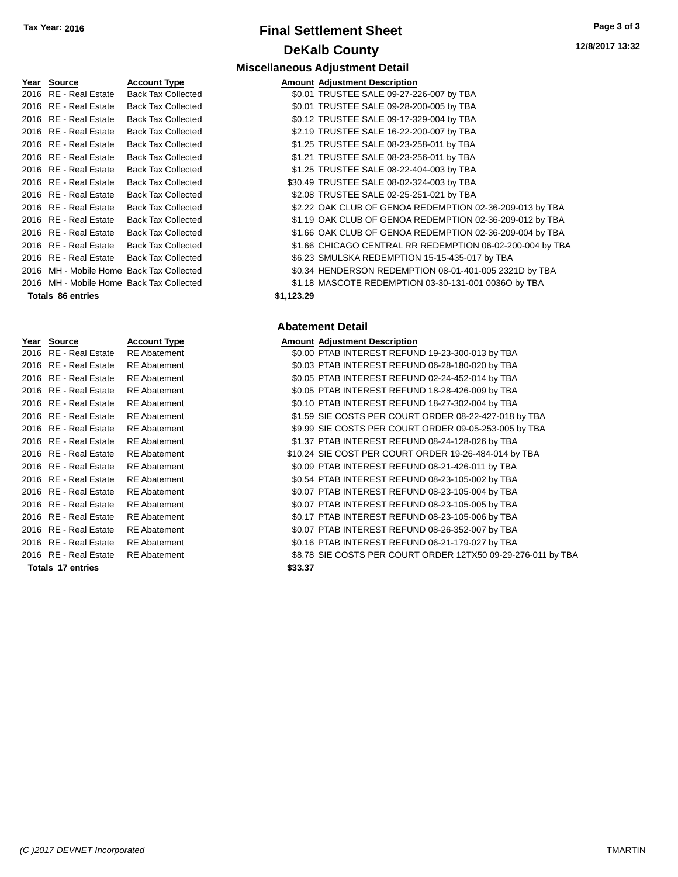# **Final Settlement Sheet Tax Year: 2016 Page 3 of 3 DeKalb County**

| Page 3 of 3     |  |  |
|-----------------|--|--|
| 12/8/2017 13:32 |  |  |

| Year | Source                                   | <b>Account Type</b>       | Amount     |
|------|------------------------------------------|---------------------------|------------|
| 2016 | <b>RE</b> - Real Estate                  | <b>Back Tax Collected</b> | \$0.01     |
| 2016 | <b>RE</b> - Real Estate                  | <b>Back Tax Collected</b> | \$0.01     |
| 2016 | <b>RE</b> - Real Estate                  | <b>Back Tax Collected</b> | \$0.12     |
| 2016 | <b>RE</b> - Real Estate                  | <b>Back Tax Collected</b> | \$2.19     |
| 2016 | <b>RE</b> - Real Estate                  | <b>Back Tax Collected</b> | \$1.25     |
| 2016 | <b>RE</b> - Real Estate                  | <b>Back Tax Collected</b> | \$1.21     |
| 2016 | <b>RE</b> - Real Estate                  | <b>Back Tax Collected</b> | \$1.25     |
| 2016 | <b>RE</b> - Real Estate                  | <b>Back Tax Collected</b> | \$30.49    |
| 2016 | <b>RE</b> - Real Estate                  | <b>Back Tax Collected</b> | \$2.08     |
| 2016 | <b>RE</b> - Real Estate                  | <b>Back Tax Collected</b> | \$2.22     |
| 2016 | <b>RE</b> - Real Estate                  | <b>Back Tax Collected</b> | \$1.19     |
| 2016 | <b>RE</b> - Real Estate                  | <b>Back Tax Collected</b> | \$1.66     |
| 2016 | RE - Real Estate                         | <b>Back Tax Collected</b> | \$1.66     |
| 2016 | RE - Real Estate                         | <b>Back Tax Collected</b> | \$6.23     |
|      | 2016 MH - Mobile Home Back Tax Collected |                           | \$0.34     |
|      | 2016 MH - Mobile Home Back Tax Collected |                           | \$1.18     |
|      | Totals 86 entries                        |                           | \$1.123.29 |

| Year Source           | <b>Account Type</b> |         | <b>Amount Adjustment Description</b> |
|-----------------------|---------------------|---------|--------------------------------------|
| 2016 RE - Real Estate | <b>RE</b> Abatement |         | \$0.00 PTAB INTEREST REFUN           |
| 2016 RE - Real Estate | <b>RE</b> Abatement |         | \$0.03 PTAB INTEREST REFUN           |
| 2016 RE - Real Estate | <b>RE</b> Abatement |         | \$0.05 PTAB INTEREST REFUN           |
| 2016 RE - Real Estate | <b>RE</b> Abatement |         | \$0.05 PTAB INTEREST REFUN           |
| 2016 RE - Real Estate | <b>RE</b> Abatement |         | \$0.10 PTAB INTEREST REFUN           |
| 2016 RE - Real Estate | <b>RE</b> Abatement |         | \$1.59 SIE COSTS PER COURT           |
| 2016 RE - Real Estate | <b>RE</b> Abatement |         | \$9.99 SIE COSTS PER COURT           |
| 2016 RE - Real Estate | <b>RE</b> Abatement |         | \$1.37 PTAB INTEREST REFUN           |
| 2016 RE - Real Estate | <b>RE</b> Abatement |         | \$10.24 SIE COST PER COURT           |
| 2016 RE - Real Estate | <b>RE</b> Abatement |         | \$0.09 PTAB INTEREST REFUN           |
| 2016 RE - Real Estate | <b>RE</b> Abatement |         | \$0.54 PTAB INTEREST REFUN           |
| 2016 RE - Real Estate | <b>RE</b> Abatement |         | \$0.07 PTAB INTEREST REFUN           |
| 2016 RE - Real Estate | <b>RE</b> Abatement |         | \$0.07 PTAB INTEREST REFUN           |
| 2016 RE - Real Estate | <b>RE</b> Abatement |         | \$0.17 PTAB INTEREST REFUN           |
| 2016 RE - Real Estate | <b>RE</b> Abatement |         | \$0.07 PTAB INTEREST REFUN           |
| 2016 RE - Real Estate | <b>RE</b> Abatement |         | \$0.16 PTAB INTEREST REFUN           |
| 2016 RE - Real Estate | <b>RE</b> Abatement |         | \$8.78 SIE COSTS PER COURT           |
| Totals 17 entries     |                     | \$33.37 |                                      |

#### **Miscellaneous Adjustment Detail Amount Adjustment Description** \$0.01 TRUSTEE SALE 09-27-226-007 by TBA \$0.01 TRUSTEE SALE 09-28-200-005 by TBA \$0.12 TRUSTEE SALE 09-17-329-004 by TBA \$2.19 TRUSTEE SALE 16-22-200-007 by TBA \$1.25 TRUSTEE SALE 08-23-258-011 by TBA \$1.21 TRUSTEE SALE 08-23-256-011 by TBA \$1.25 TRUSTEE SALE 08-22-404-003 by TBA \$30.49 TRUSTEE SALE 08-02-324-003 by TBA \$2.08 TRUSTEE SALE 02-25-251-021 by TBA \$2.22 OAK CLUB OF GENOA REDEMPTION 02-36-209-013 by TBA \$1.19 OAK CLUB OF GENOA REDEMPTION 02-36-209-012 by TBA \$1.66 OAK CLUB OF GENOA REDEMPTION 02-36-209-004 by TBA \$1.66 CHICAGO CENTRAL RR REDEMPTION 06-02-200-004 by TBA \$6.23 SMULSKA REDEMPTION 15-15-435-017 by TBA

\$0.34 HENDERSON REDEMPTION 08-01-401-005 2321D by TBA \$1.18 MASCOTE REDEMPTION 03-30-131-001 0036O by TBA

### **Abatement Detail**

| Year Source              | <b>Account Type</b> |         | <b>Amount Adjustment Description</b>                         |
|--------------------------|---------------------|---------|--------------------------------------------------------------|
| 2016 RE - Real Estate    | <b>RE</b> Abatement |         | \$0.00 PTAB INTEREST REFUND 19-23-300-013 by TBA             |
| 2016 RE - Real Estate    | <b>RE</b> Abatement |         | \$0.03 PTAB INTEREST REFUND 06-28-180-020 by TBA             |
| 2016 RE - Real Estate    | <b>RE</b> Abatement |         | \$0.05 PTAB INTEREST REFUND 02-24-452-014 by TBA             |
| 2016 RE - Real Estate    | <b>RE</b> Abatement |         | \$0.05 PTAB INTEREST REFUND 18-28-426-009 by TBA             |
| 2016 RE - Real Estate    | <b>RE</b> Abatement |         | \$0.10 PTAB INTEREST REFUND 18-27-302-004 by TBA             |
| 2016 RE - Real Estate    | <b>RE</b> Abatement |         | \$1.59 SIE COSTS PER COURT ORDER 08-22-427-018 by TBA        |
| 2016 RE - Real Estate    | <b>RE</b> Abatement |         | \$9.99 SIE COSTS PER COURT ORDER 09-05-253-005 by TBA        |
| 2016 RE - Real Estate    | <b>RE</b> Abatement |         | \$1.37 PTAB INTEREST REFUND 08-24-128-026 by TBA             |
| 2016 RE - Real Estate    | <b>RE</b> Abatement |         | \$10.24 SIE COST PER COURT ORDER 19-26-484-014 by TBA        |
| 2016 RE - Real Estate    | <b>RE</b> Abatement |         | \$0.09 PTAB INTEREST REFUND 08-21-426-011 by TBA             |
| 2016 RE - Real Estate    | <b>RE</b> Abatement |         | \$0.54 PTAB INTEREST REFUND 08-23-105-002 by TBA             |
| 2016 RE - Real Estate    | <b>RE</b> Abatement |         | \$0.07 PTAB INTEREST REFUND 08-23-105-004 by TBA             |
| 2016 RE - Real Estate    | <b>RE</b> Abatement |         | \$0.07 PTAB INTEREST REFUND 08-23-105-005 by TBA             |
| 2016 RE - Real Estate    | <b>RE</b> Abatement |         | \$0.17 PTAB INTEREST REFUND 08-23-105-006 by TBA             |
| 2016 RE - Real Estate    | <b>RE</b> Abatement |         | \$0.07 PTAB INTEREST REFUND 08-26-352-007 by TBA             |
| 2016 RE - Real Estate    | <b>RE</b> Abatement |         | \$0.16 PTAB INTEREST REFUND 06-21-179-027 by TBA             |
| 2016 RE - Real Estate    | <b>RE</b> Abatement |         | \$8.78 SIE COSTS PER COURT ORDER 12TX50 09-29-276-011 by TBA |
| <b>Totals 17 entries</b> |                     | \$33.37 |                                                              |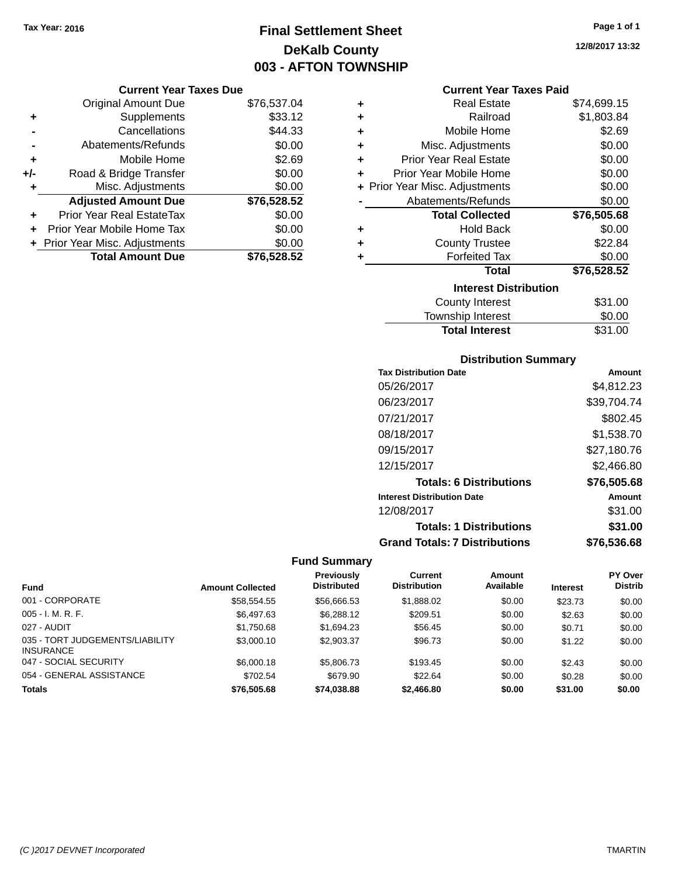# **Final Settlement Sheet Tax Year: 2016 Page 1 of 1 DeKalb County 003 - AFTON TOWNSHIP**

**Current Year Taxes Due**

|       | Guntu Italiakta Dut            |             |  |
|-------|--------------------------------|-------------|--|
|       | <b>Original Amount Due</b>     | \$76,537.04 |  |
| ٠     | Supplements                    | \$33.12     |  |
|       | Cancellations                  | \$44.33     |  |
|       | Abatements/Refunds             | \$0.00      |  |
| ٠     | Mobile Home                    | \$2.69      |  |
| $+/-$ | Road & Bridge Transfer         | \$0.00      |  |
| ٠     | Misc. Adjustments              | \$0.00      |  |
|       | <b>Adjusted Amount Due</b>     | \$76,528.52 |  |
| ٠     | Prior Year Real EstateTax      | \$0.00      |  |
|       | Prior Year Mobile Home Tax     | \$0.00      |  |
|       | + Prior Year Misc. Adjustments | \$0.00      |  |
|       | <b>Total Amount Due</b>        | \$76,528.52 |  |

| <b>Current Year Taxes Paid</b> |  |  |  |
|--------------------------------|--|--|--|
|--------------------------------|--|--|--|

| ٠ | <b>Real Estate</b>            | \$74,699.15 |
|---|-------------------------------|-------------|
| ÷ | Railroad                      | \$1,803.84  |
| ÷ | Mobile Home                   | \$2.69      |
| ÷ | Misc. Adjustments             | \$0.00      |
| ٠ | <b>Prior Year Real Estate</b> | \$0.00      |
| ٠ | Prior Year Mobile Home        | \$0.00      |
| ÷ | Prior Year Misc. Adjustments  | \$0.00      |
|   | Abatements/Refunds            | \$0.00      |
|   | <b>Total Collected</b>        | \$76,505.68 |
| ٠ | <b>Hold Back</b>              | \$0.00      |
| ÷ | <b>County Trustee</b>         | \$22.84     |
|   | <b>Forfeited Tax</b>          | \$0.00      |
|   | Total                         | \$76,528.52 |
|   | <b>Interest Distribution</b>  |             |
|   | <b>County Interest</b>        | \$31.00     |
|   | <b>Township Interest</b>      | \$0.00      |
|   | <b>Total Interest</b>         | \$31.00     |

### **Distribution Summary**

| <b>Tax Distribution Date</b>         | Amount      |
|--------------------------------------|-------------|
| 05/26/2017                           | \$4.812.23  |
| 06/23/2017                           | \$39,704.74 |
| 07/21/2017                           | \$802.45    |
| 08/18/2017                           | \$1,538.70  |
| 09/15/2017                           | \$27,180.76 |
| 12/15/2017                           | \$2.466.80  |
| <b>Totals: 6 Distributions</b>       | \$76,505.68 |
| <b>Interest Distribution Date</b>    | Amount      |
| 12/08/2017                           | \$31.00     |
| <b>Totals: 1 Distributions</b>       | \$31.00     |
| <b>Grand Totals: 7 Distributions</b> | \$76.536.68 |

### **Fund Summary**

|                                                     |                         | <b>Previously</b>  | Current             | <b>Amount</b> |                 | <b>PY Over</b> |
|-----------------------------------------------------|-------------------------|--------------------|---------------------|---------------|-----------------|----------------|
| <b>Fund</b>                                         | <b>Amount Collected</b> | <b>Distributed</b> | <b>Distribution</b> | Available     | <b>Interest</b> | <b>Distrib</b> |
| 001 - CORPORATE                                     | \$58,554.55             | \$56,666.53        | \$1,888.02          | \$0.00        | \$23.73         | \$0.00         |
| $005 - I. M. R. F.$                                 | \$6,497.63              | \$6,288.12         | \$209.51            | \$0.00        | \$2.63          | \$0.00         |
| 027 - AUDIT                                         | \$1,750.68              | \$1.694.23         | \$56.45             | \$0.00        | \$0.71          | \$0.00         |
| 035 - TORT JUDGEMENTS/LIABILITY<br><b>INSURANCE</b> | \$3,000.10              | \$2,903.37         | \$96.73             | \$0.00        | \$1.22          | \$0.00         |
| 047 - SOCIAL SECURITY                               | \$6,000.18              | \$5,806.73         | \$193.45            | \$0.00        | \$2.43          | \$0.00         |
| 054 - GENERAL ASSISTANCE                            | \$702.54                | \$679.90           | \$22.64             | \$0.00        | \$0.28          | \$0.00         |
| <b>Totals</b>                                       | \$76,505.68             | \$74,038,88        | \$2,466.80          | \$0.00        | \$31.00         | \$0.00         |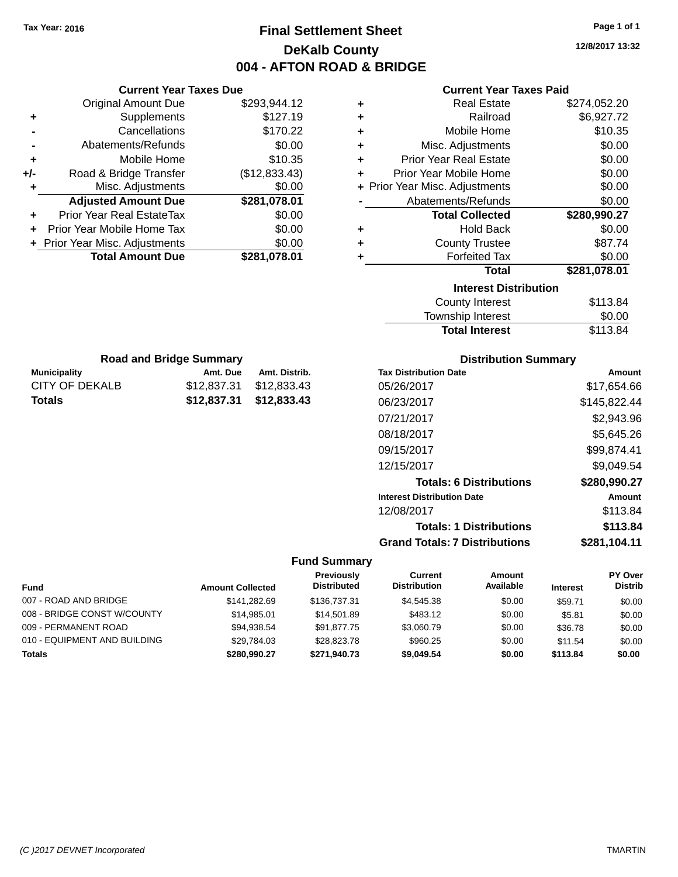# **Final Settlement Sheet Tax Year: 2016 Page 1 of 1 DeKalb County 004 - AFTON ROAD & BRIDGE**

**12/8/2017 13:32**

|     | <b>Current Year Taxes Due</b>       |               |  |  |  |
|-----|-------------------------------------|---------------|--|--|--|
|     | \$293,944.12<br>Original Amount Due |               |  |  |  |
| ٠   | Supplements                         | \$127.19      |  |  |  |
|     | Cancellations                       | \$170.22      |  |  |  |
|     | Abatements/Refunds                  | \$0.00        |  |  |  |
| ٠   | Mobile Home                         | \$10.35       |  |  |  |
| +/- | Road & Bridge Transfer              | (\$12,833.43) |  |  |  |
| ٠   | Misc. Adjustments                   | \$0.00        |  |  |  |
|     | <b>Adjusted Amount Due</b>          | \$281,078.01  |  |  |  |
| ÷   | Prior Year Real EstateTax           | \$0.00        |  |  |  |
|     | Prior Year Mobile Home Tax          | \$0.00        |  |  |  |
|     | + Prior Year Misc. Adjustments      | \$0.00        |  |  |  |
|     | <b>Total Amount Due</b>             | \$281.078.01  |  |  |  |
|     |                                     |               |  |  |  |

### **Current Year Taxes Paid**

| ٠ | <b>Real Estate</b>             | \$274,052.20 |
|---|--------------------------------|--------------|
| ٠ | Railroad                       | \$6,927.72   |
| ÷ | Mobile Home                    | \$10.35      |
| ٠ | Misc. Adjustments              | \$0.00       |
| ٠ | <b>Prior Year Real Estate</b>  | \$0.00       |
| ٠ | Prior Year Mobile Home         | \$0.00       |
|   | + Prior Year Misc. Adjustments | \$0.00       |
|   | Abatements/Refunds             | \$0.00       |
|   | <b>Total Collected</b>         | \$280,990.27 |
| ٠ | <b>Hold Back</b>               | \$0.00       |
| ٠ | <b>County Trustee</b>          | \$87.74      |
| ٠ | <b>Forfeited Tax</b>           | \$0.00       |
|   | <b>Total</b>                   | \$281,078.01 |
|   | <b>Interest Distribution</b>   |              |
|   |                                |              |
|   | <b>County Interest</b>         | \$113.84     |

| <b>Total Interest</b> | \$113.84 |
|-----------------------|----------|
| Township Interest     | \$0.00   |
| County Interest       | \$113.84 |

| <b>Road and Bridge Summary</b> |                         |               |  |  |
|--------------------------------|-------------------------|---------------|--|--|
| <b>Municipality</b>            | Amt. Due                | Amt. Distrib. |  |  |
| CITY OF DEKALB                 | \$12,837.31             | \$12.833.43   |  |  |
| Totals                         | \$12.837.31 \$12.833.43 |               |  |  |

### **Distribution Summary**

| <b>Tax Distribution Date</b>         | Amount       |
|--------------------------------------|--------------|
| 05/26/2017                           | \$17.654.66  |
| 06/23/2017                           | \$145,822.44 |
| 07/21/2017                           | \$2,943.96   |
| 08/18/2017                           | \$5,645.26   |
| 09/15/2017                           | \$99,874.41  |
| 12/15/2017                           | \$9,049.54   |
| <b>Totals: 6 Distributions</b>       | \$280,990.27 |
| <b>Interest Distribution Date</b>    | Amount       |
| 12/08/2017                           | \$113.84     |
| <b>Totals: 1 Distributions</b>       | \$113.84     |
| <b>Grand Totals: 7 Distributions</b> | \$281.104.11 |

### **Fund Summary**

| <b>Fund</b>                  | <b>Amount Collected</b> | Previously<br><b>Distributed</b> | <b>Current</b><br><b>Distribution</b> | Amount<br>Available | <b>Interest</b> | <b>PY Over</b><br><b>Distrib</b> |
|------------------------------|-------------------------|----------------------------------|---------------------------------------|---------------------|-----------------|----------------------------------|
|                              |                         |                                  |                                       |                     |                 |                                  |
| 007 - ROAD AND BRIDGE        | \$141.282.69            | \$136,737,31                     | \$4.545.38                            | \$0.00              | \$59.71         | \$0.00                           |
| 008 - BRIDGE CONST W/COUNTY  | \$14.985.01             | \$14,501.89                      | \$483.12                              | \$0.00              | \$5.81          | \$0.00                           |
| 009 - PERMANENT ROAD         | \$94,938.54             | \$91,877.75                      | \$3.060.79                            | \$0.00              | \$36.78         | \$0.00                           |
| 010 - EQUIPMENT AND BUILDING | \$29.784.03             | \$28,823,78                      | \$960.25                              | \$0.00              | \$11.54         | \$0.00                           |
| <b>Totals</b>                | \$280,990.27            | \$271,940.73                     | \$9.049.54                            | \$0.00              | \$113.84        | \$0.00                           |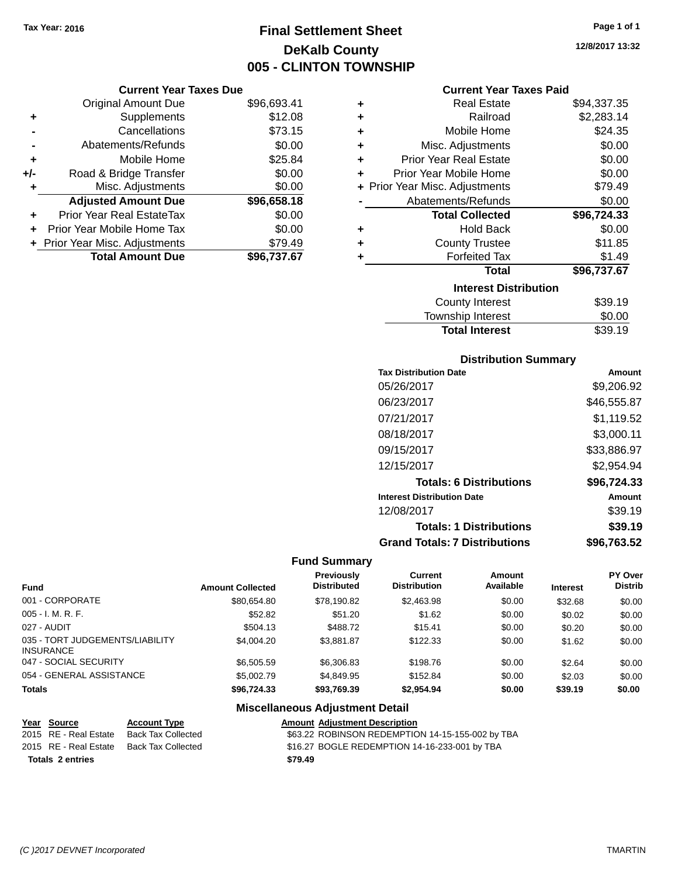# **Final Settlement Sheet Tax Year: 2016 Page 1 of 1 DeKalb County 005 - CLINTON TOWNSHIP**

### **Current Year Taxes Due**

|       | <b>Original Amount Due</b>     | \$96,693.41 |
|-------|--------------------------------|-------------|
| ٠     | Supplements                    | \$12.08     |
|       | Cancellations                  | \$73.15     |
|       | Abatements/Refunds             | \$0.00      |
| ٠     | Mobile Home                    | \$25.84     |
| $+/-$ | Road & Bridge Transfer         | \$0.00      |
| ٠     | Misc. Adjustments              | \$0.00      |
|       | <b>Adjusted Amount Due</b>     | \$96,658.18 |
| ÷     | Prior Year Real EstateTax      | \$0.00      |
|       | Prior Year Mobile Home Tax     | \$0.00      |
|       | + Prior Year Misc. Adjustments | \$79.49     |
|       | <b>Total Amount Due</b>        | \$96,737.67 |

#### **Current Year Taxes Paid**

| ٠ | <b>Real Estate</b>             | \$94,337.35 |
|---|--------------------------------|-------------|
| ÷ | Railroad                       | \$2,283.14  |
| ÷ | Mobile Home                    | \$24.35     |
| ÷ | Misc. Adjustments              | \$0.00      |
| ÷ | <b>Prior Year Real Estate</b>  | \$0.00      |
| ٠ | Prior Year Mobile Home         | \$0.00      |
|   | + Prior Year Misc. Adjustments | \$79.49     |
|   | Abatements/Refunds             | \$0.00      |
|   | <b>Total Collected</b>         | \$96,724.33 |
| ٠ | Hold Back                      | \$0.00      |
| ٠ | <b>County Trustee</b>          | \$11.85     |
| ٠ | <b>Forfeited Tax</b>           | \$1.49      |
|   | <b>Total</b>                   | \$96,737.67 |
|   | <b>Interest Distribution</b>   |             |
|   | <b>County Interest</b>         | \$39.19     |
|   | <b>Township Interest</b>       | \$0.00      |
|   | <b>Total Interest</b>          | \$39.19     |

### **Distribution Summary**

| <b>Tax Distribution Date</b>         | Amount      |
|--------------------------------------|-------------|
| 05/26/2017                           | \$9,206.92  |
| 06/23/2017                           | \$46,555.87 |
| 07/21/2017                           | \$1,119.52  |
| 08/18/2017                           | \$3,000.11  |
| 09/15/2017                           | \$33,886.97 |
| 12/15/2017                           | \$2,954.94  |
| <b>Totals: 6 Distributions</b>       | \$96,724.33 |
| <b>Interest Distribution Date</b>    | Amount      |
| 12/08/2017                           | \$39.19     |
| <b>Totals: 1 Distributions</b>       | \$39.19     |
| <b>Grand Totals: 7 Distributions</b> | \$96,763.52 |

### **Fund Summary**

| Fund                                                | <b>Amount Collected</b> | <b>Previously</b><br><b>Distributed</b> | Current<br><b>Distribution</b> | Amount<br>Available | <b>Interest</b> | <b>PY Over</b><br><b>Distrib</b> |
|-----------------------------------------------------|-------------------------|-----------------------------------------|--------------------------------|---------------------|-----------------|----------------------------------|
| 001 - CORPORATE                                     | \$80,654.80             | \$78,190.82                             | \$2,463.98                     | \$0.00              | \$32.68         | \$0.00                           |
| $005 - I. M. R. F.$                                 | \$52.82                 | \$51.20                                 | \$1.62                         | \$0.00              | \$0.02          | \$0.00                           |
| 027 - AUDIT                                         | \$504.13                | \$488.72                                | \$15.41                        | \$0.00              | \$0.20          | \$0.00                           |
| 035 - TORT JUDGEMENTS/LIABILITY<br><b>INSURANCE</b> | \$4,004.20              | \$3.881.87                              | \$122.33                       | \$0.00              | \$1.62          | \$0.00                           |
| 047 - SOCIAL SECURITY                               | \$6,505.59              | \$6,306.83                              | \$198.76                       | \$0.00              | \$2.64          | \$0.00                           |
| 054 - GENERAL ASSISTANCE                            | \$5,002.79              | \$4,849.95                              | \$152.84                       | \$0.00              | \$2.03          | \$0.00                           |
| <b>Totals</b>                                       | \$96.724.33             | \$93,769.39                             | \$2,954.94                     | \$0.00              | \$39.19         | \$0.00                           |

| Year Source             | <b>Account Type</b> | <b>Amount Adjustment Description</b>             |
|-------------------------|---------------------|--------------------------------------------------|
| 2015 RE - Real Estate   | Back Tax Collected  | \$63.22 ROBINSON REDEMPTION 14-15-155-002 by TBA |
| 2015 RE - Real Estate   | Back Tax Collected  | \$16.27 BOGLE REDEMPTION 14-16-233-001 by TBA    |
| <b>Totals 2 entries</b> |                     | \$79.49                                          |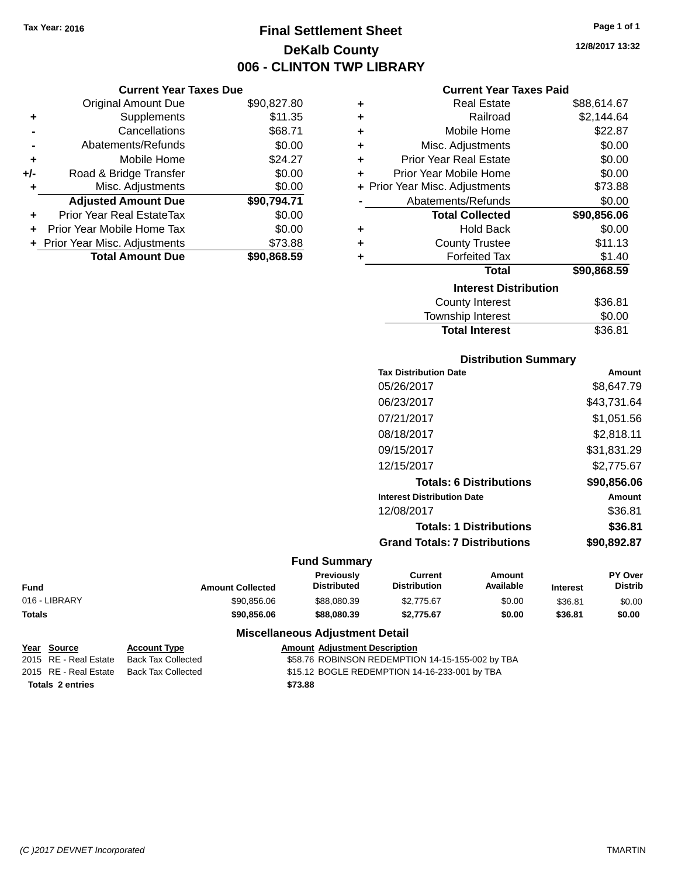**Current Year Taxes Due** Original Amount Due \$90,827.80

**Adjusted Amount Due \$90,794.71**

**Total Amount Due \$90,868.59**

**+** Supplements \$11.35 **-** Cancellations \$68.71 **-** Abatements/Refunds \$0.00 **+** Mobile Home \$24.27 **+/-** Road & Bridge Transfer \$0.00<br> **+** Misc. Adjustments \$0.00

**+** Prior Year Real EstateTax \$0.00 **+** Prior Year Mobile Home Tax \$0.00 **+** Prior Year Misc. Adjustments \$73.88

**+** Misc. Adjustments

# **Final Settlement Sheet Tax Year: 2016 Page 1 of 1 DeKalb County 006 - CLINTON TWP LIBRARY**

**12/8/2017 13:32**

#### **Current Year Taxes Paid**

| ٠ | <b>Real Estate</b>             | \$88,614.67 |
|---|--------------------------------|-------------|
| ٠ | Railroad                       | \$2,144.64  |
| ٠ | Mobile Home                    | \$22.87     |
| ٠ | Misc. Adjustments              | \$0.00      |
| ٠ | <b>Prior Year Real Estate</b>  | \$0.00      |
| ÷ | Prior Year Mobile Home         | \$0.00      |
|   | + Prior Year Misc. Adjustments | \$73.88     |
|   | Abatements/Refunds             | \$0.00      |
|   | <b>Total Collected</b>         | \$90,856.06 |
| ٠ | <b>Hold Back</b>               | \$0.00      |
| ٠ | <b>County Trustee</b>          | \$11.13     |
| ٠ | <b>Forfeited Tax</b>           | \$1.40      |
|   | <b>Total</b>                   | \$90,868.59 |
|   | <b>Interest Distribution</b>   |             |
|   | <b>County Interest</b>         | \$36.81     |
|   | <b>Township Interest</b>       | \$0.00      |

|                       | vv.v.   |
|-----------------------|---------|
| Township Interest     | \$0.00  |
| <b>Total Interest</b> | \$36.81 |
|                       |         |

### **Distribution Summary**

| <b>Tax Distribution Date</b>         | Amount      |
|--------------------------------------|-------------|
| 05/26/2017                           | \$8.647.79  |
| 06/23/2017                           | \$43,731.64 |
| 07/21/2017                           | \$1,051.56  |
| 08/18/2017                           | \$2,818.11  |
| 09/15/2017                           | \$31,831.29 |
| 12/15/2017                           | \$2,775.67  |
| <b>Totals: 6 Distributions</b>       | \$90,856.06 |
| <b>Interest Distribution Date</b>    | Amount      |
| 12/08/2017                           | \$36.81     |
| <b>Totals: 1 Distributions</b>       | \$36.81     |
| <b>Grand Totals: 7 Distributions</b> | \$90.892.87 |
|                                      |             |

#### **Fund Summary**

| Fund          | <b>Amount Collected</b> | Previously<br><b>Distributed</b> | Current<br><b>Distribution</b> | Amount<br>Available | <b>Interest</b> | <b>PY Over</b><br><b>Distrib</b> |
|---------------|-------------------------|----------------------------------|--------------------------------|---------------------|-----------------|----------------------------------|
| 016 - LIBRARY | \$90.856.06             | \$88,080,39                      | \$2,775.67                     | \$0.00              | \$36.81         | \$0.00                           |
| Totals        | \$90,856.06             | \$88,080,39                      | \$2.775.67                     | \$0.00              | \$36.81         | \$0.00                           |

|                         | Year Source           | <b>Account Type</b> | <b>Amount Adiustment Description</b>             |
|-------------------------|-----------------------|---------------------|--------------------------------------------------|
|                         | 2015 RE - Real Estate | Back Tax Collected  | \$58.76 ROBINSON REDEMPTION 14-15-155-002 by TBA |
|                         | 2015 RE - Real Estate | Back Tax Collected  | \$15.12 BOGLE REDEMPTION 14-16-233-001 by TBA    |
| <b>Totals 2 entries</b> |                       |                     | \$73.88                                          |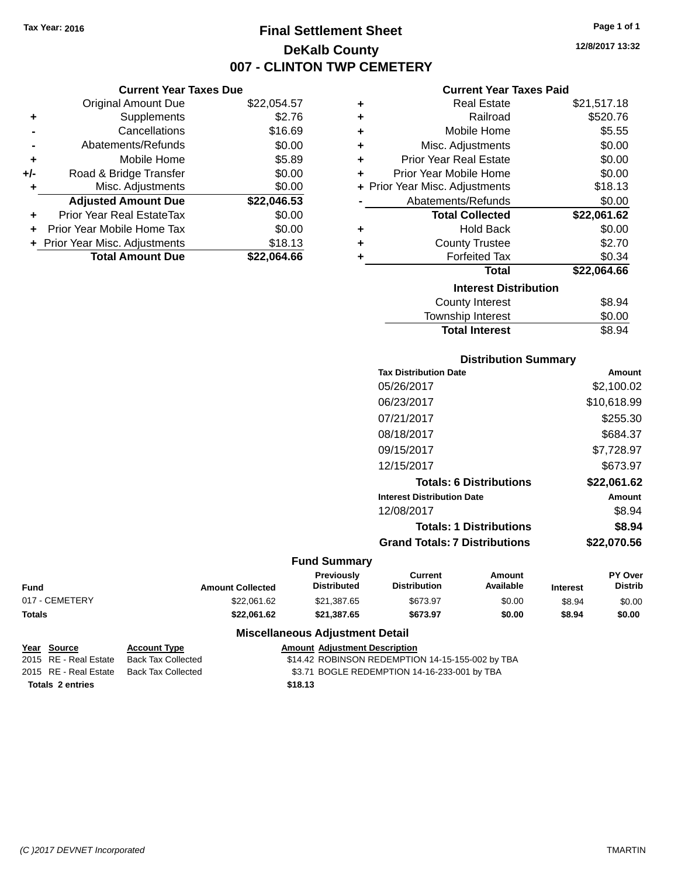# **Final Settlement Sheet Tax Year: 2016 Page 1 of 1 DeKalb County 007 - CLINTON TWP CEMETERY**

**12/8/2017 13:32**

#### **Current Year Taxes Paid**

| <b>Current Year Taxes Due</b> |                              |  |  |  |
|-------------------------------|------------------------------|--|--|--|
| <b>Original Amount Due</b>    | \$22,054.57                  |  |  |  |
| Supplements                   | \$2.76                       |  |  |  |
| Cancellations                 | \$16.69                      |  |  |  |
| Abatements/Refunds            | \$0.00                       |  |  |  |
| Mobile Home                   | \$5.89                       |  |  |  |
| Road & Bridge Transfer        | \$0.00                       |  |  |  |
| Misc. Adjustments             | \$0.00                       |  |  |  |
| <b>Adjusted Amount Due</b>    | \$22,046.53                  |  |  |  |
| Prior Year Real EstateTax     | \$0.00                       |  |  |  |
| Prior Year Mobile Home Tax    | \$0.00                       |  |  |  |
|                               | \$18.13                      |  |  |  |
| <b>Total Amount Due</b>       | \$22.064.66                  |  |  |  |
|                               | Prior Year Misc. Adjustments |  |  |  |

| ٠ | <b>Real Estate</b>             | \$21,517.18 |
|---|--------------------------------|-------------|
| ٠ | Railroad                       | \$520.76    |
| ÷ | Mobile Home                    | \$5.55      |
| ٠ | Misc. Adjustments              | \$0.00      |
| ÷ | <b>Prior Year Real Estate</b>  | \$0.00      |
| ٠ | Prior Year Mobile Home         | \$0.00      |
|   | + Prior Year Misc. Adjustments | \$18.13     |
|   | Abatements/Refunds             | \$0.00      |
|   | <b>Total Collected</b>         | \$22,061.62 |
| ٠ | Hold Back                      | \$0.00      |
| ٠ | <b>County Trustee</b>          | \$2.70      |
| ٠ | <b>Forfeited Tax</b>           | \$0.34      |
|   | <b>Total</b>                   | \$22,064.66 |
|   | <b>Interest Distribution</b>   |             |
|   | <b>County Interest</b>         | \$8.94      |
|   | <b>Township Interest</b>       | \$0.00      |
|   | <b>Total Interest</b>          | \$8.94      |

| <b>Distribution Summary</b>          |             |
|--------------------------------------|-------------|
| <b>Tax Distribution Date</b>         | Amount      |
| 05/26/2017                           | \$2,100.02  |
| 06/23/2017                           | \$10,618.99 |
| 07/21/2017                           | \$255.30    |
| 08/18/2017                           | \$684.37    |
| 09/15/2017                           | \$7,728.97  |
| 12/15/2017                           | \$673.97    |
| <b>Totals: 6 Distributions</b>       | \$22,061.62 |
| <b>Interest Distribution Date</b>    | Amount      |
| 12/08/2017                           | \$8.94      |
| <b>Totals: 1 Distributions</b>       | \$8.94      |
| <b>Grand Totals: 7 Distributions</b> | \$22,070.56 |

### **Fund Summary**

| <b>Fund</b>    | <b>Amount Collected</b> | <b>Previously</b><br><b>Distributed</b> | Current<br><b>Distribution</b> | Amount<br>Available | <b>Interest</b> | <b>PY Over</b><br><b>Distrib</b> |
|----------------|-------------------------|-----------------------------------------|--------------------------------|---------------------|-----------------|----------------------------------|
| 017 - CEMETERY | \$22.061.62             | \$21,387.65                             | \$673.97                       | \$0.00              | \$8.94          | \$0.00                           |
| <b>Totals</b>  | \$22.061.62             | \$21,387.65                             | \$673.97                       | \$0.00              | \$8.94          | \$0.00                           |

| Year Source             | <b>Account Type</b> | <b>Amount Adjustment Description</b>             |
|-------------------------|---------------------|--------------------------------------------------|
| 2015 RE - Real Estate   | Back Tax Collected  | \$14.42 ROBINSON REDEMPTION 14-15-155-002 by TBA |
| 2015 RE - Real Estate   | Back Tax Collected  | \$3.71 BOGLE REDEMPTION 14-16-233-001 by TBA     |
| <b>Totals 2 entries</b> |                     | \$18.13                                          |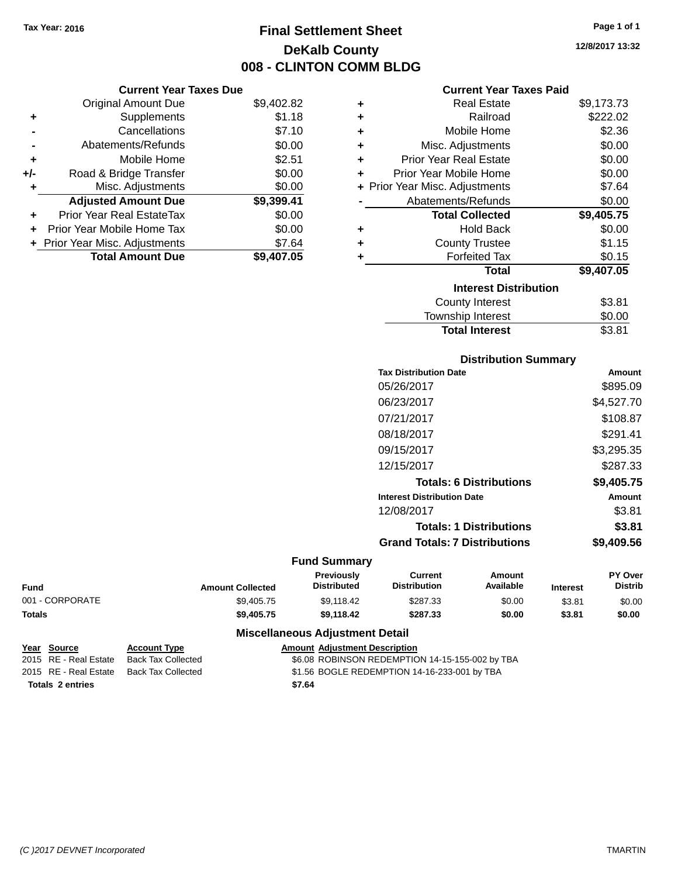**Current Year Taxes Due** Original Amount Due \$9,402.82

**Adjusted Amount Due \$9,399.41**

**Total Amount Due \$9,407.05**

**+** Supplements \$1.18 **-** Cancellations \$7.10 **-** Abatements/Refunds \$0.00 **+** Mobile Home \$2.51 **+/-** Road & Bridge Transfer \$0.00 **+** Misc. Adjustments \$0.00

**+** Prior Year Real EstateTax \$0.00 **+** Prior Year Mobile Home Tax \$0.00 **+** Prior Year Misc. Adjustments \$7.64

# **Final Settlement Sheet Tax Year: 2016 Page 1 of 1 DeKalb County 008 - CLINTON COMM BLDG**

**12/8/2017 13:32**

#### **Current Year Taxes Paid**

| ٠ | <b>Real Estate</b>             | \$9,173.73 |
|---|--------------------------------|------------|
| ÷ | Railroad                       | \$222.02   |
| ÷ | Mobile Home                    | \$2.36     |
| ÷ | Misc. Adjustments              | \$0.00     |
| ÷ | Prior Year Real Estate         | \$0.00     |
| ٠ | Prior Year Mobile Home         | \$0.00     |
|   | + Prior Year Misc. Adjustments | \$7.64     |
|   | Abatements/Refunds             | \$0.00     |
|   | <b>Total Collected</b>         | \$9,405.75 |
| ÷ | <b>Hold Back</b>               | \$0.00     |
| ٠ | <b>County Trustee</b>          | \$1.15     |
| ÷ | <b>Forfeited Tax</b>           | \$0.15     |
|   | <b>Total</b>                   | \$9,407.05 |
|   | <b>Interest Distribution</b>   |            |
|   | <b>County Interest</b>         | \$3.81     |
|   | <b>Township Interest</b>       | \$0.00     |

| <b>Total Interest</b>  | \$3.81      |
|------------------------|-------------|
| Township Interest      | \$0.00      |
| <b>COUTTY THICLEST</b> | <b>UU.U</b> |

| <b>Distribution Summary</b> |  |
|-----------------------------|--|
|                             |  |

| Amount     |
|------------|
| \$895.09   |
| \$4,527.70 |
| \$108.87   |
| \$291.41   |
| \$3,295.35 |
| \$287.33   |
| \$9,405.75 |
| Amount     |
| \$3.81     |
| \$3.81     |
| \$9,409.56 |
|            |

#### **Fund Summary**

| <b>Fund</b>     | <b>Amount Collected</b> | <b>Previously</b><br><b>Distributed</b> | Current<br><b>Distribution</b> | Amount<br>Available | <b>Interest</b> | PY Over<br><b>Distrib</b> |
|-----------------|-------------------------|-----------------------------------------|--------------------------------|---------------------|-----------------|---------------------------|
| 001 - CORPORATE | \$9,405.75              | \$9.118.42                              | \$287.33                       | \$0.00              | \$3.81          | \$0.00                    |
| <b>Totals</b>   | \$9,405.75              | \$9.118.42                              | \$287.33                       | \$0.00              | \$3.81          | \$0.00                    |

| Year Source             | <b>Account Type</b> | <b>Amount Adjustment Description</b>            |
|-------------------------|---------------------|-------------------------------------------------|
| 2015 RE - Real Estate   | Back Tax Collected  | \$6.08 ROBINSON REDEMPTION 14-15-155-002 by TBA |
| 2015 RE - Real Estate   | Back Tax Collected  | \$1.56 BOGLE REDEMPTION 14-16-233-001 by TBA    |
| <b>Totals 2 entries</b> |                     | \$7.64                                          |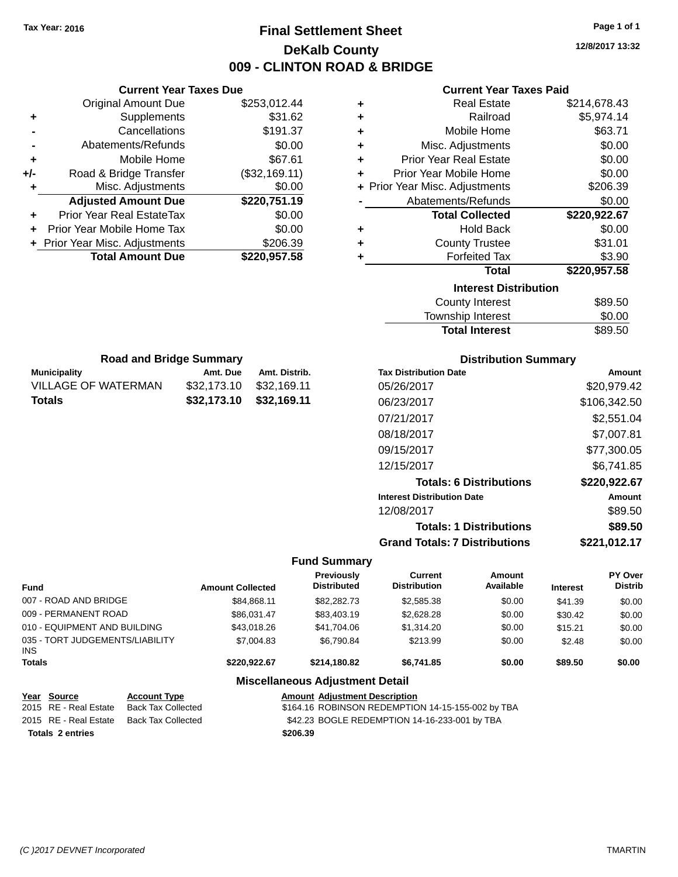# **Final Settlement Sheet Tax Year: 2016 Page 1 of 1 DeKalb County 009 - CLINTON ROAD & BRIDGE**

**12/8/2017 13:32**

### **Current Year Taxes Paid**

|     | <b>Current Year Taxes Due</b>    |               |  |  |  |
|-----|----------------------------------|---------------|--|--|--|
|     | <b>Original Amount Due</b>       | \$253,012.44  |  |  |  |
| ٠   | Supplements                      | \$31.62       |  |  |  |
|     | Cancellations                    | \$191.37      |  |  |  |
|     | Abatements/Refunds               | \$0.00        |  |  |  |
| ٠   | Mobile Home                      | \$67.61       |  |  |  |
| +/- | Road & Bridge Transfer           | (\$32,169.11) |  |  |  |
| ٠   | Misc. Adjustments                | \$0.00        |  |  |  |
|     | <b>Adjusted Amount Due</b>       | \$220,751.19  |  |  |  |
|     | <b>Prior Year Real EstateTax</b> | \$0.00        |  |  |  |
|     | Prior Year Mobile Home Tax       | \$0.00        |  |  |  |
|     | + Prior Year Misc. Adjustments   | \$206.39      |  |  |  |
|     | <b>Total Amount Due</b>          | \$220,957.58  |  |  |  |
|     |                                  |               |  |  |  |

**Municipality Amt. Due Amt. Distrib. Road and Bridge Summary**

VILLAGE OF WATERMAN \$32,173.10 \$32,169.11 **Totals \$32,173.10 \$32,169.11**

| ٠ | Real Estate                    | \$214,678.43 |
|---|--------------------------------|--------------|
| ٠ | Railroad                       | \$5,974.14   |
| ٠ | Mobile Home                    | \$63.71      |
| ٠ | Misc. Adjustments              | \$0.00       |
| ٠ | Prior Year Real Estate         | \$0.00       |
| ٠ | Prior Year Mobile Home         | \$0.00       |
|   | + Prior Year Misc. Adjustments | \$206.39     |
|   | Abatements/Refunds             | \$0.00       |
|   | <b>Total Collected</b>         | \$220,922.67 |
| ٠ | <b>Hold Back</b>               | \$0.00       |
| ٠ | <b>County Trustee</b>          | \$31.01      |
| ٠ | <b>Forfeited Tax</b>           | \$3.90       |
|   | <b>Total</b>                   | \$220,957.58 |
|   | <b>Interest Distribution</b>   |              |
|   | County Interest                | \$89.50      |
|   | <b>Township Interest</b>       | \$0.00       |

| <b>Total Interest</b> | \$89.50 |
|-----------------------|---------|
| Township Interest     | \$0.00  |
| County interest       | ຈຽລ.ວດ  |

| <b>Distribution Summary</b>          |              |
|--------------------------------------|--------------|
| <b>Tax Distribution Date</b>         | Amount       |
| 05/26/2017                           | \$20,979.42  |
| 06/23/2017                           | \$106,342.50 |
| 07/21/2017                           | \$2,551.04   |
| 08/18/2017                           | \$7,007.81   |
| 09/15/2017                           | \$77,300.05  |
| 12/15/2017                           | \$6.741.85   |
| <b>Totals: 6 Distributions</b>       | \$220,922.67 |
| <b>Interest Distribution Date</b>    | Amount       |
| 12/08/2017                           | \$89.50      |
| <b>Totals: 1 Distributions</b>       | \$89.50      |
| <b>Grand Totals: 7 Distributions</b> | \$221,012.17 |

### **Fund Summary**

| <b>Fund</b>                             |                           | <b>Amount Collected</b> | Previously<br><b>Distributed</b>                  | Current<br><b>Distribution</b> | Amount<br>Available | <b>Interest</b> | PY Over<br><b>Distrib</b> |
|-----------------------------------------|---------------------------|-------------------------|---------------------------------------------------|--------------------------------|---------------------|-----------------|---------------------------|
| 007 - ROAD AND BRIDGE                   |                           | \$84.868.11             | \$82,282,73                                       | \$2,585.38                     | \$0.00              | \$41.39         | \$0.00                    |
| 009 - PERMANENT ROAD                    |                           | \$86,031.47             | \$83,403.19                                       | \$2,628.28                     | \$0.00              | \$30.42         | \$0.00                    |
| 010 - EQUIPMENT AND BUILDING            |                           | \$43,018.26             | \$41.704.06                                       | \$1,314.20                     | \$0.00              | \$15.21         | \$0.00                    |
| 035 - TORT JUDGEMENTS/LIABILITY<br>INS. |                           | \$7,004.83              | \$6.790.84                                        | \$213.99                       | \$0.00              | \$2.48          | \$0.00                    |
| <b>Totals</b>                           |                           | \$220,922.67            | \$214,180.82                                      | \$6,741.85                     | \$0.00              | \$89.50         | \$0.00                    |
|                                         |                           |                         | <b>Miscellaneous Adjustment Detail</b>            |                                |                     |                 |                           |
| Year Source                             | <b>Account Type</b>       |                         | <b>Amount Adjustment Description</b>              |                                |                     |                 |                           |
| 2015 RE - Real Estate                   | <b>Back Tax Collected</b> |                         | \$164.16 ROBINSON REDEMPTION 14-15-155-002 by TBA |                                |                     |                 |                           |
| 2015 RE - Real Estate                   | <b>Back Tax Collected</b> |                         | \$42.23 BOGLE REDEMPTION 14-16-233-001 by TBA     |                                |                     |                 |                           |
| <b>Totals 2 entries</b>                 |                           |                         | \$206.39                                          |                                |                     |                 |                           |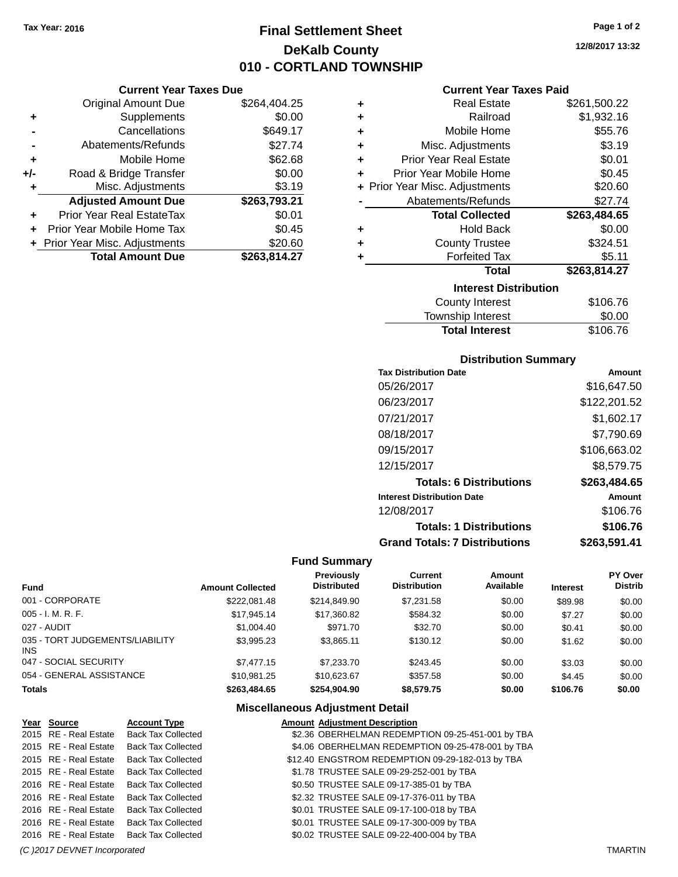**Current Year Taxes Due** Original Amount Due \$264,404.25

**Adjusted Amount Due \$263,793.21**

**Total Amount Due \$263,814.27**

**+** Supplements \$0.00 **-** Cancellations \$649.17 **-** Abatements/Refunds \$27.74 **+** Mobile Home \$62.68 **+/-** Road & Bridge Transfer \$0.00<br> **+** Misc. Adjustments \$3.19

**+** Prior Year Real EstateTax \$0.01 **+** Prior Year Mobile Home Tax \$0.45 **+** Prior Year Misc. Adjustments \$20.60

**+** Misc. Adjustments

# **Final Settlement Sheet Tax Year: 2016 Page 1 of 2 DeKalb County 010 - CORTLAND TOWNSHIP**

**12/8/2017 13:32**

### **Current Year Taxes Paid**

| ٠ | <b>Real Estate</b>                    | \$261,500.22 |
|---|---------------------------------------|--------------|
| ٠ | Railroad                              | \$1,932.16   |
| ÷ | Mobile Home                           | \$55.76      |
| ٠ | Misc. Adjustments                     | \$3.19       |
| ٠ | <b>Prior Year Real Estate</b>         | \$0.01       |
| ٠ | Prior Year Mobile Home                | \$0.45       |
|   | + Prior Year Misc. Adjustments        | \$20.60      |
|   | Abatements/Refunds                    | \$27.74      |
|   | <b>Total Collected</b>                | \$263,484.65 |
| ٠ | <b>Hold Back</b>                      | \$0.00       |
| ٠ | <b>County Trustee</b>                 | \$324.51     |
| ٠ | <b>Forfeited Tax</b>                  | \$5.11       |
|   | Total                                 | \$263,814.27 |
|   | <b>Interest Distribution</b>          |              |
|   | <b>County Interest</b>                | \$106.76     |
|   | المتواطن والمراسا والمستنددة المستحدة | ጦጣ ጣጣ        |

## Township Interest  $$0.00$ **Total Interest** \$106.76

### **Distribution Summary**

| <b>Tax Distribution Date</b>         | Amount       |
|--------------------------------------|--------------|
| 05/26/2017                           | \$16,647.50  |
| 06/23/2017                           | \$122,201.52 |
| 07/21/2017                           | \$1,602.17   |
| 08/18/2017                           | \$7,790.69   |
| 09/15/2017                           | \$106,663.02 |
| 12/15/2017                           | \$8,579.75   |
| <b>Totals: 6 Distributions</b>       | \$263,484.65 |
| <b>Interest Distribution Date</b>    | Amount       |
| 12/08/2017                           | \$106.76     |
| <b>Totals: 1 Distributions</b>       | \$106.76     |
| <b>Grand Totals: 7 Distributions</b> | \$263,591.41 |

#### **Fund Summary**

| <b>Fund</b>                             | <b>Amount Collected</b> | <b>Previously</b><br><b>Distributed</b> | Current<br><b>Distribution</b> | Amount<br>Available | <b>Interest</b> | PY Over<br><b>Distrib</b> |
|-----------------------------------------|-------------------------|-----------------------------------------|--------------------------------|---------------------|-----------------|---------------------------|
| 001 - CORPORATE                         | \$222,081.48            | \$214,849.90                            | \$7.231.58                     | \$0.00              | \$89.98         | \$0.00                    |
| $005 - I. M. R. F.$                     | \$17,945.14             | \$17,360.82                             | \$584.32                       | \$0.00              | \$7.27          | \$0.00                    |
| 027 - AUDIT                             | \$1,004.40              | \$971.70                                | \$32.70                        | \$0.00              | \$0.41          | \$0.00                    |
| 035 - TORT JUDGEMENTS/LIABILITY<br>INS. | \$3.995.23              | \$3.865.11                              | \$130.12                       | \$0.00              | \$1.62          | \$0.00                    |
| 047 - SOCIAL SECURITY                   | \$7.477.15              | \$7,233,70                              | \$243.45                       | \$0.00              | \$3.03          | \$0.00                    |
| 054 - GENERAL ASSISTANCE                | \$10.981.25             | \$10.623.67                             | \$357.58                       | \$0.00              | \$4.45          | \$0.00                    |
| <b>Totals</b>                           | \$263,484.65            | \$254.904.90                            | \$8,579.75                     | \$0.00              | \$106.76        | \$0.00                    |

| Year Source           | <b>Account Type</b>       | <b>Amount Adjustment Description</b>              |  |
|-----------------------|---------------------------|---------------------------------------------------|--|
| 2015 RE - Real Estate | <b>Back Tax Collected</b> | \$2.36 OBERHELMAN REDEMPTION 09-25-451-001 by TBA |  |
| 2015 RE - Real Estate | <b>Back Tax Collected</b> | \$4.06 OBERHELMAN REDEMPTION 09-25-478-001 by TBA |  |
| 2015 RE - Real Estate | <b>Back Tax Collected</b> | \$12.40 ENGSTROM REDEMPTION 09-29-182-013 by TBA  |  |
| 2015 RE - Real Estate | <b>Back Tax Collected</b> | \$1.78 TRUSTEE SALE 09-29-252-001 by TBA          |  |
| 2016 RE - Real Estate | <b>Back Tax Collected</b> | \$0.50 TRUSTEE SALE 09-17-385-01 by TBA           |  |
| 2016 RE - Real Estate | <b>Back Tax Collected</b> | \$2.32 TRUSTEE SALE 09-17-376-011 by TBA          |  |
| 2016 RE - Real Estate | <b>Back Tax Collected</b> | \$0.01 TRUSTEE SALE 09-17-100-018 by TBA          |  |
| 2016 RE - Real Estate | <b>Back Tax Collected</b> | \$0.01 TRUSTEE SALE 09-17-300-009 by TBA          |  |
| 2016 RE - Real Estate | <b>Back Tax Collected</b> | \$0.02 TRUSTEE SALE 09-22-400-004 by TBA          |  |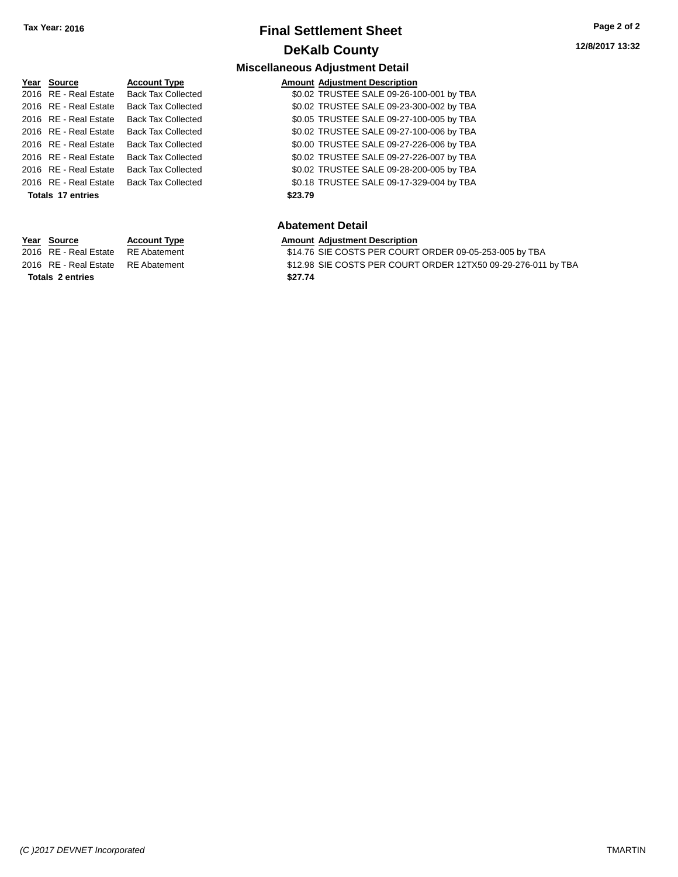# **Final Settlement Sheet Tax Year: 2016 Page 2 of 2 DeKalb County**

**Amount Adjustment Description** 

\$0.02 TRUSTEE SALE 09-26-100-001 by TBA \$0.02 TRUSTEE SALE 09-23-300-002 by TBA \$0.05 TRUSTEE SALE 09-27-100-005 by TBA \$0.02 TRUSTEE SALE 09-27-100-006 by TBA \$0.00 TRUSTEE SALE 09-27-226-006 by TBA \$0.02 TRUSTEE SALE 09-27-226-007 by TBA \$0.02 TRUSTEE SALE 09-28-200-005 by TBA \$0.18 TRUSTEE SALE 09-17-329-004 by TBA

**Miscellaneous Adjustment Detail**

| Year Source           | <b>Account Type</b>       |
|-----------------------|---------------------------|
| 2016 RF - Real Estate | <b>Back Tax Collected</b> |
| 2016 RE - Real Estate | <b>Back Tax Collected</b> |
| 2016 RF - Real Estate | <b>Back Tax Collected</b> |
| 2016 RF - Real Estate | <b>Back Tax Collected</b> |
| 2016 RF - Real Estate | <b>Back Tax Collected</b> |
| 2016 RF - Real Estate | <b>Back Tax Collected</b> |
| 2016 RF - Real Estate | <b>Back Tax Collected</b> |
| 2016 RE - Real Estate | <b>Back Tax Collected</b> |
| Totals 17 entries     |                           |
|                       |                           |
|                       |                           |

| Year Source | <b>Account Type</b> | <b>Amount Adiustment Description</b> |
|-------------|---------------------|--------------------------------------|
|             |                     |                                      |

**Totals 2 entries \$27.74**

### **Abatement Detail**

**Totals 17 entries \$23.79**

| Year Source                        | <b>Account Type</b> | <b>Amount Adiustment Description</b>                   |
|------------------------------------|---------------------|--------------------------------------------------------|
| 2016 RE - Real Estate RE Abatement |                     | \$14.76 SIE COSTS PER COURT ORDER 09-05-253-005 by TBA |

2016 RE - Real Estate RE Abatement \$12.98 SIE COSTS PER COURT ORDER 12TX50 09-29-276-011 by TBA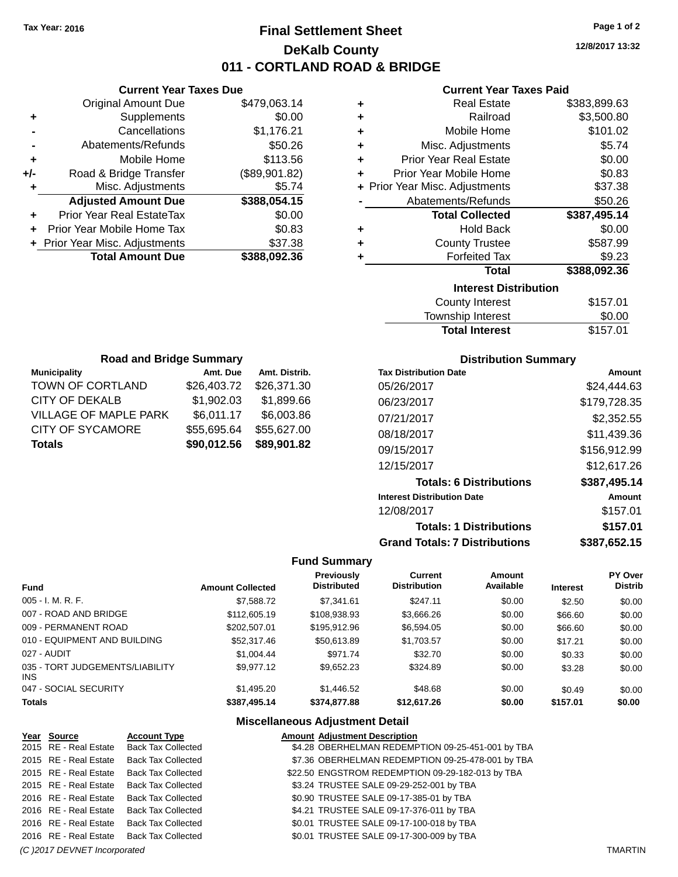# **Final Settlement Sheet Tax Year: 2016 Page 1 of 2 DeKalb County 011 - CORTLAND ROAD & BRIDGE**

**12/8/2017 13:32**

### **Current Year Taxes Paid**

| <b>Current Year Taxes Due</b> |                                  |               |  |
|-------------------------------|----------------------------------|---------------|--|
|                               | <b>Original Amount Due</b>       | \$479,063.14  |  |
| ٠                             | Supplements                      | \$0.00        |  |
|                               | Cancellations                    | \$1,176.21    |  |
|                               | Abatements/Refunds               | \$50.26       |  |
| ٠                             | Mobile Home                      | \$113.56      |  |
| +/-                           | Road & Bridge Transfer           | (\$89,901.82) |  |
| ٠                             | Misc. Adjustments                | \$5.74        |  |
|                               | <b>Adjusted Amount Due</b>       | \$388,054.15  |  |
| ٠                             | <b>Prior Year Real EstateTax</b> | \$0.00        |  |
|                               | Prior Year Mobile Home Tax       | \$0.83        |  |
|                               | + Prior Year Misc. Adjustments   | \$37.38       |  |
|                               | <b>Total Amount Due</b>          | \$388,092.36  |  |
|                               |                                  |               |  |

| ٠ | <b>Real Estate</b>             | \$383,899.63 |
|---|--------------------------------|--------------|
| ٠ | Railroad                       | \$3,500.80   |
| ٠ | Mobile Home                    | \$101.02     |
| ٠ | Misc. Adjustments              | \$5.74       |
| ÷ | <b>Prior Year Real Estate</b>  | \$0.00       |
| ٠ | Prior Year Mobile Home         | \$0.83       |
|   | + Prior Year Misc. Adjustments | \$37.38      |
|   | Abatements/Refunds             | \$50.26      |
|   |                                |              |
|   | <b>Total Collected</b>         | \$387,495.14 |
| ٠ | <b>Hold Back</b>               | \$0.00       |
| ٠ | <b>County Trustee</b>          | \$587.99     |
| ٠ | <b>Forfeited Tax</b>           | \$9.23       |
|   | <b>Total</b>                   | \$388,092.36 |
|   | <b>Interest Distribution</b>   |              |
|   | <b>County Interest</b>         | \$157.01     |

| <b>Total Interest</b> | \$157.01 |
|-----------------------|----------|
| Township Interest     | \$0.00   |
| County Interest       | \$157.01 |

| <b>Road and Bridge Summary</b> |             |               |  |
|--------------------------------|-------------|---------------|--|
| <b>Municipality</b>            | Amt. Due    | Amt. Distrib. |  |
| TOWN OF CORTLAND               | \$26,403.72 | \$26,371.30   |  |
| CITY OF DEKALB                 | \$1,902.03  | \$1,899.66    |  |
| <b>VILLAGE OF MAPLE PARK</b>   | \$6,011.17  | \$6,003.86    |  |
| <b>CITY OF SYCAMORE</b>        | \$55,695.64 | \$55,627.00   |  |
| <b>Totals</b>                  | \$90,012.56 | \$89,901.82   |  |

### **Distribution Summary**

| <b>Tax Distribution Date</b>         | Amount       |
|--------------------------------------|--------------|
| 05/26/2017                           | \$24,444.63  |
| 06/23/2017                           | \$179,728.35 |
| 07/21/2017                           | \$2,352.55   |
| 08/18/2017                           | \$11,439.36  |
| 09/15/2017                           | \$156,912.99 |
| 12/15/2017                           | \$12,617.26  |
| <b>Totals: 6 Distributions</b>       | \$387,495.14 |
| <b>Interest Distribution Date</b>    | Amount       |
| 12/08/2017                           | \$157.01     |
| <b>Totals: 1 Distributions</b>       | \$157.01     |
| <b>Grand Totals: 7 Distributions</b> | \$387,652.15 |

### **Fund Summary**

| <b>Fund</b>                             | <b>Amount Collected</b> | <b>Previously</b><br><b>Distributed</b> | Current<br><b>Distribution</b> | <b>Amount</b><br>Available | <b>Interest</b> | <b>PY Over</b><br><b>Distrib</b> |
|-----------------------------------------|-------------------------|-----------------------------------------|--------------------------------|----------------------------|-----------------|----------------------------------|
| $005 - I. M. R. F.$                     | \$7,588.72              | \$7,341.61                              | \$247.11                       | \$0.00                     | \$2.50          | \$0.00                           |
| 007 - ROAD AND BRIDGE                   | \$112,605.19            | \$108,938.93                            | \$3,666.26                     | \$0.00                     | \$66.60         | \$0.00                           |
| 009 - PERMANENT ROAD                    | \$202,507.01            | \$195,912.96                            | \$6,594.05                     | \$0.00                     | \$66.60         | \$0.00                           |
| 010 - EQUIPMENT AND BUILDING            | \$52,317.46             | \$50,613.89                             | \$1,703.57                     | \$0.00                     | \$17.21         | \$0.00                           |
| 027 - AUDIT                             | \$1,004.44              | \$971.74                                | \$32.70                        | \$0.00                     | \$0.33          | \$0.00                           |
| 035 - TORT JUDGEMENTS/LIABILITY<br>INS. | \$9.977.12              | \$9,652.23                              | \$324.89                       | \$0.00                     | \$3.28          | \$0.00                           |
| 047 - SOCIAL SECURITY                   | \$1,495.20              | \$1,446.52                              | \$48.68                        | \$0.00                     | \$0.49          | \$0.00                           |
| <b>Totals</b>                           | \$387,495.14            | \$374,877.88                            | \$12,617.26                    | \$0.00                     | \$157.01        | \$0.00                           |

| Year Source           | <b>Account Type</b>       | <b>Amount Adjustment Description</b>              |  |
|-----------------------|---------------------------|---------------------------------------------------|--|
| 2015 RE - Real Estate | <b>Back Tax Collected</b> | \$4.28 OBERHELMAN REDEMPTION 09-25-451-001 by TBA |  |
| 2015 RE - Real Estate | <b>Back Tax Collected</b> | \$7.36 OBERHELMAN REDEMPTION 09-25-478-001 by TBA |  |
| 2015 RE - Real Estate | <b>Back Tax Collected</b> | \$22.50 ENGSTROM REDEMPTION 09-29-182-013 by TBA  |  |
| 2015 RE - Real Estate | <b>Back Tax Collected</b> | \$3.24 TRUSTEE SALE 09-29-252-001 by TBA          |  |
| 2016 RE - Real Estate | <b>Back Tax Collected</b> | \$0.90 TRUSTEE SALE 09-17-385-01 by TBA           |  |
| 2016 RE - Real Estate | <b>Back Tax Collected</b> | \$4.21 TRUSTEE SALE 09-17-376-011 by TBA          |  |
| 2016 RE - Real Estate | <b>Back Tax Collected</b> | \$0.01 TRUSTEE SALE 09-17-100-018 by TBA          |  |
| 2016 RE - Real Estate | <b>Back Tax Collected</b> | \$0.01 TRUSTEE SALE 09-17-300-009 by TBA          |  |
|                       |                           |                                                   |  |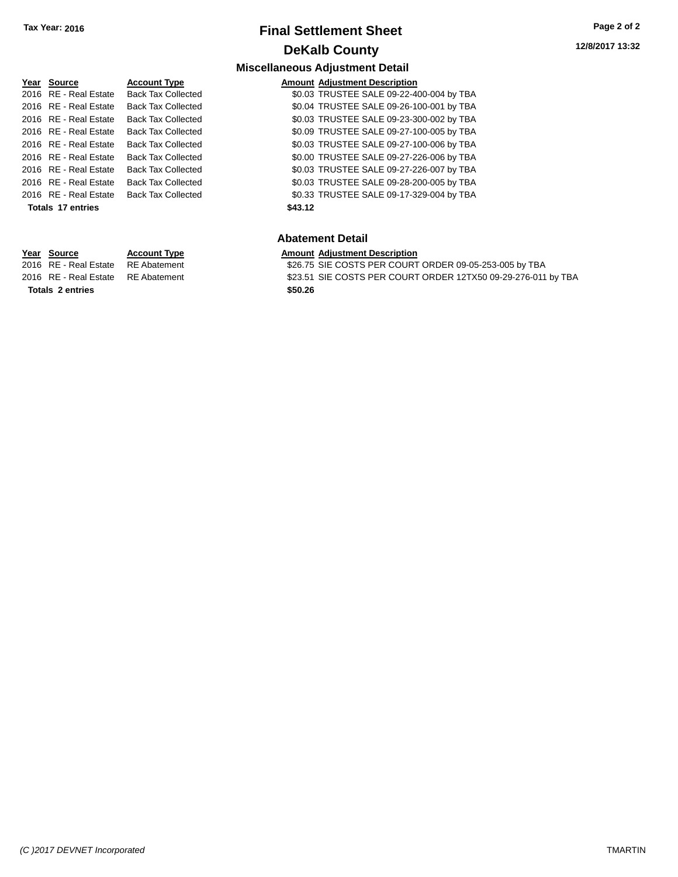# **Final Settlement Sheet Tax Year: 2016 Page 2 of 2 DeKalb County**

**Miscellaneous Adjustment Detail**

| Year Source           | <b>Account Type</b>       | <b>Amount</b> |
|-----------------------|---------------------------|---------------|
| 2016 RE - Real Estate | <b>Back Tax Collected</b> | \$0.03        |
| 2016 RE - Real Estate | <b>Back Tax Collected</b> | \$0.04        |
| 2016 RE - Real Estate | <b>Back Tax Collected</b> | \$0.03        |
| 2016 RE - Real Estate | <b>Back Tax Collected</b> | \$0.09        |
| 2016 RE - Real Estate | <b>Back Tax Collected</b> | \$0.03        |
| 2016 RE - Real Estate | <b>Back Tax Collected</b> | \$0.00        |
| 2016 RE - Real Estate | <b>Back Tax Collected</b> | \$0.03        |
| 2016 RE - Real Estate | <b>Back Tax Collected</b> | \$0.03        |
| 2016 RE - Real Estate | <b>Back Tax Collected</b> | \$0.33        |
| Totals 17 entries     |                           | \$43.12       |
|                       |                           |               |

**Year Source Account Type Amount Adjustment Description**

**Type Amount Adjustment Description** 2016 Collected \$0.03 TRUSTEE SALE 09-22-400-004 by TBA 2016 Collected **\$0.04 TRUSTEE SALE 09-26-100-001 by TBA** 2016 Collected \$0.03 TRUSTEE SALE 09-23-300-002 by TBA 2016 Collected \$0.09 TRUSTEE SALE 09-27-100-005 by TBA 2016 Collected \$0.03 TRUSTEE SALE 09-27-100-006 by TBA 2016 Collected \$0.00 TRUSTEE SALE 09-27-226-006 by TBA 2016 Collected \$0.03 TRUSTEE SALE 09-27-226-007 by TBA 2016 Collected **\$0.03 TRUSTEE SALE 09-28-200-005 by TBA** 2016 Collected \$0.33 TRUSTEE SALE 09-17-329-004 by TBA

### **Abatement Detail**

2016 RE - Real Estate RE Abatement \$26.75 SIE COSTS PER COURT ORDER 09-05-253-005 by TBA 2016 RE - Real Estate RE Abatement \$23.51 SIE COSTS PER COURT ORDER 12TX50 09-29-276-011 by TBA **Totals 2 entries \$50.26**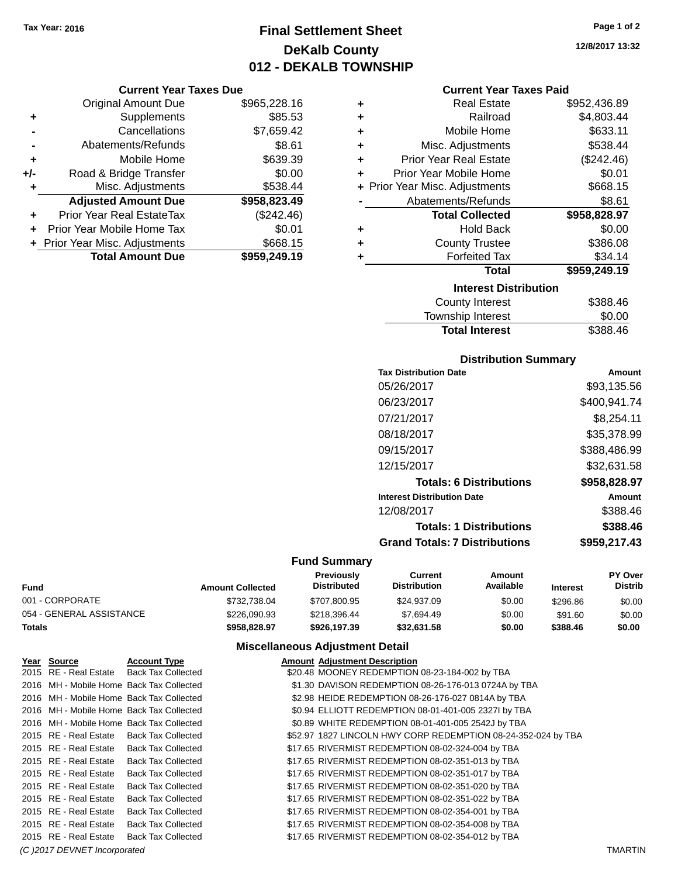# **Final Settlement Sheet Tax Year: 2016 Page 1 of 2 DeKalb County 012 - DEKALB TOWNSHIP**

### **Current Year Taxes Due**

|     | <b>Original Amount Due</b>       | \$965,228.16 |
|-----|----------------------------------|--------------|
| ٠   | Supplements                      | \$85.53      |
|     | Cancellations                    | \$7,659.42   |
|     | Abatements/Refunds               | \$8.61       |
| ٠   | Mobile Home                      | \$639.39     |
| +/- | Road & Bridge Transfer           | \$0.00       |
| ٠   | Misc. Adjustments                | \$538.44     |
|     | <b>Adjusted Amount Due</b>       | \$958,823.49 |
|     | <b>Prior Year Real EstateTax</b> | (\$242.46)   |
|     | Prior Year Mobile Home Tax       | \$0.01       |
|     | + Prior Year Misc. Adjustments   | \$668.15     |
|     | <b>Total Amount Due</b>          | \$959,249.19 |

| ٠ | <b>Real Estate</b>             | \$952,436.89 |
|---|--------------------------------|--------------|
| ÷ | Railroad                       | \$4,803.44   |
| ٠ | Mobile Home                    | \$633.11     |
| ٠ | Misc. Adjustments              | \$538.44     |
| ÷ | <b>Prior Year Real Estate</b>  | (\$242.46)   |
| ٠ | Prior Year Mobile Home         | \$0.01       |
|   | + Prior Year Misc. Adjustments | \$668.15     |
|   | Abatements/Refunds             | \$8.61       |
|   |                                |              |
|   | <b>Total Collected</b>         | \$958,828.97 |
| ٠ | <b>Hold Back</b>               | \$0.00       |
| ÷ | <b>County Trustee</b>          | \$386.08     |
| ٠ | <b>Forfeited Tax</b>           | \$34.14      |
|   | Total                          | \$959,249.19 |
|   | <b>Interest Distribution</b>   |              |
|   | <b>County Interest</b>         | \$388.46     |

# **Distribution Summary**

Total Interest \$388.46

| PIJU INUUVII VUIIIIIIUI Y            |              |
|--------------------------------------|--------------|
| <b>Tax Distribution Date</b>         | Amount       |
| 05/26/2017                           | \$93.135.56  |
| 06/23/2017                           | \$400,941.74 |
| 07/21/2017                           | \$8,254.11   |
| 08/18/2017                           | \$35,378.99  |
| 09/15/2017                           | \$388,486.99 |
| 12/15/2017                           | \$32.631.58  |
| <b>Totals: 6 Distributions</b>       | \$958,828.97 |
| <b>Interest Distribution Date</b>    | Amount       |
| 12/08/2017                           | \$388.46     |
| <b>Totals: 1 Distributions</b>       | \$388.46     |
| <b>Grand Totals: 7 Distributions</b> | \$959.217.43 |
|                                      |              |

### **Fund Summary**

| Fund                     | <b>Amount Collected</b> | <b>Previously</b><br><b>Distributed</b> | Current<br><b>Distribution</b> | Amount<br>Available | <b>Interest</b> | <b>PY Over</b><br><b>Distrib</b> |
|--------------------------|-------------------------|-----------------------------------------|--------------------------------|---------------------|-----------------|----------------------------------|
| 001 - CORPORATE          | \$732,738.04            | \$707.800.95                            | \$24.937.09                    | \$0.00              | \$296.86        | \$0.00                           |
| 054 - GENERAL ASSISTANCE | \$226,090.93            | \$218.396.44                            | \$7.694.49                     | \$0.00              | \$91.60         | \$0.00                           |
| Totals                   | \$958,828.97            | \$926,197,39                            | \$32,631.58                    | \$0.00              | \$388.46        | \$0.00                           |

### **Miscellaneous Adjustment Detail**

| Year Source           | <b>Account Type</b>                      | <b>Amount Adiustment Description</b>                          |
|-----------------------|------------------------------------------|---------------------------------------------------------------|
|                       | 2015 RE - Real Estate Back Tax Collected | \$20.48 MOONEY REDEMPTION 08-23-184-002 by TBA                |
|                       | 2016 MH - Mobile Home Back Tax Collected | \$1.30 DAVISON REDEMPTION 08-26-176-013 0724A by TBA          |
|                       | 2016 MH - Mobile Home Back Tax Collected | \$2.98 HEIDE REDEMPTION 08-26-176-027 0814A by TBA            |
|                       | 2016 MH - Mobile Home Back Tax Collected | \$0.94 ELLIOTT REDEMPTION 08-01-401-005 2327I by TBA          |
|                       | 2016 MH - Mobile Home Back Tax Collected | \$0.89 WHITE REDEMPTION 08-01-401-005 2542J by TBA            |
|                       | 2015 RE - Real Estate Back Tax Collected | \$52.97 1827 LINCOLN HWY CORP REDEMPTION 08-24-352-024 by TBA |
|                       | 2015 RE - Real Estate Back Tax Collected | \$17.65 RIVERMIST REDEMPTION 08-02-324-004 by TBA             |
|                       | 2015 RE - Real Estate Back Tax Collected | \$17.65 RIVERMIST REDEMPTION 08-02-351-013 by TBA             |
| 2015 RE - Real Estate | Back Tax Collected                       | \$17.65 RIVERMIST REDEMPTION 08-02-351-017 by TBA             |
| 2015 RE - Real Estate | <b>Back Tax Collected</b>                | \$17.65 RIVERMIST REDEMPTION 08-02-351-020 by TBA             |
| 2015 RE - Real Estate | <b>Back Tax Collected</b>                | \$17.65 RIVERMIST REDEMPTION 08-02-351-022 by TBA             |
| 2015 RE - Real Estate | <b>Back Tax Collected</b>                | \$17.65 RIVERMIST REDEMPTION 08-02-354-001 by TBA             |
| 2015 RE - Real Estate | <b>Back Tax Collected</b>                | \$17.65 RIVERMIST REDEMPTION 08-02-354-008 by TBA             |
| 2015 RE - Real Estate | <b>Back Tax Collected</b>                | \$17.65 RIVERMIST REDEMPTION 08-02-354-012 by TBA             |
|                       |                                          |                                                               |

*(C )2017 DEVNET Incorporated* TMARTIN

**12/8/2017 13:32**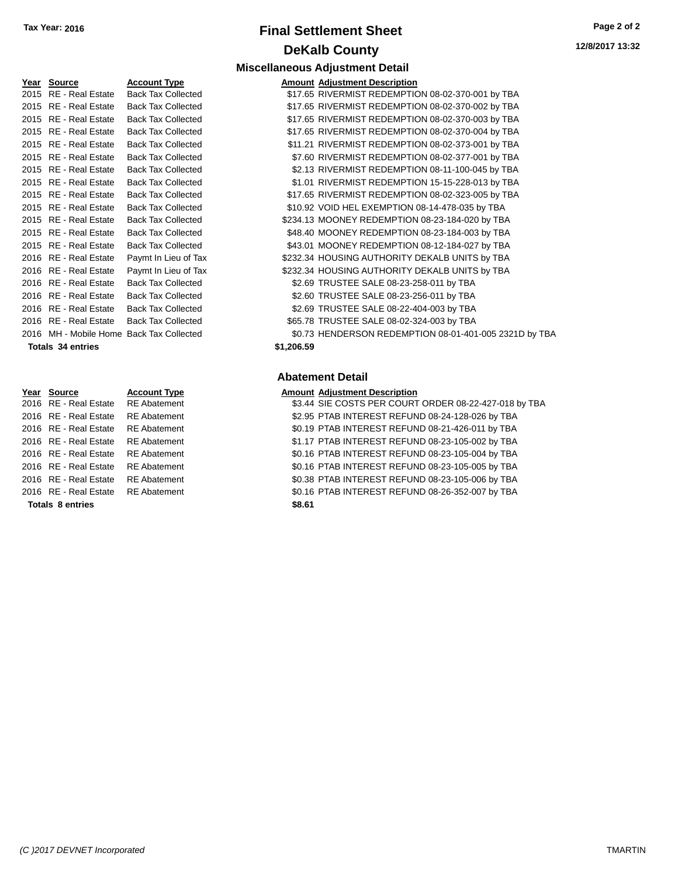# **Final Settlement Sheet Tax Year: 2016 Page 2 of 2 DeKalb County**

| Year | <b>Source</b>                            | <b>Account Type</b>       | Amount     |
|------|------------------------------------------|---------------------------|------------|
| 2015 | RE - Real Estate                         | <b>Back Tax Collected</b> | \$17.65    |
| 2015 | RE - Real Estate                         | <b>Back Tax Collected</b> | \$17.65    |
| 2015 | RE - Real Estate                         | <b>Back Tax Collected</b> | \$17.65    |
| 2015 | RE - Real Estate                         | <b>Back Tax Collected</b> | \$17.65    |
| 2015 | RE - Real Estate                         | <b>Back Tax Collected</b> | \$11.21    |
| 2015 | RE - Real Estate                         | <b>Back Tax Collected</b> | \$7.60     |
| 2015 | RE - Real Estate                         | <b>Back Tax Collected</b> | \$2.13     |
|      | 2015 RE - Real Estate                    | <b>Back Tax Collected</b> | \$1.01     |
| 2015 | RE - Real Estate                         | <b>Back Tax Collected</b> | \$17.65    |
|      | 2015 RE - Real Estate                    | <b>Back Tax Collected</b> | \$10.92    |
|      | 2015 RE - Real Estate                    | <b>Back Tax Collected</b> | \$234.13   |
| 2015 | RE - Real Estate                         | <b>Back Tax Collected</b> | \$48.40    |
|      | 2015 RE - Real Estate                    | <b>Back Tax Collected</b> | \$43.01    |
|      | 2016 RE - Real Estate                    | Paymt In Lieu of Tax      | \$232.34   |
| 2016 | RE - Real Estate                         | Paymt In Lieu of Tax      | \$232.34   |
|      | 2016 RE - Real Estate                    | <b>Back Tax Collected</b> | \$2.69     |
| 2016 | RE - Real Estate                         | <b>Back Tax Collected</b> | \$2.60     |
| 2016 | RE - Real Estate                         | <b>Back Tax Collected</b> | \$2.69     |
| 2016 | RE - Real Estate                         | <b>Back Tax Collected</b> | \$65.78    |
|      | 2016 MH - Mobile Home Back Tax Collected |                           | \$0.73     |
|      | <b>Totals 34 entries</b>                 |                           | \$1,206.59 |
|      |                                          |                           |            |

| Year Source             | <b>Account Type</b> |
|-------------------------|---------------------|
| 2016 RE - Real Estate   | <b>RE Abatemen</b>  |
| 2016 RE - Real Estate   | <b>RE</b> Abatemen  |
| 2016 RE - Real Estate   | <b>RE Abatemen</b>  |
| 2016 RE - Real Estate   | <b>RE</b> Abatemen  |
| 2016 RF - Real Estate   | <b>RE</b> Abatemen  |
| 2016 RE - Real Estate   | <b>RE Abatemen</b>  |
| 2016 RE - Real Estate   | <b>RE</b> Abatemen  |
| 2016 RE - Real Estate   | RE Abatemen         |
| <b>Totals 8 entries</b> |                     |

#### **Miscellaneous Adjustment Detail Amount Adiustment Description**

| <b>IGGI OULING</b>    | Account Type                             |            | Allioulit Aujustilielit Description                    |
|-----------------------|------------------------------------------|------------|--------------------------------------------------------|
| 2015 RE - Real Estate | <b>Back Tax Collected</b>                |            | \$17.65 RIVERMIST REDEMPTION 08-02-370-001 by TBA      |
| 2015 RE - Real Estate | <b>Back Tax Collected</b>                |            | \$17.65 RIVERMIST REDEMPTION 08-02-370-002 by TBA      |
| 2015 RE - Real Estate | <b>Back Tax Collected</b>                |            | \$17.65 RIVERMIST REDEMPTION 08-02-370-003 by TBA      |
| 2015 RE - Real Estate | <b>Back Tax Collected</b>                |            | \$17.65 RIVERMIST REDEMPTION 08-02-370-004 by TBA      |
| 2015 RE - Real Estate | <b>Back Tax Collected</b>                |            | \$11.21 RIVERMIST REDEMPTION 08-02-373-001 by TBA      |
| 2015 RE - Real Estate | <b>Back Tax Collected</b>                |            | \$7.60 RIVERMIST REDEMPTION 08-02-377-001 by TBA       |
| 2015 RE - Real Estate | <b>Back Tax Collected</b>                |            | \$2.13 RIVERMIST REDEMPTION 08-11-100-045 by TBA       |
| 2015 RE - Real Estate | <b>Back Tax Collected</b>                |            | \$1.01 RIVERMIST REDEMPTION 15-15-228-013 by TBA       |
| 2015 RE - Real Estate | <b>Back Tax Collected</b>                |            | \$17.65 RIVERMIST REDEMPTION 08-02-323-005 by TBA      |
| 2015 RE - Real Estate | <b>Back Tax Collected</b>                |            | \$10.92 VOID HEL EXEMPTION 08-14-478-035 by TBA        |
| 2015 RE - Real Estate | <b>Back Tax Collected</b>                |            | \$234.13 MOONEY REDEMPTION 08-23-184-020 by TBA        |
| 2015 RE - Real Estate | <b>Back Tax Collected</b>                |            | \$48.40 MOONEY REDEMPTION 08-23-184-003 by TBA         |
| 2015 RE - Real Estate | <b>Back Tax Collected</b>                |            | \$43.01 MOONEY REDEMPTION 08-12-184-027 by TBA         |
| 2016 RE - Real Estate | Paymt In Lieu of Tax                     |            | \$232.34 HOUSING AUTHORITY DEKALB UNITS by TBA         |
| 2016 RE - Real Estate | Paymt In Lieu of Tax                     |            | \$232.34 HOUSING AUTHORITY DEKALB UNITS by TBA         |
| 2016 RE - Real Estate | <b>Back Tax Collected</b>                |            | \$2.69 TRUSTEE SALE 08-23-258-011 by TBA               |
| 2016 RE - Real Estate | <b>Back Tax Collected</b>                |            | \$2.60 TRUSTEE SALE 08-23-256-011 by TBA               |
| 2016 RE - Real Estate | <b>Back Tax Collected</b>                |            | \$2.69 TRUSTEE SALE 08-22-404-003 by TBA               |
| 2016 RE - Real Estate | <b>Back Tax Collected</b>                |            | \$65.78 TRUSTEE SALE 08-02-324-003 by TBA              |
|                       | 2016 MH - Mobile Home Back Tax Collected |            | \$0.73 HENDERSON REDEMPTION 08-01-401-005 2321D by TBA |
| Totals 34 entries     |                                          | \$1,206.59 |                                                        |

#### **Abatement Detail**

|                         | Year Source           | <b>Account Type</b> | <b>Amount Adjustment Description</b>                  |
|-------------------------|-----------------------|---------------------|-------------------------------------------------------|
|                         | 2016 RE - Real Estate | <b>RE</b> Abatement | \$3.44 SIE COSTS PER COURT ORDER 08-22-427-018 by TBA |
|                         | 2016 RE - Real Estate | <b>RE</b> Abatement | \$2.95 PTAB INTEREST REFUND 08-24-128-026 by TBA      |
|                         | 2016 RE - Real Estate | <b>RE</b> Abatement | \$0.19 PTAB INTEREST REFUND 08-21-426-011 by TBA      |
|                         | 2016 RE - Real Estate | <b>RE</b> Abatement | \$1.17 PTAB INTEREST REFUND 08-23-105-002 by TBA      |
|                         | 2016 RE - Real Estate | <b>RE</b> Abatement | \$0.16 PTAB INTEREST REFUND 08-23-105-004 by TBA      |
|                         | 2016 RE - Real Estate | <b>RE</b> Abatement | \$0.16 PTAB INTEREST REFUND 08-23-105-005 by TBA      |
|                         | 2016 RE - Real Estate | <b>RE</b> Abatement | \$0.38 PTAB INTEREST REFUND 08-23-105-006 by TBA      |
|                         | 2016 RE - Real Estate | <b>RE</b> Abatement | \$0.16 PTAB INTEREST REFUND 08-26-352-007 by TBA      |
| <b>Totals 8 entries</b> |                       |                     | \$8.61                                                |
|                         |                       |                     |                                                       |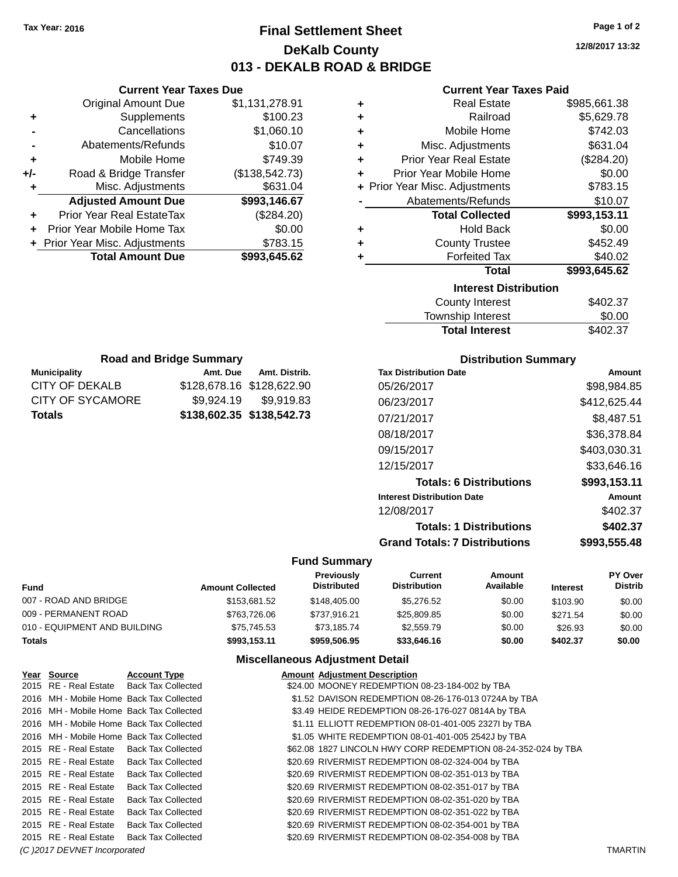# **Final Settlement Sheet Tax Year: 2016 Page 1 of 2 DeKalb County 013 - DEKALB ROAD & BRIDGE**

**12/8/2017 13:32**

### **Current Year Taxes Paid**

| ٠ | <b>Real Estate</b>             | \$985,661.38 |
|---|--------------------------------|--------------|
| ٠ | Railroad                       | \$5,629.78   |
| ÷ | Mobile Home                    | \$742.03     |
| ÷ | Misc. Adjustments              | \$631.04     |
| ÷ | <b>Prior Year Real Estate</b>  | (\$284.20)   |
| ٠ | Prior Year Mobile Home         | \$0.00       |
|   | + Prior Year Misc. Adjustments | \$783.15     |
|   | Abatements/Refunds             | \$10.07      |
|   | <b>Total Collected</b>         | \$993,153.11 |
| ٠ | <b>Hold Back</b>               | \$0.00       |
| ٠ | <b>County Trustee</b>          | \$452.49     |
|   | <b>Forfeited Tax</b>           | \$40.02      |
|   | Total                          | \$993,645.62 |
|   | <b>Interest Distribution</b>   |              |
|   | County Interest                | \$402.37     |
|   | <b>Townehin Interact</b>       | ቁስ ስስ        |

| <b>Total Interest</b> | \$402.37 |
|-----------------------|----------|
| Township Interest     | \$0.00   |
| County Interest       | \$402.37 |

| <b>Road and Bridge Summary</b> |                           |                       |  |  |  |
|--------------------------------|---------------------------|-----------------------|--|--|--|
| <b>Municipality</b>            | Amt. Distrib.<br>Amt. Due |                       |  |  |  |
| CITY OF DEKALB                 | \$128,678.16 \$128,622.90 |                       |  |  |  |
| CITY OF SYCAMORE               |                           | \$9,924.19 \$9,919.83 |  |  |  |
| Totals                         | \$138,602.35 \$138,542.73 |                       |  |  |  |

**Current Year Taxes Due** Original Amount Due \$1,131,278.91

**Adjusted Amount Due \$993,146.67**

**Total Amount Due \$993,645.62**

**+** Supplements \$100.23 **-** Cancellations \$1,060.10 **-** Abatements/Refunds \$10.07 **+** Mobile Home \$749.39 **+/-** Road & Bridge Transfer (\$138,542.73) **+** Misc. Adjustments \$631.04

**+** Prior Year Real EstateTax (\$284.20) **+** Prior Year Mobile Home Tax \$0.00 **+ Prior Year Misc. Adjustments \$783.15** 

### **Distribution Summary**

| <b>Tax Distribution Date</b>         | Amount       |
|--------------------------------------|--------------|
| 05/26/2017                           | \$98,984.85  |
| 06/23/2017                           | \$412.625.44 |
| 07/21/2017                           | \$8,487.51   |
| 08/18/2017                           | \$36,378.84  |
| 09/15/2017                           | \$403,030.31 |
| 12/15/2017                           | \$33.646.16  |
| <b>Totals: 6 Distributions</b>       | \$993,153.11 |
| <b>Interest Distribution Date</b>    | Amount       |
| 12/08/2017                           | \$402.37     |
| <b>Totals: 1 Distributions</b>       | \$402.37     |
| <b>Grand Totals: 7 Distributions</b> | \$993.555.48 |

#### **Fund Summary**

| <b>Fund</b>                  | <b>Amount Collected</b> | <b>Previously</b><br><b>Distributed</b> | Current<br><b>Distribution</b> | Amount<br>Available | <b>Interest</b> | <b>PY Over</b><br><b>Distrib</b> |
|------------------------------|-------------------------|-----------------------------------------|--------------------------------|---------------------|-----------------|----------------------------------|
| 007 - ROAD AND BRIDGE        | \$153,681.52            | \$148,405,00                            | \$5,276,52                     | \$0.00              | \$103.90        | \$0.00                           |
| 009 - PERMANENT ROAD         | \$763,726.06            | \$737.916.21                            | \$25,809.85                    | \$0.00              | \$271.54        | \$0.00                           |
| 010 - EQUIPMENT AND BUILDING | \$75.745.53             | \$73.185.74                             | \$2,559.79                     | \$0.00              | \$26.93         | \$0.00                           |
| <b>Totals</b>                | \$993,153.11            | \$959.506.95                            | \$33,646.16                    | \$0.00              | \$402.37        | \$0.00                           |

| Year Source                  | <b>Account Type</b>                      | <b>Amount Adjustment Description</b>                          |                |
|------------------------------|------------------------------------------|---------------------------------------------------------------|----------------|
|                              | 2015 RE - Real Estate Back Tax Collected | \$24.00 MOONEY REDEMPTION 08-23-184-002 by TBA                |                |
|                              | 2016 MH - Mobile Home Back Tax Collected | \$1.52 DAVISON REDEMPTION 08-26-176-013 0724A by TBA          |                |
|                              | 2016 MH - Mobile Home Back Tax Collected | \$3.49 HEIDE REDEMPTION 08-26-176-027 0814A by TBA            |                |
|                              | 2016 MH - Mobile Home Back Tax Collected | \$1.11 ELLIOTT REDEMPTION 08-01-401-005 2327I by TBA          |                |
|                              | 2016 MH - Mobile Home Back Tax Collected | \$1.05 WHITE REDEMPTION 08-01-401-005 2542J by TBA            |                |
| 2015 RE - Real Estate        | <b>Back Tax Collected</b>                | \$62.08 1827 LINCOLN HWY CORP REDEMPTION 08-24-352-024 by TBA |                |
|                              | 2015 RE - Real Estate Back Tax Collected | \$20.69 RIVERMIST REDEMPTION 08-02-324-004 by TBA             |                |
| 2015 RE - Real Estate        | <b>Back Tax Collected</b>                | \$20.69 RIVERMIST REDEMPTION 08-02-351-013 by TBA             |                |
| 2015 RE - Real Estate        | <b>Back Tax Collected</b>                | \$20.69 RIVERMIST REDEMPTION 08-02-351-017 by TBA             |                |
| 2015 RE - Real Estate        | <b>Back Tax Collected</b>                | \$20.69 RIVERMIST REDEMPTION 08-02-351-020 by TBA             |                |
| 2015 RE - Real Estate        | <b>Back Tax Collected</b>                | \$20.69 RIVERMIST REDEMPTION 08-02-351-022 by TBA             |                |
| 2015 RE - Real Estate        | <b>Back Tax Collected</b>                | \$20.69 RIVERMIST REDEMPTION 08-02-354-001 by TBA             |                |
| 2015 RE - Real Estate        | <b>Back Tax Collected</b>                | \$20.69 RIVERMIST REDEMPTION 08-02-354-008 by TBA             |                |
| (C) 2017 DEVNET Incorporated |                                          |                                                               | <b>TMARTIN</b> |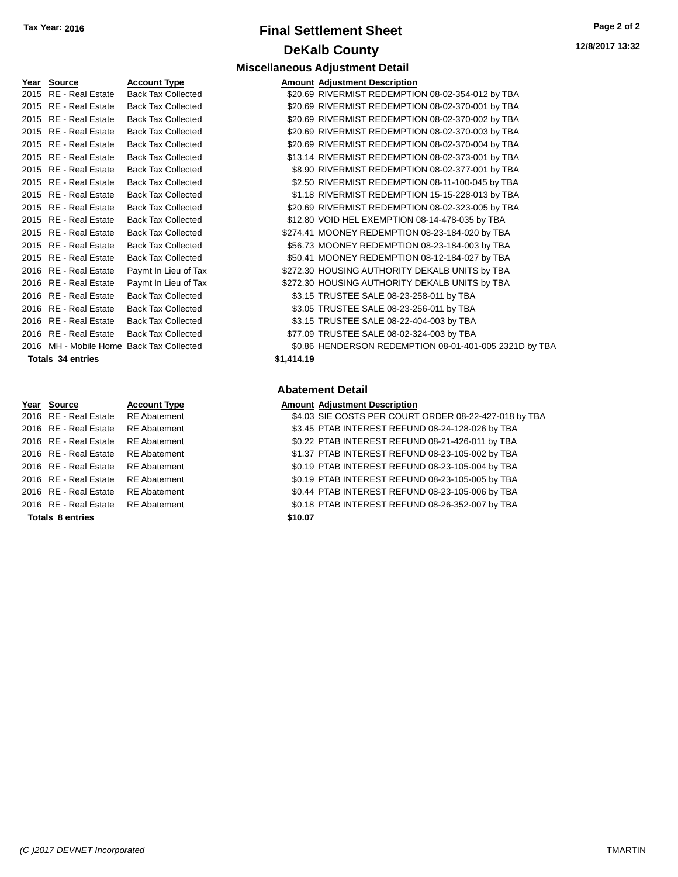# **Final Settlement Sheet Tax Year: 2016 Page 2 of 2 DeKalb County**

| <u>Year</u> | <b>Source</b>                            | <b>Account Type</b>       | Amount     |
|-------------|------------------------------------------|---------------------------|------------|
| 2015        | RE - Real Estate                         | <b>Back Tax Collected</b> | \$20.69    |
|             | 2015 RE - Real Estate                    | <b>Back Tax Collected</b> | \$20.69    |
|             | 2015 RE - Real Estate                    | <b>Back Tax Collected</b> | \$20.69    |
|             | 2015 RE - Real Estate                    | <b>Back Tax Collected</b> | \$20.69    |
|             | 2015 RE - Real Estate                    | <b>Back Tax Collected</b> | \$20.69    |
|             | 2015 RE - Real Estate                    | <b>Back Tax Collected</b> | \$13.14    |
|             | 2015 RE - Real Estate                    | <b>Back Tax Collected</b> | \$8.90     |
|             | 2015 RE - Real Estate                    | <b>Back Tax Collected</b> | \$2.50     |
|             | 2015 RE - Real Estate                    | <b>Back Tax Collected</b> | \$1.18     |
|             | 2015 RE - Real Estate                    | <b>Back Tax Collected</b> | \$20.69    |
|             | 2015 RE - Real Estate                    | <b>Back Tax Collected</b> | \$12.80    |
|             | 2015 RE - Real Estate                    | <b>Back Tax Collected</b> | \$274.41   |
|             | 2015 RE - Real Estate                    | <b>Back Tax Collected</b> | \$56.73    |
|             | 2015 RE - Real Estate                    | <b>Back Tax Collected</b> | \$50.41    |
|             | 2016 RE - Real Estate                    | Paymt In Lieu of Tax      | \$272.30   |
|             | 2016 RE - Real Estate                    | Paymt In Lieu of Tax      | \$272.30   |
| 2016        | RE - Real Estate                         | <b>Back Tax Collected</b> | \$3.15     |
|             | 2016 RE - Real Estate                    | <b>Back Tax Collected</b> | \$3.05     |
|             | 2016 RE - Real Estate                    | <b>Back Tax Collected</b> | \$3.15     |
|             | 2016 RE - Real Estate                    | <b>Back Tax Collected</b> | \$77.09    |
|             | 2016 MH - Mobile Home Back Tax Collected |                           | \$0.86     |
|             | <b>Totals 34 entries</b>                 |                           | \$1,414.19 |

| 2016 RE - Real Estate   | <b>RE</b> Abatement | \$0.19  |
|-------------------------|---------------------|---------|
| 2016 RE - Real Estate   | <b>RE</b> Abatement | \$1.37  |
| 2016 RE - Real Estate   | <b>RE</b> Abatement | \$0.19  |
| 2016 RE - Real Estate   | <b>RE</b> Abatement | \$0.44  |
| 2016 RE - Real Estate   | <b>RE</b> Abatement | \$0.18  |
| <b>Totals 8 entries</b> |                     | \$10.07 |

#### **Miscellaneous Adjustment Detail Year Source Account Type Amount Adjustment Description**

| <b>IGAI JUULUE</b>       | Account Type                             |            | Allioulit Aujustinent Description                      |
|--------------------------|------------------------------------------|------------|--------------------------------------------------------|
| 2015 RE - Real Estate    | <b>Back Tax Collected</b>                |            | \$20.69 RIVERMIST REDEMPTION 08-02-354-012 by TBA      |
| 2015 RE - Real Estate    | <b>Back Tax Collected</b>                |            | \$20.69 RIVERMIST REDEMPTION 08-02-370-001 by TBA      |
| 2015 RE - Real Estate    | <b>Back Tax Collected</b>                |            | \$20.69 RIVERMIST REDEMPTION 08-02-370-002 by TBA      |
| 2015 RE - Real Estate    | <b>Back Tax Collected</b>                |            | \$20.69 RIVERMIST REDEMPTION 08-02-370-003 by TBA      |
| 2015 RE - Real Estate    | <b>Back Tax Collected</b>                |            | \$20.69 RIVERMIST REDEMPTION 08-02-370-004 by TBA      |
| 2015 RE - Real Estate    | <b>Back Tax Collected</b>                |            | \$13.14 RIVERMIST REDEMPTION 08-02-373-001 by TBA      |
| 2015 RE - Real Estate    | <b>Back Tax Collected</b>                |            | \$8.90 RIVERMIST REDEMPTION 08-02-377-001 by TBA       |
| 2015 RE - Real Estate    | <b>Back Tax Collected</b>                |            | \$2.50 RIVERMIST REDEMPTION 08-11-100-045 by TBA       |
| 2015 RE - Real Estate    | <b>Back Tax Collected</b>                |            | \$1.18 RIVERMIST REDEMPTION 15-15-228-013 by TBA       |
| 2015 RE - Real Estate    | <b>Back Tax Collected</b>                |            | \$20.69 RIVERMIST REDEMPTION 08-02-323-005 by TBA      |
| 2015 RE - Real Estate    | <b>Back Tax Collected</b>                |            | \$12.80 VOID HEL EXEMPTION 08-14-478-035 by TBA        |
| 2015 RE - Real Estate    | <b>Back Tax Collected</b>                |            | \$274.41 MOONEY REDEMPTION 08-23-184-020 by TBA        |
| 2015 RE - Real Estate    | <b>Back Tax Collected</b>                |            | \$56.73 MOONEY REDEMPTION 08-23-184-003 by TBA         |
| 2015 RE - Real Estate    | <b>Back Tax Collected</b>                |            | \$50.41 MOONEY REDEMPTION 08-12-184-027 by TBA         |
| 2016 RE - Real Estate    | Paymt In Lieu of Tax                     |            | \$272.30 HOUSING AUTHORITY DEKALB UNITS by TBA         |
| 2016 RE - Real Estate    | Paymt In Lieu of Tax                     |            | \$272.30 HOUSING AUTHORITY DEKALB UNITS by TBA         |
| 2016 RE - Real Estate    | <b>Back Tax Collected</b>                |            | \$3.15 TRUSTEE SALE 08-23-258-011 by TBA               |
| 2016 RE - Real Estate    | <b>Back Tax Collected</b>                |            | \$3.05 TRUSTEE SALE 08-23-256-011 by TBA               |
| 2016 RE - Real Estate    | <b>Back Tax Collected</b>                |            | \$3.15 TRUSTEE SALE 08-22-404-003 by TBA               |
| 2016 RE - Real Estate    | <b>Back Tax Collected</b>                |            | \$77.09 TRUSTEE SALE 08-02-324-003 by TBA              |
|                          | 2016 MH - Mobile Home Back Tax Collected |            | \$0.86 HENDERSON REDEMPTION 08-01-401-005 2321D by TBA |
| <b>Totals 34 entries</b> |                                          | \$1,414.19 |                                                        |
|                          |                                          |            |                                                        |

### **Abatement Detail**

#### **Account Type Allergie Source Amount Adjustment Description**

ent 34.03 SIE COSTS PER COURT ORDER 08-22-427-018 by TBA 1ent 63.45 PTAB INTEREST REFUND 08-24-128-026 by TBA ent  $$0.22$  PTAB INTEREST REFUND 08-21-426-011 by TBA

ent 31.37 PTAB INTEREST REFUND 08-23-105-002 by TBA

ent \$0.19 PTAB INTEREST REFUND 08-23-105-004 by TBA

ent \$0.19 PTAB INTEREST REFUND 08-23-105-005 by TBA

2014 PTAB INTEREST REFUND 08-23-105-006 by TBA 2016 REAL ESTATE REAL ESTATEMENT REFUND 08-26-352-007 by TBA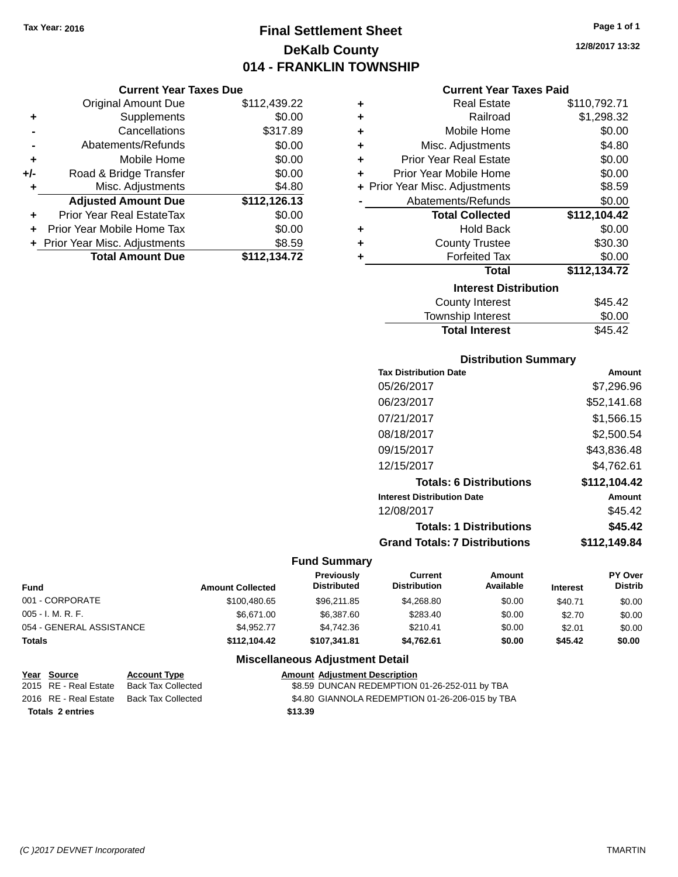# **Final Settlement Sheet Tax Year: 2016 Page 1 of 1 DeKalb County 014 - FRANKLIN TOWNSHIP**

**12/8/2017 13:32**

|       | <b>Original Amount Due</b>       | \$112,439.22 |
|-------|----------------------------------|--------------|
| ٠     | Supplements                      | \$0.00       |
|       | Cancellations                    | \$317.89     |
|       | Abatements/Refunds               | \$0.00       |
| ٠     | Mobile Home                      | \$0.00       |
| $+/-$ | Road & Bridge Transfer           | \$0.00       |
| ٠     | Misc. Adjustments                | \$4.80       |
|       | <b>Adjusted Amount Due</b>       | \$112,126.13 |
|       | <b>Prior Year Real EstateTax</b> | \$0.00       |
|       | Prior Year Mobile Home Tax       | \$0.00       |
|       | + Prior Year Misc. Adjustments   | \$8.59       |
|       | <b>Total Amount Due</b>          | \$112,134.72 |

| ٠ | <b>Real Estate</b>             | \$110,792.71 |  |  |  |
|---|--------------------------------|--------------|--|--|--|
| ÷ | Railroad                       | \$1,298.32   |  |  |  |
| ÷ | Mobile Home                    | \$0.00       |  |  |  |
| ÷ | Misc. Adjustments              | \$4.80       |  |  |  |
| ÷ | Prior Year Real Estate         | \$0.00       |  |  |  |
| ٠ | Prior Year Mobile Home         | \$0.00       |  |  |  |
|   | + Prior Year Misc. Adjustments | \$8.59       |  |  |  |
|   | Abatements/Refunds             | \$0.00       |  |  |  |
|   | <b>Total Collected</b>         | \$112,104.42 |  |  |  |
| ٠ | <b>Hold Back</b>               | \$0.00       |  |  |  |
| ÷ | <b>County Trustee</b>          | \$30.30      |  |  |  |
| ٠ | <b>Forfeited Tax</b>           | \$0.00       |  |  |  |
|   | Total                          | \$112,134.72 |  |  |  |
|   | <b>Interest Distribution</b>   |              |  |  |  |
|   | <b>County Interest</b>         | \$45.42      |  |  |  |
|   | <b>Township Interest</b>       | \$0.00       |  |  |  |
|   | <b>Total Interest</b>          | \$45.42      |  |  |  |

### **Distribution Summary**

| <b>Tax Distribution Date</b>         | Amount       |
|--------------------------------------|--------------|
| 05/26/2017                           | \$7.296.96   |
| 06/23/2017                           | \$52,141.68  |
| 07/21/2017                           | \$1,566.15   |
| 08/18/2017                           | \$2,500.54   |
| 09/15/2017                           | \$43,836.48  |
| 12/15/2017                           | \$4,762.61   |
| <b>Totals: 6 Distributions</b>       | \$112,104.42 |
| <b>Interest Distribution Date</b>    | Amount       |
| 12/08/2017                           | \$45.42      |
| <b>Totals: 1 Distributions</b>       | \$45.42      |
| <b>Grand Totals: 7 Distributions</b> | \$112.149.84 |

### **Fund Summary**

| <b>Fund</b>              | <b>Amount Collected</b> | <b>Previously</b><br><b>Distributed</b> | Current<br><b>Distribution</b> | Amount<br>Available | <b>Interest</b> | PY Over<br><b>Distrib</b> |
|--------------------------|-------------------------|-----------------------------------------|--------------------------------|---------------------|-----------------|---------------------------|
| 001 - CORPORATE          | \$100,480.65            | \$96,211,85                             | \$4,268,80                     | \$0.00              | \$40.71         | \$0.00                    |
| $005 - I. M. R. F.$      | \$6,671,00              | \$6,387.60                              | \$283.40                       | \$0.00              | \$2.70          | \$0.00                    |
| 054 - GENERAL ASSISTANCE | \$4.952.77              | \$4.742.36                              | \$210.41                       | \$0.00              | \$2.01          | \$0.00                    |
| <b>Totals</b>            | \$112,104.42            | \$107.341.81                            | \$4.762.61                     | \$0.00              | \$45.42         | \$0.00                    |

| Year Source             | <b>Account Type</b> | <b>Amount Adiustment Description</b>            |
|-------------------------|---------------------|-------------------------------------------------|
| 2015 RE - Real Estate   | Back Tax Collected  | \$8.59 DUNCAN REDEMPTION 01-26-252-011 by TBA   |
| 2016 RE - Real Estate   | Back Tax Collected  | \$4.80 GIANNOLA REDEMPTION 01-26-206-015 by TBA |
| <b>Totals 2 entries</b> |                     | \$13.39                                         |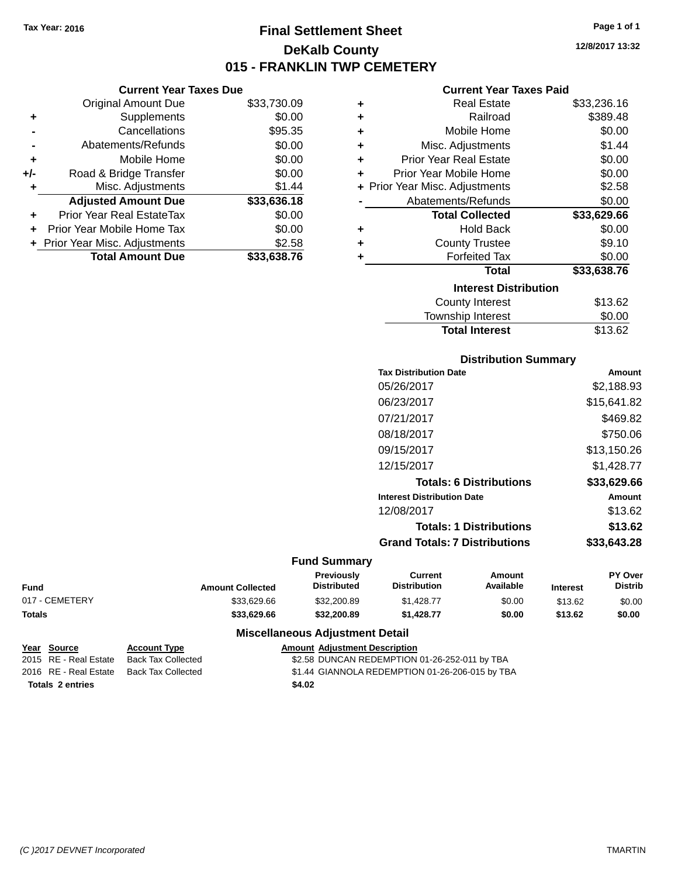**Current Year Taxes Due** Original Amount Due \$33,730.09

**Adjusted Amount Due \$33,636.18**

**Total Amount Due \$33,638.76**

**+** Supplements \$0.00 **-** Cancellations \$95.35 **-** Abatements/Refunds \$0.00 **+** Mobile Home \$0.00 **+/-** Road & Bridge Transfer \$0.00 **+** Misc. Adjustments \$1.44

**+** Prior Year Real EstateTax \$0.00 **+** Prior Year Mobile Home Tax \$0.00 **+** Prior Year Misc. Adjustments \$2.58

# **Final Settlement Sheet Tax Year: 2016 Page 1 of 1 DeKalb County 015 - FRANKLIN TWP CEMETERY**

**12/8/2017 13:32**

### **Current Year Taxes Paid**

| ٠ | <b>Real Estate</b>             | \$33,236.16 |
|---|--------------------------------|-------------|
| ٠ | Railroad                       | \$389.48    |
| ٠ | Mobile Home                    | \$0.00      |
| ٠ | Misc. Adjustments              | \$1.44      |
| ٠ | <b>Prior Year Real Estate</b>  | \$0.00      |
| ٠ | Prior Year Mobile Home         | \$0.00      |
|   | + Prior Year Misc. Adjustments | \$2.58      |
|   | Abatements/Refunds             | \$0.00      |
|   | <b>Total Collected</b>         | \$33,629.66 |
| ٠ | Hold Back                      | \$0.00      |
|   |                                |             |
| ٠ | <b>County Trustee</b>          | \$9.10      |
| ٠ | <b>Forfeited Tax</b>           | \$0.00      |
|   | <b>Total</b>                   | \$33,638.76 |
|   | <b>Interest Distribution</b>   |             |
|   | <b>County Interest</b>         | \$13.62     |

# **Distribution Summary**

Total Interest \$13.62

| <b>Tax Distribution Date</b>         | Amount      |
|--------------------------------------|-------------|
| 05/26/2017                           | \$2,188.93  |
| 06/23/2017                           | \$15,641.82 |
| 07/21/2017                           | \$469.82    |
| 08/18/2017                           | \$750.06    |
| 09/15/2017                           | \$13,150.26 |
| 12/15/2017                           | \$1,428.77  |
| <b>Totals: 6 Distributions</b>       | \$33,629.66 |
| <b>Interest Distribution Date</b>    | Amount      |
| 12/08/2017                           | \$13.62     |
| <b>Totals: 1 Distributions</b>       | \$13.62     |
| <b>Grand Totals: 7 Distributions</b> | \$33,643.28 |
|                                      |             |

#### **Fund Summary**

| <b>Fund</b>    | <b>Amount Collected</b> | Previouslv<br>Distributed | Current<br><b>Distribution</b> | Amount<br>Available | Interest | <b>PY Over</b><br>Distrib |
|----------------|-------------------------|---------------------------|--------------------------------|---------------------|----------|---------------------------|
| 017 - CEMETERY | \$33,629.66             | \$32,200.89               | \$1,428,77                     | \$0.00              | \$13.62  | \$0.00                    |
| <b>Totals</b>  | \$33.629.66             | \$32,200.89               | \$1,428,77                     | \$0.00              | \$13.62  | \$0.00                    |

| Year Source             | <b>Account Type</b> | <b>Amount Adjustment Description</b>            |
|-------------------------|---------------------|-------------------------------------------------|
| 2015 RE - Real Estate   | Back Tax Collected  | \$2.58 DUNCAN REDEMPTION 01-26-252-011 by TBA   |
| 2016 RE - Real Estate   | Back Tax Collected  | \$1.44 GIANNOLA REDEMPTION 01-26-206-015 by TBA |
| <b>Totals 2 entries</b> |                     | \$4.02                                          |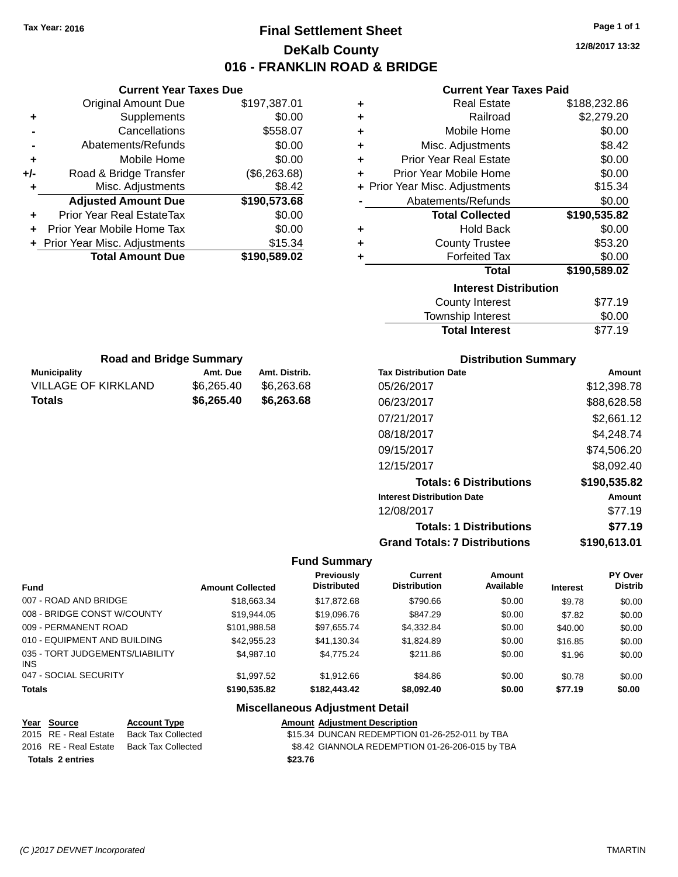**Current Year Taxes Due**

# **Final Settlement Sheet Tax Year: 2016 Page 1 of 1 DeKalb County 016 - FRANKLIN ROAD & BRIDGE**

**12/8/2017 13:32**

| <b>Current Year Taxes Paid</b> |  |  |  |
|--------------------------------|--|--|--|
|--------------------------------|--|--|--|

| <b>Original Amount Due</b>                        | \$197,387.01              | ٠                                      |                                      | <b>Real Estate</b>             |                 | \$188,232.86                 |  |
|---------------------------------------------------|---------------------------|----------------------------------------|--------------------------------------|--------------------------------|-----------------|------------------------------|--|
| Supplements<br>٠                                  | \$0.00                    | ٠                                      |                                      | Railroad                       |                 | \$2,279.20                   |  |
| Cancellations                                     | \$558.07                  | ٠                                      |                                      | Mobile Home                    |                 | \$0.00                       |  |
| Abatements/Refunds                                | \$0.00                    | ٠                                      |                                      | Misc. Adjustments              |                 | \$8.42                       |  |
| Mobile Home<br>٠                                  | \$0.00                    | ٠                                      | <b>Prior Year Real Estate</b>        |                                |                 | \$0.00                       |  |
| Road & Bridge Transfer<br>+/-                     | (\$6,263.68)              | ٠                                      | Prior Year Mobile Home               |                                |                 | \$0.00                       |  |
| Misc. Adjustments<br>٠                            | \$8.42                    | ٠                                      | Prior Year Misc. Adjustments         |                                |                 | \$15.34                      |  |
| <b>Adjusted Amount Due</b>                        | \$190,573.68              |                                        | Abatements/Refunds                   |                                |                 | \$0.00                       |  |
| Prior Year Real EstateTax<br>٠                    | \$0.00                    |                                        |                                      | <b>Total Collected</b>         |                 | \$190,535.82                 |  |
| Prior Year Mobile Home Tax                        | \$0.00                    | ٠                                      |                                      | <b>Hold Back</b>               |                 | \$0.00                       |  |
| Prior Year Misc. Adjustments<br>÷.                | \$15.34                   | ٠                                      |                                      | <b>County Trustee</b>          |                 | \$53.20                      |  |
| <b>Total Amount Due</b>                           | \$190,589.02              |                                        | <b>Forfeited Tax</b>                 |                                | \$0.00          |                              |  |
|                                                   |                           |                                        |                                      | <b>Total</b>                   |                 | \$190,589.02                 |  |
|                                                   |                           |                                        |                                      | <b>Interest Distribution</b>   |                 |                              |  |
|                                                   |                           |                                        |                                      | <b>County Interest</b>         |                 | \$77.19                      |  |
|                                                   |                           |                                        |                                      | Township Interest              |                 | \$0.00                       |  |
|                                                   |                           |                                        |                                      | <b>Total Interest</b>          |                 | \$77.19                      |  |
|                                                   |                           |                                        |                                      |                                |                 |                              |  |
| <b>Road and Bridge Summary</b>                    | Amt. Due<br>Amt. Distrib. |                                        | <b>Tax Distribution Date</b>         | <b>Distribution Summary</b>    |                 |                              |  |
| <b>Municipality</b><br><b>VILLAGE OF KIRKLAND</b> | \$6,265.40<br>\$6,263.68  |                                        | 05/26/2017                           |                                |                 | <b>Amount</b><br>\$12,398.78 |  |
| <b>Totals</b>                                     | \$6,265.40<br>\$6,263.68  |                                        |                                      |                                |                 |                              |  |
|                                                   |                           |                                        | 06/23/2017                           |                                |                 | \$88,628.58                  |  |
|                                                   |                           |                                        | 07/21/2017                           |                                |                 | \$2,661.12                   |  |
|                                                   |                           |                                        | 08/18/2017                           |                                |                 | \$4,248.74                   |  |
|                                                   |                           |                                        | 09/15/2017                           |                                |                 | \$74,506.20                  |  |
|                                                   |                           |                                        | 12/15/2017                           |                                |                 | \$8,092.40                   |  |
|                                                   |                           |                                        |                                      | <b>Totals: 6 Distributions</b> |                 | \$190,535.82                 |  |
|                                                   |                           |                                        | <b>Interest Distribution Date</b>    |                                |                 | <b>Amount</b>                |  |
|                                                   |                           |                                        | 12/08/2017                           |                                |                 | \$77.19                      |  |
|                                                   |                           |                                        |                                      | <b>Totals: 1 Distributions</b> |                 | \$77.19                      |  |
|                                                   |                           |                                        | <b>Grand Totals: 7 Distributions</b> |                                |                 | \$190,613.01                 |  |
|                                                   |                           | <b>Fund Summary</b>                    |                                      |                                |                 |                              |  |
|                                                   |                           | Previously                             | <b>Current</b>                       | <b>Amount</b>                  |                 | PY Over                      |  |
| Fund                                              | <b>Amount Collected</b>   | <b>Distributed</b>                     | <b>Distribution</b>                  | Available                      | <b>Interest</b> | <b>Distrib</b>               |  |
| 007 - ROAD AND BRIDGE                             | \$18,663.34               | \$17,872.68                            | \$790.66                             | \$0.00                         | \$9.78          | \$0.00                       |  |
| 008 - BRIDGE CONST W/COUNTY                       | \$19,944.05               | \$19,096.76                            | \$847.29                             | \$0.00                         | \$7.82          | \$0.00                       |  |
| 009 - PERMANENT ROAD                              | \$101,988.58              | \$97,655.74                            | \$4,332.84                           | \$0.00                         | \$40.00         | \$0.00                       |  |
| 010 - EQUIPMENT AND BUILDING                      | \$42,955.23               | \$41,130.34                            | \$1,824.89                           | \$0.00                         | \$16.85         | \$0.00                       |  |
| 035 - TORT JUDGEMENTS/LIABILITY<br>INS.           | \$4,987.10                | \$4,775.24                             | \$211.86                             | \$0.00                         | \$1.96          | \$0.00                       |  |
| 047 - SOCIAL SECURITY                             | \$1,997.52                | \$1,912.66                             | \$84.86                              | \$0.00                         | \$0.78          | \$0.00                       |  |
| Totals                                            | \$190,535.82              | \$182,443.42                           | \$8,092.40                           | \$0.00                         | \$77.19         | \$0.00                       |  |
|                                                   |                           | <b>Miscellaneous Adjustment Detail</b> |                                      |                                |                 |                              |  |
| <b>Account Type</b><br>Year Source                |                           | <b>Amount Adjustment Description</b>   |                                      |                                |                 |                              |  |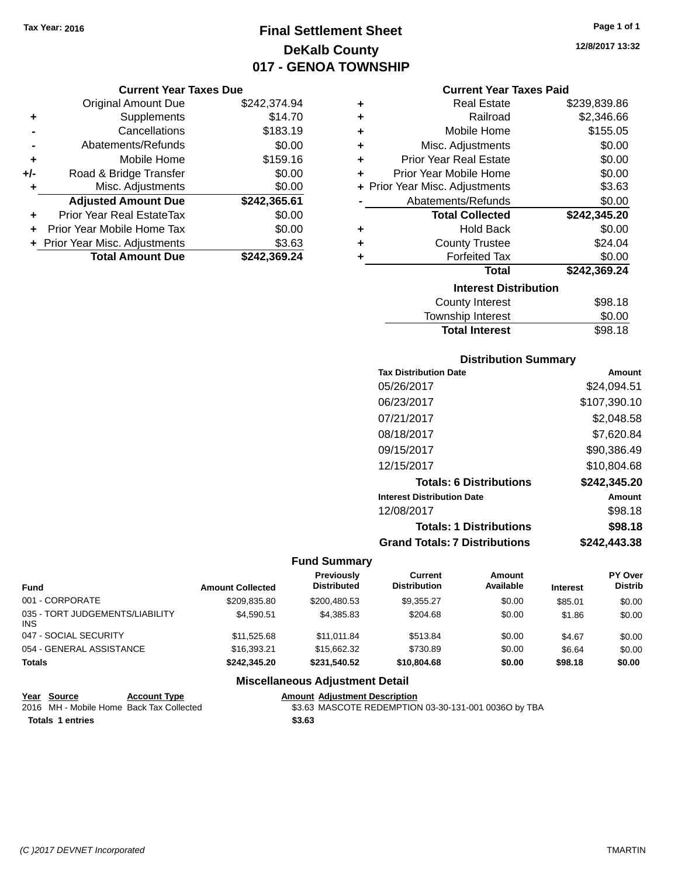# **Final Settlement Sheet Tax Year: 2016 Page 1 of 1 DeKalb County 017 - GENOA TOWNSHIP**

#### **Current Year Taxes Due**

|     | <b>Original Amount Due</b>       | \$242,374.94 |
|-----|----------------------------------|--------------|
| ٠   | Supplements                      | \$14.70      |
|     | Cancellations                    | \$183.19     |
|     | Abatements/Refunds               | \$0.00       |
| ٠   | Mobile Home                      | \$159.16     |
| +/- | Road & Bridge Transfer           | \$0.00       |
| ٠   | Misc. Adjustments                | \$0.00       |
|     | <b>Adjusted Amount Due</b>       | \$242,365.61 |
|     | <b>Prior Year Real EstateTax</b> | \$0.00       |
|     | Prior Year Mobile Home Tax       | \$0.00       |
|     | + Prior Year Misc. Adjustments   | \$3.63       |
|     | <b>Total Amount Due</b>          | \$242,369.24 |

#### **Current Year Taxes Paid**

| ٠ | <b>Real Estate</b>                            | \$239,839.86 |
|---|-----------------------------------------------|--------------|
| ÷ | Railroad                                      | \$2,346.66   |
| ٠ | Mobile Home                                   | \$155.05     |
| ٠ | Misc. Adjustments                             | \$0.00       |
| ÷ | <b>Prior Year Real Estate</b>                 | \$0.00       |
| ÷ | Prior Year Mobile Home                        | \$0.00       |
|   | + Prior Year Misc. Adjustments                | \$3.63       |
|   | Abatements/Refunds                            | \$0.00       |
|   |                                               |              |
|   | <b>Total Collected</b>                        | \$242,345.20 |
| ٠ | <b>Hold Back</b>                              | \$0.00       |
| ٠ |                                               | \$24.04      |
| ٠ | <b>County Trustee</b><br><b>Forfeited Tax</b> | \$0.00       |
|   | <b>Total</b>                                  | \$242,369.24 |
|   | <b>Interest Distribution</b>                  |              |
|   | <b>County Interest</b>                        | \$98.18      |

### **Distribution Summary**

Total Interest \$98.18

| <b>Tax Distribution Date</b>         | Amount       |
|--------------------------------------|--------------|
| 05/26/2017                           | \$24.094.51  |
| 06/23/2017                           | \$107,390.10 |
| 07/21/2017                           | \$2.048.58   |
| 08/18/2017                           | \$7,620.84   |
| 09/15/2017                           | \$90,386.49  |
| 12/15/2017                           | \$10,804.68  |
| <b>Totals: 6 Distributions</b>       | \$242,345.20 |
| <b>Interest Distribution Date</b>    | Amount       |
| 12/08/2017                           | \$98.18      |
| <b>Totals: 1 Distributions</b>       | \$98.18      |
| <b>Grand Totals: 7 Distributions</b> | \$242,443.38 |

### **Fund Summary**

| Fund                                    | <b>Amount Collected</b> | <b>Previously</b><br><b>Distributed</b> | <b>Current</b><br><b>Distribution</b> | Amount<br>Available | <b>Interest</b> | PY Over<br><b>Distrib</b> |
|-----------------------------------------|-------------------------|-----------------------------------------|---------------------------------------|---------------------|-----------------|---------------------------|
| 001 - CORPORATE                         | \$209.835.80            | \$200.480.53                            | \$9.355.27                            | \$0.00              | \$85.01         | \$0.00                    |
| 035 - TORT JUDGEMENTS/LIABILITY<br>INS. | \$4.590.51              | \$4.385.83                              | \$204.68                              | \$0.00              | \$1.86          | \$0.00                    |
| 047 - SOCIAL SECURITY                   | \$11.525.68             | \$11.011.84                             | \$513.84                              | \$0.00              | \$4.67          | \$0.00                    |
| 054 - GENERAL ASSISTANCE                | \$16,393.21             | \$15,662,32                             | \$730.89                              | \$0.00              | \$6.64          | \$0.00                    |
| <b>Totals</b>                           | \$242,345,20            | \$231.540.52                            | \$10,804.68                           | \$0.00              | \$98.18         | \$0.00                    |

### **Miscellaneous Adjustment Detail**

# **Year Source Account Type Account Type Amount Adjustment Description**<br>2016 MH - Mobile Home Back Tax Collected \$3.63 MASCOTE REDEMPTION

**Totals 1 entries \$3.63**

\$3.63 MASCOTE REDEMPTION 03-30-131-001 0036O by TBA

**12/8/2017 13:32**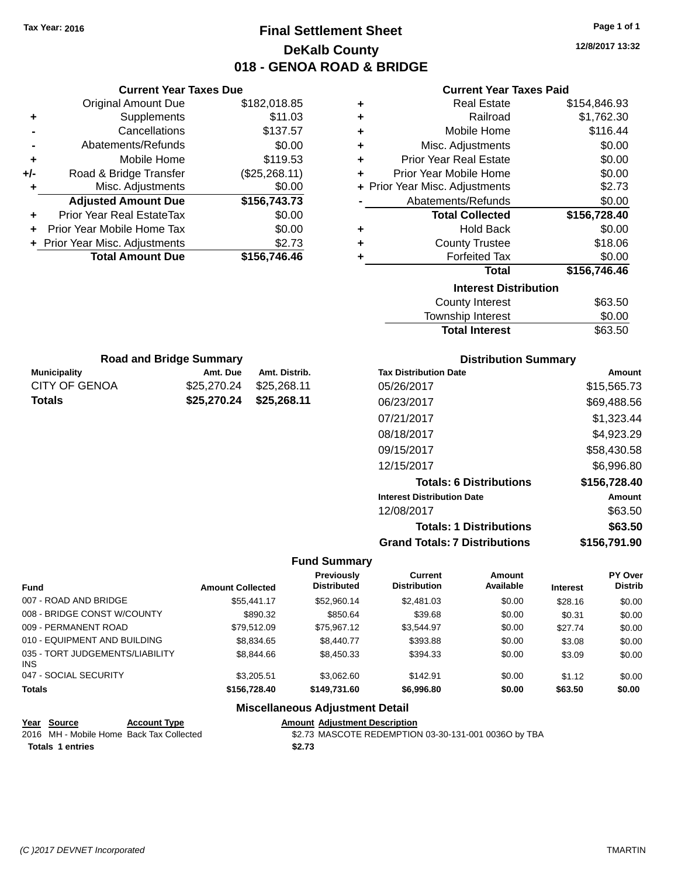**Current Year Taxes Due**

**Municipality Amt. Due Amt. Distrib. Road and Bridge Summary**

CITY OF GENOA \$25,270.24 \$25,268.11 **Totals \$25,270.24 \$25,268.11**

# **Final Settlement Sheet Tax Year: 2016 Page 1 of 1 DeKalb County 018 - GENOA ROAD & BRIDGE**

**12/8/2017 13:32**

### **Current Year Taxes Paid**

|     | YUN YIN TVUL TUAVY PUV           |               |   | odhoni Todh Taxoo Fala         |              |
|-----|----------------------------------|---------------|---|--------------------------------|--------------|
|     | <b>Original Amount Due</b>       | \$182,018.85  | ٠ | <b>Real Estate</b>             | \$154,846.93 |
| ٠   | Supplements                      | \$11.03       | ٠ | Railroad                       | \$1,762.30   |
|     | Cancellations                    | \$137.57      | ٠ | Mobile Home                    | \$116.44     |
|     | Abatements/Refunds               | \$0.00        | ٠ | Misc. Adjustments              | \$0.00       |
| ٠   | Mobile Home                      | \$119.53      | ٠ | <b>Prior Year Real Estate</b>  | \$0.00       |
| +/- | Road & Bridge Transfer           | (\$25,268.11) | ٠ | Prior Year Mobile Home         | \$0.00       |
|     | Misc. Adjustments                | \$0.00        |   | + Prior Year Misc. Adjustments | \$2.73       |
|     | <b>Adjusted Amount Due</b>       | \$156,743.73  |   | Abatements/Refunds             | \$0.00       |
| ٠   | <b>Prior Year Real EstateTax</b> | \$0.00        |   | <b>Total Collected</b>         | \$156,728.40 |
| ٠   | Prior Year Mobile Home Tax       | \$0.00        | ٠ | <b>Hold Back</b>               | \$0.00       |
|     | + Prior Year Misc. Adjustments   | \$2.73        | ٠ | <b>County Trustee</b>          | \$18.06      |
|     | <b>Total Amount Due</b>          | \$156,746.46  |   | <b>Forfeited Tax</b>           | \$0.00       |
|     |                                  |               |   | <b>Total</b>                   | \$156,746.46 |
|     |                                  |               |   | <b>Interest Distribution</b>   |              |
|     |                                  |               |   | County Interest                | \$63.50      |
|     |                                  |               |   |                                |              |

#### Township Interest \$0.00 Total Interest \$63.50

| <b>Distribution Summary</b>          |              |
|--------------------------------------|--------------|
| <b>Tax Distribution Date</b>         | Amount       |
| 05/26/2017                           | \$15,565.73  |
| 06/23/2017                           | \$69,488.56  |
| 07/21/2017                           | \$1,323.44   |
| 08/18/2017                           | \$4,923.29   |
| 09/15/2017                           | \$58,430.58  |
| 12/15/2017                           | \$6,996.80   |
| <b>Totals: 6 Distributions</b>       | \$156,728.40 |
| <b>Interest Distribution Date</b>    | Amount       |
| 12/08/2017                           | \$63.50      |
| <b>Totals: 1 Distributions</b>       | \$63.50      |
| <b>Grand Totals: 7 Distributions</b> | \$156.791.90 |

#### **Fund Summary**

| <b>Fund</b>                             | <b>Amount Collected</b> | <b>Previously</b><br><b>Distributed</b> | Current<br><b>Distribution</b> | Amount<br>Available | <b>Interest</b> | <b>PY Over</b><br><b>Distrib</b> |
|-----------------------------------------|-------------------------|-----------------------------------------|--------------------------------|---------------------|-----------------|----------------------------------|
| 007 - ROAD AND BRIDGE                   | \$55,441.17             | \$52,960.14                             | \$2,481.03                     | \$0.00              | \$28.16         | \$0.00                           |
| 008 - BRIDGE CONST W/COUNTY             | \$890.32                | \$850.64                                | \$39.68                        | \$0.00              | \$0.31          | \$0.00                           |
| 009 - PERMANENT ROAD                    | \$79.512.09             | \$75.967.12                             | \$3.544.97                     | \$0.00              | \$27.74         | \$0.00                           |
| 010 - EQUIPMENT AND BUILDING            | \$8,834.65              | \$8,440.77                              | \$393.88                       | \$0.00              | \$3.08          | \$0.00                           |
| 035 - TORT JUDGEMENTS/LIABILITY<br>INS. | \$8,844.66              | \$8,450.33                              | \$394.33                       | \$0.00              | \$3.09          | \$0.00                           |
| 047 - SOCIAL SECURITY                   | \$3,205.51              | \$3.062.60                              | \$142.91                       | \$0.00              | \$1.12          | \$0.00                           |
| <b>Totals</b>                           | \$156,728,40            | \$149.731.60                            | \$6,996.80                     | \$0.00              | \$63.50         | \$0.00                           |

| Year Source      | <b>Account Type</b>                      |        | <b>Amount Adiustment Description</b>                 |
|------------------|------------------------------------------|--------|------------------------------------------------------|
|                  | 2016 MH - Mobile Home Back Tax Collected |        | \$2.73 MASCOTE REDEMPTION 03-30-131-001 0036O by TBA |
| Totals 1 entries |                                          | \$2.73 |                                                      |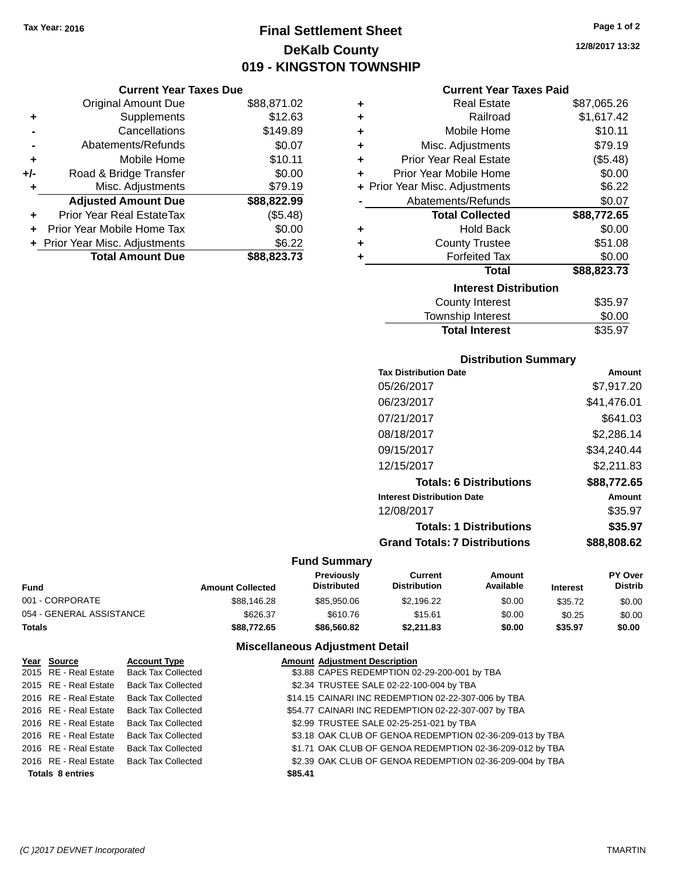# **Final Settlement Sheet Tax Year: 2016 Page 1 of 2 DeKalb County 019 - KINGSTON TOWNSHIP**

#### **Current Year Taxes Due**

|       | <b>Original Amount Due</b>       | \$88,871.02 |
|-------|----------------------------------|-------------|
| ٠     | Supplements                      | \$12.63     |
|       | Cancellations                    | \$149.89    |
|       | Abatements/Refunds               | \$0.07      |
| ٠     | Mobile Home                      | \$10.11     |
| $+/-$ | Road & Bridge Transfer           | \$0.00      |
| ٠     | Misc. Adjustments                | \$79.19     |
|       | <b>Adjusted Amount Due</b>       | \$88,822.99 |
| ÷     | <b>Prior Year Real EstateTax</b> | (\$5.48)    |
|       | Prior Year Mobile Home Tax       | \$0.00      |
|       | + Prior Year Misc. Adjustments   | \$6.22      |
|       | <b>Total Amount Due</b>          | \$88,823.73 |

### **Current Year Taxes Paid**

| ٠ | <b>Real Estate</b>             | \$87,065.26 |
|---|--------------------------------|-------------|
| ÷ | Railroad                       | \$1,617.42  |
| ÷ | Mobile Home                    | \$10.11     |
| ٠ | Misc. Adjustments              | \$79.19     |
| ÷ | <b>Prior Year Real Estate</b>  | (\$5.48)    |
| ÷ | Prior Year Mobile Home         | \$0.00      |
|   | + Prior Year Misc. Adjustments | \$6.22      |
|   | Abatements/Refunds             | \$0.07      |
|   | <b>Total Collected</b>         | \$88,772.65 |
| ٠ | Hold Back                      | \$0.00      |
| ٠ | <b>County Trustee</b>          | \$51.08     |
| ٠ | <b>Forfeited Tax</b>           | \$0.00      |
|   | Total                          | \$88,823.73 |
|   | <b>Interest Distribution</b>   |             |
|   | <b>County Interest</b>         | \$35.97     |
|   | <b>Township Interest</b>       | \$0.00      |
|   | <b>Total Interest</b>          | \$35.97     |

### **Distribution Summary**

| Amount      |
|-------------|
| \$7,917.20  |
| \$41,476.01 |
| \$641.03    |
| \$2,286.14  |
| \$34,240.44 |
| \$2,211.83  |
| \$88.772.65 |
| Amount      |
| \$35.97     |
| \$35.97     |
| \$88,808.62 |
|             |

### **Fund Summary**

| Fund                     | <b>Amount Collected</b> | <b>Previously</b><br><b>Distributed</b> | Current<br><b>Distribution</b> | Amount<br>Available | <b>Interest</b> | PY Over<br><b>Distrib</b> |
|--------------------------|-------------------------|-----------------------------------------|--------------------------------|---------------------|-----------------|---------------------------|
| 001 - CORPORATE          | \$88,146.28             | \$85,950,06                             | \$2.196.22                     | \$0.00              | \$35.72         | \$0.00                    |
| 054 - GENERAL ASSISTANCE | \$626.37                | \$610.76                                | \$15.61                        | \$0.00              | \$0.25          | \$0.00                    |
| Totals                   | \$88,772.65             | \$86,560.82                             | \$2,211.83                     | \$0.00              | \$35.97         | \$0.00                    |

### **Miscellaneous Adjustment Detail**

| Year Source             | <b>Account Type</b>                      |         | <b>Amount Adjustment Description</b>                     |
|-------------------------|------------------------------------------|---------|----------------------------------------------------------|
|                         | 2015 RE - Real Estate Back Tax Collected |         | \$3.88 CAPES REDEMPTION 02-29-200-001 by TBA             |
|                         | 2015 RE - Real Estate Back Tax Collected |         | \$2.34 TRUSTEE SALE 02-22-100-004 by TBA                 |
| 2016 RE - Real Estate   | Back Tax Collected                       |         | \$14.15 CAINARI INC REDEMPTION 02-22-307-006 by TBA      |
|                         | 2016 RE - Real Estate Back Tax Collected |         | \$54.77 CAINARI INC REDEMPTION 02-22-307-007 by TBA      |
|                         | 2016 RE - Real Estate Back Tax Collected |         | \$2.99 TRUSTEE SALE 02-25-251-021 by TBA                 |
| 2016 RE - Real Estate   | <b>Back Tax Collected</b>                |         | \$3.18 OAK CLUB OF GENOA REDEMPTION 02-36-209-013 by TBA |
| 2016 RE - Real Estate   | <b>Back Tax Collected</b>                |         | \$1.71 OAK CLUB OF GENOA REDEMPTION 02-36-209-012 by TBA |
|                         | 2016 RE - Real Estate Back Tax Collected |         | \$2.39 OAK CLUB OF GENOA REDEMPTION 02-36-209-004 by TBA |
| <b>Totals 8 entries</b> |                                          | \$85.41 |                                                          |

**12/8/2017 13:32**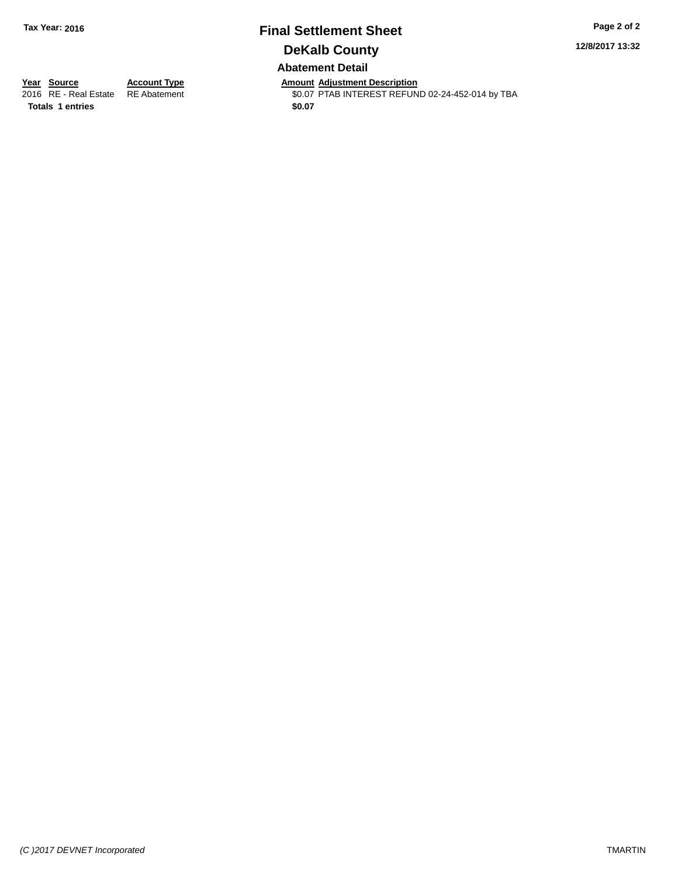## **Final Settlement Sheet Tax Year: 2016 Page 2 of 2 DeKalb County Abatement Detail**

**12/8/2017 13:32**

**Totals 1 entries \$0.07**

**Year Source Account Type Amount Adjustment Description** \$0.07 PTAB INTEREST REFUND 02-24-452-014 by TBA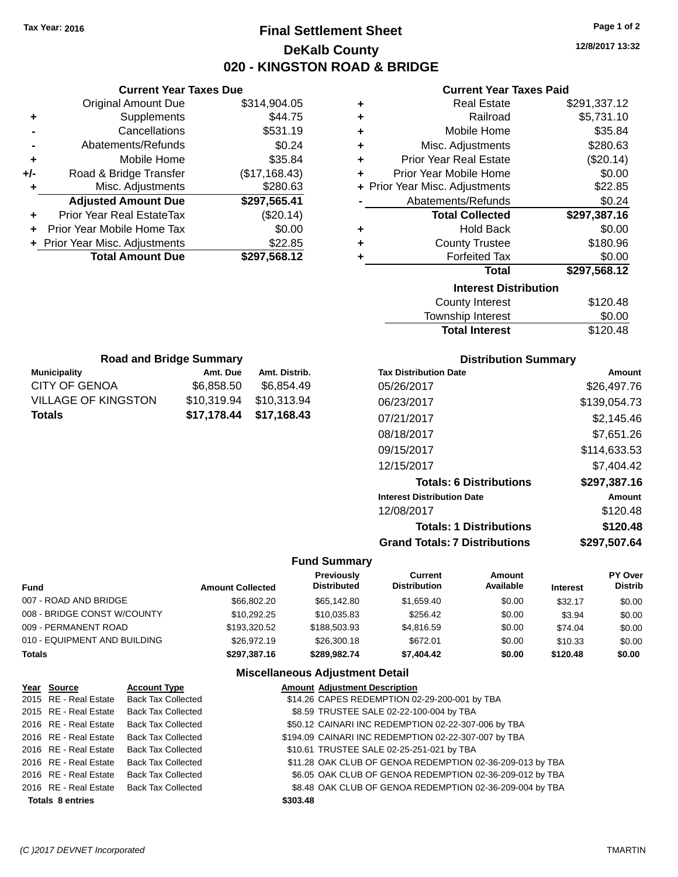# **Final Settlement Sheet Tax Year: 2016 Page 1 of 2 DeKalb County 020 - KINGSTON ROAD & BRIDGE**

**12/8/2017 13:32**

### **Current Year Taxes Paid**

| ٠ | <b>Real Estate</b>             | \$291,337.12 |
|---|--------------------------------|--------------|
| ٠ | Railroad                       | \$5,731.10   |
| ٠ | Mobile Home                    | \$35.84      |
| ÷ | Misc. Adjustments              | \$280.63     |
| ÷ | <b>Prior Year Real Estate</b>  | (\$20.14)    |
| ٠ | Prior Year Mobile Home         | \$0.00       |
|   | + Prior Year Misc. Adjustments | \$22.85      |
|   | Abatements/Refunds             | \$0.24       |
|   | <b>Total Collected</b>         | \$297,387.16 |
| ٠ | <b>Hold Back</b>               | \$0.00       |
| ÷ | <b>County Trustee</b>          | \$180.96     |
| ٠ | <b>Forfeited Tax</b>           | \$0.00       |
|   | <b>Total</b>                   | \$297,568.12 |
|   | <b>Interest Distribution</b>   |              |
|   | <b>County Interest</b>         | \$120.48     |
|   | Townshin Interest              | ፍስ ሰስ        |

| <b>Total Interest</b> | \$120.48 |
|-----------------------|----------|
| Township Interest     | \$0.00   |
| County Interest       | \$120.48 |

| <b>Road and Bridge Summary</b> |             |               |  |  |  |
|--------------------------------|-------------|---------------|--|--|--|
| <b>Municipality</b>            | Amt. Due    | Amt. Distrib. |  |  |  |
| CITY OF GENOA                  | \$6.858.50  | \$6,854.49    |  |  |  |
| <b>VILLAGE OF KINGSTON</b>     | \$10,319.94 | \$10,313.94   |  |  |  |
| <b>Totals</b>                  | \$17,178.44 | \$17,168.43   |  |  |  |

**Current Year Taxes Due** Original Amount Due \$314,904.05

**Adjusted Amount Due \$297,565.41**

**Total Amount Due \$297,568.12**

**+** Supplements \$44.75 **-** Cancellations **\$531.19 -** Abatements/Refunds \$0.24 **+** Mobile Home \$35.84 **+/-** Road & Bridge Transfer (\$17,168.43) **+** Misc. Adjustments \$280.63

**+** Prior Year Real EstateTax (\$20.14) **+** Prior Year Mobile Home Tax \$0.00 **+** Prior Year Misc. Adjustments \$22.85

### **Distribution Summary**

| <b>Tax Distribution Date</b>         | Amount        |
|--------------------------------------|---------------|
| 05/26/2017                           | \$26,497.76   |
| 06/23/2017                           | \$139,054.73  |
| 07/21/2017                           | \$2.145.46    |
| 08/18/2017                           | \$7,651.26    |
| 09/15/2017                           | \$114.633.53  |
| 12/15/2017                           | \$7.404.42    |
| <b>Totals: 6 Distributions</b>       | \$297,387.16  |
| <b>Interest Distribution Date</b>    | <b>Amount</b> |
| 12/08/2017                           | \$120.48      |
| <b>Totals: 1 Distributions</b>       | \$120.48      |
| <b>Grand Totals: 7 Distributions</b> | \$297,507.64  |

#### **Fund Summary**

| Fund                         | <b>Amount Collected</b> | Previously<br><b>Distributed</b> | Current<br><b>Distribution</b> | Amount<br>Available | <b>Interest</b> | PY Over<br><b>Distrib</b> |
|------------------------------|-------------------------|----------------------------------|--------------------------------|---------------------|-----------------|---------------------------|
| 007 - ROAD AND BRIDGE        | \$66,802,20             | \$65,142.80                      | \$1,659.40                     | \$0.00              | \$32.17         | \$0.00                    |
| 008 - BRIDGE CONST W/COUNTY  | \$10.292.25             | \$10.035.83                      | \$256.42                       | \$0.00              | \$3.94          | \$0.00                    |
| 009 - PERMANENT ROAD         | \$193,320.52            | \$188,503.93                     | \$4.816.59                     | \$0.00              | \$74.04         | \$0.00                    |
| 010 - EQUIPMENT AND BUILDING | \$26,972.19             | \$26,300.18                      | \$672.01                       | \$0.00              | \$10.33         | \$0.00                    |
| Totals                       | \$297.387.16            | \$289.982.74                     | \$7,404.42                     | \$0.00              | \$120.48        | \$0.00                    |

| Year Source             | <b>Account Type</b>       |          | <b>Amount Adjustment Description</b>                      |
|-------------------------|---------------------------|----------|-----------------------------------------------------------|
| 2015 RE - Real Estate   | <b>Back Tax Collected</b> |          | \$14.26 CAPES REDEMPTION 02-29-200-001 by TBA             |
| 2015 RE - Real Estate   | Back Tax Collected        |          | \$8.59 TRUSTEE SALE 02-22-100-004 by TBA                  |
| 2016 RE - Real Estate   | <b>Back Tax Collected</b> |          | \$50.12 CAINARI INC REDEMPTION 02-22-307-006 by TBA       |
| 2016 RE - Real Estate   | Back Tax Collected        |          | \$194.09 CAINARI INC REDEMPTION 02-22-307-007 by TBA      |
| 2016 RE - Real Estate   | Back Tax Collected        |          | \$10.61 TRUSTEE SALE 02-25-251-021 by TBA                 |
| 2016 RE - Real Estate   | <b>Back Tax Collected</b> |          | \$11.28 OAK CLUB OF GENOA REDEMPTION 02-36-209-013 by TBA |
| 2016 RE - Real Estate   | <b>Back Tax Collected</b> |          | \$6.05 OAK CLUB OF GENOA REDEMPTION 02-36-209-012 by TBA  |
| 2016 RE - Real Estate   | <b>Back Tax Collected</b> |          | \$8.48 OAK CLUB OF GENOA REDEMPTION 02-36-209-004 by TBA  |
| <b>Totals 8 entries</b> |                           | \$303.48 |                                                           |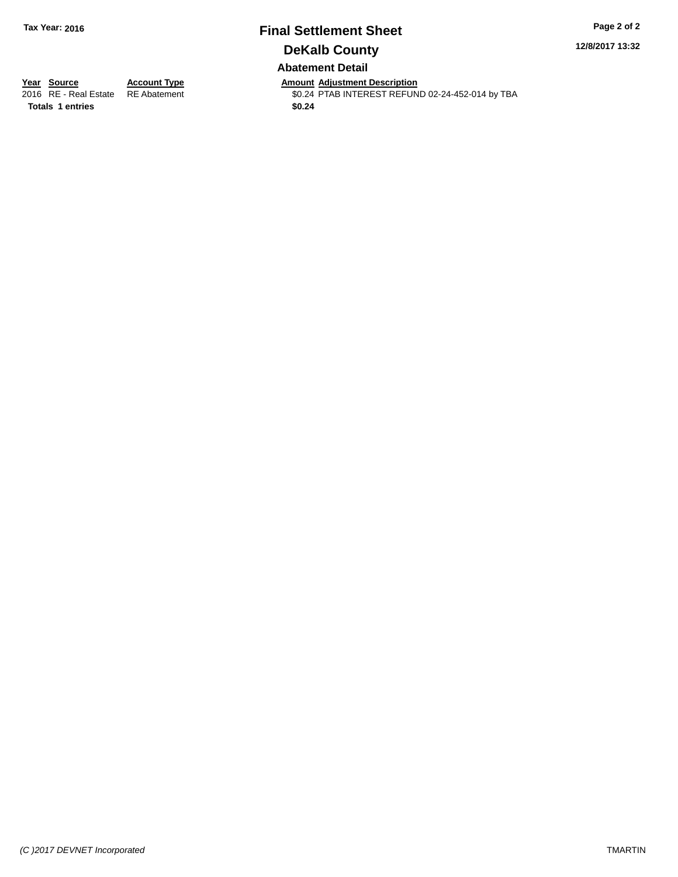## **Final Settlement Sheet Tax Year: 2016 Page 2 of 2 DeKalb County Abatement Detail**

**12/8/2017 13:32**

**Totals 1 entries \$0.24**

**Year Source Account Type Amount Adjustment Description** \$0.24 PTAB INTEREST REFUND 02-24-452-014 by TBA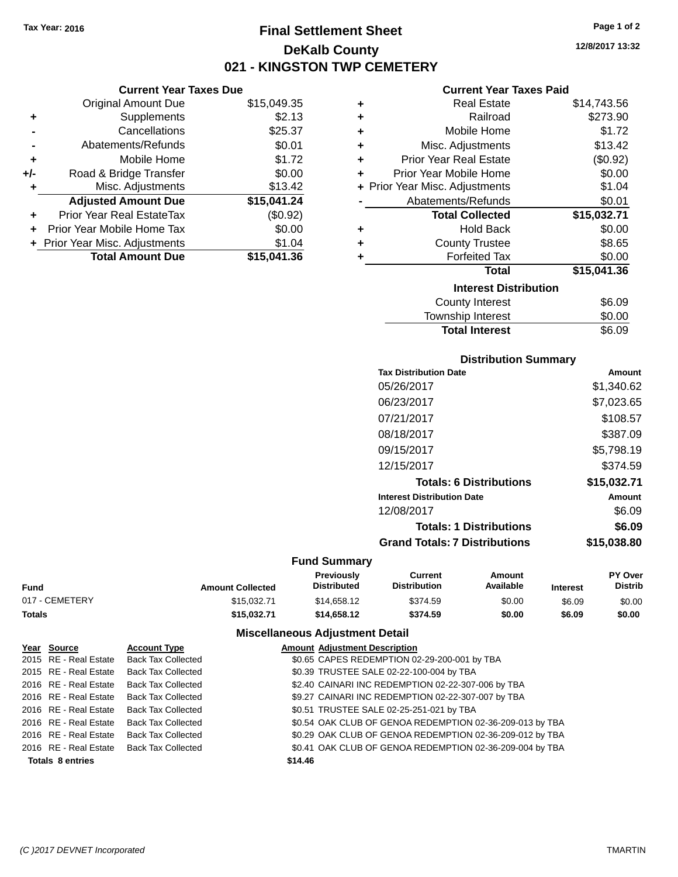**Current Year Taxes Due** Original Amount Due \$15,049.35

**Adjusted Amount Due \$15,041.24**

**Total Amount Due \$15,041.36**

**+** Supplements \$2.13 **-** Cancellations \$25.37 **-** Abatements/Refunds \$0.01 **+** Mobile Home \$1.72 **+/-** Road & Bridge Transfer \$0.00 **+** Misc. Adjustments \$13.42

**+** Prior Year Real EstateTax (\$0.92) **+** Prior Year Mobile Home Tax \$0.00 **+** Prior Year Misc. Adjustments \$1.04

# **Final Settlement Sheet Tax Year: 2016 Page 1 of 2 DeKalb County 021 - KINGSTON TWP CEMETERY**

**12/8/2017 13:32**

#### **Current Year Taxes Paid**

| ٠ | <b>Real Estate</b>             | \$14,743.56 |
|---|--------------------------------|-------------|
| ٠ | Railroad                       | \$273.90    |
| ٠ | Mobile Home                    | \$1.72      |
| ÷ | Misc. Adjustments              | \$13.42     |
| ٠ | <b>Prior Year Real Estate</b>  | (\$0.92)    |
| ٠ | Prior Year Mobile Home         | \$0.00      |
|   | + Prior Year Misc. Adjustments | \$1.04      |
|   | Abatements/Refunds             | \$0.01      |
|   | <b>Total Collected</b>         | \$15,032.71 |
| ٠ | <b>Hold Back</b>               | \$0.00      |
| ٠ | <b>County Trustee</b>          | \$8.65      |
| ٠ | <b>Forfeited Tax</b>           | \$0.00      |
|   | <b>Total</b>                   | \$15,041.36 |
|   | <b>Interest Distribution</b>   |             |
|   | <b>County Interest</b>         | \$6.09      |
|   | <b>Township Interest</b>       | \$0.00      |

| <b>Total Interest</b> | \$6.09 |
|-----------------------|--------|
| Township Interest     | \$0.00 |
| <b>OVAIRY INCICOL</b> | ⊽⊽∙⊽   |

### **Distribution Summary**

| <b>Tax Distribution Date</b>         | Amount      |
|--------------------------------------|-------------|
| 05/26/2017                           | \$1,340.62  |
| 06/23/2017                           | \$7,023.65  |
| 07/21/2017                           | \$108.57    |
| 08/18/2017                           | \$387.09    |
| 09/15/2017                           | \$5,798.19  |
| 12/15/2017                           | \$374.59    |
| <b>Totals: 6 Distributions</b>       | \$15,032.71 |
| <b>Interest Distribution Date</b>    | Amount      |
| 12/08/2017                           | \$6.09      |
| <b>Totals: 1 Distributions</b>       | \$6.09      |
| <b>Grand Totals: 7 Distributions</b> | \$15,038.80 |
|                                      |             |

#### **Fund Summary**

|                |                         | Previouslv         |                     | Amount    |                 | <b>PY Over</b> |
|----------------|-------------------------|--------------------|---------------------|-----------|-----------------|----------------|
| Fund           | <b>Amount Collected</b> | <b>Distributed</b> | <b>Distribution</b> | Available | <b>Interest</b> | <b>Distrib</b> |
| 017 - CEMETERY | \$15.032.71             | \$14,658,12        | \$374.59            | \$0.00    | \$6.09          | \$0.00         |
| Totals         | \$15,032.71             | \$14.658.12        | \$374.59            | \$0.00    | \$6.09          | \$0.00         |

|                         | Year Source           | <b>Account Type</b>                      |         | <b>Amount Adjustment Description</b>                     |
|-------------------------|-----------------------|------------------------------------------|---------|----------------------------------------------------------|
|                         | 2015 RE - Real Estate | <b>Back Tax Collected</b>                |         | \$0.65 CAPES REDEMPTION 02-29-200-001 by TBA             |
|                         | 2015 RE - Real Estate | Back Tax Collected                       |         | \$0.39 TRUSTEE SALE 02-22-100-004 by TBA                 |
|                         | 2016 RE - Real Estate | Back Tax Collected                       |         | \$2.40 CAINARI INC REDEMPTION 02-22-307-006 by TBA       |
|                         | 2016 RE - Real Estate | Back Tax Collected                       |         | \$9.27 CAINARI INC REDEMPTION 02-22-307-007 by TBA       |
|                         | 2016 RE - Real Estate | <b>Back Tax Collected</b>                |         | \$0.51 TRUSTEE SALE 02-25-251-021 by TBA                 |
|                         | 2016 RE - Real Estate | <b>Back Tax Collected</b>                |         | \$0.54 OAK CLUB OF GENOA REDEMPTION 02-36-209-013 by TBA |
|                         | 2016 RE - Real Estate | <b>Back Tax Collected</b>                |         | \$0.29 OAK CLUB OF GENOA REDEMPTION 02-36-209-012 by TBA |
|                         |                       | 2016 RE - Real Estate Back Tax Collected |         | \$0.41 OAK CLUB OF GENOA REDEMPTION 02-36-209-004 by TBA |
| <b>Totals 8 entries</b> |                       |                                          | \$14.46 |                                                          |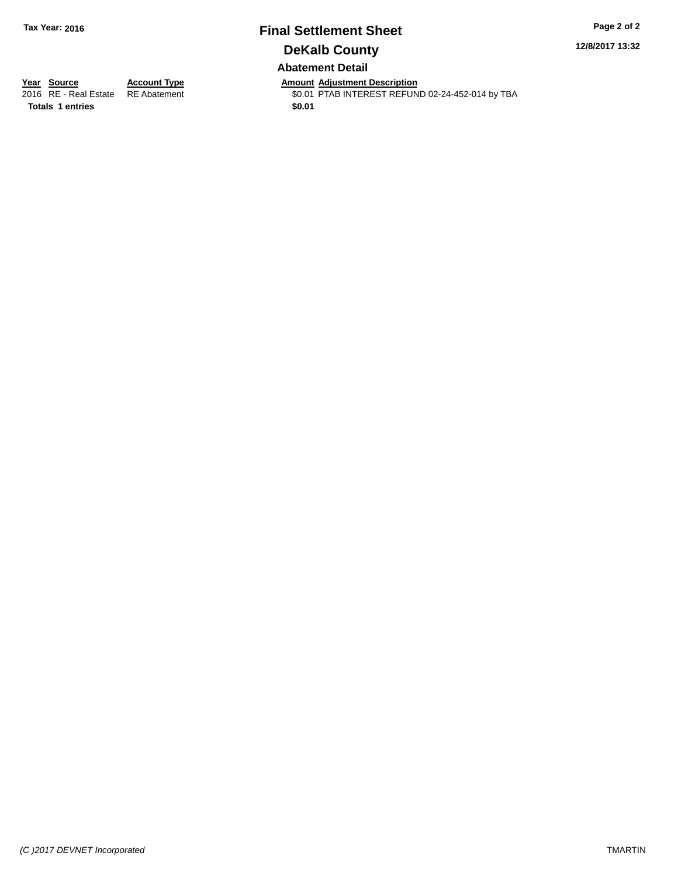## **Final Settlement Sheet Tax Year: 2016 Page 2 of 2 DeKalb County Abatement Detail**

**12/8/2017 13:32**

**Totals 1 entries \$0.01**

**Year Source Account Type Amount Adjustment Description** \$0.01 PTAB INTEREST REFUND 02-24-452-014 by TBA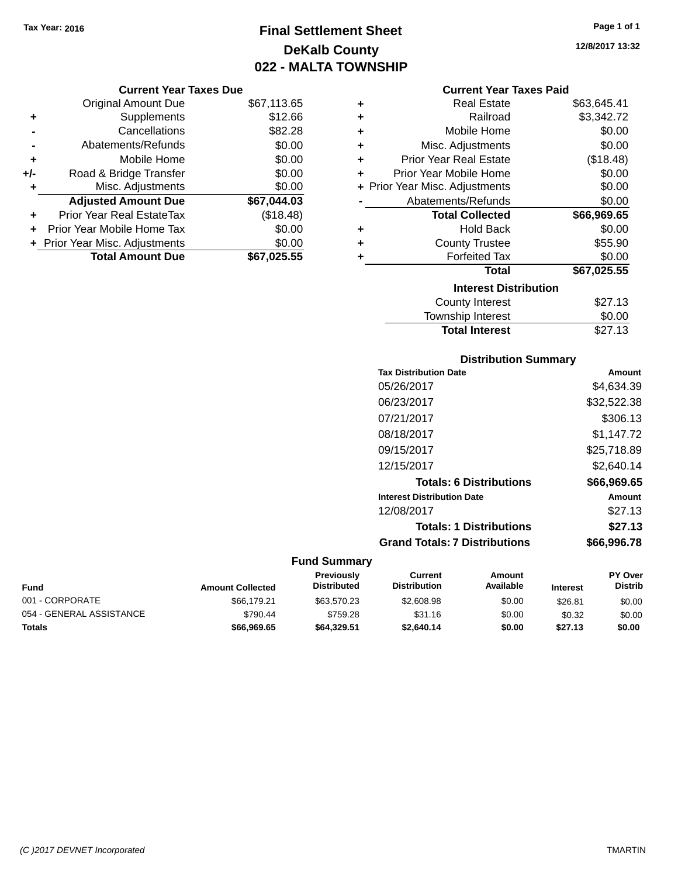# **Final Settlement Sheet Tax Year: 2016 Page 1 of 1 DeKalb County 022 - MALTA TOWNSHIP**

**12/8/2017 13:32**

|     | <b>Current Year Taxes Due</b>    |             |
|-----|----------------------------------|-------------|
|     | <b>Original Amount Due</b>       | \$67,113.65 |
| ٠   | Supplements                      | \$12.66     |
|     | Cancellations                    | \$82.28     |
|     | Abatements/Refunds               | \$0.00      |
| ٠   | Mobile Home                      | \$0.00      |
| +/- | Road & Bridge Transfer           | \$0.00      |
|     | Misc. Adjustments                | \$0.00      |
|     | <b>Adjusted Amount Due</b>       | \$67,044.03 |
| ٠   | <b>Prior Year Real EstateTax</b> | (\$18.48)   |
| ÷   | Prior Year Mobile Home Tax       | \$0.00      |
|     | + Prior Year Misc. Adjustments   | \$0.00      |
|     | <b>Total Amount Due</b>          | \$67.025.55 |

|   | <b>Current Year Taxes Paid</b> |             |
|---|--------------------------------|-------------|
| ٠ | <b>Real Estate</b>             | \$63,645.41 |
| ٠ | Railroad                       | \$3,342.72  |
| ٠ | Mobile Home                    | \$0.00      |
| ٠ | Misc. Adjustments              | \$0.00      |
| ٠ | <b>Prior Year Real Estate</b>  | (\$18.48)   |
| ÷ | Prior Year Mobile Home         | \$0.00      |
|   | + Prior Year Misc. Adjustments | \$0.00      |
|   | Abatements/Refunds             | \$0.00      |
|   | <b>Total Collected</b>         | \$66,969.65 |
| ٠ | <b>Hold Back</b>               | \$0.00      |
| ÷ | <b>County Trustee</b>          | \$55.90     |
| ٠ | <b>Forfeited Tax</b>           | \$0.00      |
|   | <b>Total</b>                   | \$67,025.55 |
|   |                                |             |
|   | <b>Interest Distribution</b>   |             |
|   | County Interest                | \$27.13     |
|   | <b>Township Interest</b>       | \$0.00      |

### **Distribution Summary**

| <b>Tax Distribution Date</b>         | Amount      |
|--------------------------------------|-------------|
| 05/26/2017                           | \$4,634.39  |
| 06/23/2017                           | \$32,522.38 |
| 07/21/2017                           | \$306.13    |
| 08/18/2017                           | \$1.147.72  |
| 09/15/2017                           | \$25,718.89 |
| 12/15/2017                           | \$2,640.14  |
| <b>Totals: 6 Distributions</b>       | \$66,969.65 |
| <b>Interest Distribution Date</b>    | Amount      |
| 12/08/2017                           | \$27.13     |
| <b>Totals: 1 Distributions</b>       | \$27.13     |
| <b>Grand Totals: 7 Distributions</b> | \$66.996.78 |
|                                      |             |

### **Fund Summary**

| <b>Fund</b>              | <b>Amount Collected</b> | <b>Previously</b><br><b>Distributed</b> | Current<br><b>Distribution</b> | Amount<br>Available | <b>Interest</b> | <b>PY Over</b><br><b>Distrib</b> |
|--------------------------|-------------------------|-----------------------------------------|--------------------------------|---------------------|-----------------|----------------------------------|
| 001 - CORPORATE          | \$66.179.21             | \$63.570.23                             | \$2,608.98                     | \$0.00              | \$26.81         | \$0.00                           |
| 054 - GENERAL ASSISTANCE | \$790.44                | \$759.28                                | \$31.16                        | \$0.00              | \$0.32          | \$0.00                           |
| Totals                   | \$66.969.65             | \$64.329.51                             | \$2.640.14                     | \$0.00              | \$27.13         | \$0.00                           |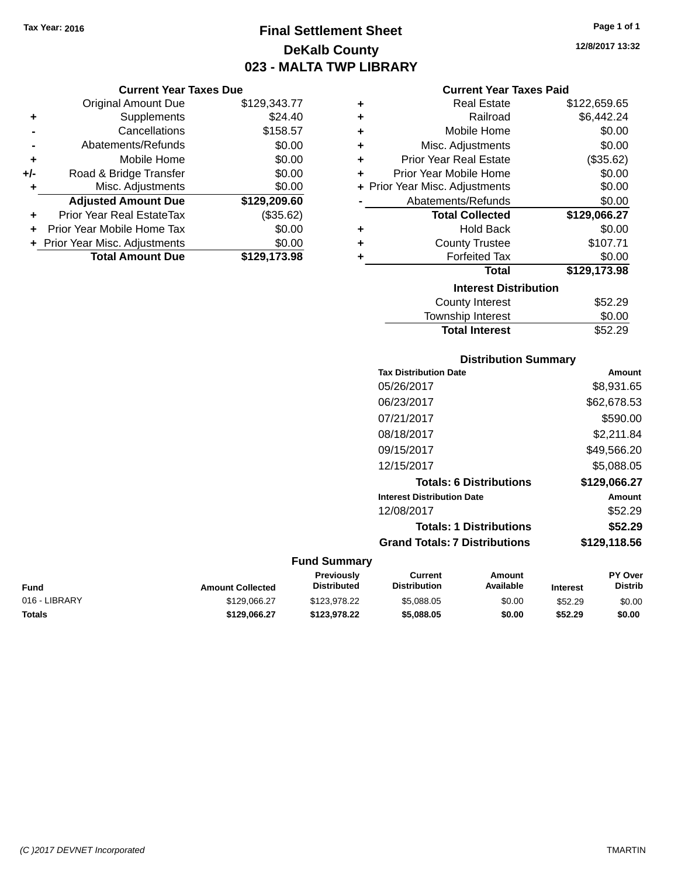# **Final Settlement Sheet Tax Year: 2016 Page 1 of 1 DeKalb County 023 - MALTA TWP LIBRARY**

**12/8/2017 13:32**

### **Current Year Taxes Paid**

| ٠ | <b>Real Estate</b>             | \$122,659.65 |  |
|---|--------------------------------|--------------|--|
| ÷ | Railroad                       | \$6,442.24   |  |
| ÷ | Mobile Home                    | \$0.00       |  |
| ÷ | Misc. Adjustments              | \$0.00       |  |
| ٠ | <b>Prior Year Real Estate</b>  | (\$35.62)    |  |
| ٠ | Prior Year Mobile Home         | \$0.00       |  |
|   | + Prior Year Misc. Adjustments | \$0.00       |  |
|   | Abatements/Refunds             | \$0.00       |  |
|   | <b>Total Collected</b>         | \$129,066.27 |  |
| ٠ | <b>Hold Back</b>               | \$0.00       |  |
| ٠ | <b>County Trustee</b>          | \$107.71     |  |
| ÷ | <b>Forfeited Tax</b>           | \$0.00       |  |
|   | <b>Total</b>                   | \$129,173.98 |  |
|   | <b>Interest Distribution</b>   |              |  |
|   | <b>County Interest</b>         | \$52.29      |  |
|   | <b>Township Interest</b>       | \$0.00       |  |

# **Distribution Summary**

Total Interest \$52.29

| <b>Tax Distribution Date</b>         | Amount       |
|--------------------------------------|--------------|
| 05/26/2017                           | \$8,931.65   |
| 06/23/2017                           | \$62,678.53  |
| 07/21/2017                           | \$590.00     |
| 08/18/2017                           | \$2,211.84   |
| 09/15/2017                           | \$49,566.20  |
| 12/15/2017                           | \$5,088.05   |
| <b>Totals: 6 Distributions</b>       | \$129,066.27 |
| <b>Interest Distribution Date</b>    | Amount       |
| 12/08/2017                           | \$52.29      |
| <b>Totals: 1 Distributions</b>       | \$52.29      |
| <b>Grand Totals: 7 Distributions</b> | \$129,118.56 |
|                                      |              |

#### **Fund Summary**

| Fund          | <b>Amount Collected</b> | <b>Previously</b><br><b>Distributed</b> | Current<br><b>Distribution</b> | Amount<br>Available | <b>Interest</b> | <b>PY Over</b><br>Distrib |
|---------------|-------------------------|-----------------------------------------|--------------------------------|---------------------|-----------------|---------------------------|
| 016 - LIBRARY | \$129.066.27            | \$123,978.22                            | \$5.088.05                     | \$0.00              | \$52.29         | \$0.00                    |
| Totals        | \$129.066.27            | \$123.978.22                            | \$5.088.05                     | \$0.00              | \$52.29         | \$0.00                    |

|     | Abatements/Refunds             | \$0.00       |
|-----|--------------------------------|--------------|
| ÷   | Mobile Home                    | \$0.00       |
| +/- | Road & Bridge Transfer         | \$0.00       |
| ٠   | Misc. Adjustments              | \$0.00       |
|     | <b>Adjusted Amount Due</b>     | \$129,209.60 |
| ٠   | Prior Year Real EstateTax      | (\$35.62)    |
|     | Prior Year Mobile Home Tax     | \$0.00       |
|     | + Prior Year Misc. Adjustments | \$0.00       |
|     | <b>Total Amount Due</b>        | \$129,173.98 |
|     |                                |              |
|     |                                |              |
|     |                                |              |

**Current Year Taxes Due** Original Amount Due \$129,343.77

**+** Supplements \$24.40 **-** Cancellations \$158.57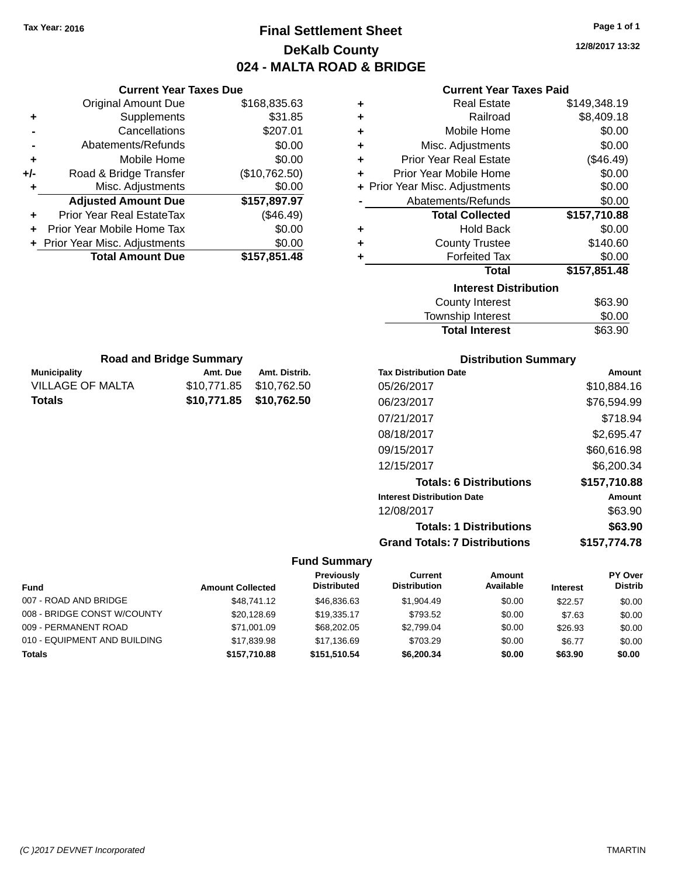# **Final Settlement Sheet Tax Year: 2016 Page 1 of 1 DeKalb County 024 - MALTA ROAD & BRIDGE**

**12/8/2017 13:32**

### **Current Year Taxes Paid**

| ٠ | <b>Real Estate</b>             | \$149,348.19 |
|---|--------------------------------|--------------|
| ÷ | Railroad                       | \$8,409.18   |
| ÷ | Mobile Home                    | \$0.00       |
| ÷ | Misc. Adjustments              | \$0.00       |
| ÷ | <b>Prior Year Real Estate</b>  | $(\$46.49)$  |
| ٠ | Prior Year Mobile Home         | \$0.00       |
|   | + Prior Year Misc. Adjustments | \$0.00       |
|   | Abatements/Refunds             | \$0.00       |
|   | <b>Total Collected</b>         | \$157,710.88 |
| ٠ | <b>Hold Back</b>               | \$0.00       |
| ÷ | <b>County Trustee</b>          | \$140.60     |
| ٠ | <b>Forfeited Tax</b>           | \$0.00       |
|   | Total                          | \$157,851.48 |
|   | <b>Interest Distribution</b>   |              |
|   | County Interest                | \$63.90      |
|   | Townehin Interest              | ድስ ሰስ        |

| <b>Total Interest</b>    | \$63.90 |
|--------------------------|---------|
| <b>Township Interest</b> | \$0.00  |
| County Interest          | \$63.90 |

| <b>Road and Bridge Summary</b> |                         |               |  |  |
|--------------------------------|-------------------------|---------------|--|--|
| <b>Municipality</b>            | Amt. Due                | Amt. Distrib. |  |  |
| <b>VILLAGE OF MALTA</b>        | \$10,771.85 \$10,762.50 |               |  |  |
| Totals                         | \$10,771.85 \$10,762.50 |               |  |  |

**Current Year Taxes Due** Original Amount Due \$168,835.63

**Adjusted Amount Due \$157,897.97**

**Total Amount Due \$157,851.48**

**+** Supplements \$31.85 **-** Cancellations \$207.01 **-** Abatements/Refunds \$0.00 **+** Mobile Home \$0.00 **+/-** Road & Bridge Transfer (\$10,762.50) **+** Misc. Adjustments \$0.00

**+** Prior Year Real EstateTax (\$46.49) **+** Prior Year Mobile Home Tax \$0.00 **+ Prior Year Misc. Adjustments**  $$0.00$ 

### **Distribution Summary**

| <b>Tax Distribution Date</b>         | Amount       |
|--------------------------------------|--------------|
| 05/26/2017                           | \$10,884.16  |
| 06/23/2017                           | \$76,594.99  |
| 07/21/2017                           | \$718.94     |
| 08/18/2017                           | \$2,695.47   |
| 09/15/2017                           | \$60,616.98  |
| 12/15/2017                           | \$6,200.34   |
| <b>Totals: 6 Distributions</b>       | \$157,710.88 |
| <b>Interest Distribution Date</b>    | Amount       |
| 12/08/2017                           | \$63.90      |
| <b>Totals: 1 Distributions</b>       | \$63.90      |
| <b>Grand Totals: 7 Distributions</b> | \$157.774.78 |

#### **Fund Summary**

| <b>Fund</b>                  | <b>Amount Collected</b> | <b>Previously</b><br><b>Distributed</b> | Current<br><b>Distribution</b> | Amount<br>Available | <b>Interest</b> | PY Over<br><b>Distrib</b> |
|------------------------------|-------------------------|-----------------------------------------|--------------------------------|---------------------|-----------------|---------------------------|
| 007 - ROAD AND BRIDGE        | \$48,741.12             | \$46,836.63                             | \$1,904.49                     | \$0.00              | \$22.57         | \$0.00                    |
| 008 - BRIDGE CONST W/COUNTY  |                         | \$19,335.17                             | \$793.52                       |                     |                 |                           |
|                              | \$20,128.69             |                                         |                                | \$0.00              | \$7.63          | \$0.00                    |
| 009 - PERMANENT ROAD         | \$71.001.09             | \$68,202.05                             | \$2.799.04                     | \$0.00              | \$26.93         | \$0.00                    |
| 010 - EQUIPMENT AND BUILDING | \$17,839.98             | \$17.136.69                             | \$703.29                       | \$0.00              | \$6.77          | \$0.00                    |
| <b>Totals</b>                | \$157,710.88            | \$151.510.54                            | \$6,200.34                     | \$0.00              | \$63.90         | \$0.00                    |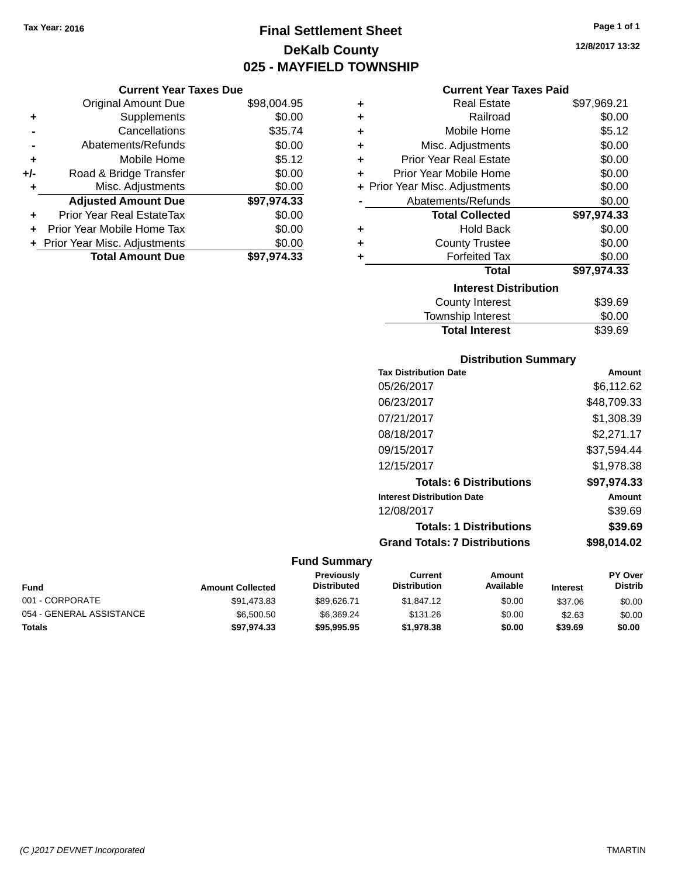# **Final Settlement Sheet Tax Year: 2016 Page 1 of 1 DeKalb County 025 - MAYFIELD TOWNSHIP**

#### **Current Year Taxes Due**

|       | <b>Original Amount Due</b>     | \$98,004.95 |
|-------|--------------------------------|-------------|
| ٠     | Supplements                    | \$0.00      |
|       | Cancellations                  | \$35.74     |
|       | Abatements/Refunds             | \$0.00      |
| ٠     | Mobile Home                    | \$5.12      |
| $+/-$ | Road & Bridge Transfer         | \$0.00      |
| ٠     | Misc. Adjustments              | \$0.00      |
|       | <b>Adjusted Amount Due</b>     | \$97,974.33 |
| ÷     | Prior Year Real EstateTax      | \$0.00      |
|       | Prior Year Mobile Home Tax     | \$0.00      |
|       | + Prior Year Misc. Adjustments | \$0.00      |
|       | <b>Total Amount Due</b>        | \$97,974.33 |

#### **Current Year Taxes Paid**

| ٠ | Real Estate                    | \$97,969.21 |
|---|--------------------------------|-------------|
| ÷ | Railroad                       | \$0.00      |
| ÷ | Mobile Home                    | \$5.12      |
| ٠ | Misc. Adjustments              | \$0.00      |
| ٠ | <b>Prior Year Real Estate</b>  | \$0.00      |
| ÷ | Prior Year Mobile Home         | \$0.00      |
|   | + Prior Year Misc. Adjustments | \$0.00      |
|   | Abatements/Refunds             | \$0.00      |
|   | <b>Total Collected</b>         | \$97,974.33 |
| ٠ | <b>Hold Back</b>               | \$0.00      |
| ٠ | <b>County Trustee</b>          | \$0.00      |
|   | <b>Forfeited Tax</b>           | \$0.00      |
|   | <b>Total</b>                   | \$97,974.33 |
|   | <b>Interest Distribution</b>   |             |
|   | <b>County Interest</b>         | \$39.69     |
|   | <b>Township Interest</b>       | \$0.00      |
|   | <b>Total Interest</b>          | \$39.69     |

#### **Distribution Summary**

| <b>Tax Distribution Date</b>         | Amount      |
|--------------------------------------|-------------|
| 05/26/2017                           | \$6.112.62  |
| 06/23/2017                           | \$48,709.33 |
| 07/21/2017                           | \$1.308.39  |
| 08/18/2017                           | \$2,271.17  |
| 09/15/2017                           | \$37,594.44 |
| 12/15/2017                           | \$1.978.38  |
| <b>Totals: 6 Distributions</b>       | \$97.974.33 |
| <b>Interest Distribution Date</b>    | Amount      |
| 12/08/2017                           | \$39.69     |
| <b>Totals: 1 Distributions</b>       | \$39.69     |
| <b>Grand Totals: 7 Distributions</b> | \$98.014.02 |

| <b>Fund</b>              | <b>Amount Collected</b> | <b>Previously</b><br><b>Distributed</b> | Current<br><b>Distribution</b> | Amount<br>Available | <b>Interest</b> | <b>PY Over</b><br><b>Distrib</b> |
|--------------------------|-------------------------|-----------------------------------------|--------------------------------|---------------------|-----------------|----------------------------------|
| 001 - CORPORATE          | \$91,473.83             | \$89.626.71                             | \$1,847.12                     | \$0.00              | \$37.06         | \$0.00                           |
| 054 - GENERAL ASSISTANCE | \$6,500.50              | \$6.369.24                              | \$131.26                       | \$0.00              | \$2.63          | \$0.00                           |
| <b>Totals</b>            | \$97.974.33             | \$95,995.95                             | \$1.978.38                     | \$0.00              | \$39.69         | \$0.00                           |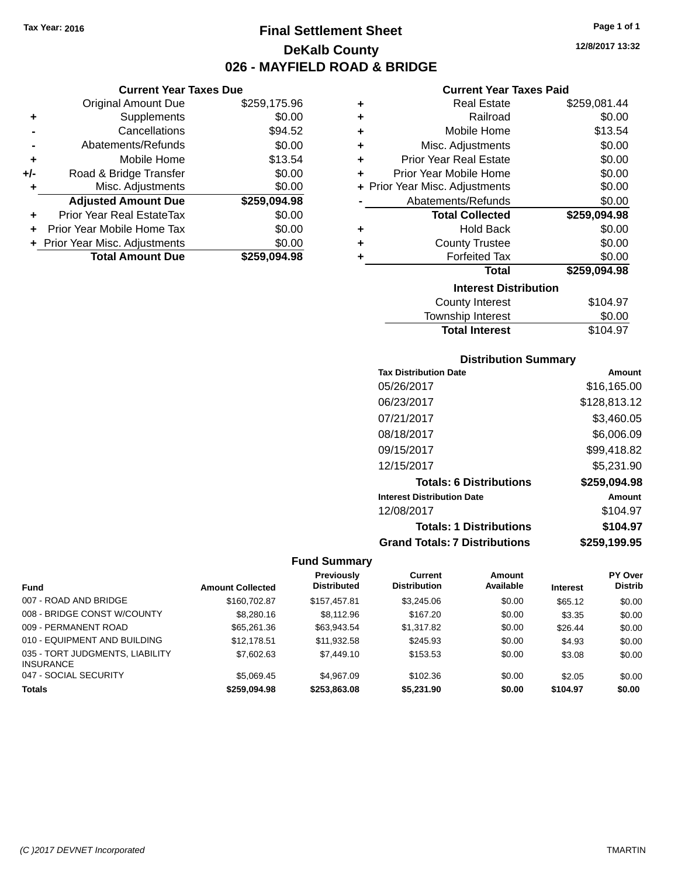# **Final Settlement Sheet Tax Year: 2016 Page 1 of 1 DeKalb County 026 - MAYFIELD ROAD & BRIDGE**

**12/8/2017 13:32**

| ar Tavoe Duo |  |  |
|--------------|--|--|

|     | <b>Current Year Taxes Due</b>    |              |
|-----|----------------------------------|--------------|
|     | <b>Original Amount Due</b>       | \$259,175.96 |
| ٠   | Supplements                      | \$0.00       |
|     | Cancellations                    | \$94.52      |
|     | Abatements/Refunds               | \$0.00       |
| ٠   | Mobile Home                      | \$13.54      |
| +/- | Road & Bridge Transfer           | \$0.00       |
|     | Misc. Adjustments                | \$0.00       |
|     | <b>Adjusted Amount Due</b>       | \$259,094.98 |
|     | <b>Prior Year Real EstateTax</b> | \$0.00       |
|     | Prior Year Mobile Home Tax       | \$0.00       |
|     | + Prior Year Misc. Adjustments   | \$0.00       |
|     | <b>Total Amount Due</b>          | \$259.094.98 |

#### **Current Year Taxes Paid**

| ٠ | <b>Real Estate</b>             | \$259,081.44 |
|---|--------------------------------|--------------|
| ٠ | Railroad                       | \$0.00       |
| ÷ | Mobile Home                    | \$13.54      |
| ٠ | Misc. Adjustments              | \$0.00       |
| ٠ | <b>Prior Year Real Estate</b>  | \$0.00       |
| ٠ | Prior Year Mobile Home         | \$0.00       |
|   | + Prior Year Misc. Adjustments | \$0.00       |
|   | Abatements/Refunds             | \$0.00       |
|   | <b>Total Collected</b>         | \$259,094.98 |
| ٠ | <b>Hold Back</b>               | \$0.00       |
| ٠ | <b>County Trustee</b>          | \$0.00       |
| ٠ | <b>Forfeited Tax</b>           | \$0.00       |
|   | <b>Total</b>                   | \$259,094.98 |
|   | <b>Interest Distribution</b>   |              |
|   |                                |              |
|   | County Interest                | \$104.97     |

| <b>Total Interest</b> | \$104.97 |
|-----------------------|----------|
| Township Interest     | \$0.00   |
| County Interest       | \$104.97 |

#### **Distribution Summary**

| <b>Tax Distribution Date</b>         | Amount       |
|--------------------------------------|--------------|
| 05/26/2017                           | \$16.165.00  |
| 06/23/2017                           | \$128,813.12 |
| 07/21/2017                           | \$3,460.05   |
| 08/18/2017                           | \$6,006.09   |
| 09/15/2017                           | \$99,418.82  |
| 12/15/2017                           | \$5,231.90   |
| <b>Totals: 6 Distributions</b>       | \$259,094.98 |
| <b>Interest Distribution Date</b>    | Amount       |
| 12/08/2017                           | \$104.97     |
| <b>Totals: 1 Distributions</b>       | \$104.97     |
| <b>Grand Totals: 7 Distributions</b> | \$259,199.95 |

|                                                     |                         | <b>Previously</b>  | Current             | <b>Amount</b> |                 | <b>PY Over</b> |
|-----------------------------------------------------|-------------------------|--------------------|---------------------|---------------|-----------------|----------------|
| <b>Fund</b>                                         | <b>Amount Collected</b> | <b>Distributed</b> | <b>Distribution</b> | Available     | <b>Interest</b> | <b>Distrib</b> |
| 007 - ROAD AND BRIDGE                               | \$160,702.87            | \$157.457.81       | \$3,245,06          | \$0.00        | \$65.12         | \$0.00         |
| 008 - BRIDGE CONST W/COUNTY                         | \$8,280.16              | \$8,112.96         | \$167.20            | \$0.00        | \$3.35          | \$0.00         |
| 009 - PERMANENT ROAD                                | \$65,261,36             | \$63,943.54        | \$1,317.82          | \$0.00        | \$26.44         | \$0.00         |
| 010 - EQUIPMENT AND BUILDING                        | \$12,178.51             | \$11,932.58        | \$245.93            | \$0.00        | \$4.93          | \$0.00         |
| 035 - TORT JUDGMENTS, LIABILITY<br><b>INSURANCE</b> | \$7,602.63              | \$7,449.10         | \$153.53            | \$0.00        | \$3.08          | \$0.00         |
| 047 - SOCIAL SECURITY                               | \$5.069.45              | \$4,967.09         | \$102.36            | \$0.00        | \$2.05          | \$0.00         |
| <b>Totals</b>                                       | \$259.094.98            | \$253.863.08       | \$5,231.90          | \$0.00        | \$104.97        | \$0.00         |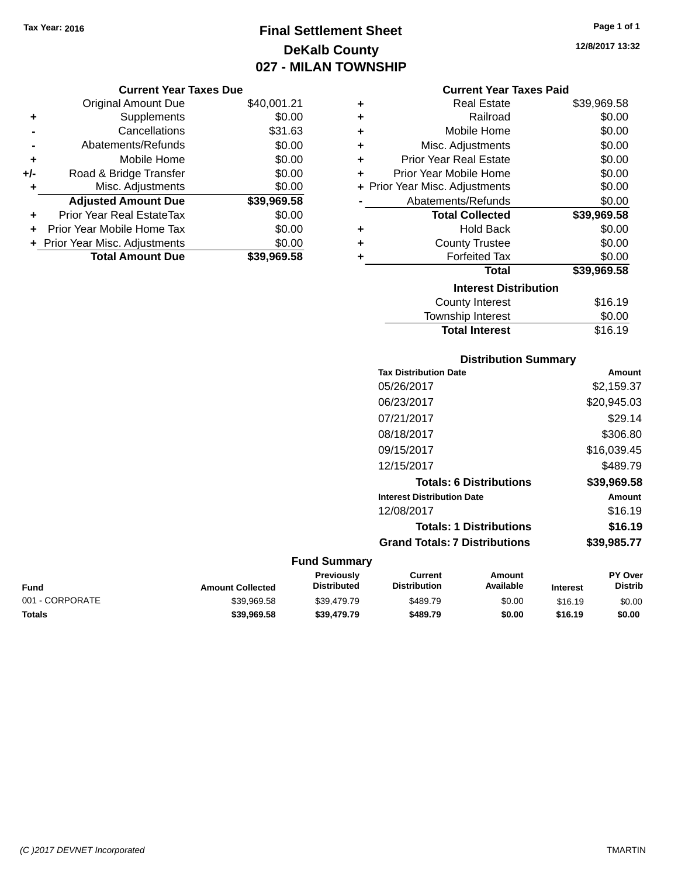# **Final Settlement Sheet Tax Year: 2016 Page 1 of 1 DeKalb County 027 - MILAN TOWNSHIP**

|     | <b>Original Amount Due</b>       | \$40,001.21 |
|-----|----------------------------------|-------------|
| ٠   | Supplements                      | \$0.00      |
|     | Cancellations                    | \$31.63     |
|     | Abatements/Refunds               | \$0.00      |
| ÷   | Mobile Home                      | \$0.00      |
| +/- | Road & Bridge Transfer           | \$0.00      |
| ٠   | Misc. Adjustments                | \$0.00      |
|     | <b>Adjusted Amount Due</b>       | \$39,969.58 |
| ÷   | <b>Prior Year Real EstateTax</b> | \$0.00      |
|     | Prior Year Mobile Home Tax       | \$0.00      |
|     | + Prior Year Misc. Adjustments   | \$0.00      |
|     | <b>Total Amount Due</b>          | \$39.969.58 |

| <b>Current Year Taxes Paid</b> |  |  |  |
|--------------------------------|--|--|--|
|--------------------------------|--|--|--|

| ÷ | <b>Real Estate</b>             | \$39,969.58 |
|---|--------------------------------|-------------|
| ÷ | Railroad                       | \$0.00      |
| ÷ | Mobile Home                    | \$0.00      |
| ٠ | Misc. Adjustments              | \$0.00      |
| ٠ | <b>Prior Year Real Estate</b>  | \$0.00      |
| ÷ | Prior Year Mobile Home         | \$0.00      |
|   | + Prior Year Misc. Adjustments | \$0.00      |
|   | Abatements/Refunds             | \$0.00      |
|   | <b>Total Collected</b>         | \$39,969.58 |
| ٠ | <b>Hold Back</b>               | \$0.00      |
| ÷ | <b>County Trustee</b>          | \$0.00      |
| ٠ | <b>Forfeited Tax</b>           | \$0.00      |
|   | Total                          | \$39,969.58 |
|   | <b>Interest Distribution</b>   |             |
|   | <b>County Interest</b>         | \$16.19     |
|   | Township Interest              | \$0.00      |
|   | <b>Total Interest</b>          | \$16.19     |

## **Distribution Summary Tax Distribution Date Amount** 05/26/2017 \$2,159.37 06/23/2017 \$20,945.03 07/21/2017 \$29.14 08/18/2017 \$306.80 09/15/2017 \$16,039.45 12/15/2017 \$489.79 **Totals: 6 Distributions \$39,969.58 Interest Distribution Date Amount** 12/08/2017 \$16.19 **Totals: 1 Distributions \$16.19 Grand Totals: 7 Distributions \$39,985.77**

| Fund            | <b>Amount Collected</b> | <b>Previously</b><br><b>Distributed</b> | Current<br><b>Distribution</b> | Amount<br>Available | <b>Interest</b> | <b>PY Over</b><br><b>Distrib</b> |
|-----------------|-------------------------|-----------------------------------------|--------------------------------|---------------------|-----------------|----------------------------------|
| 001 - CORPORATE | \$39.969.58             | \$39.479.79                             | \$489.79                       | \$0.00              | \$16.19         | \$0.00                           |
| Totals          | \$39,969.58             | \$39,479.79                             | \$489.79                       | \$0.00              | \$16.19         | \$0.00                           |

| וואוווט וווופופאנ |  |
|-------------------|--|
| Total Interest    |  |
|                   |  |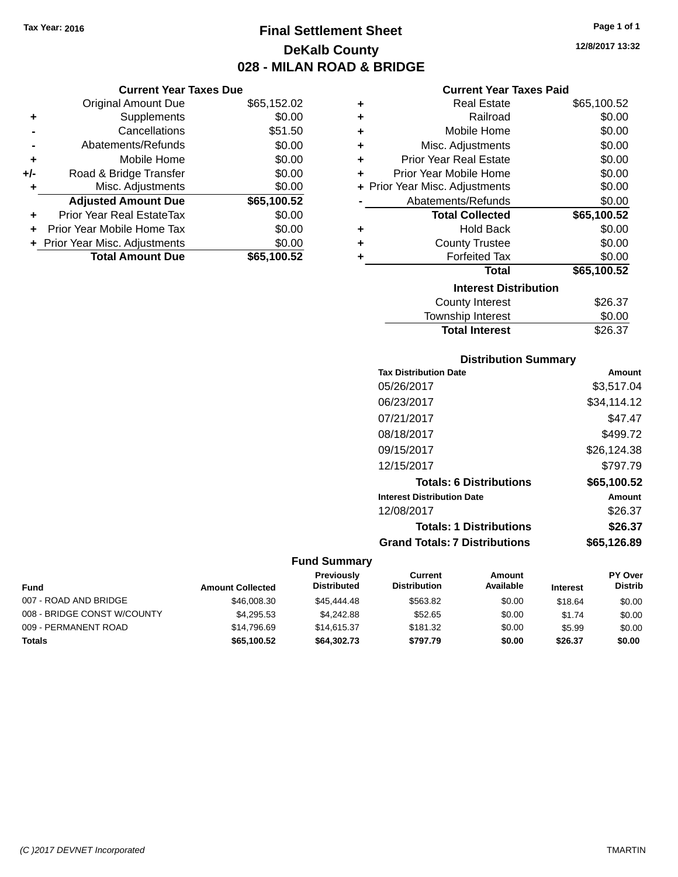**Current Year Taxes Due** Original Amount Due \$65,152.02

**Adjusted Amount Due \$65,100.52**

**Total Amount Due \$65,100.52**

**+** Supplements \$0.00 **-** Cancellations \$51.50 **-** Abatements/Refunds \$0.00 **+** Mobile Home \$0.00 **+/-** Road & Bridge Transfer \$0.00 **+** Misc. Adjustments \$0.00

**+** Prior Year Real EstateTax \$0.00 **+** Prior Year Mobile Home Tax \$0.00 **+ Prior Year Misc. Adjustments**  $$0.00$ 

# **Final Settlement Sheet Tax Year: 2016 Page 1 of 1 DeKalb County 028 - MILAN ROAD & BRIDGE**

**Current Year Taxes Paid**

|   | Gurient Tear Taxes Falu        |             |
|---|--------------------------------|-------------|
| ٠ | <b>Real Estate</b>             | \$65,100.52 |
| ٠ | Railroad                       | \$0.00      |
| ٠ | Mobile Home                    | \$0.00      |
| ٠ | Misc. Adjustments              | \$0.00      |
| ٠ | <b>Prior Year Real Estate</b>  | \$0.00      |
| ÷ | Prior Year Mobile Home         | \$0.00      |
|   | + Prior Year Misc. Adjustments | \$0.00      |
|   | Abatements/Refunds             | \$0.00      |
|   | <b>Total Collected</b>         | \$65,100.52 |
| ٠ | <b>Hold Back</b>               | \$0.00      |
| ÷ | <b>County Trustee</b>          | \$0.00      |
| ٠ | <b>Forfeited Tax</b>           | \$0.00      |
|   | Total                          | \$65,100.52 |
|   | <b>Interest Distribution</b>   |             |
|   | <b>County Interest</b>         | \$26.37     |
|   | <b>Township Interest</b>       | \$0.00      |
|   | <b>Total Interest</b>          | \$26.37     |

# **Distribution Summary**

| <b>Tax Distribution Date</b>         | Amount      |
|--------------------------------------|-------------|
| 05/26/2017                           | \$3,517.04  |
| 06/23/2017                           | \$34.114.12 |
| 07/21/2017                           | \$47.47     |
| 08/18/2017                           | \$499.72    |
| 09/15/2017                           | \$26,124.38 |
| 12/15/2017                           | \$797.79    |
| <b>Totals: 6 Distributions</b>       | \$65,100.52 |
| <b>Interest Distribution Date</b>    | Amount      |
| 12/08/2017                           | \$26.37     |
| <b>Totals: 1 Distributions</b>       | \$26.37     |
| <b>Grand Totals: 7 Distributions</b> | \$65,126,89 |

#### **Fund Summary**

| <b>Fund</b>                 | <b>Amount Collected</b> | <b>Previously</b><br><b>Distributed</b> | Current<br><b>Distribution</b> | Amount<br>Available | <b>Interest</b> | PY Over<br><b>Distrib</b> |
|-----------------------------|-------------------------|-----------------------------------------|--------------------------------|---------------------|-----------------|---------------------------|
| 007 - ROAD AND BRIDGE       | \$46,008,30             | \$45,444,48                             | \$563.82                       | \$0.00              | \$18.64         | \$0.00                    |
| 008 - BRIDGE CONST W/COUNTY | \$4.295.53              | \$4.242.88                              | \$52.65                        | \$0.00              | \$1.74          | \$0.00                    |
| 009 - PERMANENT ROAD        | \$14.796.69             | \$14,615.37                             | \$181.32                       | \$0.00              | \$5.99          | \$0.00                    |
| Totals                      | \$65,100.52             | \$64,302.73                             | \$797.79                       | \$0.00              | \$26.37         | \$0.00                    |

**12/8/2017 13:32**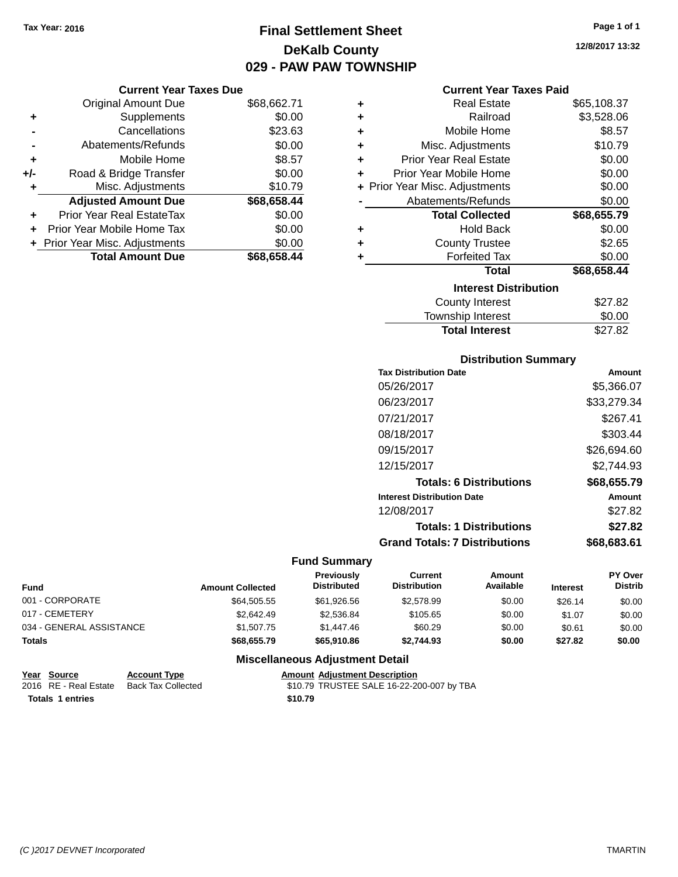# **Final Settlement Sheet Tax Year: 2016 Page 1 of 1 DeKalb County 029 - PAW PAW TOWNSHIP**

#### **Current Year Taxes Due**

|     | <b>Original Amount Due</b>     | \$68,662.71 |
|-----|--------------------------------|-------------|
| ٠   | Supplements                    | \$0.00      |
|     | Cancellations                  | \$23.63     |
|     | Abatements/Refunds             | \$0.00      |
| ٠   | Mobile Home                    | \$8.57      |
| +/- | Road & Bridge Transfer         | \$0.00      |
|     | Misc. Adjustments              | \$10.79     |
|     | <b>Adjusted Amount Due</b>     | \$68,658.44 |
| ÷   | Prior Year Real EstateTax      | \$0.00      |
|     | Prior Year Mobile Home Tax     | \$0.00      |
|     | + Prior Year Misc. Adjustments | \$0.00      |
|     | <b>Total Amount Due</b>        | \$68,658.44 |

#### **Current Year Taxes Paid**

| ٠ | <b>Real Estate</b>             | \$65,108.37 |
|---|--------------------------------|-------------|
| ÷ | Railroad                       | \$3,528.06  |
| ÷ | Mobile Home                    | \$8.57      |
| ÷ | Misc. Adjustments              | \$10.79     |
| ÷ | <b>Prior Year Real Estate</b>  | \$0.00      |
| ٠ | Prior Year Mobile Home         | \$0.00      |
|   | + Prior Year Misc. Adjustments | \$0.00      |
|   | Abatements/Refunds             | \$0.00      |
|   | <b>Total Collected</b>         | \$68,655.79 |
| ٠ | Hold Back                      | \$0.00      |
| ٠ | <b>County Trustee</b>          | \$2.65      |
| ٠ | <b>Forfeited Tax</b>           | \$0.00      |
|   | <b>Total</b>                   | \$68,658.44 |
|   | <b>Interest Distribution</b>   |             |
|   | <b>County Interest</b>         | \$27.82     |
|   | <b>Township Interest</b>       | \$0.00      |
|   | <b>Total Interest</b>          | \$27.82     |

#### **Distribution Summary**

| <b>Tax Distribution Date</b>         | Amount      |
|--------------------------------------|-------------|
| 05/26/2017                           | \$5,366.07  |
| 06/23/2017                           | \$33.279.34 |
| 07/21/2017                           | \$267.41    |
| 08/18/2017                           | \$303.44    |
| 09/15/2017                           | \$26,694.60 |
| 12/15/2017                           | \$2.744.93  |
| <b>Totals: 6 Distributions</b>       | \$68,655.79 |
| <b>Interest Distribution Date</b>    | Amount      |
| 12/08/2017                           | \$27.82     |
| <b>Totals: 1 Distributions</b>       | \$27.82     |
| <b>Grand Totals: 7 Distributions</b> | \$68,683.61 |

#### **Fund Summary**

| <b>Fund</b>              | <b>Amount Collected</b> | Previously<br><b>Distributed</b> | Current<br><b>Distribution</b> | Amount<br>Available | <b>Interest</b> | PY Over<br><b>Distrib</b> |
|--------------------------|-------------------------|----------------------------------|--------------------------------|---------------------|-----------------|---------------------------|
| 001 - CORPORATE          | \$64,505.55             | \$61,926.56                      | \$2,578.99                     | \$0.00              | \$26.14         | \$0.00                    |
| 017 - CEMETERY           | \$2,642.49              | \$2,536.84                       | \$105.65                       | \$0.00              | \$1.07          | \$0.00                    |
| 034 - GENERAL ASSISTANCE | \$1,507.75              | \$1,447.46                       | \$60.29                        | \$0.00              | \$0.61          | \$0.00                    |
| <b>Totals</b>            | \$68,655.79             | \$65,910.86                      | \$2.744.93                     | \$0.00              | \$27.82         | \$0.00                    |

| Year Source           | <b>Account Type</b> | <b>Amount Adiustment Description</b>      |
|-----------------------|---------------------|-------------------------------------------|
| 2016 RE - Real Estate | Back Tax Collected  | \$10.79 TRUSTEE SALE 16-22-200-007 by TBA |
| Totals 1 entries      |                     | \$10.79                                   |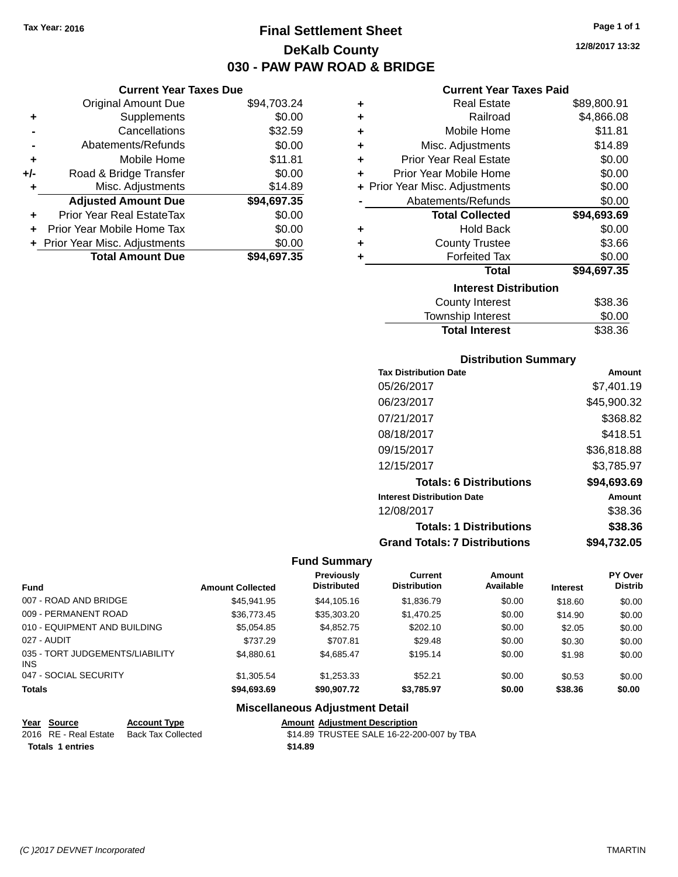# **Final Settlement Sheet Tax Year: 2016 Page 1 of 1 DeKalb County 030 - PAW PAW ROAD & BRIDGE**

**12/8/2017 13:32**

|       | <b>Current Year Taxes Due</b>  |             |
|-------|--------------------------------|-------------|
|       | <b>Original Amount Due</b>     | \$94,703.24 |
| ٠     | Supplements                    | \$0.00      |
|       | Cancellations                  | \$32.59     |
|       | Abatements/Refunds             | \$0.00      |
| ٠     | Mobile Home                    | \$11.81     |
| $+/-$ | Road & Bridge Transfer         | \$0.00      |
| ٠     | Misc. Adjustments              | \$14.89     |
|       | <b>Adjusted Amount Due</b>     | \$94,697.35 |
| ٠     | Prior Year Real EstateTax      | \$0.00      |
|       | Prior Year Mobile Home Tax     | \$0.00      |
|       | + Prior Year Misc. Adjustments | \$0.00      |
|       | <b>Total Amount Due</b>        | \$94.697.35 |
|       |                                |             |

|   | <b>Current Year Taxes Paid</b> |             |
|---|--------------------------------|-------------|
| ٠ | <b>Real Estate</b>             | \$89,800.91 |
| ٠ | Railroad                       | \$4,866.08  |
| ÷ | Mobile Home                    | \$11.81     |
| ٠ | Misc. Adjustments              | \$14.89     |
| ٠ | <b>Prior Year Real Estate</b>  | \$0.00      |
| ٠ | Prior Year Mobile Home         | \$0.00      |
|   | + Prior Year Misc. Adjustments | \$0.00      |
|   | Abatements/Refunds             | \$0.00      |
|   | <b>Total Collected</b>         | \$94,693.69 |
| ٠ | <b>Hold Back</b>               | \$0.00      |
| ٠ | <b>County Trustee</b>          | \$3.66      |
| ٠ | <b>Forfeited Tax</b>           | \$0.00      |
|   | <b>Total</b>                   | \$94,697.35 |
|   | <b>Interest Distribution</b>   |             |
|   | <b>County Interest</b>         | \$38.36     |
|   | <b>Township Interest</b>       | \$0.00      |
|   | <b>Total Interest</b>          | \$38.36     |

#### **Distribution Summary**

| <b>Tax Distribution Date</b>         | Amount      |
|--------------------------------------|-------------|
| 05/26/2017                           | \$7.401.19  |
| 06/23/2017                           | \$45,900.32 |
| 07/21/2017                           | \$368.82    |
| 08/18/2017                           | \$418.51    |
| 09/15/2017                           | \$36,818.88 |
| 12/15/2017                           | \$3,785.97  |
| <b>Totals: 6 Distributions</b>       | \$94,693.69 |
| <b>Interest Distribution Date</b>    | Amount      |
| 12/08/2017                           | \$38.36     |
| <b>Totals: 1 Distributions</b>       | \$38.36     |
| <b>Grand Totals: 7 Distributions</b> | \$94,732.05 |

#### **Fund Summary**

| <b>Fund</b>                            | <b>Amount Collected</b> | <b>Previously</b><br><b>Distributed</b> | Current<br><b>Distribution</b> | Amount<br>Available | <b>Interest</b> | <b>PY Over</b><br><b>Distrib</b> |
|----------------------------------------|-------------------------|-----------------------------------------|--------------------------------|---------------------|-----------------|----------------------------------|
| 007 - ROAD AND BRIDGE                  | \$45.941.95             | \$44,105,16                             | \$1,836.79                     | \$0.00              | \$18.60         | \$0.00                           |
| 009 - PERMANENT ROAD                   | \$36,773,45             | \$35,303.20                             | \$1,470.25                     | \$0.00              | \$14.90         | \$0.00                           |
| 010 - EQUIPMENT AND BUILDING           | \$5,054.85              | \$4.852.75                              | \$202.10                       | \$0.00              | \$2.05          | \$0.00                           |
| 027 - AUDIT                            | \$737.29                | \$707.81                                | \$29.48                        | \$0.00              | \$0.30          | \$0.00                           |
| 035 - TORT JUDGEMENTS/LIABILITY<br>INS | \$4.880.61              | \$4.685.47                              | \$195.14                       | \$0.00              | \$1.98          | \$0.00                           |
| 047 - SOCIAL SECURITY                  | \$1,305.54              | \$1,253.33                              | \$52.21                        | \$0.00              | \$0.53          | \$0.00                           |
| <b>Totals</b>                          | \$94,693.69             | \$90,907,72                             | \$3,785.97                     | \$0.00              | \$38.36         | \$0.00                           |

| Year Source             | <b>Account Type</b> |         | <b>Amount Adiustment Description</b>      |
|-------------------------|---------------------|---------|-------------------------------------------|
| 2016 RE - Real Estate   | Back Tax Collected  |         | \$14.89 TRUSTEE SALE 16-22-200-007 by TBA |
| <b>Totals 1 entries</b> |                     | \$14.89 |                                           |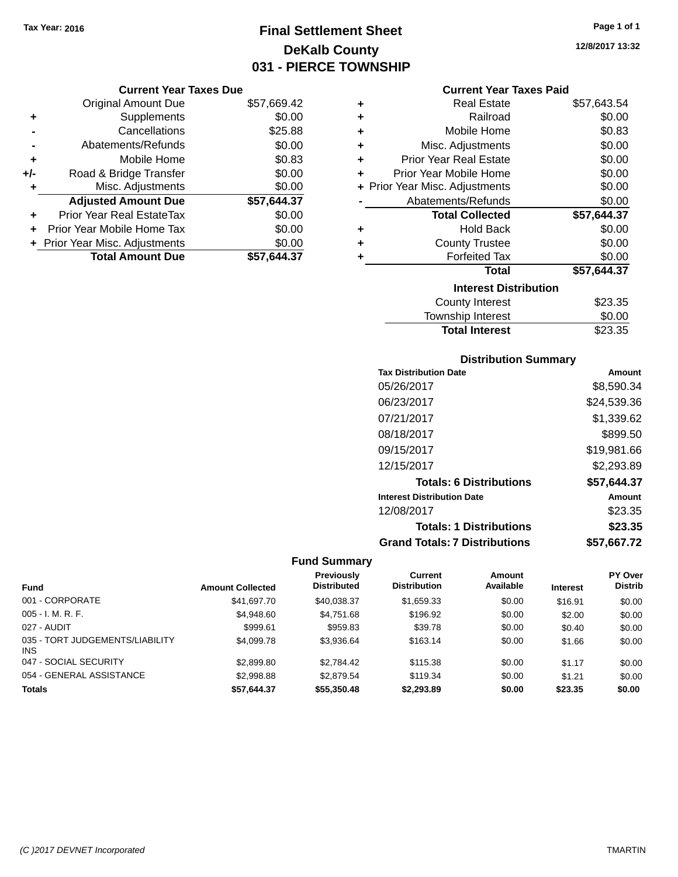# **Final Settlement Sheet Tax Year: 2016 Page 1 of 1 DeKalb County 031 - PIERCE TOWNSHIP**

#### **Current Year Taxes Due**

|       | <b>Original Amount Due</b>     | \$57,669.42 |
|-------|--------------------------------|-------------|
| ٠     | Supplements                    | \$0.00      |
|       | Cancellations                  | \$25.88     |
|       | Abatements/Refunds             | \$0.00      |
| ٠     | Mobile Home                    | \$0.83      |
| $+/-$ | Road & Bridge Transfer         | \$0.00      |
| ٠     | Misc. Adjustments              | \$0.00      |
|       | <b>Adjusted Amount Due</b>     | \$57,644.37 |
| ٠     | Prior Year Real EstateTax      | \$0.00      |
|       | Prior Year Mobile Home Tax     | \$0.00      |
|       | + Prior Year Misc. Adjustments | \$0.00      |
|       | <b>Total Amount Due</b>        | \$57,644.37 |

#### **Current Year Taxes Paid**

| ٠ | Real Estate                    | \$57,643.54 |
|---|--------------------------------|-------------|
| ÷ | Railroad                       | \$0.00      |
| ٠ | Mobile Home                    | \$0.83      |
| ٠ | Misc. Adjustments              | \$0.00      |
| ٠ | <b>Prior Year Real Estate</b>  | \$0.00      |
| ٠ | Prior Year Mobile Home         | \$0.00      |
|   | + Prior Year Misc. Adjustments | \$0.00      |
|   | Abatements/Refunds             | \$0.00      |
|   | <b>Total Collected</b>         | \$57,644.37 |
| ٠ | <b>Hold Back</b>               | \$0.00      |
| ٠ | <b>County Trustee</b>          | \$0.00      |
| ٠ | <b>Forfeited Tax</b>           | \$0.00      |
|   | <b>Total</b>                   | \$57,644.37 |
|   | <b>Interest Distribution</b>   |             |
|   | <b>County Interest</b>         | \$23.35     |
|   | <b>Township Interest</b>       | \$0.00      |
|   | <b>Total Interest</b>          | \$23.35     |

#### **Distribution Summary**

| <b>Tax Distribution Date</b>         | Amount      |
|--------------------------------------|-------------|
| 05/26/2017                           | \$8,590.34  |
| 06/23/2017                           | \$24,539.36 |
| 07/21/2017                           | \$1,339.62  |
| 08/18/2017                           | \$899.50    |
| 09/15/2017                           | \$19,981.66 |
| 12/15/2017                           | \$2,293.89  |
| <b>Totals: 6 Distributions</b>       | \$57,644.37 |
| <b>Interest Distribution Date</b>    | Amount      |
| 12/08/2017                           | \$23.35     |
| <b>Totals: 1 Distributions</b>       | \$23.35     |
| <b>Grand Totals: 7 Distributions</b> | \$57.667.72 |

|                                               |                         | <b>Previously</b>  | Current             | Amount    |                 | <b>PY Over</b> |
|-----------------------------------------------|-------------------------|--------------------|---------------------|-----------|-----------------|----------------|
| <b>Fund</b>                                   | <b>Amount Collected</b> | <b>Distributed</b> | <b>Distribution</b> | Available | <b>Interest</b> | <b>Distrib</b> |
| 001 - CORPORATE                               | \$41,697.70             | \$40,038.37        | \$1,659.33          | \$0.00    | \$16.91         | \$0.00         |
| $005 - I. M. R. F.$                           | \$4,948.60              | \$4,751.68         | \$196.92            | \$0.00    | \$2.00          | \$0.00         |
| 027 - AUDIT                                   | \$999.61                | \$959.83           | \$39.78             | \$0.00    | \$0.40          | \$0.00         |
| 035 - TORT JUDGEMENTS/LIABILITY<br><b>INS</b> | \$4,099.78              | \$3,936.64         | \$163.14            | \$0.00    | \$1.66          | \$0.00         |
| 047 - SOCIAL SECURITY                         | \$2,899.80              | \$2.784.42         | \$115.38            | \$0.00    | \$1.17          | \$0.00         |
| 054 - GENERAL ASSISTANCE                      | \$2,998.88              | \$2,879.54         | \$119.34            | \$0.00    | \$1.21          | \$0.00         |
| <b>Totals</b>                                 | \$57.644.37             | \$55,350.48        | \$2,293.89          | \$0.00    | \$23.35         | \$0.00         |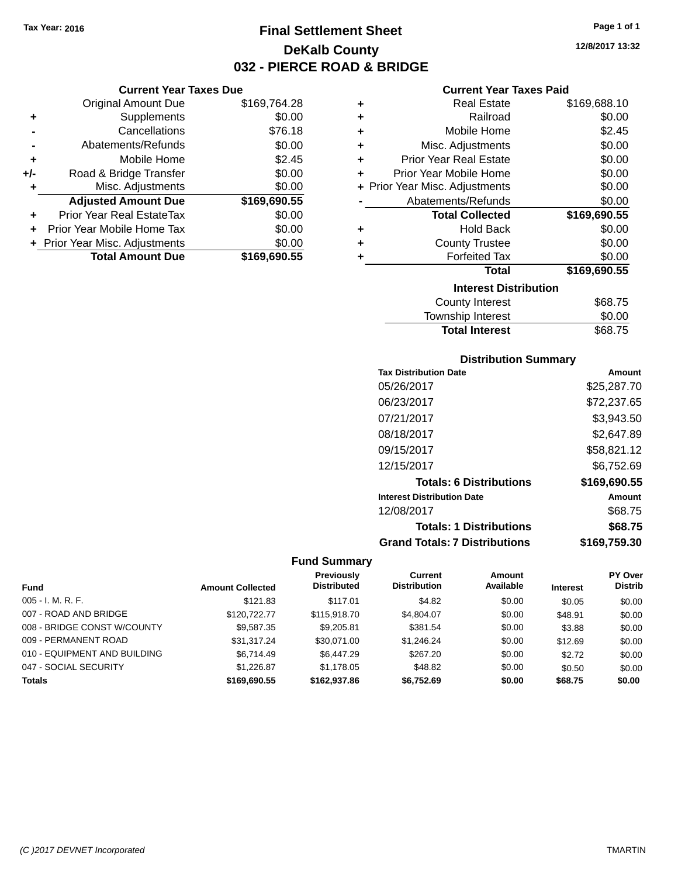# **Final Settlement Sheet Tax Year: 2016 Page 1 of 1 DeKalb County 032 - PIERCE ROAD & BRIDGE**

**12/8/2017 13:32**

| <b>Current Year Taxes Due</b>  |              |
|--------------------------------|--------------|
| <b>Original Amount Due</b>     | \$169,764.28 |
| Supplements                    | \$0.00       |
| Cancellations                  | \$76.18      |
| Abatements/Refunds             | \$0.00       |
| Mobile Home                    | \$2.45       |
| Road & Bridge Transfer         | \$0.00       |
| Misc. Adjustments              | \$0.00       |
| <b>Adjusted Amount Due</b>     | \$169,690.55 |
| Prior Year Real EstateTax      | \$0.00       |
| Prior Year Mobile Home Tax     | \$0.00       |
| + Prior Year Misc. Adjustments | \$0.00       |
| <b>Total Amount Due</b>        | \$169,690.55 |
|                                |              |

## **Current Year Taxes Paid**

|   | <b>Real Estate</b>             | \$169,688.10 |
|---|--------------------------------|--------------|
| ÷ | Railroad                       | \$0.00       |
| ٠ | Mobile Home                    | \$2.45       |
| ٠ | Misc. Adjustments              | \$0.00       |
| ÷ | <b>Prior Year Real Estate</b>  | \$0.00       |
| ٠ | Prior Year Mobile Home         | \$0.00       |
|   | + Prior Year Misc. Adjustments | \$0.00       |
|   | Abatements/Refunds             | \$0.00       |
|   | <b>Total Collected</b>         | \$169,690.55 |
|   |                                |              |
| ٠ | <b>Hold Back</b>               | \$0.00       |
| ٠ | <b>County Trustee</b>          | \$0.00       |
|   | <b>Forfeited Tax</b>           | \$0.00       |
|   | Total                          | \$169,690.55 |
|   | <b>Interest Distribution</b>   |              |

# Township Interest \$0.00<br>
Total Interest \$68.75 **Total Interest**

#### **Distribution Summary**

| <b>Tax Distribution Date</b>         | Amount       |
|--------------------------------------|--------------|
| 05/26/2017                           | \$25,287.70  |
| 06/23/2017                           | \$72,237.65  |
| 07/21/2017                           | \$3,943.50   |
| 08/18/2017                           | \$2,647.89   |
| 09/15/2017                           | \$58,821.12  |
| 12/15/2017                           | \$6,752.69   |
| <b>Totals: 6 Distributions</b>       | \$169,690.55 |
| <b>Interest Distribution Date</b>    | Amount       |
| 12/08/2017                           | \$68.75      |
| <b>Totals: 1 Distributions</b>       | \$68.75      |
| <b>Grand Totals: 7 Distributions</b> | \$169,759.30 |

|                              |                         | <b>Previously</b>  | Current             | Amount    |                 | <b>PY Over</b> |
|------------------------------|-------------------------|--------------------|---------------------|-----------|-----------------|----------------|
| <b>Fund</b>                  | <b>Amount Collected</b> | <b>Distributed</b> | <b>Distribution</b> | Available | <b>Interest</b> | <b>Distrib</b> |
| $005 - I. M. R. F.$          | \$121.83                | \$117.01           | \$4.82              | \$0.00    | \$0.05          | \$0.00         |
| 007 - ROAD AND BRIDGE        | \$120,722,77            | \$115,918.70       | \$4,804.07          | \$0.00    | \$48.91         | \$0.00         |
| 008 - BRIDGE CONST W/COUNTY  | \$9.587.35              | \$9,205.81         | \$381.54            | \$0.00    | \$3.88          | \$0.00         |
| 009 - PERMANENT ROAD         | \$31.317.24             | \$30.071.00        | \$1,246.24          | \$0.00    | \$12.69         | \$0.00         |
| 010 - EQUIPMENT AND BUILDING | \$6,714.49              | \$6,447.29         | \$267.20            | \$0.00    | \$2.72          | \$0.00         |
| 047 - SOCIAL SECURITY        | \$1.226.87              | \$1.178.05         | \$48.82             | \$0.00    | \$0.50          | \$0.00         |
| <b>Totals</b>                | \$169,690.55            | \$162.937.86       | \$6.752.69          | \$0.00    | \$68.75         | \$0.00         |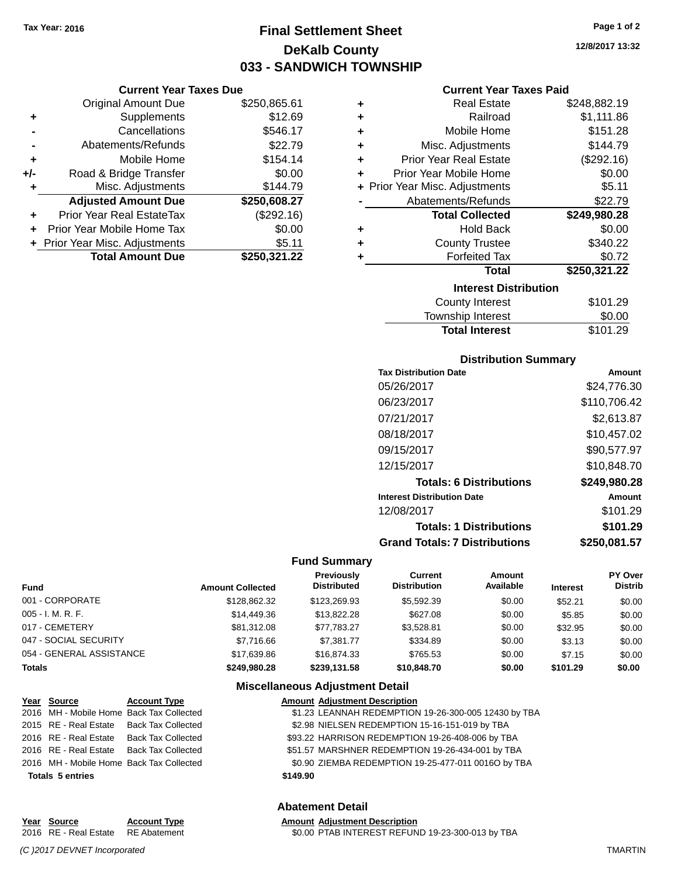**Current Year Taxes Due** Original Amount Due \$250,865.61

**Adjusted Amount Due \$250,608.27**

**Total Amount Due \$250,321.22**

**+** Supplements \$12.69 **-** Cancellations **\$546.17 -** Abatements/Refunds \$22.79 **+** Mobile Home \$154.14 **+/-** Road & Bridge Transfer \$0.00 **+** Misc. Adjustments \$144.79

**+** Prior Year Real EstateTax (\$292.16) **+** Prior Year Mobile Home Tax \$0.00 **+** Prior Year Misc. Adjustments \$5.11

# **Final Settlement Sheet Tax Year: 2016 Page 1 of 2 DeKalb County 033 - SANDWICH TOWNSHIP**

**12/8/2017 13:32**

#### **Current Year Taxes Paid**

| ٠ | <b>Real Estate</b>             | \$248,882.19 |
|---|--------------------------------|--------------|
| ٠ | Railroad                       | \$1,111.86   |
| ÷ | Mobile Home                    | \$151.28     |
| ÷ | Misc. Adjustments              | \$144.79     |
| ÷ | <b>Prior Year Real Estate</b>  | (\$292.16)   |
| ÷ | Prior Year Mobile Home         | \$0.00       |
|   | + Prior Year Misc. Adjustments | \$5.11       |
|   | Abatements/Refunds             | \$22.79      |
|   | <b>Total Collected</b>         | \$249,980.28 |
| ÷ | <b>Hold Back</b>               | \$0.00       |
| ٠ | <b>County Trustee</b>          | \$340.22     |
| ٠ | <b>Forfeited Tax</b>           | \$0.72       |
|   | <b>Total</b>                   | \$250,321.22 |
|   | <b>Interest Distribution</b>   |              |
|   | <b>County Interest</b>         | \$101.29     |
|   | Township Interest              | \$0.00       |

| Distribution Summary |  |
|----------------------|--|

Total Interest \$101.29

| <b>Tax Distribution Date</b>         | Amount       |
|--------------------------------------|--------------|
| 05/26/2017                           | \$24,776.30  |
| 06/23/2017                           | \$110.706.42 |
| 07/21/2017                           | \$2,613.87   |
| 08/18/2017                           | \$10,457.02  |
| 09/15/2017                           | \$90,577.97  |
| 12/15/2017                           | \$10,848.70  |
| <b>Totals: 6 Distributions</b>       | \$249,980.28 |
| <b>Interest Distribution Date</b>    | Amount       |
| 12/08/2017                           | \$101.29     |
| <b>Totals: 1 Distributions</b>       | \$101.29     |
| <b>Grand Totals: 7 Distributions</b> | \$250,081.57 |

#### **Fund Summary**

| <b>Fund</b>              | <b>Amount Collected</b> | <b>Previously</b><br><b>Distributed</b> | Current<br><b>Distribution</b> | Amount<br>Available | <b>Interest</b> | PY Over<br><b>Distrib</b> |
|--------------------------|-------------------------|-----------------------------------------|--------------------------------|---------------------|-----------------|---------------------------|
| 001 - CORPORATE          | \$128,862,32            | \$123,269.93                            | \$5,592.39                     | \$0.00              | \$52.21         | \$0.00                    |
| $005 - I. M. R. F.$      | \$14,449.36             | \$13,822,28                             | \$627.08                       | \$0.00              | \$5.85          | \$0.00                    |
| 017 - CEMETERY           | \$81.312.08             | \$77.783.27                             | \$3.528.81                     | \$0.00              | \$32.95         | \$0.00                    |
| 047 - SOCIAL SECURITY    | \$7.716.66              | \$7.381.77                              | \$334.89                       | \$0.00              | \$3.13          | \$0.00                    |
| 054 - GENERAL ASSISTANCE | \$17.639.86             | \$16,874,33                             | \$765.53                       | \$0.00              | \$7.15          | \$0.00                    |
| <b>Totals</b>            | \$249.980.28            | \$239,131.58                            | \$10,848.70                    | \$0.00              | \$101.29        | \$0.00                    |

#### **Miscellaneous Adjustment Detail**

| Year Source                              | <b>Account Type</b>                      | <b>Amount Adjustment Description</b>                 |  |
|------------------------------------------|------------------------------------------|------------------------------------------------------|--|
|                                          | 2016 MH - Mobile Home Back Tax Collected | \$1.23 LEANNAH REDEMPTION 19-26-300-005 12430 by TBA |  |
|                                          | 2015 RE - Real Estate Back Tax Collected | \$2.98 NIELSEN REDEMPTION 15-16-151-019 by TBA       |  |
| 2016 RE - Real Estate                    | <b>Back Tax Collected</b>                | \$93.22 HARRISON REDEMPTION 19-26-408-006 by TBA     |  |
| 2016 RE - Real Estate Back Tax Collected |                                          | \$51.57 MARSHNER REDEMPTION 19-26-434-001 by TBA     |  |
|                                          | 2016 MH - Mobile Home Back Tax Collected | \$0.90 ZIEMBA REDEMPTION 19-25-477-011 0016O by TBA  |  |
| <b>Totals 5 entries</b>                  |                                          | \$149.90                                             |  |

#### **Abatement Detail**

# **Year Source Account Type Amount Adjustment Description**

*(C )2017 DEVNET Incorporated* TMARTIN

2016 RE - Real Estate RE Abatement \$0.00 PTAB INTEREST REFUND 19-23-300-013 by TBA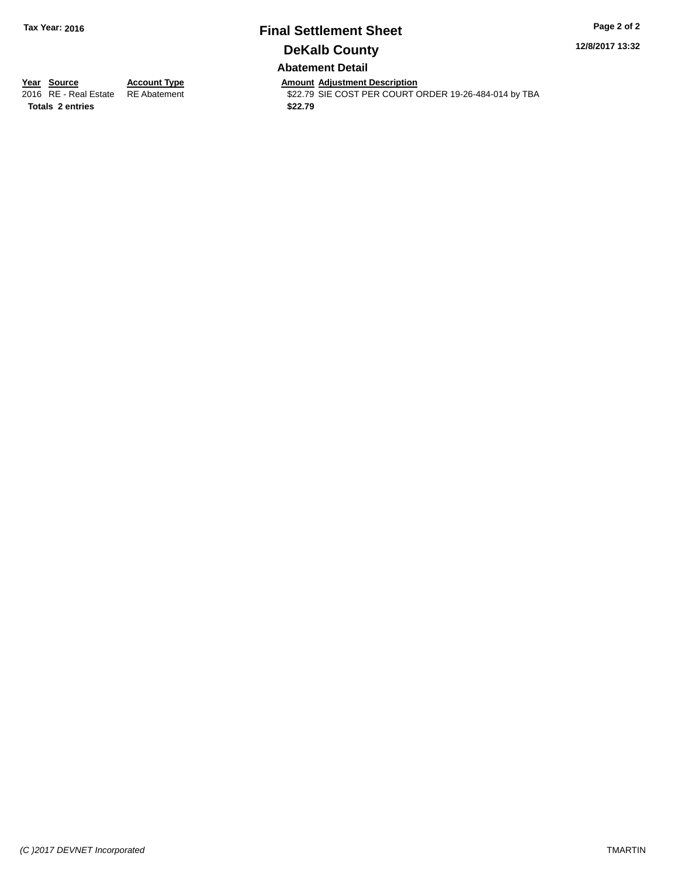# **Final Settlement Sheet Tax Year: 2016 Page 2 of 2 DeKalb County Abatement Detail**

**12/8/2017 13:32**

**Totals 2 entries \$22.79**

**Year Source Account Type**<br>
2016 RE - Real Estate RE Abatement **Adjustment Adjustment Description**<br>
\$22.79 SIE COST PER COURT \$22.79 SIE COST PER COURT ORDER 19-26-484-014 by TBA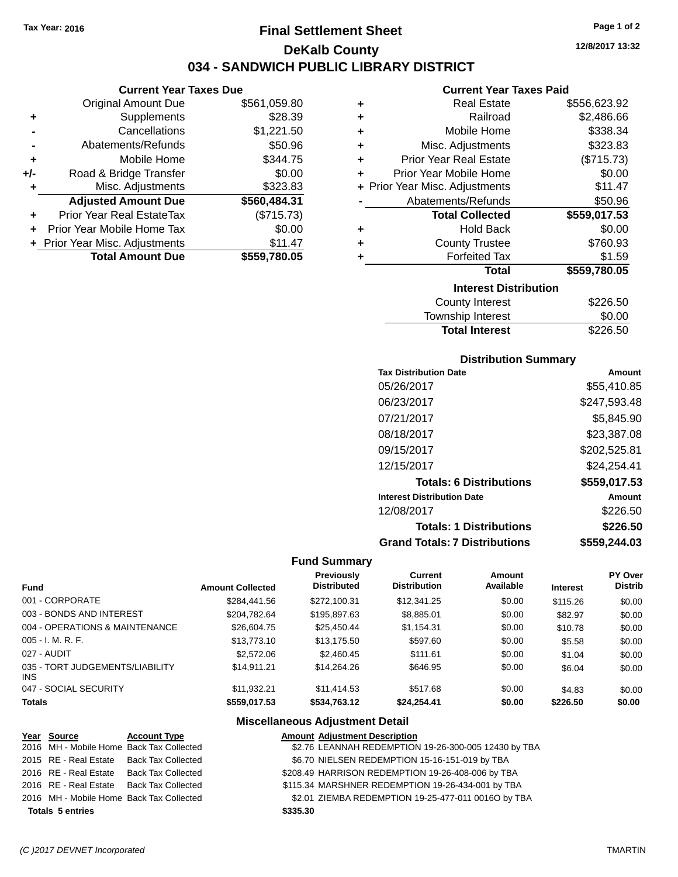**Current Year Taxes Due** Original Amount Due \$561,059.80

**Adjusted Amount Due \$560,484.31**

**Total Amount Due \$559,780.05**

**+** Supplements \$28.39 **-** Cancellations \$1,221.50 **-** Abatements/Refunds \$50.96 **+** Mobile Home \$344.75 **+/-** Road & Bridge Transfer \$0.00 **+** Misc. Adjustments \$323.83

**+** Prior Year Real EstateTax (\$715.73) **+** Prior Year Mobile Home Tax \$0.00 **+ Prior Year Misc. Adjustments \$11.47** 

# **Final Settlement Sheet Tax Year: 2016 Page 1 of 2 DeKalb County 034 - SANDWICH PUBLIC LIBRARY DISTRICT**

**12/8/2017 13:32**

#### **Current Year Taxes Paid**

| ٠ | <b>Real Estate</b>             | \$556,623.92 |  |  |  |  |
|---|--------------------------------|--------------|--|--|--|--|
| ٠ | Railroad                       | \$2,486.66   |  |  |  |  |
| ÷ | Mobile Home                    | \$338.34     |  |  |  |  |
| ÷ | Misc. Adjustments              | \$323.83     |  |  |  |  |
| ÷ | <b>Prior Year Real Estate</b>  | (\$715.73)   |  |  |  |  |
| ÷ | Prior Year Mobile Home         | \$0.00       |  |  |  |  |
|   | + Prior Year Misc. Adjustments | \$11.47      |  |  |  |  |
|   | Abatements/Refunds             | \$50.96      |  |  |  |  |
|   | <b>Total Collected</b>         | \$559,017.53 |  |  |  |  |
| ÷ | <b>Hold Back</b>               | \$0.00       |  |  |  |  |
| ٠ | <b>County Trustee</b>          | \$760.93     |  |  |  |  |
| ٠ | <b>Forfeited Tax</b>           | \$1.59       |  |  |  |  |
|   | <b>Total</b>                   | \$559,780.05 |  |  |  |  |
|   | <b>Interest Distribution</b>   |              |  |  |  |  |
|   | <b>County Interest</b>         | \$226.50     |  |  |  |  |
|   |                                | ີ ລ          |  |  |  |  |

# Township Interest \$0.00 Total Interest \$226.50

#### **Distribution Summary**

| <b>Tax Distribution Date</b>         | Amount       |
|--------------------------------------|--------------|
| 05/26/2017                           | \$55.410.85  |
| 06/23/2017                           | \$247,593.48 |
| 07/21/2017                           | \$5.845.90   |
| 08/18/2017                           | \$23,387.08  |
| 09/15/2017                           | \$202,525.81 |
| 12/15/2017                           | \$24,254.41  |
| <b>Totals: 6 Distributions</b>       | \$559,017.53 |
| <b>Interest Distribution Date</b>    | Amount       |
| 12/08/2017                           | \$226.50     |
| <b>Totals: 1 Distributions</b>       | \$226.50     |
| <b>Grand Totals: 7 Distributions</b> | \$559.244.03 |

#### **Fund Summary**

| <b>Fund</b>                             | <b>Amount Collected</b> | <b>Previously</b><br><b>Distributed</b> | <b>Current</b><br><b>Distribution</b> | Amount<br>Available | <b>Interest</b> | PY Over<br><b>Distrib</b> |
|-----------------------------------------|-------------------------|-----------------------------------------|---------------------------------------|---------------------|-----------------|---------------------------|
| 001 - CORPORATE                         | \$284.441.56            | \$272.100.31                            | \$12,341.25                           | \$0.00              | \$115.26        | \$0.00                    |
| 003 - BONDS AND INTEREST                | \$204.782.64            | \$195,897.63                            | \$8,885.01                            | \$0.00              | \$82.97         | \$0.00                    |
| 004 - OPERATIONS & MAINTENANCE          | \$26,604.75             | \$25,450.44                             | \$1,154.31                            | \$0.00              | \$10.78         | \$0.00                    |
| $005 - I. M. R. F.$                     | \$13,773,10             | \$13,175.50                             | \$597.60                              | \$0.00              | \$5.58          | \$0.00                    |
| 027 - AUDIT                             | \$2,572.06              | \$2,460.45                              | \$111.61                              | \$0.00              | \$1.04          | \$0.00                    |
| 035 - TORT JUDGEMENTS/LIABILITY<br>INS. | \$14.911.21             | \$14,264,26                             | \$646.95                              | \$0.00              | \$6.04          | \$0.00                    |
| 047 - SOCIAL SECURITY                   | \$11.932.21             | \$11.414.53                             | \$517.68                              | \$0.00              | \$4.83          | \$0.00                    |
| <b>Totals</b>                           | \$559,017.53            | \$534,763.12                            | \$24,254.41                           | \$0.00              | \$226.50        | \$0.00                    |

| Year Source             | <b>Account Type</b>                      | <b>Amount Adjustment Description</b>                 |
|-------------------------|------------------------------------------|------------------------------------------------------|
|                         | 2016 MH - Mobile Home Back Tax Collected | \$2.76 LEANNAH REDEMPTION 19-26-300-005 12430 by TBA |
|                         | 2015 RE - Real Estate Back Tax Collected | \$6.70 NIELSEN REDEMPTION 15-16-151-019 by TBA       |
|                         | 2016 RE - Real Estate Back Tax Collected | \$208.49 HARRISON REDEMPTION 19-26-408-006 by TBA    |
|                         | 2016 RE - Real Estate Back Tax Collected | \$115.34 MARSHNER REDEMPTION 19-26-434-001 by TBA    |
|                         | 2016 MH - Mobile Home Back Tax Collected | \$2.01 ZIEMBA REDEMPTION 19-25-477-011 0016O by TBA  |
| <b>Totals 5 entries</b> |                                          | \$335.30                                             |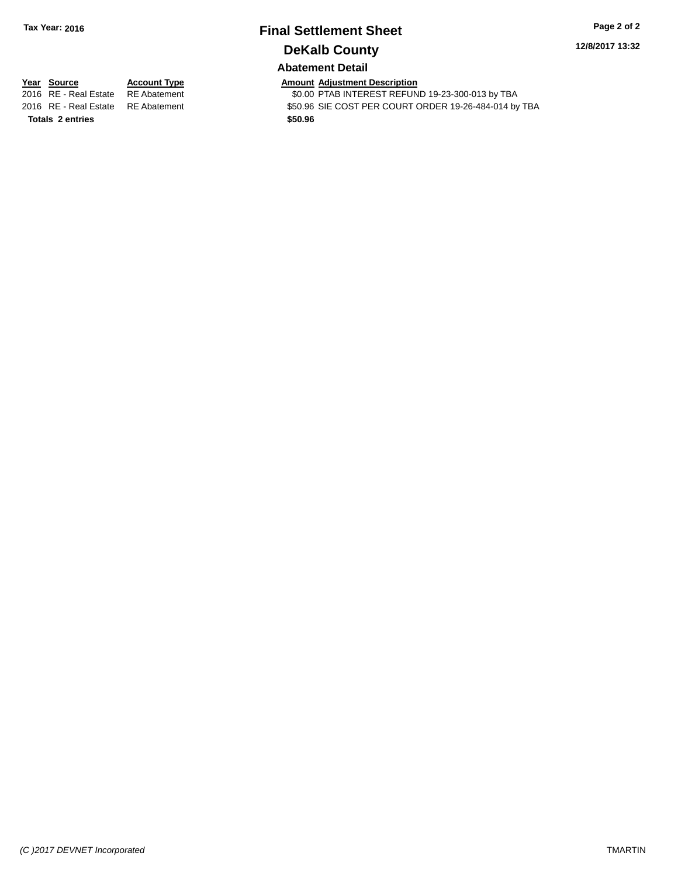# **Final Settlement Sheet Tax Year: 2016 Page 2 of 2 DeKalb County**

**12/8/2017 13:32**

## **Abatement Detail**

**Totals 2 entries \$50.96**

**Year Source Account Type Account Type Amount Adjustment Description**<br>2016 RE - Real Estate RE Abatement **Account 1998 AMOUNTEREST REFUN** \$0.00 PTAB INTEREST REFUND 19-23-300-013 by TBA 2016 RE - Real Estate RE Abatement \$50.96 SIE COST PER COURT ORDER 19-26-484-014 by TBA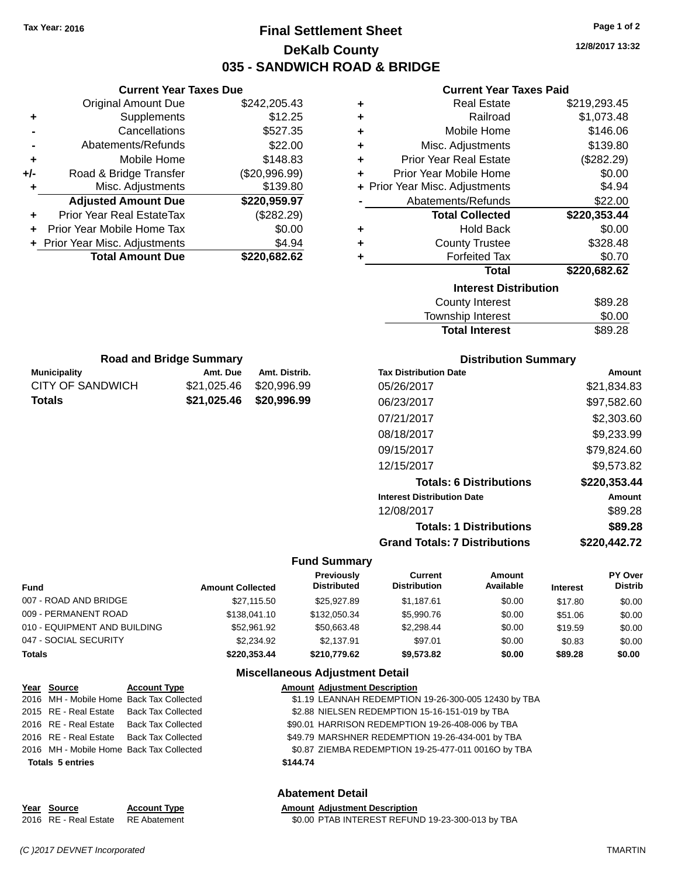**Current Year Taxes Due** Original Amount Due \$242,205.43

**Adjusted Amount Due \$220,959.97**

**Total Amount Due \$220,682.62**

**+** Supplements \$12.25 **-** Cancellations \$527.35 **-** Abatements/Refunds \$22.00 **+** Mobile Home \$148.83 **+/-** Road & Bridge Transfer (\$20,996.99) **+** Misc. Adjustments \$139.80

**+** Prior Year Real EstateTax (\$282.29) **+** Prior Year Mobile Home Tax \$0.00 **+** Prior Year Misc. Adjustments  $$4.94$ 

**Municipality Amt. Due Amt. Distrib. Road and Bridge Summary**

CITY OF SANDWICH \$21,025.46 \$20,996.99 **Totals \$21,025.46 \$20,996.99**

# **Final Settlement Sheet Tax Year: 2016 Page 1 of 2 DeKalb County 035 - SANDWICH ROAD & BRIDGE**

**12/8/2017 13:32**

#### **Current Year Taxes Paid**

| ٠ | <b>Real Estate</b>             | \$219,293.45 |  |  |  |  |
|---|--------------------------------|--------------|--|--|--|--|
| ÷ | Railroad                       | \$1,073.48   |  |  |  |  |
| ÷ | Mobile Home                    | \$146.06     |  |  |  |  |
| ٠ | Misc. Adjustments              | \$139.80     |  |  |  |  |
| ÷ | <b>Prior Year Real Estate</b>  | (\$282.29)   |  |  |  |  |
| ÷ | Prior Year Mobile Home         | \$0.00       |  |  |  |  |
|   | + Prior Year Misc. Adjustments | \$4.94       |  |  |  |  |
|   | Abatements/Refunds             | \$22.00      |  |  |  |  |
|   | <b>Total Collected</b>         | \$220,353.44 |  |  |  |  |
| ٠ | Hold Back                      | \$0.00       |  |  |  |  |
| ٠ | <b>County Trustee</b>          | \$328.48     |  |  |  |  |
| + | <b>Forfeited Tax</b>           | \$0.70       |  |  |  |  |
|   | Total                          | \$220,682.62 |  |  |  |  |
|   | <b>Interest Distribution</b>   |              |  |  |  |  |
|   | <b>County Interest</b>         | \$89.28      |  |  |  |  |
|   | Tourochin Internat             | ሮስ ሰሰ        |  |  |  |  |

# Township Interest **\$0.00 Total Interest** \$89.28

| <b>Distribution Summary</b>          |              |  |  |  |
|--------------------------------------|--------------|--|--|--|
| <b>Tax Distribution Date</b>         | Amount       |  |  |  |
| 05/26/2017                           | \$21,834.83  |  |  |  |
| 06/23/2017                           | \$97,582.60  |  |  |  |
| 07/21/2017                           | \$2,303.60   |  |  |  |
| 08/18/2017                           | \$9,233.99   |  |  |  |
| 09/15/2017                           | \$79,824.60  |  |  |  |
| 12/15/2017                           | \$9,573.82   |  |  |  |
| <b>Totals: 6 Distributions</b>       | \$220,353.44 |  |  |  |
| <b>Interest Distribution Date</b>    | Amount       |  |  |  |
| 12/08/2017                           | \$89.28      |  |  |  |
| <b>Totals: 1 Distributions</b>       | \$89.28      |  |  |  |
| <b>Grand Totals: 7 Distributions</b> | \$220.442.72 |  |  |  |

#### **Fund Summary**

| Fund                         | <b>Amount Collected</b> | Previously<br><b>Distributed</b> | Current<br><b>Distribution</b> | Amount<br>Available | <b>Interest</b> | <b>PY Over</b><br><b>Distrib</b> |
|------------------------------|-------------------------|----------------------------------|--------------------------------|---------------------|-----------------|----------------------------------|
| 007 - ROAD AND BRIDGE        | \$27.115.50             | \$25.927.89                      | \$1.187.61                     | \$0.00              | \$17.80         | \$0.00                           |
| 009 - PERMANENT ROAD         | \$138,041.10            | \$132,050.34                     | \$5,990.76                     | \$0.00              | \$51.06         | \$0.00                           |
| 010 - EQUIPMENT AND BUILDING | \$52.961.92             | \$50.663.48                      | \$2.298.44                     | \$0.00              | \$19.59         | \$0.00                           |
| 047 - SOCIAL SECURITY        | \$2,234.92              | \$2.137.91                       | \$97.01                        | \$0.00              | \$0.83          | \$0.00                           |
| Totals                       | \$220.353.44            | \$210,779.62                     | \$9.573.82                     | \$0.00              | \$89.28         | \$0.00                           |

#### **Miscellaneous Adjustment Detail**

| Year Source                              | <b>Account Type</b>                      | <b>Amount Adjustment Description</b>                 |
|------------------------------------------|------------------------------------------|------------------------------------------------------|
|                                          | 2016 MH - Mobile Home Back Tax Collected | \$1.19 LEANNAH REDEMPTION 19-26-300-005 12430 by TBA |
| 2015 RE - Real Estate Back Tax Collected |                                          | \$2.88 NIELSEN REDEMPTION 15-16-151-019 by TBA       |
|                                          | 2016 RE - Real Estate Back Tax Collected | \$90.01 HARRISON REDEMPTION 19-26-408-006 by TBA     |
| 2016 RE - Real Estate Back Tax Collected |                                          | \$49.79 MARSHNER REDEMPTION 19-26-434-001 by TBA     |
| 2016 MH - Mobile Home Back Tax Collected |                                          | \$0.87 ZIEMBA REDEMPTION 19-25-477-011 0016O by TBA  |
| <b>Totals 5 entries</b>                  |                                          | \$144.74                                             |
|                                          |                                          |                                                      |
|                                          |                                          |                                                      |

#### **Abatement Detail**

| Year Source                        | <b>Account Type</b> | <b>Amount Adjustment Description</b>             |
|------------------------------------|---------------------|--------------------------------------------------|
| 2016 RE - Real Estate RE Abatement |                     | \$0.00 PTAB INTEREST REFUND 19-23-300-013 by TBA |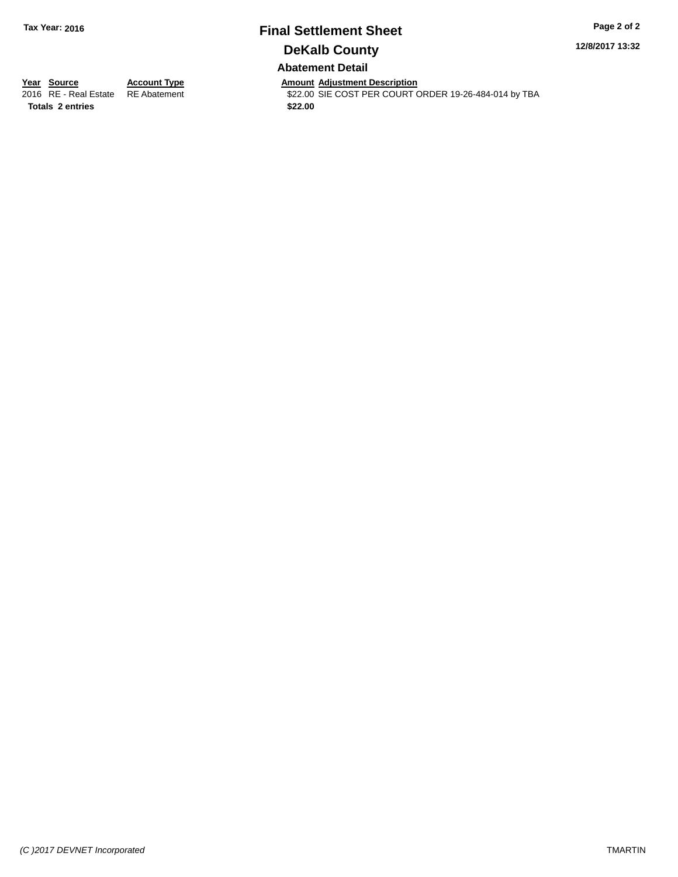# **Final Settlement Sheet Tax Year: 2016 Page 2 of 2 DeKalb County Abatement Detail**

**12/8/2017 13:32**

**Totals 2 entries \$22.00**

**Year Source Account Type**<br>
2016 RE - Real Estate RE Abatement **Adjustment Adjustment Description**<br>
\$22.00 SIE COST PER COURT \$22.00 SIE COST PER COURT ORDER 19-26-484-014 by TBA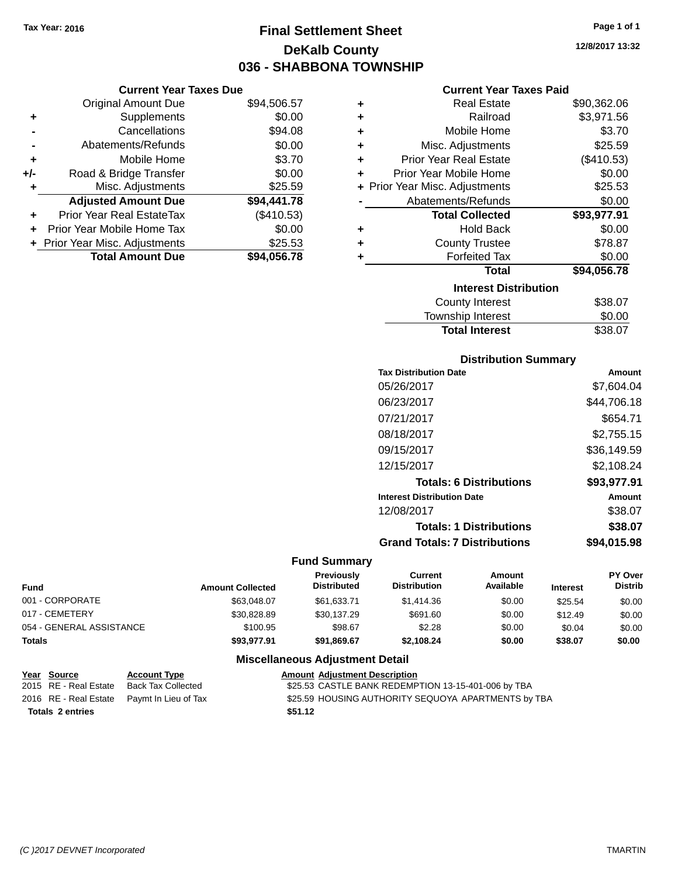# **Final Settlement Sheet Tax Year: 2016 Page 1 of 1 DeKalb County 036 - SHABBONA TOWNSHIP**

**12/8/2017 13:32**

#### **Current Year Taxes Paid**

|     | <b>Current Year Taxes Due</b>  |             |  |  |  |
|-----|--------------------------------|-------------|--|--|--|
|     | <b>Original Amount Due</b>     | \$94,506.57 |  |  |  |
| ٠   | Supplements                    | \$0.00      |  |  |  |
|     | Cancellations                  | \$94.08     |  |  |  |
|     | Abatements/Refunds             | \$0.00      |  |  |  |
| ٠   | Mobile Home                    | \$3.70      |  |  |  |
| +/- | Road & Bridge Transfer         | \$0.00      |  |  |  |
| ٠   | Misc. Adjustments              | \$25.59     |  |  |  |
|     | <b>Adjusted Amount Due</b>     | \$94,441.78 |  |  |  |
| ٠   | Prior Year Real EstateTax      | (\$410.53)  |  |  |  |
| ٠   | Prior Year Mobile Home Tax     | \$0.00      |  |  |  |
|     | + Prior Year Misc. Adjustments | \$25.53     |  |  |  |
|     | <b>Total Amount Due</b>        | \$94.056.78 |  |  |  |

| ٠ | <b>Real Estate</b>             | \$90,362.06 |
|---|--------------------------------|-------------|
| ٠ | Railroad                       | \$3,971.56  |
| ٠ | Mobile Home                    | \$3.70      |
| ٠ | Misc. Adjustments              | \$25.59     |
| ٠ | Prior Year Real Estate         | (\$410.53)  |
| ٠ | Prior Year Mobile Home         | \$0.00      |
|   | + Prior Year Misc. Adjustments | \$25.53     |
|   | Abatements/Refunds             | \$0.00      |
|   | <b>Total Collected</b>         | \$93,977.91 |
| ٠ | <b>Hold Back</b>               | \$0.00      |
| ٠ | <b>County Trustee</b>          | \$78.87     |
| ٠ | <b>Forfeited Tax</b>           | \$0.00      |
|   | <b>Total</b>                   | \$94,056.78 |
|   | <b>Interest Distribution</b>   |             |
|   | <b>County Interest</b>         | \$38.07     |
|   | <b>Township Interest</b>       | \$0.00      |
|   | <b>Total Interest</b>          | \$38.07     |

#### **Distribution Summary**

| Amount      |
|-------------|
| \$7.604.04  |
| \$44,706.18 |
| \$654.71    |
| \$2,755.15  |
| \$36.149.59 |
| \$2,108.24  |
| \$93,977.91 |
| Amount      |
| \$38.07     |
| \$38.07     |
| \$94,015.98 |
|             |

#### **Fund Summary**

| <b>Fund</b>              | <b>Amount Collected</b> | <b>Previously</b><br><b>Distributed</b> | Current<br><b>Distribution</b> | Amount<br>Available | <b>Interest</b> | <b>PY Over</b><br><b>Distrib</b> |
|--------------------------|-------------------------|-----------------------------------------|--------------------------------|---------------------|-----------------|----------------------------------|
| 001 - CORPORATE          | \$63,048,07             | \$61,633.71                             | \$1,414.36                     | \$0.00              | \$25.54         | \$0.00                           |
| 017 - CEMETERY           | \$30.828.89             | \$30,137.29                             | \$691.60                       | \$0.00              | \$12.49         | \$0.00                           |
| 054 - GENERAL ASSISTANCE | \$100.95                | \$98.67                                 | \$2.28                         | \$0.00              | \$0.04          | \$0.00                           |
| <b>Totals</b>            | \$93,977.91             | \$91,869.67                             | \$2.108.24                     | \$0.00              | \$38.07         | \$0.00                           |

| <u>Year Source</u>      | <b>Account Type</b>                        | <b>Amount Adjustment Description</b>                |
|-------------------------|--------------------------------------------|-----------------------------------------------------|
| 2015 RE - Real Estate   | Back Tax Collected                         | \$25.53 CASTLE BANK REDEMPTION 13-15-401-006 by TBA |
|                         | 2016 RE - Real Estate Paymt In Lieu of Tax | \$25.59 HOUSING AUTHORITY SEQUOYA APARTMENTS by TBA |
| <b>Totals 2 entries</b> |                                            | \$51.12                                             |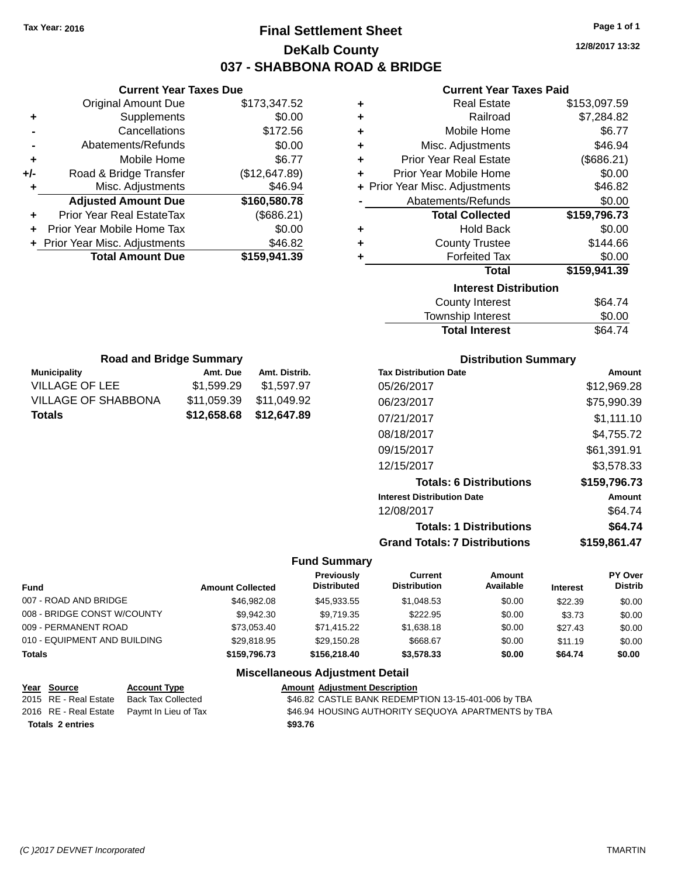**Original Amount Due** 

**Adjusted Amount Due** 

**Total Amount Due** 

**+** Supplements **-** Cancellations **-** Abatements/Refunds **+** Mobile Home **+/-** Road & Bridge Transfer **+** Misc. Adjustments

**+** Prior Year Real EstateTax **+** Prior Year Mobile Home Tax **+** Prior Year Misc. Adjustments

# **Final Settlement Sheet Tax Year: 2016 Page 1 of 1 DeKalb County 037 - SHABBONA ROAD & BRIDGE**

**12/8/2017 13:32**

**+** Real Estate \$153,097.59 **+** Railroad \$7,284.82 **+** Mobile Home \$6.77 \$46.94 **+** Prior Year Real Estate (\$686.21) **+** Prior Year Mobile Home \$0.00  $$46.82$  $$0.00$ **Total Collected \$159,796.73**

**+** Hold Back \$0.00

\$0.00 **Total \$159,941.39**

\$144.66

## **Current Year Taxes Paid**

| <b>Current Year Taxes Due</b> |               |                                | <b>Current Year Taxes Pa</b>  |  |
|-------------------------------|---------------|--------------------------------|-------------------------------|--|
| ่<br>เl Amount Due            | \$173,347.52  | ٠                              | <b>Real Estate</b>            |  |
| Supplements                   | \$0.00        | ٠                              | Railroad                      |  |
| Cancellations                 | \$172.56      | ٠                              | Mobile Home                   |  |
| าents/Refunds                 | \$0.00        | ٠                              | Misc. Adjustments             |  |
| Mobile Home                   | \$6.77        | ÷                              | <b>Prior Year Real Estate</b> |  |
| ridge Transfer                | (\$12,647.89) | ÷                              | Prior Year Mobile Home        |  |
| . Adjustments                 | \$46.94       | + Prior Year Misc. Adjustments |                               |  |
| <b>Amount Due</b>             | \$160,580.78  |                                | Abatements/Refunds            |  |
| leal EstateTax≀               | (\$686.21)    |                                | <b>Total Collected</b>        |  |
| bile Home Tax                 | \$0.00        | ٠                              | <b>Hold Back</b>              |  |
| . Adjustments                 | \$46.82       | ٠                              | <b>County Trustee</b>         |  |
| <b>Amount Due</b>             | \$159,941.39  |                                | <b>Forfeited Tax</b>          |  |
|                               |               |                                | <b>Total</b>                  |  |
|                               |               |                                | <b>Interest Distribution</b>  |  |
|                               |               |                                |                               |  |

| <b>Interest Distribution</b> |         |
|------------------------------|---------|
| County Interest              | \$64.74 |

| .<br>Township Interest | \$0.00  |
|------------------------|---------|
| <b>Total Interest</b>  | \$64.74 |

| <b>Road and Bridge Summary</b> |             |               |  |  |  |
|--------------------------------|-------------|---------------|--|--|--|
| <b>Municipality</b>            | Amt. Due    | Amt. Distrib. |  |  |  |
| <b>VILLAGE OF LEE</b>          | \$1,599.29  | \$1,597.97    |  |  |  |
| <b>VILLAGE OF SHABBONA</b>     | \$11,059.39 | \$11,049.92   |  |  |  |
| <b>Totals</b>                  | \$12,658.68 | \$12,647.89   |  |  |  |

#### **Distribution Summary**

| <b>Tax Distribution Date</b>         | Amount       |
|--------------------------------------|--------------|
| 05/26/2017                           | \$12.969.28  |
| 06/23/2017                           | \$75,990.39  |
| 07/21/2017                           | \$1,111.10   |
| 08/18/2017                           | \$4,755.72   |
| 09/15/2017                           | \$61,391.91  |
| 12/15/2017                           | \$3.578.33   |
| <b>Totals: 6 Distributions</b>       | \$159,796.73 |
| <b>Interest Distribution Date</b>    | Amount       |
| 12/08/2017                           | \$64.74      |
| <b>Totals: 1 Distributions</b>       | \$64.74      |
| <b>Grand Totals: 7 Distributions</b> | \$159.861.47 |

#### **Fund Summary**

| <b>Fund</b>                  | <b>Amount Collected</b> | Previously<br><b>Distributed</b> | Current<br><b>Distribution</b> | Amount<br>Available | <b>Interest</b> | PY Over<br>Distrib |
|------------------------------|-------------------------|----------------------------------|--------------------------------|---------------------|-----------------|--------------------|
| 007 - ROAD AND BRIDGE        | \$46,982,08             | \$45,933.55                      | \$1,048.53                     | \$0.00              | \$22.39         | \$0.00             |
| 008 - BRIDGE CONST W/COUNTY  | \$9.942.30              | \$9.719.35                       | \$222.95                       | \$0.00              | \$3.73          | \$0.00             |
| 009 - PERMANENT ROAD         | \$73.053.40             | \$71.415.22                      | \$1,638,18                     | \$0.00              | \$27.43         | \$0.00             |
| 010 - EQUIPMENT AND BUILDING | \$29.818.95             | \$29.150.28                      | \$668.67                       | \$0.00              | \$11.19         | \$0.00             |
| <b>Totals</b>                | \$159,796.73            | \$156,218,40                     | \$3.578.33                     | \$0.00              | \$64.74         | \$0.00             |
|                              |                         |                                  |                                |                     |                 |                    |

| Year Source             | <b>Account Type</b>                        | <b>Amount Adjustment Description</b>                |
|-------------------------|--------------------------------------------|-----------------------------------------------------|
| 2015 RE - Real Estate   | Back Tax Collected                         | \$46.82 CASTLE BANK REDEMPTION 13-15-401-006 by TBA |
|                         | 2016 RE - Real Estate Pavmt In Lieu of Tax | \$46.94 HOUSING AUTHORITY SEQUOYA APARTMENTS by TBA |
| <b>Totals 2 entries</b> |                                            | \$93.76                                             |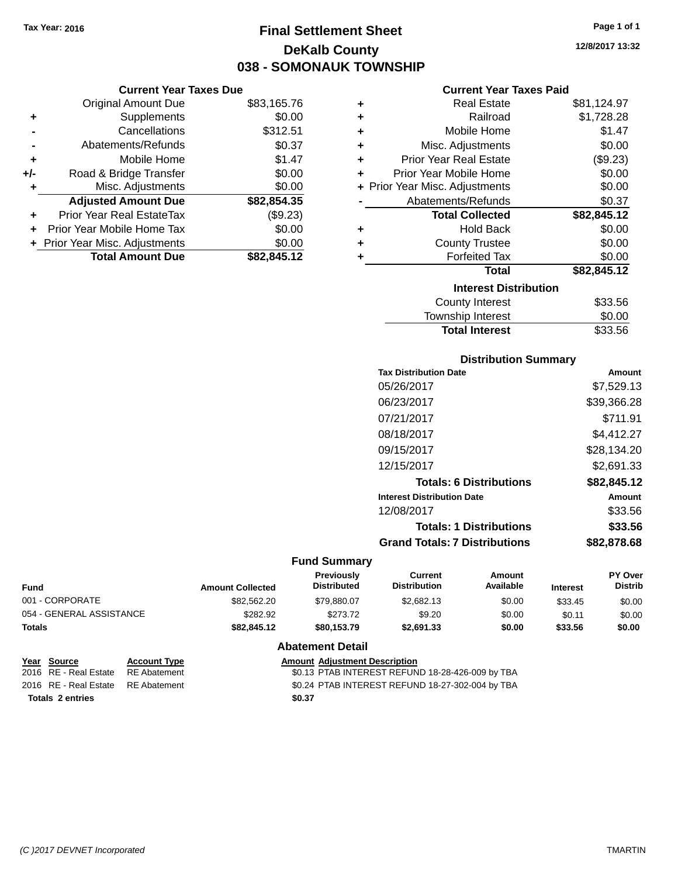# **Final Settlement Sheet Tax Year: 2016 Page 1 of 1 DeKalb County 038 - SOMONAUK TOWNSHIP**

**12/8/2017 13:32**

#### **Current Year Taxes Paid**

|     | <b>Current Year Taxes Due</b>  |             |
|-----|--------------------------------|-------------|
|     | <b>Original Amount Due</b>     | \$83,165.76 |
| ٠   | Supplements                    | \$0.00      |
|     | Cancellations                  | \$312.51    |
|     | Abatements/Refunds             | \$0.37      |
| ٠   | Mobile Home                    | \$1.47      |
| +/- | Road & Bridge Transfer         | \$0.00      |
| ٠   | Misc. Adjustments              | \$0.00      |
|     | <b>Adjusted Amount Due</b>     | \$82,854.35 |
|     | Prior Year Real EstateTax      | (\$9.23)    |
|     | Prior Year Mobile Home Tax     | \$0.00      |
|     | + Prior Year Misc. Adjustments | \$0.00      |
|     | <b>Total Amount Due</b>        | \$82,845.12 |

| ٠ | <b>Real Estate</b>             | \$81,124.97 |
|---|--------------------------------|-------------|
| ٠ | Railroad                       | \$1,728.28  |
| ٠ | Mobile Home                    | \$1.47      |
| ٠ | Misc. Adjustments              | \$0.00      |
| ٠ | <b>Prior Year Real Estate</b>  | (\$9.23)    |
| ٠ | Prior Year Mobile Home         | \$0.00      |
|   | + Prior Year Misc. Adjustments | \$0.00      |
|   | Abatements/Refunds             | \$0.37      |
|   | <b>Total Collected</b>         | \$82,845.12 |
| ٠ | <b>Hold Back</b>               | \$0.00      |
| ٠ | <b>County Trustee</b>          | \$0.00      |
| ٠ | <b>Forfeited Tax</b>           | \$0.00      |
|   | <b>Total</b>                   | \$82,845.12 |
|   | <b>Interest Distribution</b>   |             |
|   | <b>County Interest</b>         | \$33.56     |
|   | <b>Township Interest</b>       | \$0.00      |
|   | <b>Total Interest</b>          | \$33.56     |

#### **Distribution Summary**

| <b>Tax Distribution Date</b>         | Amount      |
|--------------------------------------|-------------|
| 05/26/2017                           | \$7,529.13  |
| 06/23/2017                           | \$39.366.28 |
| 07/21/2017                           | \$711.91    |
| 08/18/2017                           | \$4.412.27  |
| 09/15/2017                           | \$28,134.20 |
| 12/15/2017                           | \$2,691.33  |
| <b>Totals: 6 Distributions</b>       | \$82,845.12 |
| <b>Interest Distribution Date</b>    | Amount      |
| 12/08/2017                           | \$33.56     |
| <b>Totals: 1 Distributions</b>       | \$33.56     |
| <b>Grand Totals: 7 Distributions</b> | \$82.878.68 |
|                                      |             |

#### **Fund Summary**

| <b>Amount Collected</b> | <b>Previously</b><br><b>Distributed</b> | Current<br><b>Distribution</b> | Amount<br>Available | <b>Interest</b> | <b>PY Over</b><br><b>Distrib</b> |
|-------------------------|-----------------------------------------|--------------------------------|---------------------|-----------------|----------------------------------|
| \$82,562.20             | \$79.880.07                             | \$2,682.13                     | \$0.00              | \$33.45         | \$0.00                           |
| \$282.92                | \$273.72                                | \$9.20                         | \$0.00              | \$0.11          | \$0.00                           |
| \$82,845,12             | \$80.153.79                             | \$2,691,33                     | \$0.00              | \$33.56         | \$0.00                           |
|                         |                                         |                                |                     |                 |                                  |

#### **Abatement Detail**

| <u>Year Source</u>                 | <b>Account Type</b> |        | <b>Amount Adjustment Description</b>             |
|------------------------------------|---------------------|--------|--------------------------------------------------|
| 2016 RE - Real Estate              | RE Abatement        |        | \$0.13 PTAB INTEREST REFUND 18-28-426-009 by TBA |
| 2016 RE - Real Estate RE Abatement |                     |        | \$0.24 PTAB INTEREST REFUND 18-27-302-004 by TBA |
| <b>Totals 2 entries</b>            |                     | \$0.37 |                                                  |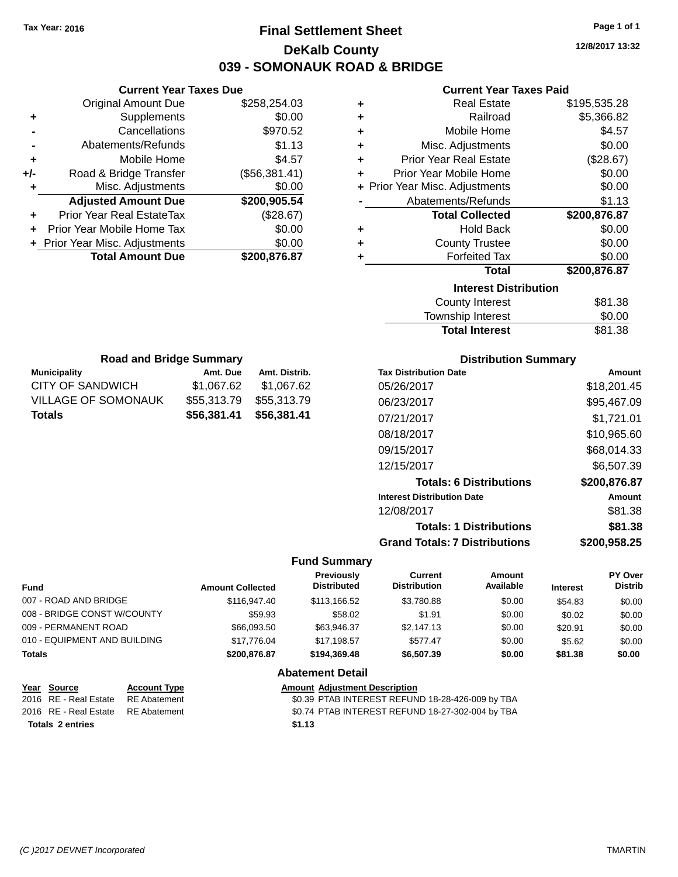# **Final Settlement Sheet Tax Year: 2016 Page 1 of 1 DeKalb County 039 - SOMONAUK ROAD & BRIDGE**

**12/8/2017 13:32**

#### **Current Year Taxes Paid**

| ٠ | <b>Real Estate</b>             | \$195,535.28 |
|---|--------------------------------|--------------|
| ٠ | Railroad                       | \$5,366.82   |
| ٠ | Mobile Home                    | \$4.57       |
| ٠ | Misc. Adjustments              | \$0.00       |
| ٠ | <b>Prior Year Real Estate</b>  | (\$28.67)    |
| ٠ | Prior Year Mobile Home         | \$0.00       |
|   | + Prior Year Misc. Adjustments | \$0.00       |
|   | Abatements/Refunds             | \$1.13       |
|   | <b>Total Collected</b>         | \$200,876.87 |
| ٠ | <b>Hold Back</b>               | \$0.00       |
| ٠ | <b>County Trustee</b>          | \$0.00       |
| ٠ | <b>Forfeited Tax</b>           | \$0.00       |
|   | <b>Total</b>                   | \$200,876.87 |
|   | <b>Interest Distribution</b>   |              |
|   | <b>County Interest</b>         | \$81.38      |
|   | <b>Township Interest</b>       | \$0.00       |

| <b>Road and Bridge Summary</b> |             |               |  |  |  |  |
|--------------------------------|-------------|---------------|--|--|--|--|
| <b>Municipality</b>            | Amt. Due    | Amt. Distrib. |  |  |  |  |
| CITY OF SANDWICH               | \$1,067.62  | \$1,067.62    |  |  |  |  |
| <b>VILLAGE OF SOMONAUK</b>     | \$55,313.79 | \$55,313.79   |  |  |  |  |
| <b>Totals</b>                  | \$56,381.41 | \$56,381.41   |  |  |  |  |

**Current Year Taxes Due** Original Amount Due \$258,254.03

**Adjusted Amount Due \$200,905.54**

**Total Amount Due \$200,876.87**

**+** Supplements \$0.00 **-** Cancellations \$970.52 **-** Abatements/Refunds \$1.13 **+** Mobile Home \$4.57 **+/-** Road & Bridge Transfer (\$56,381.41) **+** Misc. Adjustments \$0.00

**+** Prior Year Real EstateTax (\$28.67) **+** Prior Year Mobile Home Tax \$0.00 **+ Prior Year Misc. Adjustments**  $$0.00$ 

#### **Distribution Summary**

Total Interest \$81.38

| <b>Tax Distribution Date</b>         | Amount       |
|--------------------------------------|--------------|
| 05/26/2017                           | \$18,201.45  |
| 06/23/2017                           | \$95,467.09  |
| 07/21/2017                           | \$1,721.01   |
| 08/18/2017                           | \$10,965.60  |
| 09/15/2017                           | \$68,014.33  |
| 12/15/2017                           | \$6,507.39   |
| <b>Totals: 6 Distributions</b>       | \$200,876.87 |
| <b>Interest Distribution Date</b>    | Amount       |
| 12/08/2017                           | \$81.38      |
| <b>Totals: 1 Distributions</b>       | \$81.38      |
| <b>Grand Totals: 7 Distributions</b> | \$200.958.25 |

#### **Fund Summary**

| <b>Fund</b>                 |                                             | <b>Amount Collected</b> | Previously<br><b>Distributed</b>                 | Current<br><b>Distribution</b> | Amount<br>Available | <b>Interest</b> | PY Over<br><b>Distrib</b> |
|-----------------------------|---------------------------------------------|-------------------------|--------------------------------------------------|--------------------------------|---------------------|-----------------|---------------------------|
| 007 - ROAD AND BRIDGE       |                                             | \$116,947.40            | \$113,166.52                                     | \$3,780.88                     | \$0.00              | \$54.83         | \$0.00                    |
| 008 - BRIDGE CONST W/COUNTY |                                             | \$59.93                 | \$58.02                                          | \$1.91                         | \$0.00              | \$0.02          | \$0.00                    |
| 009 - PERMANENT ROAD        |                                             | \$66,093.50             | \$63,946.37                                      | \$2,147.13                     | \$0.00              | \$20.91         | \$0.00                    |
|                             | 010 - EQUIPMENT AND BUILDING<br>\$17,776.04 |                         | \$17,198.57                                      | \$577.47                       | \$0.00              | \$5.62          | \$0.00                    |
| <b>Totals</b>               |                                             | \$200,876,87            | \$194,369,48<br>\$6,507.39<br>\$0.00             |                                | \$81.38             | \$0.00          |                           |
|                             |                                             |                         | <b>Abatement Detail</b>                          |                                |                     |                 |                           |
| Year<br>Source              | <b>Account Type</b>                         |                         | <b>Amount Adjustment Description</b>             |                                |                     |                 |                           |
| 2016 RE - Real Estate       | <b>RE</b> Abatement                         |                         | \$0.39 PTAB INTEREST REFUND 18-28-426-009 by TBA |                                |                     |                 |                           |

**Totals 2 entries \$1.13**

2016 RE - Real Estate RE Abatement \$0.74 PTAB INTEREST REFUND 18-27-302-004 by TBA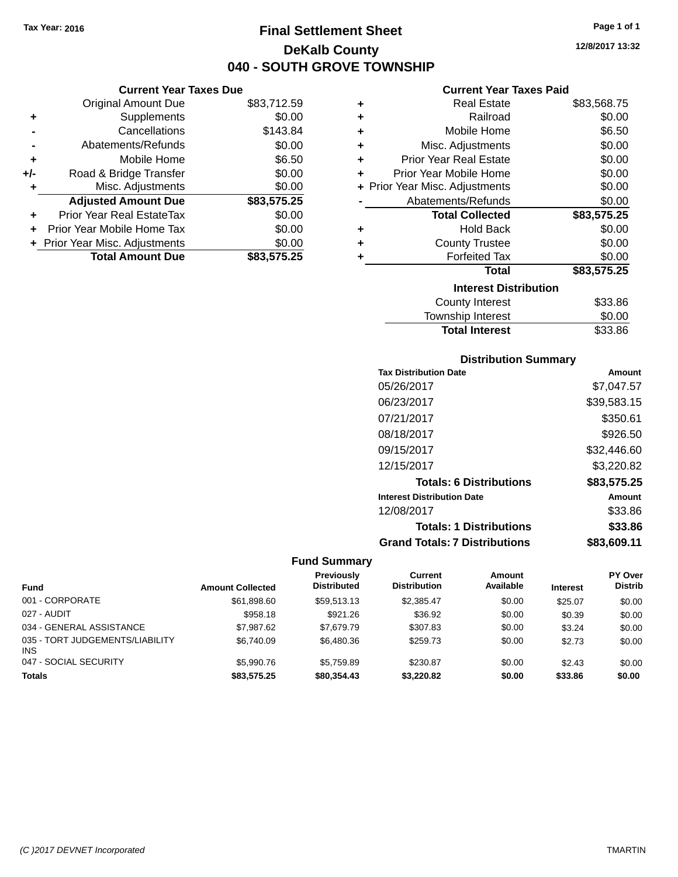**Current Year Taxes Due** Original Amount Due \$83,712.59

**Adjusted Amount Due \$83,575.25**

**Total Amount Due \$83,575.25**

**+** Supplements \$0.00 **-** Cancellations \$143.84 **-** Abatements/Refunds \$0.00 **+** Mobile Home \$6.50 **+/-** Road & Bridge Transfer \$0.00<br> **+** Misc. Adjustments \$0.00

**+** Prior Year Real EstateTax \$0.00 **+** Prior Year Mobile Home Tax \$0.00 **+ Prior Year Misc. Adjustments**  $$0.00$ 

**+** Misc. Adjustments

# **Final Settlement Sheet Tax Year: 2016 Page 1 of 1 DeKalb County 040 - SOUTH GROVE TOWNSHIP**

**12/8/2017 13:32**

| <b>Current Year Taxes Paid</b> |
|--------------------------------|
|--------------------------------|

| ٠ | <b>Real Estate</b>             | \$83,568.75 |
|---|--------------------------------|-------------|
| ٠ | Railroad                       | \$0.00      |
| ٠ | Mobile Home                    | \$6.50      |
| ÷ | Misc. Adjustments              | \$0.00      |
| ٠ | <b>Prior Year Real Estate</b>  | \$0.00      |
| ٠ | Prior Year Mobile Home         | \$0.00      |
|   | + Prior Year Misc. Adjustments | \$0.00      |
|   | Abatements/Refunds             | \$0.00      |
|   | <b>Total Collected</b>         | \$83,575.25 |
| ٠ | <b>Hold Back</b>               | \$0.00      |
| ٠ | <b>County Trustee</b>          | \$0.00      |
| ٠ | <b>Forfeited Tax</b>           | \$0.00      |
|   | Total                          | \$83,575.25 |
|   | <b>Interest Distribution</b>   |             |
|   | <b>County Interest</b>         | \$33.86     |
|   | <b>Township Interest</b>       | \$0.00      |
|   | <b>Total Interest</b>          | \$33.86     |

| <b>Distribution Summary</b> |  |
|-----------------------------|--|
|                             |  |

| <b>Tax Distribution Date</b>         | Amount      |
|--------------------------------------|-------------|
| 05/26/2017                           | \$7.047.57  |
| 06/23/2017                           | \$39,583.15 |
| 07/21/2017                           | \$350.61    |
| 08/18/2017                           | \$926.50    |
| 09/15/2017                           | \$32,446.60 |
| 12/15/2017                           | \$3,220.82  |
| <b>Totals: 6 Distributions</b>       | \$83,575.25 |
| <b>Interest Distribution Date</b>    | Amount      |
| 12/08/2017                           | \$33.86     |
| <b>Totals: 1 Distributions</b>       | \$33.86     |
| <b>Grand Totals: 7 Distributions</b> | \$83,609.11 |

| <b>Fund</b>                                   | <b>Amount Collected</b> | <b>Previously</b><br><b>Distributed</b> | Current<br><b>Distribution</b> | Amount<br>Available | <b>Interest</b> | <b>PY Over</b><br><b>Distrib</b> |
|-----------------------------------------------|-------------------------|-----------------------------------------|--------------------------------|---------------------|-----------------|----------------------------------|
| 001 - CORPORATE                               | \$61.898.60             | \$59.513.13                             | \$2,385.47                     | \$0.00              | \$25.07         | \$0.00                           |
| 027 - AUDIT                                   | \$958.18                | \$921.26                                | \$36.92                        | \$0.00              | \$0.39          | \$0.00                           |
| 034 - GENERAL ASSISTANCE                      | \$7,987.62              | \$7,679.79                              | \$307.83                       | \$0.00              | \$3.24          | \$0.00                           |
| 035 - TORT JUDGEMENTS/LIABILITY<br><b>INS</b> | \$6,740.09              | \$6,480.36                              | \$259.73                       | \$0.00              | \$2.73          | \$0.00                           |
| 047 - SOCIAL SECURITY                         | \$5,990.76              | \$5.759.89                              | \$230.87                       | \$0.00              | \$2.43          | \$0.00                           |
| <b>Totals</b>                                 | \$83,575.25             | \$80,354.43                             | \$3,220.82                     | \$0.00              | \$33.86         | \$0.00                           |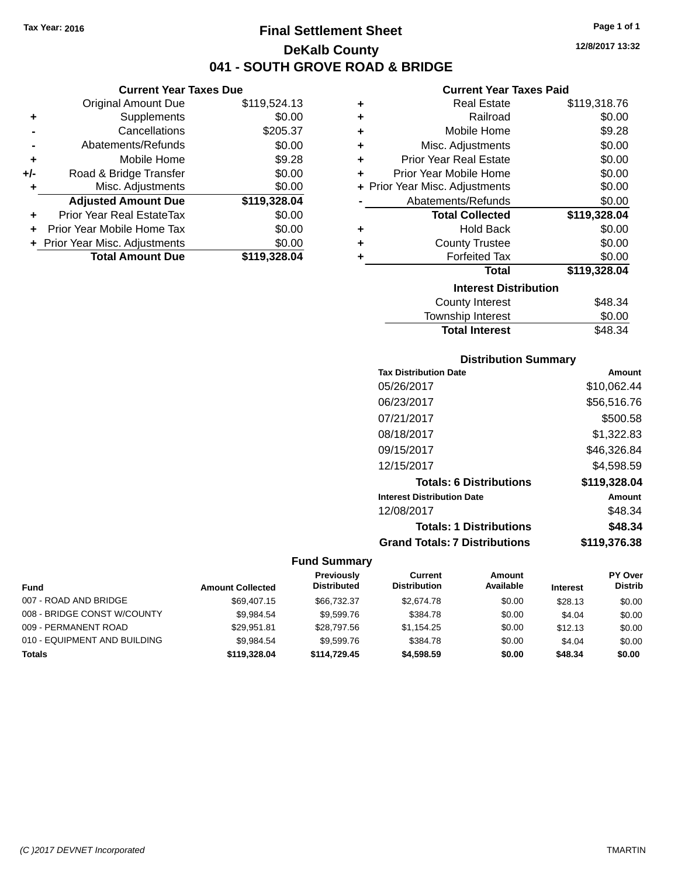# **Final Settlement Sheet Tax Year: 2016 Page 1 of 1 DeKalb County 041 - SOUTH GROVE ROAD & BRIDGE**

#### **12/8/2017 13:32**

#### **Current Year Taxes Paid**

|     | <b>Current Year Taxes Due</b>  |              |  |  |  |
|-----|--------------------------------|--------------|--|--|--|
|     | <b>Original Amount Due</b>     | \$119,524.13 |  |  |  |
| ٠   | Supplements                    | \$0.00       |  |  |  |
|     | Cancellations                  | \$205.37     |  |  |  |
|     | Abatements/Refunds             | \$0.00       |  |  |  |
| ٠   | Mobile Home                    | \$9.28       |  |  |  |
| +/- | Road & Bridge Transfer         | \$0.00       |  |  |  |
| ٠   | Misc. Adjustments              | \$0.00       |  |  |  |
|     | <b>Adjusted Amount Due</b>     | \$119,328.04 |  |  |  |
| ٠   | Prior Year Real EstateTax      | \$0.00       |  |  |  |
| ÷   | Prior Year Mobile Home Tax     | \$0.00       |  |  |  |
|     | + Prior Year Misc. Adjustments | \$0.00       |  |  |  |
|     | <b>Total Amount Due</b>        | \$119,328.04 |  |  |  |

| ٠ | Real Estate                    | \$119,318.76 |  |  |  |  |  |
|---|--------------------------------|--------------|--|--|--|--|--|
| ÷ | Railroad                       | \$0.00       |  |  |  |  |  |
| ٠ | Mobile Home                    | \$9.28       |  |  |  |  |  |
| ÷ | Misc. Adjustments              | \$0.00       |  |  |  |  |  |
| ÷ | <b>Prior Year Real Estate</b>  | \$0.00       |  |  |  |  |  |
| ٠ | Prior Year Mobile Home         | \$0.00       |  |  |  |  |  |
|   | + Prior Year Misc. Adjustments | \$0.00       |  |  |  |  |  |
|   | Abatements/Refunds             | \$0.00       |  |  |  |  |  |
|   | <b>Total Collected</b>         | \$119,328.04 |  |  |  |  |  |
| ٠ | <b>Hold Back</b>               | \$0.00       |  |  |  |  |  |
| ٠ | <b>County Trustee</b>          | \$0.00       |  |  |  |  |  |
| ٠ | <b>Forfeited Tax</b>           | \$0.00       |  |  |  |  |  |
|   | <b>Total</b>                   | \$119,328.04 |  |  |  |  |  |
|   | <b>Interest Distribution</b>   |              |  |  |  |  |  |
|   | <b>County Interest</b>         | \$48.34      |  |  |  |  |  |
|   | <b>Township Interest</b>       | \$0.00       |  |  |  |  |  |
|   | <b>Total Interest</b>          | \$48.34      |  |  |  |  |  |

# **Distribution Summary**

| <b>Tax Distribution Date</b>         | Amount       |
|--------------------------------------|--------------|
| 05/26/2017                           | \$10,062.44  |
| 06/23/2017                           | \$56,516.76  |
| 07/21/2017                           | \$500.58     |
| 08/18/2017                           | \$1,322.83   |
| 09/15/2017                           | \$46,326.84  |
| 12/15/2017                           | \$4,598.59   |
| <b>Totals: 6 Distributions</b>       | \$119,328.04 |
| <b>Interest Distribution Date</b>    | Amount       |
| 12/08/2017                           | \$48.34      |
| <b>Totals: 1 Distributions</b>       | \$48.34      |
| <b>Grand Totals: 7 Distributions</b> | \$119.376.38 |

|                              |                         | <b>Previously</b>  | Current             | Amount    |                 | PY Over        |
|------------------------------|-------------------------|--------------------|---------------------|-----------|-----------------|----------------|
| <b>Fund</b>                  | <b>Amount Collected</b> | <b>Distributed</b> | <b>Distribution</b> | Available | <b>Interest</b> | <b>Distrib</b> |
| 007 - ROAD AND BRIDGE        | \$69,407.15             | \$66,732,37        | \$2,674.78          | \$0.00    | \$28.13         | \$0.00         |
| 008 - BRIDGE CONST W/COUNTY  | \$9.984.54              | \$9,599.76         | \$384.78            | \$0.00    | \$4.04          | \$0.00         |
| 009 - PERMANENT ROAD         | \$29.951.81             | \$28,797.56        | \$1.154.25          | \$0.00    | \$12.13         | \$0.00         |
| 010 - EQUIPMENT AND BUILDING | \$9.984.54              | \$9,599.76         | \$384.78            | \$0.00    | \$4.04          | \$0.00         |
| <b>Totals</b>                | \$119,328.04            | \$114,729,45       | \$4,598.59          | \$0.00    | \$48.34         | \$0.00         |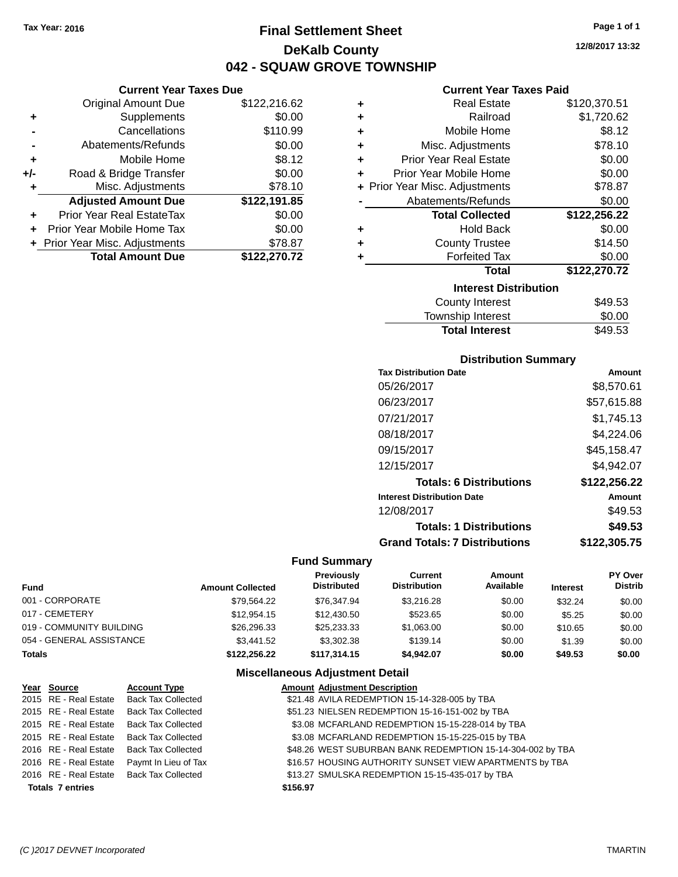**Current Year Taxes Due**

# **Final Settlement Sheet Tax Year: 2016 Page 1 of 1 DeKalb County 042 - SQUAW GROVE TOWNSHIP**

**12/8/2017 13:32**

#### **Current Year Taxes Paid**

|     | <b>Original Amount Due</b>     | \$122,216.62 | ٠ | <b>Real Estate</b>             | \$120,370.51 |
|-----|--------------------------------|--------------|---|--------------------------------|--------------|
| ٠   | Supplements                    | \$0.00       | ٠ | Railroad                       | \$1,720.62   |
|     | Cancellations                  | \$110.99     | ٠ | Mobile Home                    | \$8.12       |
|     | Abatements/Refunds             | \$0.00       | ٠ | Misc. Adjustments              | \$78.10      |
| ٠   | Mobile Home                    | \$8.12       | ٠ | <b>Prior Year Real Estate</b>  | \$0.00       |
| +/- | Road & Bridge Transfer         | \$0.00       | ÷ | Prior Year Mobile Home         | \$0.00       |
| ٠   | Misc. Adjustments              | \$78.10      |   | + Prior Year Misc. Adjustments | \$78.87      |
|     | <b>Adjusted Amount Due</b>     | \$122,191.85 |   | Abatements/Refunds             | \$0.00       |
| ÷.  | Prior Year Real EstateTax      | \$0.00       |   | <b>Total Collected</b>         | \$122,256.22 |
|     | Prior Year Mobile Home Tax     | \$0.00       | ÷ | <b>Hold Back</b>               | \$0.00       |
|     | + Prior Year Misc. Adjustments | \$78.87      | ٠ | <b>County Trustee</b>          | \$14.50      |
|     | <b>Total Amount Due</b>        | \$122,270.72 |   | <b>Forfeited Tax</b>           | \$0.00       |
|     |                                |              |   | <b>Total</b>                   | \$122,270.72 |
|     |                                |              |   | <b>Interest Distribution</b>   |              |
|     |                                |              |   | County Interest                | \$49.53      |
|     |                                |              |   | Township Interest              | \$0.00       |

# **Distribution Summary**

Total Interest \$49.53

| <b>Tax Distribution Date</b>         | Amount       |
|--------------------------------------|--------------|
| 05/26/2017                           | \$8,570.61   |
| 06/23/2017                           | \$57,615.88  |
| 07/21/2017                           | \$1,745.13   |
| 08/18/2017                           | \$4,224.06   |
| 09/15/2017                           | \$45.158.47  |
| 12/15/2017                           | \$4,942.07   |
| <b>Totals: 6 Distributions</b>       | \$122,256.22 |
| <b>Interest Distribution Date</b>    | Amount       |
| 12/08/2017                           | \$49.53      |
| <b>Totals: 1 Distributions</b>       | \$49.53      |
| <b>Grand Totals: 7 Distributions</b> | \$122,305.75 |

#### **Fund Summary**

| <b>Fund</b>              | <b>Amount Collected</b> | <b>Previously</b><br><b>Distributed</b> | Current<br><b>Distribution</b> | Amount<br>Available | <b>Interest</b> | <b>PY Over</b><br><b>Distrib</b> |
|--------------------------|-------------------------|-----------------------------------------|--------------------------------|---------------------|-----------------|----------------------------------|
| 001 - CORPORATE          | \$79,564.22             | \$76,347.94                             | \$3.216.28                     | \$0.00              | \$32.24         | \$0.00                           |
| 017 - CEMETERY           | \$12.954.15             | \$12,430.50                             | \$523.65                       | \$0.00              | \$5.25          | \$0.00                           |
| 019 - COMMUNITY BUILDING | \$26,296.33             | \$25,233.33                             | \$1,063.00                     | \$0.00              | \$10.65         | \$0.00                           |
| 054 - GENERAL ASSISTANCE | \$3,441.52              | \$3,302.38                              | \$139.14                       | \$0.00              | \$1.39          | \$0.00                           |
| Totals                   | \$122,256.22            | \$117.314.15                            | \$4.942.07                     | \$0.00              | \$49.53         | \$0.00                           |
|                          |                         |                                         |                                |                     |                 |                                  |

| Year Source             | <b>Account Type</b>       | <b>Amount Adjustment Description</b>                       |
|-------------------------|---------------------------|------------------------------------------------------------|
| 2015 RE - Real Estate   | <b>Back Tax Collected</b> | \$21.48 AVILA REDEMPTION 15-14-328-005 by TBA              |
| 2015 RE - Real Estate   | <b>Back Tax Collected</b> | \$51.23 NIELSEN REDEMPTION 15-16-151-002 by TBA            |
| 2015 RE - Real Estate   | <b>Back Tax Collected</b> | \$3.08 MCFARLAND REDEMPTION 15-15-228-014 by TBA           |
| 2015 RE - Real Estate   | Back Tax Collected        | \$3.08 MCFARLAND REDEMPTION 15-15-225-015 by TBA           |
| 2016 RE - Real Estate   | Back Tax Collected        | \$48.26 WEST SUBURBAN BANK REDEMPTION 15-14-304-002 by TBA |
| 2016 RE - Real Estate   | Paymt In Lieu of Tax      | \$16.57 HOUSING AUTHORITY SUNSET VIEW APARTMENTS by TBA    |
| 2016 RE - Real Estate   | Back Tax Collected        | \$13.27 SMULSKA REDEMPTION 15-15-435-017 by TBA            |
| <b>Totals 7 entries</b> |                           | \$156.97                                                   |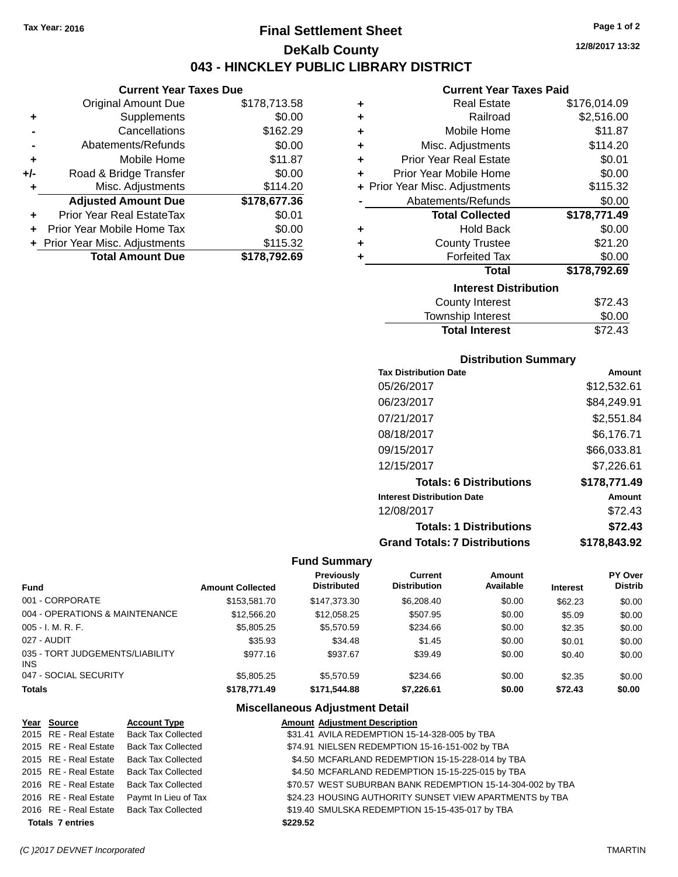**Current Year Taxes Due** Original Amount Due \$178,713.58

**Adjusted Amount Due \$178,677.36**

**Total Amount Due \$178,792.69**

**+** Supplements \$0.00 **-** Cancellations \$162.29 **-** Abatements/Refunds \$0.00 **+** Mobile Home \$11.87 **+/-** Road & Bridge Transfer \$0.00 **+** Misc. Adjustments \$114.20

**+** Prior Year Real EstateTax \$0.01 **+** Prior Year Mobile Home Tax \$0.00 **+ Prior Year Misc. Adjustments \$115.32** 

# **Final Settlement Sheet Tax Year: 2016 Page 1 of 2 DeKalb County 043 - HINCKLEY PUBLIC LIBRARY DISTRICT**

**12/8/2017 13:32**

#### **Current Year Taxes Paid**

| ٠ | <b>Real Estate</b>             | \$176,014.09 |
|---|--------------------------------|--------------|
| ٠ | Railroad                       | \$2,516.00   |
| ÷ | Mobile Home                    | \$11.87      |
| ÷ | Misc. Adjustments              | \$114.20     |
| ٠ | <b>Prior Year Real Estate</b>  | \$0.01       |
| ٠ | Prior Year Mobile Home         | \$0.00       |
|   | + Prior Year Misc. Adjustments | \$115.32     |
|   | Abatements/Refunds             | \$0.00       |
|   | <b>Total Collected</b>         | \$178,771.49 |
| ÷ | <b>Hold Back</b>               | \$0.00       |
| ٠ | <b>County Trustee</b>          | \$21.20      |
| ٠ | <b>Forfeited Tax</b>           | \$0.00       |
|   | <b>Total</b>                   | \$178,792.69 |
|   | <b>Interest Distribution</b>   |              |
|   | <b>County Interest</b>         | \$72.43      |
|   | <b>Township Interest</b>       | \$0.00       |

# **Total Interest** \$72.43

| <b>Distribution Summary</b>          |              |
|--------------------------------------|--------------|
| <b>Tax Distribution Date</b>         | Amount       |
| 05/26/2017                           | \$12,532.61  |
| 06/23/2017                           | \$84,249.91  |
| 07/21/2017                           | \$2,551.84   |
| 08/18/2017                           | \$6,176.71   |
| 09/15/2017                           | \$66,033.81  |
| 12/15/2017                           | \$7.226.61   |
| <b>Totals: 6 Distributions</b>       | \$178,771.49 |
| <b>Interest Distribution Date</b>    | Amount       |
| 12/08/2017                           | \$72.43      |
| <b>Totals: 1 Distributions</b>       | \$72.43      |
| <b>Grand Totals: 7 Distributions</b> | \$178,843.92 |

#### **Fund Summary**

| Fund                                   | <b>Amount Collected</b> | <b>Previously</b><br><b>Distributed</b> | <b>Current</b><br><b>Distribution</b> | Amount<br>Available | <b>Interest</b> | PY Over<br><b>Distrib</b> |
|----------------------------------------|-------------------------|-----------------------------------------|---------------------------------------|---------------------|-----------------|---------------------------|
| 001 - CORPORATE                        | \$153,581.70            | \$147.373.30                            | \$6,208,40                            | \$0.00              | \$62.23         | \$0.00                    |
| 004 - OPERATIONS & MAINTENANCE         | \$12,566,20             | \$12.058.25                             | \$507.95                              | \$0.00              | \$5.09          | \$0.00                    |
| 005 - I. M. R. F.                      | \$5,805.25              | \$5,570.59                              | \$234.66                              | \$0.00              | \$2.35          | \$0.00                    |
| 027 - AUDIT                            | \$35.93                 | \$34.48                                 | \$1.45                                | \$0.00              | \$0.01          | \$0.00                    |
| 035 - TORT JUDGEMENTS/LIABILITY<br>INS | \$977.16                | \$937.67                                | \$39.49                               | \$0.00              | \$0.40          | \$0.00                    |
| 047 - SOCIAL SECURITY                  | \$5,805.25              | \$5,570.59                              | \$234.66                              | \$0.00              | \$2.35          | \$0.00                    |
| <b>Totals</b>                          | \$178,771.49            | \$171,544,88                            | \$7,226.61                            | \$0.00              | \$72.43         | \$0.00                    |

| Year Source             | <b>Account Type</b>       |          | <b>Amount Adjustment Description</b>                       |
|-------------------------|---------------------------|----------|------------------------------------------------------------|
| 2015 RE - Real Estate   | <b>Back Tax Collected</b> |          | \$31.41 AVILA REDEMPTION 15-14-328-005 by TBA              |
| 2015 RE - Real Estate   | <b>Back Tax Collected</b> |          | \$74.91 NIELSEN REDEMPTION 15-16-151-002 by TBA            |
| 2015 RE - Real Estate   | Back Tax Collected        |          | \$4.50 MCFARLAND REDEMPTION 15-15-228-014 by TBA           |
| 2015 RE - Real Estate   | <b>Back Tax Collected</b> |          | \$4.50 MCFARLAND REDEMPTION 15-15-225-015 by TBA           |
| 2016 RE - Real Estate   | <b>Back Tax Collected</b> |          | \$70.57 WEST SUBURBAN BANK REDEMPTION 15-14-304-002 by TBA |
| 2016 RE - Real Estate   | Paymt In Lieu of Tax      |          | \$24.23 HOUSING AUTHORITY SUNSET VIEW APARTMENTS by TBA    |
| 2016 RE - Real Estate   | <b>Back Tax Collected</b> |          | \$19.40 SMULSKA REDEMPTION 15-15-435-017 by TBA            |
| <b>Totals 7 entries</b> |                           | \$229.52 |                                                            |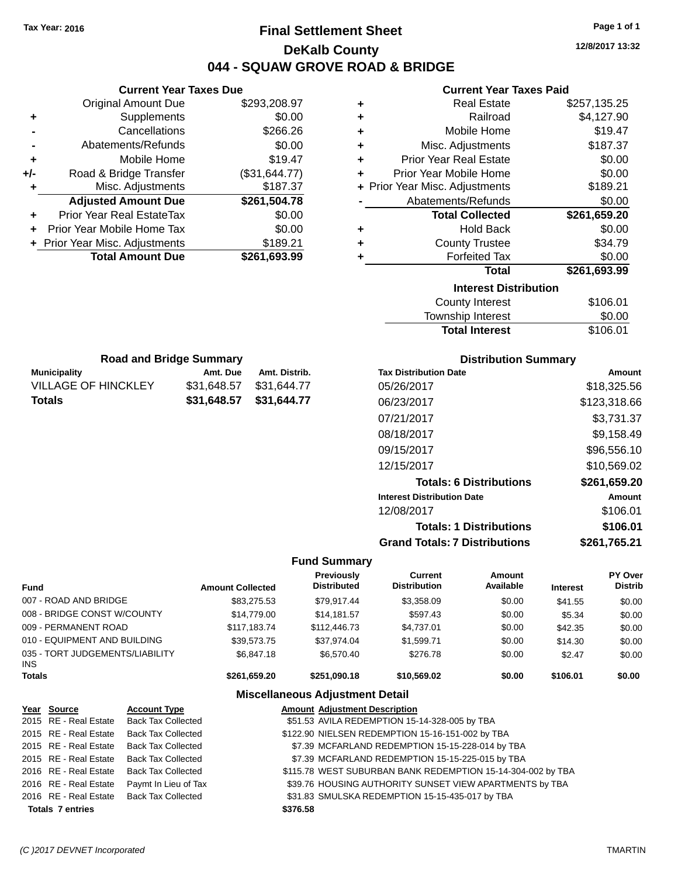# **Final Settlement Sheet Tax Year: 2016 Page 1 of 1 DeKalb County 044 - SQUAW GROVE ROAD & BRIDGE**

**12/8/2017 13:32**

**+** Real Estate \$257,135.25 **+** Railroad \$4,127.90 \$19.47  $$187.37$  $$0.00$  $$0.00$ **+** Prior Year Misc. Adjustments \$189.21  $$0.00$ **Total Collected \$261,659.20**

**+** Hold Back \$0.00

\$0.00

\$34.79

#### **Current Year Taxes Paid**

|     | <b>Current Year Taxes Due</b>    |               |   | <b>Current Year T</b>          |
|-----|----------------------------------|---------------|---|--------------------------------|
|     | Original Amount Due              | \$293,208.97  | ٠ | <b>Real Estate</b>             |
|     | Supplements                      | \$0.00        | ٠ | Railroad                       |
|     | Cancellations                    | \$266.26      | ٠ | Mobile Home                    |
|     | Abatements/Refunds               | \$0.00        | ٠ | Misc. Adjustments              |
|     | Mobile Home                      | \$19.47       | ÷ | <b>Prior Year Real Estate</b>  |
| +/- | Road & Bridge Transfer           | (\$31,644.77) | ÷ | Prior Year Mobile Home         |
|     | Misc. Adjustments                | \$187.37      |   | + Prior Year Misc. Adjustments |
|     | <b>Adjusted Amount Due</b>       | \$261,504.78  |   | Abatements/Refunds             |
| ÷   | <b>Prior Year Real EstateTax</b> | \$0.00        |   | <b>Total Collected</b>         |
| ٠   | Prior Year Mobile Home Tax       | \$0.00        | ٠ | <b>Hold Back</b>               |
|     | + Prior Year Misc. Adjustments   | \$189.21      | ٠ | <b>County Trustee</b>          |
|     | <b>Total Amount Due</b>          | \$261,693.99  |   | <b>Forfeited Tax</b>           |
|     |                                  |               |   | <b>Total</b>                   |
|     |                                  |               |   | <b>Interest Dist</b>           |

| Total                        | \$261,693.99 |
|------------------------------|--------------|
| <b>Interest Distribution</b> |              |
| County Interest              | \$106.01     |
| Township Interest            | \$0.00       |
| <b>Total Interest</b>        | \$106.01     |

| <b>Road and Bridge Summary</b>                   |                         |             |  |  |  |  |
|--------------------------------------------------|-------------------------|-------------|--|--|--|--|
| <b>Municipality</b><br>Amt. Distrib.<br>Amt. Due |                         |             |  |  |  |  |
| <b>VILLAGE OF HINCKLEY</b>                       | \$31,648.57             | \$31.644.77 |  |  |  |  |
| Totals                                           | \$31,648.57 \$31,644.77 |             |  |  |  |  |

#### **Distribution Summary**

| <b>Tax Distribution Date</b>         | Amount       |
|--------------------------------------|--------------|
| 05/26/2017                           | \$18,325.56  |
| 06/23/2017                           | \$123,318.66 |
| 07/21/2017                           | \$3,731.37   |
| 08/18/2017                           | \$9,158.49   |
| 09/15/2017                           | \$96,556.10  |
| 12/15/2017                           | \$10,569.02  |
| <b>Totals: 6 Distributions</b>       | \$261,659.20 |
| <b>Interest Distribution Date</b>    | Amount       |
| 12/08/2017                           | \$106.01     |
| <b>Totals: 1 Distributions</b>       | \$106.01     |
| <b>Grand Totals: 7 Distributions</b> | \$261.765.21 |

#### **Fund Summary**

| <b>Fund</b>                                   | <b>Amount Collected</b> | <b>Previously</b><br><b>Distributed</b> | <b>Current</b><br><b>Distribution</b> | <b>Amount</b><br>Available | <b>Interest</b> | PY Over<br><b>Distrib</b> |
|-----------------------------------------------|-------------------------|-----------------------------------------|---------------------------------------|----------------------------|-----------------|---------------------------|
| 007 - ROAD AND BRIDGE                         | \$83,275.53             | \$79.917.44                             | \$3,358.09                            | \$0.00                     | \$41.55         | \$0.00                    |
| 008 - BRIDGE CONST W/COUNTY                   | \$14,779.00             | \$14,181.57                             | \$597.43                              | \$0.00                     | \$5.34          | \$0.00                    |
| 009 - PERMANENT ROAD                          | \$117.183.74            | \$112,446.73                            | \$4,737.01                            | \$0.00                     | \$42.35         | \$0.00                    |
| 010 - EQUIPMENT AND BUILDING                  | \$39.573.75             | \$37.974.04                             | \$1.599.71                            | \$0.00                     | \$14.30         | \$0.00                    |
| 035 - TORT JUDGEMENTS/LIABILITY<br><b>INS</b> | \$6.847.18              | \$6,570.40                              | \$276.78                              | \$0.00                     | \$2.47          | \$0.00                    |
| <b>Totals</b>                                 | \$261.659.20            | \$251.090.18                            | \$10,569.02                           | \$0.00                     | \$106.01        | \$0.00                    |

| Year Source             | <b>Account Type</b>                      | <b>Amount Adjustment Description</b>                        |
|-------------------------|------------------------------------------|-------------------------------------------------------------|
|                         | 2015 RE - Real Estate Back Tax Collected | \$51.53 AVILA REDEMPTION 15-14-328-005 by TBA               |
| 2015 RE - Real Estate   | Back Tax Collected                       | \$122.90 NIELSEN REDEMPTION 15-16-151-002 by TBA            |
| 2015 RE - Real Estate   | Back Tax Collected                       | \$7.39 MCFARLAND REDEMPTION 15-15-228-014 by TBA            |
|                         | 2015 RE - Real Estate Back Tax Collected | \$7.39 MCFARLAND REDEMPTION 15-15-225-015 by TBA            |
|                         | 2016 RE - Real Estate Back Tax Collected | \$115.78 WEST SUBURBAN BANK REDEMPTION 15-14-304-002 by TBA |
| 2016 RE - Real Estate   | Paymt In Lieu of Tax                     | \$39.76 HOUSING AUTHORITY SUNSET VIEW APARTMENTS by TBA     |
| 2016 RE - Real Estate   | Back Tax Collected                       | \$31.83 SMULSKA REDEMPTION 15-15-435-017 by TBA             |
| <b>Totals 7 entries</b> |                                          | \$376.58                                                    |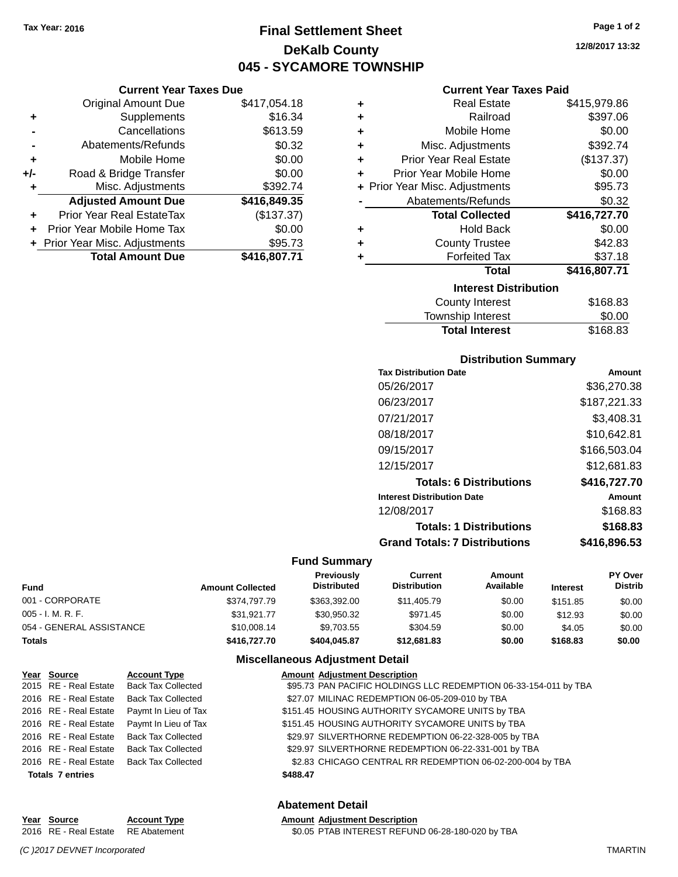**Current Year Taxes Due**

# **Final Settlement Sheet Tax Year: 2016 Page 1 of 2 DeKalb County 045 - SYCAMORE TOWNSHIP**

**12/8/2017 13:32**

#### **Current Year Taxes Paid**

|                | <b>Original Amount Due</b>       | \$417,054.18 | ٠ | <b>Real Estate</b>             | \$415,979.86 |
|----------------|----------------------------------|--------------|---|--------------------------------|--------------|
| ٠              | Supplements                      | \$16.34      | ٠ | Railroad                       | \$397.06     |
|                | Cancellations                    | \$613.59     | ٠ | Mobile Home                    | \$0.00       |
| $\blacksquare$ | Abatements/Refunds               | \$0.32       | ٠ | Misc. Adjustments              | \$392.74     |
| ٠              | Mobile Home                      | \$0.00       | ÷ | <b>Prior Year Real Estate</b>  | (\$137.37)   |
| I-             | Road & Bridge Transfer           | \$0.00       | ٠ | Prior Year Mobile Home         | \$0.00       |
| ٠              | Misc. Adjustments                | \$392.74     |   | + Prior Year Misc. Adjustments | \$95.73      |
|                | <b>Adjusted Amount Due</b>       | \$416,849.35 |   | Abatements/Refunds             | \$0.32       |
| ÷              | <b>Prior Year Real EstateTax</b> | (\$137.37)   |   | <b>Total Collected</b>         | \$416,727.70 |
|                | + Prior Year Mobile Home Tax     | \$0.00       | ٠ | <b>Hold Back</b>               | \$0.00       |
|                | + Prior Year Misc. Adjustments   | \$95.73      | ٠ | <b>County Trustee</b>          | \$42.83      |
|                | <b>Total Amount Due</b>          | \$416,807.71 |   | <b>Forfeited Tax</b>           | \$37.18      |
|                |                                  |              |   | <b>Total</b>                   | \$416,807.71 |
|                |                                  |              |   | <b>Interest Distribution</b>   |              |
|                |                                  |              |   | County Interest                | R168.83      |

| County Interest       | \$168.83 |
|-----------------------|----------|
| Township Interest     | \$0.00   |
| <b>Total Interest</b> | \$168.83 |
|                       |          |

#### **Distribution Summary**

| <b>Tax Distribution Date</b>         | Amount       |
|--------------------------------------|--------------|
| 05/26/2017                           | \$36,270.38  |
| 06/23/2017                           | \$187,221.33 |
| 07/21/2017                           | \$3,408.31   |
| 08/18/2017                           | \$10,642.81  |
| 09/15/2017                           | \$166,503.04 |
| 12/15/2017                           | \$12,681.83  |
| <b>Totals: 6 Distributions</b>       | \$416,727.70 |
| <b>Interest Distribution Date</b>    | Amount       |
| 12/08/2017                           | \$168.83     |
| <b>Totals: 1 Distributions</b>       | \$168.83     |
| <b>Grand Totals: 7 Distributions</b> | \$416,896.53 |

#### **Fund Summary**

| Fund                     | <b>Amount Collected</b> | <b>Previously</b><br><b>Distributed</b> | Current<br><b>Distribution</b> | Amount<br>Available | <b>Interest</b> | <b>PY Over</b><br><b>Distrib</b> |
|--------------------------|-------------------------|-----------------------------------------|--------------------------------|---------------------|-----------------|----------------------------------|
| 001 - CORPORATE          | \$374,797.79            | \$363.392.00                            | \$11,405.79                    | \$0.00              | \$151.85        | \$0.00                           |
| 005 - I. M. R. F.        | \$31.921.77             | \$30.950.32                             | \$971.45                       | \$0.00              | \$12.93         | \$0.00                           |
| 054 - GENERAL ASSISTANCE | \$10,008.14             | \$9.703.55                              | \$304.59                       | \$0.00              | \$4.05          | \$0.00                           |
| Totals                   | \$416,727,70            | \$404.045.87                            | \$12,681.83                    | \$0.00              | \$168.83        | \$0.00                           |

#### **Miscellaneous Adjustment Detail**

| Year Source             | <b>Account Type</b>                        | <b>Amount Adjustment Description</b>                             |
|-------------------------|--------------------------------------------|------------------------------------------------------------------|
| 2015 RE - Real Estate   | <b>Back Tax Collected</b>                  | \$95.73 PAN PACIFIC HOLDINGS LLC REDEMPTION 06-33-154-011 by TBA |
|                         | 2016 RE - Real Estate Back Tax Collected   | \$27.07 MILINAC REDEMPTION 06-05-209-010 by TBA                  |
|                         | 2016 RE - Real Estate Paymt In Lieu of Tax | \$151.45 HOUSING AUTHORITY SYCAMORE UNITS by TBA                 |
|                         | 2016 RE - Real Estate Paymt In Lieu of Tax | \$151.45 HOUSING AUTHORITY SYCAMORE UNITS by TBA                 |
| 2016 RE - Real Estate   | <b>Back Tax Collected</b>                  | \$29.97 SILVERTHORNE REDEMPTION 06-22-328-005 by TBA             |
| 2016 RE - Real Estate   | <b>Back Tax Collected</b>                  | \$29.97 SILVERTHORNE REDEMPTION 06-22-331-001 by TBA             |
|                         | 2016 RE - Real Estate Back Tax Collected   | \$2.83 CHICAGO CENTRAL RR REDEMPTION 06-02-200-004 by TBA        |
| <b>Totals 7 entries</b> |                                            | \$488.47                                                         |

#### **Abatement Detail**

#### **Year Source Account Type Amount Adjustment Description** 2016 RE - Real Estate RE Abatement \$0.05 PTAB INTEREST REFUND 06-28-180-020 by TBA

*(C )2017 DEVNET Incorporated* TMARTIN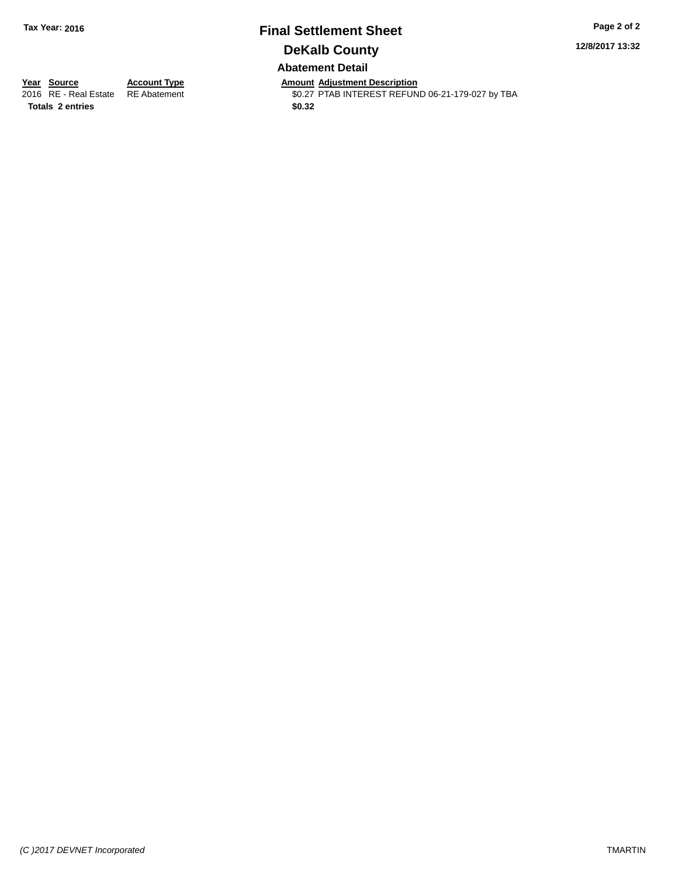# **Final Settlement Sheet Tax Year: 2016 Page 2 of 2 DeKalb County Abatement Detail**

**12/8/2017 13:32**

**Totals 2 entries \$0.32**

**Year Source Account Type Amount Adjustment Description** \$0.27 PTAB INTEREST REFUND 06-21-179-027 by TBA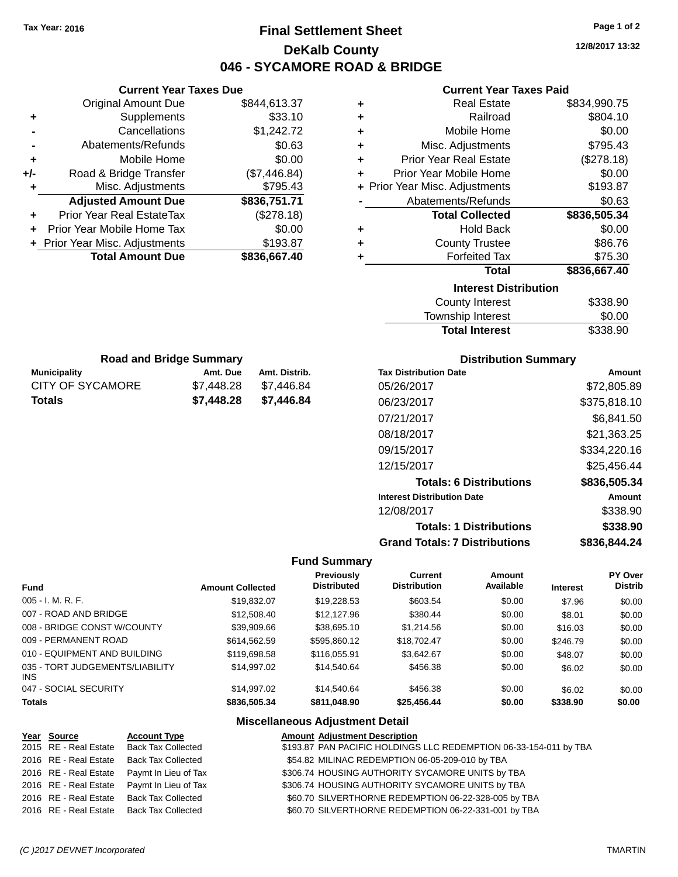# **Final Settlement Sheet Tax Year: 2016 Page 1 of 2 DeKalb County 046 - SYCAMORE ROAD & BRIDGE**

**12/8/2017 13:32**

#### **Current Year Taxes Paid**

|     | <b>Current Year Taxes Due</b>  |            |               |                      | <b>Current Year Taxes Paid</b>       |              |
|-----|--------------------------------|------------|---------------|----------------------|--------------------------------------|--------------|
|     | <b>Original Amount Due</b>     |            | \$844,613.37  | ٠                    | <b>Real Estate</b>                   | \$834,990.75 |
| ٠   | Supplements                    |            | \$33.10       | ٠                    | Railroad                             | \$804.10     |
|     | Cancellations                  |            | \$1,242.72    | ٠                    | Mobile Home                          | \$0.00       |
|     | Abatements/Refunds             |            | \$0.63        | ٠                    | Misc. Adjustments                    | \$795.43     |
| ٠   | Mobile Home                    |            | \$0.00        | ٠                    | <b>Prior Year Real Estate</b>        | (\$278.18)   |
| +/- | Road & Bridge Transfer         |            | (\$7,446.84)  | ٠                    | Prior Year Mobile Home               | \$0.00       |
|     | Misc. Adjustments              |            | \$795.43      | $\ddot{\phantom{1}}$ | Prior Year Misc. Adjustments         | \$193.87     |
|     | <b>Adjusted Amount Due</b>     |            | \$836,751.71  |                      | Abatements/Refunds                   | \$0.63       |
|     | Prior Year Real EstateTax      |            | (\$278.18)    |                      | <b>Total Collected</b>               | \$836,505.34 |
|     | Prior Year Mobile Home Tax     |            | \$0.00        | ٠                    | <b>Hold Back</b>                     | \$0.00       |
|     | + Prior Year Misc. Adjustments |            | \$193.87      | ٠                    | <b>County Trustee</b>                | \$86.76      |
|     | <b>Total Amount Due</b>        |            | \$836,667.40  | ÷                    | <b>Forfeited Tax</b>                 | \$75.30      |
|     |                                |            |               |                      | <b>Total</b>                         | \$836,667.40 |
|     |                                |            |               |                      | <b>Interest Distribution</b>         |              |
|     |                                |            |               |                      | <b>County Interest</b>               | \$338.90     |
|     |                                |            |               |                      | Township Interest                    | \$0.00       |
|     |                                |            |               |                      | <b>Total Interest</b>                | \$338.90     |
|     | <b>Road and Bridge Summary</b> |            |               |                      | <b>Distribution Summary</b>          |              |
|     | <b>Municipality</b>            | Amt. Due   | Amt. Distrib. |                      | <b>Tax Distribution Date</b>         | Amount       |
|     | <b>CITY OF SYCAMORE</b>        | \$7,448.28 | \$7,446.84    |                      | 05/26/2017                           | \$72,805.89  |
|     | <b>Totals</b>                  | \$7,448.28 | \$7,446.84    |                      | 06/23/2017                           | \$375,818.10 |
|     |                                |            |               |                      | 07/21/2017                           | \$6,841.50   |
|     |                                |            |               |                      | 08/18/2017                           | \$21,363.25  |
|     |                                |            |               |                      | 09/15/2017                           | \$334,220.16 |
|     |                                |            |               |                      | 12/15/2017                           | \$25,456.44  |
|     |                                |            |               |                      | <b>Totals: 6 Distributions</b>       | \$836,505.34 |
|     |                                |            |               |                      | <b>Interest Distribution Date</b>    | Amount       |
|     |                                |            |               |                      | 12/08/2017                           | \$338.90     |
|     |                                |            |               |                      | <b>Totals: 1 Distributions</b>       | \$338.90     |
|     |                                |            |               |                      | <b>Grand Totals: 7 Distributions</b> | \$836,844.24 |

#### **Fund Summary**

| <b>Fund</b>                             | <b>Amount Collected</b> | <b>Previously</b><br><b>Distributed</b> | Current<br><b>Distribution</b> | Amount<br>Available | <b>Interest</b> | PY Over<br><b>Distrib</b> |
|-----------------------------------------|-------------------------|-----------------------------------------|--------------------------------|---------------------|-----------------|---------------------------|
| $005 - I. M. R. F.$                     | \$19,832.07             | \$19,228.53                             | \$603.54                       | \$0.00              | \$7.96          | \$0.00                    |
| 007 - ROAD AND BRIDGE                   | \$12,508,40             | \$12,127.96                             | \$380.44                       | \$0.00              | \$8.01          | \$0.00                    |
| 008 - BRIDGE CONST W/COUNTY             | \$39,909.66             | \$38,695.10                             | \$1,214.56                     | \$0.00              | \$16.03         | \$0.00                    |
| 009 - PERMANENT ROAD                    | \$614.562.59            | \$595,860.12                            | \$18,702.47                    | \$0.00              | \$246.79        | \$0.00                    |
| 010 - EQUIPMENT AND BUILDING            | \$119,698.58            | \$116,055.91                            | \$3,642.67                     | \$0.00              | \$48.07         | \$0.00                    |
| 035 - TORT JUDGEMENTS/LIABILITY<br>INS. | \$14.997.02             | \$14.540.64                             | \$456.38                       | \$0.00              | \$6.02          | \$0.00                    |
| 047 - SOCIAL SECURITY                   | \$14,997.02             | \$14.540.64                             | \$456.38                       | \$0.00              | \$6.02          | \$0.00                    |
| <b>Totals</b>                           | \$836,505.34            | \$811,048.90                            | \$25,456.44                    | \$0.00              | \$338.90        | \$0.00                    |

| Year Source           | <b>Account Type</b>                        | <b>Amount Adjustment Description</b>                              |
|-----------------------|--------------------------------------------|-------------------------------------------------------------------|
| 2015 RE - Real Estate | Back Tax Collected                         | \$193.87 PAN PACIFIC HOLDINGS LLC REDEMPTION 06-33-154-011 by TBA |
| 2016 RE - Real Estate | Back Tax Collected                         | \$54.82 MILINAC REDEMPTION 06-05-209-010 by TBA                   |
|                       | 2016 RE - Real Estate Paymt In Lieu of Tax | \$306.74 HOUSING AUTHORITY SYCAMORE UNITS by TBA                  |
|                       | 2016 RE - Real Estate Paymt In Lieu of Tax | \$306.74 HOUSING AUTHORITY SYCAMORE UNITS by TBA                  |
|                       | 2016 RE - Real Estate Back Tax Collected   | \$60.70 SILVERTHORNE REDEMPTION 06-22-328-005 by TBA              |
|                       | 2016 RE - Real Estate Back Tax Collected   | \$60.70 SILVERTHORNE REDEMPTION 06-22-331-001 by TBA              |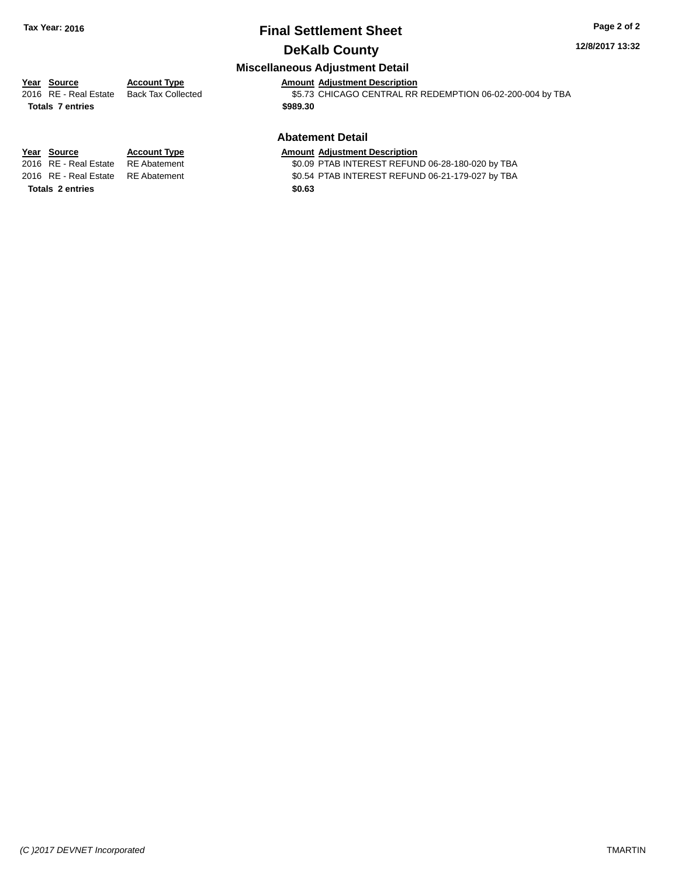# **Final Settlement Sheet Tax Year: 2016 Page 2 of 2 DeKalb County**

#### **12/8/2017 13:32**

#### **Miscellaneous Adjustment Detail**

# **Year** Source **Account Type Account Type AMOUL Adjustment Description**

**Totals 7 entries \$989.30**

2016 RE - Real Estate Back Tax Collected \$5.73 CHICAGO CENTRAL RR REDEMPTION 06-02-200-004 by TBA

#### **Abatement Detail**

\$0.09 PTAB INTEREST REFUND 06-28-180-020 by TBA

2016 RE - Real Estate RE Abatement \$0.54 PTAB INTEREST REFUND 06-21-179-027 by TBA

**Year Source Account Type Amount Adjustment Description**<br>2016 RE - Real Estate RE Abatement \$0.09 PTAB INTEREST REFUN **Totals 2 entries \$0.63**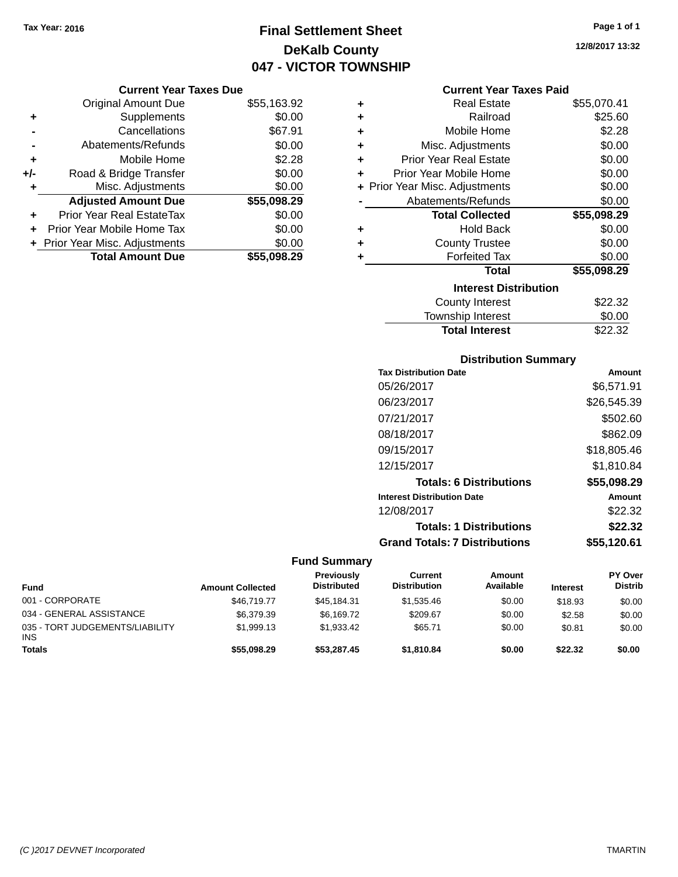# **Final Settlement Sheet Tax Year: 2016 Page 1 of 1 DeKalb County 047 - VICTOR TOWNSHIP**

#### **Current Year Taxes Due**

|       | <b>Original Amount Due</b>     | \$55,163.92 |
|-------|--------------------------------|-------------|
| ٠     | Supplements                    | \$0.00      |
|       | Cancellations                  | \$67.91     |
|       | Abatements/Refunds             | \$0.00      |
| ٠     | Mobile Home                    | \$2.28      |
| $+/-$ | Road & Bridge Transfer         | \$0.00      |
| ٠     | Misc. Adjustments              | \$0.00      |
|       | <b>Adjusted Amount Due</b>     | \$55,098.29 |
| ÷     | Prior Year Real EstateTax      | \$0.00      |
|       | Prior Year Mobile Home Tax     | \$0.00      |
|       | + Prior Year Misc. Adjustments | \$0.00      |
|       | <b>Total Amount Due</b>        | \$55,098.29 |

|   | <b>Current Year Taxes Paid</b> |             |
|---|--------------------------------|-------------|
| ÷ | <b>Real Estate</b>             | \$55,070.41 |
| ÷ | Railroad                       | \$25.60     |
| ÷ | Mobile Home                    | \$2.28      |
| ٠ | Misc. Adjustments              | \$0.00      |
| ٠ | <b>Prior Year Real Estate</b>  | \$0.00      |
| ÷ | Prior Year Mobile Home         | \$0.00      |
|   | + Prior Year Misc. Adjustments | \$0.00      |
|   | Abatements/Refunds             | \$0.00      |
|   | <b>Total Collected</b>         | \$55,098.29 |
| ٠ | <b>Hold Back</b>               | \$0.00      |
| ÷ | <b>County Trustee</b>          | \$0.00      |
| ٠ | <b>Forfeited Tax</b>           | \$0.00      |
|   | Total                          | \$55,098.29 |
|   |                                |             |

| <b>Interest Distribution</b> |         |
|------------------------------|---------|
| County Interest              | \$22.32 |
| Township Interest            | \$0.00  |
| <b>Total Interest</b>        | \$22.32 |

#### **Distribution Summary**

| <b>Tax Distribution Date</b>         | Amount      |
|--------------------------------------|-------------|
| 05/26/2017                           | \$6,571.91  |
| 06/23/2017                           | \$26,545.39 |
| 07/21/2017                           | \$502.60    |
| 08/18/2017                           | \$862.09    |
| 09/15/2017                           | \$18,805.46 |
| 12/15/2017                           | \$1.810.84  |
| <b>Totals: 6 Distributions</b>       | \$55,098.29 |
| <b>Interest Distribution Date</b>    | Amount      |
| 12/08/2017                           | \$22.32     |
| <b>Totals: 1 Distributions</b>       | \$22.32     |
| <b>Grand Totals: 7 Distributions</b> | \$55,120.61 |

| <b>Fund</b>                                   | <b>Amount Collected</b> | Previously<br><b>Distributed</b> | Current<br><b>Distribution</b> | Amount<br>Available | <b>Interest</b> | PY Over<br><b>Distrib</b> |
|-----------------------------------------------|-------------------------|----------------------------------|--------------------------------|---------------------|-----------------|---------------------------|
| 001 - CORPORATE                               | \$46,719,77             | \$45,184.31                      | \$1,535.46                     | \$0.00              | \$18.93         | \$0.00                    |
| 034 - GENERAL ASSISTANCE                      | \$6,379.39              | \$6.169.72                       | \$209.67                       | \$0.00              | \$2.58          | \$0.00                    |
| 035 - TORT JUDGEMENTS/LIABILITY<br><b>INS</b> | \$1.999.13              | \$1.933.42                       | \$65.71                        | \$0.00              | \$0.81          | \$0.00                    |
| <b>Totals</b>                                 | \$55,098.29             | \$53,287,45                      | \$1.810.84                     | \$0.00              | \$22.32         | \$0.00                    |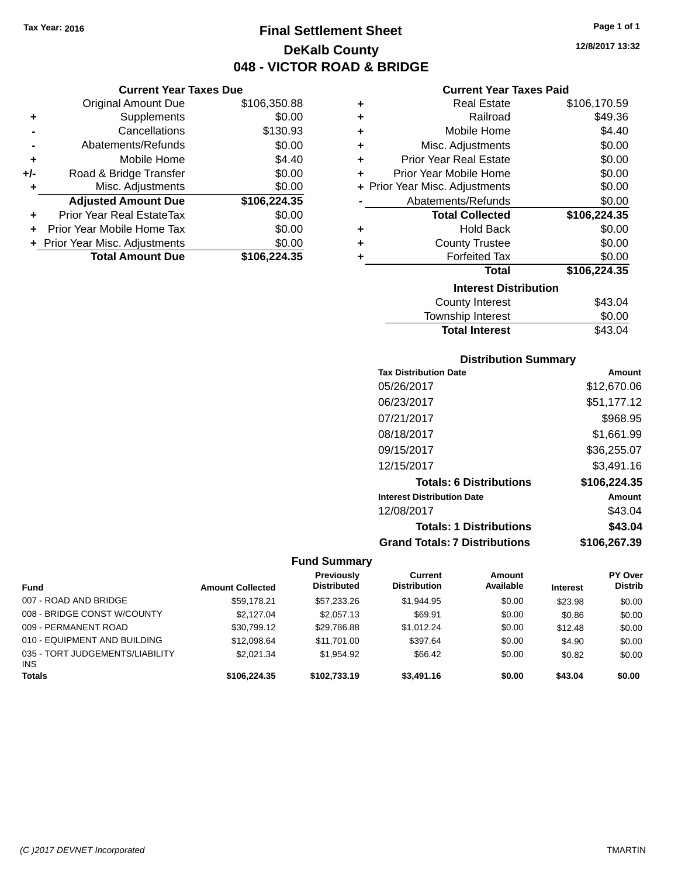**Current Year Taxes Due**

# **Final Settlement Sheet Tax Year: 2016 Page 1 of 1 DeKalb County 048 - VICTOR ROAD & BRIDGE**

**12/8/2017 13:32**

#### **Current Year Taxes Paid**

|                      | <b>Original Amount Due</b>       | \$106,350.88 | ٠ | <b>Real Estate</b>             | \$106,170.59  |
|----------------------|----------------------------------|--------------|---|--------------------------------|---------------|
| ÷                    | Supplements                      | \$0.00       | ٠ | Railroad                       | \$49.36       |
|                      | Cancellations                    | \$130.93     | ٠ | Mobile Home                    | \$4.40        |
|                      | Abatements/Refunds               | \$0.00       | ٠ | Misc. Adjustments              | \$0.00        |
| ٠                    | Mobile Home                      | \$4.40       | ٠ | <b>Prior Year Real Estate</b>  | \$0.00        |
| I-                   | Road & Bridge Transfer           | \$0.00       | ٠ | Prior Year Mobile Home         | \$0.00        |
| ٠                    | Misc. Adjustments                | \$0.00       |   | + Prior Year Misc. Adjustments | \$0.00        |
|                      | <b>Adjusted Amount Due</b>       | \$106,224.35 |   | Abatements/Refunds             | \$0.00        |
| $\ddot{\phantom{1}}$ | <b>Prior Year Real EstateTax</b> | \$0.00       |   | <b>Total Collected</b>         | \$106,224.35  |
|                      | + Prior Year Mobile Home Tax     | \$0.00       | ٠ | <b>Hold Back</b>               | \$0.00        |
|                      | + Prior Year Misc. Adjustments   | \$0.00       | ÷ | <b>County Trustee</b>          | \$0.00        |
|                      | <b>Total Amount Due</b>          | \$106,224.35 |   | <b>Forfeited Tax</b>           | \$0.00        |
|                      |                                  |              |   | Total                          | \$106,224.35  |
|                      |                                  |              |   | <b>Interest Distribution</b>   |               |
|                      |                                  |              |   | County Internet                | $0.12 \Omega$ |

| iliterest Distribution |         |
|------------------------|---------|
| County Interest        | \$43.04 |
| wnship Interest        | \$0.00  |

| Township Interest     | \$0.00  |
|-----------------------|---------|
| <b>Total Interest</b> | \$43.04 |
|                       |         |

#### **Distribution Summary**

| <b>Tax Distribution Date</b>         | Amount       |
|--------------------------------------|--------------|
| 05/26/2017                           | \$12,670.06  |
| 06/23/2017                           | \$51,177.12  |
| 07/21/2017                           | \$968.95     |
| 08/18/2017                           | \$1,661.99   |
| 09/15/2017                           | \$36,255.07  |
| 12/15/2017                           | \$3,491.16   |
| <b>Totals: 6 Distributions</b>       | \$106,224.35 |
| <b>Interest Distribution Date</b>    | Amount       |
| 12/08/2017                           | \$43.04      |
| <b>Totals: 1 Distributions</b>       | \$43.04      |
| <b>Grand Totals: 7 Distributions</b> | \$106.267.39 |

| <b>Fund</b>                                   | <b>Amount Collected</b> | <b>Previously</b><br><b>Distributed</b> | Current<br><b>Distribution</b> | Amount<br>Available | <b>Interest</b> | PY Over<br><b>Distrib</b> |
|-----------------------------------------------|-------------------------|-----------------------------------------|--------------------------------|---------------------|-----------------|---------------------------|
| 007 - ROAD AND BRIDGE                         | \$59.178.21             | \$57,233.26                             | \$1.944.95                     | \$0.00              | \$23.98         | \$0.00                    |
| 008 - BRIDGE CONST W/COUNTY                   | \$2.127.04              | \$2.057.13                              | \$69.91                        | \$0.00              | \$0.86          | \$0.00                    |
| 009 - PERMANENT ROAD                          | \$30.799.12             | \$29.786.88                             | \$1.012.24                     | \$0.00              | \$12.48         | \$0.00                    |
| 010 - EQUIPMENT AND BUILDING                  | \$12.098.64             | \$11,701.00                             | \$397.64                       | \$0.00              | \$4.90          | \$0.00                    |
| 035 - TORT JUDGEMENTS/LIABILITY<br><b>INS</b> | \$2.021.34              | \$1.954.92                              | \$66.42                        | \$0.00              | \$0.82          | \$0.00                    |
| <b>Totals</b>                                 | \$106,224,35            | \$102.733.19                            | \$3.491.16                     | \$0.00              | \$43.04         | \$0.00                    |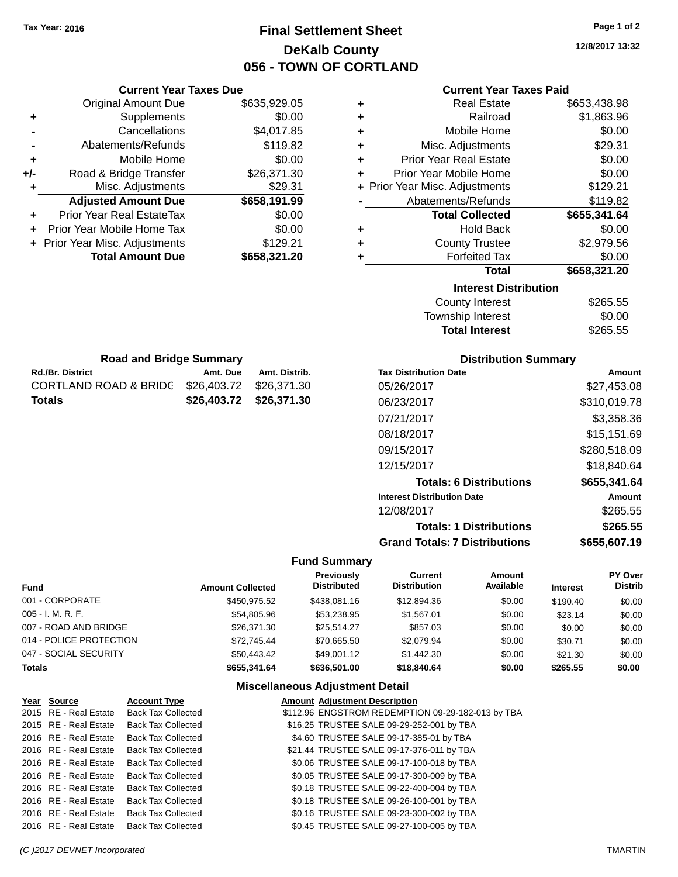# **Final Settlement Sheet Tax Year: 2016 Page 1 of 2 DeKalb County 056 - TOWN OF CORTLAND**

**12/8/2017 13:32**

#### **Current Year Taxes Paid**

|     | <b>Original Amount Due</b>       | \$635,929.05 |
|-----|----------------------------------|--------------|
| ٠   | Supplements                      | \$0.00       |
|     | Cancellations                    | \$4,017.85   |
|     | Abatements/Refunds               | \$119.82     |
| ٠   | Mobile Home                      | \$0.00       |
| +/- | Road & Bridge Transfer           | \$26,371.30  |
| ٠   | Misc. Adjustments                | \$29.31      |
|     | <b>Adjusted Amount Due</b>       | \$658,191.99 |
| ٠   | <b>Prior Year Real EstateTax</b> | \$0.00       |
| ٠   | Prior Year Mobile Home Tax       | \$0.00       |
|     | + Prior Year Misc. Adjustments   | \$129.21     |
|     | <b>Total Amount Due</b>          | \$658,321.20 |
|     |                                  |              |

**Rd./Br. District Amt. Due Amt. Distrib. Road and Bridge Summary**

CORTLAND ROAD & BRIDG \$26,403.72 \$26,371.30 **Totals \$26,403.72 \$26,371.30**

**Current Year Taxes Due**

| ٠ | <b>Real Estate</b>             | \$653,438.98 |
|---|--------------------------------|--------------|
| ÷ | Railroad                       | \$1,863.96   |
| ٠ | Mobile Home                    | \$0.00       |
| ٠ | Misc. Adjustments              | \$29.31      |
| ÷ | <b>Prior Year Real Estate</b>  | \$0.00       |
| ٠ | Prior Year Mobile Home         | \$0.00       |
|   | + Prior Year Misc. Adjustments | \$129.21     |
|   | Abatements/Refunds             | \$119.82     |
|   |                                |              |
|   | <b>Total Collected</b>         | \$655,341.64 |
| ٠ | <b>Hold Back</b>               | \$0.00       |
| ٠ | <b>County Trustee</b>          | \$2,979.56   |
| ٠ | <b>Forfeited Tax</b>           | \$0.00       |
|   | <b>Total</b>                   | \$658,321.20 |
|   | <b>Interest Distribution</b>   |              |
|   | <b>County Interest</b>         | \$265.55     |

| <b>Total Interest</b> | \$265.55 |
|-----------------------|----------|
| Township Interest     | \$0.00   |
| County Interest       | ა∠ხ5.55  |

| <b>Distribution Summary</b>          |              |
|--------------------------------------|--------------|
| <b>Tax Distribution Date</b>         | Amount       |
| 05/26/2017                           | \$27,453.08  |
| 06/23/2017                           | \$310,019.78 |
| 07/21/2017                           | \$3,358.36   |
| 08/18/2017                           | \$15,151.69  |
| 09/15/2017                           | \$280,518.09 |
| 12/15/2017                           | \$18,840.64  |
| <b>Totals: 6 Distributions</b>       | \$655,341.64 |
| <b>Interest Distribution Date</b>    | Amount       |
| 12/08/2017                           | \$265.55     |
| <b>Totals: 1 Distributions</b>       | \$265.55     |
| <b>Grand Totals: 7 Distributions</b> | \$655.607.19 |

#### **Fund Summary**

| <b>Fund</b>             | <b>Amount Collected</b> | <b>Previously</b><br><b>Distributed</b> | Current<br><b>Distribution</b> | Amount<br>Available | <b>Interest</b> | PY Over<br><b>Distrib</b> |
|-------------------------|-------------------------|-----------------------------------------|--------------------------------|---------------------|-----------------|---------------------------|
| 001 - CORPORATE         | \$450,975.52            | \$438,081.16                            | \$12,894.36                    | \$0.00              | \$190.40        | \$0.00                    |
| 005 - I. M. R. F.       | \$54,805.96             | \$53.238.95                             | \$1.567.01                     | \$0.00              | \$23.14         | \$0.00                    |
| 007 - ROAD AND BRIDGE   | \$26,371.30             | \$25.514.27                             | \$857.03                       | \$0.00              | \$0.00          | \$0.00                    |
| 014 - POLICE PROTECTION | \$72.745.44             | \$70.665.50                             | \$2,079.94                     | \$0.00              | \$30.71         | \$0.00                    |
| 047 - SOCIAL SECURITY   | \$50,443.42             | \$49,001.12                             | \$1,442,30                     | \$0.00              | \$21.30         | \$0.00                    |
| <b>Totals</b>           | \$655.341.64            | \$636,501.00                            | \$18,840,64                    | \$0.00              | \$265.55        | \$0.00                    |

| Year Source           | <b>Account Type</b>                      | <b>Amount Adjustment Description</b>              |
|-----------------------|------------------------------------------|---------------------------------------------------|
|                       | 2015 RE - Real Estate Back Tax Collected | \$112.96 ENGSTROM REDEMPTION 09-29-182-013 by TBA |
|                       | 2015 RE - Real Estate Back Tax Collected | \$16.25 TRUSTEE SALE 09-29-252-001 by TBA         |
| 2016 RE - Real Estate | <b>Back Tax Collected</b>                | \$4.60 TRUSTEE SALE 09-17-385-01 by TBA           |
|                       | 2016 RE - Real Estate Back Tax Collected | \$21.44 TRUSTEE SALE 09-17-376-011 by TBA         |
|                       | 2016 RE - Real Estate Back Tax Collected | \$0.06 TRUSTEE SALE 09-17-100-018 by TBA          |
|                       | 2016 RE - Real Estate Back Tax Collected | \$0.05 TRUSTEE SALE 09-17-300-009 by TBA          |
|                       | 2016 RE - Real Estate Back Tax Collected | \$0.18 TRUSTEE SALE 09-22-400-004 by TBA          |
|                       | 2016 RE - Real Estate Back Tax Collected | \$0.18 TRUSTEE SALE 09-26-100-001 by TBA          |
|                       | 2016 RE - Real Estate Back Tax Collected | \$0.16 TRUSTEE SALE 09-23-300-002 by TBA          |
|                       | 2016 RE - Real Estate Back Tax Collected | \$0.45 TRUSTEE SALE 09-27-100-005 by TBA          |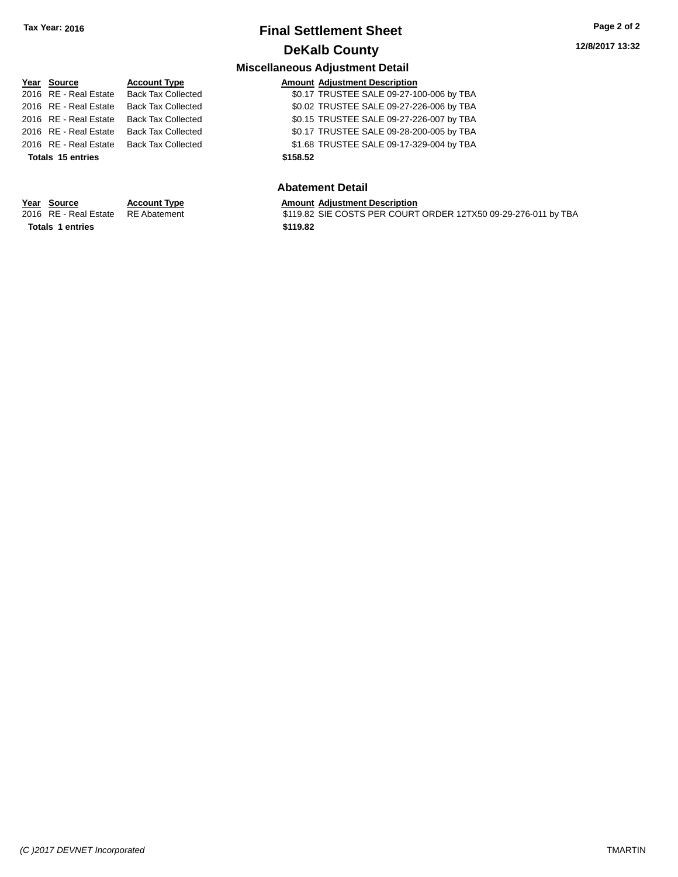# **Final Settlement Sheet Tax Year: 2016 Page 2 of 2 DeKalb County**

**Miscellaneous Adjustment Detail**

# **Year** Source **Account Type A** Account Adjustment Description **Totals 15 entries \$158.52**

**Totals 1 entries \$119.82**

#### 2016 RE - Real Estate Back Tax Collected \$0.17 TRUSTEE SALE 09-27-100-006 by TBA 2016 RE - Real Estate Back Tax Collected \$0.02 TRUSTEE SALE 09-27-226-006 by TBA 2016 RE - Real Estate Back Tax Collected \$0.15 TRUSTEE SALE 09-27-226-007 by TBA 2016 RE - Real Estate Back Tax Collected \$0.17 TRUSTEE SALE 09-28-200-005 by TBA 2016 RE - Real Estate Back Tax Collected \$1.68 TRUSTEE SALE 09-17-329-004 by TBA

#### **Abatement Detail**

#### **Year Source Account Type Amount Adjustment Description**

2016 RE - Real Estate RE Abatement \$119.82 SIE COSTS PER COURT ORDER 12TX50 09-29-276-011 by TBA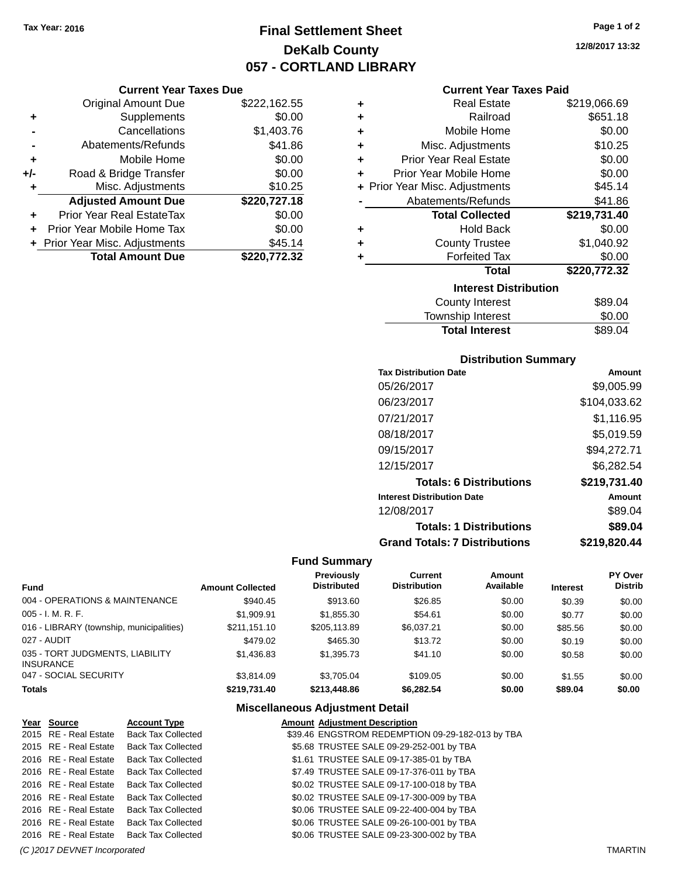# **Final Settlement Sheet Tax Year: 2016 Page 1 of 2 DeKalb County 057 - CORTLAND LIBRARY**

#### **12/8/2017 13:32**

#### **Current Year Taxes Paid**

|     | <b>Current Year Taxes Due</b>  |              |
|-----|--------------------------------|--------------|
|     | <b>Original Amount Due</b>     | \$222,162.55 |
| ٠   | Supplements                    | \$0.00       |
|     | Cancellations                  | \$1,403.76   |
|     | Abatements/Refunds             | \$41.86      |
| ٠   | Mobile Home                    | \$0.00       |
| +/- | Road & Bridge Transfer         | \$0.00       |
| ٠   | Misc. Adjustments              | \$10.25      |
|     | <b>Adjusted Amount Due</b>     | \$220,727.18 |
| ٠   | Prior Year Real EstateTax      | \$0.00       |
| ÷   | Prior Year Mobile Home Tax     | \$0.00       |
|     | + Prior Year Misc. Adjustments | \$45.14      |
|     | <b>Total Amount Due</b>        | \$220,772,32 |

| ٠ | <b>Real Estate</b>             | \$219,066.69 |
|---|--------------------------------|--------------|
| ÷ | Railroad                       | \$651.18     |
| ÷ | Mobile Home                    | \$0.00       |
| ٠ | Misc. Adjustments              | \$10.25      |
| ٠ | <b>Prior Year Real Estate</b>  | \$0.00       |
| ٠ | Prior Year Mobile Home         | \$0.00       |
|   | + Prior Year Misc. Adjustments | \$45.14      |
|   | Abatements/Refunds             | \$41.86      |
|   |                                |              |
|   | <b>Total Collected</b>         | \$219,731.40 |
| ٠ | <b>Hold Back</b>               | \$0.00       |
| ٠ | <b>County Trustee</b>          | \$1,040.92   |
| ٠ | <b>Forfeited Tax</b>           | \$0.00       |
|   | Total                          | \$220,772.32 |
|   | <b>Interest Distribution</b>   |              |
|   | <b>County Interest</b>         | \$89.04      |

#### **Distribution Summary**

Total Interest \$89.04

| <b>Tax Distribution Date</b>         | Amount       |
|--------------------------------------|--------------|
| 05/26/2017                           | \$9,005.99   |
| 06/23/2017                           | \$104,033.62 |
| 07/21/2017                           | \$1.116.95   |
| 08/18/2017                           | \$5,019.59   |
| 09/15/2017                           | \$94,272.71  |
| 12/15/2017                           | \$6,282.54   |
| <b>Totals: 6 Distributions</b>       | \$219,731.40 |
| <b>Interest Distribution Date</b>    | Amount       |
| 12/08/2017                           | \$89.04      |
| <b>Totals: 1 Distributions</b>       | \$89.04      |
| <b>Grand Totals: 7 Distributions</b> | \$219,820.44 |

#### **Fund Summary**

| <b>Fund</b>                                         | <b>Amount Collected</b> | <b>Previously</b><br><b>Distributed</b> | Current<br><b>Distribution</b> | Amount<br>Available | <b>Interest</b> | PY Over<br><b>Distrib</b> |
|-----------------------------------------------------|-------------------------|-----------------------------------------|--------------------------------|---------------------|-----------------|---------------------------|
| 004 - OPERATIONS & MAINTENANCE                      | \$940.45                | \$913.60                                | \$26.85                        | \$0.00              | \$0.39          | \$0.00                    |
| 005 - I. M. R. F.                                   | \$1,909.91              | \$1,855,30                              | \$54.61                        | \$0.00              | \$0.77          | \$0.00                    |
| 016 - LIBRARY (township, municipalities)            | \$211.151.10            | \$205.113.89                            | \$6.037.21                     | \$0.00              | \$85.56         | \$0.00                    |
| 027 - AUDIT                                         | \$479.02                | \$465.30                                | \$13.72                        | \$0.00              | \$0.19          | \$0.00                    |
| 035 - TORT JUDGMENTS, LIABILITY<br><b>INSURANCE</b> | \$1,436.83              | \$1,395.73                              | \$41.10                        | \$0.00              | \$0.58          | \$0.00                    |
| 047 - SOCIAL SECURITY                               | \$3.814.09              | \$3.705.04                              | \$109.05                       | \$0.00              | \$1.55          | \$0.00                    |
| <b>Totals</b>                                       | \$219.731.40            | \$213,448.86                            | \$6.282.54                     | \$0.00              | \$89.04         | \$0.00                    |

| Year Source           | <b>Account Type</b>       | <b>Amount Adjustment Description</b>             |
|-----------------------|---------------------------|--------------------------------------------------|
| 2015 RE - Real Estate | <b>Back Tax Collected</b> | \$39.46 ENGSTROM REDEMPTION 09-29-182-013 by TBA |
| 2015 RE - Real Estate | <b>Back Tax Collected</b> | \$5.68 TRUSTEE SALE 09-29-252-001 by TBA         |
| 2016 RE - Real Estate | <b>Back Tax Collected</b> | \$1.61 TRUSTEE SALE 09-17-385-01 by TBA          |
| 2016 RE - Real Estate | <b>Back Tax Collected</b> | \$7.49 TRUSTEE SALE 09-17-376-011 by TBA         |
| 2016 RE - Real Estate | <b>Back Tax Collected</b> | \$0.02 TRUSTEE SALE 09-17-100-018 by TBA         |
| 2016 RE - Real Estate | <b>Back Tax Collected</b> | \$0.02 TRUSTEE SALE 09-17-300-009 by TBA         |
| 2016 RE - Real Estate | <b>Back Tax Collected</b> | \$0.06 TRUSTEE SALE 09-22-400-004 by TBA         |
| 2016 RE - Real Estate | <b>Back Tax Collected</b> | \$0.06 TRUSTEE SALE 09-26-100-001 by TBA         |
| 2016 RE - Real Estate | <b>Back Tax Collected</b> | \$0.06 TRUSTEE SALE 09-23-300-002 by TBA         |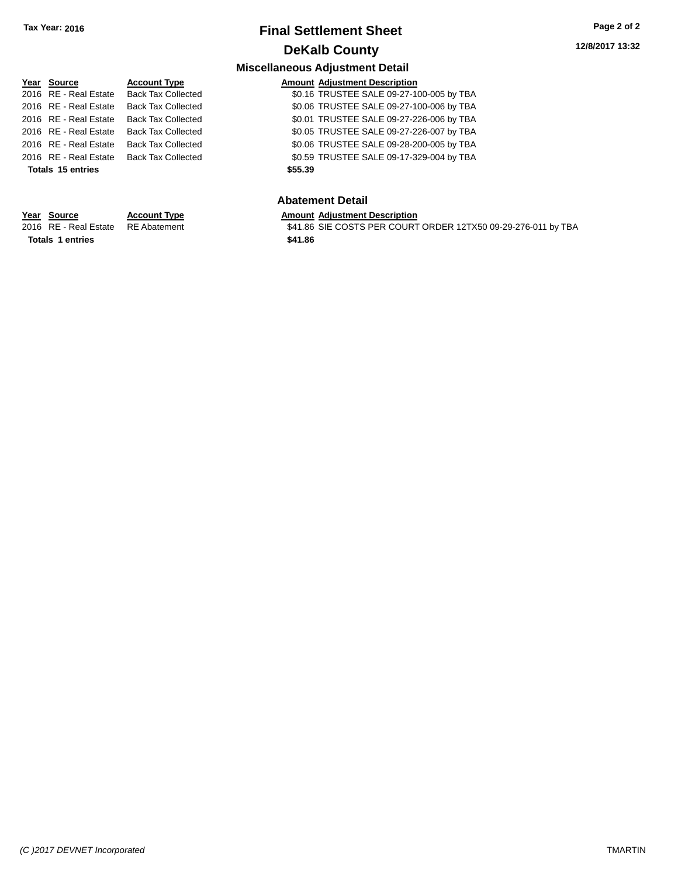# **Final Settlement Sheet Tax Year: 2016 Page 2 of 2 DeKalb County**

# **Miscellaneous Adjustment Detail**

| <b>Account Type</b>                                                                       | <b>Amount Adjustment Description</b>                                                             |
|-------------------------------------------------------------------------------------------|--------------------------------------------------------------------------------------------------|
| <b>Back Tax Collected</b>                                                                 | \$0.16 TRUSTEE SALE 09-27-100-005 by TBA                                                         |
| <b>Back Tax Collected</b>                                                                 | \$0.06 TRUSTEE SALE 09-27-100-006 by TBA                                                         |
| <b>Back Tax Collected</b>                                                                 | \$0.01 TRUSTEE SALE 09-27-226-006 by TBA                                                         |
| <b>Back Tax Collected</b>                                                                 | \$0.05 TRUSTEE SALE 09-27-226-007 by TBA                                                         |
| <b>Back Tax Collected</b>                                                                 | \$0.06 TRUSTEE SALE 09-28-200-005 by TBA                                                         |
| Back Tax Collected                                                                        | \$0.59 TRUSTEE SALE 09-17-329-004 by TBA                                                         |
|                                                                                           | \$55.39                                                                                          |
|                                                                                           | <b>Abatement Detail</b>                                                                          |
| Year Source<br>2016 RE - Real Estate<br>2016 RE - Real Estate<br><b>Totals 15 entries</b> | 2016 RE - Real Estate<br>2016 RE - Real Estate<br>2016 RE - Real Estate<br>2016 RE - Real Estate |

\$41.86 SIE COSTS PER COURT ORDER 12TX50 09-29-276-011 by TBA

# **Year Source Account Type Amount Adjustment Description**<br>2016 RE - Real Estate RE Abatement **AMOU SALAMER SALAMER SOURT Totals 1 entries \$41.86**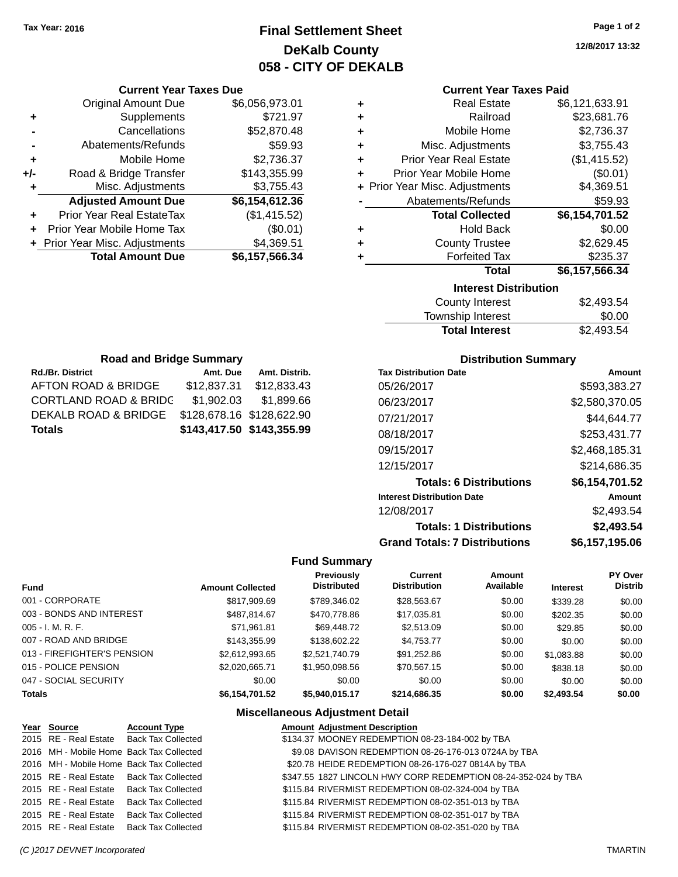# **Final Settlement Sheet Tax Year: 2016 Page 1 of 2 DeKalb County 058 - CITY OF DEKALB**

**12/8/2017 13:32**

#### **Current Year Taxes Paid**

| ٠ | <b>Real Estate</b>             | \$6,121,633.91 |
|---|--------------------------------|----------------|
| ٠ | Railroad                       | \$23,681.76    |
| ٠ | Mobile Home                    | \$2,736.37     |
| ÷ | Misc. Adjustments              | \$3,755.43     |
| ÷ | <b>Prior Year Real Estate</b>  | (\$1,415.52)   |
| ٠ | Prior Year Mobile Home         | (\$0.01)       |
|   | + Prior Year Misc. Adjustments | \$4,369.51     |
|   | Abatements/Refunds             | \$59.93        |
|   | <b>Total Collected</b>         | \$6,154,701.52 |
| ٠ | <b>Hold Back</b>               | \$0.00         |
| ٠ | <b>County Trustee</b>          | \$2,629.45     |
| ٠ | <b>Forfeited Tax</b>           | \$235.37       |
|   | Total                          | \$6,157,566.34 |
|   | <b>Interest Distribution</b>   |                |
|   | County Interact                | ድኃ ላሰኃ ፎላ      |

| County Interest       | \$2,493.54 |
|-----------------------|------------|
| Township Interest     | \$0.00     |
| <b>Total Interest</b> | \$2,493.54 |

| <b>Road and Bridge Summary</b>   |                           |                           |  |  |
|----------------------------------|---------------------------|---------------------------|--|--|
| <b>Rd./Br. District</b>          | Amt. Distrib.             |                           |  |  |
| AFTON ROAD & BRIDGE              | \$12,837.31               | \$12,833.43               |  |  |
| <b>CORTLAND ROAD &amp; BRIDG</b> | \$1,902.03                | \$1,899.66                |  |  |
| DEKALB ROAD & BRIDGE             | \$128,678.16 \$128,622.90 |                           |  |  |
| <b>Totals</b>                    |                           | \$143,417.50 \$143,355.99 |  |  |

**Current Year Taxes Due** Original Amount Due \$6,056,973.01

**Adjusted Amount Due \$6,154,612.36**

**Total Amount Due \$6,157,566.34**

**+** Supplements \$721.97 **-** Cancellations \$52,870.48 **-** Abatements/Refunds \$59.93 **+** Mobile Home \$2,736.37 **+/-** Road & Bridge Transfer \$143,355.99 **+** Misc. Adjustments \$3,755.43

**+** Prior Year Real EstateTax (\$1,415.52) **+** Prior Year Mobile Home Tax (\$0.01) **+ Prior Year Misc. Adjustments \$4,369.51** 

#### **Distribution Summary**

| <b>Tax Distribution Date</b>         | Amount         |
|--------------------------------------|----------------|
| 05/26/2017                           | \$593.383.27   |
| 06/23/2017                           | \$2,580,370.05 |
| 07/21/2017                           | \$44.644.77    |
| 08/18/2017                           | \$253.431.77   |
| 09/15/2017                           | \$2,468,185.31 |
| 12/15/2017                           | \$214.686.35   |
| <b>Totals: 6 Distributions</b>       | \$6,154,701.52 |
| <b>Interest Distribution Date</b>    | Amount         |
| 12/08/2017                           | \$2,493.54     |
| <b>Totals: 1 Distributions</b>       | \$2,493.54     |
| <b>Grand Totals: 7 Distributions</b> | \$6,157,195.06 |

#### **Fund Summary**

| <b>Fund</b>                 | <b>Amount Collected</b> | <b>Previously</b><br><b>Distributed</b> | Current<br><b>Distribution</b> | Amount<br>Available | <b>Interest</b> | PY Over<br><b>Distrib</b> |
|-----------------------------|-------------------------|-----------------------------------------|--------------------------------|---------------------|-----------------|---------------------------|
| 001 - CORPORATE             | \$817,909.69            | \$789,346.02                            | \$28,563.67                    | \$0.00              | \$339.28        | \$0.00                    |
| 003 - BONDS AND INTEREST    | \$487.814.67            | \$470,778.86                            | \$17,035.81                    | \$0.00              | \$202.35        | \$0.00                    |
| $005 - I. M. R. F.$         | \$71,961.81             | \$69,448.72                             | \$2,513.09                     | \$0.00              | \$29.85         | \$0.00                    |
| 007 - ROAD AND BRIDGE       | \$143,355.99            | \$138,602.22                            | \$4,753.77                     | \$0.00              | \$0.00          | \$0.00                    |
| 013 - FIREFIGHTER'S PENSION | \$2,612,993.65          | \$2,521,740.79                          | \$91,252.86                    | \$0.00              | \$1.083.88      | \$0.00                    |
| 015 - POLICE PENSION        | \$2,020,665.71          | \$1,950,098.56                          | \$70,567.15                    | \$0.00              | \$838.18        | \$0.00                    |
| 047 - SOCIAL SECURITY       | \$0.00                  | \$0.00                                  | \$0.00                         | \$0.00              | \$0.00          | \$0.00                    |
| <b>Totals</b>               | \$6,154,701.52          | \$5,940,015.17                          | \$214,686.35                   | \$0.00              | \$2,493.54      | \$0.00                    |

| Year Source                              | <b>Account Type</b>                      | <b>Amount Adjustment Description</b>                           |
|------------------------------------------|------------------------------------------|----------------------------------------------------------------|
|                                          | 2015 RE - Real Estate Back Tax Collected | \$134.37 MOONEY REDEMPTION 08-23-184-002 by TBA                |
| 2016 MH - Mobile Home Back Tax Collected |                                          | \$9.08 DAVISON REDEMPTION 08-26-176-013 0724A by TBA           |
| 2016 MH - Mobile Home Back Tax Collected |                                          | \$20.78 HEIDE REDEMPTION 08-26-176-027 0814A by TBA            |
| 2015 RE - Real Estate Back Tax Collected |                                          | \$347.55 1827 LINCOLN HWY CORP REDEMPTION 08-24-352-024 by TBA |
| 2015 RE - Real Estate Back Tax Collected |                                          | \$115.84 RIVERMIST REDEMPTION 08-02-324-004 by TBA             |
| 2015 RE - Real Estate Back Tax Collected |                                          | \$115.84 RIVERMIST REDEMPTION 08-02-351-013 by TBA             |
| 2015 RE - Real Estate Back Tax Collected |                                          | \$115.84 RIVERMIST REDEMPTION 08-02-351-017 by TBA             |
| 2015 RE - Real Estate Back Tax Collected |                                          | \$115.84 RIVERMIST REDEMPTION 08-02-351-020 by TBA             |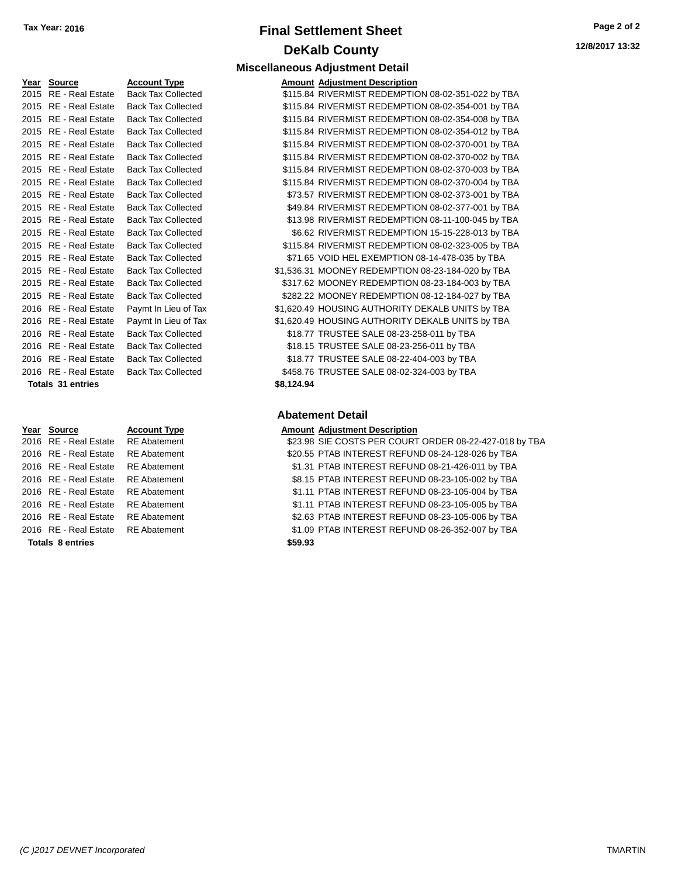# **Final Settlement Sheet Tax Year: 2016 Page 2 of 2 DeKalb County Miscellaneous Adjustment Detail**

**12/8/2017 13:32**

# 2015 RE - Real Estate Back Tax Collected 2015 RE - Real Estate Back Tax Collected 2015 RE - Real Estate Back Tax Collected 2015 RE - Real Estate Back Tax Collected 2016 RE - Real Estate Paymt In Lieu of Tax 2016 RE - Real Estate Paymt In Lieu of Tax 2016 RE - Real Estate Back Tax Collected 2016 RE - Real Estate Back Tax Collected 2016 RE - Real Estate Back Tax Collected 2016 RE - Real Estate Back Tax Collected **Totals 31 entries**

| Year Source                        | <b>Account Type</b> |         | <b>Amount Adjustment Description</b> |
|------------------------------------|---------------------|---------|--------------------------------------|
| 2016 RE - Real Estate              | <b>RE</b> Abatement |         | \$23.98 SIE COSTS PER COURT          |
| 2016 RE - Real Estate              | <b>RE</b> Abatement |         | \$20.55 PTAB INTEREST REFUN          |
| 2016 RE - Real Estate              | RE Abatement        |         | \$1.31 PTAB INTEREST REFUN           |
| 2016 RE - Real Estate              | <b>RE</b> Abatement |         | \$8.15 PTAB INTEREST REFUN           |
| 2016 RE - Real Estate RE Abatement |                     |         | \$1.11 PTAB INTEREST REFUN           |
| 2016 RE - Real Estate              | <b>RE</b> Abatement |         | \$1.11 PTAB INTEREST REFUN           |
| 2016 RE - Real Estate              | RE Abatement        |         | \$2.63 PTAB INTEREST REFUN           |
| 2016 RE - Real Estate RE Abatement |                     |         | \$1.09 PTAB INTEREST REFUN           |
| <b>Totals 8 entries</b>            |                     | \$59.93 |                                      |

# **Year Source Account Type Amount Adjustment Description**

| 2015 RE - Real Estate    | <b>Back Tax Collected</b> |            | \$115.84 RIVERMIST REDEMPTION 08-02-351-022 by TBA |
|--------------------------|---------------------------|------------|----------------------------------------------------|
| 2015 RE - Real Estate    | <b>Back Tax Collected</b> |            | \$115.84 RIVERMIST REDEMPTION 08-02-354-001 by TBA |
| 2015 RE - Real Estate    | <b>Back Tax Collected</b> |            | \$115.84 RIVERMIST REDEMPTION 08-02-354-008 by TBA |
| 2015 RE - Real Estate    | <b>Back Tax Collected</b> |            | \$115.84 RIVERMIST REDEMPTION 08-02-354-012 by TBA |
| 2015 RE - Real Estate    | <b>Back Tax Collected</b> |            | \$115.84 RIVERMIST REDEMPTION 08-02-370-001 by TBA |
| 2015 RE - Real Estate    | <b>Back Tax Collected</b> |            | \$115.84 RIVERMIST REDEMPTION 08-02-370-002 by TBA |
| 2015 RE - Real Estate    | <b>Back Tax Collected</b> |            | \$115.84 RIVERMIST REDEMPTION 08-02-370-003 by TBA |
| 2015 RE - Real Estate    | <b>Back Tax Collected</b> |            | \$115.84 RIVERMIST REDEMPTION 08-02-370-004 by TBA |
| 2015 RE - Real Estate    | <b>Back Tax Collected</b> |            | \$73.57 RIVERMIST REDEMPTION 08-02-373-001 by TBA  |
| 2015 RE - Real Estate    | <b>Back Tax Collected</b> |            | \$49.84 RIVERMIST REDEMPTION 08-02-377-001 by TBA  |
| 2015 RE - Real Estate    | <b>Back Tax Collected</b> |            | \$13.98 RIVERMIST REDEMPTION 08-11-100-045 by TBA  |
| 2015 RE - Real Estate    | <b>Back Tax Collected</b> |            | \$6.62 RIVERMIST REDEMPTION 15-15-228-013 by TBA   |
| 2015 RE - Real Estate    | <b>Back Tax Collected</b> |            | \$115.84 RIVERMIST REDEMPTION 08-02-323-005 by TBA |
| 2015 RE - Real Estate    | <b>Back Tax Collected</b> |            | \$71.65 VOID HEL EXEMPTION 08-14-478-035 by TBA    |
| 2015 RE - Real Estate    | <b>Back Tax Collected</b> |            | \$1,536.31 MOONEY REDEMPTION 08-23-184-020 by TBA  |
| 2015 RE - Real Estate    | <b>Back Tax Collected</b> |            | \$317.62 MOONEY REDEMPTION 08-23-184-003 by TBA    |
| 2015 RE - Real Estate    | <b>Back Tax Collected</b> |            | \$282.22 MOONEY REDEMPTION 08-12-184-027 by TBA    |
| 2016 RE - Real Estate    | Paymt In Lieu of Tax      |            | \$1,620.49 HOUSING AUTHORITY DEKALB UNITS by TBA   |
| 2016 RE - Real Estate    | Paymt In Lieu of Tax      |            | \$1,620.49 HOUSING AUTHORITY DEKALB UNITS by TBA   |
| 2016 RE - Real Estate    | <b>Back Tax Collected</b> |            | \$18.77 TRUSTEE SALE 08-23-258-011 by TBA          |
| 2016 RE - Real Estate    | <b>Back Tax Collected</b> |            | \$18.15 TRUSTEE SALE 08-23-256-011 by TBA          |
| 2016 RE - Real Estate    | <b>Back Tax Collected</b> |            | \$18.77 TRUSTEE SALE 08-22-404-003 by TBA          |
| 2016 RE - Real Estate    | <b>Back Tax Collected</b> |            | \$458.76 TRUSTEE SALE 08-02-324-003 by TBA         |
| <b>Totals 31 entries</b> |                           | \$8,124.94 |                                                    |
|                          |                           |            |                                                    |

#### **Abatement Detail**

| Year Source           | <b>Account Type</b> | <b>Amount Adjustment Description</b>                   |
|-----------------------|---------------------|--------------------------------------------------------|
| 2016 RE - Real Estate | <b>RE</b> Abatement | \$23.98 SIE COSTS PER COURT ORDER 08-22-427-018 by TBA |
| 2016 RE - Real Estate | <b>RE</b> Abatement | \$20.55 PTAB INTEREST REFUND 08-24-128-026 by TBA      |
| 2016 RE - Real Estate | <b>RE Abatement</b> | \$1.31 PTAB INTEREST REFUND 08-21-426-011 by TBA       |
| 2016 RE - Real Estate | <b>RE</b> Abatement | \$8.15 PTAB INTEREST REFUND 08-23-105-002 by TBA       |
| 2016 RE - Real Estate | <b>RE</b> Abatement | \$1.11 PTAB INTEREST REFUND 08-23-105-004 by TBA       |
| 2016 RE - Real Estate | <b>RE</b> Abatement | \$1.11 PTAB INTEREST REFUND 08-23-105-005 by TBA       |
| 2016 RE - Real Estate | <b>RE</b> Abatement | \$2.63 PTAB INTEREST REFUND 08-23-105-006 by TBA       |
| 2016 RE - Real Estate | <b>RE Abatement</b> | \$1.09 PTAB INTEREST REFUND 08-26-352-007 by TBA       |
| Totale 8 ontrice      |                     | ¢50.02                                                 |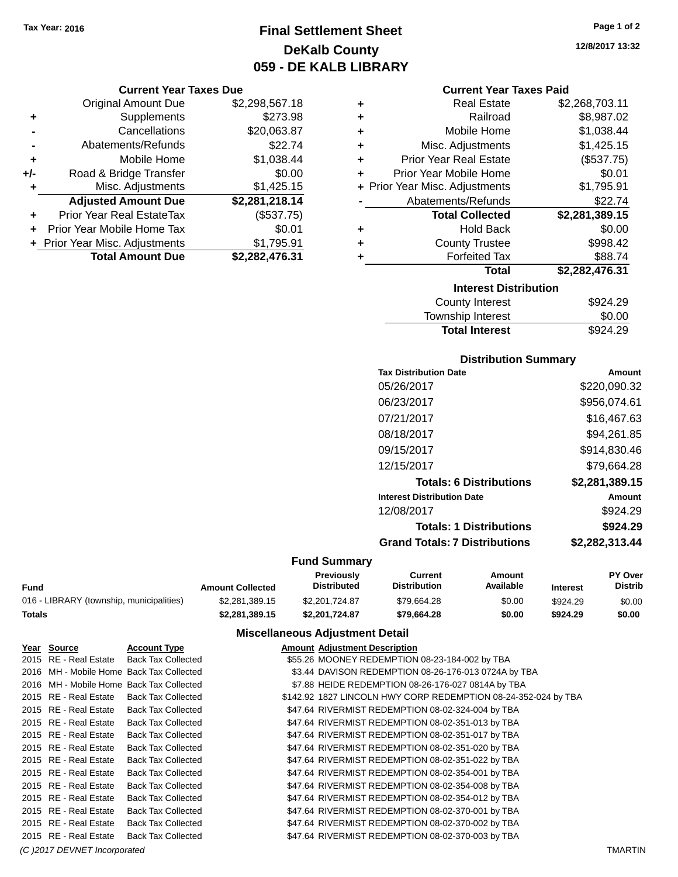# **Final Settlement Sheet Tax Year: 2016 Page 1 of 2 DeKalb County 059 - DE KALB LIBRARY**

|                | <b>Current Year Taxes Due</b>  |                |
|----------------|--------------------------------|----------------|
|                | <b>Original Amount Due</b>     | \$2,298,567.18 |
| ٠              | Supplements                    | \$273.98       |
|                | Cancellations                  | \$20,063.87    |
| $\blacksquare$ | Abatements/Refunds             | \$22.74        |
| ٠              | Mobile Home                    | \$1,038.44     |
| +/-            | Road & Bridge Transfer         | \$0.00         |
| ٠              | Misc. Adjustments              | \$1,425.15     |
|                | <b>Adjusted Amount Due</b>     | \$2,281,218.14 |
| ٠              | Prior Year Real EstateTax      | (\$537.75)     |
| ٠              | Prior Year Mobile Home Tax     | \$0.01         |
|                | + Prior Year Misc. Adjustments | \$1,795.91     |
|                | <b>Total Amount Due</b>        | \$2,282,476.31 |

|   | <b>Current Year Taxes Paid</b> |                |
|---|--------------------------------|----------------|
| ٠ | <b>Real Estate</b>             | \$2,268,703.11 |
| ÷ | Railroad                       | \$8,987.02     |
| ÷ | Mobile Home                    | \$1,038.44     |
| ÷ | Misc. Adjustments              | \$1,425.15     |
| ÷ | <b>Prior Year Real Estate</b>  | (\$537.75)     |
| ÷ | Prior Year Mobile Home         | \$0.01         |
|   | + Prior Year Misc. Adjustments | \$1,795.91     |
|   | Abatements/Refunds             | \$22.74        |
|   |                                |                |
|   | <b>Total Collected</b>         | \$2,281,389.15 |
| ٠ | <b>Hold Back</b>               | \$0.00         |
| ÷ | <b>County Trustee</b>          | \$998.42       |
| ٠ | <b>Forfeited Tax</b>           | \$88.74        |
|   | Total                          | \$2,282,476.31 |
|   | <b>Interest Distribution</b>   |                |
|   | County Interest                | \$924.29       |
|   | Township Interest              | \$0.00         |

#### **Distribution Summary**

| <b>Tax Distribution Date</b>         | Amount         |
|--------------------------------------|----------------|
| 05/26/2017                           | \$220,090.32   |
| 06/23/2017                           | \$956,074.61   |
| 07/21/2017                           | \$16,467.63    |
| 08/18/2017                           | \$94,261.85    |
| 09/15/2017                           | \$914,830.46   |
| 12/15/2017                           | \$79.664.28    |
| <b>Totals: 6 Distributions</b>       | \$2,281,389.15 |
| <b>Interest Distribution Date</b>    | Amount         |
| 12/08/2017                           | \$924.29       |
| <b>Totals: 1 Distributions</b>       | \$924.29       |
| <b>Grand Totals: 7 Distributions</b> | \$2,282,313.44 |
|                                      |                |

#### **Fund Summary**

|                                          |                         | Previouslv         | Current             | Amount    |                 | <b>PY Over</b> |
|------------------------------------------|-------------------------|--------------------|---------------------|-----------|-----------------|----------------|
| Fund                                     | <b>Amount Collected</b> | <b>Distributed</b> | <b>Distribution</b> | Available | <b>Interest</b> | Distrib        |
| 016 - LIBRARY (township, municipalities) | \$2.281.389.15          | \$2,201,724.87     | \$79.664.28         | \$0.00    | \$924.29        | \$0.00         |
| Totals                                   | \$2,281,389.15          | \$2,201,724,87     | \$79.664.28         | \$0.00    | \$924.29        | \$0.00         |

|                              | Year Source           | <b>Account Type</b>                      |  | <b>Amount Adjustment Description</b>                           |                |
|------------------------------|-----------------------|------------------------------------------|--|----------------------------------------------------------------|----------------|
|                              | 2015 RE - Real Estate | <b>Back Tax Collected</b>                |  | \$55.26 MOONEY REDEMPTION 08-23-184-002 by TBA                 |                |
|                              |                       | 2016 MH - Mobile Home Back Tax Collected |  | \$3.44 DAVISON REDEMPTION 08-26-176-013 0724A by TBA           |                |
|                              |                       | 2016 MH - Mobile Home Back Tax Collected |  | \$7.88 HEIDE REDEMPTION 08-26-176-027 0814A by TBA             |                |
|                              | 2015 RE - Real Estate | <b>Back Tax Collected</b>                |  | \$142.92 1827 LINCOLN HWY CORP REDEMPTION 08-24-352-024 by TBA |                |
|                              | 2015 RE - Real Estate | <b>Back Tax Collected</b>                |  | \$47.64 RIVERMIST REDEMPTION 08-02-324-004 by TBA              |                |
|                              | 2015 RE - Real Estate | <b>Back Tax Collected</b>                |  | \$47.64 RIVERMIST REDEMPTION 08-02-351-013 by TBA              |                |
|                              | 2015 RE - Real Estate | <b>Back Tax Collected</b>                |  | \$47.64 RIVERMIST REDEMPTION 08-02-351-017 by TBA              |                |
|                              | 2015 RE - Real Estate | <b>Back Tax Collected</b>                |  | \$47.64 RIVERMIST REDEMPTION 08-02-351-020 by TBA              |                |
|                              | 2015 RE - Real Estate | <b>Back Tax Collected</b>                |  | \$47.64 RIVERMIST REDEMPTION 08-02-351-022 by TBA              |                |
|                              | 2015 RE - Real Estate | <b>Back Tax Collected</b>                |  | \$47.64 RIVERMIST REDEMPTION 08-02-354-001 by TBA              |                |
|                              | 2015 RE - Real Estate | <b>Back Tax Collected</b>                |  | \$47.64 RIVERMIST REDEMPTION 08-02-354-008 by TBA              |                |
|                              | 2015 RE - Real Estate | <b>Back Tax Collected</b>                |  | \$47.64 RIVERMIST REDEMPTION 08-02-354-012 by TBA              |                |
|                              | 2015 RE - Real Estate | <b>Back Tax Collected</b>                |  | \$47.64 RIVERMIST REDEMPTION 08-02-370-001 by TBA              |                |
|                              | 2015 RE - Real Estate | <b>Back Tax Collected</b>                |  | \$47.64 RIVERMIST REDEMPTION 08-02-370-002 by TBA              |                |
|                              | 2015 RE - Real Estate | <b>Back Tax Collected</b>                |  | \$47.64 RIVERMIST REDEMPTION 08-02-370-003 by TBA              |                |
| (C) 2017 DEVNET Incorporated |                       |                                          |  |                                                                | <b>TMARTIN</b> |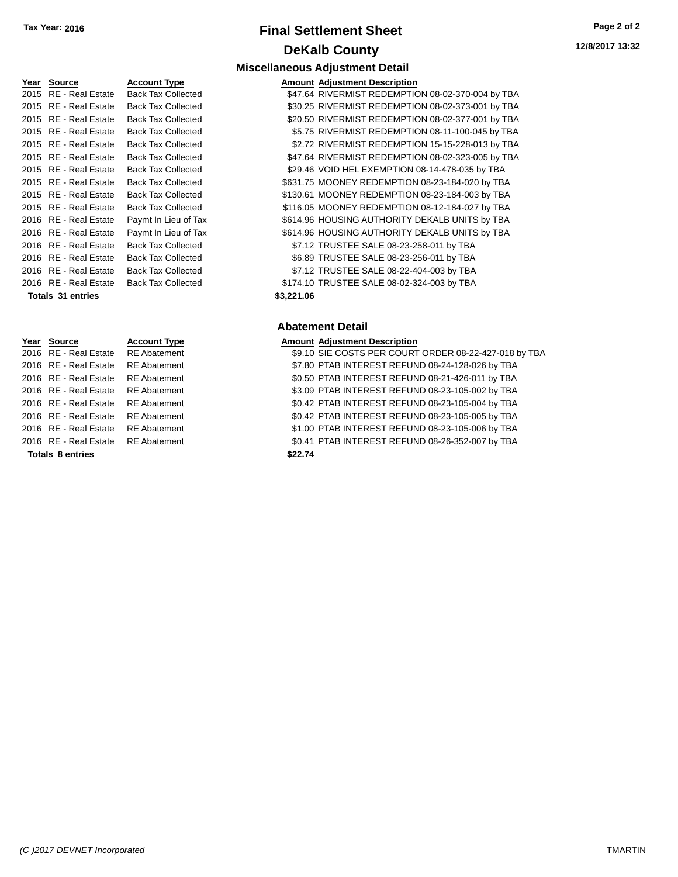## **Final Settlement Sheet Tax Year: 2016 Page 2 of 2 DeKalb County Miscellaneous Adjustment Detail**

| Year Source                        | <b>Account Type</b>       |            | <b>Amount Adjustment Description</b> |
|------------------------------------|---------------------------|------------|--------------------------------------|
| 2015 RE - Real Estate              | <b>Back Tax Collected</b> |            | \$47.64 RIVERMIST REDEMPTIO          |
| 2015 RE - Real Estate              | <b>Back Tax Collected</b> |            | \$30.25 RIVERMIST REDEMPTIO          |
| 2015 RE - Real Estate              | <b>Back Tax Collected</b> |            | \$20.50 RIVERMIST REDEMPTIO          |
| 2015 RE - Real Estate              | <b>Back Tax Collected</b> |            | \$5.75 RIVERMIST REDEMPTIO           |
| 2015 RE - Real Estate              | <b>Back Tax Collected</b> |            | \$2.72 RIVERMIST REDEMPTIO           |
| 2015 RE - Real Estate              | <b>Back Tax Collected</b> |            | \$47.64 RIVERMIST REDEMPTIO          |
| 2015 RE - Real Estate              | <b>Back Tax Collected</b> |            | \$29.46 VOID HEL EXEMPTION           |
| 2015 RE - Real Estate              | <b>Back Tax Collected</b> |            | \$631.75 MOONEY REDEMPTION           |
| 2015 RE - Real Estate              | <b>Back Tax Collected</b> |            | \$130.61 MOONEY REDEMPTION           |
| 2015 RE - Real Estate              | <b>Back Tax Collected</b> |            | \$116.05 MOONEY REDEMPTION           |
| 2016 RE - Real Estate              | Paymt In Lieu of Tax      |            | \$614.96 HOUSING AUTHORITY I         |
| 2016 RE - Real Estate              | Paymt In Lieu of Tax      |            | \$614.96 HOUSING AUTHORITY I         |
| 2016 RE - Real Estate              | <b>Back Tax Collected</b> |            | \$7.12 TRUSTEE SALE 08-23-2          |
| 2016 RE - Real Estate              | <b>Back Tax Collected</b> |            | \$6.89 TRUSTEE SALE 08-23-2          |
| 2016 RE - Real Estate              | <b>Back Tax Collected</b> |            | \$7.12 TRUSTEE SALE 08-22-4          |
| 2016 RE - Real Estate              | <b>Back Tax Collected</b> |            | \$174.10 TRUSTEE SALE 08-02-3        |
| <b>Totals 31 entries</b>           |                           | \$3,221.06 |                                      |
|                                    |                           |            | <b>Abatement Detail</b>              |
| Year Source                        | <b>Account Type</b>       |            | <b>Amount Adjustment Description</b> |
| 2016 RE - Real Estate              | <b>RE</b> Abatement       |            | \$9.10 SIE COSTS PER COURT           |
| 2016 RE - Real Estate RE Abatement |                           |            | \$7.80 PTAB INTEREST REFUN           |

| <b>Totals 8 entries</b>            |                     | \$22.74 |
|------------------------------------|---------------------|---------|
| 016 RE - Real Estate RE Abatement  |                     | \$0.41  |
| 016 RE - Real Estate               | <b>RE</b> Abatement | \$1.00  |
| 016 RE - Real Estate               | <b>RE</b> Abatement | \$0.42  |
| 016 RE - Real Estate               | <b>RE</b> Abatement | \$0.42  |
| 016 RE - Real Estate               | <b>RE</b> Abatement | \$3.09  |
| 016 RE - Real Estate               | <b>RE</b> Abatement | \$0.50  |
| 016 RE - Real Estate RE Abatement  |                     | \$7.80  |
| '016 KE - Real Estate KE Abatement |                     | \$9.10  |

| Year Source           | <b>Account Type</b>       | <b>Amount Adjustment Description</b>              |
|-----------------------|---------------------------|---------------------------------------------------|
| 2015 RE - Real Estate | <b>Back Tax Collected</b> | \$47.64 RIVERMIST REDEMPTION 08-02-370-004 by TBA |
| 2015 RE - Real Estate | <b>Back Tax Collected</b> | \$30.25 RIVERMIST REDEMPTION 08-02-373-001 by TBA |
| 2015 RE - Real Estate | <b>Back Tax Collected</b> | \$20.50 RIVERMIST REDEMPTION 08-02-377-001 by TBA |
| 2015 RE - Real Estate | <b>Back Tax Collected</b> | \$5.75 RIVERMIST REDEMPTION 08-11-100-045 by TBA  |
| 2015 RE - Real Estate | <b>Back Tax Collected</b> | \$2.72 RIVERMIST REDEMPTION 15-15-228-013 by TBA  |
| 2015 RE - Real Estate | <b>Back Tax Collected</b> | \$47.64 RIVERMIST REDEMPTION 08-02-323-005 by TBA |
| 2015 RE - Real Estate | <b>Back Tax Collected</b> | \$29.46 VOID HEL EXEMPTION 08-14-478-035 by TBA   |
| 2015 RE - Real Estate | <b>Back Tax Collected</b> | \$631.75 MOONEY REDEMPTION 08-23-184-020 by TBA   |
| 2015 RE - Real Estate | <b>Back Tax Collected</b> | \$130.61 MOONEY REDEMPTION 08-23-184-003 by TBA   |
| 2015 RE - Real Estate | <b>Back Tax Collected</b> | \$116.05 MOONEY REDEMPTION 08-12-184-027 by TBA   |
| 2016 RE - Real Estate | Paymt In Lieu of Tax      | \$614.96 HOUSING AUTHORITY DEKALB UNITS by TBA    |
| 2016 RE - Real Estate | Paymt In Lieu of Tax      | \$614.96 HOUSING AUTHORITY DEKALB UNITS by TBA    |
| 2016 RE - Real Estate | <b>Back Tax Collected</b> | \$7.12 TRUSTEE SALE 08-23-258-011 by TBA          |
| 2016 RE - Real Estate | <b>Back Tax Collected</b> | \$6.89 TRUSTEE SALE 08-23-256-011 by TBA          |
| 2016 RE - Real Estate | <b>Back Tax Collected</b> | \$7.12 TRUSTEE SALE 08-22-404-003 by TBA          |
| 2016 RE - Real Estate | <b>Back Tax Collected</b> | \$174.10 TRUSTEE SALE 08-02-324-003 by TBA        |
| Totals 31 entries     |                           | \$3,221.06                                        |

## **Abatement Detail**

### **PE Amount Adjustment Description**

2016 Pnt - Real Estate Real Abatement Sp.10 SIE COSTS PER COURT ORDER 08-22-427-018 by TBA 2016 PTAB INTEREST REFUND 08-24-128-026 by TBA 2016 RE - Real Estate RE Abatement \$0.50 PTAB INTEREST REFUND 08-21-426-011 by TBA 2016 RE - Real Estate RE Abatement \$3.09 PTAB INTEREST REFUND 08-23-105-002 by TBA 2016 RE - Real Estate RE Abatement \$0.42 PTAB INTEREST REFUND 08-23-105-004 by TBA 2016 RE - Real Estate RE Abatement \$0.42 PTAB INTEREST REFUND 08-23-105-005 by TBA 2016 RE - Real Estate RE Abatement \$1.00 PTAB INTEREST REFUND 08-23-105-006 by TBA 2016 RE - Real Estate RE Abatement \$0.41 PTAB INTEREST REFUND 08-26-352-007 by TBA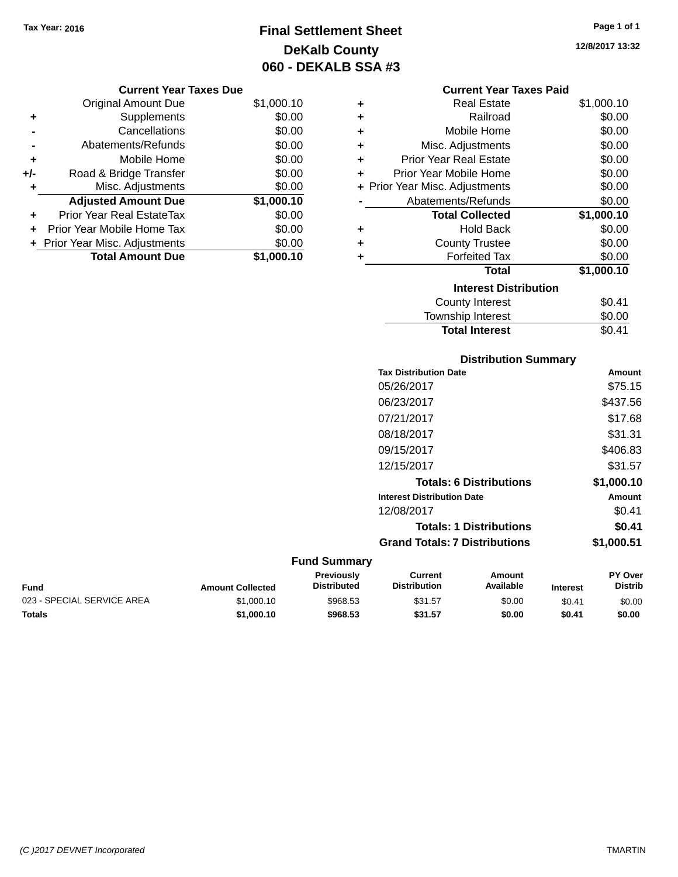# **Final Settlement Sheet Tax Year: 2016 Page 1 of 1 DeKalb County 060 - DEKALB SSA #3**

**12/8/2017 13:32**

## **Current Year Taxes Due**

|       | <b>Original Amount Due</b>     | \$1,000.10 |
|-------|--------------------------------|------------|
| ٠     | Supplements                    | \$0.00     |
|       | Cancellations                  | \$0.00     |
|       | Abatements/Refunds             | \$0.00     |
| ٠     | Mobile Home                    | \$0.00     |
| $+/-$ | Road & Bridge Transfer         | \$0.00     |
|       | Misc. Adjustments              | \$0.00     |
|       | <b>Adjusted Amount Due</b>     | \$1,000.10 |
| ÷     | Prior Year Real EstateTax      | \$0.00     |
|       | Prior Year Mobile Home Tax     | \$0.00     |
|       | + Prior Year Misc. Adjustments | \$0.00     |
|       | <b>Total Amount Due</b>        | \$1,000.10 |

### **Current Year Taxes Paid**

| ٠ | Real Estate                    | \$1,000.10 |
|---|--------------------------------|------------|
| ÷ | Railroad                       | \$0.00     |
| ÷ | Mobile Home                    | \$0.00     |
| ٠ | Misc. Adjustments              | \$0.00     |
| ٠ | <b>Prior Year Real Estate</b>  | \$0.00     |
| ٠ | Prior Year Mobile Home         | \$0.00     |
|   | + Prior Year Misc. Adjustments | \$0.00     |
|   | Abatements/Refunds             | \$0.00     |
|   | <b>Total Collected</b>         | \$1,000.10 |
| ٠ | <b>Hold Back</b>               | \$0.00     |
| ÷ | <b>County Trustee</b>          | \$0.00     |
| ٠ | <b>Forfeited Tax</b>           | \$0.00     |
|   | Total                          | \$1,000.10 |
|   | <b>Interest Distribution</b>   |            |
|   | <b>County Interest</b>         | \$0.41     |
|   | <b>Township Interest</b>       | \$0.00     |
|   | <b>Total Interest</b>          | \$0.41     |

## **Distribution Summary Tax Distribution Date Amount** 05/26/2017 \$75.15 06/23/2017 \$437.56 07/21/2017 \$17.68 08/18/2017 \$31.31 09/15/2017 \$406.83 12/15/2017 \$31.57 **Totals: 6 Distributions \$1,000.10 Interest Distribution Date Amount** 12/08/2017 \$0.41 **Totals: 1 Distributions \$0.41 Grand Totals: 7 Distributions \$1,000.51**

| Fund                       | <b>Amount Collected</b> | Previously<br><b>Distributed</b> | Current<br><b>Distribution</b> | Amount<br>Available | <b>Interest</b> | <b>PY Over</b><br>Distrib |
|----------------------------|-------------------------|----------------------------------|--------------------------------|---------------------|-----------------|---------------------------|
| 023 - SPECIAL SERVICE AREA | \$1,000.10              | \$968.53                         | \$31.57                        | \$0.00              | \$0.41          | \$0.00                    |
| Totals                     | \$1,000.10              | \$968.53                         | \$31.57                        | \$0.00              | \$0.41          | \$0.00                    |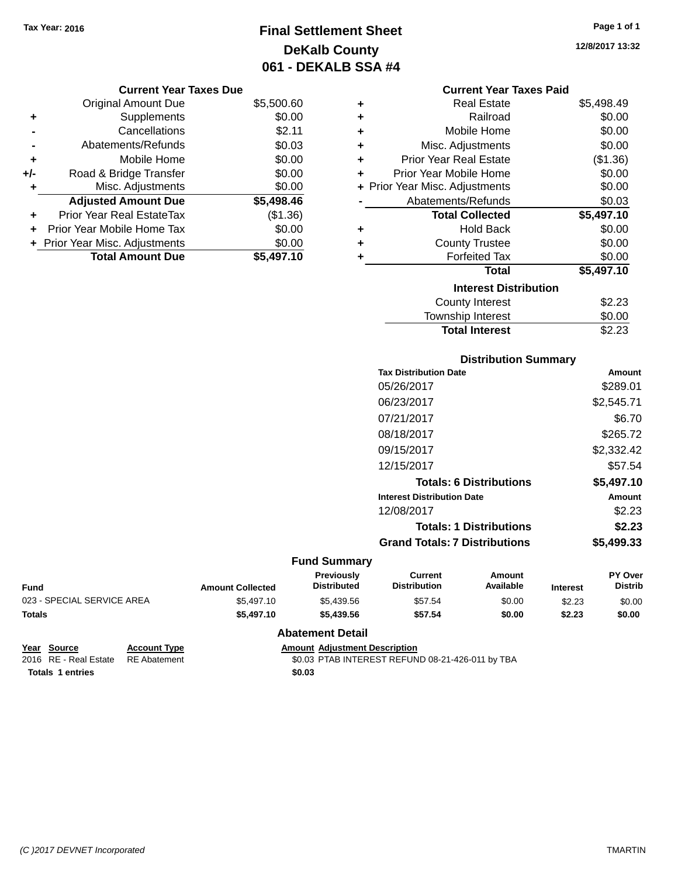# **Final Settlement Sheet Tax Year: 2016 Page 1 of 1 DeKalb County 061 - DEKALB SSA #4**

**12/8/2017 13:32**

## **Current Year Taxes Due**

|       | <b>Original Amount Due</b>     | \$5,500.60 |
|-------|--------------------------------|------------|
| ٠     | Supplements                    | \$0.00     |
|       | Cancellations                  | \$2.11     |
|       | Abatements/Refunds             | \$0.03     |
| ÷     | Mobile Home                    | \$0.00     |
| $+/-$ | Road & Bridge Transfer         | \$0.00     |
|       | Misc. Adjustments              | \$0.00     |
|       | <b>Adjusted Amount Due</b>     | \$5,498.46 |
| ÷     | Prior Year Real EstateTax      | (\$1.36)   |
|       | Prior Year Mobile Home Tax     | \$0.00     |
|       | + Prior Year Misc. Adjustments | \$0.00     |
|       | <b>Total Amount Due</b>        | \$5,497.10 |

|   | <b>Current Year Taxes Paid</b> |            |  |  |  |  |
|---|--------------------------------|------------|--|--|--|--|
| ٠ | <b>Real Estate</b>             | \$5,498.49 |  |  |  |  |
| ÷ | Railroad                       | \$0.00     |  |  |  |  |
| ÷ | Mobile Home                    | \$0.00     |  |  |  |  |
| ٠ | Misc. Adjustments              | \$0.00     |  |  |  |  |
| ٠ | <b>Prior Year Real Estate</b>  | (\$1.36)   |  |  |  |  |
| ٠ | Prior Year Mobile Home         | \$0.00     |  |  |  |  |
|   | + Prior Year Misc. Adjustments | \$0.00     |  |  |  |  |
|   | Abatements/Refunds             | \$0.03     |  |  |  |  |
|   | <b>Total Collected</b>         | \$5,497.10 |  |  |  |  |
| ٠ | Hold Back                      | \$0.00     |  |  |  |  |
| ٠ | <b>County Trustee</b>          | \$0.00     |  |  |  |  |
| ٠ | <b>Forfeited Tax</b>           | \$0.00     |  |  |  |  |
|   | <b>Total</b>                   | \$5,497.10 |  |  |  |  |
|   | <b>Interest Distribution</b>   |            |  |  |  |  |
|   | <b>County Interest</b>         | \$2.23     |  |  |  |  |
|   | <b>Township Interest</b>       | \$0.00     |  |  |  |  |

## **Distribution Summary Tax Distribution Date Amount** 05/26/2017 \$289.01 06/23/2017 \$2,545.71 07/21/2017 \$6.70 08/18/2017 \$265.72 09/15/2017 \$2,332.42 12/15/2017 \$57.54 **Totals: 6 Distributions \$5,497.10 Interest Distribution Date Amount** 12/08/2017 \$2.23 **Totals: 1 Distributions \$2.23 Grand Totals: 7 Distributions \$5,499.33**

**Total Interest** \$2.23

## **Fund Summary**

| Fund                       | <b>Amount Collected</b> | Previously<br><b>Distributed</b> | Current<br><b>Distribution</b> | Amount<br><b>Available</b> | <b>Interest</b> | <b>PY Over</b><br><b>Distrib</b> |
|----------------------------|-------------------------|----------------------------------|--------------------------------|----------------------------|-----------------|----------------------------------|
| 023 - SPECIAL SERVICE AREA | \$5,497.10              | \$5.439.56                       | \$57.54                        | \$0.00                     | \$2.23          | \$0.00                           |
| Totals                     | \$5,497.10              | \$5,439.56                       | \$57.54                        | \$0.00                     | \$2.23          | \$0.00                           |

## **Abatement Detail**

| Year Source                        | <b>Account Type</b> | <b>Amount Adiustment Description</b>             |
|------------------------------------|---------------------|--------------------------------------------------|
| 2016 RE - Real Estate RE Abatement |                     | \$0.03 PTAB INTEREST REFUND 08-21-426-011 by TBA |
| <b>Totals 1 entries</b>            |                     | \$0.03                                           |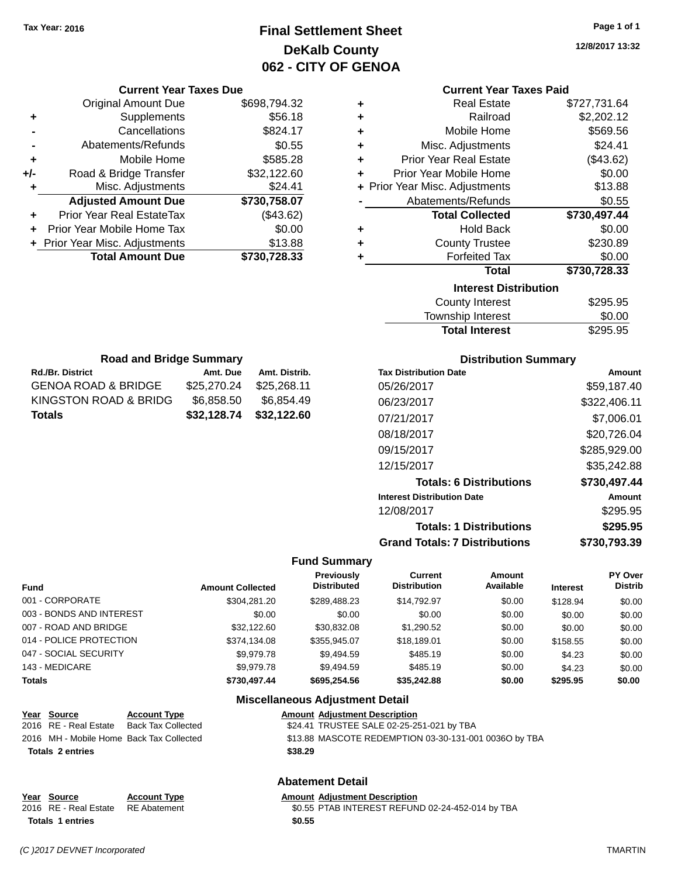# **Final Settlement Sheet Tax Year: 2016 Page 1 of 1 DeKalb County 062 - CITY OF GENOA**

**12/8/2017 13:32**

### **Current Year Taxes Paid**

| ٠ | <b>Real Estate</b>             | \$727,731.64 |
|---|--------------------------------|--------------|
| ٠ | Railroad                       | \$2,202.12   |
| ٠ | Mobile Home                    | \$569.56     |
| ٠ | Misc. Adjustments              | \$24.41      |
| ٠ | <b>Prior Year Real Estate</b>  | (\$43.62)    |
| ٠ | Prior Year Mobile Home         | \$0.00       |
|   | + Prior Year Misc. Adjustments | \$13.88      |
|   | Abatements/Refunds             | \$0.55       |
|   | <b>Total Collected</b>         | \$730,497.44 |
| ٠ | <b>Hold Back</b>               | \$0.00       |
| ٠ | <b>County Trustee</b>          | \$230.89     |
| ٠ | <b>Forfeited Tax</b>           | \$0.00       |
|   | <b>Total</b>                   | \$730,728.33 |
|   | <b>Interest Distribution</b>   |              |
|   | <b>County Interest</b>         | \$295.95     |
|   | Township Interest              | \$0.00       |

| Total                        | \$730,728.33 |
|------------------------------|--------------|
| <b>Interest Distribution</b> |              |
| <b>County Interest</b>       | \$295.95     |
| Township Interest            | \$0.00       |
| <b>Total Interest</b>        | \$295.95     |

| <b>Road and Bridge Summary</b>       |             |               |  |  |
|--------------------------------------|-------------|---------------|--|--|
| Rd./Br. District                     | Amt. Due    | Amt. Distrib. |  |  |
| GENOA ROAD & BRIDGE                  | \$25,270.24 | \$25,268.11   |  |  |
| KINGSTON ROAD & BRIDG                | \$6,858.50  | \$6,854.49    |  |  |
| \$32,128.74<br>\$32,122.60<br>Totals |             |               |  |  |

**Current Year Taxes Due** Original Amount Due \$698,794.32

**Adjusted Amount Due \$730,758.07**

**Total Amount Due \$730,728.33**

**+** Supplements \$56.18 **-** Cancellations \$824.17 **-** Abatements/Refunds **\$0.55 +** Mobile Home \$585.28 **+/-** Road & Bridge Transfer \$32,122.60 **+** Misc. Adjustments \$24.41

**+** Prior Year Real EstateTax (\$43.62) **+** Prior Year Mobile Home Tax \$0.00 **+** Prior Year Misc. Adjustments \$13.88

## **Distribution Summary**

| <b>Tax Distribution Date</b>         | Amount       |
|--------------------------------------|--------------|
| 05/26/2017                           | \$59.187.40  |
| 06/23/2017                           | \$322,406.11 |
| 07/21/2017                           | \$7,006.01   |
| 08/18/2017                           | \$20,726.04  |
| 09/15/2017                           | \$285,929.00 |
| 12/15/2017                           | \$35,242.88  |
| <b>Totals: 6 Distributions</b>       | \$730,497.44 |
| <b>Interest Distribution Date</b>    | Amount       |
| 12/08/2017                           | \$295.95     |
| <b>Totals: 1 Distributions</b>       | \$295.95     |
| <b>Grand Totals: 7 Distributions</b> | \$730.793.39 |

## **Fund Summary**

|                          |                         | <b>Previously</b>  | <b>Current</b>      | <b>Amount</b> |                 | PY Over        |
|--------------------------|-------------------------|--------------------|---------------------|---------------|-----------------|----------------|
| Fund                     | <b>Amount Collected</b> | <b>Distributed</b> | <b>Distribution</b> | Available     | <b>Interest</b> | <b>Distrib</b> |
| 001 - CORPORATE          | \$304.281.20            | \$289.488.23       | \$14.792.97         | \$0.00        | \$128.94        | \$0.00         |
| 003 - BONDS AND INTEREST | \$0.00                  | \$0.00             | \$0.00              | \$0.00        | \$0.00          | \$0.00         |
| 007 - ROAD AND BRIDGE    | \$32,122,60             | \$30.832.08        | \$1,290.52          | \$0.00        | \$0.00          | \$0.00         |
| 014 - POLICE PROTECTION  | \$374,134.08            | \$355,945.07       | \$18,189.01         | \$0.00        | \$158.55        | \$0.00         |
| 047 - SOCIAL SECURITY    | \$9.979.78              | \$9,494.59         | \$485.19            | \$0.00        | \$4.23          | \$0.00         |
| 143 - MEDICARE           | \$9.979.78              | \$9.494.59         | \$485.19            | \$0.00        | \$4.23          | \$0.00         |
| <b>Totals</b>            | \$730,497.44            | \$695.254.56       | \$35.242.88         | \$0.00        | \$295.95        | \$0.00         |

## **Miscellaneous Adjustment Detail**

| \$13.88 MASCOTE REDEMPTION 03-30-131-001 0036O by TBA |
|-------------------------------------------------------|
|                                                       |
|                                                       |

## **Abatement Detail**

**Year Source Account Type Amount Adjustment Description** 2016 RE - Real Estate RE Abatement \$0.55 PTAB INTEREST REFUND 02-24-452-014 by TBA **Totals 1 entries \$0.55**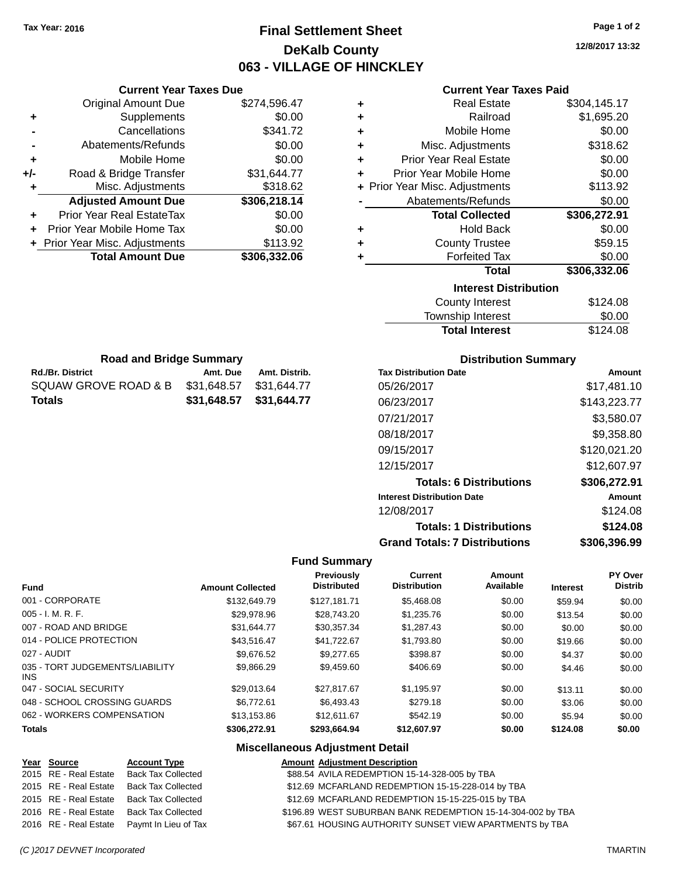# **Final Settlement Sheet Tax Year: 2016 Page 1 of 2 DeKalb County 063 - VILLAGE OF HINCKLEY**

**12/8/2017 13:32**

## **Current Year Taxes Paid**

| Supplements<br>Railroad<br>\$0.00<br>٠<br>٠<br>\$341.72<br>Cancellations<br>Mobile Home<br>٠<br>\$0.00<br>Abatements/Refunds<br>Misc. Adjustments<br>÷<br><b>Prior Year Real Estate</b><br>Mobile Home<br>\$0.00<br>÷<br>÷<br>+/-<br>Prior Year Mobile Home<br>Road & Bridge Transfer<br>\$31,644.77<br>÷<br>\$318.62<br>+ Prior Year Misc. Adjustments<br>Misc. Adjustments<br>\$306,218.14<br><b>Adjusted Amount Due</b><br>Abatements/Refunds<br><b>Prior Year Real EstateTax</b><br><b>Total Collected</b><br>\$0.00<br>÷.<br>\$0.00<br><b>Hold Back</b><br>Prior Year Mobile Home Tax<br>÷<br>+ Prior Year Misc. Adjustments<br>\$113.92<br><b>County Trustee</b><br>÷<br><b>Total Amount Due</b><br>\$306,332.06<br><b>Forfeited Tax</b><br>Total<br><b>Interest Distribution</b><br><b>County Interest</b> | <b>Original Amount Due</b> | \$274,596.47 | ٠ | <b>Real Estate</b> | \$304,145.17 |
|-------------------------------------------------------------------------------------------------------------------------------------------------------------------------------------------------------------------------------------------------------------------------------------------------------------------------------------------------------------------------------------------------------------------------------------------------------------------------------------------------------------------------------------------------------------------------------------------------------------------------------------------------------------------------------------------------------------------------------------------------------------------------------------------------------------------|----------------------------|--------------|---|--------------------|--------------|
|                                                                                                                                                                                                                                                                                                                                                                                                                                                                                                                                                                                                                                                                                                                                                                                                                   |                            |              |   |                    | \$1,695.20   |
|                                                                                                                                                                                                                                                                                                                                                                                                                                                                                                                                                                                                                                                                                                                                                                                                                   |                            |              |   |                    | \$0.00       |
|                                                                                                                                                                                                                                                                                                                                                                                                                                                                                                                                                                                                                                                                                                                                                                                                                   |                            |              |   |                    | \$318.62     |
|                                                                                                                                                                                                                                                                                                                                                                                                                                                                                                                                                                                                                                                                                                                                                                                                                   |                            |              |   |                    | \$0.00       |
|                                                                                                                                                                                                                                                                                                                                                                                                                                                                                                                                                                                                                                                                                                                                                                                                                   |                            |              |   |                    | \$0.00       |
|                                                                                                                                                                                                                                                                                                                                                                                                                                                                                                                                                                                                                                                                                                                                                                                                                   |                            |              |   |                    | \$113.92     |
|                                                                                                                                                                                                                                                                                                                                                                                                                                                                                                                                                                                                                                                                                                                                                                                                                   |                            |              |   |                    | \$0.00       |
|                                                                                                                                                                                                                                                                                                                                                                                                                                                                                                                                                                                                                                                                                                                                                                                                                   |                            |              |   |                    | \$306,272.91 |
|                                                                                                                                                                                                                                                                                                                                                                                                                                                                                                                                                                                                                                                                                                                                                                                                                   |                            |              |   |                    | \$0.00       |
|                                                                                                                                                                                                                                                                                                                                                                                                                                                                                                                                                                                                                                                                                                                                                                                                                   |                            |              |   |                    | \$59.15      |
|                                                                                                                                                                                                                                                                                                                                                                                                                                                                                                                                                                                                                                                                                                                                                                                                                   |                            |              |   |                    | \$0.00       |
|                                                                                                                                                                                                                                                                                                                                                                                                                                                                                                                                                                                                                                                                                                                                                                                                                   |                            |              |   |                    | \$306,332.06 |
|                                                                                                                                                                                                                                                                                                                                                                                                                                                                                                                                                                                                                                                                                                                                                                                                                   |                            |              |   |                    |              |
|                                                                                                                                                                                                                                                                                                                                                                                                                                                                                                                                                                                                                                                                                                                                                                                                                   |                            |              |   |                    | \$124.08     |

| \$124.08 |
|----------|
| \$0.00   |
| \$124.08 |
|          |

| <b>Road and Bridge Summary</b> |                         |               |  |
|--------------------------------|-------------------------|---------------|--|
| <b>Rd./Br. District</b>        | Amt. Due                | Amt. Distrib. |  |
| SQUAW GROVE ROAD & B           | \$31.648.57             | \$31,644.77   |  |
| Totals                         | \$31,648.57 \$31,644.77 |               |  |

**Current Year Taxes Due**

## **Distribution Summary**

| <b>Tax Distribution Date</b>         | Amount       |
|--------------------------------------|--------------|
| 05/26/2017                           | \$17,481.10  |
| 06/23/2017                           | \$143,223.77 |
| 07/21/2017                           | \$3,580.07   |
| 08/18/2017                           | \$9,358.80   |
| 09/15/2017                           | \$120,021.20 |
| 12/15/2017                           | \$12,607.97  |
| <b>Totals: 6 Distributions</b>       | \$306,272.91 |
| <b>Interest Distribution Date</b>    | Amount       |
| 12/08/2017                           | \$124.08     |
| <b>Totals: 1 Distributions</b>       | \$124.08     |
| <b>Grand Totals: 7 Distributions</b> | \$306.396.99 |

### **Fund Summary**

| <b>Fund</b>                             | <b>Amount Collected</b> | <b>Previously</b><br><b>Distributed</b> | <b>Current</b><br><b>Distribution</b> | Amount<br>Available | <b>Interest</b> | <b>PY Over</b><br><b>Distrib</b> |
|-----------------------------------------|-------------------------|-----------------------------------------|---------------------------------------|---------------------|-----------------|----------------------------------|
| 001 - CORPORATE                         | \$132,649.79            | \$127.181.71                            | \$5,468.08                            | \$0.00              | \$59.94         | \$0.00                           |
| $005 - I. M. R. F.$                     | \$29,978.96             | \$28,743.20                             | \$1,235.76                            | \$0.00              | \$13.54         | \$0.00                           |
| 007 - ROAD AND BRIDGE                   | \$31.644.77             | \$30.357.34                             | \$1,287.43                            | \$0.00              | \$0.00          | \$0.00                           |
| 014 - POLICE PROTECTION                 | \$43.516.47             | \$41.722.67                             | \$1,793.80                            | \$0.00              | \$19.66         | \$0.00                           |
| 027 - AUDIT                             | \$9.676.52              | \$9,277.65                              | \$398.87                              | \$0.00              | \$4.37          | \$0.00                           |
| 035 - TORT JUDGEMENTS/LIABILITY<br>INS. | \$9.866.29              | \$9,459.60                              | \$406.69                              | \$0.00              | \$4.46          | \$0.00                           |
| 047 - SOCIAL SECURITY                   | \$29,013.64             | \$27.817.67                             | \$1,195.97                            | \$0.00              | \$13.11         | \$0.00                           |
| 048 - SCHOOL CROSSING GUARDS            | \$6.772.61              | \$6,493.43                              | \$279.18                              | \$0.00              | \$3.06          | \$0.00                           |
| 062 - WORKERS COMPENSATION              | \$13.153.86             | \$12,611,67                             | \$542.19                              | \$0.00              | \$5.94          | \$0.00                           |
| <b>Totals</b>                           | \$306,272.91            | \$293.664.94                            | \$12,607.97                           | \$0.00              | \$124.08        | \$0.00                           |

| Year Source           | <b>Account Type</b>                        | <b>Amount Adjustment Description</b>                        |
|-----------------------|--------------------------------------------|-------------------------------------------------------------|
| 2015 RE - Real Estate | Back Tax Collected                         | \$88.54 AVILA REDEMPTION 15-14-328-005 by TBA               |
| 2015 RE - Real Estate | Back Tax Collected                         | \$12.69 MCFARLAND REDEMPTION 15-15-228-014 by TBA           |
|                       | 2015 RE - Real Estate Back Tax Collected   | \$12.69 MCFARLAND REDEMPTION 15-15-225-015 by TBA           |
| 2016 RE - Real Estate | Back Tax Collected                         | \$196.89 WEST SUBURBAN BANK REDEMPTION 15-14-304-002 by TBA |
|                       | 2016 RE - Real Estate Paymt In Lieu of Tax | \$67.61 HOUSING AUTHORITY SUNSET VIEW APARTMENTS by TBA     |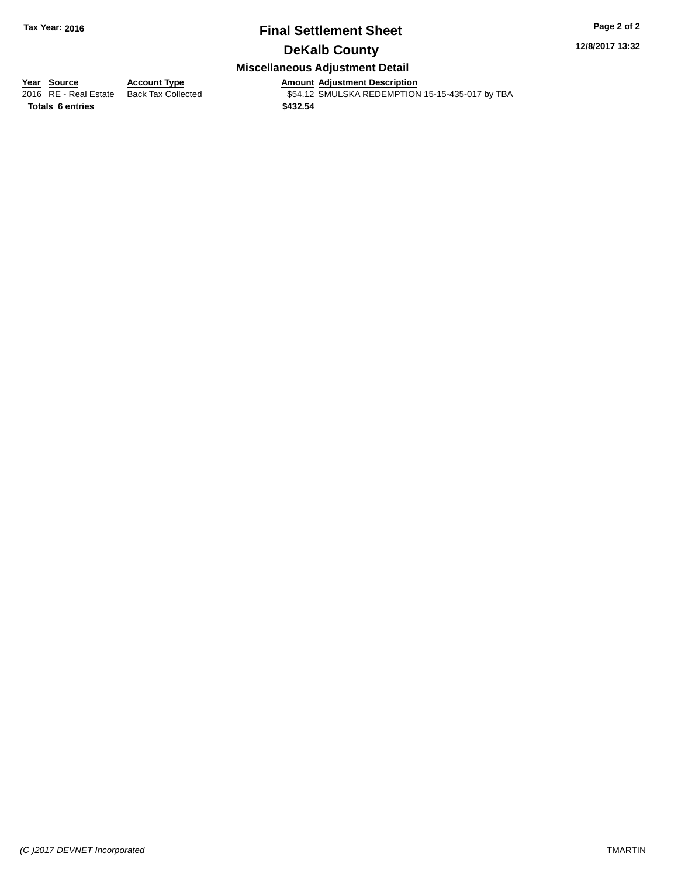## **Final Settlement Sheet Tax Year: 2016 Page 2 of 2 DeKalb County**

**12/8/2017 13:32**

## **Miscellaneous Adjustment Detail**

**Totals 6 entries \$432.54**

**Year Source Account Type**<br>
2016 RE - Real Estate Back Tax Collected **Amount Adjustment Description**<br>
\$54.12 SMULSKA REDEMPTION \$54.12 SMULSKA REDEMPTION 15-15-435-017 by TBA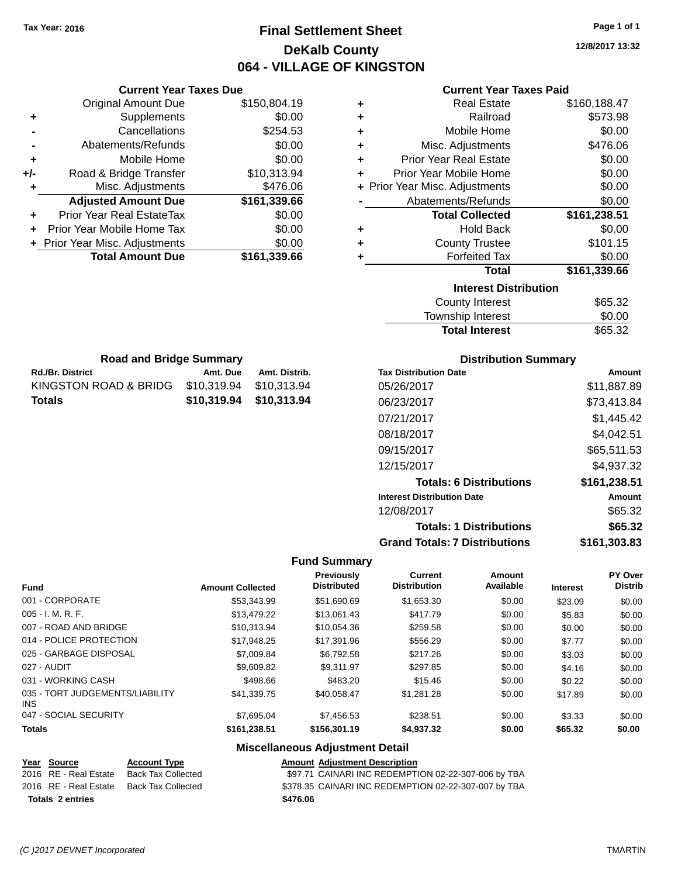**Current Year Taxes Due** Original Amount Due \$150,804.19

**+** Supplements \$0.00 **-** Cancellations \$254.53 **-** Abatements/Refunds \$0.00 **+** Mobile Home \$0.00 **+/-** Road & Bridge Transfer \$10,313.94 **+** Misc. Adjustments \$476.06

**+** Prior Year Real EstateTax \$0.00 **+** Prior Year Mobile Home Tax \$0.00 **+** Prior Year Misc. Adjustments  $$0.00$ 

**Rd./Br. District Amt. Due Amt. Distrib. Road and Bridge Summary**

KINGSTON ROAD & BRIDG \$10,319.94 \$10,313.94 **Totals \$10,319.94 \$10,313.94**

# **Final Settlement Sheet Tax Year: 2016 Page 1 of 1 DeKalb County 064 - VILLAGE OF KINGSTON**

**12/8/2017 13:32**

## **Current Year Taxes Paid**

| <b>Original Amount Due</b> | \$150,804.19 | ٠ | <b>Real Estate</b>             | \$160,188.47 |
|----------------------------|--------------|---|--------------------------------|--------------|
| Supplements                | \$0.00       | ٠ | Railroad                       | \$573.98     |
| Cancellations              | \$254.53     | ٠ | Mobile Home                    | \$0.00       |
| Abatements/Refunds         | \$0.00       | ٠ | Misc. Adjustments              | \$476.06     |
| Mobile Home                | \$0.00       | ٠ | <b>Prior Year Real Estate</b>  | \$0.00       |
| Road & Bridge Transfer     | \$10,313.94  | ٠ | Prior Year Mobile Home         | \$0.00       |
| Misc. Adjustments          | \$476.06     |   | + Prior Year Misc. Adjustments | \$0.00       |
| <b>Adjusted Amount Due</b> | \$161,339.66 |   | Abatements/Refunds             | \$0.00       |
| rior Year Real EstateTax   | \$0.00       |   | <b>Total Collected</b>         | \$161,238.51 |
| r Year Mobile Home Tax     | \$0.00       | ٠ | <b>Hold Back</b>               | \$0.00       |
| Year Misc. Adjustments     | \$0.00       | ٠ | <b>County Trustee</b>          | \$101.15     |
| <b>Total Amount Due</b>    | \$161,339.66 |   | <b>Forfeited Tax</b>           | \$0.00       |
|                            |              |   | <b>Total</b>                   | \$161,339.66 |
|                            |              |   | <b>Interest Distribution</b>   |              |
|                            |              |   | <b>County Interest</b>         | \$65.32      |
|                            |              |   | Taunaalaha hatawaat            | ሶስ ሰሰ        |

| <b>Total Interest</b> | \$65.32 |
|-----------------------|---------|
| Township Interest     | \$0.00  |
| County Interest       | \$65.32 |

| <b>Distribution Summary</b>  |        |
|------------------------------|--------|
| <b>Tax Distribution Date</b> | Amount |

| 05/26/2017                           |              |
|--------------------------------------|--------------|
|                                      | \$11.887.89  |
| 06/23/2017                           | \$73,413.84  |
| 07/21/2017                           | \$1,445.42   |
| 08/18/2017                           | \$4,042.51   |
| 09/15/2017                           | \$65,511.53  |
| 12/15/2017                           | \$4,937.32   |
| <b>Totals: 6 Distributions</b>       | \$161,238.51 |
| <b>Interest Distribution Date</b>    | Amount       |
| 12/08/2017                           | \$65.32      |
| <b>Totals: 1 Distributions</b>       | \$65.32      |
| <b>Grand Totals: 7 Distributions</b> | \$161.303.83 |

## **Fund Summary**

| Fund                                    | <b>Amount Collected</b> | Previously<br><b>Distributed</b> | Current<br><b>Distribution</b> | <b>Amount</b><br>Available | <b>Interest</b> | PY Over<br><b>Distrib</b> |
|-----------------------------------------|-------------------------|----------------------------------|--------------------------------|----------------------------|-----------------|---------------------------|
| 001 - CORPORATE                         | \$53,343.99             | \$51,690.69                      | \$1,653.30                     | \$0.00                     | \$23.09         | \$0.00                    |
| $005 - I. M. R. F.$                     | \$13,479.22             | \$13,061.43                      | \$417.79                       | \$0.00                     | \$5.83          | \$0.00                    |
| 007 - ROAD AND BRIDGE                   | \$10.313.94             | \$10.054.36                      | \$259.58                       | \$0.00                     | \$0.00          | \$0.00                    |
| 014 - POLICE PROTECTION                 | \$17.948.25             | \$17.391.96                      | \$556.29                       | \$0.00                     | \$7.77          | \$0.00                    |
| 025 - GARBAGE DISPOSAL                  | \$7,009.84              | \$6.792.58                       | \$217.26                       | \$0.00                     | \$3.03          | \$0.00                    |
| 027 - AUDIT                             | \$9,609.82              | \$9.311.97                       | \$297.85                       | \$0.00                     | \$4.16          | \$0.00                    |
| 031 - WORKING CASH                      | \$498.66                | \$483.20                         | \$15.46                        | \$0.00                     | \$0.22          | \$0.00                    |
| 035 - TORT JUDGEMENTS/LIABILITY<br>INS. | \$41,339.75             | \$40.058.47                      | \$1.281.28                     | \$0.00                     | \$17.89         | \$0.00                    |
| 047 - SOCIAL SECURITY                   | \$7.695.04              | \$7,456.53                       | \$238.51                       | \$0.00                     | \$3.33          | \$0.00                    |
| <b>Totals</b>                           | \$161.238.51            | \$156,301.19                     | \$4,937.32                     | \$0.00                     | \$65.32         | \$0.00                    |

| Year Source             | <b>Account Type</b> | <b>Amount Adjustment Description</b>                 |
|-------------------------|---------------------|------------------------------------------------------|
| 2016 RE - Real Estate   | Back Tax Collected  | \$97.71 CAINARI INC REDEMPTION 02-22-307-006 by TBA  |
| 2016 RE - Real Estate   | Back Tax Collected  | \$378.35 CAINARI INC REDEMPTION 02-22-307-007 by TBA |
| <b>Totals 2 entries</b> |                     | \$476.06                                             |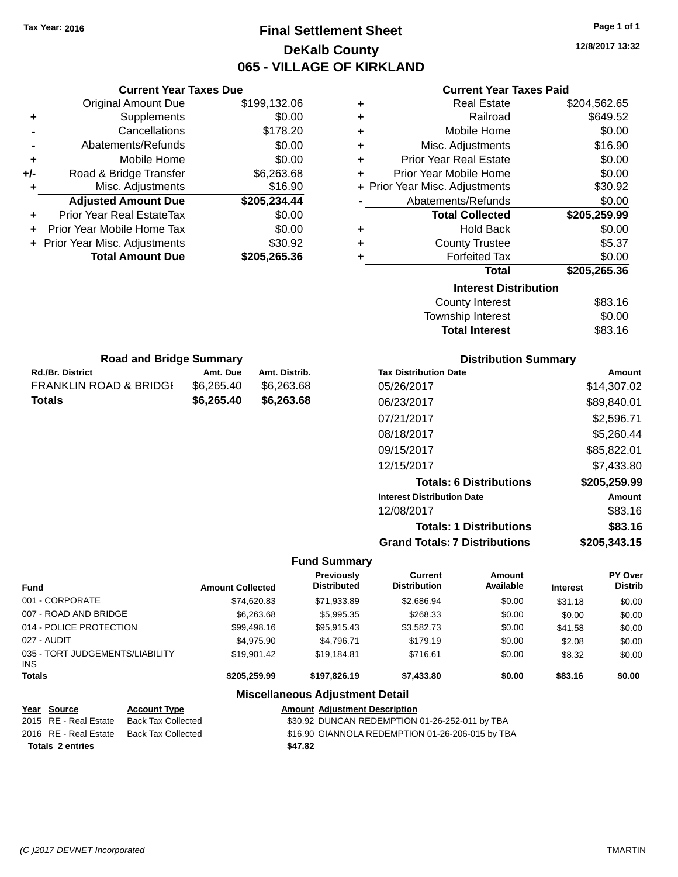# **Final Settlement Sheet Tax Year: 2016 Page 1 of 1 DeKalb County 065 - VILLAGE OF KIRKLAND**

**12/8/2017 13:32**

## **Current Year Taxes Paid**

|                | <b>Current Year Taxes Due</b>  |              |
|----------------|--------------------------------|--------------|
|                | <b>Original Amount Due</b>     | \$199,132.06 |
| ٠              | Supplements                    | \$0.00       |
|                | Cancellations                  | \$178.20     |
| $\blacksquare$ | Abatements/Refunds             | \$0.00       |
| ٠              | Mobile Home                    | \$0.00       |
| +/-            | Road & Bridge Transfer         | \$6,263.68   |
| ٠              | Misc. Adjustments              | \$16.90      |
|                | <b>Adjusted Amount Due</b>     | \$205,234.44 |
| ٠              | Prior Year Real EstateTax      | \$0.00       |
|                | Prior Year Mobile Home Tax     | \$0.00       |
|                | + Prior Year Misc. Adjustments | \$30.92      |
|                | <b>Total Amount Due</b>        | \$205,265.36 |
|                |                                |              |

**Rd./Br. District Amt. Due Amt. Distrib. Road and Bridge Summary**

FRANKLIN ROAD & BRIDGE \$6,265.40 \$6,263.68 **Totals \$6,265.40 \$6,263.68**

| ٠ | <b>Real Estate</b>             | \$204,562.65 |
|---|--------------------------------|--------------|
| ÷ | Railroad                       | \$649.52     |
| ÷ | Mobile Home                    | \$0.00       |
| ٠ | Misc. Adjustments              | \$16.90      |
| ٠ | <b>Prior Year Real Estate</b>  | \$0.00       |
| ٠ | Prior Year Mobile Home         | \$0.00       |
|   | + Prior Year Misc. Adjustments | \$30.92      |
|   | Abatements/Refunds             | \$0.00       |
|   |                                |              |
|   | <b>Total Collected</b>         | \$205,259.99 |
| ٠ | <b>Hold Back</b>               | \$0.00       |
| ٠ | <b>County Trustee</b>          | \$5.37       |
| ٠ | <b>Forfeited Tax</b>           | \$0.00       |
|   | <b>Total</b>                   | \$205,265.36 |
|   | <b>Interest Distribution</b>   |              |
|   | <b>County Interest</b>         | \$83.16      |

# **Distribution Summary**

Total Interest \$83.16

| <b>Tax Distribution Date</b>         | Amount       |
|--------------------------------------|--------------|
| 05/26/2017                           | \$14,307.02  |
| 06/23/2017                           | \$89,840.01  |
| 07/21/2017                           | \$2,596.71   |
| 08/18/2017                           | \$5.260.44   |
| 09/15/2017                           | \$85,822.01  |
| 12/15/2017                           | \$7,433.80   |
| <b>Totals: 6 Distributions</b>       | \$205,259.99 |
| <b>Interest Distribution Date</b>    | Amount       |
| 12/08/2017                           | \$83.16      |
| <b>Totals: 1 Distributions</b>       | \$83.16      |
| <b>Grand Totals: 7 Distributions</b> | \$205.343.15 |

## **Fund Summary**

| <b>Fund</b>                                   | <b>Amount Collected</b> | <b>Previously</b><br><b>Distributed</b> | Current<br><b>Distribution</b> | Amount<br>Available | <b>Interest</b> | <b>PY Over</b><br><b>Distrib</b> |
|-----------------------------------------------|-------------------------|-----------------------------------------|--------------------------------|---------------------|-----------------|----------------------------------|
| 001 - CORPORATE                               | \$74.620.83             | \$71,933.89                             | \$2,686.94                     | \$0.00              | \$31.18         | \$0.00                           |
| 007 - ROAD AND BRIDGE                         | \$6,263.68              | \$5,995.35                              | \$268.33                       | \$0.00              | \$0.00          | \$0.00                           |
| 014 - POLICE PROTECTION                       | \$99,498.16             | \$95,915.43                             | \$3,582.73                     | \$0.00              | \$41.58         | \$0.00                           |
| 027 - AUDIT                                   | \$4.975.90              | \$4.796.71                              | \$179.19                       | \$0.00              | \$2.08          | \$0.00                           |
| 035 - TORT JUDGEMENTS/LIABILITY<br><b>INS</b> | \$19.901.42             | \$19,184.81                             | \$716.61                       | \$0.00              | \$8.32          | \$0.00                           |
| <b>Totals</b>                                 | \$205.259.99            | \$197.826.19                            | \$7,433.80                     | \$0.00              | \$83.16         | \$0.00                           |

| Year Source             | <b>Account Type</b> | <b>Amount Adjustment Description</b>             |
|-------------------------|---------------------|--------------------------------------------------|
| 2015 RE - Real Estate   | Back Tax Collected  | \$30.92 DUNCAN REDEMPTION 01-26-252-011 by TBA   |
| 2016 RE - Real Estate   | Back Tax Collected  | \$16.90 GIANNOLA REDEMPTION 01-26-206-015 by TBA |
| <b>Totals 2 entries</b> |                     | \$47.82                                          |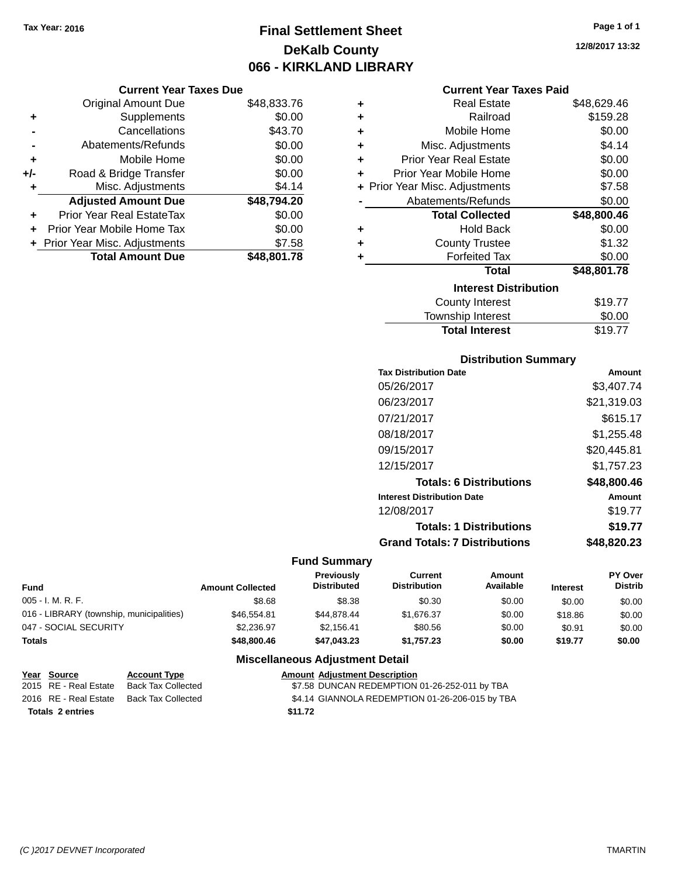# **Final Settlement Sheet Tax Year: 2016 Page 1 of 1 DeKalb County 066 - KIRKLAND LIBRARY**

**12/8/2017 13:32**

## **Current Year Taxes Paid**

|     | <b>Current Year Taxes Due</b>  |             |  |  |  |
|-----|--------------------------------|-------------|--|--|--|
|     | <b>Original Amount Due</b>     | \$48,833.76 |  |  |  |
| ٠   | Supplements                    | \$0.00      |  |  |  |
|     | Cancellations                  | \$43.70     |  |  |  |
|     | Abatements/Refunds             | \$0.00      |  |  |  |
| ٠   | Mobile Home                    | \$0.00      |  |  |  |
| +/- | Road & Bridge Transfer         | \$0.00      |  |  |  |
| ٠   | Misc. Adjustments              | \$4.14      |  |  |  |
|     | <b>Adjusted Amount Due</b>     | \$48,794.20 |  |  |  |
|     | Prior Year Real EstateTax      | \$0.00      |  |  |  |
| ÷   | Prior Year Mobile Home Tax     | \$0.00      |  |  |  |
|     | + Prior Year Misc. Adjustments | \$7.58      |  |  |  |
|     | <b>Total Amount Due</b>        | \$48,801.78 |  |  |  |

| ٠ | <b>Real Estate</b>             | \$48,629.46 |
|---|--------------------------------|-------------|
| ٠ | Railroad                       | \$159.28    |
| ٠ | Mobile Home                    | \$0.00      |
| ٠ | Misc. Adjustments              | \$4.14      |
| ٠ | <b>Prior Year Real Estate</b>  | \$0.00      |
| ٠ | Prior Year Mobile Home         | \$0.00      |
|   | + Prior Year Misc. Adjustments | \$7.58      |
|   | Abatements/Refunds             | \$0.00      |
|   | <b>Total Collected</b>         | \$48,800.46 |
| ٠ | Hold Back                      | \$0.00      |
| ٠ | <b>County Trustee</b>          | \$1.32      |
| ٠ | <b>Forfeited Tax</b>           | \$0.00      |
|   | <b>Total</b>                   | \$48,801.78 |
|   | <b>Interest Distribution</b>   |             |
|   | County Interest                | \$19.77     |
|   | <b>Township Interest</b>       | \$0.00      |
|   | <b>Total Interest</b>          | \$19.77     |

## **Distribution Summary**

| <b>Tax Distribution Date</b>         | Amount      |
|--------------------------------------|-------------|
| 05/26/2017                           | \$3,407.74  |
| 06/23/2017                           | \$21,319.03 |
| 07/21/2017                           | \$615.17    |
| 08/18/2017                           | \$1,255.48  |
| 09/15/2017                           | \$20,445.81 |
| 12/15/2017                           | \$1.757.23  |
| <b>Totals: 6 Distributions</b>       | \$48,800.46 |
| <b>Interest Distribution Date</b>    | Amount      |
| 12/08/2017                           | \$19.77     |
| <b>Totals: 1 Distributions</b>       | \$19.77     |
| <b>Grand Totals: 7 Distributions</b> | \$48,820.23 |

## **Fund Summary**

| <b>Fund</b>                              | <b>Amount Collected</b> | <b>Previously</b><br><b>Distributed</b> | Current<br><b>Distribution</b> | Amount<br>Available | <b>Interest</b> | PY Over<br><b>Distrib</b> |
|------------------------------------------|-------------------------|-----------------------------------------|--------------------------------|---------------------|-----------------|---------------------------|
| $005 - I. M. R. F.$                      | \$8.68                  | \$8.38                                  | \$0.30                         | \$0.00              | \$0.00          | \$0.00                    |
| 016 - LIBRARY (township, municipalities) | \$46,554.81             | \$44.878.44                             | \$1,676.37                     | \$0.00              | \$18.86         | \$0.00                    |
| 047 - SOCIAL SECURITY                    | \$2,236.97              | \$2.156.41                              | \$80.56                        | \$0.00              | \$0.91          | \$0.00                    |
| <b>Totals</b>                            | \$48,800.46             | \$47.043.23                             | \$1.757.23                     | \$0.00              | \$19.77         | \$0.00                    |

| Year Source             | <b>Account Type</b> | <b>Amount Adiustment Description</b>            |
|-------------------------|---------------------|-------------------------------------------------|
| 2015 RE - Real Estate   | Back Tax Collected  | \$7.58 DUNCAN REDEMPTION 01-26-252-011 by TBA   |
| 2016 RE - Real Estate   | Back Tax Collected  | \$4.14 GIANNOLA REDEMPTION 01-26-206-015 by TBA |
| <b>Totals 2 entries</b> |                     | \$11.72                                         |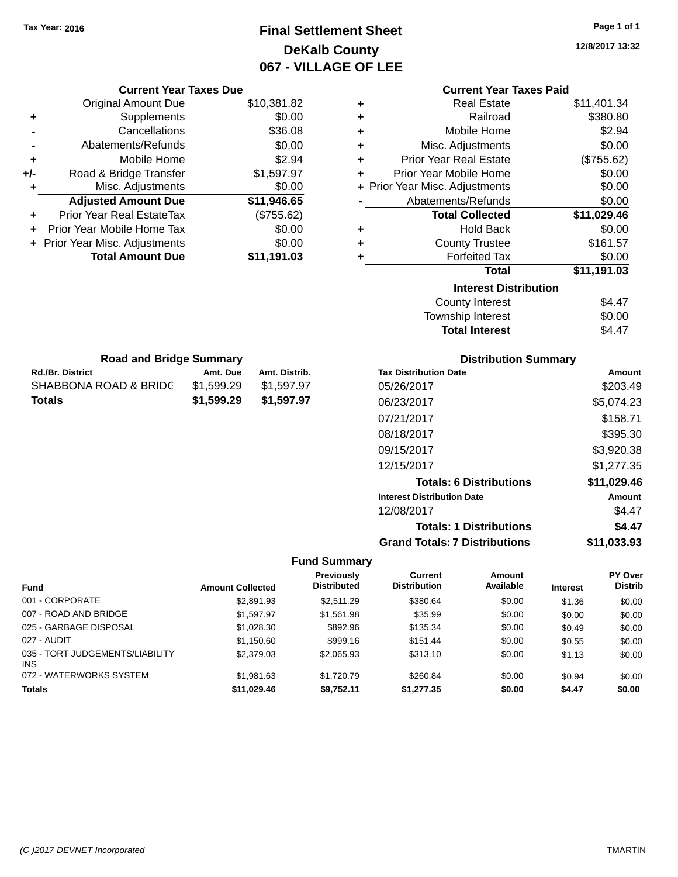# **Final Settlement Sheet Tax Year: 2016 Page 1 of 1 DeKalb County 067 - VILLAGE OF LEE**

**12/8/2017 13:32**

|   | <b>Current Year Taxes Paid</b> |             |
|---|--------------------------------|-------------|
| ٠ | <b>Real Estate</b>             | \$11,401.34 |
| ٠ | Railroad                       | \$380.80    |
| ÷ | Mobile Home                    | \$2.94      |
| ÷ | Misc. Adjustments              | \$0.00      |
| ÷ | <b>Prior Year Real Estate</b>  | (\$755.62)  |
| ÷ | Prior Year Mobile Home         | \$0.00      |
|   | + Prior Year Misc. Adjustments | \$0.00      |
|   | Abatements/Refunds             | \$0.00      |
|   | <b>Total Collected</b>         | \$11,029.46 |
| ٠ | <b>Hold Back</b>               | \$0.00      |
| ٠ | <b>County Trustee</b>          | \$161.57    |
| ٠ | <b>Forfeited Tax</b>           | \$0.00      |
|   | <b>Total</b>                   | \$11,191.03 |
|   | <b>Interest Distribution</b>   |             |
|   | <b>County Interest</b>         | \$4.47      |
|   | <b>Township Interest</b>       | \$0.00      |
|   | <b>Total Interest</b>          | \$4.47      |

| <b>Road and Bridge Summary</b> |            |               |  |
|--------------------------------|------------|---------------|--|
| <b>Rd./Br. District</b>        | Amt. Due   | Amt. Distrib. |  |
| SHABBONA ROAD & BRIDC          | \$1.599.29 | \$1,597.97    |  |
| <b>Totals</b>                  | \$1,599.29 | \$1,597.97    |  |

**Current Year Taxes Due** Original Amount Due \$10,381.82

**Adjusted Amount Due \$11,946.65**

**Total Amount Due \$11,191.03**

**+** Supplements \$0.00 **-** Cancellations \$36.08 **-** Abatements/Refunds \$0.00 **+** Mobile Home \$2.94 **+/-** Road & Bridge Transfer \$1,597.97 **+** Misc. Adjustments \$0.00

**+** Prior Year Real EstateTax (\$755.62) **+** Prior Year Mobile Home Tax \$0.00 **+ Prior Year Misc. Adjustments**  $$0.00$ 

| <b>Distribution Summary</b> |  |  |
|-----------------------------|--|--|
|                             |  |  |

| <b>Tax Distribution Date</b>         | Amount        |
|--------------------------------------|---------------|
| 05/26/2017                           | \$203.49      |
| 06/23/2017                           | \$5,074.23    |
| 07/21/2017                           | \$158.71      |
| 08/18/2017                           | \$395.30      |
| 09/15/2017                           | \$3,920.38    |
| 12/15/2017                           | \$1,277.35    |
| <b>Totals: 6 Distributions</b>       | \$11,029.46   |
| <b>Interest Distribution Date</b>    | <b>Amount</b> |
| 12/08/2017                           | \$4.47        |
| <b>Totals: 1 Distributions</b>       | \$4.47        |
| <b>Grand Totals: 7 Distributions</b> | \$11.033.93   |

| <b>Fund</b>                                   | <b>Amount Collected</b> | <b>Previously</b><br><b>Distributed</b> | Current<br><b>Distribution</b> | Amount<br>Available | <b>Interest</b> | <b>PY Over</b><br><b>Distrib</b> |
|-----------------------------------------------|-------------------------|-----------------------------------------|--------------------------------|---------------------|-----------------|----------------------------------|
| 001 - CORPORATE                               | \$2,891.93              | \$2.511.29                              | \$380.64                       | \$0.00              | \$1.36          | \$0.00                           |
| 007 - ROAD AND BRIDGE                         | \$1.597.97              | \$1.561.98                              | \$35.99                        | \$0.00              | \$0.00          | \$0.00                           |
| 025 - GARBAGE DISPOSAL                        | \$1,028.30              | \$892.96                                | \$135.34                       | \$0.00              | \$0.49          | \$0.00                           |
| 027 - AUDIT                                   | \$1.150.60              | \$999.16                                | \$151.44                       | \$0.00              | \$0.55          | \$0.00                           |
| 035 - TORT JUDGEMENTS/LIABILITY<br><b>INS</b> | \$2,379.03              | \$2,065.93                              | \$313.10                       | \$0.00              | \$1.13          | \$0.00                           |
| 072 - WATERWORKS SYSTEM                       | \$1.981.63              | \$1,720.79                              | \$260.84                       | \$0.00              | \$0.94          | \$0.00                           |
| <b>Totals</b>                                 | \$11.029.46             | \$9.752.11                              | \$1,277,35                     | \$0.00              | \$4.47          | \$0.00                           |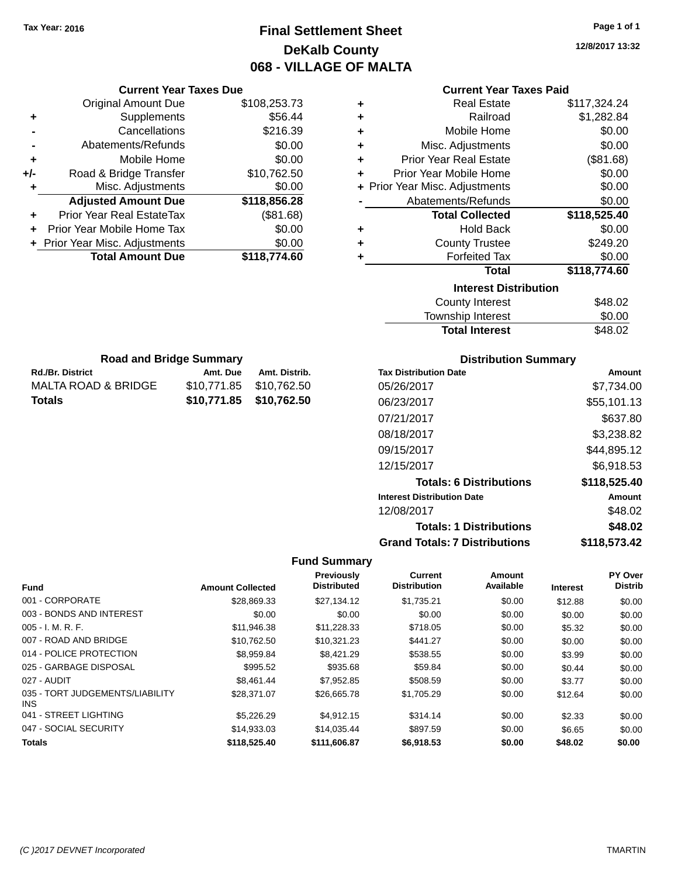**Current Year Taxes Due** Original Amount Due \$108,253.73

**Adjusted Amount Due \$118,856.28**

**Total Amount Due \$118,774.60**

**+** Supplements \$56.44 **-** Cancellations \$216.39 **-** Abatements/Refunds \$0.00 **+** Mobile Home \$0.00 **+/-** Road & Bridge Transfer \$10,762.50 **+** Misc. Adjustments \$0.00

**+** Prior Year Real EstateTax (\$81.68) **+** Prior Year Mobile Home Tax \$0.00 **+ Prior Year Misc. Adjustments**  $$0.00$ 

**Rd./Br. District Amt. Due Amt. Distrib. Road and Bridge Summary**

MALTA ROAD & BRIDGE \$10,771.85 \$10,762.50 **Totals \$10,771.85 \$10,762.50**

# **Final Settlement Sheet Tax Year: 2016 Page 1 of 1 DeKalb County 068 - VILLAGE OF MALTA**

**12/8/2017 13:32**

| ٠ | <b>Real Estate</b>             | \$117,324.24 |
|---|--------------------------------|--------------|
| ٠ | Railroad                       | \$1,282.84   |
| ٠ | Mobile Home                    | \$0.00       |
| ÷ | Misc. Adjustments              | \$0.00       |
| ÷ | <b>Prior Year Real Estate</b>  | (\$81.68)    |
| ٠ | Prior Year Mobile Home         | \$0.00       |
|   | + Prior Year Misc. Adjustments | \$0.00       |
|   | Abatements/Refunds             | \$0.00       |
|   | <b>Total Collected</b>         | \$118,525.40 |
| ٠ | <b>Hold Back</b>               | \$0.00       |
| ٠ | <b>County Trustee</b>          | \$249.20     |
| ٠ | <b>Forfeited Tax</b>           | \$0.00       |
|   | <b>Total</b>                   | \$118,774.60 |
|   | <b>Interest Distribution</b>   |              |
|   | <b>County Interest</b>         | \$48.02      |
|   | Townshin Interest              | \$0.00       |

| <b>Total Interest</b> | \$48.02 |
|-----------------------|---------|
| Township Interest     | \$0.00  |
| County Interest       | \$48.02 |

| <b>Distribution Summary</b>  |          |
|------------------------------|----------|
| <b>Tax Distribution Date</b> | Amount   |
| 0.510010047                  | 07720100 |

| 05/26/2017                           | \$7,734.00    |
|--------------------------------------|---------------|
| 06/23/2017                           | \$55,101.13   |
| 07/21/2017                           | \$637.80      |
| 08/18/2017                           | \$3,238.82    |
| 09/15/2017                           | \$44,895.12   |
| 12/15/2017                           | \$6,918.53    |
| <b>Totals: 6 Distributions</b>       | \$118,525.40  |
| <b>Interest Distribution Date</b>    | <b>Amount</b> |
| 12/08/2017                           | \$48.02       |
| <b>Totals: 1 Distributions</b>       | \$48.02       |
| <b>Grand Totals: 7 Distributions</b> | \$118,573.42  |

|                                         |                         | <b>Previously</b>  | <b>Current</b>      | Amount    |                 | <b>PY Over</b> |
|-----------------------------------------|-------------------------|--------------------|---------------------|-----------|-----------------|----------------|
| <b>Fund</b>                             | <b>Amount Collected</b> | <b>Distributed</b> | <b>Distribution</b> | Available | <b>Interest</b> | <b>Distrib</b> |
| 001 - CORPORATE                         | \$28.869.33             | \$27.134.12        | \$1.735.21          | \$0.00    | \$12.88         | \$0.00         |
| 003 - BONDS AND INTEREST                | \$0.00                  | \$0.00             | \$0.00              | \$0.00    | \$0.00          | \$0.00         |
| 005 - I. M. R. F.                       | \$11.946.38             | \$11.228.33        | \$718.05            | \$0.00    | \$5.32          | \$0.00         |
| 007 - ROAD AND BRIDGE                   | \$10,762.50             | \$10,321.23        | \$441.27            | \$0.00    | \$0.00          | \$0.00         |
| 014 - POLICE PROTECTION                 | \$8,959.84              | \$8,421.29         | \$538.55            | \$0.00    | \$3.99          | \$0.00         |
| 025 - GARBAGE DISPOSAL                  | \$995.52                | \$935.68           | \$59.84             | \$0.00    | \$0.44          | \$0.00         |
| 027 - AUDIT                             | \$8,461.44              | \$7,952.85         | \$508.59            | \$0.00    | \$3.77          | \$0.00         |
| 035 - TORT JUDGEMENTS/LIABILITY<br>INS. | \$28,371.07             | \$26,665.78        | \$1,705.29          | \$0.00    | \$12.64         | \$0.00         |
| 041 - STREET LIGHTING                   | \$5,226.29              | \$4.912.15         | \$314.14            | \$0.00    | \$2.33          | \$0.00         |
| 047 - SOCIAL SECURITY                   | \$14,933.03             | \$14.035.44        | \$897.59            | \$0.00    | \$6.65          | \$0.00         |
| <b>Totals</b>                           | \$118,525.40            | \$111,606.87       | \$6,918.53          | \$0.00    | \$48.02         | \$0.00         |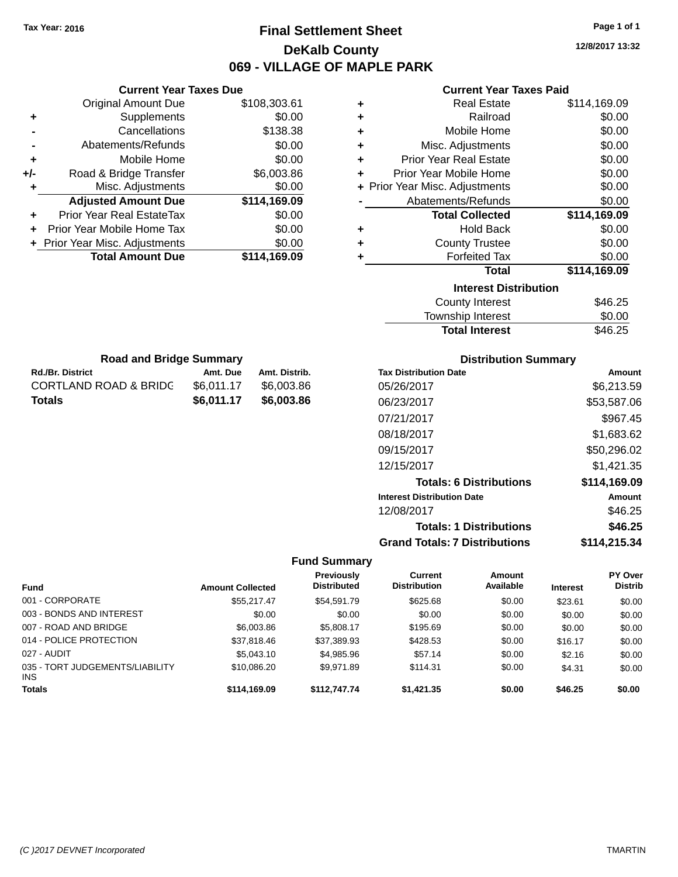# **Final Settlement Sheet Tax Year: 2016 Page 1 of 1 DeKalb County 069 - VILLAGE OF MAPLE PARK**

**12/8/2017 13:32**

## **Current Year Taxes Paid**

| <b>Current Year Taxes Due</b> |                                                           |  |  |  |
|-------------------------------|-----------------------------------------------------------|--|--|--|
| <b>Original Amount Due</b>    | \$108,303.61                                              |  |  |  |
| Supplements                   | \$0.00                                                    |  |  |  |
| Cancellations                 | \$138.38                                                  |  |  |  |
| Abatements/Refunds            | \$0.00                                                    |  |  |  |
| Mobile Home                   | \$0.00                                                    |  |  |  |
| Road & Bridge Transfer        | \$6,003.86                                                |  |  |  |
| Misc. Adjustments             | \$0.00                                                    |  |  |  |
| <b>Adjusted Amount Due</b>    | \$114,169.09                                              |  |  |  |
| Prior Year Real EstateTax     | \$0.00                                                    |  |  |  |
| Prior Year Mobile Home Tax    | \$0.00                                                    |  |  |  |
|                               | \$0.00                                                    |  |  |  |
|                               | \$114,169.09                                              |  |  |  |
|                               | + Prior Year Misc. Adjustments<br><b>Total Amount Due</b> |  |  |  |

**Rd./Br. District Amt. Due Amt. Distrib. Road and Bridge Summary**

CORTLAND ROAD & BRIDG \$6,011.17 \$6,003.86 **Totals \$6,011.17 \$6,003.86**

| ٠ | <b>Real Estate</b>             | \$114,169.09 |
|---|--------------------------------|--------------|
| ÷ | Railroad                       | \$0.00       |
| ÷ | Mobile Home                    | \$0.00       |
| ÷ | Misc. Adjustments              | \$0.00       |
| ÷ | <b>Prior Year Real Estate</b>  | \$0.00       |
| ٠ | Prior Year Mobile Home         | \$0.00       |
|   | + Prior Year Misc. Adjustments | \$0.00       |
|   | Abatements/Refunds             | \$0.00       |
|   | <b>Total Collected</b>         | \$114,169.09 |
| ٠ | <b>Hold Back</b>               | \$0.00       |
| ٠ | <b>County Trustee</b>          | \$0.00       |
| ٠ | <b>Forfeited Tax</b>           | \$0.00       |
|   | <b>Total</b>                   | \$114,169.09 |
|   | <b>Interest Distribution</b>   |              |
|   | <b>County Interest</b>         | \$46.25      |
|   | Townshin Interest              | ፍስ ሰስ        |

| <b>Total Interest</b> | \$46.25 |
|-----------------------|---------|
| Township Interest     | \$0.00  |
| County interest       | ა40.∠ට  |

| <b>Distribution Summary</b>          |              |
|--------------------------------------|--------------|
| <b>Tax Distribution Date</b>         | Amount       |
| 05/26/2017                           | \$6,213.59   |
| 06/23/2017                           | \$53,587.06  |
| 07/21/2017                           | \$967.45     |
| 08/18/2017                           | \$1,683.62   |
| 09/15/2017                           | \$50,296.02  |
| 12/15/2017                           | \$1.421.35   |
| <b>Totals: 6 Distributions</b>       | \$114.169.09 |
| <b>Interest Distribution Date</b>    | Amount       |
| 12/08/2017                           | \$46.25      |
| <b>Totals: 1 Distributions</b>       | \$46.25      |
| <b>Grand Totals: 7 Distributions</b> | \$114,215.34 |

| <b>Fund</b>                             | <b>Amount Collected</b> | <b>Previously</b><br><b>Distributed</b> | Current<br><b>Distribution</b> | Amount<br>Available | <b>Interest</b> | <b>PY Over</b><br><b>Distrib</b> |
|-----------------------------------------|-------------------------|-----------------------------------------|--------------------------------|---------------------|-----------------|----------------------------------|
| 001 - CORPORATE                         | \$55.217.47             | \$54.591.79                             | \$625.68                       | \$0.00              | \$23.61         | \$0.00                           |
| 003 - BONDS AND INTEREST                | \$0.00                  | \$0.00                                  | \$0.00                         | \$0.00              | \$0.00          | \$0.00                           |
| 007 - ROAD AND BRIDGE                   | \$6,003.86              | \$5,808.17                              | \$195.69                       | \$0.00              | \$0.00          | \$0.00                           |
| 014 - POLICE PROTECTION                 | \$37,818.46             | \$37,389.93                             | \$428.53                       | \$0.00              | \$16.17         | \$0.00                           |
| 027 - AUDIT                             | \$5,043.10              | \$4,985.96                              | \$57.14                        | \$0.00              | \$2.16          | \$0.00                           |
| 035 - TORT JUDGEMENTS/LIABILITY<br>INS. | \$10,086.20             | \$9.971.89                              | \$114.31                       | \$0.00              | \$4.31          | \$0.00                           |
| <b>Totals</b>                           | \$114,169.09            | \$112,747.74                            | \$1,421.35                     | \$0.00              | \$46.25         | \$0.00                           |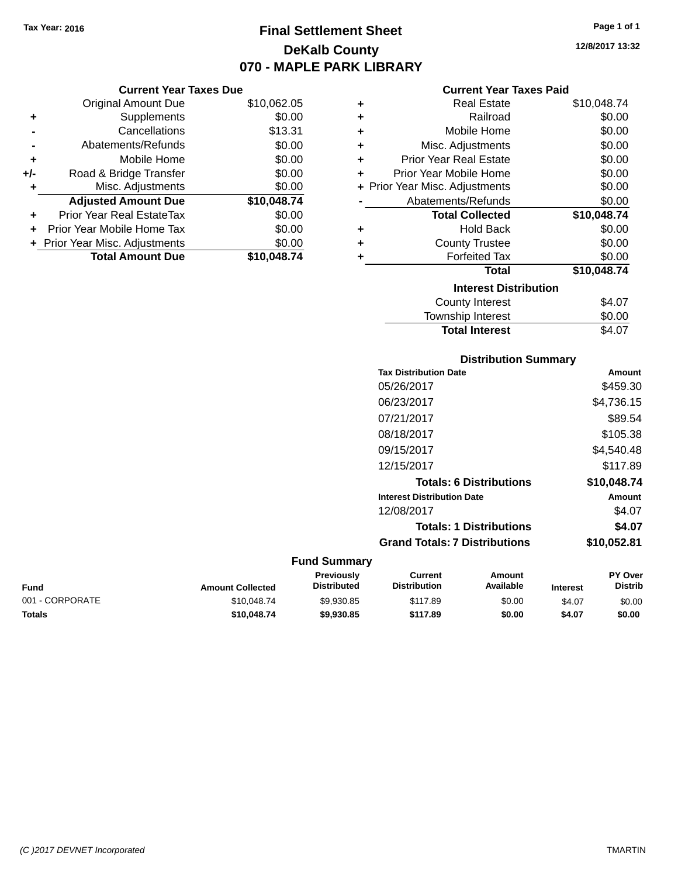# **Final Settlement Sheet Tax Year: 2016 Page 1 of 1 DeKalb County 070 - MAPLE PARK LIBRARY**

**12/8/2017 13:32**

## **Current Year Taxes Paid**

|     | <b>Current Year Taxes Due</b>  |             |       |
|-----|--------------------------------|-------------|-------|
|     | <b>Original Amount Due</b>     | \$10,062.05 |       |
|     | Supplements                    | \$0.00      | ٠     |
|     | Cancellations                  | \$13.31     |       |
|     | Abatements/Refunds             | \$0.00      |       |
|     | Mobile Home                    | \$0.00      |       |
| +/- | Road & Bridge Transfer         | \$0.00      |       |
|     | Misc. Adjustments              | \$0.00      | + Pri |
|     | <b>Adjusted Amount Due</b>     | \$10,048.74 |       |
|     | Prior Year Real EstateTax      | \$0.00      |       |
|     | Prior Year Mobile Home Tax     | \$0.00      |       |
|     | + Prior Year Misc. Adjustments | \$0.00      |       |
|     | <b>Total Amount Due</b>        | \$10,048.74 |       |
|     |                                |             |       |

| ٠ | <b>Real Estate</b>             | \$10,048.74 |
|---|--------------------------------|-------------|
| ÷ | Railroad                       | \$0.00      |
| ٠ | Mobile Home                    | \$0.00      |
| ÷ | Misc. Adjustments              | \$0.00      |
| ٠ | Prior Year Real Estate         | \$0.00      |
| ٠ | Prior Year Mobile Home         | \$0.00      |
|   | + Prior Year Misc. Adjustments | \$0.00      |
|   | Abatements/Refunds             | \$0.00      |
|   | <b>Total Collected</b>         | \$10,048.74 |
| ٠ | Hold Back                      | \$0.00      |
| ٠ | <b>County Trustee</b>          | \$0.00      |
| ٠ | <b>Forfeited Tax</b>           | \$0.00      |
|   | <b>Total</b>                   | \$10,048.74 |
|   | <b>Interest Distribution</b>   |             |
|   | County Interest                | \$4.07      |
|   | <b>Township Interest</b>       | \$0.00      |
|   | <b>Total Interest</b>          | \$4.07      |

| <b>Distribution Summary</b>          |             |
|--------------------------------------|-------------|
| <b>Tax Distribution Date</b>         | Amount      |
| 05/26/2017                           | \$459.30    |
| 06/23/2017                           | \$4,736.15  |
| 07/21/2017                           | \$89.54     |
| 08/18/2017                           | \$105.38    |
| 09/15/2017                           | \$4,540.48  |
| 12/15/2017                           | \$117.89    |
| <b>Totals: 6 Distributions</b>       | \$10,048.74 |
| <b>Interest Distribution Date</b>    | Amount      |
| 12/08/2017                           | \$4.07      |
| <b>Totals: 1 Distributions</b>       | \$4.07      |
| <b>Grand Totals: 7 Distributions</b> | \$10,052.81 |

| Fund            | <b>Amount Collected</b> | <b>Previously</b><br><b>Distributed</b> | Current<br><b>Distribution</b> | Amount<br>Available | <b>Interest</b> | <b>PY Over</b><br><b>Distrib</b> |
|-----------------|-------------------------|-----------------------------------------|--------------------------------|---------------------|-----------------|----------------------------------|
| 001 - CORPORATE | \$10,048.74             | \$9.930.85                              | \$117.89                       | \$0.00              | \$4.07          | \$0.00                           |
| Totals          | \$10,048.74             | \$9,930.85                              | \$117.89                       | \$0.00              | \$4.07          | \$0.00                           |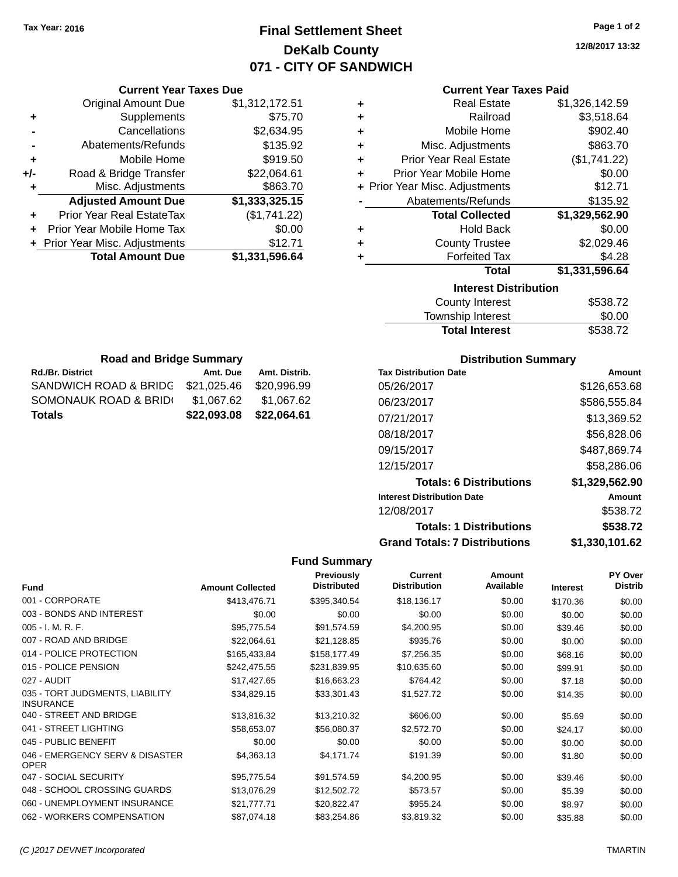# **Final Settlement Sheet Tax Year: 2016 Page 1 of 2 DeKalb County 071 - CITY OF SANDWICH**

**12/8/2017 13:32**

## **Current Year Taxes Paid**

| ٠ | <b>Real Estate</b>             | \$1,326,142.59 |
|---|--------------------------------|----------------|
| ٠ | Railroad                       | \$3,518.64     |
| ٠ | Mobile Home                    | \$902.40       |
| ٠ | Misc. Adjustments              | \$863.70       |
| ٠ | <b>Prior Year Real Estate</b>  | (\$1,741.22)   |
| ٠ | Prior Year Mobile Home         | \$0.00         |
|   | + Prior Year Misc. Adjustments | \$12.71        |
|   | Abatements/Refunds             | \$135.92       |
|   | <b>Total Collected</b>         | \$1,329,562.90 |
| ٠ | <b>Hold Back</b>               | \$0.00         |
| ٠ | <b>County Trustee</b>          | \$2,029.46     |
| ٠ | <b>Forfeited Tax</b>           | \$4.28         |
|   | <b>Total</b>                   | \$1,331,596.64 |
|   | <b>Interest Distribution</b>   |                |
|   | County Interest                | \$538.72       |
|   |                                |                |

| <b>Total Interest</b> | \$538.72 |
|-----------------------|----------|
| Township Interest     | \$0.00   |
| County Interest       | \$538.72 |

| <b>Road and Bridge Summary</b>    |             |               |  |  |  |
|-----------------------------------|-------------|---------------|--|--|--|
| Rd./Br. District                  | Amt. Due    | Amt. Distrib. |  |  |  |
| SANDWICH ROAD & BRIDG \$21,025.46 |             | \$20,996.99   |  |  |  |
| SOMONAUK ROAD & BRID(             | \$1.067.62  | \$1,067.62    |  |  |  |
| <b>Totals</b>                     | \$22,093.08 | \$22,064.61   |  |  |  |

**Current Year Taxes Due** Original Amount Due \$1,312,172.51

**Adjusted Amount Due \$1,333,325.15**

**Total Amount Due \$1,331,596.64**

**+** Supplements \$75.70 **-** Cancellations \$2,634.95 **-** Abatements/Refunds \$135.92 **+** Mobile Home \$919.50 **+/-** Road & Bridge Transfer \$22,064.61 **+** Misc. Adjustments \$863.70

**+** Prior Year Real EstateTax (\$1,741.22) **+** Prior Year Mobile Home Tax \$0.00 **+** Prior Year Misc. Adjustments \$12.71

## **Distribution Summary**

| <b>Tax Distribution Date</b>         | Amount         |
|--------------------------------------|----------------|
| 05/26/2017                           | \$126,653,68   |
| 06/23/2017                           | \$586,555.84   |
| 07/21/2017                           | \$13,369.52    |
| 08/18/2017                           | \$56,828,06    |
| 09/15/2017                           | \$487,869.74   |
| 12/15/2017                           | \$58,286,06    |
| <b>Totals: 6 Distributions</b>       | \$1,329,562.90 |
| <b>Interest Distribution Date</b>    | Amount         |
| 12/08/2017                           | \$538.72       |
| <b>Totals: 1 Distributions</b>       | \$538.72       |
| <b>Grand Totals: 7 Distributions</b> | \$1,330,101.62 |

| <b>Fund</b>                                         | <b>Amount Collected</b> | <b>Previously</b><br><b>Distributed</b> | <b>Current</b><br><b>Distribution</b> | Amount<br>Available | <b>Interest</b> | PY Over<br><b>Distrib</b> |
|-----------------------------------------------------|-------------------------|-----------------------------------------|---------------------------------------|---------------------|-----------------|---------------------------|
| 001 - CORPORATE                                     | \$413,476.71            | \$395,340.54                            | \$18,136.17                           | \$0.00              | \$170.36        | \$0.00                    |
| 003 - BONDS AND INTEREST                            | \$0.00                  | \$0.00                                  | \$0.00                                | \$0.00              | \$0.00          | \$0.00                    |
| $005 - I. M. R. F.$                                 | \$95,775.54             | \$91,574.59                             | \$4,200.95                            | \$0.00              | \$39.46         | \$0.00                    |
| 007 - ROAD AND BRIDGE                               | \$22,064.61             | \$21,128.85                             | \$935.76                              | \$0.00              | \$0.00          | \$0.00                    |
| 014 - POLICE PROTECTION                             | \$165,433.84            | \$158,177.49                            | \$7,256.35                            | \$0.00              | \$68.16         | \$0.00                    |
| 015 - POLICE PENSION                                | \$242,475.55            | \$231,839.95                            | \$10,635.60                           | \$0.00              | \$99.91         | \$0.00                    |
| 027 - AUDIT                                         | \$17,427.65             | \$16,663.23                             | \$764.42                              | \$0.00              | \$7.18          | \$0.00                    |
| 035 - TORT JUDGMENTS, LIABILITY<br><b>INSURANCE</b> | \$34,829.15             | \$33,301.43                             | \$1,527.72                            | \$0.00              | \$14.35         | \$0.00                    |
| 040 - STREET AND BRIDGE                             | \$13,816.32             | \$13,210.32                             | \$606.00                              | \$0.00              | \$5.69          | \$0.00                    |
| 041 - STREET LIGHTING                               | \$58,653.07             | \$56,080.37                             | \$2,572.70                            | \$0.00              | \$24.17         | \$0.00                    |
| 045 - PUBLIC BENEFIT                                | \$0.00                  | \$0.00                                  | \$0.00                                | \$0.00              | \$0.00          | \$0.00                    |
| 046 - EMERGENCY SERV & DISASTER<br><b>OPER</b>      | \$4,363.13              | \$4,171.74                              | \$191.39                              | \$0.00              | \$1.80          | \$0.00                    |
| 047 - SOCIAL SECURITY                               | \$95,775.54             | \$91,574.59                             | \$4,200.95                            | \$0.00              | \$39.46         | \$0.00                    |
| 048 - SCHOOL CROSSING GUARDS                        | \$13,076.29             | \$12,502.72                             | \$573.57                              | \$0.00              | \$5.39          | \$0.00                    |
| 060 - UNEMPLOYMENT INSURANCE                        | \$21,777.71             | \$20,822.47                             | \$955.24                              | \$0.00              | \$8.97          | \$0.00                    |
| 062 - WORKERS COMPENSATION                          | \$87,074.18             | \$83,254.86                             | \$3,819.32                            | \$0.00              | \$35.88         | \$0.00                    |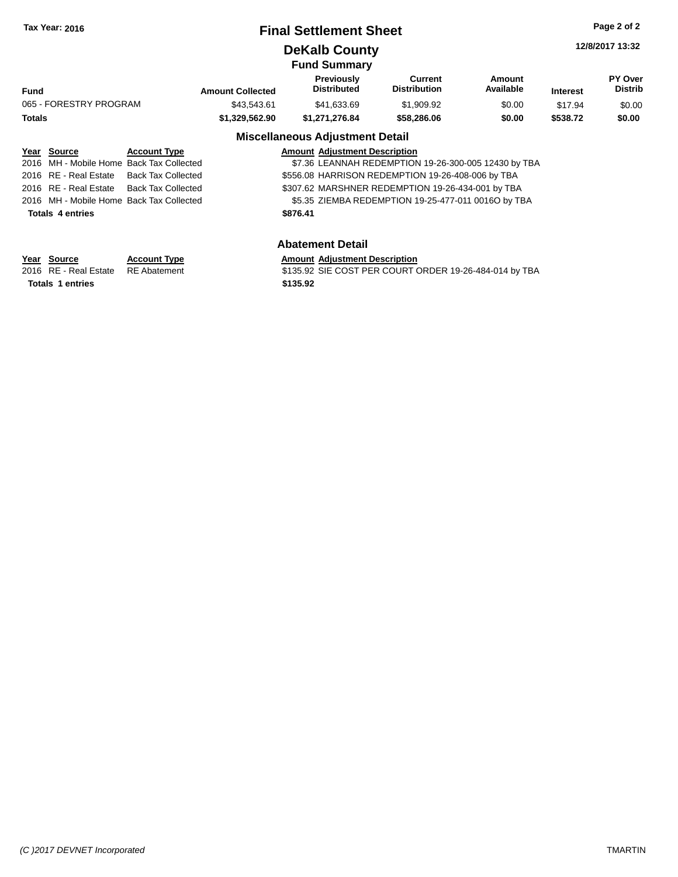## **Final Settlement Sheet Tax Year: 2016 Page 2 of 2**

# **DeKalb County**

**12/8/2017 13:32**

|                        |                         | <b>Fund Summary</b>                                                                                             |                                |                     |                 |                           |
|------------------------|-------------------------|-----------------------------------------------------------------------------------------------------------------|--------------------------------|---------------------|-----------------|---------------------------|
| Fund                   | <b>Amount Collected</b> | Previously<br><b>Distributed</b>                                                                                | Current<br><b>Distribution</b> | Amount<br>Available | <b>Interest</b> | PY Over<br><b>Distrib</b> |
| 065 - FORESTRY PROGRAM | \$43.543.61             | \$41.633.69                                                                                                     | \$1,909.92                     | \$0.00              | \$17.94         | \$0.00                    |
| Totals                 | \$1.329.562.90          | \$1.271.276.84                                                                                                  | \$58,286,06                    | \$0.00              | \$538.72        | \$0.00                    |
|                        |                         | Battle of History and Carolina and Constantinople of the Maria Miller of the Miller of the Miller of the Miller |                                |                     |                 |                           |

### **Miscellaneous Adjustment Detail**

| Year Source             | <b>Account Type</b>                      |          | <b>Amount Adjustment Description</b>                 |
|-------------------------|------------------------------------------|----------|------------------------------------------------------|
|                         | 2016 MH - Mobile Home Back Tax Collected |          | \$7.36 LEANNAH REDEMPTION 19-26-300-005 12430 by TBA |
| 2016 RE - Real Estate   | Back Tax Collected                       |          | \$556.08 HARRISON REDEMPTION 19-26-408-006 by TBA    |
|                         | 2016 RE - Real Estate Back Tax Collected |          | \$307.62 MARSHNER REDEMPTION 19-26-434-001 by TBA    |
|                         | 2016 MH - Mobile Home Back Tax Collected |          | \$5.35 ZIEMBA REDEMPTION 19-25-477-011 0016O by TBA  |
| <b>Totals 4 entries</b> |                                          | \$876.41 |                                                      |
|                         |                                          |          |                                                      |
|                         |                                          |          | <b>Abatement Detail</b>                              |

**Year Source Account Type Amount Adjustment Description Totals 1 entries \$135.92**

\$135.92 SIE COST PER COURT ORDER 19-26-484-014 by TBA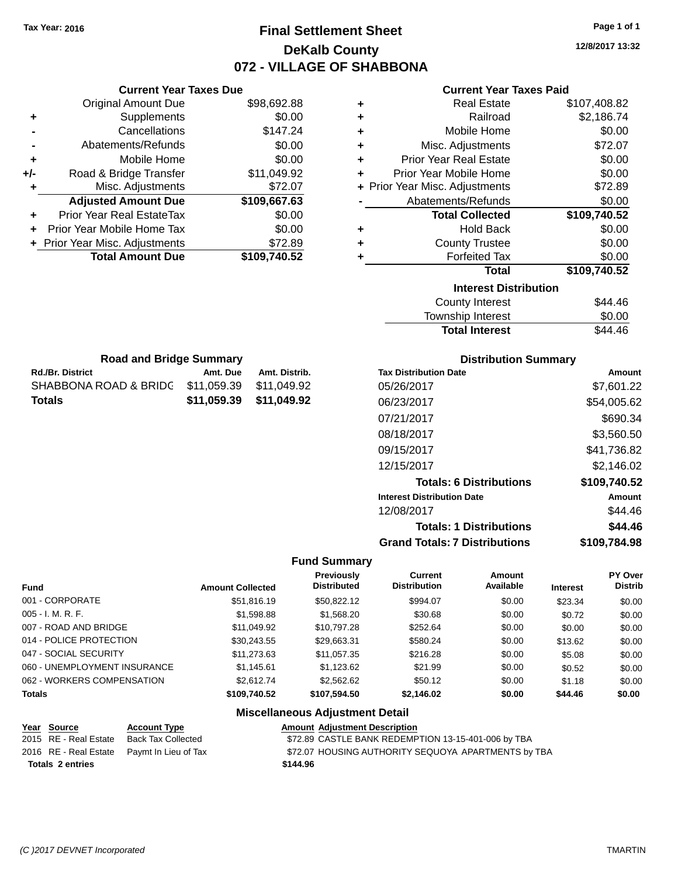# **Final Settlement Sheet Tax Year: 2016 Page 1 of 1 DeKalb County 072 - VILLAGE OF SHABBONA**

**12/8/2017 13:32**

## **Current Year Taxes Paid**

|     | <b>Total Amount Due</b>          | \$109,740.52 |
|-----|----------------------------------|--------------|
|     | + Prior Year Misc. Adjustments   | \$72.89      |
| ٠   | Prior Year Mobile Home Tax       | \$0.00       |
|     | <b>Prior Year Real EstateTax</b> | \$0.00       |
|     | <b>Adjusted Amount Due</b>       | \$109,667.63 |
| ٠   | Misc. Adjustments                | \$72.07      |
| +/- | Road & Bridge Transfer           | \$11,049.92  |
| ٠   | Mobile Home                      | \$0.00       |
|     | Abatements/Refunds               | \$0.00       |
|     | Cancellations                    | \$147.24     |
| ٠   | Supplements                      | \$0.00       |
|     | <b>Original Amount Due</b>       | \$98,692.88  |
|     |                                  |              |

**Rd./Br. District Amt. Due Amt. Distrib. Road and Bridge Summary**

SHABBONA ROAD & BRIDG \$11,059.39 \$11,049.92 **Totals \$11,059.39 \$11,049.92**

**Current Year Taxes Due**

| ٠ | <b>Real Estate</b>             | \$107,408.82 |
|---|--------------------------------|--------------|
| ٠ | Railroad                       | \$2,186.74   |
| ٠ | Mobile Home                    | \$0.00       |
| ٠ | Misc. Adjustments              | \$72.07      |
| ÷ | <b>Prior Year Real Estate</b>  | \$0.00       |
| ٠ | Prior Year Mobile Home         | \$0.00       |
|   | + Prior Year Misc. Adjustments | \$72.89      |
|   | Abatements/Refunds             | \$0.00       |
|   | <b>Total Collected</b>         | \$109,740.52 |
| ٠ | <b>Hold Back</b>               | \$0.00       |
| ٠ | <b>County Trustee</b>          | \$0.00       |
| ٠ | <b>Forfeited Tax</b>           | \$0.00       |
|   | <b>Total</b>                   | \$109,740.52 |
|   | <b>Interest Distribution</b>   |              |
|   | <b>County Interest</b>         | \$44.46      |
|   | Townshin Interest              | ደ0 00        |

| Township Interest     | \$0.00  |
|-----------------------|---------|
| <b>Total Interest</b> | \$44.46 |

| <b>Distribution Summary</b>          |              |
|--------------------------------------|--------------|
| <b>Tax Distribution Date</b>         | Amount       |
| 05/26/2017                           | \$7,601.22   |
| 06/23/2017                           | \$54,005.62  |
| 07/21/2017                           | \$690.34     |
| 08/18/2017                           | \$3,560.50   |
| 09/15/2017                           | \$41,736.82  |
| 12/15/2017                           | \$2.146.02   |
| <b>Totals: 6 Distributions</b>       | \$109,740.52 |
| <b>Interest Distribution Date</b>    | Amount       |
| 12/08/2017                           | \$44.46      |
| <b>Totals: 1 Distributions</b>       | \$44.46      |
| <b>Grand Totals: 7 Distributions</b> | \$109.784.98 |

### **Fund Summary**

| Fund                         | <b>Amount Collected</b> | <b>Previously</b><br><b>Distributed</b> | Current<br><b>Distribution</b> | Amount<br>Available | <b>Interest</b> | <b>PY Over</b><br><b>Distrib</b> |
|------------------------------|-------------------------|-----------------------------------------|--------------------------------|---------------------|-----------------|----------------------------------|
| 001 - CORPORATE              | \$51,816.19             | \$50,822.12                             | \$994.07                       | \$0.00              | \$23.34         | \$0.00                           |
| $005 - I. M. R. F.$          | \$1,598.88              | \$1,568.20                              | \$30.68                        | \$0.00              | \$0.72          | \$0.00                           |
| 007 - ROAD AND BRIDGE        | \$11,049.92             | \$10,797.28                             | \$252.64                       | \$0.00              | \$0.00          | \$0.00                           |
| 014 - POLICE PROTECTION      | \$30,243.55             | \$29,663.31                             | \$580.24                       | \$0.00              | \$13.62         | \$0.00                           |
| 047 - SOCIAL SECURITY        | \$11,273.63             | \$11,057.35                             | \$216.28                       | \$0.00              | \$5.08          | \$0.00                           |
| 060 - UNEMPLOYMENT INSURANCE | \$1.145.61              | \$1,123.62                              | \$21.99                        | \$0.00              | \$0.52          | \$0.00                           |
| 062 - WORKERS COMPENSATION   | \$2,612.74              | \$2,562.62                              | \$50.12                        | \$0.00              | \$1.18          | \$0.00                           |
| <b>Totals</b>                | \$109,740.52            | \$107,594.50                            | \$2,146.02                     | \$0.00              | \$44.46         | \$0.00                           |

### **Miscellaneous Adjustment Detail Year Source Account Type AMOULT AMOULT Adjustment Description** 2015 RE - Real Estate Back Tax Collected \$72.89 CASTLE BANK REDEMPTION 13-15-401-006 by TBA 2016 RE - Real Estate Paymt In Lieu of Tax \$72.07 HOUSING AUTHORITY SEQUOYA APARTMENTS by TBA **Totals 2 entries \$144.96**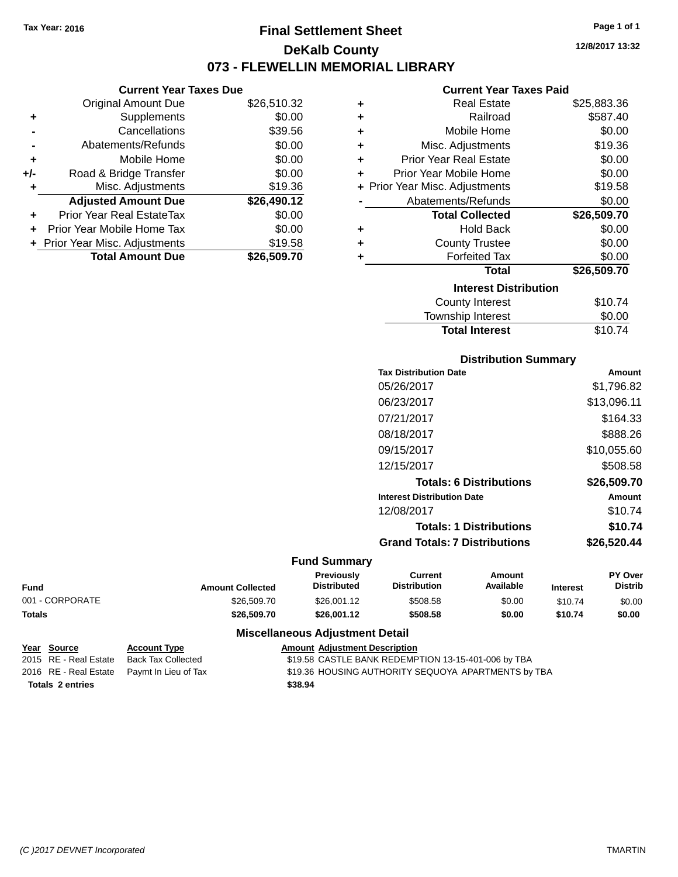# **Final Settlement Sheet Tax Year: 2016 Page 1 of 1 DeKalb County 073 - FLEWELLIN MEMORIAL LIBRARY**

**12/8/2017 13:32**

### **Current Year Taxes Paid**

| ÷ | <b>Real Estate</b>             | \$25,883.36 |
|---|--------------------------------|-------------|
| ٠ | Railroad                       | \$587.40    |
| ÷ | Mobile Home                    | \$0.00      |
| ٠ | Misc. Adjustments              | \$19.36     |
| ٠ | <b>Prior Year Real Estate</b>  | \$0.00      |
| ÷ | Prior Year Mobile Home         | \$0.00      |
|   | + Prior Year Misc. Adjustments | \$19.58     |
|   | Abatements/Refunds             | \$0.00      |
|   | <b>Total Collected</b>         | \$26,509.70 |
| ٠ | <b>Hold Back</b>               | \$0.00      |
| ٠ | <b>County Trustee</b>          | \$0.00      |
| ÷ | <b>Forfeited Tax</b>           | \$0.00      |
|   | Total                          | \$26,509.70 |
|   | <b>Interest Distribution</b>   |             |
|   | <b>County Interest</b>         | \$10.74     |
|   | Township Interest              | \$0.00      |
|   | <b>Total Interest</b>          | \$10.74     |

# **Distribution Summary**

| <b>Tax Distribution Date</b>         | Amount      |
|--------------------------------------|-------------|
| 05/26/2017                           | \$1,796.82  |
| 06/23/2017                           | \$13,096.11 |
| 07/21/2017                           | \$164.33    |
| 08/18/2017                           | \$888.26    |
| 09/15/2017                           | \$10,055.60 |
| 12/15/2017                           | \$508.58    |
| <b>Totals: 6 Distributions</b>       | \$26,509.70 |
| <b>Interest Distribution Date</b>    | Amount      |
| 12/08/2017                           | \$10.74     |
| <b>Totals: 1 Distributions</b>       | \$10.74     |
| <b>Grand Totals: 7 Distributions</b> | \$26,520.44 |

## **Fund Summary**

| <b>Amount Collected</b> | Previously<br><b>Distributed</b> | Current<br><b>Distribution</b> | Amount<br>Available | <b>Interest</b> | <b>PY Over</b><br><b>Distrib</b> |
|-------------------------|----------------------------------|--------------------------------|---------------------|-----------------|----------------------------------|
| \$26,509.70             | \$26,001.12                      | \$508.58                       | \$0.00              | \$10.74         | \$0.00                           |
| \$26.509.70             | \$26,001.12                      | \$508.58                       | \$0.00              | \$10.74         | \$0.00                           |
|                         |                                  |                                |                     |                 |                                  |

## **Miscellaneous Adjustment Detail**

| Year Source             | <b>Account Type</b>                        | <b>Amount Adjustment Description</b>                |
|-------------------------|--------------------------------------------|-----------------------------------------------------|
| 2015 RE - Real Estate   | Back Tax Collected                         | \$19.58 CASTLE BANK REDEMPTION 13-15-401-006 by TBA |
|                         | 2016 RE - Real Estate Paymt In Lieu of Tax | \$19.36 HOUSING AUTHORITY SEQUOYA APARTMENTS by TBA |
| <b>Totals 2 entries</b> |                                            | \$38.94                                             |

### **Current Year Taxes Due**  $\frac{1}{2}$   $\frac{1}{2}$   $\frac{1}{2}$   $\frac{1}{2}$   $\frac{1}{2}$   $\frac{1}{2}$   $\frac{1}{2}$   $\frac{1}{2}$   $\frac{1}{2}$   $\frac{1}{2}$   $\frac{1}{2}$   $\frac{1}{2}$   $\frac{1}{2}$   $\frac{1}{2}$   $\frac{1}{2}$   $\frac{1}{2}$   $\frac{1}{2}$   $\frac{1}{2}$   $\frac{1}{2}$   $\frac{1}{2}$   $\frac{1}{2}$   $\frac{1}{2}$

|       | Original Amount Due              | \$26,510.32 |
|-------|----------------------------------|-------------|
| ٠     | Supplements                      | \$0.00      |
|       | Cancellations                    | \$39.56     |
|       | Abatements/Refunds               | \$0.00      |
| ٠     | Mobile Home                      | \$0.00      |
| $+/-$ | Road & Bridge Transfer           | \$0.00      |
|       | Misc. Adjustments                | \$19.36     |
|       | <b>Adjusted Amount Due</b>       | \$26,490.12 |
|       | <b>Prior Year Real EstateTax</b> | \$0.00      |
|       | Prior Year Mobile Home Tax       | \$0.00      |
|       | + Prior Year Misc. Adjustments   | \$19.58     |
|       | <b>Total Amount Due</b>          | \$26,509.70 |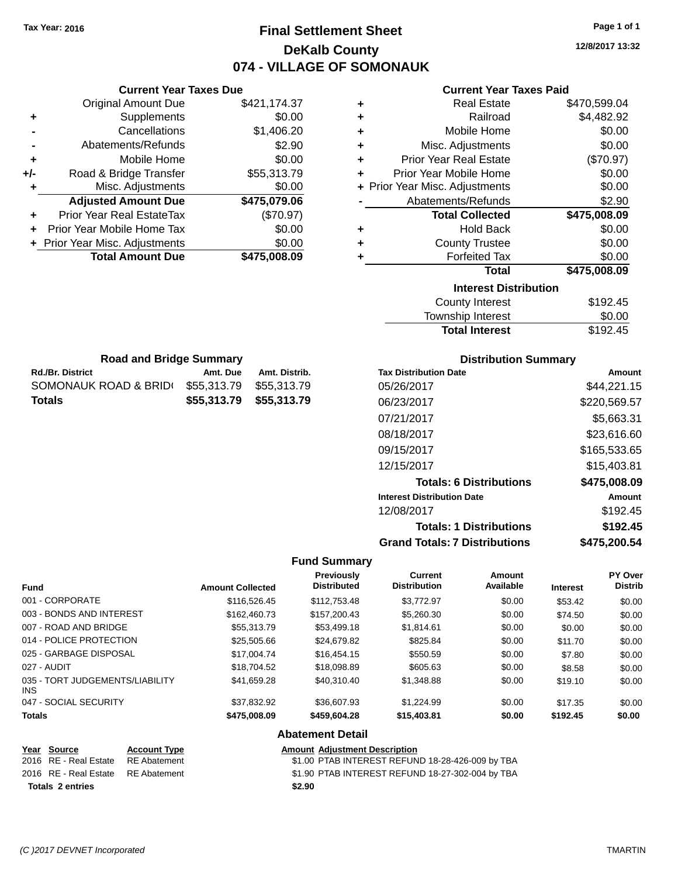# **Final Settlement Sheet Tax Year: 2016 Page 1 of 1 DeKalb County 074 - VILLAGE OF SOMONAUK**

**12/8/2017 13:32**

## **Current Year Taxes Paid**

| ٠ | <b>Real Estate</b>             | \$470,599.04 |
|---|--------------------------------|--------------|
| ٠ | Railroad                       | \$4,482.92   |
| ٠ | Mobile Home                    | \$0.00       |
| ٠ | Misc. Adjustments              | \$0.00       |
| ٠ | <b>Prior Year Real Estate</b>  | (\$70.97)    |
| ÷ | Prior Year Mobile Home         | \$0.00       |
|   | + Prior Year Misc. Adjustments | \$0.00       |
|   | Abatements/Refunds             | \$2.90       |
|   | <b>Total Collected</b>         | \$475,008.09 |
| ٠ | <b>Hold Back</b>               | \$0.00       |
| ٠ | <b>County Trustee</b>          | \$0.00       |
| ٠ | <b>Forfeited Tax</b>           | \$0.00       |
|   | <b>Total</b>                   | \$475,008.09 |
|   | <b>Interest Distribution</b>   |              |
|   | <b>County Interest</b>         | \$192.45     |
|   | المستحدث والمنابا والمستحدث    | ጦጣ ጣጣ        |

| \$192.45 |
|----------|
| \$0.00   |
| \$192.45 |
|          |

| <b>Road and Bridge Summary</b> |                         |               |  |
|--------------------------------|-------------------------|---------------|--|
| <b>Rd./Br. District</b>        | Amt. Due                | Amt. Distrib. |  |
| SOMONAUK ROAD & BRID(          | \$55.313.79             | \$55.313.79   |  |
| Totals                         | \$55,313.79 \$55,313.79 |               |  |

**Current Year Taxes Due** Original Amount Due \$421,174.37

**Adjusted Amount Due \$475,079.06**

**Total Amount Due \$475,008.09**

**+** Supplements \$0.00 **-** Cancellations \$1,406.20 **-** Abatements/Refunds \$2.90 **+** Mobile Home \$0.00 **+/-** Road & Bridge Transfer \$55,313.79 **+** Misc. Adjustments \$0.00

**+** Prior Year Real EstateTax (\$70.97) **+** Prior Year Mobile Home Tax \$0.00 **+ Prior Year Misc. Adjustments**  $$0.00$ 

## **Distribution Summary**

| <b>Tax Distribution Date</b>         | Amount       |
|--------------------------------------|--------------|
| 05/26/2017                           | \$44,221.15  |
| 06/23/2017                           | \$220,569.57 |
| 07/21/2017                           | \$5,663.31   |
| 08/18/2017                           | \$23,616,60  |
| 09/15/2017                           | \$165,533.65 |
| 12/15/2017                           | \$15,403.81  |
| <b>Totals: 6 Distributions</b>       | \$475,008.09 |
| <b>Interest Distribution Date</b>    | Amount       |
| 12/08/2017                           | \$192.45     |
| <b>Totals: 1 Distributions</b>       | \$192.45     |
| <b>Grand Totals: 7 Distributions</b> | \$475,200.54 |

### **Fund Summary**

| Fund                                    | <b>Amount Collected</b> | <b>Previously</b><br><b>Distributed</b> | Current<br><b>Distribution</b> | Amount<br>Available | <b>Interest</b> | <b>PY Over</b><br><b>Distrib</b> |
|-----------------------------------------|-------------------------|-----------------------------------------|--------------------------------|---------------------|-----------------|----------------------------------|
| 001 - CORPORATE                         | \$116,526.45            | \$112,753.48                            | \$3,772.97                     | \$0.00              | \$53.42         | \$0.00                           |
| 003 - BONDS AND INTEREST                | \$162,460.73            | \$157,200.43                            | \$5,260.30                     | \$0.00              | \$74.50         | \$0.00                           |
| 007 - ROAD AND BRIDGE                   | \$55,313.79             | \$53,499.18                             | \$1,814.61                     | \$0.00              | \$0.00          | \$0.00                           |
| 014 - POLICE PROTECTION                 | \$25,505.66             | \$24,679.82                             | \$825.84                       | \$0.00              | \$11.70         | \$0.00                           |
| 025 - GARBAGE DISPOSAL                  | \$17,004.74             | \$16,454.15                             | \$550.59                       | \$0.00              | \$7.80          | \$0.00                           |
| 027 - AUDIT                             | \$18,704.52             | \$18,098.89                             | \$605.63                       | \$0.00              | \$8.58          | \$0.00                           |
| 035 - TORT JUDGEMENTS/LIABILITY<br>INS. | \$41.659.28             | \$40,310.40                             | \$1,348.88                     | \$0.00              | \$19.10         | \$0.00                           |
| 047 - SOCIAL SECURITY                   | \$37.832.92             | \$36,607.93                             | \$1.224.99                     | \$0.00              | \$17.35         | \$0.00                           |
| <b>Totals</b>                           | \$475,008.09            | \$459,604.28                            | \$15,403.81                    | \$0.00              | \$192.45        | \$0.00                           |

## **Abatement Detail**

| Year Source                        | <b>Account Type</b> | Amount |
|------------------------------------|---------------------|--------|
| 2016 RE - Real Estate              | RE Abatement        | \$1.00 |
| 2016 RE - Real Estate RE Abatement |                     | \$1.90 |
| <b>Totals 2 entries</b>            |                     | \$2.90 |

**Amount Type**<br> **Very Account Adjustment Description**<br>
\$1.00 PTAB INTEREST REFUN \$1.00 PTAB INTEREST REFUND 18-28-426-009 by TBA

batement **2016 81.90 PTAB INTEREST REFUND 18-27-302-004 by TBA**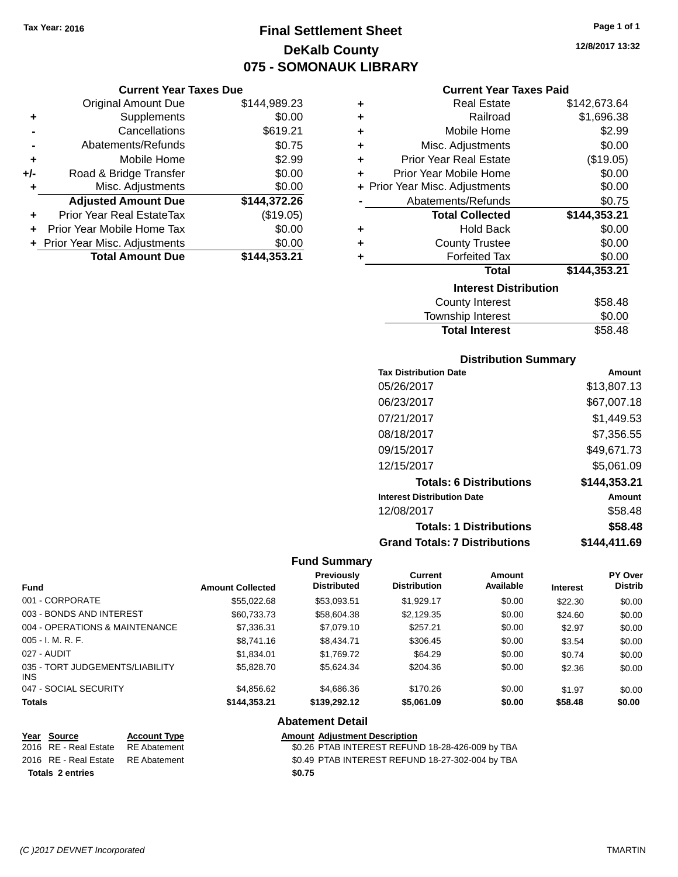# **Final Settlement Sheet Tax Year: 2016 Page 1 of 1 DeKalb County 075 - SOMONAUK LIBRARY**

## **Current Year Taxes Due**

|       | <b>Original Amount Due</b>       | \$144,989.23 |
|-------|----------------------------------|--------------|
| ٠     | Supplements                      | \$0.00       |
|       | Cancellations                    | \$619.21     |
|       | Abatements/Refunds               | \$0.75       |
| ٠     | Mobile Home                      | \$2.99       |
| $+/-$ | Road & Bridge Transfer           | \$0.00       |
| ۰     | Misc. Adjustments                | \$0.00       |
|       | <b>Adjusted Amount Due</b>       | \$144,372.26 |
|       | <b>Prior Year Real EstateTax</b> | (\$19.05)    |
|       | Prior Year Mobile Home Tax       | \$0.00       |
|       | + Prior Year Misc. Adjustments   | \$0.00       |
|       | <b>Total Amount Due</b>          | \$144,353.21 |

|   | <b>Real Estate</b>             | \$142,673.64 |
|---|--------------------------------|--------------|
| ٠ | Railroad                       | \$1,696.38   |
| ÷ | Mobile Home                    | \$2.99       |
| ٠ | Misc. Adjustments              | \$0.00       |
| ÷ | <b>Prior Year Real Estate</b>  | (\$19.05)    |
| ٠ | Prior Year Mobile Home         | \$0.00       |
|   | + Prior Year Misc. Adjustments | \$0.00       |
|   | Abatements/Refunds             | \$0.75       |
|   | <b>Total Collected</b>         | \$144,353.21 |
| ٠ | <b>Hold Back</b>               | \$0.00       |
| ÷ | <b>County Trustee</b>          | \$0.00       |
|   | <b>Forfeited Tax</b>           | \$0.00       |
|   | <b>Total</b>                   | \$144,353.21 |
|   | <b>Interest Distribution</b>   |              |
|   | <b>County Interest</b>         | \$58.48      |
|   | <b>Township Interast</b>       | ደስ ሰስ        |

| <b>Total Interest</b> | \$58.48 |
|-----------------------|---------|
| Township Interest     | \$0.00  |
| County interest       | ა50.40  |

## **Distribution Summary**

| <b>Tax Distribution Date</b>         | Amount       |
|--------------------------------------|--------------|
| 05/26/2017                           | \$13,807.13  |
| 06/23/2017                           | \$67,007.18  |
| 07/21/2017                           | \$1,449.53   |
| 08/18/2017                           | \$7,356.55   |
| 09/15/2017                           | \$49,671.73  |
| 12/15/2017                           | \$5,061.09   |
| <b>Totals: 6 Distributions</b>       | \$144,353.21 |
| <b>Interest Distribution Date</b>    | Amount       |
| 12/08/2017                           | \$58.48      |
| <b>Totals: 1 Distributions</b>       | \$58.48      |
| <b>Grand Totals: 7 Distributions</b> | \$144.411.69 |

## **Fund Summary**

 $\overline{\phantom{0}}$ 

| <b>Fund</b>                            | <b>Amount Collected</b> | <b>Previously</b><br><b>Distributed</b> | <b>Current</b><br><b>Distribution</b> | Amount<br>Available | <b>Interest</b> | <b>PY Over</b><br><b>Distrib</b> |
|----------------------------------------|-------------------------|-----------------------------------------|---------------------------------------|---------------------|-----------------|----------------------------------|
| 001 - CORPORATE                        | \$55,022.68             | \$53,093.51                             | \$1,929.17                            | \$0.00              | \$22.30         | \$0.00                           |
| 003 - BONDS AND INTEREST               | \$60,733.73             | \$58,604.38                             | \$2,129.35                            | \$0.00              | \$24.60         | \$0.00                           |
| 004 - OPERATIONS & MAINTENANCE         | \$7,336.31              | \$7,079.10                              | \$257.21                              | \$0.00              | \$2.97          | \$0.00                           |
| $005 - I. M. R. F.$                    | \$8,741.16              | \$8,434.71                              | \$306.45                              | \$0.00              | \$3.54          | \$0.00                           |
| 027 - AUDIT                            | \$1,834.01              | \$1,769.72                              | \$64.29                               | \$0.00              | \$0.74          | \$0.00                           |
| 035 - TORT JUDGEMENTS/LIABILITY<br>INS | \$5,828.70              | \$5.624.34                              | \$204.36                              | \$0.00              | \$2.36          | \$0.00                           |
| 047 - SOCIAL SECURITY                  | \$4,856.62              | \$4,686.36                              | \$170.26                              | \$0.00              | \$1.97          | \$0.00                           |
| <b>Totals</b>                          | \$144,353.21            | \$139,292.12                            | \$5,061.09                            | \$0.00              | \$58.48         | \$0.00                           |

## **Abatement Detail**

| Year Source                        | <b>Account Type</b> | <b>Amount Adjustment Description</b>             |
|------------------------------------|---------------------|--------------------------------------------------|
| 2016 RE - Real Estate              | RE Abatement        | \$0.26 PTAB INTEREST REFUND 18-28-426-009 by TBA |
| 2016 RE - Real Estate RE Abatement |                     | \$0.49 PTAB INTEREST REFUND 18-27-302-004 by TBA |
| <b>Totals 2 entries</b>            |                     | \$0.75                                           |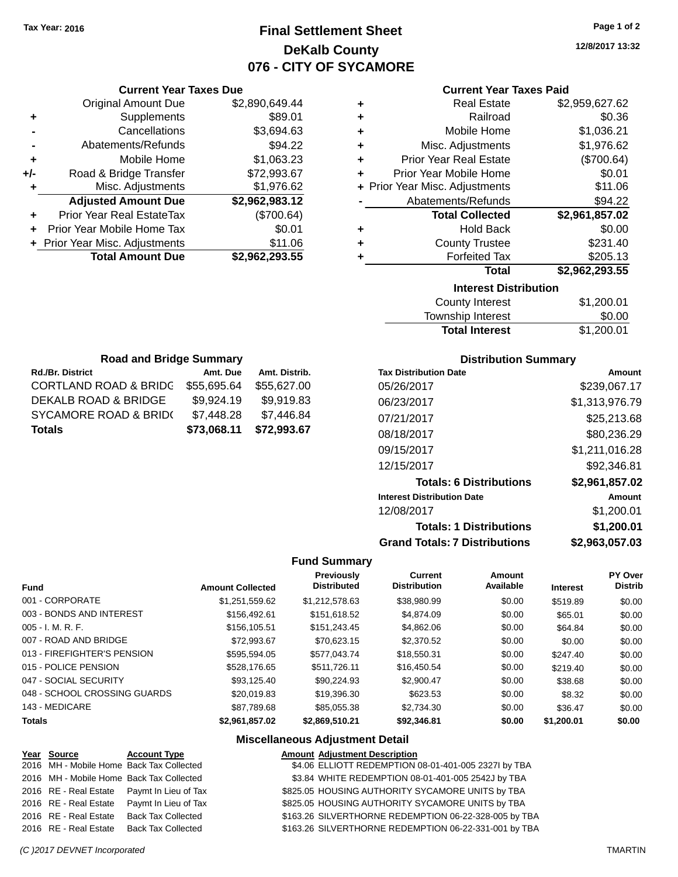# **Final Settlement Sheet Tax Year: 2016 Page 1 of 2 DeKalb County 076 - CITY OF SYCAMORE**

**12/8/2017 13:32**

## **Current Year Taxes Paid**

|       | <b>Current Year Taxes Due</b>  |                |  |  |  |
|-------|--------------------------------|----------------|--|--|--|
|       | <b>Original Amount Due</b>     | \$2,890,649.44 |  |  |  |
| ٠     | Supplements                    | \$89.01        |  |  |  |
|       | Cancellations                  | \$3,694.63     |  |  |  |
|       | Abatements/Refunds             | \$94.22        |  |  |  |
| ٠     | Mobile Home                    | \$1,063.23     |  |  |  |
| $+/-$ | Road & Bridge Transfer         | \$72,993.67    |  |  |  |
|       | Misc. Adjustments              | \$1,976.62     |  |  |  |
|       | <b>Adjusted Amount Due</b>     | \$2,962,983.12 |  |  |  |
| ٠     | Prior Year Real EstateTax      | (\$700.64)     |  |  |  |
|       | Prior Year Mobile Home Tax     | \$0.01         |  |  |  |
|       | + Prior Year Misc. Adjustments | \$11.06        |  |  |  |
|       | <b>Total Amount Due</b>        | \$2,962,293.55 |  |  |  |
|       |                                |                |  |  |  |

| ٠ | <b>Real Estate</b>             | \$2,959,627.62   |
|---|--------------------------------|------------------|
| ÷ | Railroad                       | \$0.36           |
| ٠ | Mobile Home                    | \$1,036.21       |
| ٠ | Misc. Adjustments              | \$1,976.62       |
| ٠ | <b>Prior Year Real Estate</b>  | (\$700.64)       |
| ٠ | Prior Year Mobile Home         | \$0.01           |
|   | + Prior Year Misc. Adjustments | \$11.06          |
|   | Abatements/Refunds             | \$94.22          |
|   | <b>Total Collected</b>         | \$2,961,857.02   |
| ٠ | <b>Hold Back</b>               | \$0.00           |
| ٠ | <b>County Trustee</b>          | \$231.40         |
| ٠ | <b>Forfeited Tax</b>           | \$205.13         |
|   | <b>Total</b>                   | \$2,962,293.55   |
|   | <b>Interest Distribution</b>   |                  |
|   | $C_{\text{aunk}}$ ulataraat    | <b>CA 200.04</b> |

| County Interest       | \$1,200.01 |
|-----------------------|------------|
| Township Interest     | \$0.00     |
| <b>Total Interest</b> | \$1,200.01 |

| <b>Road and Bridge Summary</b>              |             |               |  |
|---------------------------------------------|-------------|---------------|--|
| <b>Rd./Br. District</b>                     | Amt. Due    | Amt. Distrib. |  |
| <b>CORTLAND ROAD &amp; BRIDG</b>            | \$55,695.64 | \$55,627.00   |  |
| <b>DEKALB ROAD &amp; BRIDGE</b>             | \$9,924.19  | \$9,919.83    |  |
| <b>SYCAMORE ROAD &amp; BRID(</b>            | \$7,448.28  | \$7,446.84    |  |
| \$72,993.67<br>\$73,068.11<br><b>Totals</b> |             |               |  |

## **Distribution Summary**

| <b>Tax Distribution Date</b>         | Amount         |
|--------------------------------------|----------------|
| 05/26/2017                           | \$239,067.17   |
| 06/23/2017                           | \$1,313,976.79 |
| 07/21/2017                           | \$25,213.68    |
| 08/18/2017                           | \$80,236.29    |
| 09/15/2017                           | \$1,211,016.28 |
| 12/15/2017                           | \$92,346.81    |
| <b>Totals: 6 Distributions</b>       | \$2,961,857.02 |
| <b>Interest Distribution Date</b>    | Amount         |
| 12/08/2017                           | \$1,200.01     |
| <b>Totals: 1 Distributions</b>       | \$1,200.01     |
| <b>Grand Totals: 7 Distributions</b> | \$2,963,057.03 |

## **Fund Summary**

| Fund                         | <b>Amount Collected</b> | <b>Previously</b><br><b>Distributed</b> | Current<br><b>Distribution</b> | Amount<br>Available | <b>Interest</b> | PY Over<br><b>Distrib</b> |
|------------------------------|-------------------------|-----------------------------------------|--------------------------------|---------------------|-----------------|---------------------------|
| 001 - CORPORATE              | \$1.251.559.62          | \$1.212.578.63                          | \$38,980.99                    | \$0.00              | \$519.89        | \$0.00                    |
| 003 - BONDS AND INTEREST     | \$156,492.61            | \$151.618.52                            | \$4,874.09                     | \$0.00              | \$65.01         | \$0.00                    |
| $005 - I. M. R. F.$          | \$156,105.51            | \$151,243.45                            | \$4,862.06                     | \$0.00              | \$64.84         | \$0.00                    |
| 007 - ROAD AND BRIDGE        | \$72.993.67             | \$70.623.15                             | \$2,370.52                     | \$0.00              | \$0.00          | \$0.00                    |
| 013 - FIREFIGHTER'S PENSION  | \$595.594.05            | \$577.043.74                            | \$18,550.31                    | \$0.00              | \$247.40        | \$0.00                    |
| 015 - POLICE PENSION         | \$528,176.65            | \$511.726.11                            | \$16,450.54                    | \$0.00              | \$219.40        | \$0.00                    |
| 047 - SOCIAL SECURITY        | \$93.125.40             | \$90.224.93                             | \$2.900.47                     | \$0.00              | \$38.68         | \$0.00                    |
| 048 - SCHOOL CROSSING GUARDS | \$20,019.83             | \$19,396.30                             | \$623.53                       | \$0.00              | \$8.32          | \$0.00                    |
| 143 - MEDICARE               | \$87.789.68             | \$85,055,38                             | \$2,734.30                     | \$0.00              | \$36.47         | \$0.00                    |
| <b>Totals</b>                | \$2.961.857.02          | \$2.869.510.21                          | \$92,346.81                    | \$0.00              | \$1,200.01      | \$0.00                    |

| Year Source                              | <b>Account Type</b>                        | <b>Amount Adjustment Description</b>                  |
|------------------------------------------|--------------------------------------------|-------------------------------------------------------|
| 2016 MH - Mobile Home Back Tax Collected |                                            | \$4.06 ELLIOTT REDEMPTION 08-01-401-005 2327I by TBA  |
|                                          | 2016 MH - Mobile Home Back Tax Collected   | \$3.84 WHITE REDEMPTION 08-01-401-005 2542J by TBA    |
|                                          | 2016 RE - Real Estate Paymt In Lieu of Tax | \$825.05 HOUSING AUTHORITY SYCAMORE UNITS by TBA      |
|                                          | 2016 RE - Real Estate Paymt In Lieu of Tax | \$825.05 HOUSING AUTHORITY SYCAMORE UNITS by TBA      |
| 2016 RE - Real Estate Back Tax Collected |                                            | \$163.26 SILVERTHORNE REDEMPTION 06-22-328-005 by TBA |
| 2016 RE - Real Estate Back Tax Collected |                                            | \$163.26 SILVERTHORNE REDEMPTION 06-22-331-001 by TBA |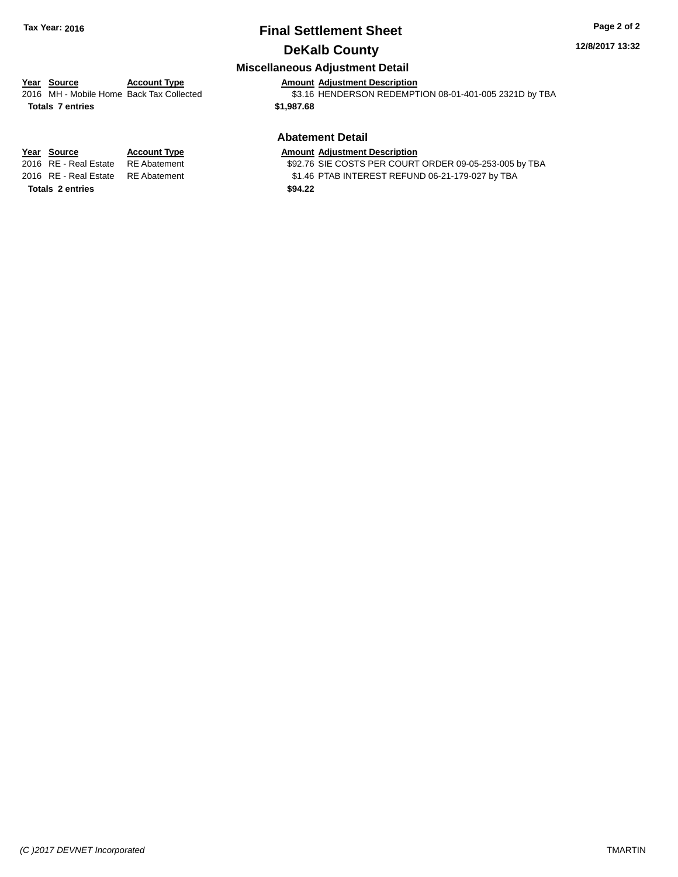# **Final Settlement Sheet Tax Year: 2016 Page 2 of 2 DeKalb County**

### **12/8/2017 13:32**

## **Miscellaneous Adjustment Detail**

## **Year Source Account Type Amount Adjustment Description** 2016 MH - Mobile Home Back Tax Collected \$3.16 HENDERSON REDEMPTION 08-01-401-005 2321D by TBA

**Totals 7 entries \$1,987.68**

**Totals 2 entries \$94.22**

# **Abatement Detail**

**Year Source Account Type**<br>
2016 RE - Real Estate RE Abatement **Adjustment Adjustment Description**<br>
\$92.76 SIE COSTS PER COURT

\$92.76 SIE COSTS PER COURT ORDER 09-05-253-005 by TBA 2016 RE - Real Estate RE Abatement \$1.46 PTAB INTEREST REFUND 06-21-179-027 by TBA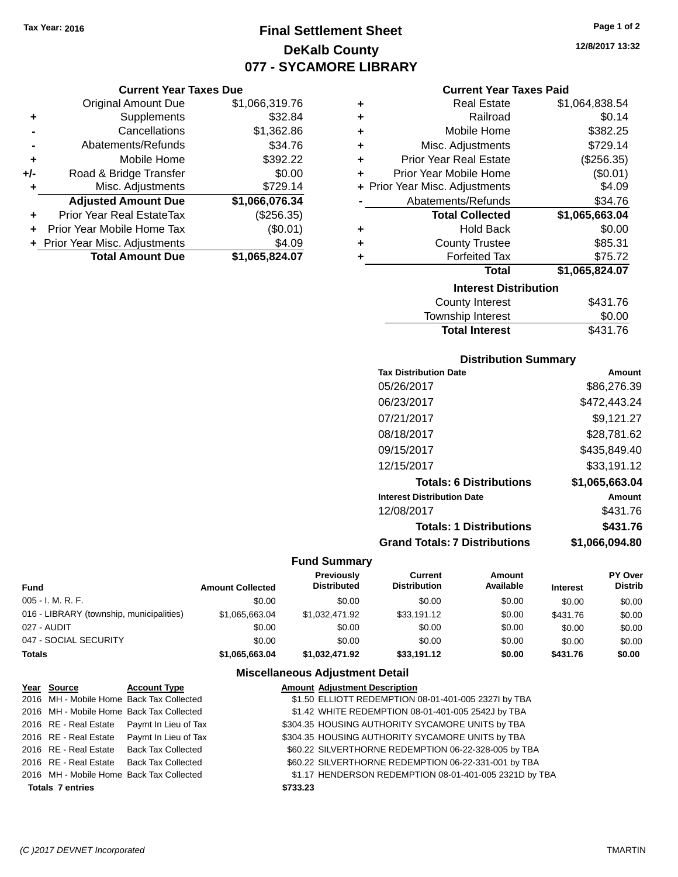**Current Year Taxes Due** Original Amount Due \$1,066,319.76

**Adjusted Amount Due \$1,066,076.34**

**+** Supplements \$32.84 **-** Cancellations \$1,362.86 **-** Abatements/Refunds \$34.76 **+** Mobile Home \$392.22 **+/-** Road & Bridge Transfer \$0.00 **+** Misc. Adjustments \$729.14

**+** Prior Year Real EstateTax (\$256.35) **+** Prior Year Mobile Home Tax (\$0.01) **+** Prior Year Misc. Adjustments \$4.09<br> **1,065,824.07**<br> **1,065,824.07** 

**Total Amount Due** 

# **Final Settlement Sheet Tax Year: 2016 Page 1 of 2 DeKalb County 077 - SYCAMORE LIBRARY**

**12/8/2017 13:32**

### **Current Year Taxes Paid**

| ٠ | <b>Real Estate</b>             | \$1,064,838.54 |
|---|--------------------------------|----------------|
| ٠ | Railroad                       | \$0.14         |
| ÷ | Mobile Home                    | \$382.25       |
| ٠ | Misc. Adjustments              | \$729.14       |
| ٠ | <b>Prior Year Real Estate</b>  | (\$256.35)     |
| ÷ | Prior Year Mobile Home         | (\$0.01)       |
|   | + Prior Year Misc. Adjustments | \$4.09         |
|   | Abatements/Refunds             | \$34.76        |
|   | <b>Total Collected</b>         | \$1,065,663.04 |
| ٠ | <b>Hold Back</b>               | \$0.00         |
| ٠ | <b>County Trustee</b>          | \$85.31        |
| ٠ | <b>Forfeited Tax</b>           | \$75.72        |
|   | <b>Total</b>                   | \$1,065,824.07 |
|   | <b>Interest Distribution</b>   |                |
|   | County Interest                | \$431.76       |
|   |                                |                |

| <b>Total Interest</b>  | \$431.76 |
|------------------------|----------|
| Township Interest      | \$0.00   |
| <b>County Interest</b> | \$431.76 |

## **Distribution Summary**

| <b>Tax Distribution Date</b>         | Amount         |
|--------------------------------------|----------------|
| 05/26/2017                           | \$86,276.39    |
| 06/23/2017                           | \$472,443.24   |
| 07/21/2017                           | \$9,121.27     |
| 08/18/2017                           | \$28,781.62    |
| 09/15/2017                           | \$435,849.40   |
| 12/15/2017                           | \$33,191.12    |
| <b>Totals: 6 Distributions</b>       | \$1,065,663.04 |
| <b>Interest Distribution Date</b>    | Amount         |
| 12/08/2017                           | \$431.76       |
| <b>Totals: 1 Distributions</b>       | \$431.76       |
| <b>Grand Totals: 7 Distributions</b> | \$1,066,094.80 |

### **Fund Summary**

| Fund                                     | <b>Amount Collected</b> | Previously<br><b>Distributed</b> | Current<br><b>Distribution</b> | Amount<br>Available | <b>Interest</b> | PY Over<br><b>Distrib</b> |
|------------------------------------------|-------------------------|----------------------------------|--------------------------------|---------------------|-----------------|---------------------------|
| 005 - I. M. R. F.                        | \$0.00                  | \$0.00                           | \$0.00                         | \$0.00              | \$0.00          | \$0.00                    |
| 016 - LIBRARY (township, municipalities) | \$1.065.663.04          | \$1.032.471.92                   | \$33,191.12                    | \$0.00              | \$431.76        | \$0.00                    |
| 027 - AUDIT                              | \$0.00                  | \$0.00                           | \$0.00                         | \$0.00              | \$0.00          | \$0.00                    |
| 047 - SOCIAL SECURITY                    | \$0.00                  | \$0.00                           | \$0.00                         | \$0.00              | \$0.00          | \$0.00                    |
| Totals                                   | \$1,065,663.04          | \$1,032,471.92                   | \$33,191.12                    | \$0.00              | \$431.76        | \$0.00                    |

| Year Source             | <b>Account Type</b>                        |          | <b>Amount Adjustment Description</b>                   |
|-------------------------|--------------------------------------------|----------|--------------------------------------------------------|
|                         | 2016 MH - Mobile Home Back Tax Collected   |          | \$1.50 ELLIOTT REDEMPTION 08-01-401-005 2327I by TBA   |
|                         | 2016 MH - Mobile Home Back Tax Collected   |          | \$1.42 WHITE REDEMPTION 08-01-401-005 2542J by TBA     |
|                         | 2016 RE - Real Estate Paymt In Lieu of Tax |          | \$304.35 HOUSING AUTHORITY SYCAMORE UNITS by TBA       |
|                         | 2016 RE - Real Estate Paymt In Lieu of Tax |          | \$304.35 HOUSING AUTHORITY SYCAMORE UNITS by TBA       |
|                         | 2016 RE - Real Estate Back Tax Collected   |          | \$60.22 SILVERTHORNE REDEMPTION 06-22-328-005 by TBA   |
|                         | 2016 RE - Real Estate Back Tax Collected   |          | \$60.22 SILVERTHORNE REDEMPTION 06-22-331-001 by TBA   |
|                         | 2016 MH - Mobile Home Back Tax Collected   |          | \$1.17 HENDERSON REDEMPTION 08-01-401-005 2321D by TBA |
| <b>Totals 7 entries</b> |                                            | \$733.23 |                                                        |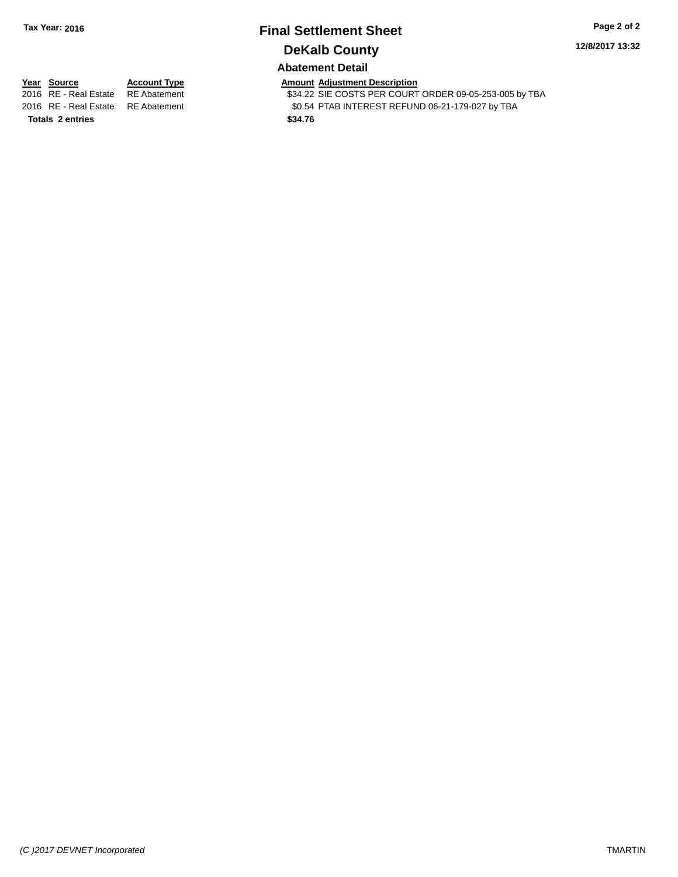# **Final Settlement Sheet Tax Year: 2016 Page 2 of 2 DeKalb County**

**12/8/2017 13:32**

**Abatement Detail**

**Totals 2 entries \$34.76**

**Year Source Account Type Account Type Amount Adjustment Description**<br>2016 RE - Real Estate RE Abatement **Account 1991** \$34.22 SIE COSTS PER COURT

\$34.22 SIE COSTS PER COURT ORDER 09-05-253-005 by TBA 2016 RE - Real Estate RE Abatement \$0.54 PTAB INTEREST REFUND 06-21-179-027 by TBA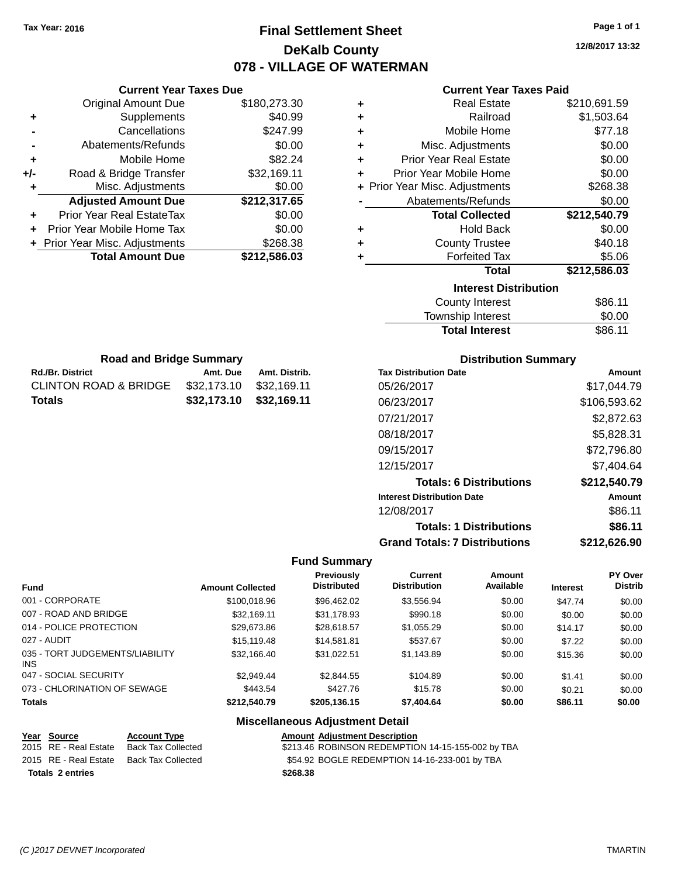# **Final Settlement Sheet Tax Year: 2016 Page 1 of 1 DeKalb County 078 - VILLAGE OF WATERMAN**

**12/8/2017 13:32**

## **Current Year Taxes Paid**

|     | <b>Current Year Taxes Due</b>  |              |
|-----|--------------------------------|--------------|
|     | <b>Original Amount Due</b>     | \$180,273.30 |
| ٠   | Supplements                    | \$40.99      |
|     | Cancellations                  | \$247.99     |
|     | Abatements/Refunds             | \$0.00       |
| ٠   | Mobile Home                    | \$82.24      |
| +/- | Road & Bridge Transfer         | \$32,169.11  |
| ٠   | Misc. Adjustments              | \$0.00       |
|     | <b>Adjusted Amount Due</b>     | \$212,317.65 |
| ٠   | Prior Year Real EstateTax      | \$0.00       |
|     | Prior Year Mobile Home Tax     | \$0.00       |
|     | + Prior Year Misc. Adjustments | \$268.38     |
|     | <b>Total Amount Due</b>        | \$212,586.03 |
|     |                                |              |

**Rd./Br. District Amt. Due Amt. Distrib. Road and Bridge Summary**

CLINTON ROAD & BRIDGE \$32,173.10 \$32,169.11 **Totals \$32,173.10 \$32,169.11**

| ٠ | <b>Real Estate</b>             | \$210,691.59 |
|---|--------------------------------|--------------|
| ÷ | Railroad                       | \$1,503.64   |
| ÷ | Mobile Home                    | \$77.18      |
| ٠ | Misc. Adjustments              | \$0.00       |
| ٠ | <b>Prior Year Real Estate</b>  | \$0.00       |
| ÷ | Prior Year Mobile Home         | \$0.00       |
|   | + Prior Year Misc. Adjustments | \$268.38     |
|   | Abatements/Refunds             | \$0.00       |
|   |                                |              |
|   | <b>Total Collected</b>         | \$212,540.79 |
| ٠ | <b>Hold Back</b>               | \$0.00       |
| ٠ | <b>County Trustee</b>          | \$40.18      |
| ٠ | <b>Forfeited Tax</b>           | \$5.06       |
|   | Total                          | \$212,586.03 |
|   | <b>Interest Distribution</b>   |              |
|   | <b>County Interest</b>         | \$86.11      |

| <b>Total Interest</b>        | \$86.11      |
|------------------------------|--------------|
| <b>Distribution Summary</b>  |              |
| <b>Tax Distribution Date</b> | Amount       |
| 05/26/2017                   | \$17,044.79  |
| 06/23/2017                   | \$106.593.62 |
| $\sqrt{751}$                 | ሶስ ሰማስ ሰሰ    |

| Tax Distribution Date                | Amount       |
|--------------------------------------|--------------|
| 05/26/2017                           | \$17,044.79  |
| 06/23/2017                           | \$106,593.62 |
| 07/21/2017                           | \$2,872.63   |
| 08/18/2017                           | \$5,828.31   |
| 09/15/2017                           | \$72,796.80  |
| 12/15/2017                           | \$7,404.64   |
| <b>Totals: 6 Distributions</b>       | \$212,540.79 |
| <b>Interest Distribution Date</b>    | Amount       |
| 12/08/2017                           | \$86.11      |
| <b>Totals: 1 Distributions</b>       | \$86.11      |
| <b>Grand Totals: 7 Distributions</b> | \$212,626.90 |

## **Fund Summary**

| <b>Fund</b>                                   | <b>Amount Collected</b> | <b>Previously</b><br><b>Distributed</b> | Current<br><b>Distribution</b> | Amount<br>Available | <b>Interest</b> | PY Over<br><b>Distrib</b> |
|-----------------------------------------------|-------------------------|-----------------------------------------|--------------------------------|---------------------|-----------------|---------------------------|
| 001 - CORPORATE                               | \$100,018.96            | \$96,462.02                             | \$3,556.94                     | \$0.00              | \$47.74         | \$0.00                    |
| 007 - ROAD AND BRIDGE                         | \$32,169.11             | \$31,178.93                             | \$990.18                       | \$0.00              | \$0.00          | \$0.00                    |
| 014 - POLICE PROTECTION                       | \$29,673.86             | \$28,618.57                             | \$1,055.29                     | \$0.00              | \$14.17         | \$0.00                    |
| 027 - AUDIT                                   | \$15,119,48             | \$14,581.81                             | \$537.67                       | \$0.00              | \$7.22          | \$0.00                    |
| 035 - TORT JUDGEMENTS/LIABILITY<br><b>INS</b> | \$32,166,40             | \$31.022.51                             | \$1,143.89                     | \$0.00              | \$15.36         | \$0.00                    |
| 047 - SOCIAL SECURITY                         | \$2,949.44              | \$2,844.55                              | \$104.89                       | \$0.00              | \$1.41          | \$0.00                    |
| 073 - CHLORINATION OF SEWAGE                  | \$443.54                | \$427.76                                | \$15.78                        | \$0.00              | \$0.21          | \$0.00                    |
| <b>Totals</b>                                 | \$212,540.79            | \$205,136.15                            | \$7,404.64                     | \$0.00              | \$86.11         | \$0.00                    |

| Year Source             | <b>Account Type</b> | <b>Amount Adjustment Description</b>              |
|-------------------------|---------------------|---------------------------------------------------|
| 2015 RE - Real Estate   | Back Tax Collected  | \$213.46 ROBINSON REDEMPTION 14-15-155-002 by TBA |
| 2015 RE - Real Estate   | Back Tax Collected  | \$54.92 BOGLE REDEMPTION 14-16-233-001 by TBA     |
| <b>Totals 2 entries</b> |                     | \$268.38                                          |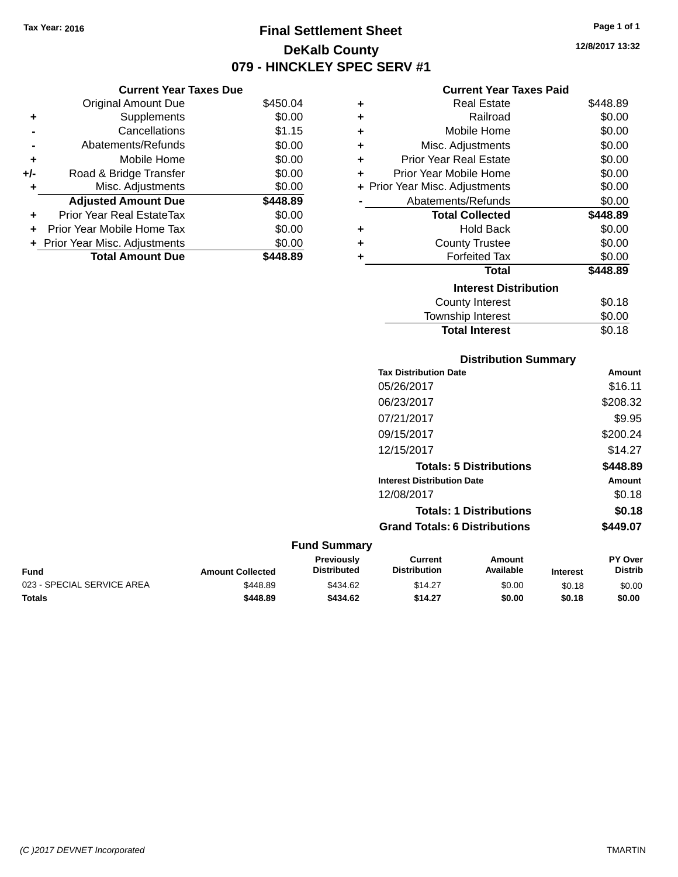# **Final Settlement Sheet Tax Year: 2016 Page 1 of 1 DeKalb County 079 - HINCKLEY SPEC SERV #1**

**12/8/2017 13:32**

## **Current Year Taxes Paid**

|     | <b>Current Year Taxes Due</b>  |          |   |
|-----|--------------------------------|----------|---|
|     | <b>Original Amount Due</b>     | \$450.04 | ٠ |
| ٠   | Supplements                    | \$0.00   | ٠ |
|     | Cancellations                  | \$1.15   | ٠ |
|     | Abatements/Refunds             | \$0.00   |   |
|     | Mobile Home                    | \$0.00   | ٠ |
| +/- | Road & Bridge Transfer         | \$0.00   | ٠ |
|     | Misc. Adjustments              | \$0.00   | ٠ |
|     | <b>Adjusted Amount Due</b>     | \$448.89 |   |
| ÷   | Prior Year Real EstateTax      | \$0.00   |   |
|     | Prior Year Mobile Home Tax     | \$0.00   | ٠ |
|     | + Prior Year Misc. Adjustments | \$0.00   | ÷ |
|     | <b>Total Amount Due</b>        | \$448.89 |   |
|     |                                |          |   |

| ٠ | <b>Real Estate</b>             | \$448.89 |
|---|--------------------------------|----------|
| ÷ | Railroad                       | \$0.00   |
| ٠ | Mobile Home                    | \$0.00   |
| ٠ | Misc. Adjustments              | \$0.00   |
| ÷ | Prior Year Real Estate         | \$0.00   |
| ÷ | Prior Year Mobile Home         | \$0.00   |
|   | + Prior Year Misc. Adjustments | \$0.00   |
|   | Abatements/Refunds             | \$0.00   |
|   | <b>Total Collected</b>         | \$448.89 |
| ٠ | Hold Back                      | \$0.00   |
| ٠ | <b>County Trustee</b>          | \$0.00   |
| ٠ | <b>Forfeited Tax</b>           | \$0.00   |
|   | Total                          | \$448.89 |
|   | <b>Interest Distribution</b>   |          |
|   | County Interest                | \$0.18   |
|   | <b>Township Interest</b>       | \$0.00   |
|   | <b>Total Interest</b>          | \$0.18   |

## **Distribution Summary**

| <b>Tax Distribution Date</b>         | Amount   |
|--------------------------------------|----------|
| 05/26/2017                           | \$16.11  |
| 06/23/2017                           | \$208.32 |
| 07/21/2017                           | \$9.95   |
| 09/15/2017                           | \$200.24 |
| 12/15/2017                           | \$14.27  |
| <b>Totals: 5 Distributions</b>       | \$448.89 |
| <b>Interest Distribution Date</b>    | Amount   |
| 12/08/2017                           | \$0.18   |
| <b>Totals: 1 Distributions</b>       | \$0.18   |
| <b>Grand Totals: 6 Distributions</b> | \$449.07 |

| <b>Fund</b>                | <b>Amount Collected</b> | <b>Previously</b><br><b>Distributed</b> | Current<br><b>Distribution</b> | Amount<br>Available | <b>Interest</b> | <b>PY Over</b><br>Distrib |
|----------------------------|-------------------------|-----------------------------------------|--------------------------------|---------------------|-----------------|---------------------------|
| 023 - SPECIAL SERVICE AREA | \$448.89                | \$434.62                                | \$14.27                        | \$0.00              | \$0.18          | \$0.00                    |
| <b>Totals</b>              | \$448.89                | \$434.62                                | \$14.27                        | \$0.00              | \$0.18          | \$0.00                    |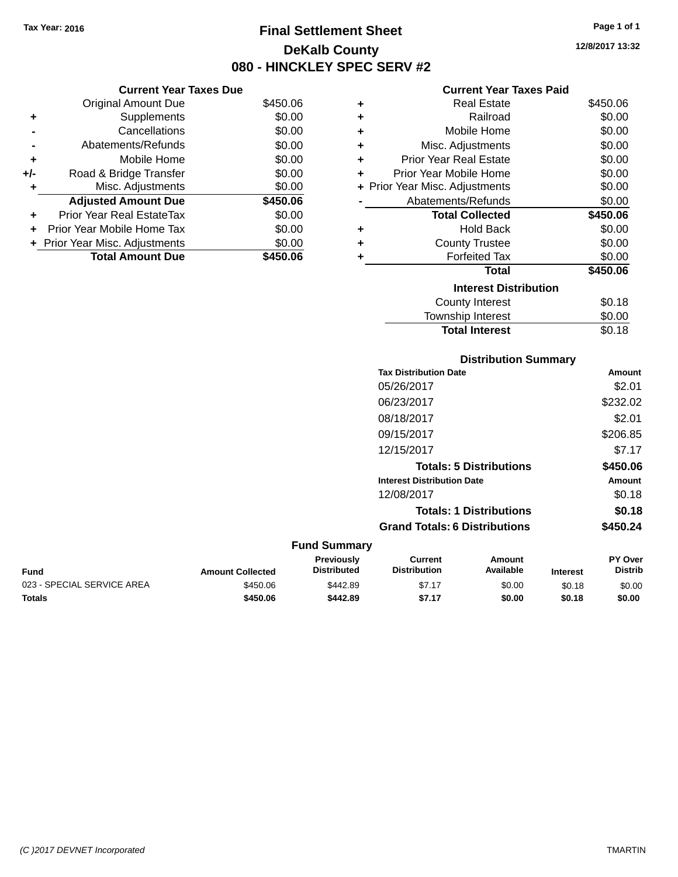**Original Amount Due** 

**Adjusted Amount Due** 

**Total Amount Due** 

**+** Supplements **-** Cancellations **-** Abatements/Refunds **+** Mobile Home **+/-** Road & Bridge Transfer **+** Misc. Adjustments

**+** Prior Year Real EstateTax \$0.00 **+** Prior Year Mobile Home Tax **+** Prior Year Misc. Adjustments

# **Final Settlement Sheet Tax Year: 2016 Page 1 of 1 DeKalb County 080 - HINCKLEY SPEC SERV #2**

**12/8/2017 13:32**

## **Current Year Taxes Paid**

| <b>Current Year Taxes Due</b> |          |   | <b>Current Year Taxes Paid</b> |          |
|-------------------------------|----------|---|--------------------------------|----------|
| ่<br>เl Amount Due            | \$450.06 | ٠ | <b>Real Estate</b>             | \$450.06 |
| Supplements                   | \$0.00   | ٠ | Railroad                       | \$0.00   |
| Cancellations                 | \$0.00   | ÷ | Mobile Home                    | \$0.00   |
| าents/Refunds                 | \$0.00   | ÷ | Misc. Adjustments              | \$0.00   |
| Mobile Home                   | \$0.00   | ÷ | <b>Prior Year Real Estate</b>  | \$0.00   |
| ridge Transfer                | \$0.00   | ÷ | Prior Year Mobile Home         | \$0.00   |
| . Adjustments                 | \$0.00   |   | + Prior Year Misc. Adjustments | \$0.00   |
| <b>Amount Due</b>             | \$450.06 |   | Abatements/Refunds             | \$0.00   |
| leal EstateTax≀               | \$0.00   |   | <b>Total Collected</b>         | \$450.06 |
| bile Home Tax                 | \$0.00   | ÷ | <b>Hold Back</b>               | \$0.00   |
| . Adjustments                 | \$0.00   | ÷ | <b>County Trustee</b>          | \$0.00   |
| <b>Amount Due</b>             | \$450.06 |   | <b>Forfeited Tax</b>           | \$0.00   |
|                               |          |   | <b>Total</b>                   | \$450.06 |
|                               |          |   | <b>Interest Distribution</b>   |          |
|                               |          |   | County Interest                | \$0.18   |

| Interest Distribution    |        |
|--------------------------|--------|
| County Interest          | \$0.18 |
| <b>Township Interest</b> | \$0.00 |
| <b>Total Interest</b>    | \$0.18 |
|                          |        |

## **Distribution Summary**

| <b>Tax Distribution Date</b>         | Amount   |
|--------------------------------------|----------|
| 05/26/2017                           | \$2.01   |
| 06/23/2017                           | \$232.02 |
| 08/18/2017                           | \$2.01   |
| 09/15/2017                           | \$206.85 |
| 12/15/2017                           | \$7.17   |
| <b>Totals: 5 Distributions</b>       | \$450.06 |
| <b>Interest Distribution Date</b>    | Amount   |
| 12/08/2017                           | \$0.18   |
| <b>Totals: 1 Distributions</b>       | \$0.18   |
| <b>Grand Totals: 6 Distributions</b> | \$450.24 |
|                                      |          |

| Fund                       | <b>Amount Collected</b> | <b>Previously</b><br><b>Distributed</b> | Current<br><b>Distribution</b> | Amount<br>Available | <b>Interest</b> | PY Over<br>Distrib |
|----------------------------|-------------------------|-----------------------------------------|--------------------------------|---------------------|-----------------|--------------------|
| 023 - SPECIAL SERVICE AREA | \$450.06                | \$442.89                                | \$7.17                         | \$0.00              | \$0.18          | \$0.00             |
| <b>Totals</b>              | \$450.06                | \$442.89                                | \$7.17                         | \$0.00              | \$0.18          | \$0.00             |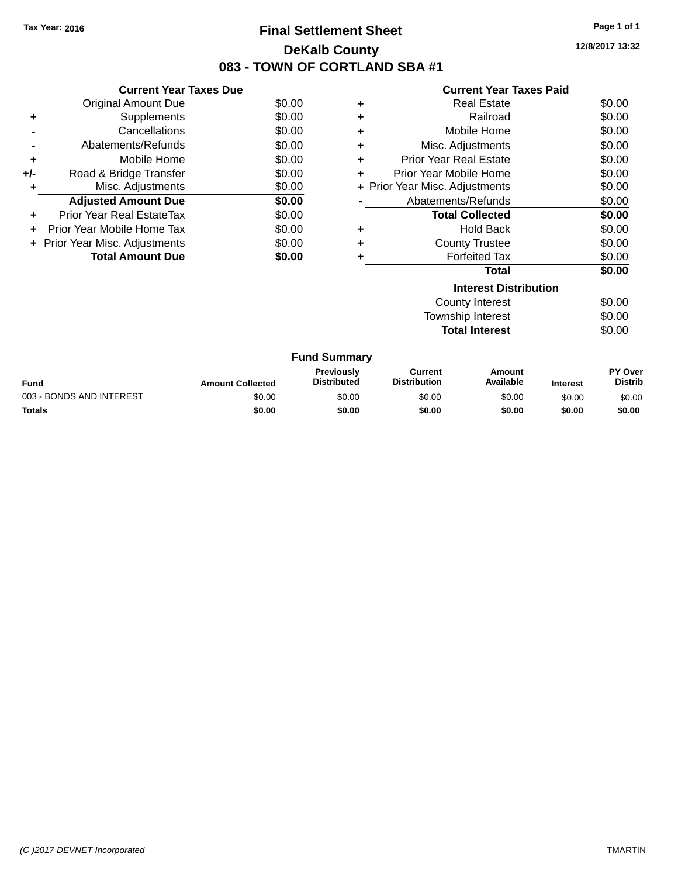# **Final Settlement Sheet Tax Year: 2016 Page 1 of 1 DeKalb County 083 - TOWN OF CORTLAND SBA #1**

**12/8/2017 13:32**

|     | <b>Current Year Taxes Due</b>  |        |
|-----|--------------------------------|--------|
|     | Original Amount Due            | \$0.00 |
| ٠   | Supplements                    | \$0.00 |
|     | Cancellations                  | \$0.00 |
|     | Abatements/Refunds             | \$0.00 |
| ٠   | Mobile Home                    | \$0.00 |
| +/- | Road & Bridge Transfer         | \$0.00 |
| ٠   | Misc. Adjustments              | \$0.00 |
|     | <b>Adjusted Amount Due</b>     | \$0.00 |
|     | Prior Year Real EstateTax      | \$0.00 |
|     | Prior Year Mobile Home Tax     | \$0.00 |
|     | + Prior Year Misc. Adjustments | \$0.00 |
|     | <b>Total Amount Due</b>        | \$0.00 |
|     |                                |        |

## **Current Year Taxes Paid**

| ٠ | <b>Real Estate</b>             | \$0.00 |
|---|--------------------------------|--------|
| ٠ | Railroad                       | \$0.00 |
| ٠ | Mobile Home                    | \$0.00 |
| ٠ | Misc. Adjustments              | \$0.00 |
| ٠ | <b>Prior Year Real Estate</b>  | \$0.00 |
| ٠ | Prior Year Mobile Home         | \$0.00 |
|   | + Prior Year Misc. Adjustments | \$0.00 |
|   | Abatements/Refunds             | \$0.00 |
|   | <b>Total Collected</b>         | \$0.00 |
| ٠ | <b>Hold Back</b>               | \$0.00 |
| ٠ | <b>County Trustee</b>          | \$0.00 |
| ٠ | <b>Forfeited Tax</b>           | \$0.00 |
|   | Total                          | \$0.00 |
|   | <b>Interest Distribution</b>   |        |
|   | County Interest                | ደስ ሰስ  |

| <b>Total Interest</b> | \$0.00 |
|-----------------------|--------|
| Township Interest     | \$0.00 |
| County Interest       | \$0.00 |

| <b>Fund</b>              | <b>Amount Collected</b> | <b>Previously</b><br><b>Distributed</b> | Current<br><b>Distribution</b> | Amount<br>Available | <b>Interest</b> | PY Over<br><b>Distrib</b> |
|--------------------------|-------------------------|-----------------------------------------|--------------------------------|---------------------|-----------------|---------------------------|
| 003 - BONDS AND INTEREST | \$0.00                  | \$0.00                                  | \$0.00                         | \$0.00              | \$0.00          | \$0.00                    |
| Totals                   | \$0.00                  | \$0.00                                  | \$0.00                         | \$0.00              | \$0.00          | \$0.00                    |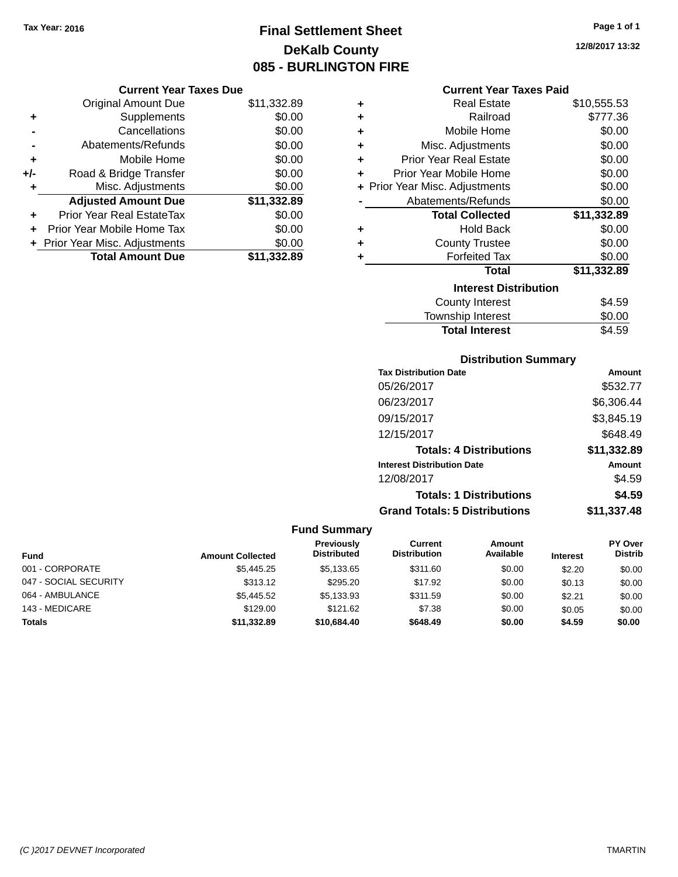# **Final Settlement Sheet Tax Year: 2016 Page 1 of 1 DeKalb County 085 - BURLINGTON FIRE**

**12/8/2017 13:32**

## **Current Year Taxes Paid**

| <b>Original Amount Due</b>     | \$11,332.89                   |
|--------------------------------|-------------------------------|
| Supplements                    | \$0.00                        |
| Cancellations                  | \$0.00                        |
| Abatements/Refunds             | \$0.00                        |
| Mobile Home                    | \$0.00                        |
| Road & Bridge Transfer         | \$0.00                        |
| Misc. Adjustments              | \$0.00                        |
| <b>Adjusted Amount Due</b>     | \$11,332.89                   |
| Prior Year Real EstateTax      | \$0.00                        |
| Prior Year Mobile Home Tax     | \$0.00                        |
| + Prior Year Misc. Adjustments | \$0.00                        |
| <b>Total Amount Due</b>        | \$11,332.89                   |
|                                | <b>Current Year Taxes Due</b> |

| ٠ | Real Estate                    | \$10,555.53 |
|---|--------------------------------|-------------|
| ÷ | Railroad                       | \$777.36    |
| ÷ | Mobile Home                    | \$0.00      |
| ٠ | Misc. Adjustments              | \$0.00      |
| ÷ | <b>Prior Year Real Estate</b>  | \$0.00      |
| ٠ | Prior Year Mobile Home         | \$0.00      |
|   | + Prior Year Misc. Adjustments | \$0.00      |
|   | Abatements/Refunds             | \$0.00      |
|   | <b>Total Collected</b>         | \$11,332.89 |
| ٠ | <b>Hold Back</b>               | \$0.00      |
| ٠ | <b>County Trustee</b>          | \$0.00      |
| ٠ | <b>Forfeited Tax</b>           | \$0.00      |
|   | <b>Total</b>                   | \$11,332.89 |
|   | <b>Interest Distribution</b>   |             |
|   | <b>County Interest</b>         | \$4.59      |
|   | <b>Township Interest</b>       | \$0.00      |
|   | <b>Total Interest</b>          | \$4.59      |

## **Distribution Summary**

| <b>Tax Distribution Date</b>         | Amount      |
|--------------------------------------|-------------|
| 05/26/2017                           | \$532.77    |
| 06/23/2017                           | \$6,306.44  |
| 09/15/2017                           | \$3,845.19  |
| 12/15/2017                           | \$648.49    |
| <b>Totals: 4 Distributions</b>       | \$11,332.89 |
| <b>Interest Distribution Date</b>    | Amount      |
| 12/08/2017                           | \$4.59      |
| <b>Totals: 1 Distributions</b>       | \$4.59      |
| <b>Grand Totals: 5 Distributions</b> | \$11,337.48 |

| Fund                  | <b>Amount Collected</b> | <b>Previously</b><br><b>Distributed</b> | <b>Current</b><br><b>Distribution</b> | Amount<br>Available | <b>Interest</b> | <b>PY Over</b><br><b>Distrib</b> |
|-----------------------|-------------------------|-----------------------------------------|---------------------------------------|---------------------|-----------------|----------------------------------|
| 001 - CORPORATE       | \$5,445.25              | \$5,133.65                              | \$311.60                              | \$0.00              | \$2.20          | \$0.00                           |
| 047 - SOCIAL SECURITY | \$313.12                | \$295.20                                | \$17.92                               | \$0.00              | \$0.13          | \$0.00                           |
| 064 - AMBULANCE       | \$5,445.52              | \$5,133.93                              | \$311.59                              | \$0.00              | \$2.21          | \$0.00                           |
| 143 - MEDICARE        | \$129.00                | \$121.62                                | \$7.38                                | \$0.00              | \$0.05          | \$0.00                           |
| Totals                | \$11,332.89             | \$10,684.40                             | \$648.49                              | \$0.00              | \$4.59          | \$0.00                           |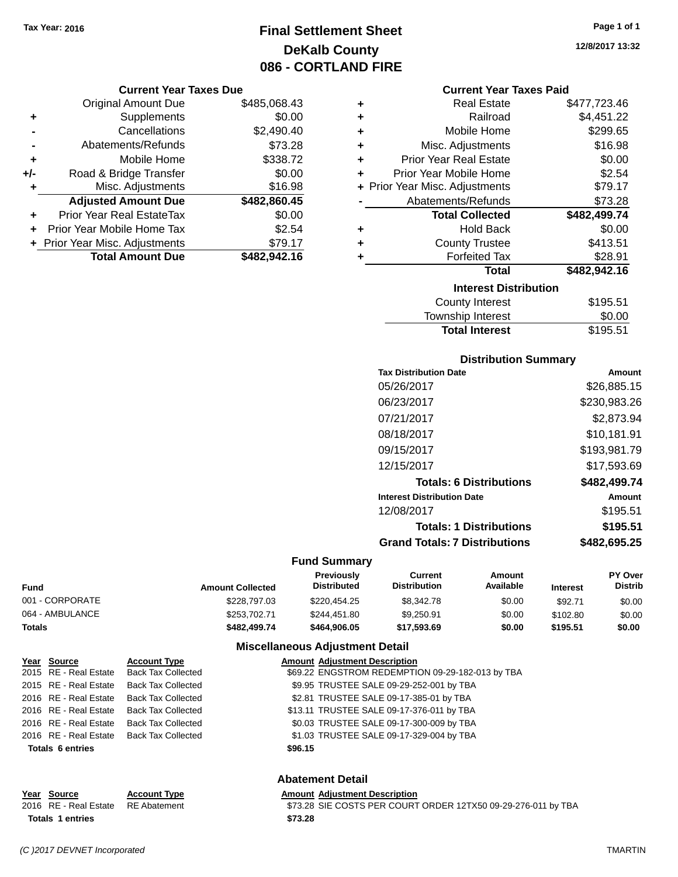# **Final Settlement Sheet Tax Year: 2016 Page 1 of 1 DeKalb County 086 - CORTLAND FIRE**

### **Current Year Taxes Due**

|       | <b>Original Amount Due</b>       | \$485,068.43 |
|-------|----------------------------------|--------------|
| ٠     | Supplements                      | \$0.00       |
|       | Cancellations                    | \$2,490.40   |
|       | Abatements/Refunds               | \$73.28      |
| ٠     | Mobile Home                      | \$338.72     |
| $+/-$ | Road & Bridge Transfer           | \$0.00       |
| ٠     | Misc. Adjustments                | \$16.98      |
|       | <b>Adjusted Amount Due</b>       | \$482,860.45 |
| ÷     | <b>Prior Year Real EstateTax</b> | \$0.00       |
|       | Prior Year Mobile Home Tax       | \$2.54       |
|       | + Prior Year Misc. Adjustments   | \$79.17      |
|       | <b>Total Amount Due</b>          | \$482,942.16 |

### **Current Year Taxes Paid**

| ٠ | <b>Real Estate</b>             | \$477,723.46 |
|---|--------------------------------|--------------|
| ٠ | Railroad                       | \$4,451.22   |
| ٠ | Mobile Home                    | \$299.65     |
| ٠ | Misc. Adjustments              | \$16.98      |
| ÷ | <b>Prior Year Real Estate</b>  | \$0.00       |
| ٠ | Prior Year Mobile Home         | \$2.54       |
|   | + Prior Year Misc. Adjustments | \$79.17      |
|   | Abatements/Refunds             | \$73.28      |
|   |                                |              |
|   | <b>Total Collected</b>         | \$482,499.74 |
| ٠ | <b>Hold Back</b>               | \$0.00       |
| ÷ | <b>County Trustee</b>          | \$413.51     |
| ٠ | <b>Forfeited Tax</b>           | \$28.91      |
|   | <b>Total</b>                   | \$482,942.16 |
|   | <b>Interest Distribution</b>   |              |
|   | County Interest                | \$195.51     |

# **Distribution Summary**

Total Interest \$195.51

| PIJU INUUVII VUIIIIIIUI Y            |              |
|--------------------------------------|--------------|
| <b>Tax Distribution Date</b>         | Amount       |
| 05/26/2017                           | \$26,885.15  |
| 06/23/2017                           | \$230,983.26 |
| 07/21/2017                           | \$2,873.94   |
| 08/18/2017                           | \$10,181.91  |
| 09/15/2017                           | \$193,981.79 |
| 12/15/2017                           | \$17.593.69  |
| <b>Totals: 6 Distributions</b>       | \$482,499.74 |
| <b>Interest Distribution Date</b>    | Amount       |
| 12/08/2017                           | \$195.51     |
| <b>Totals: 1 Distributions</b>       | \$195.51     |
| <b>Grand Totals: 7 Distributions</b> | \$482,695.25 |
|                                      |              |

## **Fund Summary**

| Fund            | <b>Amount Collected</b> | <b>Previously</b><br><b>Distributed</b> | Current<br><b>Distribution</b> | Amount<br>Available | <b>Interest</b> | PY Over<br><b>Distrib</b> |
|-----------------|-------------------------|-----------------------------------------|--------------------------------|---------------------|-----------------|---------------------------|
| 001 - CORPORATE | \$228,797.03            | \$220,454.25                            | \$8,342.78                     | \$0.00              | \$92.71         | \$0.00                    |
| 064 - AMBULANCE | \$253,702.71            | \$244.451.80                            | \$9,250.91                     | \$0.00              | \$102.80        | \$0.00                    |
| Totals          | \$482,499.74            | \$464.906.05                            | \$17,593,69                    | \$0.00              | \$195.51        | \$0.00                    |

## **Miscellaneous Adjustment Detail**

| Year Source             | <b>Account Type</b>                      | <b>Amount Adjustment Description</b>             |
|-------------------------|------------------------------------------|--------------------------------------------------|
| 2015 RE - Real Estate   | Back Tax Collected                       | \$69.22 ENGSTROM REDEMPTION 09-29-182-013 by TBA |
|                         | 2015 RE - Real Estate Back Tax Collected | \$9.95 TRUSTEE SALE 09-29-252-001 by TBA         |
| 2016 RE - Real Estate   | Back Tax Collected                       | \$2.81 TRUSTEE SALE 09-17-385-01 by TBA          |
| 2016 RE - Real Estate   | Back Tax Collected                       | \$13.11 TRUSTEE SALE 09-17-376-011 by TBA        |
| 2016 RE - Real Estate   | Back Tax Collected                       | \$0.03 TRUSTEE SALE 09-17-300-009 by TBA         |
|                         | 2016 RE - Real Estate Back Tax Collected | \$1.03 TRUSTEE SALE 09-17-329-004 by TBA         |
| <b>Totals 6 entries</b> |                                          | \$96.15                                          |
|                         |                                          |                                                  |

## **Abatement Detail**

| Year Source                        | <b>Account Type</b> | <b>Amount Adjustment Description</b>                          |  |
|------------------------------------|---------------------|---------------------------------------------------------------|--|
| 2016 RE - Real Estate RE Abatement |                     | \$73.28 SIE COSTS PER COURT ORDER 12TX50 09-29-276-011 by TBA |  |
| <b>Totals 1 entries</b>            |                     | \$73.28                                                       |  |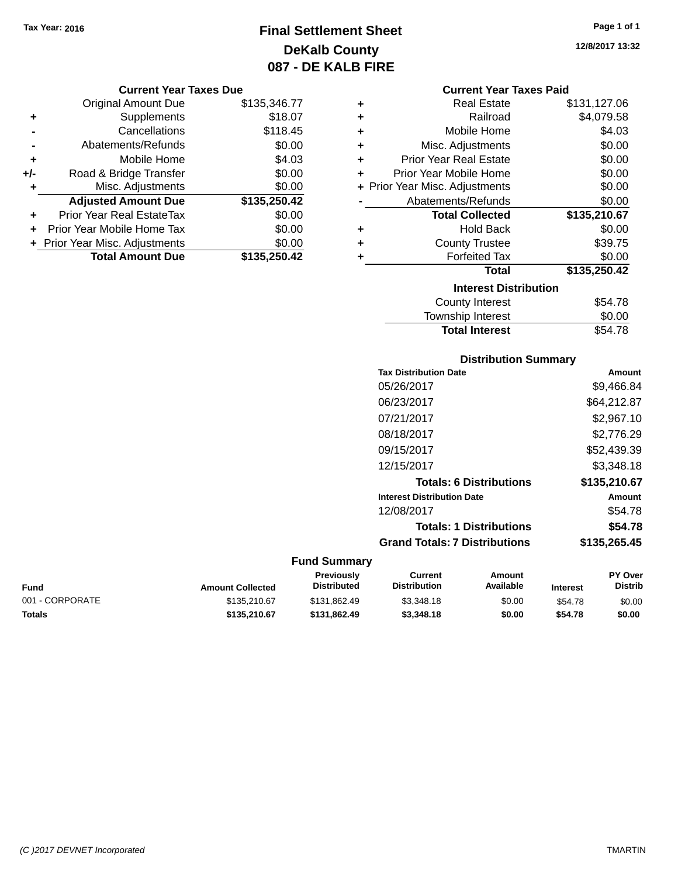# **Final Settlement Sheet Tax Year: 2016 Page 1 of 1 DeKalb County 087 - DE KALB FIRE**

### **Current Year Taxes Due**

|     | <b>Original Amount Due</b>       | \$135,346.77 |
|-----|----------------------------------|--------------|
| ٠   | Supplements                      | \$18.07      |
|     | Cancellations                    | \$118.45     |
|     | Abatements/Refunds               | \$0.00       |
| ٠   | Mobile Home                      | \$4.03       |
| +/- | Road & Bridge Transfer           | \$0.00       |
| ٠   | Misc. Adjustments                | \$0.00       |
|     | <b>Adjusted Amount Due</b>       | \$135,250.42 |
|     | <b>Prior Year Real EstateTax</b> | \$0.00       |
|     | Prior Year Mobile Home Tax       | \$0.00       |
|     | + Prior Year Misc. Adjustments   | \$0.00       |
|     | <b>Total Amount Due</b>          | \$135,250.42 |

### **Current Year Taxes Paid**

| ٠ | Real Estate                    | \$131,127.06 |
|---|--------------------------------|--------------|
| ÷ | Railroad                       | \$4,079.58   |
| ٠ | Mobile Home                    | \$4.03       |
| ٠ | Misc. Adjustments              | \$0.00       |
| ٠ | <b>Prior Year Real Estate</b>  | \$0.00       |
| ٠ | Prior Year Mobile Home         | \$0.00       |
|   | + Prior Year Misc. Adjustments | \$0.00       |
|   | Abatements/Refunds             | \$0.00       |
|   | <b>Total Collected</b>         | \$135,210.67 |
| ٠ | Hold Back                      | \$0.00       |
| ٠ | <b>County Trustee</b>          | \$39.75      |
| ٠ | <b>Forfeited Tax</b>           | \$0.00       |
|   | <b>Total</b>                   | \$135,250.42 |
|   | <b>Interest Distribution</b>   |              |
|   | <b>County Interest</b>         | \$54.78      |
|   | <b>Township Interest</b>       | \$0.00       |
|   | <b>Total Interest</b>          | \$54.78      |

## **Distribution Summary Tax Distribution Date Amount** 05/26/2017 \$9,466.84 06/23/2017 \$64,212.87 07/21/2017 \$2,967.10 08/18/2017 \$2,776.29 09/15/2017 \$52,439.39 12/15/2017 \$3,348.18 **Totals: 6 Distributions \$135,210.67 Interest Distribution Date Amount** 12/08/2017 \$54.78 **Totals: 1 Distributions \$54.78 Grand Totals: 7 Distributions \$135,265.45**

### **Fund Summary**

| Fund            | <b>Amount Collected</b> | Previously<br><b>Distributed</b> | Current<br><b>Distribution</b> | Amount<br>Available | <b>Interest</b> | <b>PY Over</b><br><b>Distrib</b> |
|-----------------|-------------------------|----------------------------------|--------------------------------|---------------------|-----------------|----------------------------------|
| 001 - CORPORATE | \$135.210.67            | \$131.862.49                     | \$3,348.18                     | \$0.00              | \$54.78         | \$0.00                           |
| Totals          | \$135,210.67            | \$131.862.49                     | \$3,348,18                     | \$0.00              | \$54.78         | \$0.00                           |

**12/8/2017 13:32**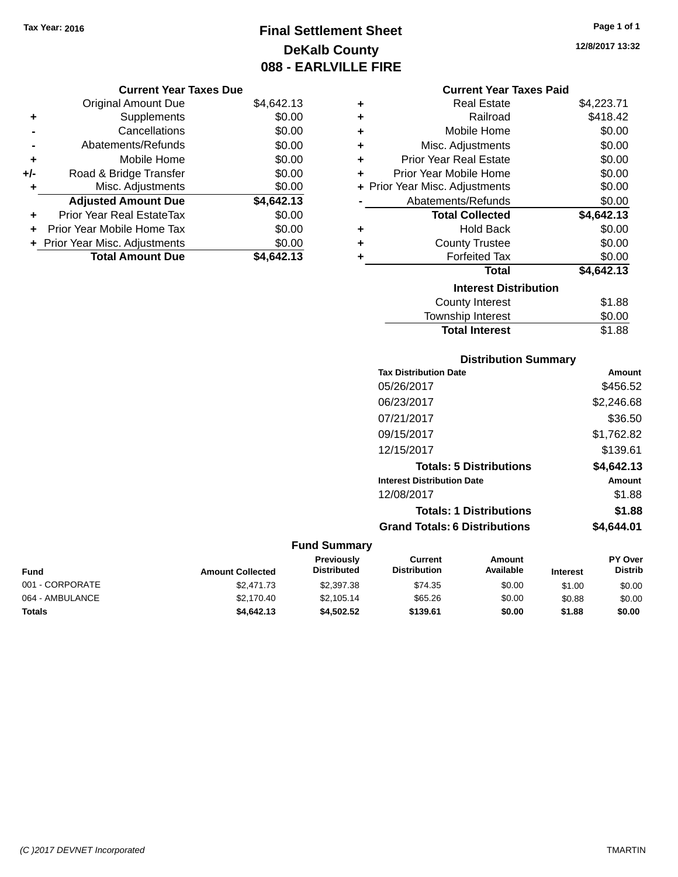# **Final Settlement Sheet Tax Year: 2016 Page 1 of 1 DeKalb County 088 - EARLVILLE FIRE**

**12/8/2017 13:32**

|       | <b>Original Amount Due</b>     | \$4,642.13 |
|-------|--------------------------------|------------|
| ٠     | Supplements                    | \$0.00     |
|       | Cancellations                  | \$0.00     |
|       | Abatements/Refunds             | \$0.00     |
| ÷     | Mobile Home                    | \$0.00     |
| $+/-$ | Road & Bridge Transfer         | \$0.00     |
| ٠     | Misc. Adjustments              | \$0.00     |
|       | <b>Adjusted Amount Due</b>     | \$4,642.13 |
| ÷     | Prior Year Real EstateTax      | \$0.00     |
|       | Prior Year Mobile Home Tax     | \$0.00     |
|       | + Prior Year Misc. Adjustments | \$0.00     |
|       | <b>Total Amount Due</b>        | \$4,642.13 |

## **Current Year Taxes Paid**

| ٠ | Real Estate                    | \$4,223.71 |
|---|--------------------------------|------------|
| ÷ | Railroad                       | \$418.42   |
| ٠ | Mobile Home                    | \$0.00     |
| ÷ | Misc. Adjustments              | \$0.00     |
| ÷ | Prior Year Real Estate         | \$0.00     |
| ٠ | Prior Year Mobile Home         | \$0.00     |
|   | + Prior Year Misc. Adjustments | \$0.00     |
|   | Abatements/Refunds             | \$0.00     |
|   | <b>Total Collected</b>         | \$4,642.13 |
| ٠ | Hold Back                      | \$0.00     |
| ÷ | <b>County Trustee</b>          | \$0.00     |
| ٠ | <b>Forfeited Tax</b>           | \$0.00     |
|   | <b>Total</b>                   | \$4,642.13 |
|   | <b>Interest Distribution</b>   |            |
|   | County Interest                | \$1.88     |
|   | <b>Township Interest</b>       | \$0.00     |
|   | <b>Total Interest</b>          | \$1.88     |

## **Distribution Summary**

| <b>Tax Distribution Date</b>         | <b>Amount</b> |
|--------------------------------------|---------------|
| 05/26/2017                           | \$456.52      |
| 06/23/2017                           | \$2,246.68    |
| 07/21/2017                           | \$36.50       |
| 09/15/2017                           | \$1,762.82    |
| 12/15/2017                           | \$139.61      |
| <b>Totals: 5 Distributions</b>       | \$4,642.13    |
| <b>Interest Distribution Date</b>    | Amount        |
| 12/08/2017                           | \$1.88        |
| <b>Totals: 1 Distributions</b>       | \$1.88        |
| <b>Grand Totals: 6 Distributions</b> | \$4.644.01    |

| Fund            | <b>Amount Collected</b> | <b>Previously</b><br>Distributed | Current<br><b>Distribution</b> | Amount<br>Available | <b>Interest</b> | <b>PY Over</b><br>Distrib |
|-----------------|-------------------------|----------------------------------|--------------------------------|---------------------|-----------------|---------------------------|
| 001 - CORPORATE | \$2,471.73              | \$2,397.38                       | \$74.35                        | \$0.00              | \$1.00          | \$0.00                    |
| 064 - AMBULANCE | \$2.170.40              | \$2.105.14                       | \$65.26                        | \$0.00              | \$0.88          | \$0.00                    |
| <b>Totals</b>   | \$4,642.13              | \$4,502.52                       | \$139.61                       | \$0.00              | \$1.88          | \$0.00                    |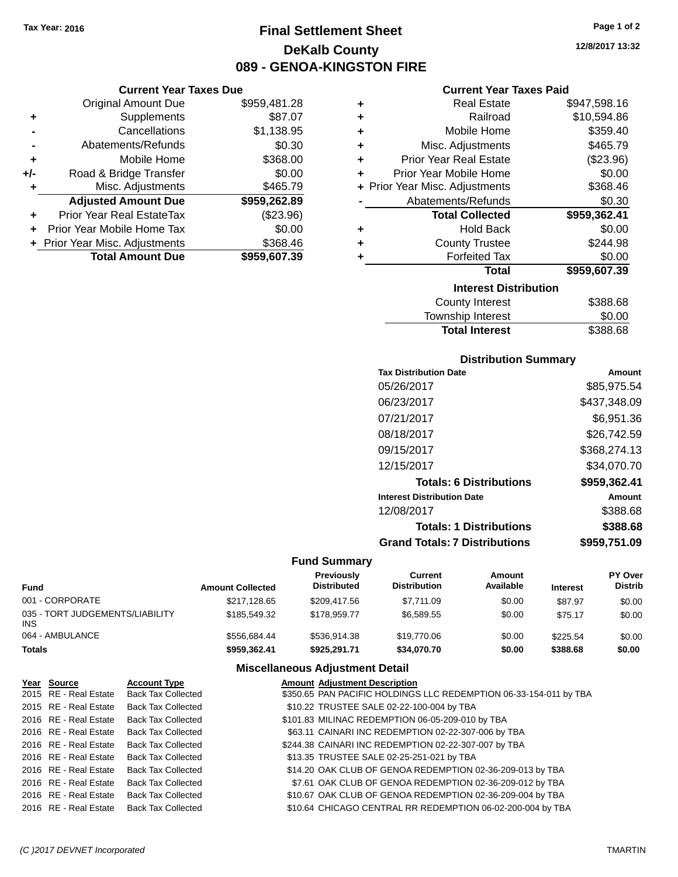**Current Year Taxes Due** Original Amount Due \$959,481.28

**Adjusted Amount Due \$959,262.89**

**Total Amount Due \$959,607.39**

**+** Supplements \$87.07 **-** Cancellations \$1,138.95 **-** Abatements/Refunds \$0.30 **+** Mobile Home \$368.00 **+/-** Road & Bridge Transfer \$0.00 **+** Misc. Adjustments \$465.79

**+** Prior Year Real EstateTax (\$23.96) **+** Prior Year Mobile Home Tax \$0.00 **+ Prior Year Misc. Adjustments \$368.46** 

# **Final Settlement Sheet Tax Year: 2016 Page 1 of 2 DeKalb County 089 - GENOA-KINGSTON FIRE**

**12/8/2017 13:32**

## **Current Year Taxes Paid**

| ٠ | <b>Real Estate</b>             | \$947,598.16 |
|---|--------------------------------|--------------|
| ٠ | Railroad                       | \$10,594.86  |
| ٠ | Mobile Home                    | \$359.40     |
| ٠ | Misc. Adjustments              | \$465.79     |
| ٠ | <b>Prior Year Real Estate</b>  | (\$23.96)    |
| ٠ | Prior Year Mobile Home         | \$0.00       |
|   | + Prior Year Misc. Adjustments | \$368.46     |
|   | Abatements/Refunds             | \$0.30       |
|   | <b>Total Collected</b>         | \$959,362.41 |
| ٠ | <b>Hold Back</b>               | \$0.00       |
| ٠ | <b>County Trustee</b>          | \$244.98     |
| ٠ | <b>Forfeited Tax</b>           | \$0.00       |
|   | <b>Total</b>                   | \$959,607.39 |
|   | <b>Interest Distribution</b>   |              |
|   | <b>County Interest</b>         | \$388.68     |
|   | Townehin Interact              | ቁስ ሰስ        |

# Township Interest  $$0.00$ **Total Interest** \$388.68

## **Distribution Summary**

| <b>Tax Distribution Date</b>         | Amount       |
|--------------------------------------|--------------|
| 05/26/2017                           | \$85,975.54  |
| 06/23/2017                           | \$437,348.09 |
| 07/21/2017                           | \$6,951.36   |
| 08/18/2017                           | \$26,742.59  |
| 09/15/2017                           | \$368,274.13 |
| 12/15/2017                           | \$34,070.70  |
| <b>Totals: 6 Distributions</b>       | \$959,362.41 |
| <b>Interest Distribution Date</b>    | Amount       |
| 12/08/2017                           | \$388.68     |
| <b>Totals: 1 Distributions</b>       | \$388.68     |
| <b>Grand Totals: 7 Distributions</b> | \$959,751.09 |

### **Fund Summary**

| Fund                                   | <b>Amount Collected</b> | <b>Previously</b><br><b>Distributed</b> | Current<br><b>Distribution</b> | Amount<br>Available | <b>Interest</b> | <b>PY Over</b><br><b>Distrib</b> |
|----------------------------------------|-------------------------|-----------------------------------------|--------------------------------|---------------------|-----------------|----------------------------------|
| 001 - CORPORATE                        | \$217,128.65            | \$209,417.56                            | \$7,711.09                     | \$0.00              | \$87.97         | \$0.00                           |
| 035 - TORT JUDGEMENTS/LIABILITY<br>INS | \$185,549,32            | \$178,959.77                            | \$6.589.55                     | \$0.00              | \$75.17         | \$0.00                           |
| 064 - AMBULANCE                        | \$556.684.44            | \$536.914.38                            | \$19,770.06                    | \$0.00              | \$225.54        | \$0.00                           |
| Totals                                 | \$959,362.41            | \$925.291.71                            | \$34,070.70                    | \$0.00              | \$388.68        | \$0.00                           |

| Year Source           | <b>Account Type</b>       | <b>Amount Adjustment Description</b>                              |
|-----------------------|---------------------------|-------------------------------------------------------------------|
| 2015 RE - Real Estate | <b>Back Tax Collected</b> | \$350.65 PAN PACIFIC HOLDINGS LLC REDEMPTION 06-33-154-011 by TBA |
| 2015 RE - Real Estate | <b>Back Tax Collected</b> | \$10.22 TRUSTEE SALE 02-22-100-004 by TBA                         |
| 2016 RE - Real Estate | <b>Back Tax Collected</b> | \$101.83 MILINAC REDEMPTION 06-05-209-010 by TBA                  |
| 2016 RE - Real Estate | <b>Back Tax Collected</b> | \$63.11 CAINARI INC REDEMPTION 02-22-307-006 by TBA               |
| 2016 RE - Real Estate | <b>Back Tax Collected</b> | \$244.38 CAINARI INC REDEMPTION 02-22-307-007 by TBA              |
| 2016 RE - Real Estate | <b>Back Tax Collected</b> | \$13.35 TRUSTEE SALE 02-25-251-021 by TBA                         |
| 2016 RE - Real Estate | <b>Back Tax Collected</b> | \$14.20 OAK CLUB OF GENOA REDEMPTION 02-36-209-013 by TBA         |
| 2016 RE - Real Estate | <b>Back Tax Collected</b> | \$7.61 OAK CLUB OF GENOA REDEMPTION 02-36-209-012 by TBA          |
| 2016 RE - Real Estate | <b>Back Tax Collected</b> | \$10.67 OAK CLUB OF GENOA REDEMPTION 02-36-209-004 by TBA         |
| 2016 RE - Real Estate | <b>Back Tax Collected</b> | \$10.64 CHICAGO CENTRAL RR REDEMPTION 06-02-200-004 by TBA        |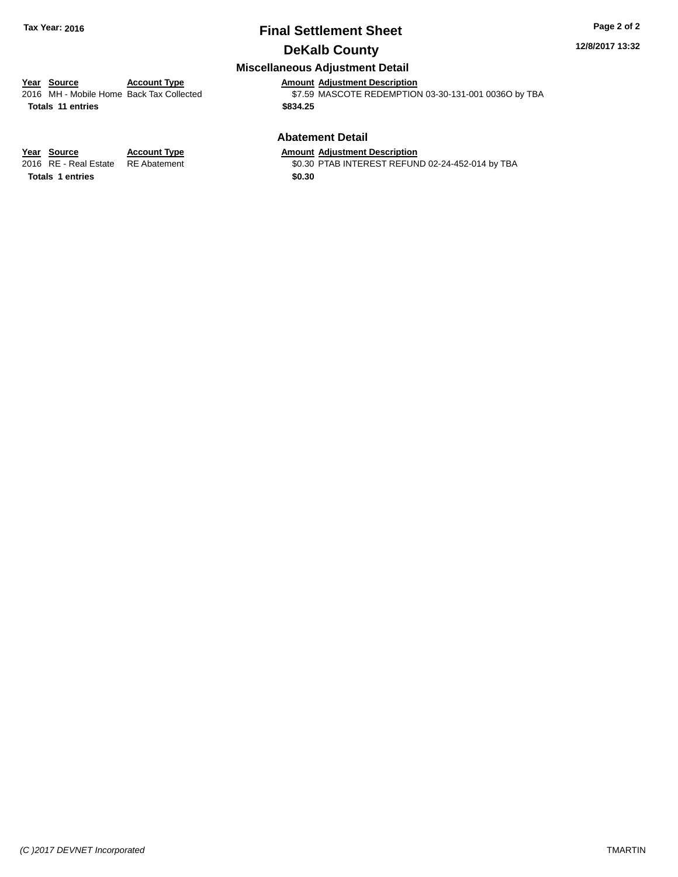## **Final Settlement Sheet Tax Year: 2016 Page 2 of 2 DeKalb County**

### **12/8/2017 13:32**

## **Miscellaneous Adjustment Detail**

# **Year** Source **Account Type Account Adjustment Description**

**Totals 11 entries \$834.25**

2016 MH - Mobile Home Back Tax Collected \$7.59 MASCOTE REDEMPTION 03-30-131-001 0036O by TBA

## **Abatement Detail**

\$0.30 PTAB INTEREST REFUND 02-24-452-014 by TBA

**Year Source Account Type Amount Adjustment Description**<br>2016 RE - Real Estate RE Abatement \$0.30 PTAB INTEREST REFUN **Totals 1 entries \$0.30**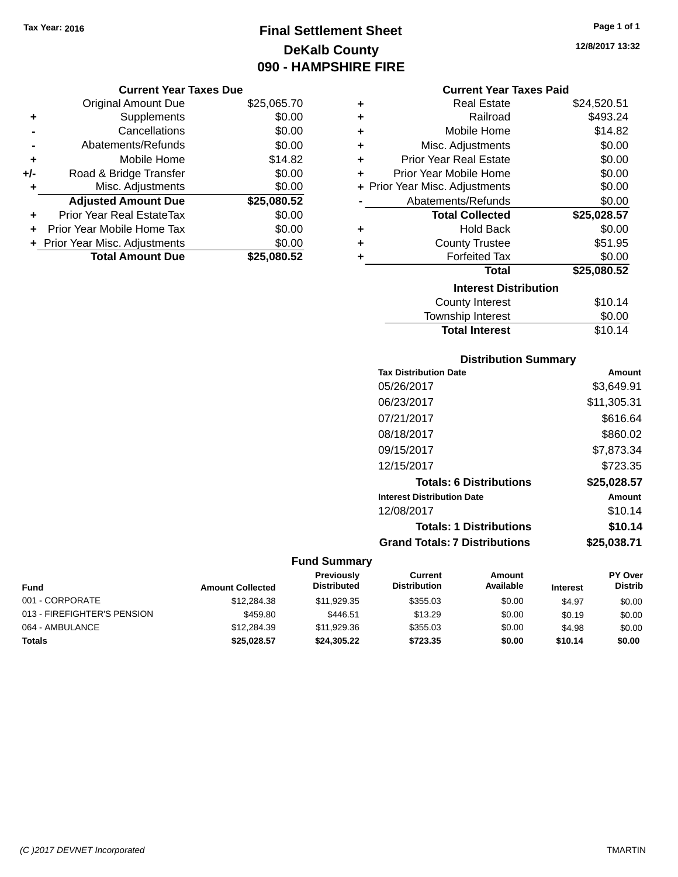**Current Year Taxes Due** Original Amount Due \$25,065.70

**Adjusted Amount Due \$25,080.52**

**Total Amount Due \$25,080.52**

**+** Supplements \$0.00 **-** Cancellations \$0.00 **-** Abatements/Refunds \$0.00 **+** Mobile Home \$14.82 **+/-** Road & Bridge Transfer \$0.00<br> **+** Misc. Adjustments \$0.00

**+** Prior Year Real EstateTax \$0.00 **+** Prior Year Mobile Home Tax \$0.00 **+ Prior Year Misc. Adjustments**  $$0.00$ 

**+** Misc. Adjustments

# **Final Settlement Sheet Tax Year: 2016 Page 1 of 1 DeKalb County 090 - HAMPSHIRE FIRE**

**12/8/2017 13:32**

### **Current Year Taxes Paid**

| ٠ | <b>Real Estate</b>             | \$24,520.51 |
|---|--------------------------------|-------------|
| ÷ | Railroad                       | \$493.24    |
| ÷ | Mobile Home                    | \$14.82     |
| ÷ | Misc. Adjustments              | \$0.00      |
| ÷ | <b>Prior Year Real Estate</b>  | \$0.00      |
| ÷ | Prior Year Mobile Home         | \$0.00      |
|   | + Prior Year Misc. Adjustments | \$0.00      |
|   | Abatements/Refunds             | \$0.00      |
|   | <b>Total Collected</b>         | \$25,028.57 |
| ÷ | Hold Back                      | \$0.00      |
| ٠ | <b>County Trustee</b>          | \$51.95     |
| ٠ | <b>Forfeited Tax</b>           | \$0.00      |
|   | <b>Total</b>                   | \$25,080.52 |
|   | <b>Interest Distribution</b>   |             |
|   | County Interest                | \$10.14     |
|   | <b>Township Interest</b>       | \$0.00      |
|   | <b>Total Interest</b>          | \$10.14     |

# **Distribution Summary Tax Distribution Date Amount**

| 05/26/2017                           | \$3,649.91  |
|--------------------------------------|-------------|
| 06/23/2017                           | \$11,305.31 |
| 07/21/2017                           | \$616.64    |
| 08/18/2017                           | \$860.02    |
| 09/15/2017                           | \$7,873.34  |
| 12/15/2017                           | \$723.35    |
| <b>Totals: 6 Distributions</b>       | \$25,028.57 |
| <b>Interest Distribution Date</b>    | Amount      |
| 12/08/2017                           | \$10.14     |
| <b>Totals: 1 Distributions</b>       | \$10.14     |
| <b>Grand Totals: 7 Distributions</b> | \$25.038.71 |

| <b>Fund</b>                 | <b>Amount Collected</b> | <b>Previously</b><br><b>Distributed</b> | Current<br><b>Distribution</b> | Amount<br>Available | <b>Interest</b> | <b>PY Over</b><br><b>Distrib</b> |
|-----------------------------|-------------------------|-----------------------------------------|--------------------------------|---------------------|-----------------|----------------------------------|
| 001 - CORPORATE             | \$12,284.38             | \$11,929.35                             | \$355.03                       | \$0.00              | \$4.97          | \$0.00                           |
| 013 - FIREFIGHTER'S PENSION | \$459.80                | \$446.51                                | \$13.29                        | \$0.00              | \$0.19          | \$0.00                           |
| 064 - AMBULANCE             | \$12,284.39             | \$11,929.36                             | \$355.03                       | \$0.00              | \$4.98          | \$0.00                           |
| <b>Totals</b>               | \$25.028.57             | \$24,305,22                             | \$723.35                       | \$0.00              | \$10.14         | \$0.00                           |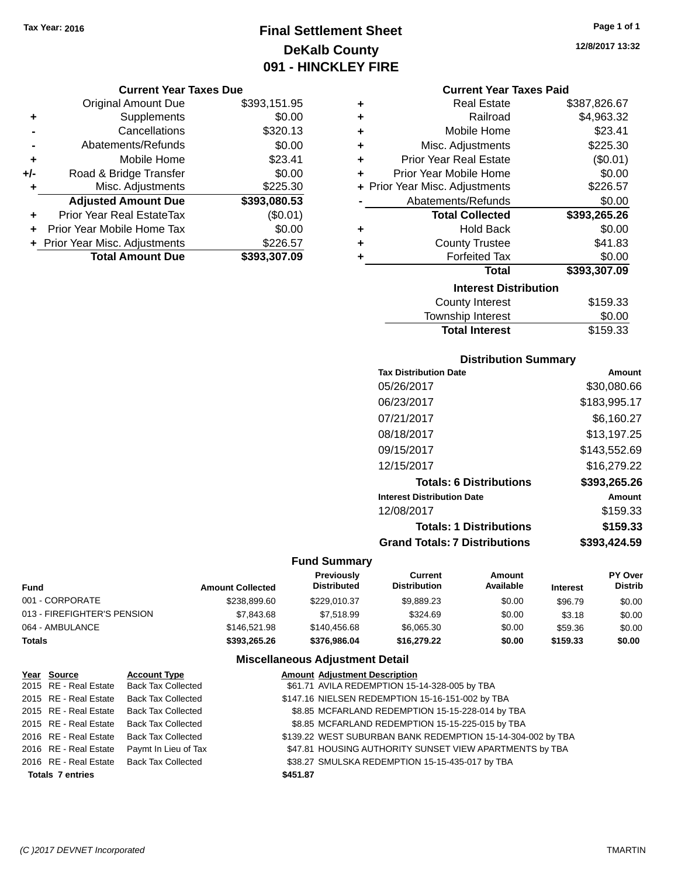# **Final Settlement Sheet Tax Year: 2016 Page 1 of 1 DeKalb County 091 - HINCKLEY FIRE**

### **Current Year Taxes Due**

|       | <b>Original Amount Due</b>       | \$393,151.95 |
|-------|----------------------------------|--------------|
| ٠     | Supplements                      | \$0.00       |
|       | Cancellations                    | \$320.13     |
|       | Abatements/Refunds               | \$0.00       |
| ٠     | Mobile Home                      | \$23.41      |
| $+/-$ | Road & Bridge Transfer           | \$0.00       |
| ٠     | Misc. Adjustments                | \$225.30     |
|       | <b>Adjusted Amount Due</b>       | \$393,080.53 |
|       | <b>Prior Year Real EstateTax</b> | (\$0.01)     |
|       | Prior Year Mobile Home Tax       | \$0.00       |
|       | + Prior Year Misc. Adjustments   | \$226.57     |
|       | <b>Total Amount Due</b>          | \$393,307.09 |

| ٠ | <b>Real Estate</b>             | \$387,826.67 |
|---|--------------------------------|--------------|
| ٠ | Railroad                       | \$4,963.32   |
| ٠ | Mobile Home                    | \$23.41      |
| ٠ | Misc. Adjustments              | \$225.30     |
| ٠ | <b>Prior Year Real Estate</b>  | (\$0.01)     |
| ٠ | Prior Year Mobile Home         | \$0.00       |
|   | + Prior Year Misc. Adjustments | \$226.57     |
|   | Abatements/Refunds             | \$0.00       |
|   | <b>Total Collected</b>         | \$393,265.26 |
| ٠ | <b>Hold Back</b>               | \$0.00       |
| ٠ | <b>County Trustee</b>          | \$41.83      |
| ٠ | <b>Forfeited Tax</b>           | \$0.00       |
|   | <b>Total</b>                   | \$393,307.09 |
|   |                                |              |
|   | <b>Interest Distribution</b>   |              |
|   | <b>County Interest</b>         | \$159.33     |

# Township Interest **10.00**<br>Total Interest **10.000** \$159.33 **Total Interest**

## **Distribution Summary**

| <b>Tax Distribution Date</b>         | Amount       |
|--------------------------------------|--------------|
| 05/26/2017                           | \$30,080.66  |
| 06/23/2017                           | \$183,995.17 |
| 07/21/2017                           | \$6,160.27   |
| 08/18/2017                           | \$13,197.25  |
| 09/15/2017                           | \$143,552.69 |
| 12/15/2017                           | \$16,279.22  |
| <b>Totals: 6 Distributions</b>       | \$393,265.26 |
| <b>Interest Distribution Date</b>    | Amount       |
| 12/08/2017                           | \$159.33     |
| <b>Totals: 1 Distributions</b>       | \$159.33     |
| <b>Grand Totals: 7 Distributions</b> | \$393.424.59 |
|                                      |              |

## **Fund Summary**

| Fund                        | <b>Amount Collected</b> | <b>Previously</b><br><b>Distributed</b> | Current<br><b>Distribution</b> | Amount<br>Available | <b>Interest</b> | <b>PY Over</b><br><b>Distrib</b> |
|-----------------------------|-------------------------|-----------------------------------------|--------------------------------|---------------------|-----------------|----------------------------------|
| 001 - CORPORATE             | \$238,899.60            | \$229.010.37                            | \$9.889.23                     | \$0.00              | \$96.79         | \$0.00                           |
| 013 - FIREFIGHTER'S PENSION | \$7.843.68              | \$7.518.99                              | \$324.69                       | \$0.00              | \$3.18          | \$0.00                           |
| 064 - AMBULANCE             | \$146,521.98            | \$140,456.68                            | \$6.065.30                     | \$0.00              | \$59.36         | \$0.00                           |
| Totals                      | \$393,265.26            | \$376,986,04                            | \$16,279,22                    | \$0.00              | \$159.33        | \$0.00                           |

## **Miscellaneous Adjustment Detail**

| Year Source             | <b>Account Type</b>                      |          | <b>Amount Adjustment Description</b>                        |
|-------------------------|------------------------------------------|----------|-------------------------------------------------------------|
|                         | 2015 RE - Real Estate Back Tax Collected |          | \$61.71 AVILA REDEMPTION 15-14-328-005 by TBA               |
| 2015 RE - Real Estate   | <b>Back Tax Collected</b>                |          | \$147.16 NIELSEN REDEMPTION 15-16-151-002 by TBA            |
| 2015 RE - Real Estate   | <b>Back Tax Collected</b>                |          | \$8.85 MCFARLAND REDEMPTION 15-15-228-014 by TBA            |
|                         | 2015 RE - Real Estate Back Tax Collected |          | \$8.85 MCFARLAND REDEMPTION 15-15-225-015 by TBA            |
|                         | 2016 RE - Real Estate Back Tax Collected |          | \$139.22 WEST SUBURBAN BANK REDEMPTION 15-14-304-002 by TBA |
| 2016 RE - Real Estate   | Paymt In Lieu of Tax                     |          | \$47.81 HOUSING AUTHORITY SUNSET VIEW APARTMENTS by TBA     |
|                         | 2016 RE - Real Estate Back Tax Collected |          | \$38.27 SMULSKA REDEMPTION 15-15-435-017 by TBA             |
| <b>Totals 7 entries</b> |                                          | \$451.87 |                                                             |

**12/8/2017 13:32**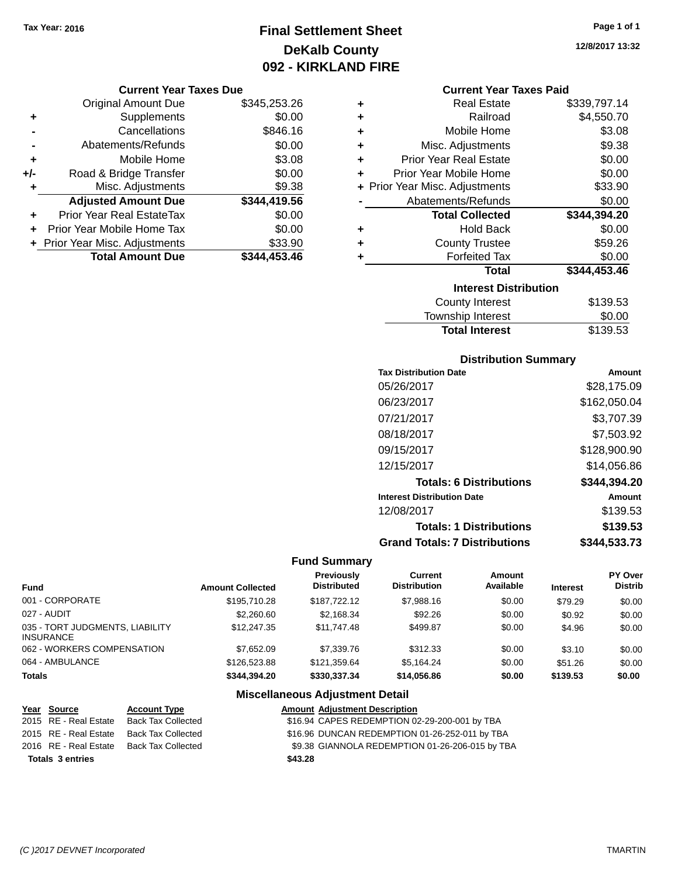# **Final Settlement Sheet Tax Year: 2016 Page 1 of 1 DeKalb County 092 - KIRKLAND FIRE**

### **Current Year Taxes Due**

|       | <b>Original Amount Due</b>       | \$345,253.26 |
|-------|----------------------------------|--------------|
| ٠     | Supplements                      | \$0.00       |
|       | Cancellations                    | \$846.16     |
|       | Abatements/Refunds               | \$0.00       |
| ٠     | Mobile Home                      | \$3.08       |
| $+/-$ | Road & Bridge Transfer           | \$0.00       |
| ٠     | Misc. Adjustments                | \$9.38       |
|       | <b>Adjusted Amount Due</b>       | \$344,419.56 |
| ÷     | <b>Prior Year Real EstateTax</b> | \$0.00       |
|       | Prior Year Mobile Home Tax       | \$0.00       |
|       | + Prior Year Misc. Adjustments   | \$33.90      |
|       | <b>Total Amount Due</b>          | \$344.453.46 |

### **Current Year Taxes Paid**

| ٠ | <b>Real Estate</b>             | \$339,797.14 |
|---|--------------------------------|--------------|
| ٠ | Railroad                       | \$4,550.70   |
| ÷ | Mobile Home                    | \$3.08       |
| ٠ | Misc. Adjustments              | \$9.38       |
| ٠ | <b>Prior Year Real Estate</b>  | \$0.00       |
| ٠ | Prior Year Mobile Home         | \$0.00       |
|   | + Prior Year Misc. Adjustments | \$33.90      |
|   | Abatements/Refunds             | \$0.00       |
|   |                                |              |
|   | <b>Total Collected</b>         | \$344,394.20 |
| ٠ | <b>Hold Back</b>               | \$0.00       |
| ÷ | <b>County Trustee</b>          | \$59.26      |
| ٠ | <b>Forfeited Tax</b>           | \$0.00       |
|   | <b>Total</b>                   | \$344,453.46 |
|   | <b>Interest Distribution</b>   |              |
|   | <b>County Interest</b>         | \$139.53     |

## **Distribution Summary**

Total Interest \$139.53

| <b>Tax Distribution Date</b>         | Amount        |
|--------------------------------------|---------------|
| 05/26/2017                           | \$28,175.09   |
| 06/23/2017                           | \$162,050,04  |
| 07/21/2017                           | \$3,707.39    |
| 08/18/2017                           | \$7,503.92    |
| 09/15/2017                           | \$128,900.90  |
| 12/15/2017                           | \$14,056.86   |
| <b>Totals: 6 Distributions</b>       | \$344,394.20  |
| <b>Interest Distribution Date</b>    | <b>Amount</b> |
| 12/08/2017                           | \$139.53      |
| <b>Totals: 1 Distributions</b>       | \$139.53      |
| <b>Grand Totals: 7 Distributions</b> | \$344,533.73  |

## **Fund Summary**

|                                                     |                         | Previously<br><b>Distributed</b> | <b>Current</b><br><b>Distribution</b> | Amount<br>Available |                 | <b>PY Over</b><br><b>Distrib</b> |
|-----------------------------------------------------|-------------------------|----------------------------------|---------------------------------------|---------------------|-----------------|----------------------------------|
| <b>Fund</b>                                         | <b>Amount Collected</b> |                                  |                                       |                     | <b>Interest</b> |                                  |
| 001 - CORPORATE                                     | \$195,710.28            | \$187.722.12                     | \$7,988.16                            | \$0.00              | \$79.29         | \$0.00                           |
| 027 - AUDIT                                         | \$2,260.60              | \$2,168.34                       | \$92.26                               | \$0.00              | \$0.92          | \$0.00                           |
| 035 - TORT JUDGMENTS, LIABILITY<br><b>INSURANCE</b> | \$12,247.35             | \$11,747.48                      | \$499.87                              | \$0.00              | \$4.96          | \$0.00                           |
| 062 - WORKERS COMPENSATION                          | \$7,652.09              | \$7,339.76                       | \$312.33                              | \$0.00              | \$3.10          | \$0.00                           |
| 064 - AMBULANCE                                     | \$126,523,88            | \$121.359.64                     | \$5.164.24                            | \$0.00              | \$51.26         | \$0.00                           |
| <b>Totals</b>                                       | \$344.394.20            | \$330,337,34                     | \$14,056.86                           | \$0.00              | \$139.53        | \$0.00                           |

| Year Source             | <b>Account Type</b> | <b>Amount Adjustment Description</b>            |  |
|-------------------------|---------------------|-------------------------------------------------|--|
| 2015 RE - Real Estate   | Back Tax Collected  | \$16.94 CAPES REDEMPTION 02-29-200-001 by TBA   |  |
| 2015 RE - Real Estate   | Back Tax Collected  | \$16.96 DUNCAN REDEMPTION 01-26-252-011 by TBA  |  |
| 2016 RE - Real Estate   | Back Tax Collected  | \$9.38 GIANNOLA REDEMPTION 01-26-206-015 by TBA |  |
| <b>Totals 3 entries</b> |                     | \$43.28                                         |  |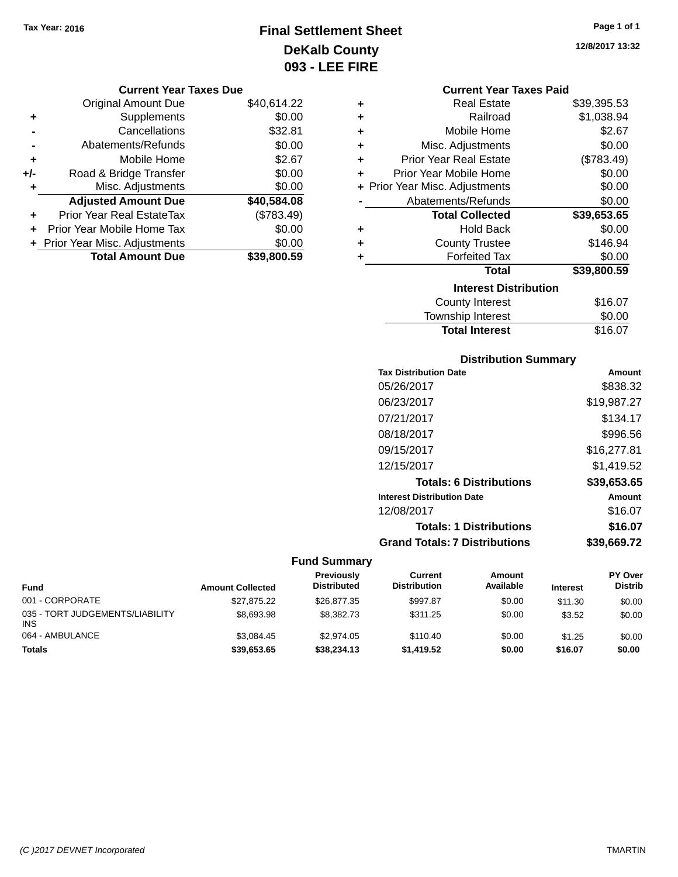# **Final Settlement Sheet Tax Year: 2016 Page 1 of 1 DeKalb County 093 - LEE FIRE**

**12/8/2017 13:32**

## **Current Year Taxes Due**

|     | <b>Original Amount Due</b>     | \$40,614.22 |
|-----|--------------------------------|-------------|
| ٠   | Supplements                    | \$0.00      |
|     | Cancellations                  | \$32.81     |
|     | Abatements/Refunds             | \$0.00      |
| ٠   | Mobile Home                    | \$2.67      |
| +/- | Road & Bridge Transfer         | \$0.00      |
| ٠   | Misc. Adjustments              | \$0.00      |
|     | <b>Adjusted Amount Due</b>     | \$40,584.08 |
| ÷   | Prior Year Real EstateTax      | (\$783.49)  |
|     | Prior Year Mobile Home Tax     | \$0.00      |
|     | + Prior Year Misc. Adjustments | \$0.00      |
|     | <b>Total Amount Due</b>        | \$39,800,59 |

|   | <b>Current Year Taxes Paid</b> |             |  |  |  |
|---|--------------------------------|-------------|--|--|--|
| ٠ | <b>Real Estate</b>             | \$39,395.53 |  |  |  |
| ÷ | Railroad                       | \$1,038.94  |  |  |  |
| ÷ | Mobile Home                    | \$2.67      |  |  |  |
| ٠ | Misc. Adjustments              | \$0.00      |  |  |  |
| ٠ | <b>Prior Year Real Estate</b>  | (\$783.49)  |  |  |  |
| ٠ | Prior Year Mobile Home         | \$0.00      |  |  |  |
|   | + Prior Year Misc. Adjustments | \$0.00      |  |  |  |
|   | Abatements/Refunds             | \$0.00      |  |  |  |
|   | <b>Total Collected</b>         | \$39,653.65 |  |  |  |
| ٠ | <b>Hold Back</b>               | \$0.00      |  |  |  |
| ٠ | <b>County Trustee</b>          | \$146.94    |  |  |  |
| ٠ | <b>Forfeited Tax</b>           | \$0.00      |  |  |  |
|   | <b>Total</b>                   | \$39,800.59 |  |  |  |
|   | <b>Interest Distribution</b>   |             |  |  |  |
|   | <b>County Interest</b>         | \$16.07     |  |  |  |
|   | <b>Township Interest</b>       | \$0.00      |  |  |  |

## **Distribution Summary Tax Distribution Date Amount** 05/26/2017 \$838.32 06/23/2017 \$19,987.27 07/21/2017 \$134.17 08/18/2017 \$996.56 09/15/2017 \$16,277.81 12/15/2017 \$1,419.52 **Totals: 6 Distributions \$39,653.65 Interest Distribution Date Amount** 12/08/2017 \$16.07

**Totals: 1 Distributions \$16.07**

Total Interest \$16.07

**Grand Totals: 7 Distributions \$39,669.72**

| <b>Fund</b>                                   | <b>Amount Collected</b> | Previously<br><b>Distributed</b> | Current<br><b>Distribution</b> | Amount<br>Available | <b>Interest</b> | PY Over<br><b>Distrib</b> |
|-----------------------------------------------|-------------------------|----------------------------------|--------------------------------|---------------------|-----------------|---------------------------|
| 001 - CORPORATE                               | \$27.875.22             | \$26,877,35                      | \$997.87                       | \$0.00              | \$11.30         | \$0.00                    |
| 035 - TORT JUDGEMENTS/LIABILITY<br><b>INS</b> | \$8,693.98              | \$8,382.73                       | \$311.25                       | \$0.00              | \$3.52          | \$0.00                    |
| 064 - AMBULANCE                               | \$3.084.45              | \$2,974.05                       | \$110.40                       | \$0.00              | \$1.25          | \$0.00                    |
| <b>Totals</b>                                 | \$39,653.65             | \$38,234.13                      | \$1,419.52                     | \$0.00              | \$16.07         | \$0.00                    |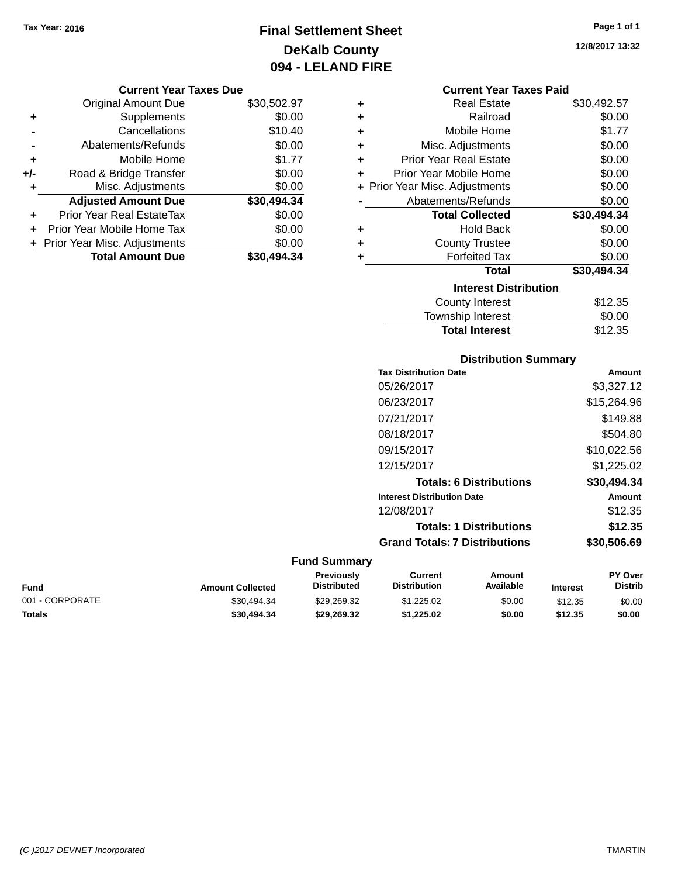# **Final Settlement Sheet Tax Year: 2016 Page 1 of 1 DeKalb County 094 - LELAND FIRE**

**12/8/2017 13:32**

| <b>Current Year Taxes Due</b> |                                |
|-------------------------------|--------------------------------|
| <b>Original Amount Due</b>    | \$30,502.97                    |
| Supplements                   | \$0.00                         |
| Cancellations                 | \$10.40                        |
| Abatements/Refunds            | \$0.00                         |
| Mobile Home                   | \$1.77                         |
| Road & Bridge Transfer        | \$0.00                         |
| Misc. Adjustments             | \$0.00                         |
| <b>Adjusted Amount Due</b>    | \$30,494.34                    |
| Prior Year Real EstateTax     | \$0.00                         |
| Prior Year Mobile Home Tax    | \$0.00                         |
|                               | \$0.00                         |
| <b>Total Amount Due</b>       | \$30.494.34                    |
|                               | + Prior Year Misc. Adjustments |

|   | <b>Current Year Taxes Paid</b> |             |
|---|--------------------------------|-------------|
| ٠ | <b>Real Estate</b>             | \$30,492.57 |
| ٠ | Railroad                       | \$0.00      |
| ÷ | Mobile Home                    | \$1.77      |
| ٠ | Misc. Adjustments              | \$0.00      |
| ٠ | <b>Prior Year Real Estate</b>  | \$0.00      |
| ٠ | Prior Year Mobile Home         | \$0.00      |
|   | + Prior Year Misc. Adjustments | \$0.00      |
|   | Abatements/Refunds             | \$0.00      |
|   | <b>Total Collected</b>         | \$30,494.34 |
| ٠ | <b>Hold Back</b>               | \$0.00      |
| ÷ | <b>County Trustee</b>          | \$0.00      |
| ٠ | <b>Forfeited Tax</b>           | \$0.00      |
|   | <b>Total</b>                   | \$30,494.34 |
|   | <b>Interest Distribution</b>   |             |
|   | County Interest                | \$12.35     |
|   | <b>Township Interest</b>       | \$0.00      |
|   | <b>Total Interest</b>          | \$12.35     |

## **Distribution Summary Tax Distribution Date Amount** 05/26/2017 \$3,327.12 06/23/2017 \$15,264.96 07/21/2017 \$149.88 08/18/2017 \$504.80 09/15/2017 \$10,022.56 12/15/2017 \$1,225.02 **Totals: 6 Distributions \$30,494.34 Interest Distribution Date Amount** 12/08/2017 \$12.35 **Totals: 1 Distributions \$12.35 Grand Totals: 7 Distributions \$30,506.69**

| Fund            | <b>Amount Collected</b> | Previously<br><b>Distributed</b> | Current<br><b>Distribution</b> | Amount<br><b>Available</b> | <b>Interest</b> | <b>PY Over</b><br><b>Distrib</b> |
|-----------------|-------------------------|----------------------------------|--------------------------------|----------------------------|-----------------|----------------------------------|
| 001 - CORPORATE | \$30.494.34             | \$29.269.32                      | \$1,225.02                     | \$0.00                     | \$12.35         | \$0.00                           |
| Totals          | \$30,494.34             | \$29.269.32                      | \$1.225.02                     | \$0.00                     | \$12.35         | \$0.00                           |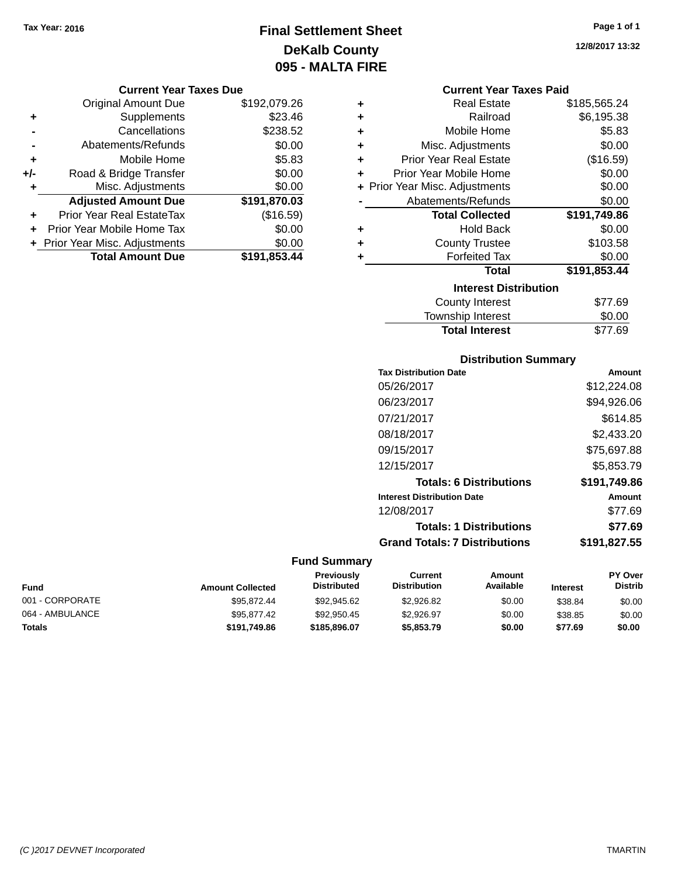# **Final Settlement Sheet Tax Year: 2016 Page 1 of 1 DeKalb County 095 - MALTA FIRE**

#### **Current Year Taxes Due**

|     | <b>Original Amount Due</b>       | \$192,079.26 |
|-----|----------------------------------|--------------|
| ٠   | Supplements                      | \$23.46      |
|     | Cancellations                    | \$238.52     |
|     | Abatements/Refunds               | \$0.00       |
| ٠   | Mobile Home                      | \$5.83       |
| +/- | Road & Bridge Transfer           | \$0.00       |
| ۰   | Misc. Adjustments                | \$0.00       |
|     | <b>Adjusted Amount Due</b>       | \$191,870.03 |
|     | <b>Prior Year Real EstateTax</b> | (\$16.59)    |
|     | Prior Year Mobile Home Tax       | \$0.00       |
|     | + Prior Year Misc. Adjustments   | \$0.00       |
|     | <b>Total Amount Due</b>          | \$191,853.44 |

#### **Current Year Taxes Paid**

| ٠ | <b>Real Estate</b>             | \$185,565.24 |
|---|--------------------------------|--------------|
| ٠ | Railroad                       | \$6,195.38   |
| ٠ | Mobile Home                    | \$5.83       |
| ٠ | Misc. Adjustments              | \$0.00       |
| ٠ | <b>Prior Year Real Estate</b>  | (\$16.59)    |
| ٠ | Prior Year Mobile Home         | \$0.00       |
|   | + Prior Year Misc. Adjustments | \$0.00       |
|   | Abatements/Refunds             | \$0.00       |
|   | <b>Total Collected</b>         | \$191,749.86 |
| ٠ | Hold Back                      | \$0.00       |
| ٠ | <b>County Trustee</b>          | \$103.58     |
| ٠ | <b>Forfeited Tax</b>           | \$0.00       |
|   | <b>Total</b>                   | \$191,853.44 |
|   | <b>Interest Distribution</b>   |              |
|   | <b>County Interest</b>         | \$77.69      |
|   | <b>Township Interest</b>       | \$0.00       |
|   | <b>Total Interest</b>          | \$77.69      |

## **Distribution Summary Tax Distribution Date Amount** 05/26/2017 \$12,224.08 06/23/2017 \$94,926.06 07/21/2017 \$614.85 08/18/2017 \$2,433.20 09/15/2017 \$75,697.88 12/15/2017 \$5,853.79 **Totals: 6 Distributions \$191,749.86 Interest Distribution Date Amount** 12/08/2017 \$77.69 **Totals: 1 Distributions \$77.69 Grand Totals: 7 Distributions \$191,827.55**

#### **Fund Summary**

| Fund            | <b>Amount Collected</b> | <b>Previously</b><br><b>Distributed</b> | Current<br><b>Distribution</b> | Amount<br>Available | <b>Interest</b> | PY Over<br><b>Distrib</b> |
|-----------------|-------------------------|-----------------------------------------|--------------------------------|---------------------|-----------------|---------------------------|
| 001 - CORPORATE | \$95.872.44             | \$92,945.62                             | \$2.926.82                     | \$0.00              | \$38.84         | \$0.00                    |
| 064 - AMBULANCE | \$95,877,42             | \$92,950.45                             | \$2.926.97                     | \$0.00              | \$38.85         | \$0.00                    |
| <b>Totals</b>   | \$191.749.86            | \$185,896.07                            | \$5,853,79                     | \$0.00              | \$77.69         | \$0.00                    |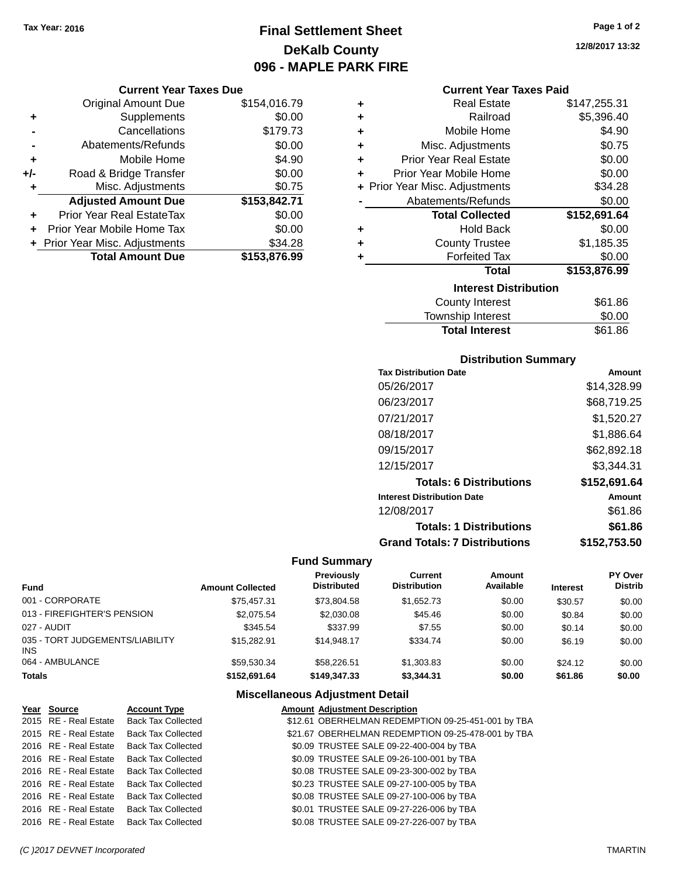# **Final Settlement Sheet Tax Year: 2016 Page 1 of 2 DeKalb County 096 - MAPLE PARK FIRE**

## **Current Year Taxes Due**

|       | <b>Original Amount Due</b>       | \$154,016.79 |
|-------|----------------------------------|--------------|
| ٠     | Supplements                      | \$0.00       |
|       | Cancellations                    | \$179.73     |
|       | Abatements/Refunds               | \$0.00       |
| ٠     | Mobile Home                      | \$4.90       |
| $+/-$ | Road & Bridge Transfer           | \$0.00       |
| ٠     | Misc. Adjustments                | \$0.75       |
|       | <b>Adjusted Amount Due</b>       | \$153,842.71 |
| ÷     | <b>Prior Year Real EstateTax</b> | \$0.00       |
|       | Prior Year Mobile Home Tax       | \$0.00       |
|       | + Prior Year Misc. Adjustments   | \$34.28      |
|       | <b>Total Amount Due</b>          | \$153,876.99 |

### **Current Year Taxes Paid**

| ٠ | <b>Real Estate</b>             | \$147,255.31 |
|---|--------------------------------|--------------|
| ÷ | Railroad                       | \$5,396.40   |
| ٠ | Mobile Home                    | \$4.90       |
| ÷ | Misc. Adjustments              | \$0.75       |
| ÷ | <b>Prior Year Real Estate</b>  | \$0.00       |
| ٠ | Prior Year Mobile Home         | \$0.00       |
|   | + Prior Year Misc. Adjustments | \$34.28      |
|   | Abatements/Refunds             | \$0.00       |
|   |                                |              |
|   | <b>Total Collected</b>         | \$152,691.64 |
| ٠ | <b>Hold Back</b>               | \$0.00       |
| ٠ | <b>County Trustee</b>          | \$1,185.35   |
| ٠ | <b>Forfeited Tax</b>           | \$0.00       |
|   | <b>Total</b>                   | \$153,876.99 |
|   | <b>Interest Distribution</b>   |              |
|   | <b>County Interest</b>         | \$61.86      |

## Total Interest \$61.86

| <b>Distribution Summary</b>          |              |
|--------------------------------------|--------------|
| <b>Tax Distribution Date</b>         | Amount       |
| 05/26/2017                           | \$14,328.99  |
| 06/23/2017                           | \$68,719.25  |
| 07/21/2017                           | \$1,520.27   |
| 08/18/2017                           | \$1.886.64   |
| 09/15/2017                           | \$62,892.18  |
| 12/15/2017                           | \$3.344.31   |
| <b>Totals: 6 Distributions</b>       | \$152,691.64 |
| <b>Interest Distribution Date</b>    | Amount       |
| 12/08/2017                           | \$61.86      |
| <b>Totals: 1 Distributions</b>       | \$61.86      |
| <b>Grand Totals: 7 Distributions</b> | \$152.753.50 |

## **Fund Summary**

| <b>Fund</b>                             | <b>Amount Collected</b> | <b>Previously</b><br><b>Distributed</b> | Current<br><b>Distribution</b> | Amount<br>Available | <b>Interest</b> | PY Over<br><b>Distrib</b> |
|-----------------------------------------|-------------------------|-----------------------------------------|--------------------------------|---------------------|-----------------|---------------------------|
| 001 - CORPORATE                         | \$75.457.31             | \$73.804.58                             | \$1,652.73                     | \$0.00              | \$30.57         | \$0.00                    |
| 013 - FIREFIGHTER'S PENSION             | \$2,075.54              | \$2,030.08                              | \$45.46                        | \$0.00              | \$0.84          | \$0.00                    |
| 027 - AUDIT                             | \$345.54                | \$337.99                                | \$7.55                         | \$0.00              | \$0.14          | \$0.00                    |
| 035 - TORT JUDGEMENTS/LIABILITY<br>INS. | \$15,282.91             | \$14,948.17                             | \$334.74                       | \$0.00              | \$6.19          | \$0.00                    |
| 064 - AMBULANCE                         | \$59.530.34             | \$58,226.51                             | \$1,303.83                     | \$0.00              | \$24.12         | \$0.00                    |
| <b>Totals</b>                           | \$152.691.64            | \$149,347,33                            | \$3,344.31                     | \$0.00              | \$61.86         | \$0.00                    |

## **Miscellaneous Adjustment Detail**

| Year Source           | <b>Account Type</b>       | <b>Amount Adjustment Description</b>               |  |
|-----------------------|---------------------------|----------------------------------------------------|--|
| 2015 RE - Real Estate | <b>Back Tax Collected</b> | \$12.61 OBERHELMAN REDEMPTION 09-25-451-001 by TBA |  |
| 2015 RE - Real Estate | <b>Back Tax Collected</b> | \$21.67 OBERHELMAN REDEMPTION 09-25-478-001 by TBA |  |
| 2016 RE - Real Estate | <b>Back Tax Collected</b> | \$0.09 TRUSTEE SALE 09-22-400-004 by TBA           |  |
| 2016 RE - Real Estate | <b>Back Tax Collected</b> | \$0.09 TRUSTEE SALE 09-26-100-001 by TBA           |  |
| 2016 RE - Real Estate | <b>Back Tax Collected</b> | \$0.08 TRUSTEE SALE 09-23-300-002 by TBA           |  |
| 2016 RE - Real Estate | <b>Back Tax Collected</b> | \$0.23 TRUSTEE SALE 09-27-100-005 by TBA           |  |
| 2016 RE - Real Estate | <b>Back Tax Collected</b> | \$0.08 TRUSTEE SALE 09-27-100-006 by TBA           |  |
| 2016 RE - Real Estate | <b>Back Tax Collected</b> | \$0.01 TRUSTEE SALE 09-27-226-006 by TBA           |  |
| 2016 RE - Real Estate | <b>Back Tax Collected</b> | \$0.08 TRUSTEE SALE 09-27-226-007 by TBA           |  |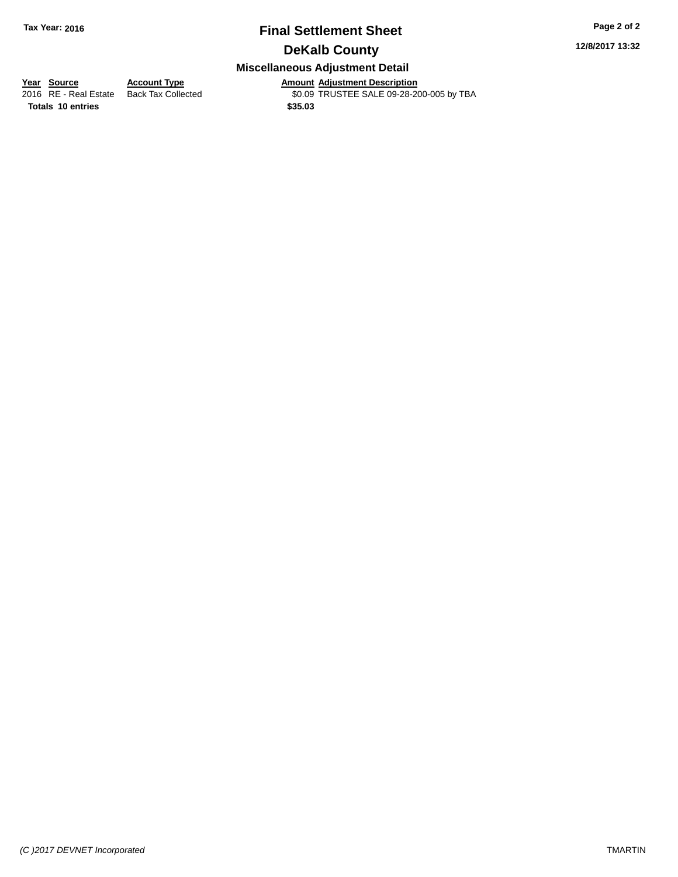# **Final Settlement Sheet Tax Year: 2016 Page 2 of 2**

**12/8/2017 13:32**

# **DeKalb County**

## **Miscellaneous Adjustment Detail**

**Totals 10 entries \$35.03**

**Year Source Account Type Amount Adjustment Description** \$0.09 TRUSTEE SALE 09-28-200-005 by TBA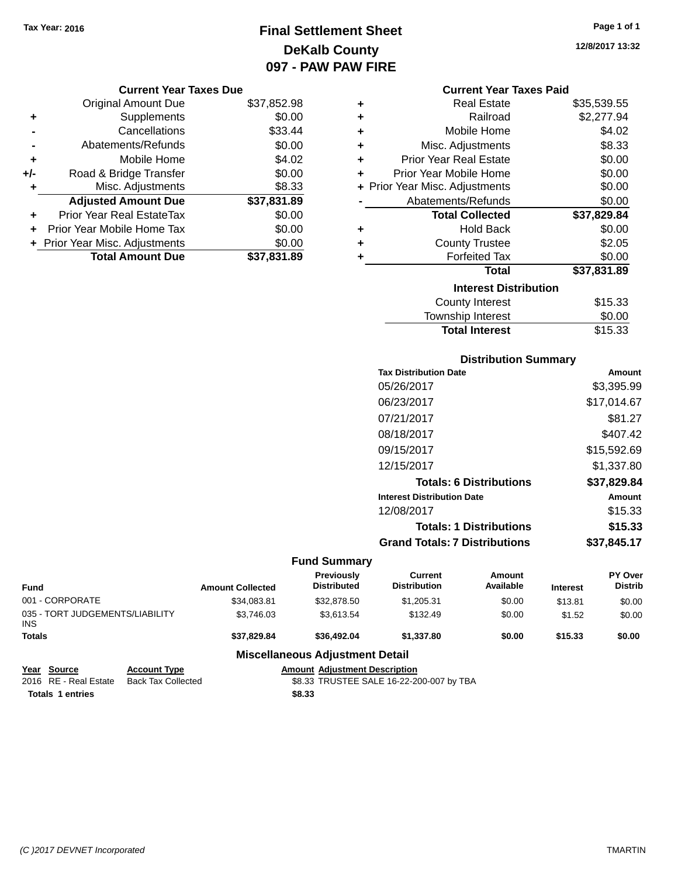# **Final Settlement Sheet Tax Year: 2016 Page 1 of 1 DeKalb County 097 - PAW PAW FIRE**

**Current Year Taxes Due**

|       | <b>Original Amount Due</b>     | \$37,852.98 |
|-------|--------------------------------|-------------|
| ٠     | Supplements                    | \$0.00      |
|       | Cancellations                  | \$33.44     |
|       | Abatements/Refunds             | \$0.00      |
| ٠     | Mobile Home                    | \$4.02      |
| $+/-$ | Road & Bridge Transfer         | \$0.00      |
| ٠     | Misc. Adjustments              | \$8.33      |
|       | <b>Adjusted Amount Due</b>     | \$37,831.89 |
| ٠     | Prior Year Real EstateTax      | \$0.00      |
|       | Prior Year Mobile Home Tax     | \$0.00      |
|       | + Prior Year Misc. Adjustments | \$0.00      |
|       | <b>Total Amount Due</b>        | \$37,831.89 |
|       |                                |             |

|   | <b>Current Year Taxes Paid</b> |             |
|---|--------------------------------|-------------|
| ÷ | <b>Real Estate</b>             | \$35,539.55 |
| ÷ | Railroad                       | \$2,277.94  |
| ٠ | Mobile Home                    | \$4.02      |
| ÷ | Misc. Adjustments              | \$8.33      |
| ÷ | <b>Prior Year Real Estate</b>  | \$0.00      |
| ÷ | Prior Year Mobile Home         | \$0.00      |
|   | + Prior Year Misc. Adjustments | \$0.00      |
|   | Abatements/Refunds             | \$0.00      |
|   | <b>Total Collected</b>         | \$37,829.84 |
| ٠ | <b>Hold Back</b>               | \$0.00      |
| ÷ | <b>County Trustee</b>          | \$2.05      |
| ٠ | <b>Forfeited Tax</b>           | \$0.00      |
|   | Total                          | \$37,831.89 |
|   | <b>Interest Distribution</b>   |             |

| County Interest       | \$15.33 |
|-----------------------|---------|
|                       |         |
| Township Interest     | \$0.00  |
| <b>Total Interest</b> | \$15.33 |

## **Distribution Summary**

| <b>Tax Distribution Date</b>         | Amount      |
|--------------------------------------|-------------|
| 05/26/2017                           | \$3,395.99  |
| 06/23/2017                           | \$17,014.67 |
| 07/21/2017                           | \$81.27     |
| 08/18/2017                           | \$407.42    |
| 09/15/2017                           | \$15,592.69 |
| 12/15/2017                           | \$1.337.80  |
| <b>Totals: 6 Distributions</b>       | \$37,829.84 |
| <b>Interest Distribution Date</b>    | Amount      |
| 12/08/2017                           | \$15.33     |
| <b>Totals: 1 Distributions</b>       | \$15.33     |
| <b>Grand Totals: 7 Distributions</b> | \$37.845.17 |

## **Fund Summary**

| <b>Fund</b>                                   |                     | <b>Amount Collected</b> | Previously<br><b>Distributed</b>       | Current<br><b>Distribution</b> | Amount<br>Available | <b>Interest</b> | PY Over<br><b>Distrib</b> |
|-----------------------------------------------|---------------------|-------------------------|----------------------------------------|--------------------------------|---------------------|-----------------|---------------------------|
| 001 - CORPORATE                               |                     | \$34,083.81             | \$32,878.50                            | \$1,205.31                     | \$0.00              | \$13.81         | \$0.00                    |
| 035 - TORT JUDGEMENTS/LIABILITY<br><b>INS</b> |                     | \$3.746.03              | \$3.613.54                             | \$132.49                       | \$0.00              | \$1.52          | \$0.00                    |
| <b>Totals</b>                                 |                     | \$37.829.84             | \$36,492.04                            | \$1.337.80                     | \$0.00              | \$15.33         | \$0.00                    |
|                                               |                     |                         | <b>Miscellaneous Adjustment Detail</b> |                                |                     |                 |                           |
| Source<br>Year                                | <b>Account Type</b> |                         | <b>Amount Adjustment Description</b>   |                                |                     |                 |                           |

| rear source           | ACCOUNT IVDE       | Amount Agiustment Description            |
|-----------------------|--------------------|------------------------------------------|
| 2016 RE - Real Estate | Back Tax Collected | \$8.33 TRUSTEE SALE 16-22-200-007 by TBA |
| Totals 1 entries      |                    | \$8.33                                   |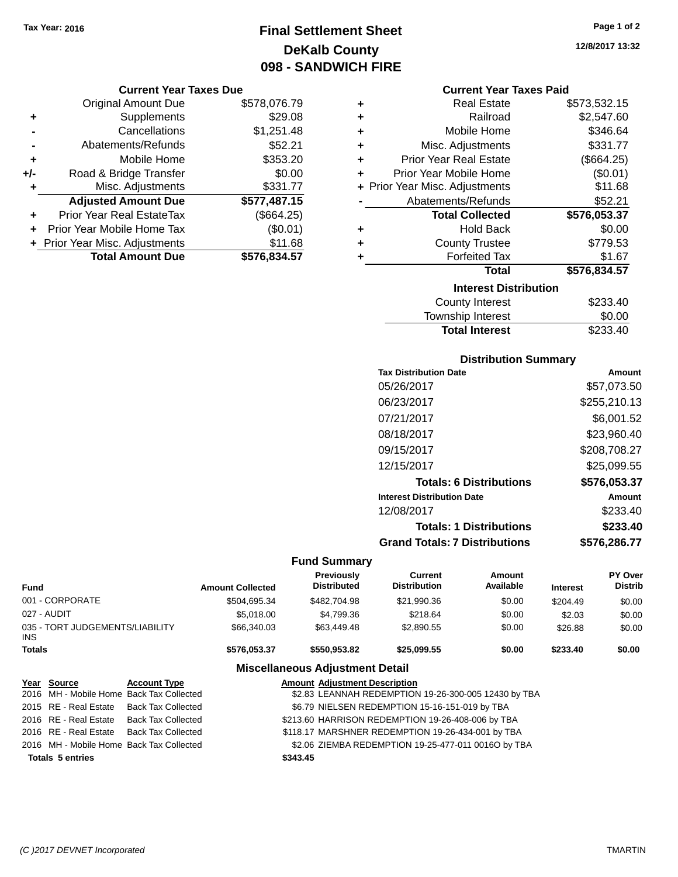# **Final Settlement Sheet Tax Year: 2016 Page 1 of 2 DeKalb County 098 - SANDWICH FIRE**

#### **Current Year Taxes Due**

|       | <b>Original Amount Due</b>       | \$578,076.79 |
|-------|----------------------------------|--------------|
| ٠     | Supplements                      | \$29.08      |
|       | Cancellations                    | \$1,251.48   |
|       | Abatements/Refunds               | \$52.21      |
| ٠     | Mobile Home                      | \$353.20     |
| $+/-$ | Road & Bridge Transfer           | \$0.00       |
| ٠     | Misc. Adjustments                | \$331.77     |
|       | <b>Adjusted Amount Due</b>       | \$577,487.15 |
| ÷     | <b>Prior Year Real EstateTax</b> | (\$664.25)   |
|       | Prior Year Mobile Home Tax       | (\$0.01)     |
|       | + Prior Year Misc. Adjustments   | \$11.68      |
|       | <b>Total Amount Due</b>          | \$576,834.57 |

## **Current Year Taxes Paid**

| ٠ | <b>Real Estate</b>             | \$573,532.15 |
|---|--------------------------------|--------------|
| ÷ | Railroad                       | \$2,547.60   |
| ÷ | Mobile Home                    | \$346.64     |
| ٠ | Misc. Adjustments              | \$331.77     |
| ÷ | <b>Prior Year Real Estate</b>  | (\$664.25)   |
| ÷ | Prior Year Mobile Home         | (\$0.01)     |
|   | + Prior Year Misc. Adjustments | \$11.68      |
|   | Abatements/Refunds             | \$52.21      |
|   |                                |              |
|   | <b>Total Collected</b>         | \$576,053.37 |
| ٠ | <b>Hold Back</b>               | \$0.00       |
| ٠ | <b>County Trustee</b>          | \$779.53     |
| ٠ | <b>Forfeited Tax</b>           | \$1.67       |
|   | <b>Total</b>                   | \$576,834.57 |
|   | <b>Interest Distribution</b>   |              |
|   | <b>County Interest</b>         | \$233.40     |

**Total Interest** \$233.40

| <b>Distribution Summary</b>          |              |
|--------------------------------------|--------------|
| <b>Tax Distribution Date</b>         | Amount       |
| 05/26/2017                           | \$57.073.50  |
| 06/23/2017                           | \$255,210.13 |
| 07/21/2017                           | \$6,001.52   |
| 08/18/2017                           | \$23,960.40  |
| 09/15/2017                           | \$208,708.27 |
| 12/15/2017                           | \$25.099.55  |
| <b>Totals: 6 Distributions</b>       | \$576,053.37 |
| <b>Interest Distribution Date</b>    | Amount       |
| 12/08/2017                           | \$233.40     |
| <b>Totals: 1 Distributions</b>       | \$233.40     |
| <b>Grand Totals: 7 Distributions</b> | \$576,286.77 |

## **Fund Summary**

| <b>Fund</b>                             |                       |                                                                             | <b>Amount Collected</b>                           | <b>Previously</b><br><b>Distributed</b> | <b>Current</b><br><b>Distribution</b>                | <b>Amount</b><br>Available | <b>Interest</b> | PY Over<br><b>Distrib</b> |
|-----------------------------------------|-----------------------|-----------------------------------------------------------------------------|---------------------------------------------------|-----------------------------------------|------------------------------------------------------|----------------------------|-----------------|---------------------------|
|                                         | 001 - CORPORATE       |                                                                             | \$504.695.34                                      | \$482,704.98                            | \$21,990.36                                          | \$0.00                     | \$204.49        | \$0.00                    |
|                                         | 027 - AUDIT           |                                                                             | \$5,018,00                                        | \$4,799.36                              | \$218.64                                             | \$0.00                     | \$2.03          | \$0.00                    |
| 035 - TORT JUDGEMENTS/LIABILITY<br>INS. |                       | \$66,340.03                                                                 | \$63,449.48                                       | \$2,890.55                              | \$0.00                                               | \$26.88                    | \$0.00          |                           |
| <b>Totals</b>                           |                       |                                                                             | \$576.053.37                                      | \$550,953.82                            | \$25,099.55                                          | \$0.00                     | \$233.40        | \$0.00                    |
|                                         |                       |                                                                             |                                                   | <b>Miscellaneous Adjustment Detail</b>  |                                                      |                            |                 |                           |
|                                         | Year Source           | <b>Account Type</b>                                                         |                                                   | <b>Amount Adiustment Description</b>    |                                                      |                            |                 |                           |
|                                         | 2016 MH - Mobile Home | <b>Back Tax Collected</b>                                                   |                                                   |                                         | \$2.83 LEANNAH REDEMPTION 19-26-300-005 12430 by TBA |                            |                 |                           |
|                                         | 2015 RE - Real Estate | \$6.79 NIELSEN REDEMPTION 15-16-151-019 by TBA<br><b>Back Tax Collected</b> |                                                   |                                         |                                                      |                            |                 |                           |
|                                         | 2016 RE - Real Estate | <b>Back Tax Collected</b>                                                   | \$213.60 HARRISON REDEMPTION 19-26-408-006 by TBA |                                         |                                                      |                            |                 |                           |
|                                         | 2016 RE - Real Estate | <b>Back Tax Collected</b>                                                   |                                                   |                                         | \$118.17 MARSHNER REDEMPTION 19-26-434-001 by TBA    |                            |                 |                           |

2016 MH - Mobile Home Back Tax Collected \$2.06 ZIEMBA REDEMPTION 19-25-477-011 0016O by TBA

**Totals 5 entries \$343.45**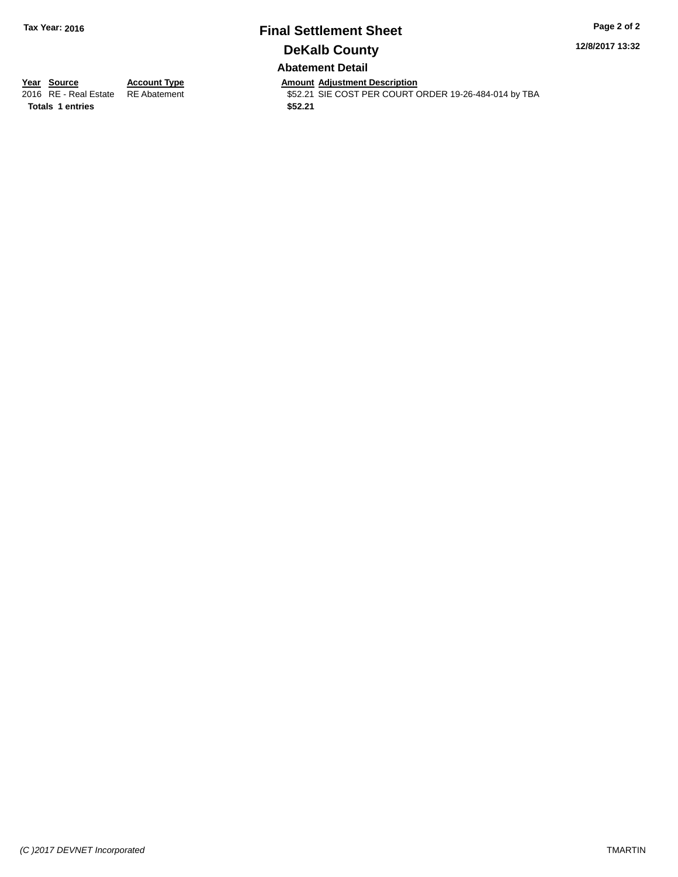# **Final Settlement Sheet Tax Year: 2016 Page 2 of 2 DeKalb County Abatement Detail**

**12/8/2017 13:32**

**Totals 1 entries \$52.21**

**Year Source Account Type And Amount Adjustment Description**<br>2016 RE - Real Estate RE Abatement **Adjustment** \$52.21 SIE COST PER COURT ( \$52.21 SIE COST PER COURT ORDER 19-26-484-014 by TBA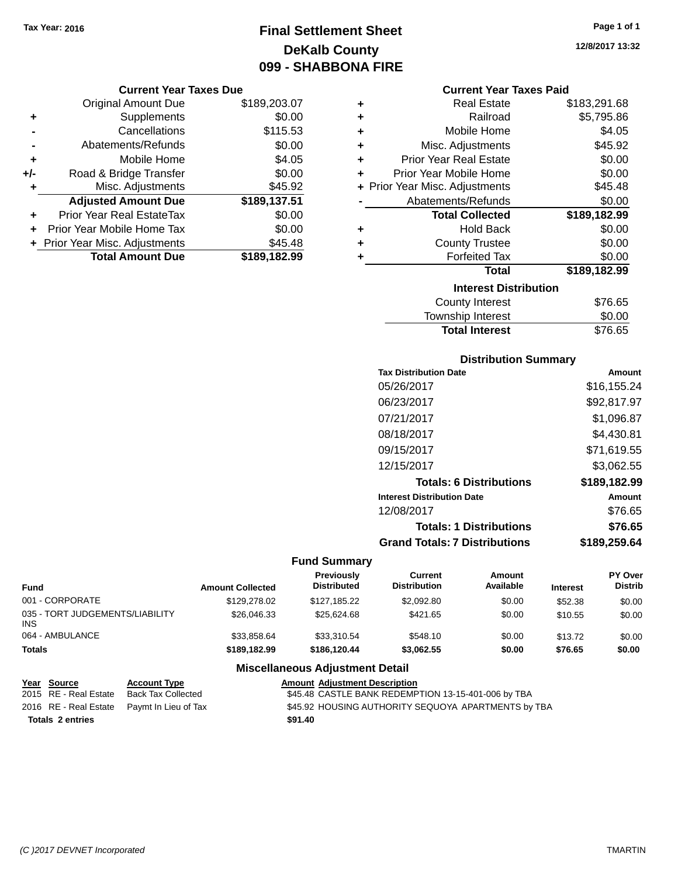# **Final Settlement Sheet Tax Year: 2016 Page 1 of 1 DeKalb County 099 - SHABBONA FIRE**

### **Current Year Taxes Due**

|       | <b>Original Amount Due</b>       | \$189,203.07 |
|-------|----------------------------------|--------------|
| ٠     | Supplements                      | \$0.00       |
|       | Cancellations                    | \$115.53     |
|       | Abatements/Refunds               | \$0.00       |
| ٠     | Mobile Home                      | \$4.05       |
| $+/-$ | Road & Bridge Transfer           | \$0.00       |
| ٠     | Misc. Adjustments                | \$45.92      |
|       | <b>Adjusted Amount Due</b>       | \$189,137.51 |
| ÷     | <b>Prior Year Real EstateTax</b> | \$0.00       |
|       | Prior Year Mobile Home Tax       | \$0.00       |
|       | + Prior Year Misc. Adjustments   | \$45.48      |
|       | <b>Total Amount Due</b>          | \$189,182.99 |

#### **Current Year Taxes Paid**

| ٠ | <b>Real Estate</b>             | \$183,291.68 |
|---|--------------------------------|--------------|
| ٠ | Railroad                       | \$5,795.86   |
| ÷ | Mobile Home                    | \$4.05       |
| ٠ | Misc. Adjustments              | \$45.92      |
| ٠ | <b>Prior Year Real Estate</b>  | \$0.00       |
| ٠ | Prior Year Mobile Home         | \$0.00       |
|   | + Prior Year Misc. Adjustments | \$45.48      |
|   | Abatements/Refunds             | \$0.00       |
|   |                                |              |
|   | <b>Total Collected</b>         | \$189,182.99 |
| ٠ | <b>Hold Back</b>               | \$0.00       |
| ÷ | <b>County Trustee</b>          | \$0.00       |
| ٠ | <b>Forfeited Tax</b>           | \$0.00       |
|   | <b>Total</b>                   | \$189,182.99 |
|   | <b>Interest Distribution</b>   |              |
|   | <b>County Interest</b>         | \$76.65      |

## **Distribution Summary**

Total Interest \$76.65

| <b>Tax Distribution Date</b>         | Amount       |
|--------------------------------------|--------------|
| 05/26/2017                           | \$16,155.24  |
| 06/23/2017                           | \$92,817.97  |
| 07/21/2017                           | \$1,096.87   |
| 08/18/2017                           | \$4.430.81   |
| 09/15/2017                           | \$71,619.55  |
| 12/15/2017                           | \$3.062.55   |
| <b>Totals: 6 Distributions</b>       | \$189,182.99 |
| <b>Interest Distribution Date</b>    | Amount       |
| 12/08/2017                           | \$76.65      |
| <b>Totals: 1 Distributions</b>       | \$76.65      |
| <b>Grand Totals: 7 Distributions</b> | \$189.259.64 |

## **Fund Summary**

| <b>Fund</b>                             | <b>Amount Collected</b> | <b>Previously</b><br><b>Distributed</b> | Current<br><b>Distribution</b> | Amount<br>Available | <b>Interest</b> | PY Over<br><b>Distrib</b> |
|-----------------------------------------|-------------------------|-----------------------------------------|--------------------------------|---------------------|-----------------|---------------------------|
| 001 - CORPORATE                         | \$129,278.02            | \$127.185.22                            | \$2,092.80                     | \$0.00              | \$52.38         | \$0.00                    |
| 035 - TORT JUDGEMENTS/LIABILITY<br>INS. | \$26,046,33             | \$25.624.68                             | \$421.65                       | \$0.00              | \$10.55         | \$0.00                    |
| 064 - AMBULANCE                         | \$33,858.64             | \$33,310.54                             | \$548.10                       | \$0.00              | \$13.72         | \$0.00                    |
| <b>Totals</b>                           | \$189,182.99            | \$186,120,44                            | \$3,062.55                     | \$0.00              | \$76.65         | \$0.00                    |

## **Miscellaneous Adjustment Detail**

| Year Source             | <b>Account Type</b>                        | <b>Amount Adjustment Description</b>                |  |
|-------------------------|--------------------------------------------|-----------------------------------------------------|--|
| 2015 RE - Real Estate   | Back Tax Collected                         | \$45.48 CASTLE BANK REDEMPTION 13-15-401-006 by TBA |  |
|                         | 2016 RE - Real Estate Paymt In Lieu of Tax | \$45.92 HOUSING AUTHORITY SEQUOYA APARTMENTS by TBA |  |
| <b>Totals 2 entries</b> |                                            | \$91.40                                             |  |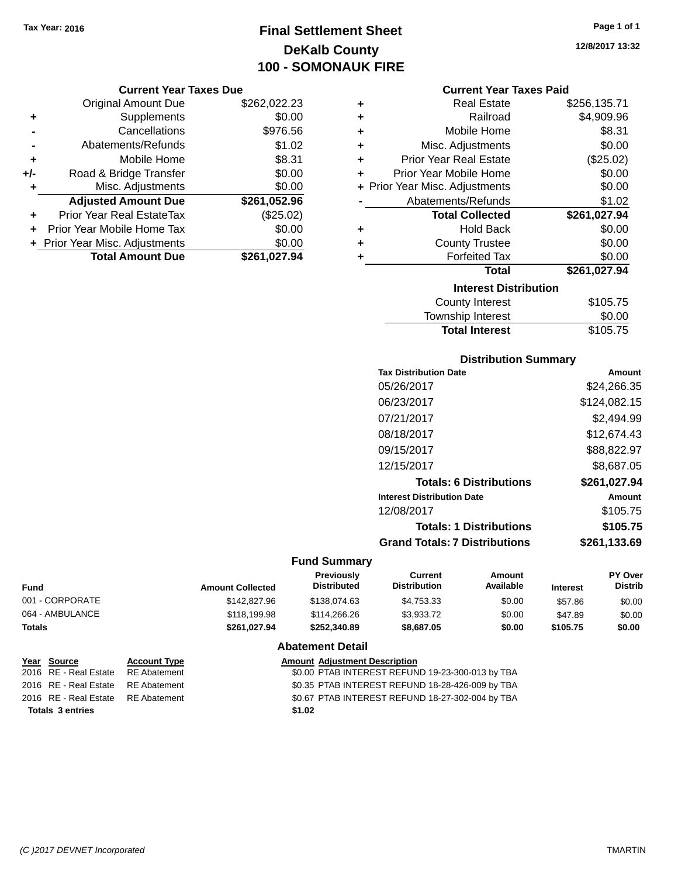# **Final Settlement Sheet Tax Year: 2016 Page 1 of 1 DeKalb County 100 - SOMONAUK FIRE**

#### **Current Year Taxes Due**

|       | <b>Original Amount Due</b>       | \$262,022.23 |
|-------|----------------------------------|--------------|
| ٠     | Supplements                      | \$0.00       |
|       | Cancellations                    | \$976.56     |
|       | Abatements/Refunds               | \$1.02       |
| ٠     | Mobile Home                      | \$8.31       |
| $+/-$ | Road & Bridge Transfer           | \$0.00       |
| ٠     | Misc. Adjustments                | \$0.00       |
|       | <b>Adjusted Amount Due</b>       | \$261,052.96 |
|       | <b>Prior Year Real EstateTax</b> | (\$25.02)    |
|       | Prior Year Mobile Home Tax       | \$0.00       |
|       | + Prior Year Misc. Adjustments   | \$0.00       |
|       | <b>Total Amount Due</b>          | \$261,027.94 |

| ٠ | <b>Real Estate</b>             | \$256,135.71 |
|---|--------------------------------|--------------|
| ٠ | Railroad                       | \$4,909.96   |
| ٠ | Mobile Home                    | \$8.31       |
| ٠ | Misc. Adjustments              | \$0.00       |
| ٠ | <b>Prior Year Real Estate</b>  | (\$25.02)    |
| ٠ | Prior Year Mobile Home         | \$0.00       |
|   | + Prior Year Misc. Adjustments | \$0.00       |
|   | Abatements/Refunds             | \$1.02       |
|   | <b>Total Collected</b>         | \$261,027.94 |
| ٠ | <b>Hold Back</b>               | \$0.00       |
| ÷ | <b>County Trustee</b>          | \$0.00       |
| ٠ | <b>Forfeited Tax</b>           | \$0.00       |
|   | <b>Total</b>                   | \$261,027.94 |
|   | <b>Interest Distribution</b>   |              |
|   | <b>County Interest</b>         | \$105.75     |
|   | Townshin Interest              | ፍስ ሰስ        |

| <b>Total Interest</b> | \$105.75 |
|-----------------------|----------|
| Township Interest     | \$0.00   |
| County Interest       | \$105.75 |

## **Distribution Summary**

| <b>Tax Distribution Date</b>         | Amount       |
|--------------------------------------|--------------|
| 05/26/2017                           | \$24,266.35  |
| 06/23/2017                           | \$124,082.15 |
| 07/21/2017                           | \$2.494.99   |
| 08/18/2017                           | \$12.674.43  |
| 09/15/2017                           | \$88,822.97  |
| 12/15/2017                           | \$8.687.05   |
| <b>Totals: 6 Distributions</b>       | \$261,027.94 |
| <b>Interest Distribution Date</b>    | Amount       |
| 12/08/2017                           | \$105.75     |
| <b>Totals: 1 Distributions</b>       | \$105.75     |
| <b>Grand Totals: 7 Distributions</b> | \$261.133.69 |
|                                      |              |

## **Fund Summary**

| Fund            | <b>Amount Collected</b> | <b>Previously</b><br><b>Distributed</b> | Current<br><b>Distribution</b> | Amount<br>Available | <b>Interest</b> | PY Over<br><b>Distrib</b> |
|-----------------|-------------------------|-----------------------------------------|--------------------------------|---------------------|-----------------|---------------------------|
| 001 - CORPORATE | \$142,827.96            | \$138,074.63                            | \$4.753.33                     | \$0.00              | \$57.86         | \$0.00                    |
| 064 - AMBULANCE | \$118,199.98            | \$114,266,26                            | \$3,933,72                     | \$0.00              | \$47.89         | \$0.00                    |
| Totals          | \$261.027.94            | \$252,340.89                            | \$8,687.05                     | \$0.00              | \$105.75        | \$0.00                    |

## **Abatement Detail**

| Year Source                        | <b>Account Type</b> |        | <b>Amount Adjustment Description</b>             |
|------------------------------------|---------------------|--------|--------------------------------------------------|
| 2016 RE - Real Estate              | RE Abatement        |        | \$0.00 PTAB INTEREST REFUND 19-23-300-013 by TBA |
| 2016 RE - Real Estate RE Abatement |                     |        | \$0.35 PTAB INTEREST REFUND 18-28-426-009 by TBA |
| 2016 RE - Real Estate RE Abatement |                     |        | \$0.67 PTAB INTEREST REFUND 18-27-302-004 by TBA |
| <b>Totals 3 entries</b>            |                     | \$1.02 |                                                  |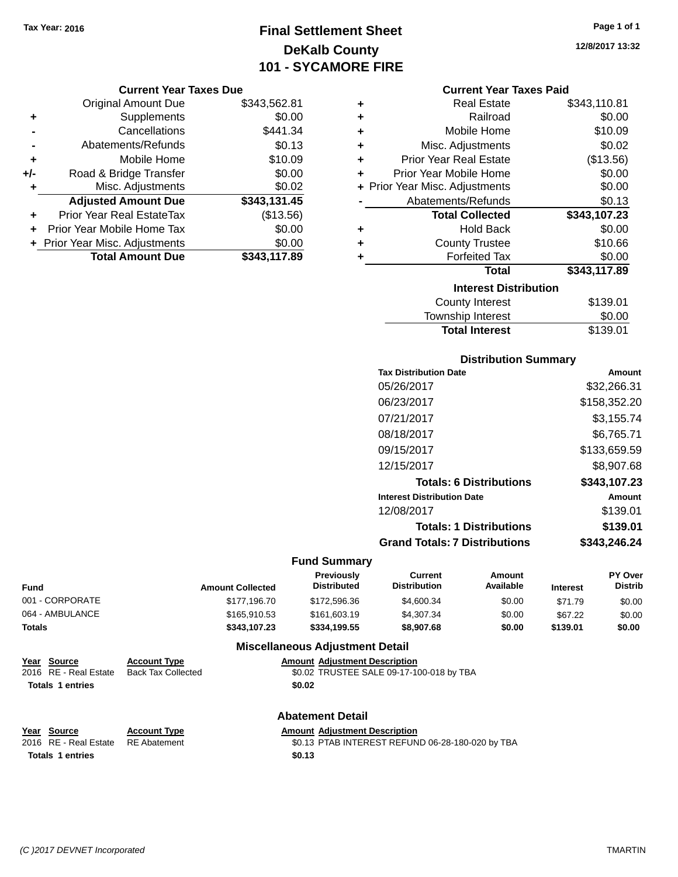# **Final Settlement Sheet Tax Year: 2016 Page 1 of 1 DeKalb County 101 - SYCAMORE FIRE**

#### **Current Year Taxes Due**

|       | <b>Original Amount Due</b>       | \$343,562.81 |
|-------|----------------------------------|--------------|
| ٠     | Supplements                      | \$0.00       |
|       | Cancellations                    | \$441.34     |
|       | Abatements/Refunds               | \$0.13       |
| ٠     | Mobile Home                      | \$10.09      |
| $+/-$ | Road & Bridge Transfer           | \$0.00       |
| ٠     | Misc. Adjustments                | \$0.02       |
|       | <b>Adjusted Amount Due</b>       | \$343,131.45 |
|       | <b>Prior Year Real EstateTax</b> | (\$13.56)    |
|       | Prior Year Mobile Home Tax       | \$0.00       |
|       | + Prior Year Misc. Adjustments   | \$0.00       |
|       | <b>Total Amount Due</b>          | \$343.117.89 |

| ٠ | <b>Real Estate</b>             | \$343,110.81 |
|---|--------------------------------|--------------|
| ٠ | Railroad                       | \$0.00       |
| ٠ | Mobile Home                    | \$10.09      |
| ٠ | Misc. Adjustments              | \$0.02       |
| ٠ | <b>Prior Year Real Estate</b>  | (\$13.56)    |
| ٠ | Prior Year Mobile Home         | \$0.00       |
|   | + Prior Year Misc. Adjustments | \$0.00       |
|   | Abatements/Refunds             | \$0.13       |
|   |                                |              |
|   | <b>Total Collected</b>         | \$343,107.23 |
| ٠ | <b>Hold Back</b>               | \$0.00       |
| ÷ | <b>County Trustee</b>          | \$10.66      |
| ٠ | <b>Forfeited Tax</b>           | \$0.00       |
|   | <b>Total</b>                   | \$343,117.89 |
|   | <b>Interest Distribution</b>   |              |
|   | <b>County Interest</b>         | \$139.01     |

## **Distribution Summary Tax Distribution Date Amount** 05/26/2017 \$32,266.31 06/23/2017 \$158,352.20 07/21/2017 \$3,155.74 08/18/2017 \$6,765.71 09/15/2017 \$133,659.59 12/15/2017 \$8,907.68 **Totals: 6 Distributions \$343,107.23 Interest Distribution Date Amount** 12/08/2017 \$139.01 **Totals: 1 Distributions \$139.01 Grand Totals: 7 Distributions \$343,246.24**

**Total Interest** \$139.01

#### **Fund Summary**

| Fund            | <b>Amount Collected</b> | <b>Previously</b><br><b>Distributed</b> | Current<br><b>Distribution</b> | Amount<br>Available | <b>Interest</b> | PY Over<br><b>Distrib</b> |
|-----------------|-------------------------|-----------------------------------------|--------------------------------|---------------------|-----------------|---------------------------|
| 001 - CORPORATE | \$177.196.70            | \$172,596,36                            | \$4,600.34                     | \$0.00              | \$71.79         | \$0.00                    |
| 064 - AMBULANCE | \$165,910.53            | \$161,603.19                            | \$4,307.34                     | \$0.00              | \$67.22         | \$0.00                    |
| Totals          | \$343.107.23            | \$334,199.55                            | \$8,907.68                     | \$0.00              | \$139.01        | \$0.00                    |

## **Miscellaneous Adjustment Detail**

#### **Year** Source **Account Type A** Account Adjustment Description 2016 RE - Real Estate Back Tax Collected \$0.02 TRUSTEE SALE 09-17-100-018 by TBA **Totals 1 entries \$0.02**

**Year Source Account Type Amount Adjustment Description**<br>2016 RE - Real Estate RE Abatement **Amount 1998** 1.13 PTAB INTEREST REFUN **Totals 1 entries \$0.13**

# **Abatement Detail**

RE Abatement **30.13 PTAB INTEREST REFUND 06-28-180-020 by TBA**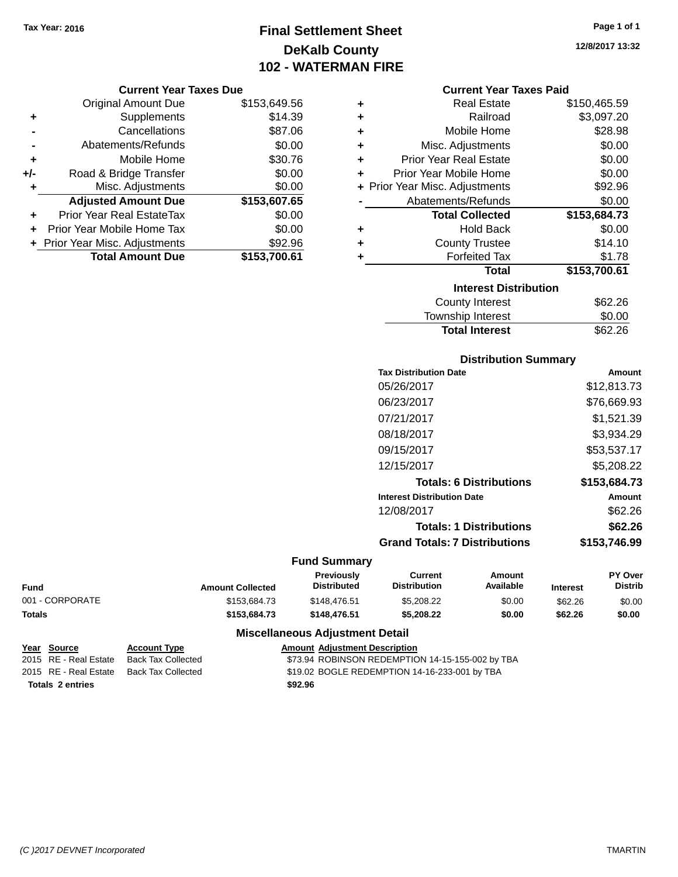# **Final Settlement Sheet Tax Year: 2016 Page 1 of 1 DeKalb County 102 - WATERMAN FIRE**

### **Current Year Taxes Due**

|       | <b>Original Amount Due</b>       | \$153,649.56 |
|-------|----------------------------------|--------------|
| ٠     | Supplements                      | \$14.39      |
|       | Cancellations                    | \$87.06      |
|       | Abatements/Refunds               | \$0.00       |
| ٠     | Mobile Home                      | \$30.76      |
| $+/-$ | Road & Bridge Transfer           | \$0.00       |
| ٠     | Misc. Adjustments                | \$0.00       |
|       | <b>Adjusted Amount Due</b>       | \$153,607.65 |
| ٠     | <b>Prior Year Real EstateTax</b> | \$0.00       |
|       | Prior Year Mobile Home Tax       | \$0.00       |
|       | + Prior Year Misc. Adjustments   | \$92.96      |
|       | <b>Total Amount Due</b>          | \$153,700.61 |

### **Current Year Taxes Paid**

| ٠ | <b>Real Estate</b>             | \$150,465.59 |
|---|--------------------------------|--------------|
| ٠ | Railroad                       | \$3,097.20   |
| ٠ | Mobile Home                    | \$28.98      |
| ٠ | Misc. Adjustments              | \$0.00       |
| ٠ | <b>Prior Year Real Estate</b>  | \$0.00       |
| ٠ | Prior Year Mobile Home         | \$0.00       |
|   | + Prior Year Misc. Adjustments | \$92.96      |
|   | Abatements/Refunds             | \$0.00       |
|   | <b>Total Collected</b>         | \$153,684.73 |
| ٠ | <b>Hold Back</b>               | \$0.00       |
| ٠ | <b>County Trustee</b>          | \$14.10      |
| ٠ | <b>Forfeited Tax</b>           | \$1.78       |
|   | <b>Total</b>                   | \$153,700.61 |
|   | <b>Interest Distribution</b>   |              |
|   | <b>County Interest</b>         | \$62.26      |
|   | <b>Townshin Interest</b>       | ደበ በበ        |

# Iownship Interest **\$0.00**<br>Total Interest \$62.26 **Total Interest**

## **Distribution Summary**

| <b>Tax Distribution Date</b>         | Amount        |
|--------------------------------------|---------------|
| 05/26/2017                           | \$12,813.73   |
| 06/23/2017                           | \$76,669.93   |
| 07/21/2017                           | \$1,521.39    |
| 08/18/2017                           | \$3.934.29    |
| 09/15/2017                           | \$53,537.17   |
| 12/15/2017                           | \$5,208.22    |
| <b>Totals: 6 Distributions</b>       | \$153,684.73  |
| <b>Interest Distribution Date</b>    | <b>Amount</b> |
| 12/08/2017                           | \$62.26       |
| <b>Totals: 1 Distributions</b>       | \$62.26       |
| <b>Grand Totals: 7 Distributions</b> | \$153,746.99  |
|                                      |               |

## **Fund Summary**

|                 |                         | <b>Previously</b>  | Current             | Amount    |                 | <b>PY Over</b> |
|-----------------|-------------------------|--------------------|---------------------|-----------|-----------------|----------------|
| <b>Fund</b>     | <b>Amount Collected</b> | <b>Distributed</b> | <b>Distribution</b> | Available | <b>Interest</b> | <b>Distrib</b> |
| 001 - CORPORATE | \$153.684.73            | \$148.476.51       | \$5.208.22          | \$0.00    | \$62.26         | \$0.00         |
| <b>Totals</b>   | \$153,684.73            | \$148,476.51       | \$5,208,22          | \$0.00    | \$62.26         | \$0.00         |

## **Miscellaneous Adjustment Detail**

| Year Source             | <b>Account Type</b> | <b>Amount Adiustment Description</b>             |
|-------------------------|---------------------|--------------------------------------------------|
| 2015 RE - Real Estate   | Back Tax Collected  | \$73.94 ROBINSON REDEMPTION 14-15-155-002 by TBA |
| 2015 RE - Real Estate   | Back Tax Collected  | \$19.02 BOGLE REDEMPTION 14-16-233-001 by TBA    |
| <b>Totals 2 entries</b> |                     | \$92.96                                          |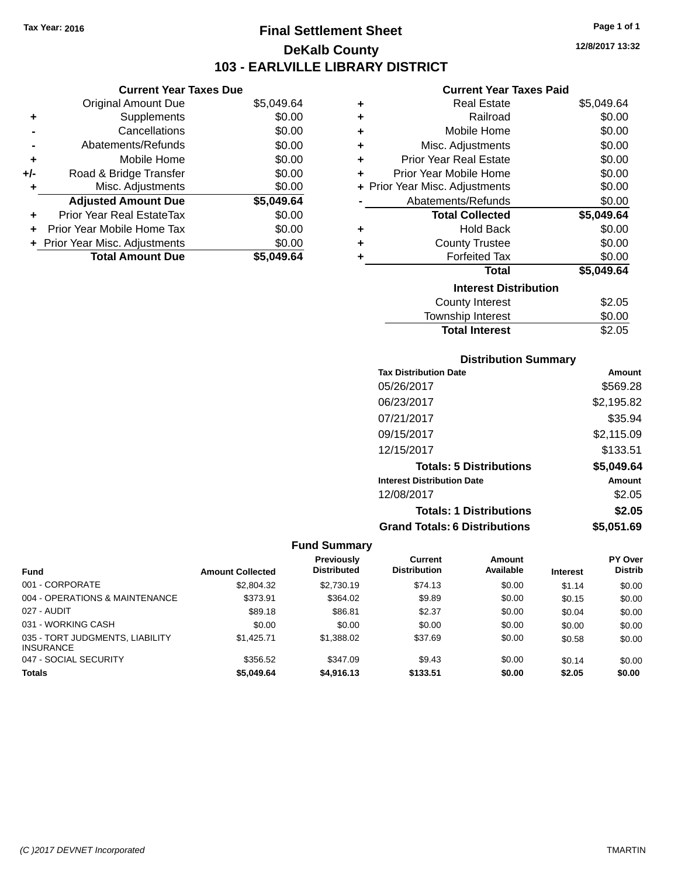# **Final Settlement Sheet Tax Year: 2016 Page 1 of 1 DeKalb County 103 - EARLVILLE LIBRARY DISTRICT**

**12/8/2017 13:32**

### **Current Year Taxes Paid**

|     | <b>Current Year Taxes Due</b>    |            |           |
|-----|----------------------------------|------------|-----------|
|     | <b>Original Amount Due</b>       | \$5,049.64 | ٠         |
|     | Supplements                      | \$0.00     | ٠         |
|     | Cancellations                    | \$0.00     | ٠         |
|     | Abatements/Refunds               | \$0.00     | ٠         |
|     | Mobile Home                      | \$0.00     | ٠         |
| +/- | Road & Bridge Transfer           | \$0.00     | P         |
|     | Misc. Adjustments                | \$0.00     | + Prior Y |
|     | <b>Adjusted Amount Due</b>       | \$5,049.64 |           |
|     | <b>Prior Year Real EstateTax</b> | \$0.00     |           |
|     | Prior Year Mobile Home Tax       | \$0.00     | ٠         |
|     | + Prior Year Misc. Adjustments   | \$0.00     | ÷         |
|     | <b>Total Amount Due</b>          | \$5,049.64 |           |
|     |                                  |            |           |

| ٠ | <b>Real Estate</b>             | \$5,049.64 |
|---|--------------------------------|------------|
| ÷ | Railroad                       | \$0.00     |
| ٠ | Mobile Home                    | \$0.00     |
| ٠ | Misc. Adjustments              | \$0.00     |
| ٠ | <b>Prior Year Real Estate</b>  | \$0.00     |
| ٠ | Prior Year Mobile Home         | \$0.00     |
|   | + Prior Year Misc. Adjustments | \$0.00     |
|   | Abatements/Refunds             | \$0.00     |
|   | <b>Total Collected</b>         | \$5,049.64 |
| ٠ | <b>Hold Back</b>               | \$0.00     |
| ٠ | <b>County Trustee</b>          | \$0.00     |
| ٠ | <b>Forfeited Tax</b>           | \$0.00     |
|   | Total                          | \$5,049.64 |
|   | <b>Interest Distribution</b>   |            |
|   | County Interest                | \$2.05     |
|   | <b>Township Interest</b>       | \$0.00     |
|   | <b>Total Interest</b>          | \$2.05     |

## **Distribution Summary**

| <b>Tax Distribution Date</b>         | Amount     |
|--------------------------------------|------------|
| 05/26/2017                           | \$569.28   |
| 06/23/2017                           | \$2,195.82 |
| 07/21/2017                           | \$35.94    |
| 09/15/2017                           | \$2,115.09 |
| 12/15/2017                           | \$133.51   |
| <b>Totals: 5 Distributions</b>       | \$5,049.64 |
| <b>Interest Distribution Date</b>    | Amount     |
| 12/08/2017                           | \$2.05     |
| <b>Totals: 1 Distributions</b>       | \$2.05     |
| <b>Grand Totals: 6 Distributions</b> | \$5.051.69 |

|                                                     |                         | Previously         | Current             | Amount    |                 | <b>PY Over</b> |
|-----------------------------------------------------|-------------------------|--------------------|---------------------|-----------|-----------------|----------------|
| <b>Fund</b>                                         | <b>Amount Collected</b> | <b>Distributed</b> | <b>Distribution</b> | Available | <b>Interest</b> | <b>Distrib</b> |
| 001 - CORPORATE                                     | \$2,804.32              | \$2.730.19         | \$74.13             | \$0.00    | \$1.14          | \$0.00         |
| 004 - OPERATIONS & MAINTENANCE                      | \$373.91                | \$364.02           | \$9.89              | \$0.00    | \$0.15          | \$0.00         |
| 027 - AUDIT                                         | \$89.18                 | \$86.81            | \$2.37              | \$0.00    | \$0.04          | \$0.00         |
| 031 - WORKING CASH                                  | \$0.00                  | \$0.00             | \$0.00              | \$0.00    | \$0.00          | \$0.00         |
| 035 - TORT JUDGMENTS, LIABILITY<br><b>INSURANCE</b> | \$1.425.71              | \$1,388.02         | \$37.69             | \$0.00    | \$0.58          | \$0.00         |
| 047 - SOCIAL SECURITY                               | \$356.52                | \$347.09           | \$9.43              | \$0.00    | \$0.14          | \$0.00         |
| <b>Totals</b>                                       | \$5,049.64              | \$4,916.13         | \$133.51            | \$0.00    | \$2.05          | \$0.00         |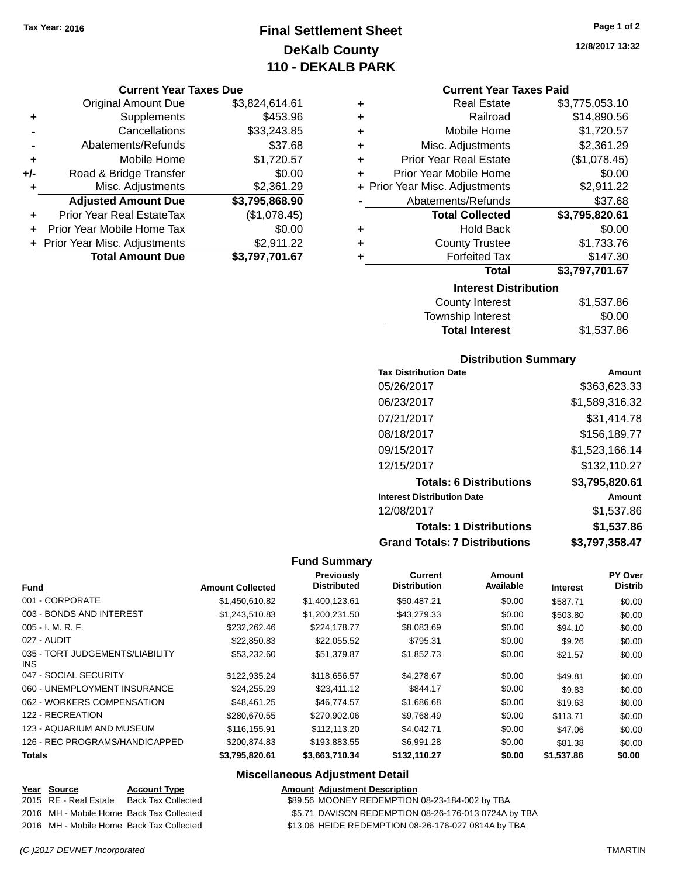# **Final Settlement Sheet Tax Year: 2016 Page 1 of 2 DeKalb County 110 - DEKALB PARK**

#### **Current Year Taxes Due**

|     | <b>Original Amount Due</b>       | \$3,824,614.61 |
|-----|----------------------------------|----------------|
| ٠   | Supplements                      | \$453.96       |
|     | Cancellations                    | \$33,243.85    |
|     | Abatements/Refunds               | \$37.68        |
| ÷   | Mobile Home                      | \$1,720.57     |
| +/- | Road & Bridge Transfer           | \$0.00         |
| ٠   | Misc. Adjustments                | \$2,361.29     |
|     | <b>Adjusted Amount Due</b>       | \$3,795,868.90 |
|     | <b>Prior Year Real EstateTax</b> | (\$1,078.45)   |
|     | Prior Year Mobile Home Tax       | \$0.00         |
|     | + Prior Year Misc. Adjustments   | \$2,911.22     |
|     | <b>Total Amount Due</b>          | \$3,797,701.67 |

**12/8/2017 13:32**

#### **Current Year Taxes Paid**

|   | <b>Interest Distribution</b>   |                |
|---|--------------------------------|----------------|
|   | Total                          | \$3,797,701.67 |
| ٠ | <b>Forfeited Tax</b>           | \$147.30       |
| ٠ | <b>County Trustee</b>          | \$1,733.76     |
| ٠ | Hold Back                      | \$0.00         |
|   | <b>Total Collected</b>         | \$3,795,820.61 |
|   | Abatements/Refunds             | \$37.68        |
|   | + Prior Year Misc. Adjustments | \$2,911.22     |
| ٠ | Prior Year Mobile Home         | \$0.00         |
| ٠ | <b>Prior Year Real Estate</b>  | (\$1,078.45)   |
| ٠ | Misc. Adjustments              | \$2,361.29     |
| ٠ | Mobile Home                    | \$1,720.57     |
| ٠ | Railroad                       | \$14,890.56    |
| ٠ | <b>Real Estate</b>             | \$3,775,053.10 |

| County Interest       | \$1,537.86 |
|-----------------------|------------|
| Township Interest     | \$0.00     |
| <b>Total Interest</b> | \$1,537.86 |

## **Distribution Summary**

| <b>Tax Distribution Date</b>         | Amount         |
|--------------------------------------|----------------|
| 05/26/2017                           | \$363.623.33   |
| 06/23/2017                           | \$1,589,316.32 |
| 07/21/2017                           | \$31.414.78    |
| 08/18/2017                           | \$156,189.77   |
| 09/15/2017                           | \$1,523,166.14 |
| 12/15/2017                           | \$132,110.27   |
| <b>Totals: 6 Distributions</b>       | \$3,795,820.61 |
| <b>Interest Distribution Date</b>    | Amount         |
| 12/08/2017                           | \$1.537.86     |
| <b>Totals: 1 Distributions</b>       | \$1,537.86     |
| <b>Grand Totals: 7 Distributions</b> | \$3,797,358.47 |

## **Fund Summary**

| <b>Amount Collected</b> | <b>Previously</b><br><b>Distributed</b> | <b>Current</b><br><b>Distribution</b> | Amount<br>Available | <b>Interest</b> | <b>PY Over</b><br><b>Distrib</b> |
|-------------------------|-----------------------------------------|---------------------------------------|---------------------|-----------------|----------------------------------|
| \$1,450,610.82          | \$1,400,123.61                          | \$50,487.21                           | \$0.00              | \$587.71        | \$0.00                           |
| \$1,243,510.83          | \$1,200,231.50                          | \$43,279.33                           | \$0.00              | \$503.80        | \$0.00                           |
| \$232,262.46            | \$224,178.77                            | \$8,083.69                            | \$0.00              | \$94.10         | \$0.00                           |
| \$22,850.83             | \$22,055.52                             | \$795.31                              | \$0.00              | \$9.26          | \$0.00                           |
| \$53,232.60             | \$51,379.87                             | \$1,852.73                            | \$0.00              | \$21.57         | \$0.00                           |
| \$122,935.24            | \$118,656.57                            | \$4,278.67                            | \$0.00              | \$49.81         | \$0.00                           |
| \$24.255.29             | \$23,411.12                             | \$844.17                              | \$0.00              | \$9.83          | \$0.00                           |
| \$48.461.25             | \$46,774.57                             | \$1,686.68                            | \$0.00              | \$19.63         | \$0.00                           |
| \$280,670.55            | \$270,902.06                            | \$9,768.49                            | \$0.00              | \$113.71        | \$0.00                           |
| \$116.155.91            | \$112,113,20                            | \$4.042.71                            | \$0.00              | \$47.06         | \$0.00                           |
| \$200.874.83            | \$193.883.55                            | \$6.991.28                            | \$0.00              | \$81.38         | \$0.00                           |
| \$3,795,820.61          | \$3,663,710.34                          | \$132,110.27                          | \$0.00              | \$1,537.86      | \$0.00                           |
|                         |                                         |                                       |                     |                 |                                  |

## **Miscellaneous Adjustment Detail**

| Year Source                              | <b>Account Type</b>       |
|------------------------------------------|---------------------------|
| 2015 RE - Real Estate                    | <b>Back Tax Collected</b> |
| 2016 MH - Mobile Home Back Tax Collected |                           |
| 2016 MH - Mobile Home Back Tax Collected |                           |

**Amount Adjustment Description** \$89.56 MOONEY REDEMPTION 08-23-184-002 by TBA

\$5.71 DAVISON REDEMPTION 08-26-176-013 0724A by TBA

\$13.06 HEIDE REDEMPTION 08-26-176-027 0814A by TBA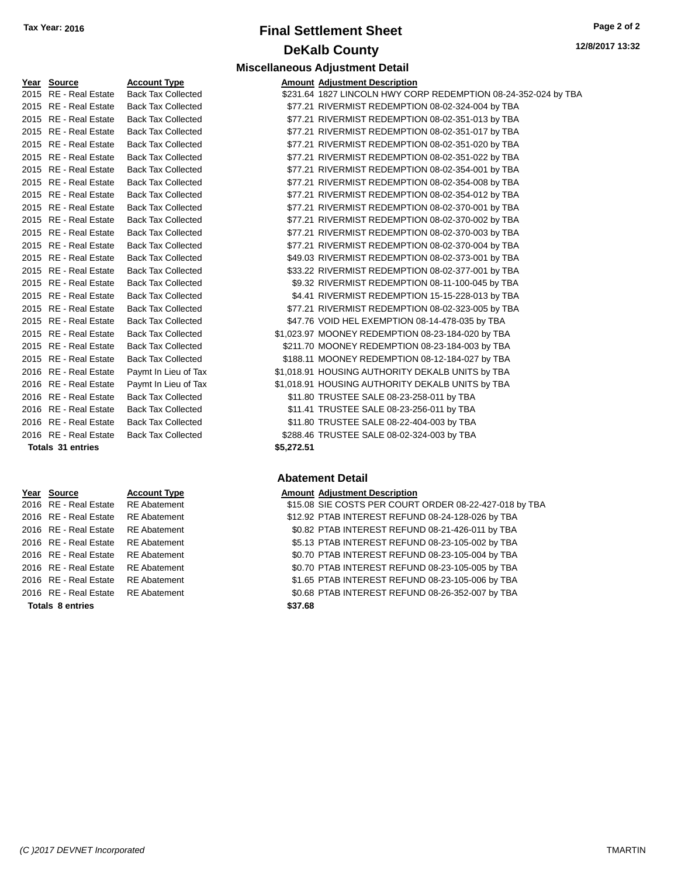# **Final Settlement Sheet Tax Year: 2016 Page 2 of 2 DeKalb County**

**12/8/2017 13:32**

| Year Source              | <b>Account Type</b>       |            | <b>Amount Adjustment Description</b> |
|--------------------------|---------------------------|------------|--------------------------------------|
| 2015 RE - Real Estate    | <b>Back Tax Collected</b> |            | \$231.64 1827 LINCOLN HWY CO         |
| 2015 RE - Real Estate    | <b>Back Tax Collected</b> |            | \$77.21 RIVERMIST REDEMPTIO          |
| 2015 RE - Real Estate    | <b>Back Tax Collected</b> |            | \$77.21 RIVERMIST REDEMPTIO          |
| 2015 RE - Real Estate    | <b>Back Tax Collected</b> |            | \$77.21 RIVERMIST REDEMPTIO          |
| 2015 RE - Real Estate    | <b>Back Tax Collected</b> |            | \$77.21 RIVERMIST REDEMPTIO          |
| 2015 RE - Real Estate    | <b>Back Tax Collected</b> |            | \$77.21 RIVERMIST REDEMPTIO          |
| 2015 RE - Real Estate    | <b>Back Tax Collected</b> |            | \$77.21 RIVERMIST REDEMPTIO          |
| 2015 RE - Real Estate    | <b>Back Tax Collected</b> |            | \$77.21 RIVERMIST REDEMPTIO          |
| 2015 RE - Real Estate    | <b>Back Tax Collected</b> |            | \$77.21 RIVERMIST REDEMPTIO          |
| 2015 RE - Real Estate    | <b>Back Tax Collected</b> |            | \$77.21 RIVERMIST REDEMPTIO          |
| 2015 RE - Real Estate    | <b>Back Tax Collected</b> |            | \$77.21 RIVERMIST REDEMPTIO          |
| 2015 RE - Real Estate    | <b>Back Tax Collected</b> |            | \$77.21 RIVERMIST REDEMPTIO          |
| 2015 RE - Real Estate    | <b>Back Tax Collected</b> |            | \$77.21 RIVERMIST REDEMPTIO          |
| 2015 RE - Real Estate    | <b>Back Tax Collected</b> |            | \$49.03 RIVERMIST REDEMPTIO          |
| 2015 RE - Real Estate    | <b>Back Tax Collected</b> |            | \$33.22 RIVERMIST REDEMPTIO          |
| 2015 RE - Real Estate    | <b>Back Tax Collected</b> |            | \$9.32 RIVERMIST REDEMPTIO           |
| 2015 RE - Real Estate    | <b>Back Tax Collected</b> |            | \$4.41 RIVERMIST REDEMPTIO           |
| 2015 RE - Real Estate    | <b>Back Tax Collected</b> |            | \$77.21 RIVERMIST REDEMPTIO          |
| 2015 RE - Real Estate    | <b>Back Tax Collected</b> |            | \$47.76 VOID HEL EXEMPTION           |
| 2015 RE - Real Estate    | <b>Back Tax Collected</b> |            | \$1,023.97 MOONEY REDEMPTION         |
| 2015 RE - Real Estate    | <b>Back Tax Collected</b> |            | \$211.70 MOONEY REDEMPTION           |
| 2015 RE - Real Estate    | <b>Back Tax Collected</b> |            | \$188.11 MOONEY REDEMPTION           |
| 2016 RE - Real Estate    | Paymt In Lieu of Tax      |            | \$1,018.91 HOUSING AUTHORITY I       |
| 2016 RE - Real Estate    | Paymt In Lieu of Tax      |            | \$1,018.91 HOUSING AUTHORITY I       |
| 2016 RE - Real Estate    | <b>Back Tax Collected</b> |            | \$11.80 TRUSTEE SALE 08-23-2         |
| 2016 RE - Real Estate    | <b>Back Tax Collected</b> |            | \$11.41 TRUSTEE SALE 08-23-2         |
| 2016 RE - Real Estate    | <b>Back Tax Collected</b> |            | \$11.80 TRUSTEE SALE 08-22-4         |
| 2016 RE - Real Estate    | <b>Back Tax Collected</b> |            | \$288.46 TRUSTEE SALE 08-02-3        |
| <b>Totals 31 entries</b> |                           | \$5,272.51 |                                      |

| Year Source             | <b>Account Type</b> | Αn |
|-------------------------|---------------------|----|
| 2016 RE - Real Estate   | <b>RE</b> Abatement | S  |
| 2016 RE - Real Estate   | <b>RE</b> Abatement | \$ |
| 2016 RE - Real Estate   | <b>RE</b> Abatement |    |
| 2016 RE - Real Estate   | <b>RE</b> Abatement |    |
| 2016 RE - Real Estate   | <b>RE</b> Abatement |    |
| 2016 RE - Real Estate   | <b>RE</b> Abatement |    |
| 2016 RE - Real Estate   | <b>RE</b> Abatement |    |
| 2016 RE - Real Estate   | <b>RE</b> Abatement |    |
| <b>Totals 8 entries</b> |                     | \$ |

# **Miscellaneous Adjustment Detail**

| 2015 RE - Real Estate | <b>Back Tax Collected</b> |            | \$231.64 1827 LINCOLN HWY CORP REDEMPTION 08-24-352-024 by TBA |
|-----------------------|---------------------------|------------|----------------------------------------------------------------|
| 2015 RE - Real Estate | <b>Back Tax Collected</b> |            | \$77.21 RIVERMIST REDEMPTION 08-02-324-004 by TBA              |
| 2015 RE - Real Estate | <b>Back Tax Collected</b> |            | \$77.21 RIVERMIST REDEMPTION 08-02-351-013 by TBA              |
| 2015 RE - Real Estate | <b>Back Tax Collected</b> |            | \$77.21 RIVERMIST REDEMPTION 08-02-351-017 by TBA              |
| 2015 RE - Real Estate | <b>Back Tax Collected</b> |            | \$77.21 RIVERMIST REDEMPTION 08-02-351-020 by TBA              |
| 2015 RE - Real Estate | <b>Back Tax Collected</b> |            | \$77.21 RIVERMIST REDEMPTION 08-02-351-022 by TBA              |
| 2015 RE - Real Estate | <b>Back Tax Collected</b> |            | \$77.21 RIVERMIST REDEMPTION 08-02-354-001 by TBA              |
| 2015 RE - Real Estate | <b>Back Tax Collected</b> |            | \$77.21 RIVERMIST REDEMPTION 08-02-354-008 by TBA              |
| 2015 RE - Real Estate | <b>Back Tax Collected</b> |            | \$77.21 RIVERMIST REDEMPTION 08-02-354-012 by TBA              |
| 2015 RE - Real Estate | <b>Back Tax Collected</b> |            | \$77.21 RIVERMIST REDEMPTION 08-02-370-001 by TBA              |
| 2015 RE - Real Estate | <b>Back Tax Collected</b> |            | \$77.21 RIVERMIST REDEMPTION 08-02-370-002 by TBA              |
| 2015 RE - Real Estate | <b>Back Tax Collected</b> |            | \$77.21 RIVERMIST REDEMPTION 08-02-370-003 by TBA              |
| 2015 RE - Real Estate | <b>Back Tax Collected</b> |            | \$77.21 RIVERMIST REDEMPTION 08-02-370-004 by TBA              |
| 2015 RE - Real Estate | <b>Back Tax Collected</b> |            | \$49.03 RIVERMIST REDEMPTION 08-02-373-001 by TBA              |
| 2015 RE - Real Estate | <b>Back Tax Collected</b> |            | \$33.22 RIVERMIST REDEMPTION 08-02-377-001 by TBA              |
| 2015 RE - Real Estate | <b>Back Tax Collected</b> |            | \$9.32 RIVERMIST REDEMPTION 08-11-100-045 by TBA               |
| 2015 RE - Real Estate | <b>Back Tax Collected</b> |            | \$4.41 RIVERMIST REDEMPTION 15-15-228-013 by TBA               |
| 2015 RE - Real Estate | <b>Back Tax Collected</b> |            | \$77.21 RIVERMIST REDEMPTION 08-02-323-005 by TBA              |
| 2015 RE - Real Estate | <b>Back Tax Collected</b> |            | \$47.76 VOID HEL EXEMPTION 08-14-478-035 by TBA                |
| 2015 RE - Real Estate | <b>Back Tax Collected</b> |            | \$1,023.97 MOONEY REDEMPTION 08-23-184-020 by TBA              |
| 2015 RE - Real Estate | <b>Back Tax Collected</b> |            | \$211.70 MOONEY REDEMPTION 08-23-184-003 by TBA                |
| 2015 RE - Real Estate | <b>Back Tax Collected</b> |            | \$188.11 MOONEY REDEMPTION 08-12-184-027 by TBA                |
| 2016 RE - Real Estate | Paymt In Lieu of Tax      |            | \$1,018.91 HOUSING AUTHORITY DEKALB UNITS by TBA               |
| 2016 RE - Real Estate | Paymt In Lieu of Tax      |            | \$1,018.91 HOUSING AUTHORITY DEKALB UNITS by TBA               |
| 2016 RE - Real Estate | <b>Back Tax Collected</b> |            | \$11.80 TRUSTEE SALE 08-23-258-011 by TBA                      |
| 2016 RE - Real Estate | <b>Back Tax Collected</b> |            | \$11.41 TRUSTEE SALE 08-23-256-011 by TBA                      |
| 2016 RE - Real Estate | <b>Back Tax Collected</b> |            | \$11.80 TRUSTEE SALE 08-22-404-003 by TBA                      |
| 2016 RE - Real Estate | <b>Back Tax Collected</b> |            | \$288.46 TRUSTEE SALE 08-02-324-003 by TBA                     |
| Totals 31 entries     |                           | \$5,272.51 |                                                                |

## **Abatement Detail**

#### **Year Source Account Type Amount Adjustment Description**

| 2016 RE - Real Estate<br>2016 RE - Real Estate RE Abatement | <b>RE</b> Abatement | \$1.65 PTAB INTEREST REFUND 08-23-105-006 by TBA<br>\$0.68 PTAB INTEREST REFUND 08-26-352-007 by TBA                           |
|-------------------------------------------------------------|---------------------|--------------------------------------------------------------------------------------------------------------------------------|
|                                                             |                     |                                                                                                                                |
|                                                             |                     |                                                                                                                                |
| 2016 RE - Real Estate                                       | <b>RE</b> Abatement | \$0.70 PTAB INTEREST REFUND 08-23-105-005 by TBA                                                                               |
| 2016 RE - Real Estate                                       |                     | \$0.70 PTAB INTEREST REFUND 08-23-105-004 by TBA                                                                               |
| 2016 RE - Real Estate                                       |                     | \$5.13 PTAB INTEREST REFUND 08-23-105-002 by TBA                                                                               |
| 2016 RE - Real Estate                                       |                     | \$0.82 PTAB INTEREST REFUND 08-21-426-011 by TBA                                                                               |
| 2016 RE - Real Estate                                       |                     | \$12.92 PTAB INTEREST REFUND 08-24-128-026 by TBA                                                                              |
|                                                             |                     | \$15.08 SIE COSTS PER COURT ORDER 08-22-427-018 by TBA                                                                         |
|                                                             |                     | 2016 RE - Real Estate RE Abatement<br><b>RE</b> Abatement<br><b>RE</b> Abatement<br><b>RE</b> Abatement<br><b>RE Abatement</b> |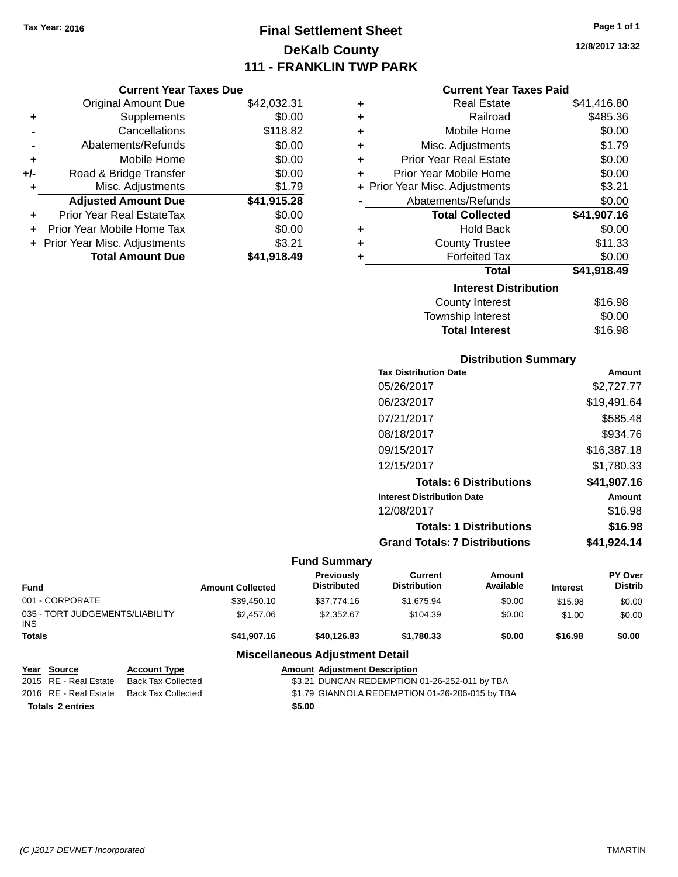# **Final Settlement Sheet Tax Year: 2016 Page 1 of 1 DeKalb County 111 - FRANKLIN TWP PARK**

### **Current Year Taxes Due**

|     | <b>Original Amount Due</b>       | \$42,032.31 |
|-----|----------------------------------|-------------|
| ٠   | Supplements                      | \$0.00      |
|     | Cancellations                    | \$118.82    |
|     | Abatements/Refunds               | \$0.00      |
| ÷   | Mobile Home                      | \$0.00      |
| +/- | Road & Bridge Transfer           | \$0.00      |
| ٠   | Misc. Adjustments                | \$1.79      |
|     | <b>Adjusted Amount Due</b>       | \$41,915.28 |
| ÷   | <b>Prior Year Real EstateTax</b> | \$0.00      |
|     | Prior Year Mobile Home Tax       | \$0.00      |
|     | + Prior Year Misc. Adjustments   | \$3.21      |
|     | <b>Total Amount Due</b>          | \$41,918.49 |

#### **Current Year Taxes Paid**

| ٠ | <b>Real Estate</b>             | \$41,416.80 |
|---|--------------------------------|-------------|
| ÷ | Railroad                       | \$485.36    |
| ٠ | Mobile Home                    | \$0.00      |
| ÷ | Misc. Adjustments              | \$1.79      |
| ÷ | <b>Prior Year Real Estate</b>  | \$0.00      |
| ٠ | Prior Year Mobile Home         | \$0.00      |
|   | + Prior Year Misc. Adjustments | \$3.21      |
|   | Abatements/Refunds             | \$0.00      |
|   | <b>Total Collected</b>         | \$41,907.16 |
| ٠ | <b>Hold Back</b>               | \$0.00      |
| ٠ | <b>County Trustee</b>          | \$11.33     |
| ٠ | <b>Forfeited Tax</b>           | \$0.00      |
|   | Total                          | \$41,918.49 |
|   | <b>Interest Distribution</b>   |             |
|   | <b>County Interest</b>         | \$16.98     |
|   | <b>Township Interest</b>       | \$0.00      |
|   | <b>Total Interest</b>          | \$16.98     |

## **Distribution Summary**

| Amount      |
|-------------|
| \$2,727.77  |
| \$19,491.64 |
| \$585.48    |
| \$934.76    |
| \$16,387.18 |
| \$1,780.33  |
| \$41,907.16 |
| Amount      |
| \$16.98     |
| \$16.98     |
| \$41.924.14 |
|             |

## **Fund Summary**

| <b>Fund</b>                                   |                           | <b>Amount Collected</b>                       | <b>Previously</b><br><b>Distributed</b> | Current<br><b>Distribution</b> | <b>Amount</b><br>Available | <b>Interest</b> | <b>PY Over</b><br><b>Distrib</b> |
|-----------------------------------------------|---------------------------|-----------------------------------------------|-----------------------------------------|--------------------------------|----------------------------|-----------------|----------------------------------|
| 001 - CORPORATE                               |                           | \$39.450.10                                   | \$37,774.16                             | \$1.675.94                     | \$0.00                     | \$15.98         | \$0.00                           |
| 035 - TORT JUDGEMENTS/LIABILITY<br><b>INS</b> |                           | \$2,457.06                                    | \$2,352.67                              | \$104.39                       | \$0.00                     | \$1.00          | \$0.00                           |
| <b>Totals</b>                                 |                           | \$41,907.16                                   | \$40.126.83                             | \$1.780.33                     | \$0.00                     | \$16.98         | \$0.00                           |
|                                               |                           |                                               | <b>Miscellaneous Adjustment Detail</b>  |                                |                            |                 |                                  |
| Year<br>Source                                | <b>Account Type</b>       | <b>Amount Adiustment Description</b>          |                                         |                                |                            |                 |                                  |
| 2015 RE - Real Estate                         | <b>Rack Tay Collected</b> | \$3.21 DUNCAN REDEMPTION 01-26-252-011 by TRA |                                         |                                |                            |                 |                                  |

2015 RE - Real Estate Back Tax Collected \$3.21 DUNCAN REDEMPTION 01-26-252-011 by TBA 2016 RE - Real Estate Back Tax Collected \$1.79 GIANNOLA REDEMPTION 01-26-206-015 by TBA **Totals 2 entries \$5.00**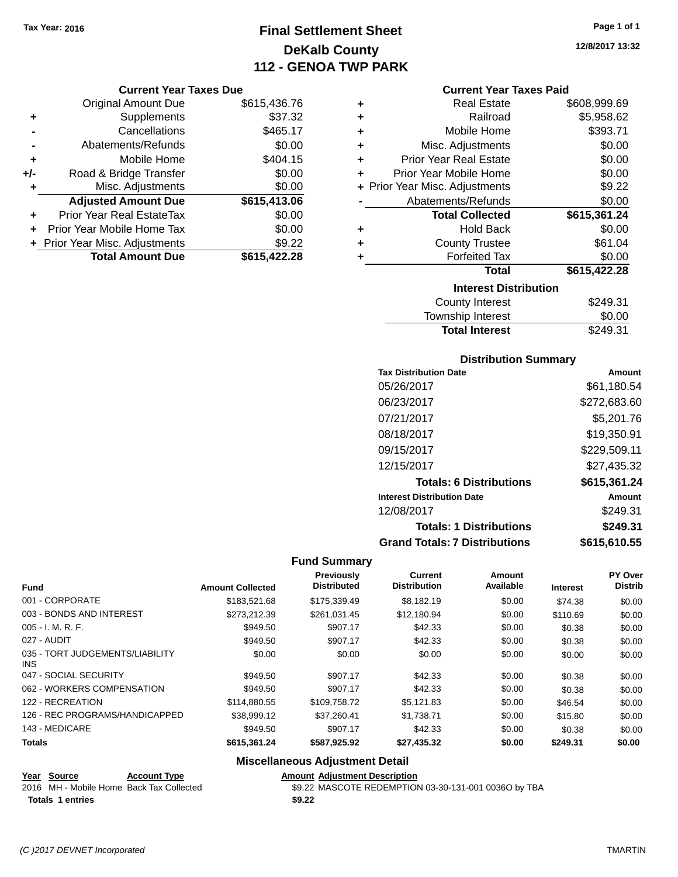# **Final Settlement Sheet Tax Year: 2016 Page 1 of 1 DeKalb County 112 - GENOA TWP PARK**

## **Current Year Taxes Due**

|       | <b>Original Amount Due</b>       | \$615,436.76 |
|-------|----------------------------------|--------------|
| ٠     | Supplements                      | \$37.32      |
|       | Cancellations                    | \$465.17     |
|       | Abatements/Refunds               | \$0.00       |
| ٠     | Mobile Home                      | \$404.15     |
| $+/-$ | Road & Bridge Transfer           | \$0.00       |
| ٠     | Misc. Adjustments                | \$0.00       |
|       | <b>Adjusted Amount Due</b>       | \$615,413.06 |
|       | <b>Prior Year Real EstateTax</b> | \$0.00       |
|       | Prior Year Mobile Home Tax       | \$0.00       |
|       | + Prior Year Misc. Adjustments   | \$9.22       |
|       | <b>Total Amount Due</b>          | \$615,422.28 |

## **Current Year Taxes Paid**

| ٠ | <b>Real Estate</b>             | \$608,999.69 |
|---|--------------------------------|--------------|
| ٠ | Railroad                       | \$5,958.62   |
| ÷ | Mobile Home                    | \$393.71     |
| ٠ | Misc. Adjustments              | \$0.00       |
| ÷ | <b>Prior Year Real Estate</b>  | \$0.00       |
| ٠ | Prior Year Mobile Home         | \$0.00       |
|   | + Prior Year Misc. Adjustments | \$9.22       |
|   | Abatements/Refunds             | \$0.00       |
|   | <b>Total Collected</b>         | \$615,361.24 |
| ٠ | <b>Hold Back</b>               | \$0.00       |
| ٠ | <b>County Trustee</b>          | \$61.04      |
| ٠ | <b>Forfeited Tax</b>           | \$0.00       |
|   | <b>Total</b>                   | \$615,422.28 |
|   | <b>Interest Distribution</b>   |              |
|   | <b>County Interest</b>         | \$249.31     |
|   | <b>Township Interest</b>       | \$0.00       |
|   | <b>Total Interest</b>          | \$249.31     |

## **Distribution Summary**

| <b>Tax Distribution Date</b>         | Amount       |
|--------------------------------------|--------------|
| 05/26/2017                           | \$61,180.54  |
| 06/23/2017                           | \$272,683.60 |
| 07/21/2017                           | \$5,201.76   |
| 08/18/2017                           | \$19,350.91  |
| 09/15/2017                           | \$229,509.11 |
| 12/15/2017                           | \$27.435.32  |
| <b>Totals: 6 Distributions</b>       | \$615,361.24 |
| <b>Interest Distribution Date</b>    | Amount       |
| 12/08/2017                           | \$249.31     |
| <b>Totals: 1 Distributions</b>       | \$249.31     |
| <b>Grand Totals: 7 Distributions</b> | \$615.610.55 |

## **Fund Summary**

| <b>Fund</b>                                   | <b>Amount Collected</b> | <b>Previously</b><br><b>Distributed</b> | Current<br><b>Distribution</b> | Amount<br>Available | <b>Interest</b> | <b>PY Over</b><br><b>Distrib</b> |
|-----------------------------------------------|-------------------------|-----------------------------------------|--------------------------------|---------------------|-----------------|----------------------------------|
| 001 - CORPORATE                               | \$183,521.68            | \$175,339.49                            | \$8,182.19                     | \$0.00              | \$74.38         | \$0.00                           |
| 003 - BONDS AND INTEREST                      | \$273.212.39            | \$261.031.45                            | \$12.180.94                    | \$0.00              | \$110.69        | \$0.00                           |
| $005 - I. M. R. F.$                           | \$949.50                | \$907.17                                | \$42.33                        | \$0.00              | \$0.38          | \$0.00                           |
| 027 - AUDIT                                   | \$949.50                | \$907.17                                | \$42.33                        | \$0.00              | \$0.38          | \$0.00                           |
| 035 - TORT JUDGEMENTS/LIABILITY<br><b>INS</b> | \$0.00                  | \$0.00                                  | \$0.00                         | \$0.00              | \$0.00          | \$0.00                           |
| 047 - SOCIAL SECURITY                         | \$949.50                | \$907.17                                | \$42.33                        | \$0.00              | \$0.38          | \$0.00                           |
| 062 - WORKERS COMPENSATION                    | \$949.50                | \$907.17                                | \$42.33                        | \$0.00              | \$0.38          | \$0.00                           |
| 122 - RECREATION                              | \$114,880.55            | \$109,758.72                            | \$5.121.83                     | \$0.00              | \$46.54         | \$0.00                           |
| 126 - REC PROGRAMS/HANDICAPPED                | \$38,999.12             | \$37,260.41                             | \$1,738.71                     | \$0.00              | \$15.80         | \$0.00                           |
| 143 - MEDICARE                                | \$949.50                | \$907.17                                | \$42.33                        | \$0.00              | \$0.38          | \$0.00                           |
| <b>Totals</b>                                 | \$615,361.24            | \$587,925.92                            | \$27,435.32                    | \$0.00              | \$249.31        | \$0.00                           |

## **Miscellaneous Adjustment Detail**

| Year Source                              | <b>Account Type</b> |        | <b>Amount Adiustment Description</b>                 |
|------------------------------------------|---------------------|--------|------------------------------------------------------|
| 2016 MH - Mobile Home Back Tax Collected |                     |        | \$9.22 MASCOTE REDEMPTION 03-30-131-001 0036O by TBA |
| <b>Totals 1 entries</b>                  |                     | \$9.22 |                                                      |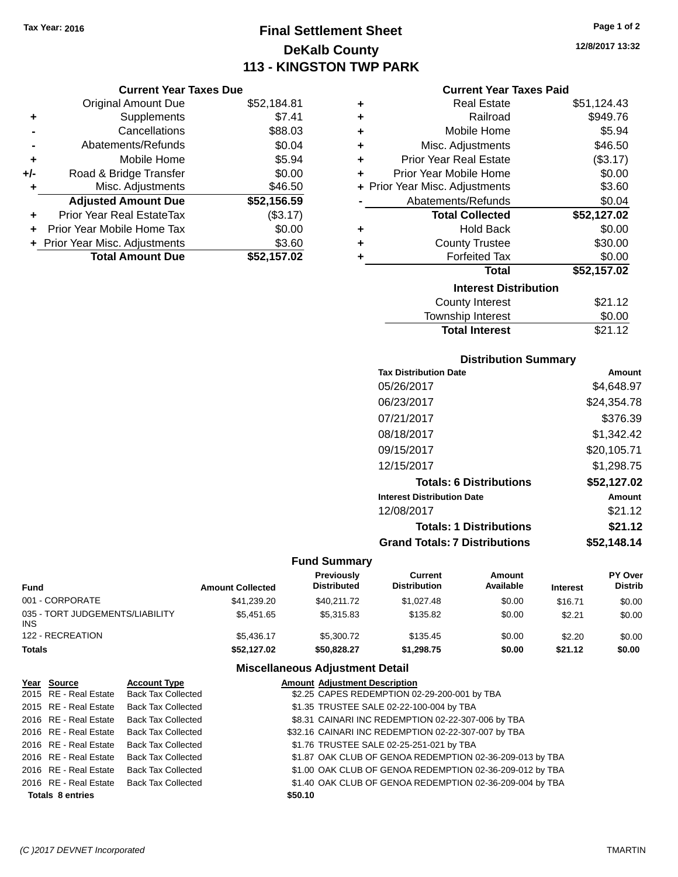# **Final Settlement Sheet Tax Year: 2016 Page 1 of 2 DeKalb County 113 - KINGSTON TWP PARK**

**12/8/2017 13:32**

## **Current Year Taxes Paid**

|     | <b>Current Year Taxes Due</b>  |             |  |
|-----|--------------------------------|-------------|--|
|     | <b>Original Amount Due</b>     | \$52,184.81 |  |
|     | Supplements                    | \$7.41      |  |
|     | Cancellations                  | \$88.03     |  |
|     | Abatements/Refunds             | \$0.04      |  |
|     | Mobile Home                    | \$5.94      |  |
| +/- | Road & Bridge Transfer         | \$0.00      |  |
|     | Misc. Adjustments              | \$46.50     |  |
|     | <b>Adjusted Amount Due</b>     | \$52,156.59 |  |
|     | Prior Year Real EstateTax      | (\$3.17)    |  |
|     | Prior Year Mobile Home Tax     | \$0.00      |  |
|     | + Prior Year Misc. Adjustments | \$3.60      |  |
|     | <b>Total Amount Due</b>        | \$52,157.02 |  |
|     |                                |             |  |

| ٠ | <b>Real Estate</b>             | \$51,124.43 |
|---|--------------------------------|-------------|
| ÷ | Railroad                       | \$949.76    |
| ÷ | Mobile Home                    | \$5.94      |
| ٠ | Misc. Adjustments              | \$46.50     |
| ٠ | <b>Prior Year Real Estate</b>  | (\$3.17)    |
| ÷ | Prior Year Mobile Home         | \$0.00      |
|   | + Prior Year Misc. Adjustments | \$3.60      |
|   | Abatements/Refunds             | \$0.04      |
|   | <b>Total Collected</b>         | \$52,127.02 |
| ٠ | Hold Back                      | \$0.00      |
| ٠ | <b>County Trustee</b>          | \$30.00     |
|   | <b>Forfeited Tax</b>           | \$0.00      |
|   | <b>Total</b>                   | \$52,157.02 |
|   | <b>Interest Distribution</b>   |             |
|   | <b>County Interest</b>         | \$21.12     |
|   | <b>Township Interest</b>       | \$0.00      |
|   | <b>Total Interest</b>          | \$21.12     |

## **Distribution Summary**

| <b>Tax Distribution Date</b>         | Amount      |
|--------------------------------------|-------------|
| 05/26/2017                           | \$4.648.97  |
| 06/23/2017                           | \$24,354.78 |
| 07/21/2017                           | \$376.39    |
| 08/18/2017                           | \$1,342.42  |
| 09/15/2017                           | \$20,105.71 |
| 12/15/2017                           | \$1,298.75  |
| <b>Totals: 6 Distributions</b>       | \$52,127.02 |
| <b>Interest Distribution Date</b>    | Amount      |
| 12/08/2017                           | \$21.12     |
| <b>Totals: 1 Distributions</b>       | \$21.12     |
| <b>Grand Totals: 7 Distributions</b> | \$52.148.14 |

## **Fund Summary**

| Fund                                   | <b>Amount Collected</b> | Previously<br><b>Distributed</b> | Current<br><b>Distribution</b> | Amount<br>Available | <b>Interest</b> | PY Over<br><b>Distrib</b> |
|----------------------------------------|-------------------------|----------------------------------|--------------------------------|---------------------|-----------------|---------------------------|
| 001 - CORPORATE                        | \$41,239.20             | \$40,211.72                      | \$1,027.48                     | \$0.00              | \$16.71         | \$0.00                    |
| 035 - TORT JUDGEMENTS/LIABILITY<br>INS | \$5.451.65              | \$5.315.83                       | \$135.82                       | \$0.00              | \$2.21          | \$0.00                    |
| 122 - RECREATION                       | \$5.436.17              | \$5,300.72                       | \$135.45                       | \$0.00              | \$2.20          | \$0.00                    |
| Totals                                 | \$52,127.02             | \$50,828,27                      | \$1,298.75                     | \$0.00              | \$21.12         | \$0.00                    |

## **Miscellaneous Adjustment Detail**

| Year Source             | <b>Account Type</b>       |         | <b>Amount Adjustment Description</b>                     |
|-------------------------|---------------------------|---------|----------------------------------------------------------|
| 2015 RE - Real Estate   | <b>Back Tax Collected</b> |         | \$2.25 CAPES REDEMPTION 02-29-200-001 by TBA             |
| 2015 RE - Real Estate   | <b>Back Tax Collected</b> |         | \$1.35 TRUSTEE SALE 02-22-100-004 by TBA                 |
| 2016 RE - Real Estate   | <b>Back Tax Collected</b> |         | \$8.31 CAINARI INC REDEMPTION 02-22-307-006 by TBA       |
| 2016 RE - Real Estate   | <b>Back Tax Collected</b> |         | \$32.16 CAINARI INC REDEMPTION 02-22-307-007 by TBA      |
| 2016 RE - Real Estate   | <b>Back Tax Collected</b> |         | \$1.76 TRUSTEE SALE 02-25-251-021 by TBA                 |
| 2016 RE - Real Estate   | <b>Back Tax Collected</b> |         | \$1.87 OAK CLUB OF GENOA REDEMPTION 02-36-209-013 by TBA |
| 2016 RE - Real Estate   | <b>Back Tax Collected</b> |         | \$1.00 OAK CLUB OF GENOA REDEMPTION 02-36-209-012 by TBA |
| 2016 RE - Real Estate   | <b>Back Tax Collected</b> |         | \$1.40 OAK CLUB OF GENOA REDEMPTION 02-36-209-004 by TBA |
| <b>Totals 8 entries</b> |                           | \$50.10 |                                                          |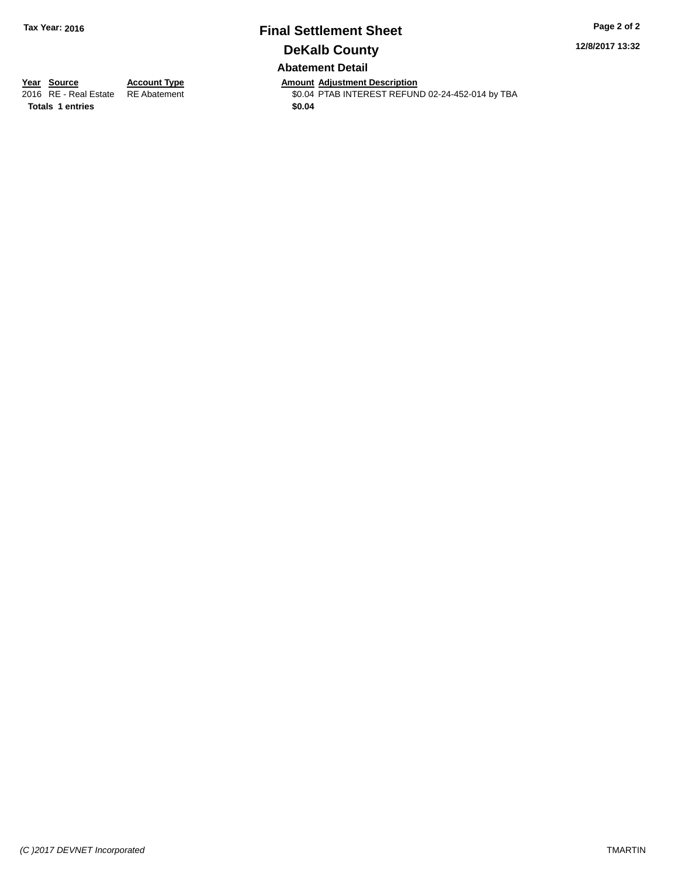# **Final Settlement Sheet Tax Year: 2016 Page 2 of 2 DeKalb County Abatement Detail**

**12/8/2017 13:32**

**Totals 1 entries \$0.04**

**Year Source Account Type Amount Adjustment Description** \$0.04 PTAB INTEREST REFUND 02-24-452-014 by TBA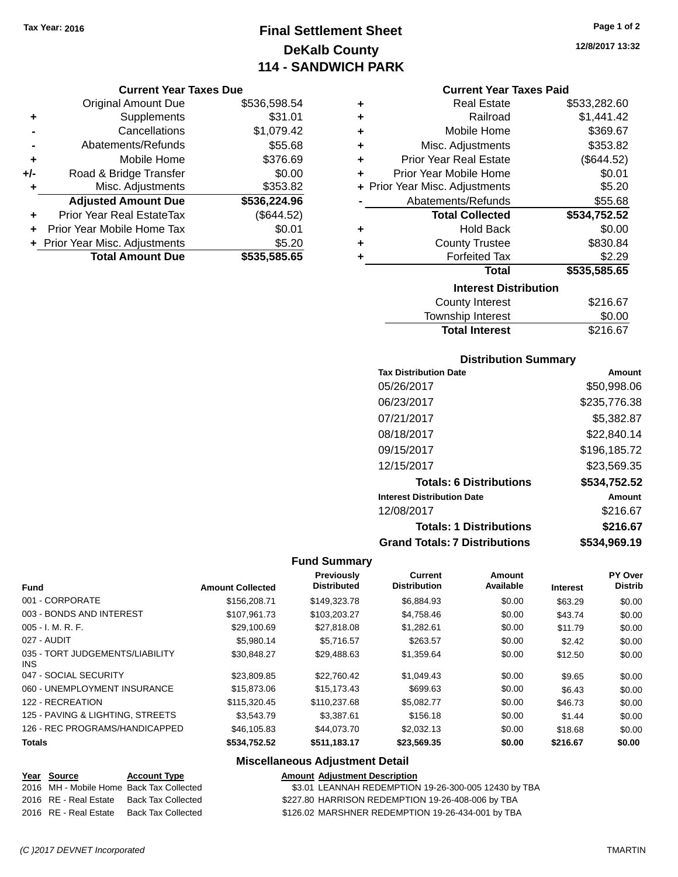# **Final Settlement Sheet Tax Year: 2016 Page 1 of 2 DeKalb County 114 - SANDWICH PARK**

#### **Current Year Taxes Due**

|     | <b>Original Amount Due</b>       | \$536,598.54 |
|-----|----------------------------------|--------------|
| ٠   | Supplements                      | \$31.01      |
|     | Cancellations                    | \$1,079.42   |
|     | Abatements/Refunds               | \$55.68      |
| ٠   | Mobile Home                      | \$376.69     |
| +/- | Road & Bridge Transfer           | \$0.00       |
| ٠   | Misc. Adjustments                | \$353.82     |
|     | <b>Adjusted Amount Due</b>       | \$536,224.96 |
|     | <b>Prior Year Real EstateTax</b> | (\$644.52)   |
|     | Prior Year Mobile Home Tax       | \$0.01       |
|     | + Prior Year Misc. Adjustments   | \$5.20       |
|     | <b>Total Amount Due</b>          | \$535,585.65 |

| ٠ | <b>Real Estate</b>             | \$533,282.60 |
|---|--------------------------------|--------------|
| ÷ | Railroad                       | \$1,441.42   |
| ٠ | Mobile Home                    | \$369.67     |
| ÷ | Misc. Adjustments              | \$353.82     |
| ٠ | <b>Prior Year Real Estate</b>  | (\$644.52)   |
| ٠ | Prior Year Mobile Home         | \$0.01       |
|   | + Prior Year Misc. Adjustments | \$5.20       |
|   | Abatements/Refunds             | \$55.68      |
|   | <b>Total Collected</b>         | \$534,752.52 |
| ٠ | <b>Hold Back</b>               | \$0.00       |
| ٠ | <b>County Trustee</b>          | \$830.84     |
| ٠ | <b>Forfeited Tax</b>           | \$2.29       |
|   | Total                          | \$535,585.65 |
|   | <b>Interest Distribution</b>   |              |
|   | County Interest                | \$216.67     |
|   | Tourable Interact              | ሮስ ሰሰ        |

| <b>Total Interest</b> | \$216.67 |
|-----------------------|----------|
| Township Interest     | \$0.00   |
| County Interest       | \$216.67 |

## **Distribution Summary**

| <b>Tax Distribution Date</b>         | Amount       |
|--------------------------------------|--------------|
| 05/26/2017                           | \$50,998.06  |
| 06/23/2017                           | \$235,776.38 |
| 07/21/2017                           | \$5,382.87   |
| 08/18/2017                           | \$22,840.14  |
| 09/15/2017                           | \$196,185.72 |
| 12/15/2017                           | \$23,569.35  |
| <b>Totals: 6 Distributions</b>       | \$534,752.52 |
| <b>Interest Distribution Date</b>    | Amount       |
| 12/08/2017                           | \$216.67     |
| <b>Totals: 1 Distributions</b>       | \$216.67     |
| <b>Grand Totals: 7 Distributions</b> | \$534,969.19 |

## **Fund Summary**

| <b>Fund</b>                             | <b>Amount Collected</b> | <b>Previously</b><br><b>Distributed</b> | <b>Current</b><br><b>Distribution</b> | Amount<br>Available | <b>Interest</b> | PY Over<br><b>Distrib</b> |
|-----------------------------------------|-------------------------|-----------------------------------------|---------------------------------------|---------------------|-----------------|---------------------------|
| 001 - CORPORATE                         | \$156,208.71            | \$149,323,78                            | \$6.884.93                            | \$0.00              | \$63.29         | \$0.00                    |
| 003 - BONDS AND INTEREST                | \$107.961.73            | \$103.203.27                            | \$4,758.46                            | \$0.00              | \$43.74         | \$0.00                    |
| $005 - I. M. R. F.$                     | \$29,100.69             | \$27,818,08                             | \$1.282.61                            | \$0.00              | \$11.79         | \$0.00                    |
| 027 - AUDIT                             | \$5,980.14              | \$5.716.57                              | \$263.57                              | \$0.00              | \$2.42          | \$0.00                    |
| 035 - TORT JUDGEMENTS/LIABILITY<br>INS. | \$30,848.27             | \$29,488.63                             | \$1,359.64                            | \$0.00              | \$12.50         | \$0.00                    |
| 047 - SOCIAL SECURITY                   | \$23,809.85             | \$22,760.42                             | \$1.049.43                            | \$0.00              | \$9.65          | \$0.00                    |
| 060 - UNEMPLOYMENT INSURANCE            | \$15,873,06             | \$15,173.43                             | \$699.63                              | \$0.00              | \$6.43          | \$0.00                    |
| 122 - RECREATION                        | \$115,320.45            | \$110,237.68                            | \$5.082.77                            | \$0.00              | \$46.73         | \$0.00                    |
| 125 - PAVING & LIGHTING, STREETS        | \$3,543.79              | \$3.387.61                              | \$156.18                              | \$0.00              | \$1.44          | \$0.00                    |
| 126 - REC PROGRAMS/HANDICAPPED          | \$46,105.83             | \$44,073.70                             | \$2,032.13                            | \$0.00              | \$18.68         | \$0.00                    |
| <b>Totals</b>                           | \$534,752.52            | \$511,183.17                            | \$23,569.35                           | \$0.00              | \$216.67        | \$0.00                    |

## **Miscellaneous Adjustment Detail**

### **Year Source Account Type Amount Adjustment Description**<br>2016 MH - Mobile Home Back Tax Collected \$3.01 LEANNAH REDEMPTION \$3.01 LEANNAH REDEMPTION 19-26-300-005 12430 by TBA 2016 RE - Real Estate Back Tax Collected \$227.80 HARRISON REDEMPTION 19-26-408-006 by TBA 2016 RE - Real Estate Back Tax Collected \$126.02 MARSHNER REDEMPTION 19-26-434-001 by TBA

*(C )2017 DEVNET Incorporated* TMARTIN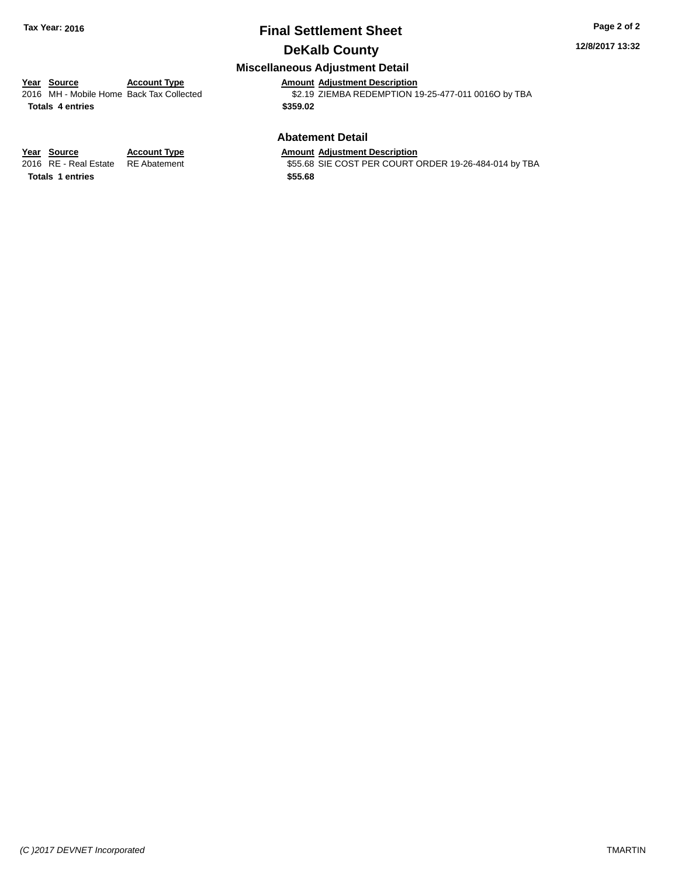# **Final Settlement Sheet Tax Year: 2016 Page 2 of 2 DeKalb County**

#### **12/8/2017 13:32**

## **Miscellaneous Adjustment Detail**

# **Year Source Account Type Amount Adjustment Description**

**Totals 4 entries \$359.02**

\$2.19 ZIEMBA REDEMPTION 19-25-477-011 0016O by TBA

## **Abatement Detail**

\$55.68 SIE COST PER COURT ORDER 19-26-484-014 by TBA

**Year Source Account Type Amount Adjustment Description**<br>2016 RE - Real Estate RE Abatement **Amount SES.68 SIE COST PER COURT** 

**Totals 1 entries \$55.68**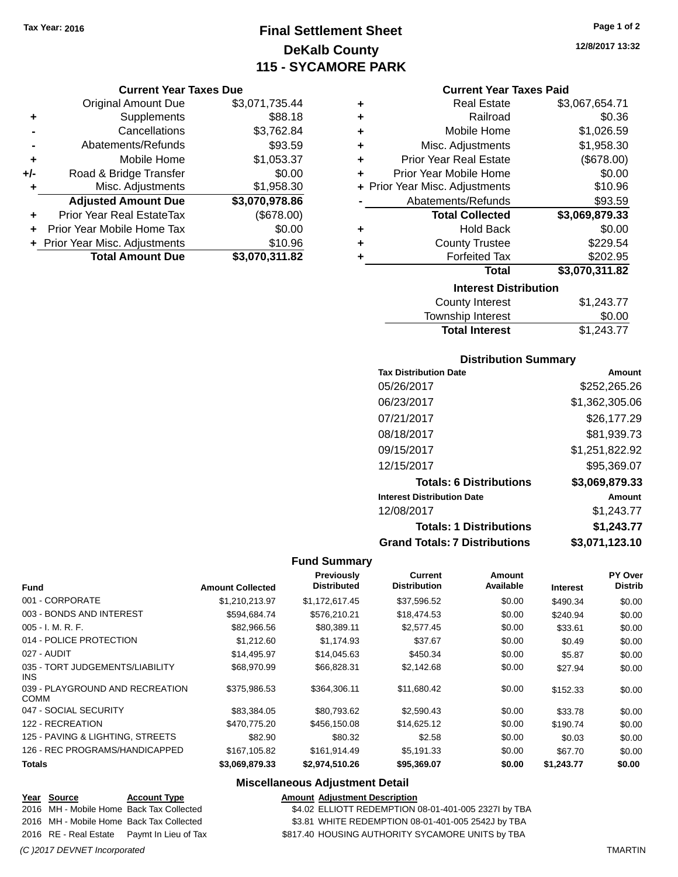# **Final Settlement Sheet Tax Year: 2016 Page 1 of 2 DeKalb County 115 - SYCAMORE PARK**

## **Current Year Taxes Due**

|     | <b>Original Amount Due</b>       | \$3,071,735.44 |
|-----|----------------------------------|----------------|
| ٠   | Supplements                      | \$88.18        |
|     | Cancellations                    | \$3,762.84     |
|     | Abatements/Refunds               | \$93.59        |
| ٠   | Mobile Home                      | \$1,053.37     |
| +/- | Road & Bridge Transfer           | \$0.00         |
| ٠   | Misc. Adjustments                | \$1,958.30     |
|     | <b>Adjusted Amount Due</b>       | \$3,070,978.86 |
|     | <b>Prior Year Real EstateTax</b> | (\$678.00)     |
|     | Prior Year Mobile Home Tax       | \$0.00         |
|     | + Prior Year Misc. Adjustments   | \$10.96        |
|     | <b>Total Amount Due</b>          | \$3,070,311.82 |

| ٠ | <b>Real Estate</b>             | \$3,067,654.71   |
|---|--------------------------------|------------------|
| ٠ | Railroad                       | \$0.36           |
| ٠ | Mobile Home                    | \$1,026.59       |
| ٠ | Misc. Adjustments              | \$1,958.30       |
| ٠ | <b>Prior Year Real Estate</b>  | (\$678.00)       |
| ٠ | Prior Year Mobile Home         | \$0.00           |
|   | + Prior Year Misc. Adjustments | \$10.96          |
|   | Abatements/Refunds             | \$93.59          |
|   | <b>Total Collected</b>         | \$3,069,879.33   |
| ٠ | <b>Hold Back</b>               | \$0.00           |
| ٠ | <b>County Trustee</b>          | \$229.54         |
| ٠ | <b>Forfeited Tax</b>           | \$202.95         |
|   | Total                          | \$3,070,311.82   |
|   | <b>Interest Distribution</b>   |                  |
|   |                                | . <del>. .</del> |

| <b>Total Interest</b> | \$1,243.77 |
|-----------------------|------------|
| Township Interest     | \$0.00     |
| County Interest       | \$1,243.77 |

## **Distribution Summary**

| <b>Tax Distribution Date</b>         | Amount         |
|--------------------------------------|----------------|
| 05/26/2017                           | \$252,265,26   |
| 06/23/2017                           | \$1,362,305.06 |
| 07/21/2017                           | \$26,177.29    |
| 08/18/2017                           | \$81,939.73    |
| 09/15/2017                           | \$1,251,822.92 |
| 12/15/2017                           | \$95,369.07    |
| <b>Totals: 6 Distributions</b>       | \$3,069,879.33 |
| <b>Interest Distribution Date</b>    | Amount         |
| 12/08/2017                           | \$1,243.77     |
| <b>Totals: 1 Distributions</b>       | \$1,243.77     |
| <b>Grand Totals: 7 Distributions</b> | \$3.071.123.10 |

## **Fund Summary**

| <b>Fund</b>                                   | <b>Amount Collected</b> | Previously<br><b>Distributed</b> | Current<br><b>Distribution</b> | Amount<br>Available | <b>Interest</b> | PY Over<br><b>Distrib</b> |
|-----------------------------------------------|-------------------------|----------------------------------|--------------------------------|---------------------|-----------------|---------------------------|
| 001 - CORPORATE                               | \$1,210,213.97          | \$1,172,617.45                   | \$37,596.52                    | \$0.00              | \$490.34        | \$0.00                    |
| 003 - BONDS AND INTEREST                      | \$594,684.74            | \$576,210.21                     | \$18,474.53                    | \$0.00              | \$240.94        | \$0.00                    |
| $005 - I. M. R. F.$                           | \$82,966.56             | \$80,389.11                      | \$2,577.45                     | \$0.00              | \$33.61         | \$0.00                    |
| 014 - POLICE PROTECTION                       | \$1,212.60              | \$1,174.93                       | \$37.67                        | \$0.00              | \$0.49          | \$0.00                    |
| 027 - AUDIT                                   | \$14,495.97             | \$14,045.63                      | \$450.34                       | \$0.00              | \$5.87          | \$0.00                    |
| 035 - TORT JUDGEMENTS/LIABILITY<br><b>INS</b> | \$68,970.99             | \$66,828,31                      | \$2,142.68                     | \$0.00              | \$27.94         | \$0.00                    |
| 039 - PLAYGROUND AND RECREATION<br>COMM       | \$375,986.53            | \$364,306.11                     | \$11,680.42                    | \$0.00              | \$152.33        | \$0.00                    |
| 047 - SOCIAL SECURITY                         | \$83.384.05             | \$80.793.62                      | \$2,590.43                     | \$0.00              | \$33.78         | \$0.00                    |
| 122 - RECREATION                              | \$470,775.20            | \$456,150.08                     | \$14,625.12                    | \$0.00              | \$190.74        | \$0.00                    |
| 125 - PAVING & LIGHTING, STREETS              | \$82.90                 | \$80.32                          | \$2.58                         | \$0.00              | \$0.03          | \$0.00                    |
| 126 - REC PROGRAMS/HANDICAPPED                | \$167,105.82            | \$161,914.49                     | \$5,191.33                     | \$0.00              | \$67.70         | \$0.00                    |
| <b>Totals</b>                                 | \$3,069,879.33          | \$2,974,510.26                   | \$95,369.07                    | \$0.00              | \$1,243.77      | \$0.00                    |

## **Miscellaneous Adjustment Detail**

**Year** Source **Account Type Account Type Amount Adjustment Description** 2016 MH - Mobile Home Back Tax Collected \$4.02 ELLIOTT REDEMPTION 08-01-401-005 2327I by TBA 2016 MH - Mobile Home Back Tax Collected \$3.81 WHITE REDEMPTION 08-01-401-005 2542J by TBA 2016 RE - Real Estate Paymt In Lieu of Tax \$817.40 HOUSING AUTHORITY SYCAMORE UNITS by TBA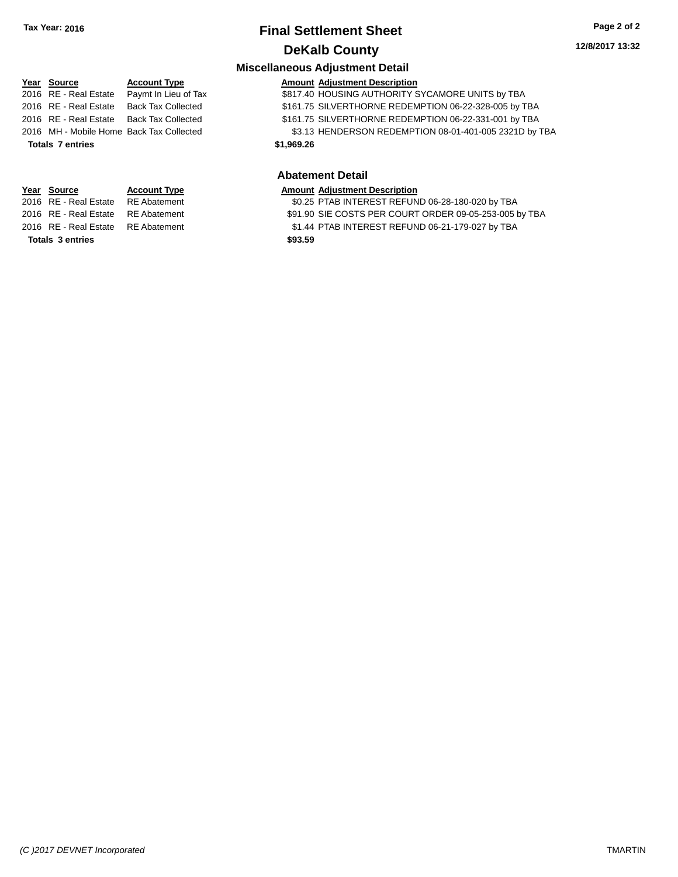# **Final Settlement Sheet Tax Year: 2016 Page 2 of 2 DeKalb County**

**Miscellaneous Adjustment Detail**

#### **Year** Source **Account Type A** Account Adjustment Description 2016 RE - Real Estate Paymt In Lieu of Tax \$817.40 HOUSING AUTHORITY SYCAMORE UNITS by TBA 2016 RE - Real Estate Back Tax Collected \$161.75 SILVERTHORNE REDEMPTION 06-22-328-005 by TBA

2016 RE - Real Estate Back Tax Collected \$161.75 SILVERTHORNE REDEMPTION 06-22-331-001 by TBA 2016 MH - Mobile Home Back Tax Collected \$3.13 HENDERSON REDEMPTION 08-01-401-005 2321D by TBA **Totals 7 entries \$1,969.26**

**Totals 3 entries \$93.59**

#### **Abatement Detail Year Source Account Type Amount Adjustment Description**

- 
- 2016 RE Real Estate RE Abatement \$0.25 PTAB INTEREST REFUND 06-28-180-020 by TBA
- 2016 RE Real Estate RE Abatement \$91.90 SIE COSTS PER COURT ORDER 09-05-253-005 by TBA
- 2016 RE Real Estate RE Abatement \$1.44 PTAB INTEREST REFUND 06-21-179-027 by TBA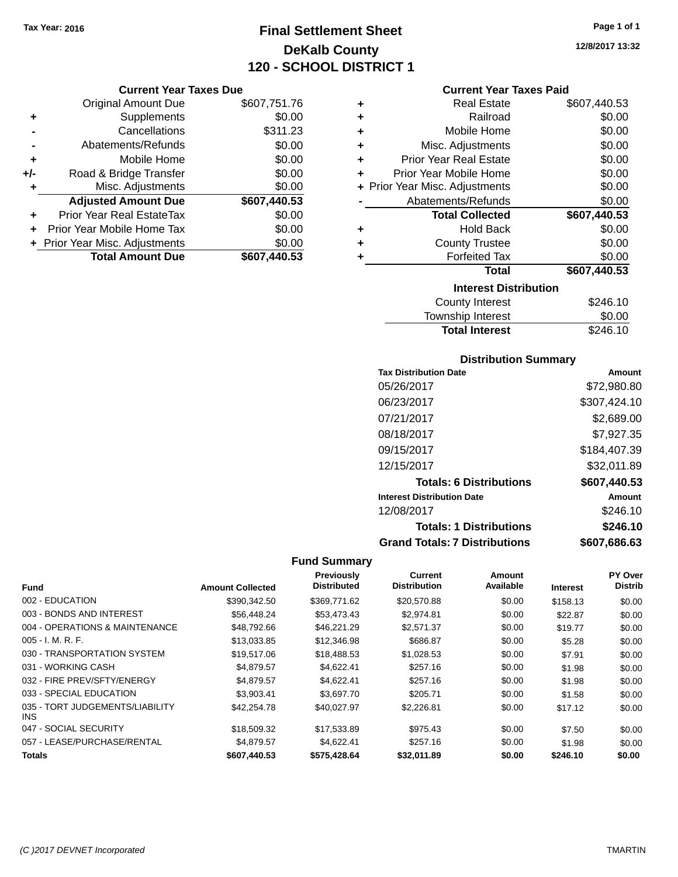# **Final Settlement Sheet Tax Year: 2016 Page 1 of 1 DeKalb County 120 - SCHOOL DISTRICT 1**

**Current Year Taxes Due**

|     | <b>Original Amount Due</b>       | \$607,751.76 |
|-----|----------------------------------|--------------|
| ٠   | Supplements                      | \$0.00       |
|     | Cancellations                    | \$311.23     |
|     | Abatements/Refunds               | \$0.00       |
| ÷   | Mobile Home                      | \$0.00       |
| +/- | Road & Bridge Transfer           | \$0.00       |
| ۰   | Misc. Adjustments                | \$0.00       |
|     | <b>Adjusted Amount Due</b>       | \$607,440.53 |
|     | <b>Prior Year Real EstateTax</b> | \$0.00       |
|     | Prior Year Mobile Home Tax       | \$0.00       |
|     | + Prior Year Misc. Adjustments   | \$0.00       |
|     | <b>Total Amount Due</b>          | \$607,440.53 |

| ٠ | <b>Real Estate</b>             | \$607,440.53 |  |  |
|---|--------------------------------|--------------|--|--|
| ÷ | \$0.00<br>Railroad             |              |  |  |
| ÷ | Mobile Home                    | \$0.00       |  |  |
| ÷ | Misc. Adjustments              | \$0.00       |  |  |
| ٠ | <b>Prior Year Real Estate</b>  | \$0.00       |  |  |
| ٠ | Prior Year Mobile Home         | \$0.00       |  |  |
|   | + Prior Year Misc. Adjustments | \$0.00       |  |  |
|   | Abatements/Refunds             | \$0.00       |  |  |
|   | <b>Total Collected</b>         | \$607,440.53 |  |  |
| ٠ | Hold Back                      | \$0.00       |  |  |
| ٠ | <b>County Trustee</b>          | \$0.00       |  |  |
| ٠ | <b>Forfeited Tax</b>           | \$0.00       |  |  |
|   | Total                          | \$607,440.53 |  |  |
|   | <b>Interest Distribution</b>   |              |  |  |
|   | County Interest                | \$246.10     |  |  |
|   | Township Interact              | ድስ ሰሰ        |  |  |

| <b>Total Interest</b> | \$246.10 |
|-----------------------|----------|
| Township Interest     | \$0.00   |
| County Interest       | \$246.10 |

## **Distribution Summary**

| <b>Tax Distribution Date</b>         | Amount       |
|--------------------------------------|--------------|
| 05/26/2017                           | \$72,980.80  |
| 06/23/2017                           | \$307,424.10 |
| 07/21/2017                           | \$2,689.00   |
| 08/18/2017                           | \$7,927.35   |
| 09/15/2017                           | \$184,407.39 |
| 12/15/2017                           | \$32,011.89  |
| <b>Totals: 6 Distributions</b>       | \$607,440.53 |
| <b>Interest Distribution Date</b>    | Amount       |
| 12/08/2017                           | \$246.10     |
| <b>Totals: 1 Distributions</b>       | \$246.10     |
| <b>Grand Totals: 7 Distributions</b> | \$607,686.63 |

## **Fund Summary**

| <b>Fund</b>                             | <b>Amount Collected</b> | Previously<br><b>Distributed</b> | Current<br><b>Distribution</b> | <b>Amount</b><br>Available | <b>Interest</b> | PY Over<br><b>Distrib</b> |
|-----------------------------------------|-------------------------|----------------------------------|--------------------------------|----------------------------|-----------------|---------------------------|
| 002 - EDUCATION                         | \$390.342.50            | \$369,771.62                     | \$20,570.88                    | \$0.00                     | \$158.13        | \$0.00                    |
| 003 - BONDS AND INTEREST                | \$56,448.24             | \$53,473.43                      | \$2,974.81                     | \$0.00                     | \$22.87         | \$0.00                    |
| 004 - OPERATIONS & MAINTENANCE          | \$48.792.66             | \$46.221.29                      | \$2,571.37                     | \$0.00                     | \$19.77         | \$0.00                    |
| $005 - I. M. R. F.$                     | \$13,033.85             | \$12,346.98                      | \$686.87                       | \$0.00                     | \$5.28          | \$0.00                    |
| 030 - TRANSPORTATION SYSTEM             | \$19,517.06             | \$18,488.53                      | \$1,028.53                     | \$0.00                     | \$7.91          | \$0.00                    |
| 031 - WORKING CASH                      | \$4,879.57              | \$4,622.41                       | \$257.16                       | \$0.00                     | \$1.98          | \$0.00                    |
| 032 - FIRE PREV/SFTY/ENERGY             | \$4.879.57              | \$4.622.41                       | \$257.16                       | \$0.00                     | \$1.98          | \$0.00                    |
| 033 - SPECIAL EDUCATION                 | \$3,903.41              | \$3,697.70                       | \$205.71                       | \$0.00                     | \$1.58          | \$0.00                    |
| 035 - TORT JUDGEMENTS/LIABILITY<br>INS. | \$42,254.78             | \$40.027.97                      | \$2,226.81                     | \$0.00                     | \$17.12         | \$0.00                    |
| 047 - SOCIAL SECURITY                   | \$18,509.32             | \$17,533.89                      | \$975.43                       | \$0.00                     | \$7.50          | \$0.00                    |
| 057 - LEASE/PURCHASE/RENTAL             | \$4.879.57              | \$4.622.41                       | \$257.16                       | \$0.00                     | \$1.98          | \$0.00                    |
| <b>Totals</b>                           | \$607,440.53            | \$575,428.64                     | \$32,011.89                    | \$0.00                     | \$246.10        | \$0.00                    |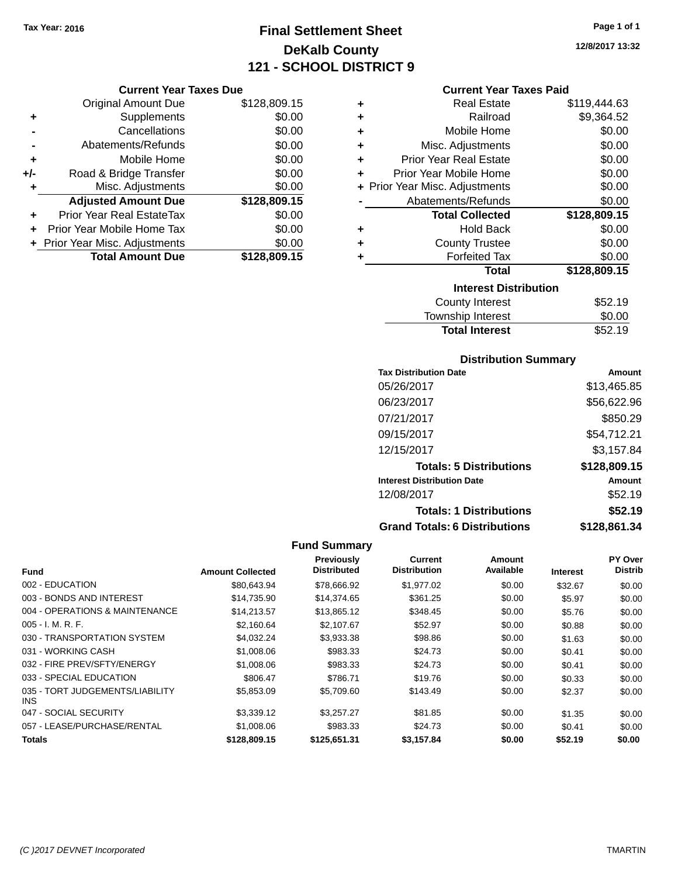# **Final Settlement Sheet Tax Year: 2016 Page 1 of 1 DeKalb County 121 - SCHOOL DISTRICT 9**

**12/8/2017 13:32**

|     | <b>Original Amount Due</b>     | \$128,809.15 |
|-----|--------------------------------|--------------|
| ٠   | Supplements                    | \$0.00       |
|     | Cancellations                  | \$0.00       |
|     | Abatements/Refunds             | \$0.00       |
| ٠   | Mobile Home                    | \$0.00       |
| +/- | Road & Bridge Transfer         | \$0.00       |
| ٠   | Misc. Adjustments              | \$0.00       |
|     | <b>Adjusted Amount Due</b>     | \$128,809.15 |
|     | Prior Year Real EstateTax      | \$0.00       |
|     | Prior Year Mobile Home Tax     | \$0.00       |
|     | + Prior Year Misc. Adjustments | \$0.00       |
|     | <b>Total Amount Due</b>        | \$128,809.15 |

## **Current Year Taxes Paid**

| ٠ | Real Estate                    | \$119,444.63 |
|---|--------------------------------|--------------|
| ٠ | Railroad                       | \$9,364.52   |
| ٠ | Mobile Home                    | \$0.00       |
| ٠ | Misc. Adjustments              | \$0.00       |
| ٠ | <b>Prior Year Real Estate</b>  | \$0.00       |
| ÷ | Prior Year Mobile Home         | \$0.00       |
|   | + Prior Year Misc. Adjustments | \$0.00       |
|   | Abatements/Refunds             | \$0.00       |
|   | <b>Total Collected</b>         | \$128,809.15 |
| ٠ | <b>Hold Back</b>               | \$0.00       |
| ٠ | <b>County Trustee</b>          | \$0.00       |
| ٠ | <b>Forfeited Tax</b>           | \$0.00       |
|   | <b>Total</b>                   | \$128,809.15 |
|   | <b>Interest Distribution</b>   |              |
|   | <b>County Interest</b>         | \$52.19      |
|   | <b>Township Interest</b>       | \$0.00       |
|   | <b>Total Interest</b>          | \$52.19      |

# **Distribution Summary**

| <b>Tax Distribution Date</b>         | Amount       |
|--------------------------------------|--------------|
| 05/26/2017                           | \$13,465.85  |
| 06/23/2017                           | \$56,622.96  |
| 07/21/2017                           | \$850.29     |
| 09/15/2017                           | \$54,712.21  |
| 12/15/2017                           | \$3,157.84   |
| <b>Totals: 5 Distributions</b>       | \$128,809.15 |
| <b>Interest Distribution Date</b>    | Amount       |
| 12/08/2017                           | \$52.19      |
| <b>Totals: 1 Distributions</b>       | \$52.19      |
| <b>Grand Totals: 6 Distributions</b> | \$128,861.34 |

|                                         |                         | Previously         | Current             | Amount    |                 | <b>PY Over</b> |
|-----------------------------------------|-------------------------|--------------------|---------------------|-----------|-----------------|----------------|
| <b>Fund</b>                             | <b>Amount Collected</b> | <b>Distributed</b> | <b>Distribution</b> | Available | <b>Interest</b> | <b>Distrib</b> |
| 002 - EDUCATION                         | \$80,643.94             | \$78,666.92        | \$1,977.02          | \$0.00    | \$32.67         | \$0.00         |
| 003 - BONDS AND INTEREST                | \$14,735.90             | \$14,374.65        | \$361.25            | \$0.00    | \$5.97          | \$0.00         |
| 004 - OPERATIONS & MAINTENANCE          | \$14.213.57             | \$13,865.12        | \$348.45            | \$0.00    | \$5.76          | \$0.00         |
| $005 - I. M. R. F.$                     | \$2,160.64              | \$2,107.67         | \$52.97             | \$0.00    | \$0.88          | \$0.00         |
| 030 - TRANSPORTATION SYSTEM             | \$4,032.24              | \$3,933.38         | \$98.86             | \$0.00    | \$1.63          | \$0.00         |
| 031 - WORKING CASH                      | \$1,008.06              | \$983.33           | \$24.73             | \$0.00    | \$0.41          | \$0.00         |
| 032 - FIRE PREV/SFTY/ENERGY             | \$1,008.06              | \$983.33           | \$24.73             | \$0.00    | \$0.41          | \$0.00         |
| 033 - SPECIAL EDUCATION                 | \$806.47                | \$786.71           | \$19.76             | \$0.00    | \$0.33          | \$0.00         |
| 035 - TORT JUDGEMENTS/LIABILITY<br>INS. | \$5,853.09              | \$5,709.60         | \$143.49            | \$0.00    | \$2.37          | \$0.00         |
| 047 - SOCIAL SECURITY                   | \$3,339.12              | \$3.257.27         | \$81.85             | \$0.00    | \$1.35          | \$0.00         |
| 057 - LEASE/PURCHASE/RENTAL             | \$1,008.06              | \$983.33           | \$24.73             | \$0.00    | \$0.41          | \$0.00         |
| <b>Totals</b>                           | \$128,809.15            | \$125.651.31       | \$3,157.84          | \$0.00    | \$52.19         | \$0.00         |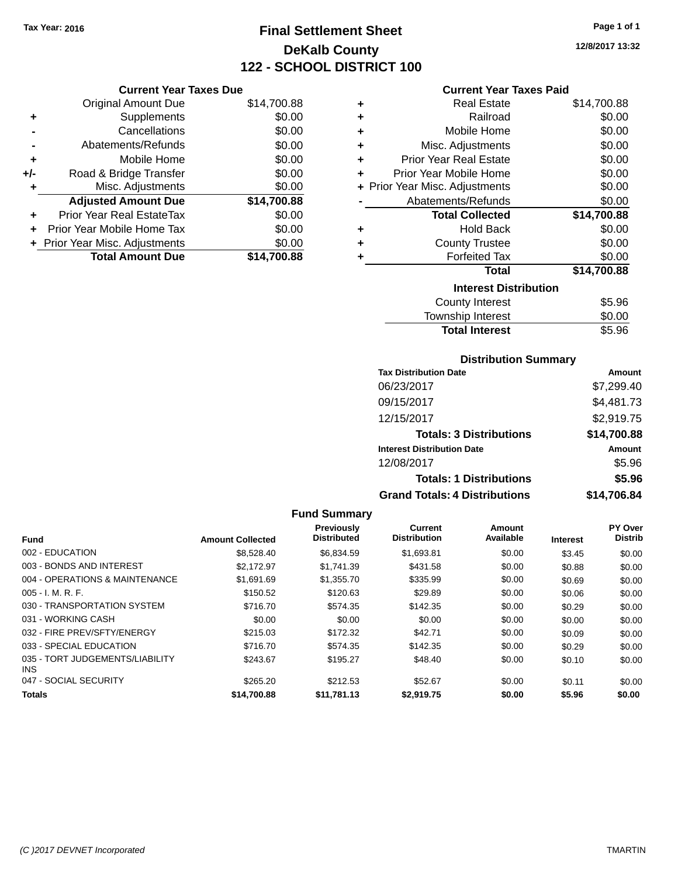**Current Year Taxes Due**

**Original Amount Due** 

**Adjusted Amount Due** 

**Total Amount Due** 

**+** Supplements **-** Cancellations **-** Abatements/Refunds **+** Mobile Home **+/-** Road & Bridge Transfer **+** Misc. Adjustments

**+** Prior Year Real EstateTax \$0.00 **+** Prior Year Mobile Home Tax **+** Prior Year Misc. Adjustments

# **Final Settlement Sheet Tax Year: 2016 Page 1 of 1 DeKalb County 122 - SCHOOL DISTRICT 100**

**12/8/2017 13:32**

## **Current Year Taxes Paid**

| \$14,700.88 | ÷ | <b>Real Estate</b>             | \$14,700.88 |
|-------------|---|--------------------------------|-------------|
| \$0.00      | ٠ | Railroad                       | \$0.00      |
| \$0.00      | ٠ | Mobile Home                    | \$0.00      |
| \$0.00      | ٠ | Misc. Adjustments              | \$0.00      |
| \$0.00      | ٠ | <b>Prior Year Real Estate</b>  | \$0.00      |
| \$0.00      | ٠ | Prior Year Mobile Home         | \$0.00      |
| \$0.00      |   | + Prior Year Misc. Adjustments | \$0.00      |
| \$14,700.88 |   | Abatements/Refunds             | \$0.00      |
| \$0.00      |   | <b>Total Collected</b>         | \$14,700.88 |
| \$0.00      | ٠ | <b>Hold Back</b>               | \$0.00      |
| \$0.00      | ٠ | <b>County Trustee</b>          | \$0.00      |
| \$14,700.88 | ٠ | <b>Forfeited Tax</b>           | \$0.00      |
|             |   | <b>Total</b>                   | \$14,700.88 |
|             |   | <b>Interest Distribution</b>   |             |
|             |   | County Interest                | \$5.96      |

| County Interest       | \$5.96 |
|-----------------------|--------|
| Township Interest     | \$0.00 |
| <b>Total Interest</b> | \$5.96 |
|                       |        |

## **Distribution Summary**

| <b>Tax Distribution Date</b>         | Amount      |
|--------------------------------------|-------------|
| 06/23/2017                           | \$7,299.40  |
| 09/15/2017                           | \$4,481.73  |
| 12/15/2017                           | \$2,919.75  |
| <b>Totals: 3 Distributions</b>       | \$14,700.88 |
| <b>Interest Distribution Date</b>    | Amount      |
| 12/08/2017                           | \$5.96      |
| <b>Totals: 1 Distributions</b>       | \$5.96      |
| <b>Grand Totals: 4 Distributions</b> | \$14,706.84 |

#### **Fund Summary Fund Interest Amount Collected Distributed PY Over Distrib Amount Available Current Distribution Previously** 002 - EDUCATION \$8,528.40 \$6,834.59 \$1,693.81 \$0.00 \$3.45 \$0.00 003 - BONDS AND INTEREST 62,172.97 \$2,172.97 \$1,741.39 \$431.58 \$0.00 \$0.88 \$0.00 004 - OPERATIONS & MAINTENANCE \$1,691.69 \$1,355.70 \$335.99 \$0.00 \$0.69 \$0.00 005 - I. M. R. F. \$150.52 \$120.63 \$29.89 \$0.00 \$0.06 \$0.00 030 - TRANSPORTATION SYSTEM \$716.70 \$574.35 \$142.35 \$0.00 \$0.29 \$0.00 031 - WORKING CASH \$0.00 \$0.00 \$0.00 \$0.00 \$0.00 \$0.00 032 - FIRE PREV/SFTY/ENERGY \$215.03 \$172.32 \$22.71 \$0.00 \$0.00 \$0.00 \$0.00 033 - SPECIAL EDUCATION 6716.70 \$1574.35 \$142.35 \$0.00 \$0.29 \$0.00 035 - TORT JUDGEMENTS/LIABILITY INS \$243.67 \$195.27 \$48.40 \$0.00 \$0.10 \$0.00 047 - SOCIAL SECURITY \$265.20 \$212.53 \$0.00 \$0.11 \$0.00 \$0.11 \$0.00 **Totals \$14,700.88 \$11,781.13 \$2,919.75 \$0.00 \$5.96 \$0.00**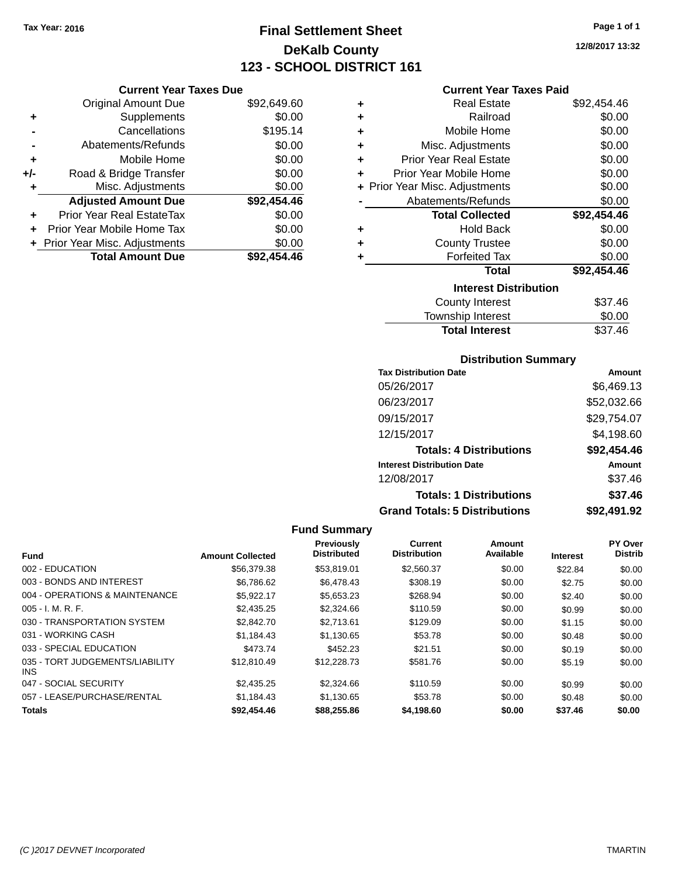**Current Year Taxes Due** Original Amount Due \$92,649.60

**Adjusted Amount Due \$92,454.46**

**Total Amount Due \$92,454.46**

**+** Supplements \$0.00 **-** Cancellations \$195.14 **-** Abatements/Refunds \$0.00 **+** Mobile Home \$0.00 **+/-** Road & Bridge Transfer \$0.00 **+** Misc. Adjustments \$0.00

**+** Prior Year Real EstateTax \$0.00 **+** Prior Year Mobile Home Tax \$0.00 **+ Prior Year Misc. Adjustments**  $$0.00$ 

# **Final Settlement Sheet Tax Year: 2016 Page 1 of 1 DeKalb County 123 - SCHOOL DISTRICT 161**

**12/8/2017 13:32**

#### **Current Year Taxes Paid**

| ٠ | <b>Real Estate</b>             | \$92,454.46 |
|---|--------------------------------|-------------|
| ٠ | Railroad                       | \$0.00      |
| ٠ | Mobile Home                    | \$0.00      |
| ٠ | Misc. Adjustments              | \$0.00      |
| ٠ | Prior Year Real Estate         | \$0.00      |
| ÷ | Prior Year Mobile Home         | \$0.00      |
|   | + Prior Year Misc. Adjustments | \$0.00      |
|   | Abatements/Refunds             | \$0.00      |
|   | <b>Total Collected</b>         | \$92,454.46 |
| ٠ | <b>Hold Back</b>               | \$0.00      |
| ÷ | <b>County Trustee</b>          | \$0.00      |
| ٠ | <b>Forfeited Tax</b>           | \$0.00      |
|   | <b>Total</b>                   | \$92,454.46 |
|   | <b>Interest Distribution</b>   |             |
|   | County Interest                | \$37.46     |
|   | <b>Township Interest</b>       | \$0.00      |
|   | <b>Total Interest</b>          | \$37.46     |

## **Distribution Summary**

| <b>Tax Distribution Date</b>         | Amount      |
|--------------------------------------|-------------|
| 05/26/2017                           | \$6,469.13  |
| 06/23/2017                           | \$52,032.66 |
| 09/15/2017                           | \$29,754.07 |
| 12/15/2017                           | \$4,198.60  |
| <b>Totals: 4 Distributions</b>       | \$92,454.46 |
| <b>Interest Distribution Date</b>    | Amount      |
| 12/08/2017                           | \$37.46     |
| <b>Totals: 1 Distributions</b>       | \$37.46     |
| <b>Grand Totals: 5 Distributions</b> | \$92,491.92 |

|                                         |                         | Previously         | Current             | Amount    |                 | PY Over        |
|-----------------------------------------|-------------------------|--------------------|---------------------|-----------|-----------------|----------------|
| <b>Fund</b>                             | <b>Amount Collected</b> | <b>Distributed</b> | <b>Distribution</b> | Available | <b>Interest</b> | <b>Distrib</b> |
| 002 - EDUCATION                         | \$56,379.38             | \$53.819.01        | \$2,560.37          | \$0.00    | \$22.84         | \$0.00         |
| 003 - BONDS AND INTEREST                | \$6.786.62              | \$6,478.43         | \$308.19            | \$0.00    | \$2.75          | \$0.00         |
| 004 - OPERATIONS & MAINTENANCE          | \$5.922.17              | \$5,653.23         | \$268.94            | \$0.00    | \$2.40          | \$0.00         |
| $005 - I. M. R. F.$                     | \$2,435.25              | \$2,324.66         | \$110.59            | \$0.00    | \$0.99          | \$0.00         |
| 030 - TRANSPORTATION SYSTEM             | \$2,842.70              | \$2.713.61         | \$129.09            | \$0.00    | \$1.15          | \$0.00         |
| 031 - WORKING CASH                      | \$1.184.43              | \$1,130.65         | \$53.78             | \$0.00    | \$0.48          | \$0.00         |
| 033 - SPECIAL EDUCATION                 | \$473.74                | \$452.23           | \$21.51             | \$0.00    | \$0.19          | \$0.00         |
| 035 - TORT JUDGEMENTS/LIABILITY<br>INS. | \$12,810.49             | \$12,228.73        | \$581.76            | \$0.00    | \$5.19          | \$0.00         |
| 047 - SOCIAL SECURITY                   | \$2.435.25              | \$2,324.66         | \$110.59            | \$0.00    | \$0.99          | \$0.00         |
| 057 - LEASE/PURCHASE/RENTAL             | \$1,184.43              | \$1,130.65         | \$53.78             | \$0.00    | \$0.48          | \$0.00         |
| <b>Totals</b>                           | \$92,454.46             | \$88,255.86        | \$4,198.60          | \$0.00    | \$37.46         | \$0.00         |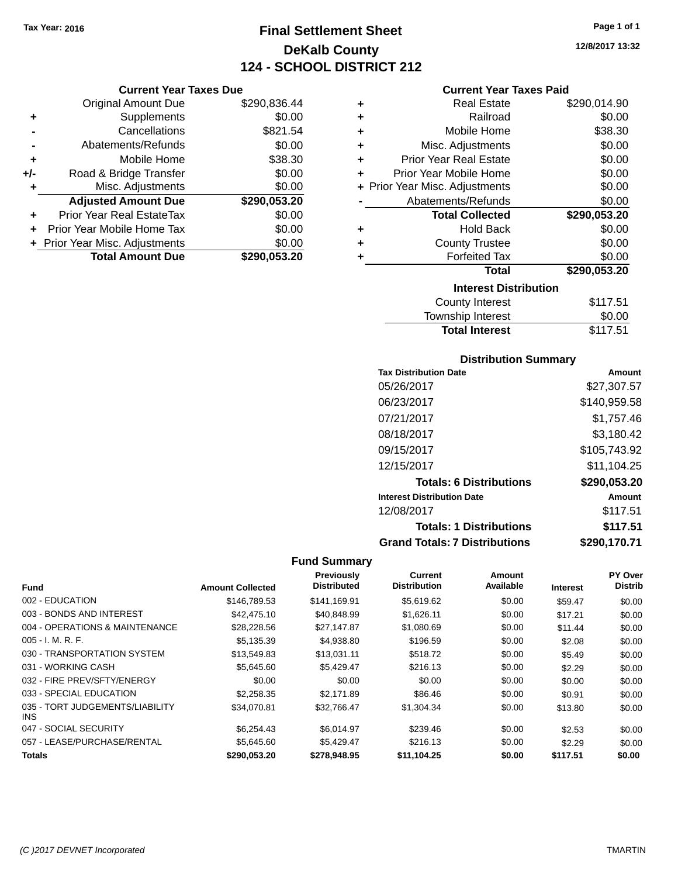**Current Year Taxes Due** Original Amount Due \$290,836.44

**Adjusted Amount Due \$290,053.20**

**Total Amount Due \$290,053.20**

**+** Supplements \$0.00 **-** Cancellations \$821.54 **-** Abatements/Refunds \$0.00 **+** Mobile Home \$38.30 **+/-** Road & Bridge Transfer \$0.00<br> **+** Misc. Adjustments \$0.00

**+** Prior Year Real EstateTax \$0.00 **+** Prior Year Mobile Home Tax \$0.00 **+ Prior Year Misc. Adjustments**  $$0.00$ 

**+** Misc. Adjustments

# **Final Settlement Sheet Tax Year: 2016 Page 1 of 1 DeKalb County 124 - SCHOOL DISTRICT 212**

**12/8/2017 13:32**

## **Current Year Taxes Paid**

| ٠                            | <b>Real Estate</b>             | \$290,014.90 |  |  |  |
|------------------------------|--------------------------------|--------------|--|--|--|
| ٠                            | Railroad                       | \$0.00       |  |  |  |
| ٠                            | Mobile Home                    | \$38.30      |  |  |  |
| ÷                            | Misc. Adjustments              | \$0.00       |  |  |  |
| ٠                            | <b>Prior Year Real Estate</b>  | \$0.00       |  |  |  |
| ٠                            | Prior Year Mobile Home         | \$0.00       |  |  |  |
|                              | + Prior Year Misc. Adjustments | \$0.00       |  |  |  |
|                              | Abatements/Refunds             | \$0.00       |  |  |  |
|                              | <b>Total Collected</b>         | \$290,053.20 |  |  |  |
| ٠                            | <b>Hold Back</b>               | \$0.00       |  |  |  |
| ٠                            | <b>County Trustee</b>          | \$0.00       |  |  |  |
| ٠                            | <b>Forfeited Tax</b>           | \$0.00       |  |  |  |
|                              | <b>Total</b>                   | \$290,053.20 |  |  |  |
| <b>Interest Distribution</b> |                                |              |  |  |  |
|                              | County Interest                | \$117.51     |  |  |  |
|                              | <b>Township Interest</b>       | \$0.00       |  |  |  |

Total Interest \$117.51

| <b>Tax Distribution Date</b>         | Amount       |
|--------------------------------------|--------------|
| 05/26/2017                           | \$27.307.57  |
| 06/23/2017                           | \$140,959.58 |
| 07/21/2017                           | \$1.757.46   |
| 08/18/2017                           | \$3,180.42   |
| 09/15/2017                           | \$105,743.92 |
| 12/15/2017                           | \$11.104.25  |
| <b>Totals: 6 Distributions</b>       | \$290,053.20 |
| <b>Interest Distribution Date</b>    | Amount       |
| 12/08/2017                           | \$117.51     |
| <b>Totals: 1 Distributions</b>       | \$117.51     |
| <b>Grand Totals: 7 Distributions</b> | \$290,170.71 |

|                                         |                         | Previously         | Current             | Amount    |                 | PY Over        |
|-----------------------------------------|-------------------------|--------------------|---------------------|-----------|-----------------|----------------|
| <b>Fund</b>                             | <b>Amount Collected</b> | <b>Distributed</b> | <b>Distribution</b> | Available | <b>Interest</b> | <b>Distrib</b> |
| 002 - EDUCATION                         | \$146,789.53            | \$141.169.91       | \$5,619.62          | \$0.00    | \$59.47         | \$0.00         |
| 003 - BONDS AND INTEREST                | \$42,475.10             | \$40,848.99        | \$1,626.11          | \$0.00    | \$17.21         | \$0.00         |
| 004 - OPERATIONS & MAINTENANCE          | \$28,228.56             | \$27,147.87        | \$1,080.69          | \$0.00    | \$11.44         | \$0.00         |
| $005 - I. M. R. F.$                     | \$5,135.39              | \$4,938.80         | \$196.59            | \$0.00    | \$2.08          | \$0.00         |
| 030 - TRANSPORTATION SYSTEM             | \$13.549.83             | \$13.031.11        | \$518.72            | \$0.00    | \$5.49          | \$0.00         |
| 031 - WORKING CASH                      | \$5,645,60              | \$5.429.47         | \$216.13            | \$0.00    | \$2.29          | \$0.00         |
| 032 - FIRE PREV/SFTY/ENERGY             | \$0.00                  | \$0.00             | \$0.00              | \$0.00    | \$0.00          | \$0.00         |
| 033 - SPECIAL EDUCATION                 | \$2,258,35              | \$2.171.89         | \$86.46             | \$0.00    | \$0.91          | \$0.00         |
| 035 - TORT JUDGEMENTS/LIABILITY<br>INS. | \$34,070.81             | \$32,766.47        | \$1,304.34          | \$0.00    | \$13.80         | \$0.00         |
| 047 - SOCIAL SECURITY                   | \$6.254.43              | \$6.014.97         | \$239.46            | \$0.00    | \$2.53          | \$0.00         |
| 057 - LEASE/PURCHASE/RENTAL             | \$5,645.60              | \$5,429.47         | \$216.13            | \$0.00    | \$2.29          | \$0.00         |
| Totals                                  | \$290.053.20            | \$278,948.95       | \$11,104.25         | \$0.00    | \$117.51        | \$0.00         |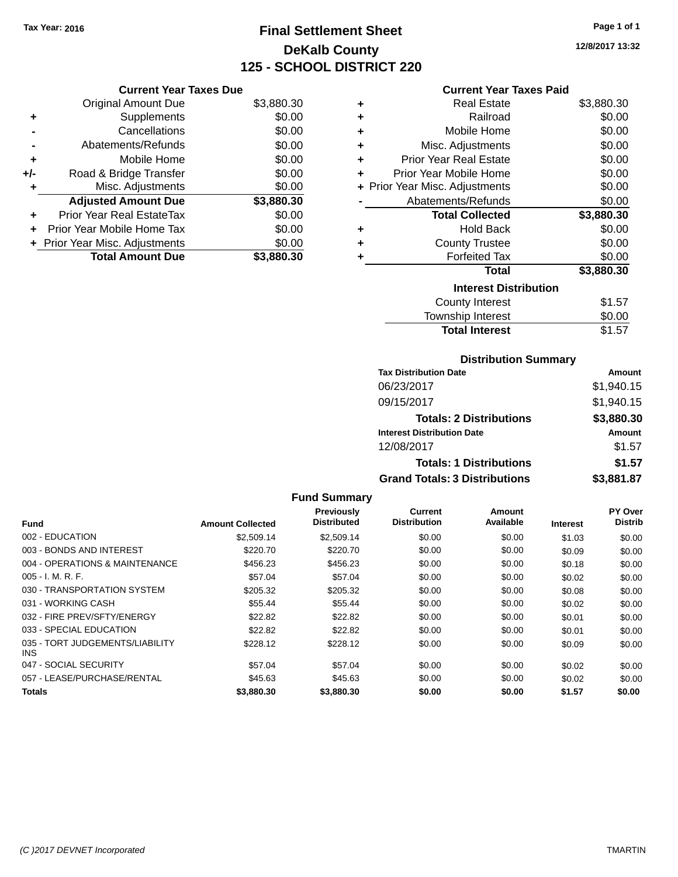# **Final Settlement Sheet Tax Year: 2016 Page 1 of 1 DeKalb County 125 - SCHOOL DISTRICT 220**

**12/8/2017 13:32**

| <b>Current Year Taxe</b> |  |  |
|--------------------------|--|--|
|--------------------------|--|--|

| <b>Current Year Taxes Due</b> |                                |            |  |  |  |
|-------------------------------|--------------------------------|------------|--|--|--|
|                               | <b>Original Amount Due</b>     | \$3,880.30 |  |  |  |
| ٠                             | Supplements                    | \$0.00     |  |  |  |
|                               | Cancellations                  | \$0.00     |  |  |  |
|                               | Abatements/Refunds             | \$0.00     |  |  |  |
| ٠                             | Mobile Home                    | \$0.00     |  |  |  |
| +/-                           | Road & Bridge Transfer         | \$0.00     |  |  |  |
| ٠                             | Misc. Adjustments              | \$0.00     |  |  |  |
|                               | <b>Adjusted Amount Due</b>     | \$3,880.30 |  |  |  |
|                               | Prior Year Real EstateTax      | \$0.00     |  |  |  |
| ÷                             | Prior Year Mobile Home Tax     | \$0.00     |  |  |  |
|                               | + Prior Year Misc. Adjustments | \$0.00     |  |  |  |
|                               | <b>Total Amount Due</b>        | \$3,880.30 |  |  |  |

|   | <b>Current Year Taxes Paid</b> |            |
|---|--------------------------------|------------|
| ٠ | <b>Real Estate</b>             | \$3,880.30 |
| ٠ | Railroad                       | \$0.00     |
| ÷ | Mobile Home                    | \$0.00     |
| ٠ | Misc. Adjustments              | \$0.00     |
| ÷ | <b>Prior Year Real Estate</b>  | \$0.00     |
| ٠ | Prior Year Mobile Home         | \$0.00     |
|   | + Prior Year Misc. Adjustments | \$0.00     |
|   | Abatements/Refunds             | \$0.00     |
|   | <b>Total Collected</b>         | \$3,880.30 |
| ٠ | <b>Hold Back</b>               | \$0.00     |
| ٠ | <b>County Trustee</b>          | \$0.00     |
| ٠ | <b>Forfeited Tax</b>           | \$0.00     |
|   | Total                          | \$3,880.30 |
|   | <b>Interest Distribution</b>   |            |
|   |                                |            |
|   | <b>County Interest</b>         | \$1.57     |
|   | <b>Township Interest</b>       | \$0.00     |

## **Distribution Summary**

| <b>Tax Distribution Date</b>         | Amount     |
|--------------------------------------|------------|
| 06/23/2017                           | \$1,940.15 |
| 09/15/2017                           | \$1,940.15 |
| <b>Totals: 2 Distributions</b>       | \$3,880.30 |
| <b>Interest Distribution Date</b>    | Amount     |
| 12/08/2017                           | \$1.57     |
| <b>Totals: 1 Distributions</b>       | \$1.57     |
| <b>Grand Totals: 3 Distributions</b> | \$3,881.87 |

|                                         |                         | Previously         | <b>Current</b>      | Amount    |                 | <b>PY Over</b> |
|-----------------------------------------|-------------------------|--------------------|---------------------|-----------|-----------------|----------------|
| Fund                                    | <b>Amount Collected</b> | <b>Distributed</b> | <b>Distribution</b> | Available | <b>Interest</b> | <b>Distrib</b> |
| 002 - EDUCATION                         | \$2,509.14              | \$2,509.14         | \$0.00              | \$0.00    | \$1.03          | \$0.00         |
| 003 - BONDS AND INTEREST                | \$220.70                | \$220.70           | \$0.00              | \$0.00    | \$0.09          | \$0.00         |
| 004 - OPERATIONS & MAINTENANCE          | \$456.23                | \$456.23           | \$0.00              | \$0.00    | \$0.18          | \$0.00         |
| $005 - I. M. R. F.$                     | \$57.04                 | \$57.04            | \$0.00              | \$0.00    | \$0.02          | \$0.00         |
| 030 - TRANSPORTATION SYSTEM             | \$205.32                | \$205.32           | \$0.00              | \$0.00    | \$0.08          | \$0.00         |
| 031 - WORKING CASH                      | \$55.44                 | \$55.44            | \$0.00              | \$0.00    | \$0.02          | \$0.00         |
| 032 - FIRE PREV/SFTY/ENERGY             | \$22.82                 | \$22.82            | \$0.00              | \$0.00    | \$0.01          | \$0.00         |
| 033 - SPECIAL EDUCATION                 | \$22.82                 | \$22.82            | \$0.00              | \$0.00    | \$0.01          | \$0.00         |
| 035 - TORT JUDGEMENTS/LIABILITY<br>INS. | \$228.12                | \$228.12           | \$0.00              | \$0.00    | \$0.09          | \$0.00         |
| 047 - SOCIAL SECURITY                   | \$57.04                 | \$57.04            | \$0.00              | \$0.00    | \$0.02          | \$0.00         |
| 057 - LEASE/PURCHASE/RENTAL             | \$45.63                 | \$45.63            | \$0.00              | \$0.00    | \$0.02          | \$0.00         |
| Totals                                  | \$3,880,30              | \$3,880,30         | \$0.00              | \$0.00    | \$1.57          | \$0.00         |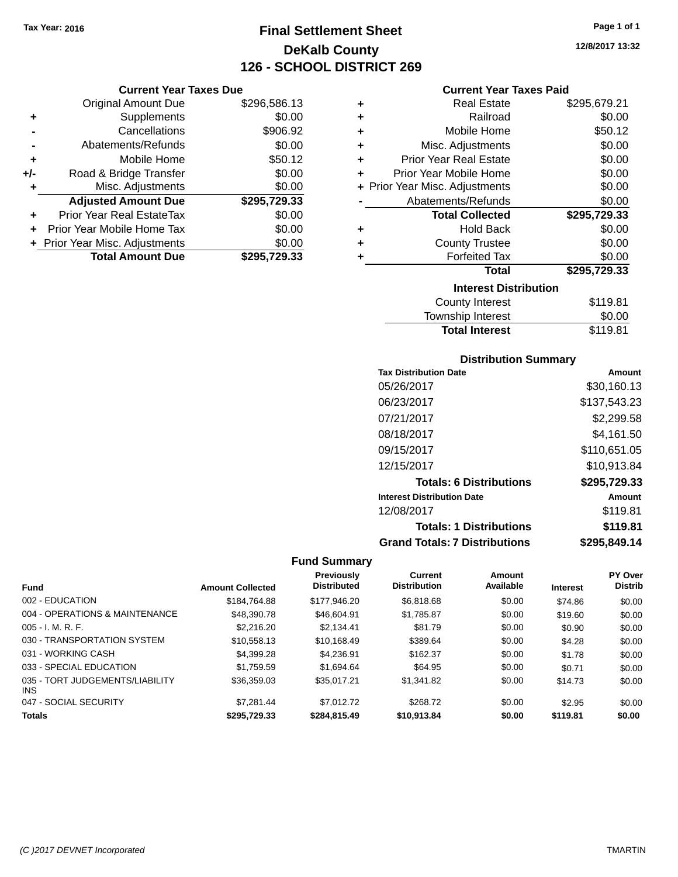**Current Year Taxes Due** Original Amount Due \$296,586.13

**Adjusted Amount Due \$295,729.33**

**Total Amount Due \$295,729.33**

**+** Supplements \$0.00 **-** Cancellations \$906.92 **-** Abatements/Refunds \$0.00 **+** Mobile Home \$50.12 **+/-** Road & Bridge Transfer \$0.00<br> **+** Misc. Adjustments \$0.00

**+** Prior Year Real EstateTax \$0.00 **+** Prior Year Mobile Home Tax \$0.00 **+ Prior Year Misc. Adjustments**  $$0.00$ 

**+** Misc. Adjustments

# **Final Settlement Sheet Tax Year: 2016 Page 1 of 1 DeKalb County 126 - SCHOOL DISTRICT 269**

**12/8/2017 13:32**

## **Current Year Taxes Paid**

| ٠ | <b>Real Estate</b>             | \$295,679.21 |
|---|--------------------------------|--------------|
| ٠ | Railroad                       | \$0.00       |
| ÷ | Mobile Home                    | \$50.12      |
| ÷ | Misc. Adjustments              | \$0.00       |
| ÷ | <b>Prior Year Real Estate</b>  | \$0.00       |
| ٠ | Prior Year Mobile Home         | \$0.00       |
|   | + Prior Year Misc. Adjustments | \$0.00       |
|   | Abatements/Refunds             | \$0.00       |
|   | <b>Total Collected</b>         | \$295,729.33 |
| ٠ | <b>Hold Back</b>               | \$0.00       |
| ÷ | <b>County Trustee</b>          | \$0.00       |
| ٠ | <b>Forfeited Tax</b>           | \$0.00       |
|   | <b>Total</b>                   | \$295,729.33 |
|   | <b>Interest Distribution</b>   |              |
|   | <b>County Interest</b>         | \$119.81     |
|   | Township Interact              | ድስ ሰሰ        |

# Township Interest  $$0.00$

Total Interest \$119.81

| <b>Distribution Summary</b>       |               |
|-----------------------------------|---------------|
| <b>Tax Distribution Date</b>      | Amount        |
| 05/26/2017                        | \$30,160.13   |
| 06/23/2017                        | \$137,543.23  |
| 07/21/2017                        | \$2,299.58    |
| 08/18/2017                        | \$4,161.50    |
| 09/15/2017                        | \$110,651.05  |
| 12/15/2017                        | \$10,913.84   |
| <b>Totals: 6 Distributions</b>    | \$295,729.33  |
| <b>Interest Distribution Date</b> | <b>Amount</b> |
| 12/08/2017                        | \$119.81      |

**Totals: 1 Distributions \$119.81**

**Grand Totals: 7 Distributions \$295,849.14**

| <b>Fund</b>                             | <b>Amount Collected</b> | <b>Previously</b><br><b>Distributed</b> | <b>Current</b><br><b>Distribution</b> | Amount<br>Available | <b>Interest</b> | PY Over<br><b>Distrib</b> |
|-----------------------------------------|-------------------------|-----------------------------------------|---------------------------------------|---------------------|-----------------|---------------------------|
| 002 - EDUCATION                         | \$184.764.88            | \$177,946,20                            | \$6,818,68                            | \$0.00              | \$74.86         | \$0.00                    |
| 004 - OPERATIONS & MAINTENANCE          | \$48,390.78             | \$46,604.91                             | \$1.785.87                            | \$0.00              | \$19.60         | \$0.00                    |
| $005 - I. M. R. F.$                     | \$2,216,20              | \$2.134.41                              | \$81.79                               | \$0.00              | \$0.90          | \$0.00                    |
| 030 - TRANSPORTATION SYSTEM             | \$10.558.13             | \$10.168.49                             | \$389.64                              | \$0.00              | \$4.28          | \$0.00                    |
| 031 - WORKING CASH                      | \$4.399.28              | \$4.236.91                              | \$162.37                              | \$0.00              | \$1.78          | \$0.00                    |
| 033 - SPECIAL EDUCATION                 | \$1.759.59              | \$1.694.64                              | \$64.95                               | \$0.00              | \$0.71          | \$0.00                    |
| 035 - TORT JUDGEMENTS/LIABILITY<br>INS. | \$36,359.03             | \$35.017.21                             | \$1,341.82                            | \$0.00              | \$14.73         | \$0.00                    |
| 047 - SOCIAL SECURITY                   | \$7.281.44              | \$7.012.72                              | \$268.72                              | \$0.00              | \$2.95          | \$0.00                    |
| <b>Totals</b>                           | \$295,729,33            | \$284.815.49                            | \$10.913.84                           | \$0.00              | \$119.81        | \$0.00                    |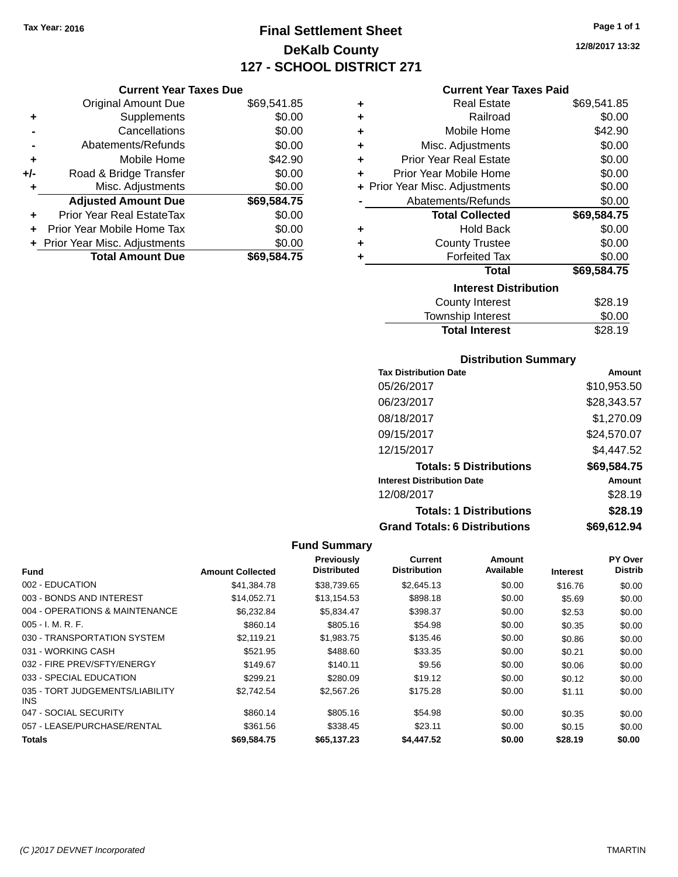# **Final Settlement Sheet Tax Year: 2016 Page 1 of 1 DeKalb County 127 - SCHOOL DISTRICT 271**

**12/8/2017 13:32**

## **Current Year Taxes Paid**

|     | <b>Current Year Taxes Due</b>  |             |
|-----|--------------------------------|-------------|
|     | <b>Original Amount Due</b>     | \$69,541.85 |
| ٠   | Supplements                    | \$0.00      |
|     | Cancellations                  | \$0.00      |
|     | Abatements/Refunds             | \$0.00      |
| ٠   | Mobile Home                    | \$42.90     |
| +/- | Road & Bridge Transfer         | \$0.00      |
| ٠   | Misc. Adjustments              | \$0.00      |
|     | <b>Adjusted Amount Due</b>     | \$69,584.75 |
|     | Prior Year Real EstateTax      | \$0.00      |
| ÷   | Prior Year Mobile Home Tax     | \$0.00      |
|     | + Prior Year Misc. Adjustments | \$0.00      |
|     | <b>Total Amount Due</b>        | \$69,584.75 |

| ٠ | <b>Real Estate</b>             | \$69,541.85 |
|---|--------------------------------|-------------|
| ٠ | Railroad                       | \$0.00      |
| ٠ | Mobile Home                    | \$42.90     |
| ٠ | Misc. Adjustments              | \$0.00      |
| ٠ | Prior Year Real Estate         | \$0.00      |
| ÷ | Prior Year Mobile Home         | \$0.00      |
|   | + Prior Year Misc. Adjustments | \$0.00      |
|   | Abatements/Refunds             | \$0.00      |
|   | <b>Total Collected</b>         | \$69,584.75 |
| ٠ | Hold Back                      | \$0.00      |
| ٠ | <b>County Trustee</b>          | \$0.00      |
| ٠ | <b>Forfeited Tax</b>           | \$0.00      |
|   | <b>Total</b>                   | \$69,584.75 |
|   | <b>Interest Distribution</b>   |             |
|   | <b>County Interest</b>         | \$28.19     |
|   | <b>Township Interest</b>       | \$0.00      |
|   | <b>Total Interest</b>          | \$28.19     |

## **Distribution Summary**

| <b>Tax Distribution Date</b>         | Amount      |
|--------------------------------------|-------------|
| 05/26/2017                           | \$10,953.50 |
| 06/23/2017                           | \$28,343.57 |
| 08/18/2017                           | \$1,270.09  |
| 09/15/2017                           | \$24,570.07 |
| 12/15/2017                           | \$4,447.52  |
| <b>Totals: 5 Distributions</b>       | \$69,584.75 |
| <b>Interest Distribution Date</b>    | Amount      |
| 12/08/2017                           | \$28.19     |
| <b>Totals: 1 Distributions</b>       | \$28.19     |
| <b>Grand Totals: 6 Distributions</b> | \$69,612.94 |
|                                      |             |

|                                         |                         | Previously         | Current             | Amount    |                 | <b>PY Over</b> |
|-----------------------------------------|-------------------------|--------------------|---------------------|-----------|-----------------|----------------|
| Fund                                    | <b>Amount Collected</b> | <b>Distributed</b> | <b>Distribution</b> | Available | <b>Interest</b> | <b>Distrib</b> |
| 002 - EDUCATION                         | \$41,384.78             | \$38,739.65        | \$2,645.13          | \$0.00    | \$16.76         | \$0.00         |
| 003 - BONDS AND INTEREST                | \$14,052.71             | \$13,154.53        | \$898.18            | \$0.00    | \$5.69          | \$0.00         |
| 004 - OPERATIONS & MAINTENANCE          | \$6,232.84              | \$5.834.47         | \$398.37            | \$0.00    | \$2.53          | \$0.00         |
| $005 - I. M. R. F.$                     | \$860.14                | \$805.16           | \$54.98             | \$0.00    | \$0.35          | \$0.00         |
| 030 - TRANSPORTATION SYSTEM             | \$2.119.21              | \$1,983.75         | \$135.46            | \$0.00    | \$0.86          | \$0.00         |
| 031 - WORKING CASH                      | \$521.95                | \$488.60           | \$33.35             | \$0.00    | \$0.21          | \$0.00         |
| 032 - FIRE PREV/SFTY/ENERGY             | \$149.67                | \$140.11           | \$9.56              | \$0.00    | \$0.06          | \$0.00         |
| 033 - SPECIAL EDUCATION                 | \$299.21                | \$280.09           | \$19.12             | \$0.00    | \$0.12          | \$0.00         |
| 035 - TORT JUDGEMENTS/LIABILITY<br>INS. | \$2.742.54              | \$2,567.26         | \$175.28            | \$0.00    | \$1.11          | \$0.00         |
| 047 - SOCIAL SECURITY                   | \$860.14                | \$805.16           | \$54.98             | \$0.00    | \$0.35          | \$0.00         |
| 057 - LEASE/PURCHASE/RENTAL             | \$361.56                | \$338.45           | \$23.11             | \$0.00    | \$0.15          | \$0.00         |
| <b>Totals</b>                           | \$69.584.75             | \$65,137,23        | \$4,447.52          | \$0.00    | \$28.19         | \$0.00         |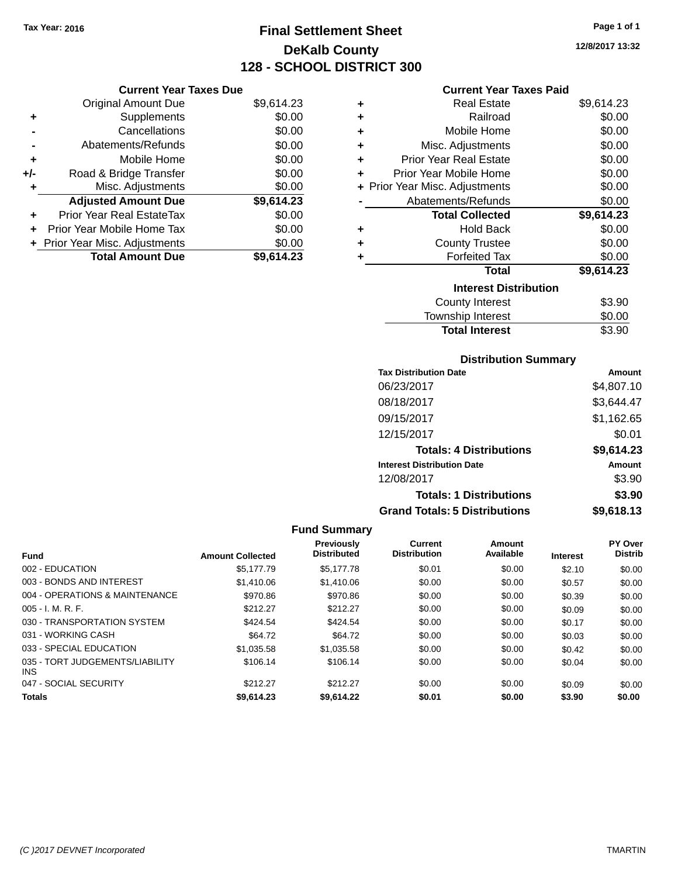**Current Year Taxes Due** Original Amount Due \$9,614.23

**Adjusted Amount Due \$9,614.23**

**Total Amount Due \$9,614.23**

**+** Supplements \$0.00 **-** Cancellations \$0.00 **-** Abatements/Refunds \$0.00 **+** Mobile Home \$0.00 **+/-** Road & Bridge Transfer \$0.00 **+** Misc. Adjustments \$0.00

**+** Prior Year Real EstateTax \$0.00 **+** Prior Year Mobile Home Tax \$0.00 **+ Prior Year Misc. Adjustments**  $$0.00$ 

# **Final Settlement Sheet Tax Year: 2016 Page 1 of 1 DeKalb County 128 - SCHOOL DISTRICT 300**

**12/8/2017 13:32**

## **Current Year Taxes Paid**

| ÷ | <b>Real Estate</b>             | \$9,614.23 |
|---|--------------------------------|------------|
| ٠ | Railroad                       | \$0.00     |
| ٠ | Mobile Home                    | \$0.00     |
| ٠ | Misc. Adjustments              | \$0.00     |
| ٠ | <b>Prior Year Real Estate</b>  | \$0.00     |
| ÷ | Prior Year Mobile Home         | \$0.00     |
|   | + Prior Year Misc. Adjustments | \$0.00     |
|   | Abatements/Refunds             | \$0.00     |
|   | <b>Total Collected</b>         | \$9,614.23 |
| ٠ | <b>Hold Back</b>               | \$0.00     |
| ÷ | <b>County Trustee</b>          | \$0.00     |
| ٠ | <b>Forfeited Tax</b>           | \$0.00     |
|   | Total                          | \$9,614.23 |
|   | <b>Interest Distribution</b>   |            |
|   | County Interest                | \$3.90     |
|   | <b>Township Interest</b>       | \$0.00     |
|   | <b>Total Interest</b>          | \$3.90     |

## **Distribution Summary**

| <b>Tax Distribution Date</b>         | Amount     |
|--------------------------------------|------------|
| 06/23/2017                           | \$4,807.10 |
| 08/18/2017                           | \$3,644.47 |
| 09/15/2017                           | \$1,162.65 |
| 12/15/2017                           | \$0.01     |
| <b>Totals: 4 Distributions</b>       | \$9,614.23 |
| <b>Interest Distribution Date</b>    | Amount     |
| 12/08/2017                           | \$3.90     |
| <b>Totals: 1 Distributions</b>       | \$3.90     |
| <b>Grand Totals: 5 Distributions</b> | \$9,618.13 |

| <b>Fund</b>                                   | <b>Amount Collected</b> | <b>Previously</b><br><b>Distributed</b> | Current<br><b>Distribution</b> | Amount<br>Available | <b>Interest</b> | <b>PY Over</b><br><b>Distrib</b> |
|-----------------------------------------------|-------------------------|-----------------------------------------|--------------------------------|---------------------|-----------------|----------------------------------|
| 002 - EDUCATION                               | \$5,177.79              | \$5.177.78                              | \$0.01                         | \$0.00              | \$2.10          | \$0.00                           |
| 003 - BONDS AND INTEREST                      | \$1,410.06              | \$1,410.06                              | \$0.00                         | \$0.00              | \$0.57          | \$0.00                           |
| 004 - OPERATIONS & MAINTENANCE                | \$970.86                | \$970.86                                | \$0.00                         | \$0.00              | \$0.39          | \$0.00                           |
| $005 - I. M. R. F.$                           | \$212.27                | \$212.27                                | \$0.00                         | \$0.00              | \$0.09          | \$0.00                           |
| 030 - TRANSPORTATION SYSTEM                   | \$424.54                | \$424.54                                | \$0.00                         | \$0.00              | \$0.17          | \$0.00                           |
| 031 - WORKING CASH                            | \$64.72                 | \$64.72                                 | \$0.00                         | \$0.00              | \$0.03          | \$0.00                           |
| 033 - SPECIAL EDUCATION                       | \$1,035.58              | \$1,035.58                              | \$0.00                         | \$0.00              | \$0.42          | \$0.00                           |
| 035 - TORT JUDGEMENTS/LIABILITY<br><b>INS</b> | \$106.14                | \$106.14                                | \$0.00                         | \$0.00              | \$0.04          | \$0.00                           |
| 047 - SOCIAL SECURITY                         | \$212.27                | \$212.27                                | \$0.00                         | \$0.00              | \$0.09          | \$0.00                           |
| <b>Totals</b>                                 | \$9,614.23              | \$9.614.22                              | \$0.01                         | \$0.00              | \$3.90          | \$0.00                           |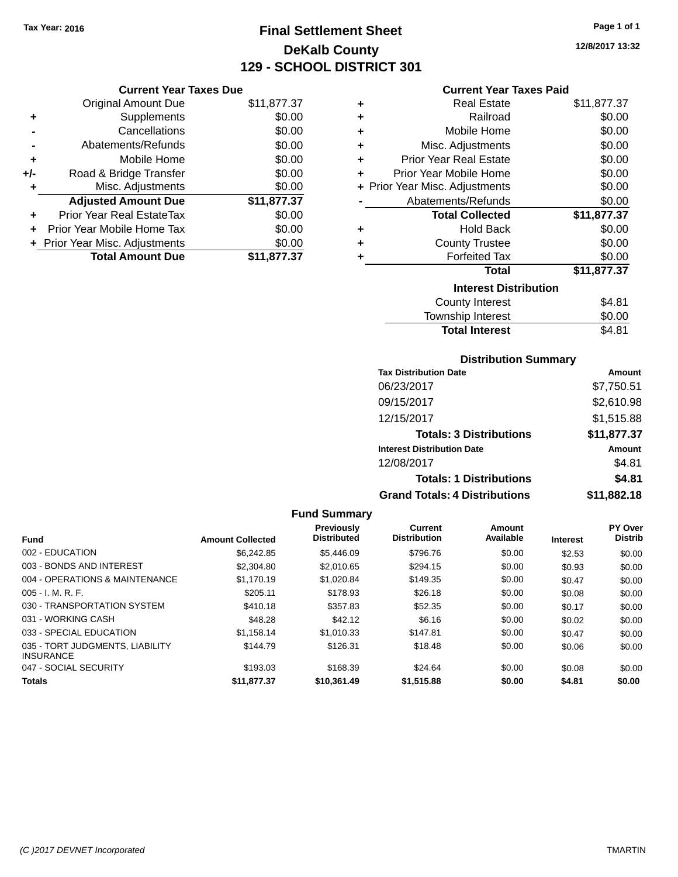# **Final Settlement Sheet Tax Year: 2016 Page 1 of 1 DeKalb County 129 - SCHOOL DISTRICT 301**

**12/8/2017 13:32**

#### **Current Year Taxes Paid**

|     | <b>Current Year Taxes Due</b>  |             |
|-----|--------------------------------|-------------|
|     | <b>Original Amount Due</b>     | \$11,877.37 |
| ٠   | Supplements                    | \$0.00      |
|     | Cancellations                  | \$0.00      |
|     | Abatements/Refunds             | \$0.00      |
| ٠   | Mobile Home                    | \$0.00      |
| +/- | Road & Bridge Transfer         | \$0.00      |
| ٠   | Misc. Adjustments              | \$0.00      |
|     | <b>Adjusted Amount Due</b>     | \$11,877.37 |
|     | Prior Year Real EstateTax      | \$0.00      |
| ÷   | Prior Year Mobile Home Tax     | \$0.00      |
|     | + Prior Year Misc. Adjustments | \$0.00      |
|     | <b>Total Amount Due</b>        | \$11,877.37 |

| ٠ | Real Estate                    | \$11,877.37 |
|---|--------------------------------|-------------|
| ٠ | Railroad                       | \$0.00      |
| ٠ | Mobile Home                    | \$0.00      |
| ٠ | Misc. Adjustments              | \$0.00      |
| ٠ | Prior Year Real Estate         | \$0.00      |
| ٠ | Prior Year Mobile Home         | \$0.00      |
|   | + Prior Year Misc. Adjustments | \$0.00      |
|   | Abatements/Refunds             | \$0.00      |
|   | <b>Total Collected</b>         | \$11,877.37 |
| ٠ | <b>Hold Back</b>               | \$0.00      |
| ٠ | <b>County Trustee</b>          | \$0.00      |
| ٠ | <b>Forfeited Tax</b>           | \$0.00      |
|   | <b>Total</b>                   | \$11,877.37 |
|   | <b>Interest Distribution</b>   |             |
|   | <b>County Interest</b>         | \$4.81      |
|   | <b>Township Interest</b>       | \$0.00      |
|   | <b>Total Interest</b>          | \$4.81      |

#### **Distribution Summary**

| <b>Tax Distribution Date</b>         | Amount        |
|--------------------------------------|---------------|
| 06/23/2017                           | \$7,750.51    |
| 09/15/2017                           | \$2,610.98    |
| 12/15/2017                           | \$1,515.88    |
| <b>Totals: 3 Distributions</b>       | \$11,877.37   |
| <b>Interest Distribution Date</b>    | <b>Amount</b> |
| 12/08/2017                           | \$4.81        |
| <b>Totals: 1 Distributions</b>       | \$4.81        |
| <b>Grand Totals: 4 Distributions</b> | \$11,882.18   |

#### **Fund Summary Fund Interest Amount Collected Distributed PY Over Distrib Amount Available Current Distribution Previously** 002 - EDUCATION \$6,242.85 \$5,446.09 \$796.76 \$0.00 \$2.53 \$0.00 003 - BONDS AND INTEREST 60.00 \$2,304.80 \$2,010.65 \$294.15 \$0.00 \$0.93 \$0.00 004 - OPERATIONS & MAINTENANCE \$1,170.19 \$1,020.84 \$149.35 \$0.00 \$0.47 \$0.00 005 - I. M. R. F. \$205.11 \$178.93 \$26.18 \$0.00 \$0.08 \$0.00 030 - TRANSPORTATION SYSTEM \$410.18 \$357.83 \$52.35 \$0.00 \$0.17 \$0.00 031 - WORKING CASH \$48.28 \$48.28 \$48.28 \$42.12 \$6.16 \$0.00 \$0.02 \$0.00 033 - SPECIAL EDUCATION \$1,158.14 \$1,010.33 \$147.81 \$0.00 \$0.47 \$0.00 035 - TORT JUDGMENTS, LIABILITY INSURANCE \$144.79 \$126.31 \$18.48 \$0.00 \$0.06 \$0.00 047 - SOCIAL SECURITY \$193.03 \$168.39 \$24.64 \$0.00 \$0.08 \$0.00 **Totals \$11,877.37 \$10,361.49 \$1,515.88 \$0.00 \$4.81 \$0.00**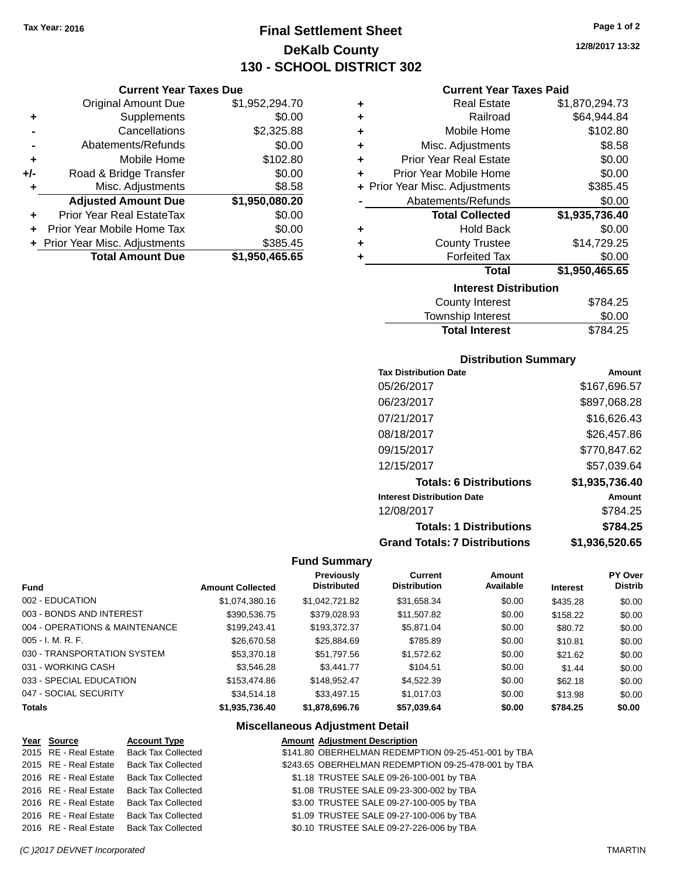# **Final Settlement Sheet Tax Year: 2016 Page 1 of 2 DeKalb County 130 - SCHOOL DISTRICT 302**

## **Current Year Taxes Due**

| <b>Original Amount Due</b> | \$1,952,294.70                 |
|----------------------------|--------------------------------|
| Supplements                | \$0.00                         |
| Cancellations              | \$2,325.88                     |
| Abatements/Refunds         | \$0.00                         |
| Mobile Home                | \$102.80                       |
| Road & Bridge Transfer     | \$0.00                         |
| Misc. Adjustments          | \$8.58                         |
| <b>Adjusted Amount Due</b> | \$1,950,080.20                 |
| Prior Year Real EstateTax  | \$0.00                         |
| Prior Year Mobile Home Tax | \$0.00                         |
|                            | \$385.45                       |
| <b>Total Amount Due</b>    | \$1,950,465.65                 |
|                            | + Prior Year Misc. Adjustments |

## **Current Year Taxes Paid**

| ٠ | <b>Real Estate</b>                 | \$1,870,294.73 |  |  |  |  |
|---|------------------------------------|----------------|--|--|--|--|
| ٠ | Railroad                           | \$64,944.84    |  |  |  |  |
| ٠ | Mobile Home                        | \$102.80       |  |  |  |  |
| ٠ | Misc. Adjustments                  | \$8.58         |  |  |  |  |
| ٠ | <b>Prior Year Real Estate</b>      | \$0.00         |  |  |  |  |
| ٠ | Prior Year Mobile Home             | \$0.00         |  |  |  |  |
|   | + Prior Year Misc. Adjustments     | \$385.45       |  |  |  |  |
|   | Abatements/Refunds                 | \$0.00         |  |  |  |  |
|   | <b>Total Collected</b>             | \$1,935,736.40 |  |  |  |  |
| ٠ | <b>Hold Back</b>                   | \$0.00         |  |  |  |  |
| ٠ | <b>County Trustee</b>              | \$14,729.25    |  |  |  |  |
| ٠ | <b>Forfeited Tax</b>               | \$0.00         |  |  |  |  |
|   | <b>Total</b>                       | \$1,950,465.65 |  |  |  |  |
|   | <b>Interest Distribution</b>       |                |  |  |  |  |
|   | <b>County Interest</b><br>\$784.25 |                |  |  |  |  |

| <b>Total Interest</b> | \$784.25 |
|-----------------------|----------|
| Township Interest     | \$0.00   |
| County Interest       | \$784.25 |

## **Distribution Summary**

| <b>Tax Distribution Date</b>         | Amount         |
|--------------------------------------|----------------|
| 05/26/2017                           | \$167,696.57   |
| 06/23/2017                           | \$897,068.28   |
| 07/21/2017                           | \$16,626.43    |
| 08/18/2017                           | \$26,457.86    |
| 09/15/2017                           | \$770,847.62   |
| 12/15/2017                           | \$57,039.64    |
| <b>Totals: 6 Distributions</b>       | \$1,935,736.40 |
| <b>Interest Distribution Date</b>    | Amount         |
| 12/08/2017                           | \$784.25       |
| <b>Totals: 1 Distributions</b>       | \$784.25       |
| <b>Grand Totals: 7 Distributions</b> | \$1.936.520.65 |

## **Fund Summary**

|                                |                         | Previously         | <b>Current</b>      | Amount    |                 | <b>PY Over</b> |
|--------------------------------|-------------------------|--------------------|---------------------|-----------|-----------------|----------------|
| <b>Fund</b>                    | <b>Amount Collected</b> | <b>Distributed</b> | <b>Distribution</b> | Available | <b>Interest</b> | <b>Distrib</b> |
| 002 - EDUCATION                | \$1,074,380.16          | \$1.042.721.82     | \$31,658.34         | \$0.00    | \$435.28        | \$0.00         |
| 003 - BONDS AND INTEREST       | \$390,536.75            | \$379,028.93       | \$11,507.82         | \$0.00    | \$158.22        | \$0.00         |
| 004 - OPERATIONS & MAINTENANCE | \$199,243.41            | \$193,372,37       | \$5,871,04          | \$0.00    | \$80.72         | \$0.00         |
| $005 - I. M. R. F.$            | \$26,670.58             | \$25,884.69        | \$785.89            | \$0.00    | \$10.81         | \$0.00         |
| 030 - TRANSPORTATION SYSTEM    | \$53,370.18             | \$51,797.56        | \$1,572.62          | \$0.00    | \$21.62         | \$0.00         |
| 031 - WORKING CASH             | \$3,546.28              | \$3,441.77         | \$104.51            | \$0.00    | \$1.44          | \$0.00         |
| 033 - SPECIAL EDUCATION        | \$153,474.86            | \$148.952.47       | \$4,522.39          | \$0.00    | \$62.18         | \$0.00         |
| 047 - SOCIAL SECURITY          | \$34,514.18             | \$33,497.15        | \$1,017.03          | \$0.00    | \$13.98         | \$0.00         |
| <b>Totals</b>                  | \$1,935,736.40          | \$1,878,696.76     | \$57,039.64         | \$0.00    | \$784.25        | \$0.00         |

## **Miscellaneous Adjustment Detail**

| Year Source           | <b>Account Type</b>       | <b>Amount Adjustment Description</b>                |
|-----------------------|---------------------------|-----------------------------------------------------|
| 2015 RE - Real Estate | <b>Back Tax Collected</b> | \$141.80 OBERHELMAN REDEMPTION 09-25-451-001 by TBA |
| 2015 RE - Real Estate | <b>Back Tax Collected</b> | \$243.65 OBERHELMAN REDEMPTION 09-25-478-001 by TBA |
| 2016 RE - Real Estate | <b>Back Tax Collected</b> | \$1.18 TRUSTEE SALE 09-26-100-001 by TBA            |
| 2016 RE - Real Estate | <b>Back Tax Collected</b> | \$1.08 TRUSTEE SALE 09-23-300-002 by TBA            |
| 2016 RE - Real Estate | <b>Back Tax Collected</b> | \$3.00 TRUSTEE SALE 09-27-100-005 by TBA            |
| 2016 RE - Real Estate | <b>Back Tax Collected</b> | \$1.09 TRUSTEE SALE 09-27-100-006 by TBA            |
| 2016 RE - Real Estate | <b>Back Tax Collected</b> | \$0.10 TRUSTEE SALE 09-27-226-006 by TBA            |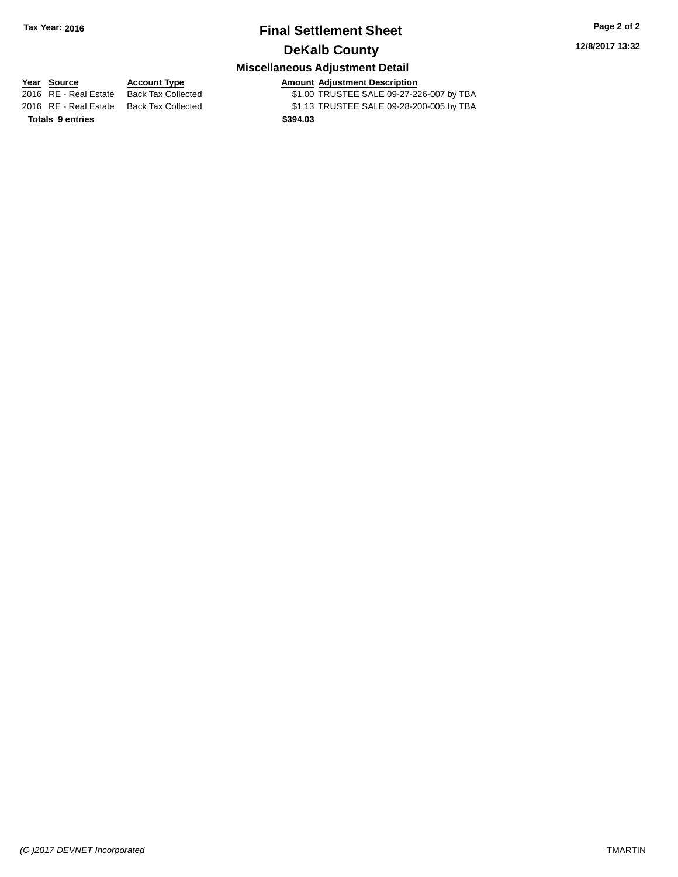# **Final Settlement Sheet Tax Year: 2016 Page 2 of 2 DeKalb County**

# **Miscellaneous Adjustment Detail**

**Totals 9 entries \$394.03**

**<u>Year Source</u> <b>Account Type Amount Adjustment Description**<br>2016 RE - Real Estate Back Tax Collected \$1.00 TRUSTEE SALE 09-27-22 \$1.00 TRUSTEE SALE 09-27-226-007 by TBA 2016 RE - Real Estate Back Tax Collected \$1.13 TRUSTEE SALE 09-28-200-005 by TBA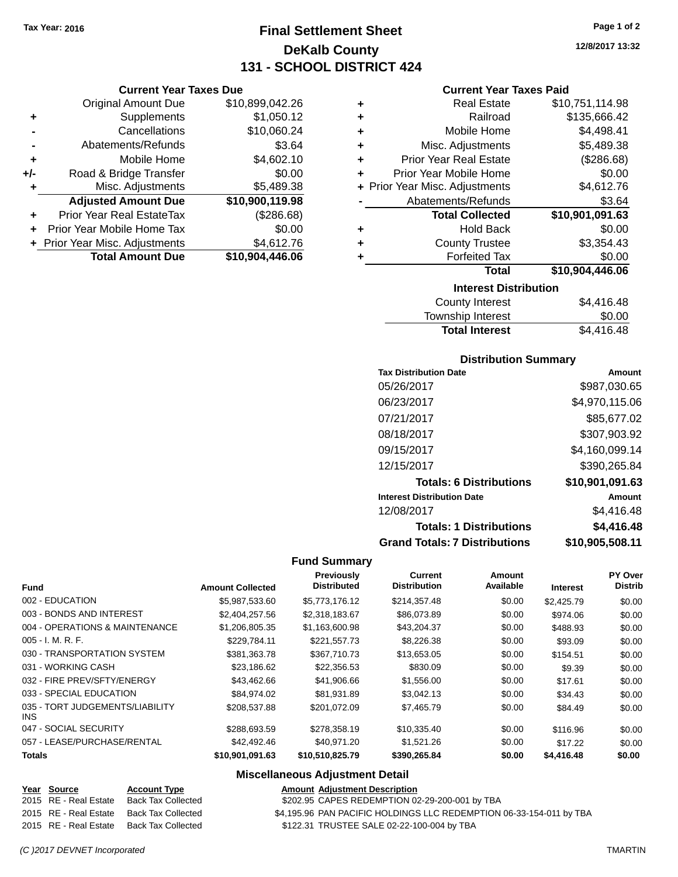**Current Year Taxes Due** Original Amount Due \$10,899,042.26

**Adjusted Amount Due \$10,900,119.98**

**Total Amount Due \$10,904,446.06**

**+** Supplements \$1,050.12 **-** Cancellations \$10,060.24 **-** Abatements/Refunds \$3.64 **+** Mobile Home \$4,602.10 **+/-** Road & Bridge Transfer \$0.00<br>**+** Misc. Adjustments \$5,489.38

**+** Prior Year Real EstateTax (\$286.68) **+** Prior Year Mobile Home Tax \$0.00 **+** Prior Year Misc. Adjustments \$4,612.76

**+** Misc. Adjustments

# **Final Settlement Sheet Tax Year: 2016 Page 1 of 2 DeKalb County 131 - SCHOOL DISTRICT 424**

**12/8/2017 13:32**

## **Current Year Taxes Paid**

|                              | <b>Real Estate</b>             | \$10,751,114.98 |  |  |
|------------------------------|--------------------------------|-----------------|--|--|
| ٠                            | Railroad                       | \$135,666.42    |  |  |
| ٠                            | Mobile Home                    | \$4,498.41      |  |  |
| ٠                            | Misc. Adjustments              | \$5,489.38      |  |  |
| ٠                            | <b>Prior Year Real Estate</b>  | (\$286.68)      |  |  |
| ÷                            | Prior Year Mobile Home         | \$0.00          |  |  |
|                              | + Prior Year Misc. Adjustments | \$4,612.76      |  |  |
|                              | Abatements/Refunds             | \$3.64          |  |  |
|                              | <b>Total Collected</b>         | \$10,901,091.63 |  |  |
| ٠                            | <b>Hold Back</b>               | \$0.00          |  |  |
|                              | <b>County Trustee</b>          | \$3,354.43      |  |  |
| ٠                            | <b>Forfeited Tax</b>           | \$0.00          |  |  |
|                              | Total                          | \$10,904,446.06 |  |  |
| <b>Interest Distribution</b> |                                |                 |  |  |

| County Interest       | \$4,416.48 |
|-----------------------|------------|
| Township Interest     | \$0.00     |
| <b>Total Interest</b> | \$4,416.48 |
|                       |            |

## **Distribution Summary**

| <b>Tax Distribution Date</b>         | Amount          |
|--------------------------------------|-----------------|
| 05/26/2017                           | \$987,030.65    |
| 06/23/2017                           | \$4,970,115.06  |
| 07/21/2017                           | \$85,677.02     |
| 08/18/2017                           | \$307,903.92    |
| 09/15/2017                           | \$4,160,099.14  |
| 12/15/2017                           | \$390,265.84    |
| <b>Totals: 6 Distributions</b>       | \$10,901,091.63 |
| <b>Interest Distribution Date</b>    | Amount          |
| 12/08/2017                           | \$4,416.48      |
| <b>Totals: 1 Distributions</b>       | \$4,416.48      |
| <b>Grand Totals: 7 Distributions</b> | \$10,905,508.11 |

## **Fund Summary**

| <b>Fund</b>                             | <b>Amount Collected</b> | Previously<br><b>Distributed</b> | Current<br><b>Distribution</b> | Amount<br>Available | <b>Interest</b> | PY Over<br><b>Distrib</b> |
|-----------------------------------------|-------------------------|----------------------------------|--------------------------------|---------------------|-----------------|---------------------------|
| 002 - EDUCATION                         | \$5.987.533.60          | \$5,773,176.12                   | \$214,357.48                   | \$0.00              | \$2,425.79      | \$0.00                    |
|                                         |                         |                                  |                                |                     |                 |                           |
| 003 - BONDS AND INTEREST                | \$2,404,257.56          | \$2,318,183.67                   | \$86,073.89                    | \$0.00              | \$974.06        | \$0.00                    |
| 004 - OPERATIONS & MAINTENANCE          | \$1,206,805.35          | \$1,163,600.98                   | \$43,204.37                    | \$0.00              | \$488.93        | \$0.00                    |
| $005 - I. M. R. F.$                     | \$229.784.11            | \$221,557.73                     | \$8,226.38                     | \$0.00              | \$93.09         | \$0.00                    |
| 030 - TRANSPORTATION SYSTEM             | \$381.363.78            | \$367,710.73                     | \$13,653.05                    | \$0.00              | \$154.51        | \$0.00                    |
| 031 - WORKING CASH                      | \$23,186.62             | \$22,356.53                      | \$830.09                       | \$0.00              | \$9.39          | \$0.00                    |
| 032 - FIRE PREV/SFTY/ENERGY             | \$43.462.66             | \$41,906.66                      | \$1,556.00                     | \$0.00              | \$17.61         | \$0.00                    |
| 033 - SPECIAL EDUCATION                 | \$84.974.02             | \$81,931.89                      | \$3,042.13                     | \$0.00              | \$34.43         | \$0.00                    |
| 035 - TORT JUDGEMENTS/LIABILITY<br>INS. | \$208,537.88            | \$201.072.09                     | \$7,465.79                     | \$0.00              | \$84.49         | \$0.00                    |
| 047 - SOCIAL SECURITY                   | \$288,693.59            | \$278,358.19                     | \$10,335.40                    | \$0.00              | \$116.96        | \$0.00                    |
| 057 - LEASE/PURCHASE/RENTAL             | \$42,492,46             | \$40.971.20                      | \$1,521.26                     | \$0.00              | \$17.22         | \$0.00                    |
| <b>Totals</b>                           | \$10,901,091.63         | \$10,510,825.79                  | \$390,265.84                   | \$0.00              | \$4,416.48      | \$0.00                    |

## **Miscellaneous Adjustment Detail**

| Year Source           | <b>Account Type</b>                      | <b>Amount Adiustment Description</b>                                |
|-----------------------|------------------------------------------|---------------------------------------------------------------------|
| 2015 RE - Real Estate | Back Tax Collected                       | \$202.95 CAPES REDEMPTION 02-29-200-001 by TBA                      |
|                       | 2015 RE - Real Estate Back Tax Collected | \$4,195.96 PAN PACIFIC HOLDINGS LLC REDEMPTION 06-33-154-011 by TBA |
| 2015 RE - Real Estate | Back Tax Collected                       | \$122.31 TRUSTEE SALE 02-22-100-004 by TBA                          |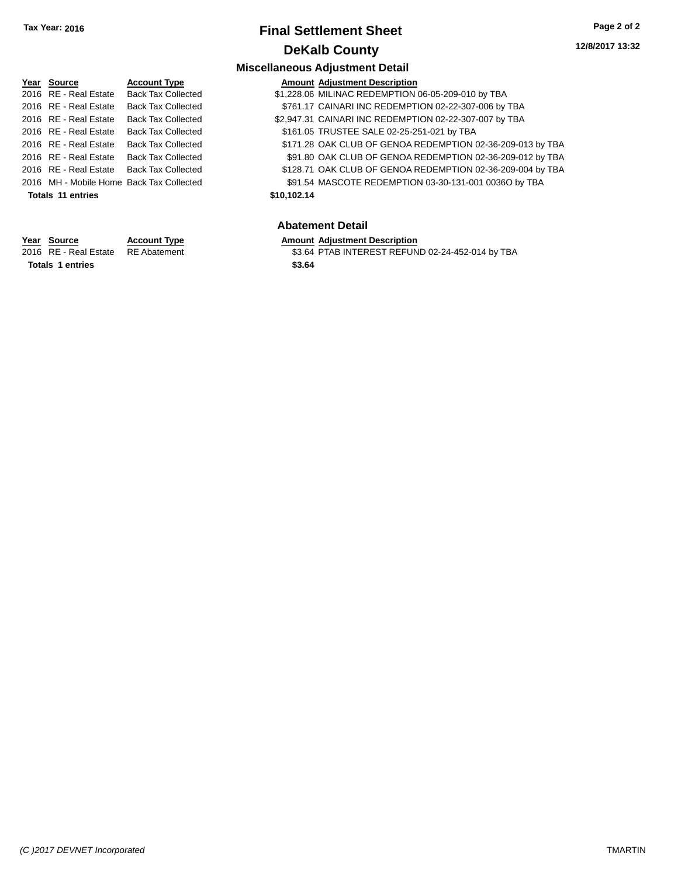# **Final Settlement Sheet Tax Year: 2016 Page 2 of 2 DeKalb County**

## **Miscellaneous Adjustment Detail Year** Source **Account Type A** Account Adjustment Description 2016 RE - Real Estate Back Tax Collected \$1,228.06 MILINAC REDEMPTION 06-05-209-010 by TBA 2016 RE - Real Estate Back Tax Collected \$761.17 CAINARI INC REDEMPTION 02-22-307-006 by TBA 2016 RE - Real Estate Back Tax Collected \$2,947.31 CAINARI INC REDEMPTION 02-22-307-007 by TBA 2016 RE - Real Estate Back Tax Collected \$161.05 TRUSTEE SALE 02-25-251-021 by TBA 2016 RE - Real Estate Back Tax Collected \$171.28 OAK CLUB OF GENOA REDEMPTION 02-36-209-013 by TBA 2016 RE - Real Estate Back Tax Collected \$91.80 OAK CLUB OF GENOA REDEMPTION 02-36-209-012 by TBA 2016 RE - Real Estate Back Tax Collected \$128.71 OAK CLUB OF GENOA REDEMPTION 02-36-209-004 by TBA 2016 MH - Mobile Home Back Tax Collected \$91.54 MASCOTE REDEMPTION 03-30-131-001 0036O by TBA **Totals 11 entries \$10,102.14**

| Source                | Account Ty  |  |
|-----------------------|-------------|--|
| <b>DE Dool Ectoto</b> | $DE$ Abotom |  |

**Totals 1 entries \$3.64**

## **Abatement Detail**

### **Year Source Account Type Amount Adjustment Description**

2016 RE - Real Estate RE Abatement \$3.64 PTAB INTEREST REFUND 02-24-452-014 by TBA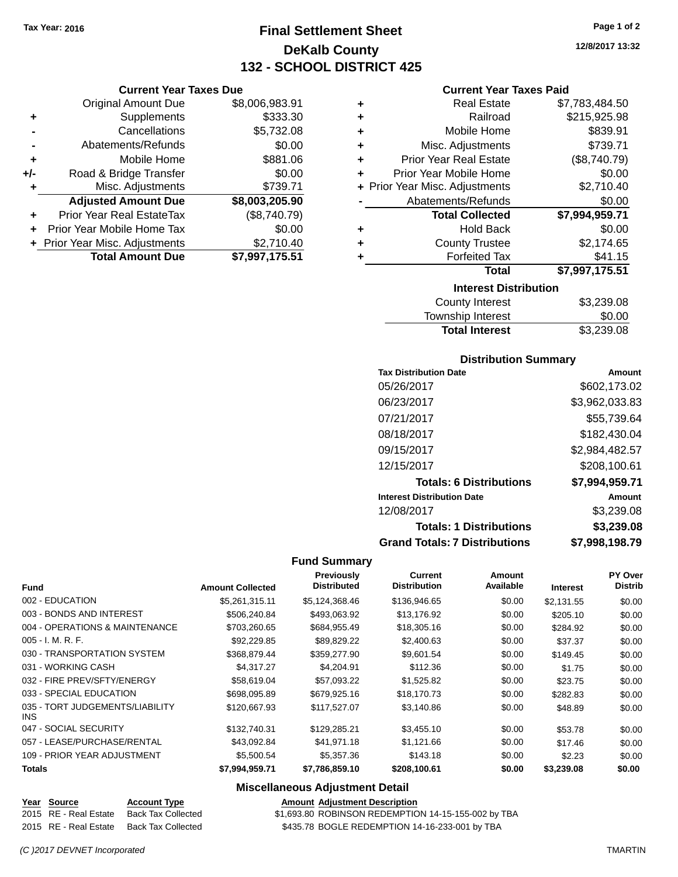# **Final Settlement Sheet Tax Year: 2016 Page 1 of 2 DeKalb County 132 - SCHOOL DISTRICT 425**

**Current Year Taxes Due**

|       | <b>Original Amount Due</b>     | \$8,006,983.91 |
|-------|--------------------------------|----------------|
| ٠     | Supplements                    | \$333.30       |
|       | Cancellations                  | \$5,732.08     |
|       | Abatements/Refunds             | \$0.00         |
| ÷     | Mobile Home                    | \$881.06       |
| $+/-$ | Road & Bridge Transfer         | \$0.00         |
| ٠     | Misc. Adjustments              | \$739.71       |
|       | <b>Adjusted Amount Due</b>     | \$8,003,205.90 |
| ÷     | Prior Year Real EstateTax      | (\$8,740.79)   |
|       | Prior Year Mobile Home Tax     | \$0.00         |
|       | + Prior Year Misc. Adjustments | \$2,710.40     |
|       | <b>Total Amount Due</b>        | \$7,997,175.51 |
|       |                                |                |

| ٠ | <b>Real Estate</b>             | \$7,783,484.50 |
|---|--------------------------------|----------------|
| ٠ | Railroad                       | \$215,925.98   |
| ٠ | Mobile Home                    | \$839.91       |
| ٠ | Misc. Adjustments              | \$739.71       |
| ٠ | <b>Prior Year Real Estate</b>  | (\$8,740.79)   |
| ٠ | Prior Year Mobile Home         | \$0.00         |
|   | + Prior Year Misc. Adjustments | \$2,710.40     |
|   | Abatements/Refunds             | \$0.00         |
|   | <b>Total Collected</b>         | \$7,994,959.71 |
| ٠ | <b>Hold Back</b>               | \$0.00         |
| ٠ | <b>County Trustee</b>          | \$2,174.65     |
| ٠ | <b>Forfeited Tax</b>           | \$41.15        |
|   |                                |                |
|   | Total                          | \$7,997,175.51 |
|   | <b>Interest Distribution</b>   |                |

| <b>Total Interest</b> | \$3,239.08 |
|-----------------------|------------|
| Township Interest     | \$0.00     |
| County Interest       | \$3,239.08 |

## **Distribution Summary**

| <b>Tax Distribution Date</b>         | Amount         |
|--------------------------------------|----------------|
| 05/26/2017                           | \$602.173.02   |
| 06/23/2017                           | \$3,962,033.83 |
| 07/21/2017                           | \$55,739.64    |
| 08/18/2017                           | \$182,430.04   |
| 09/15/2017                           | \$2,984,482.57 |
| 12/15/2017                           | \$208,100.61   |
| <b>Totals: 6 Distributions</b>       | \$7,994,959.71 |
| <b>Interest Distribution Date</b>    | Amount         |
| 12/08/2017                           | \$3,239.08     |
| <b>Totals: 1 Distributions</b>       | \$3,239.08     |
| <b>Grand Totals: 7 Distributions</b> | \$7,998,198.79 |

### **Fund Summary**

| <b>Fund</b>                                   | <b>Amount Collected</b> | <b>Previously</b><br><b>Distributed</b> | Current<br><b>Distribution</b> | Amount<br>Available |                 | <b>PY Over</b><br><b>Distrib</b> |
|-----------------------------------------------|-------------------------|-----------------------------------------|--------------------------------|---------------------|-----------------|----------------------------------|
|                                               |                         |                                         |                                |                     | <b>Interest</b> |                                  |
| 002 - EDUCATION                               | \$5,261,315.11          | \$5.124.368.46                          | \$136,946.65                   | \$0.00              | \$2,131.55      | \$0.00                           |
| 003 - BONDS AND INTEREST                      | \$506.240.84            | \$493,063.92                            | \$13,176.92                    | \$0.00              | \$205.10        | \$0.00                           |
| 004 - OPERATIONS & MAINTENANCE                | \$703,260.65            | \$684,955.49                            | \$18,305.16                    | \$0.00              | \$284.92        | \$0.00                           |
| $005 - I. M. R. F.$                           | \$92,229.85             | \$89,829.22                             | \$2,400.63                     | \$0.00              | \$37.37         | \$0.00                           |
| 030 - TRANSPORTATION SYSTEM                   | \$368.879.44            | \$359,277.90                            | \$9,601.54                     | \$0.00              | \$149.45        | \$0.00                           |
| 031 - WORKING CASH                            | \$4.317.27              | \$4,204.91                              | \$112.36                       | \$0.00              | \$1.75          | \$0.00                           |
| 032 - FIRE PREV/SFTY/ENERGY                   | \$58,619.04             | \$57,093.22                             | \$1,525.82                     | \$0.00              | \$23.75         | \$0.00                           |
| 033 - SPECIAL EDUCATION                       | \$698,095.89            | \$679,925.16                            | \$18,170.73                    | \$0.00              | \$282.83        | \$0.00                           |
| 035 - TORT JUDGEMENTS/LIABILITY<br><b>INS</b> | \$120,667.93            | \$117,527.07                            | \$3,140.86                     | \$0.00              | \$48.89         | \$0.00                           |
| 047 - SOCIAL SECURITY                         | \$132,740.31            | \$129,285.21                            | \$3,455.10                     | \$0.00              | \$53.78         | \$0.00                           |
| 057 - LEASE/PURCHASE/RENTAL                   | \$43,092.84             | \$41.971.18                             | \$1,121.66                     | \$0.00              | \$17.46         | \$0.00                           |
| 109 - PRIOR YEAR ADJUSTMENT                   | \$5,500.54              | \$5,357.36                              | \$143.18                       | \$0.00              | \$2.23          | \$0.00                           |
| <b>Totals</b>                                 | \$7,994,959.71          | \$7,786,859.10                          | \$208,100.61                   | \$0.00              | \$3,239.08      | \$0.00                           |

## **Miscellaneous Adjustment Detail**

**Year Source Account Type Amount Adjustment Description** \$1,693.80 ROBINSON REDEMPTION 14-15-155-002 by TBA 2015 RE - Real Estate Back Tax Collected \$435.78 BOGLE REDEMPTION 14-16-233-001 by TBA

**12/8/2017 13:32**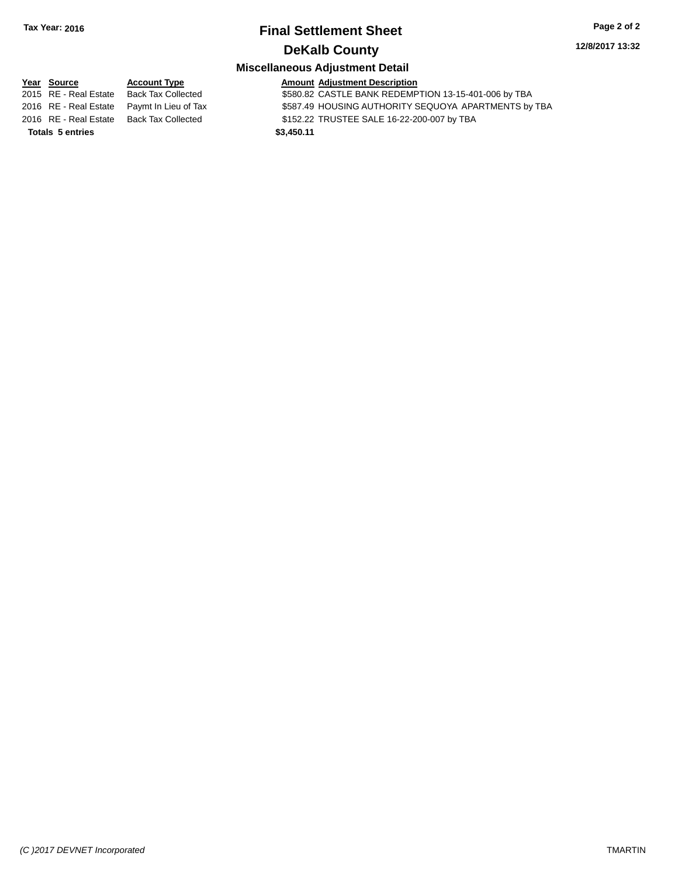# **Final Settlement Sheet Tax Year: 2016 Page 2 of 2 DeKalb County**

**12/8/2017 13:32**

## **Miscellaneous Adjustment Detail**

**Year** Source **Account Type Account Adjustment Description** 2015 RE - Real Estate Back Tax Collected \$580.82 CASTLE BANK REDEMPTION 13-15-401-006 by TBA 2016 RE - Real Estate Paymt In Lieu of Tax \$587.49 HOUSING AUTHORITY SEQUOYA APARTMENTS by TBA 2016 RE - Real Estate Back Tax Collected \$152.22 TRUSTEE SALE 16-22-200-007 by TBA **Totals 5 entries \$3,450.11**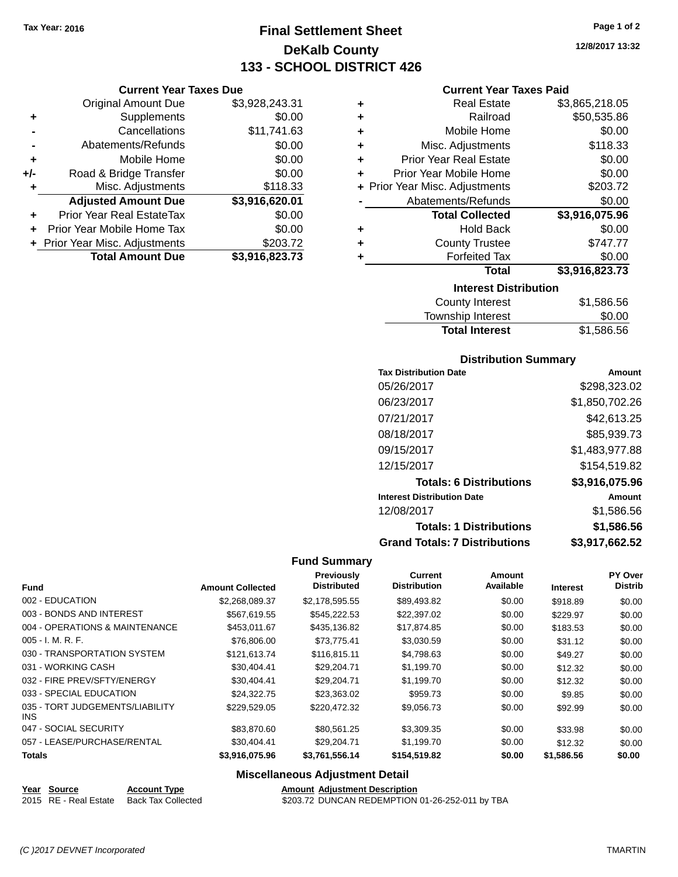**Current Year Taxes Due** Original Amount Due \$3,928,243.31

**Adjusted Amount Due \$3,916,620.01**

**Total Amount Due \$3,916,823.73**

**+** Supplements \$0.00 **-** Cancellations \$11,741.63 **-** Abatements/Refunds \$0.00 **+** Mobile Home \$0.00 **+/-** Road & Bridge Transfer \$0.00 **+** Misc. Adjustments \$118.33

**+** Prior Year Real EstateTax \$0.00 **+** Prior Year Mobile Home Tax \$0.00 **+** Prior Year Misc. Adjustments \$203.72

# **Final Settlement Sheet Tax Year: 2016 Page 1 of 2 DeKalb County 133 - SCHOOL DISTRICT 426**

**12/8/2017 13:32**

## **Current Year Taxes Paid**

| ٠                            | <b>Real Estate</b>             | \$3,865,218.05   |  |  |
|------------------------------|--------------------------------|------------------|--|--|
| ٠                            | Railroad                       | \$50,535.86      |  |  |
| ٠                            | Mobile Home                    | \$0.00           |  |  |
| ٠                            | Misc. Adjustments              | \$118.33         |  |  |
| ٠                            | <b>Prior Year Real Estate</b>  | \$0.00           |  |  |
| ٠                            | Prior Year Mobile Home         | \$0.00           |  |  |
|                              | + Prior Year Misc. Adjustments | \$203.72         |  |  |
|                              | Abatements/Refunds             | \$0.00           |  |  |
|                              | <b>Total Collected</b>         | \$3,916,075.96   |  |  |
| ٠                            | Hold Back                      | \$0.00           |  |  |
| ٠                            | <b>County Trustee</b>          | \$747.77         |  |  |
| ٠                            | <b>Forfeited Tax</b>           | \$0.00           |  |  |
|                              | <b>Total</b>                   | \$3,916,823.73   |  |  |
| <b>Interest Distribution</b> |                                |                  |  |  |
|                              | County Interest                | <b>ዩ1 586 56</b> |  |  |

| County Interest       | \$1,586.56 |
|-----------------------|------------|
| Township Interest     | \$0.00     |
| <b>Total Interest</b> | \$1,586.56 |

## **Distribution Summary**

| <b>Tax Distribution Date</b>         | Amount         |
|--------------------------------------|----------------|
| 05/26/2017                           | \$298,323.02   |
| 06/23/2017                           | \$1,850,702.26 |
| 07/21/2017                           | \$42,613.25    |
| 08/18/2017                           | \$85,939.73    |
| 09/15/2017                           | \$1,483,977.88 |
| 12/15/2017                           | \$154,519.82   |
| <b>Totals: 6 Distributions</b>       | \$3,916,075.96 |
| <b>Interest Distribution Date</b>    | Amount         |
| 12/08/2017                           | \$1.586.56     |
| <b>Totals: 1 Distributions</b>       | \$1,586.56     |
| <b>Grand Totals: 7 Distributions</b> | \$3,917,662.52 |

### **Fund Summary**

| <b>Fund</b>                                   | <b>Amount Collected</b> | Previously<br><b>Distributed</b> | Current<br><b>Distribution</b> | Amount<br>Available | <b>Interest</b> | <b>PY Over</b><br><b>Distrib</b> |
|-----------------------------------------------|-------------------------|----------------------------------|--------------------------------|---------------------|-----------------|----------------------------------|
| 002 - EDUCATION                               | \$2,268,089.37          | \$2,178,595.55                   | \$89,493.82                    | \$0.00              | \$918.89        | \$0.00                           |
| 003 - BONDS AND INTEREST                      | \$567,619.55            | \$545,222.53                     | \$22,397.02                    | \$0.00              | \$229.97        | \$0.00                           |
| 004 - OPERATIONS & MAINTENANCE                | \$453.011.67            | \$435,136.82                     | \$17,874.85                    | \$0.00              | \$183.53        | \$0.00                           |
| $005 - I. M. R. F.$                           | \$76,806,00             | \$73,775.41                      | \$3,030.59                     | \$0.00              | \$31.12         | \$0.00                           |
| 030 - TRANSPORTATION SYSTEM                   | \$121.613.74            | \$116.815.11                     | \$4,798.63                     | \$0.00              | \$49.27         | \$0.00                           |
| 031 - WORKING CASH                            | \$30.404.41             | \$29,204.71                      | \$1,199.70                     | \$0.00              | \$12.32         | \$0.00                           |
| 032 - FIRE PREV/SFTY/ENERGY                   | \$30.404.41             | \$29.204.71                      | \$1,199.70                     | \$0.00              | \$12.32         | \$0.00                           |
| 033 - SPECIAL EDUCATION                       | \$24.322.75             | \$23,363.02                      | \$959.73                       | \$0.00              | \$9.85          | \$0.00                           |
| 035 - TORT JUDGEMENTS/LIABILITY<br><b>INS</b> | \$229.529.05            | \$220,472.32                     | \$9.056.73                     | \$0.00              | \$92.99         | \$0.00                           |
| 047 - SOCIAL SECURITY                         | \$83,870.60             | \$80.561.25                      | \$3,309.35                     | \$0.00              | \$33.98         | \$0.00                           |
| 057 - LEASE/PURCHASE/RENTAL                   | \$30,404.41             | \$29,204.71                      | \$1,199.70                     | \$0.00              | \$12.32         | \$0.00                           |
| <b>Totals</b>                                 | \$3,916,075.96          | \$3,761,556.14                   | \$154,519.82                   | \$0.00              | \$1,586.56      | \$0.00                           |

## **Miscellaneous Adjustment Detail**

| Year Source         | <b>Account Type</b>   |
|---------------------|-----------------------|
| 2015 DE Dool Ectoto | <b>Book Toy Colle</b> |

**Amount Adjustment Description** 2015 RE - Real Estate Back Tax Collected \$203.72 DUNCAN REDEMPTION 01-26-252-011 by TBA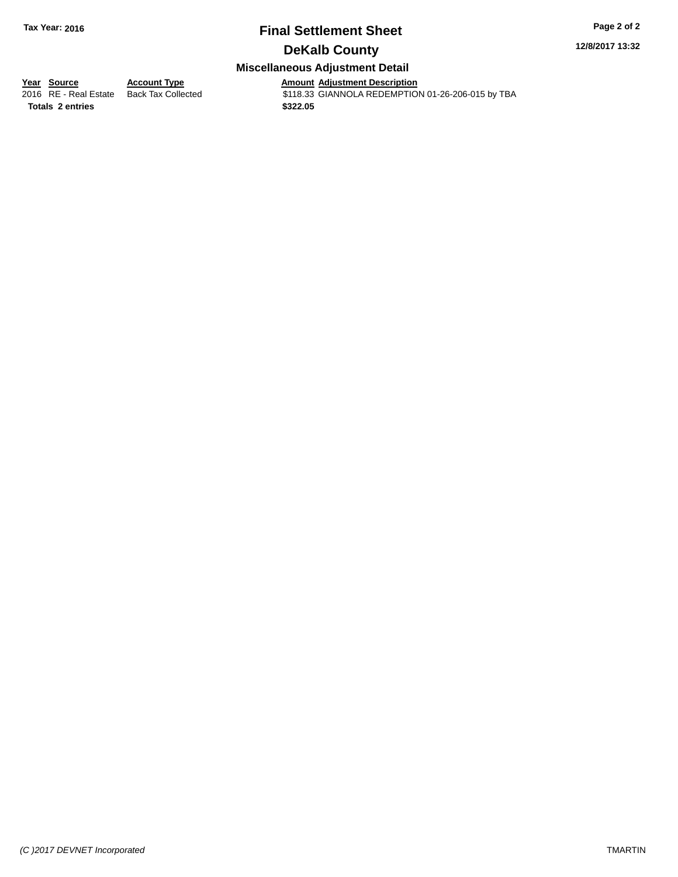# **Final Settlement Sheet Tax Year: 2016 Page 2 of 2 DeKalb County**

## **12/8/2017 13:32**

## **Miscellaneous Adjustment Detail**

**Totals 2 entries \$322.05**

**Year Source Account Type**<br>
2016 RE - Real Estate Back Tax Collected **Amount Adjustment Description**<br>
\$118.33 GIANNOLA REDEMPTION \$118.33 GIANNOLA REDEMPTION 01-26-206-015 by TBA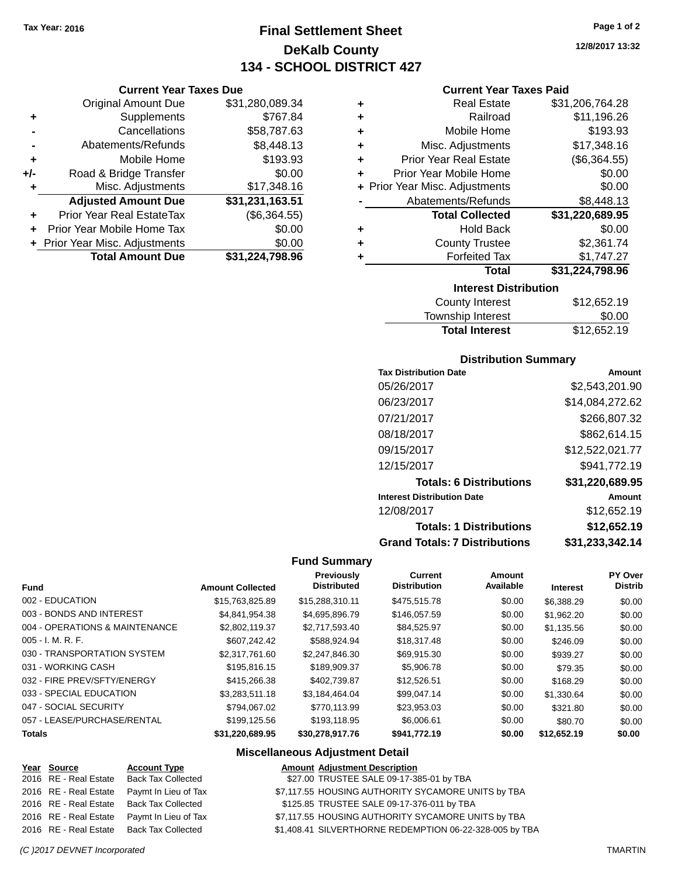# **Final Settlement Sheet Tax Year: 2016 Page 1 of 2 DeKalb County 134 - SCHOOL DISTRICT 427**

### **Current Year Taxes Due**

|       | <b>Original Amount Due</b>     | \$31,280,089.34 |
|-------|--------------------------------|-----------------|
| ٠     | Supplements                    | \$767.84        |
|       | Cancellations                  | \$58,787.63     |
|       | Abatements/Refunds             | \$8,448.13      |
| ÷     | Mobile Home                    | \$193.93        |
| $+/-$ | Road & Bridge Transfer         | \$0.00          |
| ٠     | Misc. Adjustments              | \$17,348.16     |
|       | <b>Adjusted Amount Due</b>     | \$31,231,163.51 |
|       | Prior Year Real EstateTax      | (\$6,364.55)    |
|       | Prior Year Mobile Home Tax     | \$0.00          |
|       | + Prior Year Misc. Adjustments | \$0.00          |
|       | <b>Total Amount Due</b>        | \$31,224,798.96 |

|   | <b>Interest Distribution</b>   |                 |  |  |  |  |
|---|--------------------------------|-----------------|--|--|--|--|
|   | Total                          | \$31,224,798.96 |  |  |  |  |
| ٠ | <b>Forfeited Tax</b>           | \$1,747.27      |  |  |  |  |
| ٠ | <b>County Trustee</b>          | \$2,361.74      |  |  |  |  |
| ٠ | <b>Hold Back</b>               | \$0.00          |  |  |  |  |
|   | <b>Total Collected</b>         | \$31,220,689.95 |  |  |  |  |
|   | Abatements/Refunds             | \$8,448.13      |  |  |  |  |
|   | + Prior Year Misc. Adjustments | \$0.00          |  |  |  |  |
| ÷ | Prior Year Mobile Home         | \$0.00          |  |  |  |  |
| ÷ | <b>Prior Year Real Estate</b>  | (\$6,364.55)    |  |  |  |  |
| ٠ | Misc. Adjustments              | \$17,348.16     |  |  |  |  |
| ٠ | Mobile Home                    | \$193.93        |  |  |  |  |
| ٠ | Railroad                       | \$11,196.26     |  |  |  |  |
| ٠ | <b>Real Estate</b>             | \$31,206,764.28 |  |  |  |  |

| IIIGIGSL PISLINULIUII |             |
|-----------------------|-------------|
| County Interest       | \$12,652.19 |
| Township Interest     | \$0.00      |
| <b>Total Interest</b> | \$12,652.19 |
|                       |             |

### **Distribution Summary**

| <b>Tax Distribution Date</b>         | Amount          |
|--------------------------------------|-----------------|
| 05/26/2017                           | \$2,543,201.90  |
| 06/23/2017                           | \$14,084,272.62 |
| 07/21/2017                           | \$266,807.32    |
| 08/18/2017                           | \$862.614.15    |
| 09/15/2017                           | \$12,522,021.77 |
| 12/15/2017                           | \$941,772.19    |
| <b>Totals: 6 Distributions</b>       | \$31,220,689.95 |
| <b>Interest Distribution Date</b>    | Amount          |
| 12/08/2017                           | \$12.652.19     |
| <b>Totals: 1 Distributions</b>       | \$12,652.19     |
| <b>Grand Totals: 7 Distributions</b> | \$31,233,342.14 |

## **Fund Summary**

| <b>Fund</b>                    | <b>Amount Collected</b> | <b>Previously</b><br><b>Distributed</b> | <b>Current</b><br><b>Distribution</b> | Amount<br>Available | <b>Interest</b> | PY Over<br><b>Distrib</b> |
|--------------------------------|-------------------------|-----------------------------------------|---------------------------------------|---------------------|-----------------|---------------------------|
| 002 - EDUCATION                | \$15,763,825.89         | \$15,288,310.11                         | \$475,515.78                          | \$0.00              | \$6,388.29      | \$0.00                    |
| 003 - BONDS AND INTEREST       | \$4.841.954.38          | \$4.695.896.79                          | \$146.057.59                          | \$0.00              | \$1,962.20      | \$0.00                    |
| 004 - OPERATIONS & MAINTENANCE | \$2,802,119.37          | \$2.717.593.40                          | \$84.525.97                           | \$0.00              | \$1,135.56      | \$0.00                    |
| $005 - I. M. R. F.$            | \$607.242.42            | \$588.924.94                            | \$18,317.48                           | \$0.00              | \$246.09        | \$0.00                    |
| 030 - TRANSPORTATION SYSTEM    | \$2,317,761.60          | \$2,247,846.30                          | \$69,915.30                           | \$0.00              | \$939.27        | \$0.00                    |
| 031 - WORKING CASH             | \$195,816.15            | \$189,909.37                            | \$5,906.78                            | \$0.00              | \$79.35         | \$0.00                    |
| 032 - FIRE PREV/SFTY/ENERGY    | \$415,266,38            | \$402.739.87                            | \$12.526.51                           | \$0.00              | \$168.29        | \$0.00                    |
| 033 - SPECIAL EDUCATION        | \$3.283.511.18          | \$3.184.464.04                          | \$99.047.14                           | \$0.00              | \$1,330.64      | \$0.00                    |
| 047 - SOCIAL SECURITY          | \$794.067.02            | \$770.113.99                            | \$23,953.03                           | \$0.00              | \$321.80        | \$0.00                    |
| 057 - LEASE/PURCHASE/RENTAL    | \$199,125.56            | \$193.118.95                            | \$6,006.61                            | \$0.00              | \$80.70         | \$0.00                    |
| Totals                         | \$31.220.689.95         | \$30,278,917.76                         | \$941,772.19                          | \$0.00              | \$12,652.19     | \$0.00                    |

### **Miscellaneous Adjustment Detail**

### **<u>Year Source</u> <b>Account Type Amount Adjustment Description**<br>2016 RE - Real Estate Back Tax Collected \$27.00 TRUSTEE SALE 09-17-38 \$27.00 TRUSTEE SALE 09-17-385-01 by TBA 2016 RE - Real Estate Paymt In Lieu of Tax \$7,117.55 HOUSING AUTHORITY SYCAMORE UNITS by TBA 2016 RE - Real Estate Back Tax Collected \$125.85 TRUSTEE SALE 09-17-376-011 by TBA 2016 RE - Real Estate Paymt In Lieu of Tax \$7,117.55 HOUSING AUTHORITY SYCAMORE UNITS by TBA 2016 RE - Real Estate Back Tax Collected \$1,408.41 SILVERTHORNE REDEMPTION 06-22-328-005 by TBA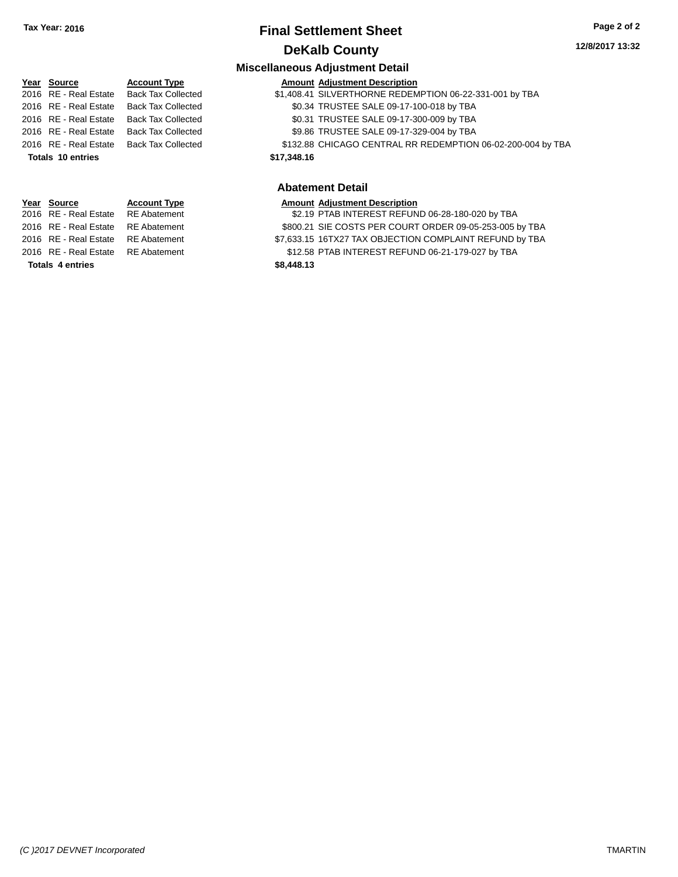# **Final Settlement Sheet Tax Year: 2016 Page 2 of 2 DeKalb County**

## **Miscellaneous Adjustment Detail**

|                         | Year Source           | <b>Account Type</b>       |             | <b>Amount Adjustment Description</b>                        |
|-------------------------|-----------------------|---------------------------|-------------|-------------------------------------------------------------|
|                         | 2016 RE - Real Estate | <b>Back Tax Collected</b> |             | \$1,408.41 SILVERTHORNE REDEMPTION 06-22-331-001 by TBA     |
|                         | 2016 RE - Real Estate | <b>Back Tax Collected</b> |             | \$0.34 TRUSTEE SALE 09-17-100-018 by TBA                    |
|                         | 2016 RE - Real Estate | <b>Back Tax Collected</b> |             | \$0.31 TRUSTEE SALE 09-17-300-009 by TBA                    |
|                         | 2016 RE - Real Estate | <b>Back Tax Collected</b> |             | \$9.86 TRUSTEE SALE 09-17-329-004 by TBA                    |
|                         | 2016 RE - Real Estate | <b>Back Tax Collected</b> |             | \$132.88 CHICAGO CENTRAL RR REDEMPTION 06-02-200-004 by TBA |
|                         | Totals 10 entries     |                           | \$17,348.16 |                                                             |
| <b>Abatement Detail</b> |                       |                           |             |                                                             |
|                         |                       |                           |             |                                                             |

# **Year Source <b>Account Type** 2016 RE - Real Estate RE Abatement 2016 RE - Real Estate RE Abatement

**Totals** 4 entries \$8,458.13

|                         | Year Source                        | <b>Account Type</b> |            | <b>Amount Adjustment Description</b>                    |
|-------------------------|------------------------------------|---------------------|------------|---------------------------------------------------------|
|                         | 2016 RE - Real Estate RE Abatement |                     |            | \$2.19 PTAB INTEREST REFUND 06-28-180-020 by TBA        |
|                         | 2016 RE - Real Estate RE Abatement |                     |            | \$800.21 SIE COSTS PER COURT ORDER 09-05-253-005 by TBA |
|                         | 2016 RE - Real Estate RE Abatement |                     |            | \$7,633.15 16TX27 TAX OBJECTION COMPLAINT REFUND by TBA |
|                         | 2016 RE - Real Estate RE Abatement |                     |            | \$12.58 PTAB INTEREST REFUND 06-21-179-027 by TBA       |
| <b>Totals 4 entries</b> |                                    |                     | \$8,448.13 |                                                         |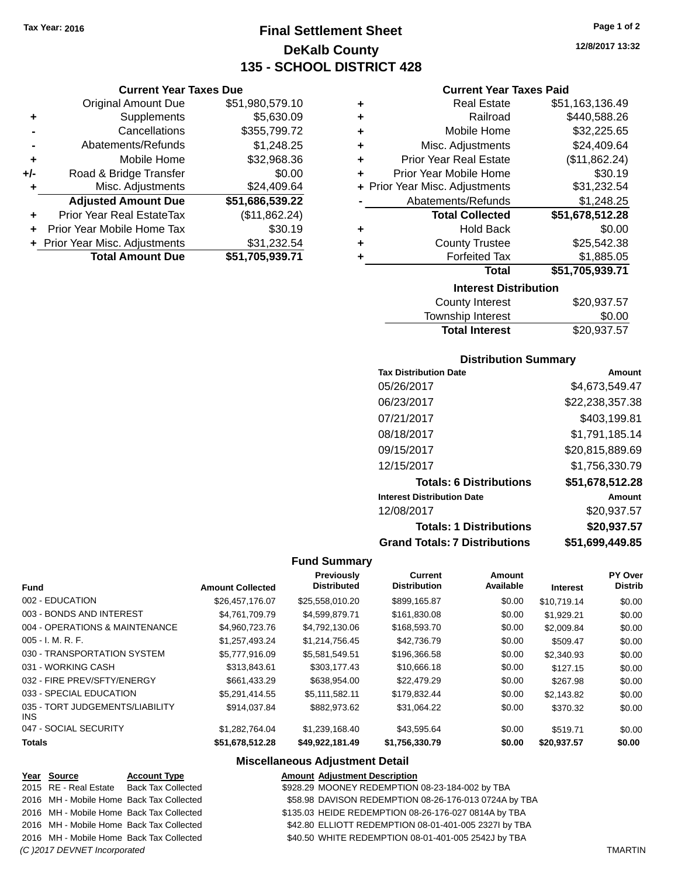# **Final Settlement Sheet Tax Year: 2016 Page 1 of 2 DeKalb County 135 - SCHOOL DISTRICT 428**

|       | <b>Current Year Taxes Due</b>                 |                 |  |  |  |  |
|-------|-----------------------------------------------|-----------------|--|--|--|--|
|       | \$51,980,579.10<br><b>Original Amount Due</b> |                 |  |  |  |  |
| ٠     | Supplements                                   | \$5,630.09      |  |  |  |  |
|       | \$355,799.72<br>Cancellations                 |                 |  |  |  |  |
|       | Abatements/Refunds                            | \$1,248.25      |  |  |  |  |
| ٠     | Mobile Home                                   | \$32,968.36     |  |  |  |  |
| $+/-$ | Road & Bridge Transfer                        | \$0.00          |  |  |  |  |
| ٠     | Misc. Adjustments                             | \$24,409.64     |  |  |  |  |
|       | <b>Adjusted Amount Due</b>                    | \$51,686,539.22 |  |  |  |  |
| ٠     | Prior Year Real EstateTax                     | (\$11,862.24)   |  |  |  |  |
|       | Prior Year Mobile Home Tax                    | \$30.19         |  |  |  |  |
|       | + Prior Year Misc. Adjustments                | \$31,232.54     |  |  |  |  |
|       | <b>Total Amount Due</b>                       | \$51,705,939.71 |  |  |  |  |

## **Current Year Taxes Paid**

|   | <b>Real Estate</b>             | \$51,163,136.49 |
|---|--------------------------------|-----------------|
| ٠ | Railroad                       | \$440,588.26    |
| ٠ | Mobile Home                    | \$32,225.65     |
| ٠ | Misc. Adjustments              | \$24,409.64     |
| ٠ | <b>Prior Year Real Estate</b>  | (\$11,862.24)   |
| ٠ | Prior Year Mobile Home         | \$30.19         |
|   | + Prior Year Misc. Adjustments | \$31,232.54     |
|   | Abatements/Refunds             | \$1,248.25      |
|   | <b>Total Collected</b>         | \$51,678,512.28 |
| ٠ | <b>Hold Back</b>               | \$0.00          |
| ٠ | <b>County Trustee</b>          | \$25,542.38     |
| ٠ | <b>Forfeited Tax</b>           | \$1,885.05      |
|   | <b>Total</b>                   | \$51,705,939.71 |
|   | <b>Interest Distribution</b>   |                 |
|   |                                |                 |

| County Interest       | \$20,937.57 |
|-----------------------|-------------|
| Township Interest     | \$0.00      |
| <b>Total Interest</b> | \$20,937.57 |

## **Distribution Summary**

| <b>Tax Distribution Date</b>         | Amount          |
|--------------------------------------|-----------------|
| 05/26/2017                           | \$4.673.549.47  |
| 06/23/2017                           | \$22,238,357.38 |
| 07/21/2017                           | \$403,199.81    |
| 08/18/2017                           | \$1,791,185.14  |
| 09/15/2017                           | \$20,815,889.69 |
| 12/15/2017                           | \$1,756,330.79  |
| <b>Totals: 6 Distributions</b>       | \$51,678,512.28 |
| <b>Interest Distribution Date</b>    | Amount          |
| 12/08/2017                           | \$20,937.57     |
| <b>Totals: 1 Distributions</b>       | \$20,937.57     |
| <b>Grand Totals: 7 Distributions</b> | \$51,699,449.85 |

## **Fund Summary**

| <b>Fund</b>                             | <b>Amount Collected</b> | <b>Previously</b><br><b>Distributed</b> | Current<br><b>Distribution</b> | Amount<br>Available | <b>Interest</b> | <b>PY Over</b><br><b>Distrib</b> |
|-----------------------------------------|-------------------------|-----------------------------------------|--------------------------------|---------------------|-----------------|----------------------------------|
| 002 - EDUCATION                         | \$26.457.176.07         | \$25,558,010.20                         | \$899,165.87                   | \$0.00              | \$10,719.14     | \$0.00                           |
| 003 - BONDS AND INTEREST                | \$4.761.709.79          | \$4,599,879.71                          | \$161,830.08                   | \$0.00              | \$1.929.21      | \$0.00                           |
| 004 - OPERATIONS & MAINTENANCE          | \$4.960.723.76          | \$4.792.130.06                          | \$168,593.70                   | \$0.00              | \$2,009.84      | \$0.00                           |
| $005 - I. M. R. F.$                     | \$1,257,493.24          | \$1,214,756.45                          | \$42,736,79                    | \$0.00              | \$509.47        | \$0.00                           |
| 030 - TRANSPORTATION SYSTEM             | \$5,777,916.09          | \$5,581,549.51                          | \$196,366.58                   | \$0.00              | \$2,340.93      | \$0.00                           |
| 031 - WORKING CASH                      | \$313,843.61            | \$303,177.43                            | \$10,666.18                    | \$0.00              | \$127.15        | \$0.00                           |
| 032 - FIRE PREV/SFTY/ENERGY             | \$661.433.29            | \$638,954,00                            | \$22,479.29                    | \$0.00              | \$267.98        | \$0.00                           |
| 033 - SPECIAL EDUCATION                 | \$5,291,414.55          | \$5,111,582.11                          | \$179,832.44                   | \$0.00              | \$2,143.82      | \$0.00                           |
| 035 - TORT JUDGEMENTS/LIABILITY<br>INS. | \$914.037.84            | \$882,973,62                            | \$31.064.22                    | \$0.00              | \$370.32        | \$0.00                           |
| 047 - SOCIAL SECURITY                   | \$1,282,764.04          | \$1,239,168.40                          | \$43,595.64                    | \$0.00              | \$519.71        | \$0.00                           |
| <b>Totals</b>                           | \$51,678,512.28         | \$49,922,181.49                         | \$1,756,330.79                 | \$0.00              | \$20,937.57     | \$0.00                           |

## **Miscellaneous Adjustment Detail**

| Year Source                 | <b>Account Type</b>                      | <b>Amount Adjustment Description</b>                  |                |
|-----------------------------|------------------------------------------|-------------------------------------------------------|----------------|
|                             | 2015 RE - Real Estate Back Tax Collected | \$928.29 MOONEY REDEMPTION 08-23-184-002 by TBA       |                |
|                             | 2016 MH - Mobile Home Back Tax Collected | \$58.98 DAVISON REDEMPTION 08-26-176-013 0724A by TBA |                |
|                             | 2016 MH - Mobile Home Back Tax Collected | \$135.03 HEIDE REDEMPTION 08-26-176-027 0814A by TBA  |                |
|                             | 2016 MH - Mobile Home Back Tax Collected | \$42.80 ELLIOTT REDEMPTION 08-01-401-005 2327I by TBA |                |
|                             | 2016 MH - Mobile Home Back Tax Collected | \$40.50 WHITE REDEMPTION 08-01-401-005 2542J by TBA   |                |
| (C)2017 DEVNET Incorporated |                                          |                                                       | <b>TMARTIN</b> |

**12/8/2017 13:32**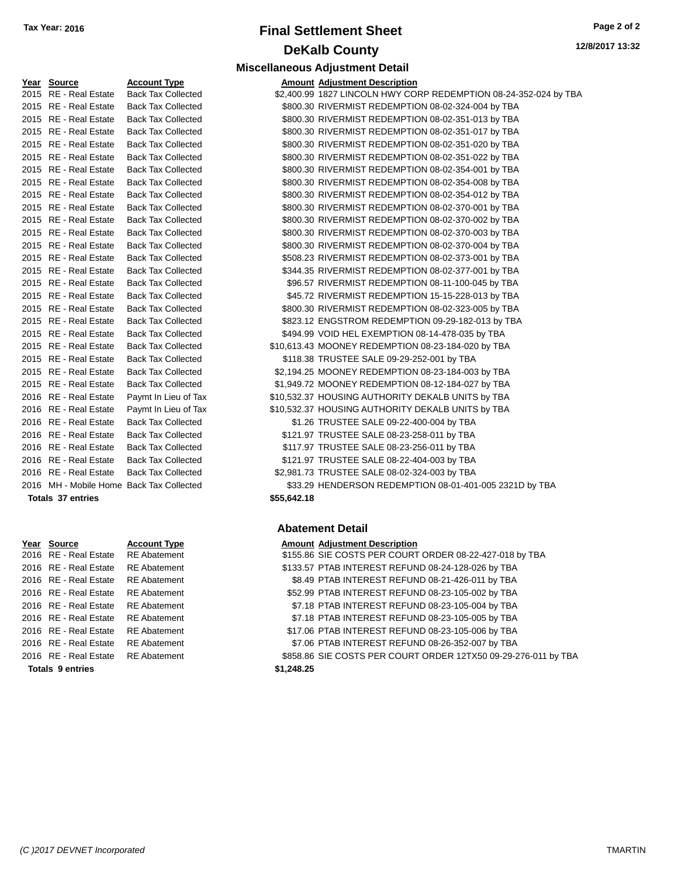# **Final Settlement Sheet Tax Year: 2016 Page 2 of 2 DeKalb County Miscellaneous Adjustment Detail**

**12/8/2017 13:32**

| Year Source              | <b>Account Type</b>                      |             | <b>Amount Adjustment Description</b> |
|--------------------------|------------------------------------------|-------------|--------------------------------------|
| 2015 RE - Real Estate    | <b>Back Tax Collected</b>                |             | \$2,400.99 1827 LINCOLN HWY CO       |
| 2015 RE - Real Estate    | <b>Back Tax Collected</b>                |             | \$800.30 RIVERMIST REDEMPTIO         |
| 2015 RE - Real Estate    | <b>Back Tax Collected</b>                |             | \$800.30 RIVERMIST REDEMPTIO         |
| 2015 RE - Real Estate    | <b>Back Tax Collected</b>                |             | \$800.30 RIVERMIST REDEMPTIO         |
| 2015 RE - Real Estate    | <b>Back Tax Collected</b>                |             | \$800.30 RIVERMIST REDEMPTIO         |
| 2015 RE - Real Estate    | <b>Back Tax Collected</b>                |             | \$800.30 RIVERMIST REDEMPTIO         |
| 2015 RE - Real Estate    | <b>Back Tax Collected</b>                |             | \$800.30 RIVERMIST REDEMPTIO         |
| 2015 RE - Real Estate    | <b>Back Tax Collected</b>                |             | \$800.30 RIVERMIST REDEMPTIO         |
| 2015 RE - Real Estate    | <b>Back Tax Collected</b>                |             | \$800.30 RIVERMIST REDEMPTIO         |
| 2015 RE - Real Estate    | <b>Back Tax Collected</b>                |             | \$800.30 RIVERMIST REDEMPTIO         |
| 2015 RE - Real Estate    | <b>Back Tax Collected</b>                |             | \$800.30 RIVERMIST REDEMPTIO         |
| 2015 RE - Real Estate    | <b>Back Tax Collected</b>                |             | \$800.30 RIVERMIST REDEMPTIO         |
| 2015 RE - Real Estate    | <b>Back Tax Collected</b>                |             | \$800.30 RIVERMIST REDEMPTIO         |
| 2015 RE - Real Estate    | <b>Back Tax Collected</b>                |             | \$508.23 RIVERMIST REDEMPTIO         |
| 2015 RE - Real Estate    | <b>Back Tax Collected</b>                |             | \$344.35 RIVERMIST REDEMPTIO         |
| 2015 RE - Real Estate    | <b>Back Tax Collected</b>                |             | \$96.57 RIVERMIST REDEMPTIO          |
| 2015 RE - Real Estate    | <b>Back Tax Collected</b>                |             | \$45.72 RIVERMIST REDEMPTIO          |
| 2015 RE - Real Estate    | <b>Back Tax Collected</b>                |             | \$800.30 RIVERMIST REDEMPTIO         |
| 2015 RE - Real Estate    | <b>Back Tax Collected</b>                |             | \$823.12 ENGSTROM REDEMPTI           |
| 2015 RE - Real Estate    | <b>Back Tax Collected</b>                |             | \$494.99 VOID HEL EXEMPTION          |
| 2015 RE - Real Estate    | <b>Back Tax Collected</b>                |             | \$10,613.43 MOONEY REDEMPTION        |
| 2015 RE - Real Estate    | <b>Back Tax Collected</b>                |             | \$118.38 TRUSTEE SALE 09-29-2        |
| 2015 RE - Real Estate    | <b>Back Tax Collected</b>                |             | \$2,194.25 MOONEY REDEMPTION         |
| 2015 RE - Real Estate    | <b>Back Tax Collected</b>                |             | \$1,949.72 MOONEY REDEMPTION         |
| 2016 RE - Real Estate    | Paymt In Lieu of Tax                     |             | \$10,532.37 HOUSING AUTHORITY I      |
| 2016 RE - Real Estate    | Paymt In Lieu of Tax                     |             | \$10,532.37 HOUSING AUTHORITY I      |
| 2016 RE - Real Estate    | <b>Back Tax Collected</b>                |             | \$1.26 TRUSTEE SALE 09-22-4          |
| 2016 RE - Real Estate    | <b>Back Tax Collected</b>                |             | \$121.97 TRUSTEE SALE 08-23-2        |
| 2016 RE - Real Estate    | <b>Back Tax Collected</b>                |             | \$117.97 TRUSTEE SALE 08-23-2        |
| 2016 RE - Real Estate    | <b>Back Tax Collected</b>                |             | \$121.97 TRUSTEE SALE 08-22-4        |
| 2016 RE - Real Estate    | <b>Back Tax Collected</b>                |             | \$2,981.73 TRUSTEE SALE 08-02-3      |
|                          | 2016 MH - Mobile Home Back Tax Collected |             | \$33.29 HENDERSON REDEMPT            |
| <b>Totals 37 entries</b> |                                          | \$55,642.18 |                                      |

| Year Source                        | <b>Account Type</b> |            | <b>Amount Adjustment Description</b> |
|------------------------------------|---------------------|------------|--------------------------------------|
| 2016 RE - Real Estate              | RE Abatement        |            | \$155.86 SIE COSTS PER COURT         |
| 2016 RE - Real Estate              | <b>RE</b> Abatement |            | \$133.57 PTAB INTEREST REFUN         |
| 2016 RE - Real Estate              | <b>RE Abatement</b> |            | \$8.49 PTAB INTEREST REFUN           |
| 2016 RE - Real Estate              | <b>RE</b> Abatement |            | \$52.99 PTAB INTEREST REFUN          |
| 2016 RE - Real Estate              | <b>RE Abatement</b> |            | \$7.18 PTAB INTEREST REFUN           |
| 2016 RE - Real Estate              | <b>RE</b> Abatement |            | \$7.18 PTAB INTEREST REFUN           |
| 2016 RE - Real Estate              | <b>RE</b> Abatement |            | \$17.06 PTAB INTEREST REFUN          |
| 2016 RE - Real Estate              | RE Abatement        |            | \$7.06 PTAB INTEREST REFUN           |
| 2016 RE - Real Estate RE Abatement |                     |            | \$858.86 SIE COSTS PER COURT         |
| <b>Totals 9 entries</b>            |                     | \$1,248,25 |                                      |

|             | AINOUNT AUJUSTMENT DESCRIPTION                                   |
|-------------|------------------------------------------------------------------|
| cted        | \$2,400.99 1827 LINCOLN HWY CORP REDEMPTION 08-24-352-024 by TBA |
| cted        | \$800.30 RIVERMIST REDEMPTION 08-02-324-004 by TBA               |
| cted        | \$800.30 RIVERMIST REDEMPTION 08-02-351-013 by TBA               |
| cted        | \$800.30 RIVERMIST REDEMPTION 08-02-351-017 by TBA               |
| cted        | \$800.30 RIVERMIST REDEMPTION 08-02-351-020 by TBA               |
| cted        | \$800.30 RIVERMIST REDEMPTION 08-02-351-022 by TBA               |
| $H \circ H$ | CON 20 DIVEDMICT DENEMOTION 02 02 254 001 by TRA                 |

| Totale 27 ontrice                        |                           | <b>CEE CAO 40</b> |                                                         |
|------------------------------------------|---------------------------|-------------------|---------------------------------------------------------|
| 2016 MH - Mobile Home Back Tax Collected |                           |                   | \$33.29 HENDERSON REDEMPTION 08-01-401-005 2321D by TBA |
| 2016 RE - Real Estate                    | <b>Back Tax Collected</b> |                   | \$2,981.73 TRUSTEE SALE 08-02-324-003 by TBA            |
| 2016 RE - Real Estate                    | <b>Back Tax Collected</b> |                   | \$121.97 TRUSTEE SALE 08-22-404-003 by TBA              |
| 2016 RE - Real Estate                    | <b>Back Tax Collected</b> |                   | \$117.97 TRUSTEE SALE 08-23-256-011 by TBA              |
| 2016 RE - Real Estate                    | <b>Back Tax Collected</b> |                   | \$121.97 TRUSTEE SALE 08-23-258-011 by TBA              |
| 2016 RE - Real Estate                    | <b>Back Tax Collected</b> |                   | \$1.26 TRUSTEE SALE 09-22-400-004 by TBA                |
| 2016 RE - Real Estate                    | Paymt In Lieu of Tax      |                   | \$10,532.37 HOUSING AUTHORITY DEKALB UNITS by TBA       |
| 2016 RE - Real Estate                    | Paymt In Lieu of Tax      |                   | \$10,532.37 HOUSING AUTHORITY DEKALB UNITS by TBA       |
| 2015 RE - Real Estate                    | <b>Back Tax Collected</b> |                   | \$1,949.72 MOONEY REDEMPTION 08-12-184-027 by TBA       |
| 2015 RE - Real Estate                    | <b>Back Tax Collected</b> |                   | \$2,194.25 MOONEY REDEMPTION 08-23-184-003 by TBA       |
| 2015 RE - Real Estate                    | <b>Back Tax Collected</b> |                   | \$118.38 TRUSTEE SALE 09-29-252-001 by TBA              |
| 2015 RE - Real Estate                    | <b>Back Tax Collected</b> |                   | \$10,613.43 MOONEY REDEMPTION 08-23-184-020 by TBA      |
| 2015 RE - Real Estate                    | <b>Back Tax Collected</b> |                   | \$494.99 VOID HEL EXEMPTION 08-14-478-035 by TBA        |
| 2015 RE - Real Estate                    | <b>Back Tax Collected</b> |                   | \$823.12 ENGSTROM REDEMPTION 09-29-182-013 by TBA       |
| 2015 RE - Real Estate                    | <b>Back Tax Collected</b> |                   | \$800.30 RIVERMIST REDEMPTION 08-02-323-005 by TBA      |
| 2015 RE - Real Estate                    | <b>Back Tax Collected</b> |                   | \$45.72 RIVERMIST REDEMPTION 15-15-228-013 by TBA       |
| 2015 RE - Real Estate                    | <b>Back Tax Collected</b> |                   | \$96.57 RIVERMIST REDEMPTION 08-11-100-045 by TBA       |
| 2015 RE - Real Estate                    | <b>Back Tax Collected</b> |                   | \$344.35 RIVERMIST REDEMPTION 08-02-377-001 by TBA      |
| 2015 RE - Real Estate                    | <b>Back Tax Collected</b> |                   | \$508.23 RIVERMIST REDEMPTION 08-02-373-001 by TBA      |
| 2015 RE - Real Estate                    | <b>Back Tax Collected</b> |                   | \$800.30 RIVERMIST REDEMPTION 08-02-370-004 by TBA      |
| 2015 RE - Real Estate                    | <b>Back Tax Collected</b> |                   | \$800.30 RIVERMIST REDEMPTION 08-02-370-003 by TBA      |
| 2015 RE - Real Estate                    | <b>Back Tax Collected</b> |                   | \$800.30 RIVERMIST REDEMPTION 08-02-370-002 by TBA      |
| 2015 RE - Real Estate                    | <b>Back Tax Collected</b> |                   | \$800.30 RIVERMIST REDEMPTION 08-02-370-001 by TBA      |
| 2015 RE - Real Estate                    | <b>Back Tax Collected</b> |                   | \$800.30 RIVERMIST REDEMPTION 08-02-354-012 by TBA      |
| 2015 RE - Real Estate                    | <b>Back Tax Collected</b> |                   | \$800.30 RIVERMIST REDEMPTION 08-02-354-008 by TBA      |
| 2015 RE - Real Estate                    | <b>Back Tax Collected</b> |                   | \$800.30 RIVERMIST REDEMPTION 08-02-354-001 by TBA      |

### **Abatement Detail**

| <u>Year Source</u>                 | <b>Account Type</b> | <b>Amount Adjustment Description</b>                           |
|------------------------------------|---------------------|----------------------------------------------------------------|
| 2016 RE - Real Estate RE Abatement |                     | \$155.86 SIE COSTS PER COURT ORDER 08-22-427-018 by TBA        |
| 2016 RE - Real Estate              | RE Abatement        | \$133.57 PTAB INTEREST REFUND 08-24-128-026 by TBA             |
| 2016 RE - Real Estate              | <b>RE Abatement</b> | \$8.49 PTAB INTEREST REFUND 08-21-426-011 by TBA               |
| 2016 RE - Real Estate              | <b>RE Abatement</b> | \$52.99 PTAB INTEREST REFUND 08-23-105-002 by TBA              |
| 2016 RE - Real Estate RE Abatement |                     | \$7.18 PTAB INTEREST REFUND 08-23-105-004 by TBA               |
| 2016 RE - Real Estate RE Abatement |                     | \$7.18 PTAB INTEREST REFUND 08-23-105-005 by TBA               |
| 2016 RE - Real Estate              | <b>RE Abatement</b> | \$17.06 PTAB INTEREST REFUND 08-23-105-006 by TBA              |
| 2016 RE - Real Estate              | <b>RE Abatement</b> | \$7.06 PTAB INTEREST REFUND 08-26-352-007 by TBA               |
| 2016 RE - Real Estate RE Abatement |                     | \$858.86 SIE COSTS PER COURT ORDER 12TX50 09-29-276-011 by TBA |
| <b>Totals 9 entries</b>            |                     | \$1,248.25                                                     |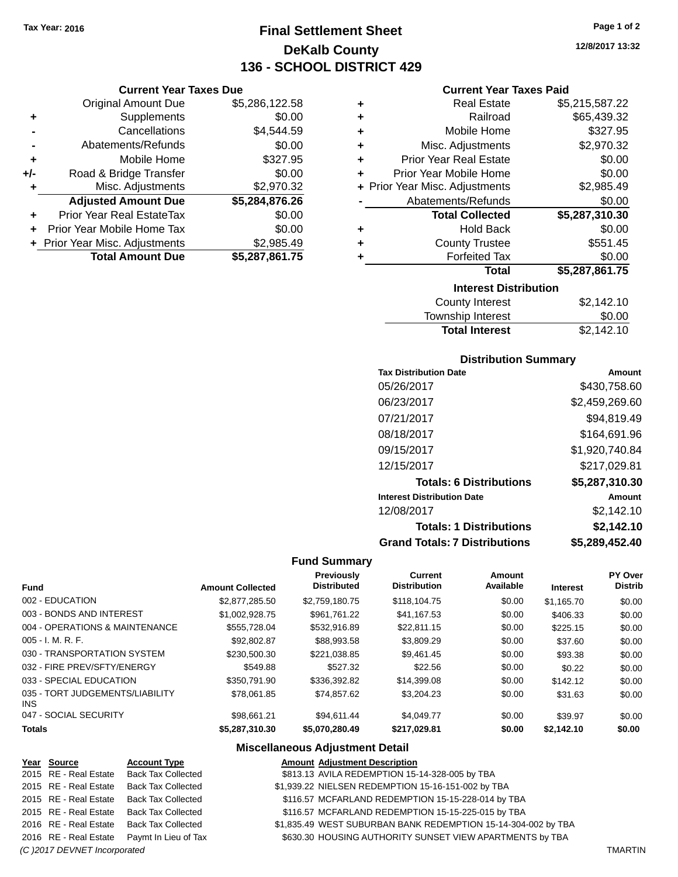**Current Year Taxes Due** Original Amount Due \$5,286,122.58

**Adjusted Amount Due \$5,284,876.26**

**Total Amount Due \$5,287,861.75**

**+** Supplements \$0.00 **-** Cancellations \$4,544.59 **-** Abatements/Refunds \$0.00 **+** Mobile Home \$327.95 **+/-** Road & Bridge Transfer \$0.00 **+** Misc. Adjustments \$2,970.32

**+** Prior Year Real EstateTax \$0.00 **+** Prior Year Mobile Home Tax \$0.00 **+** Prior Year Misc. Adjustments \$2,985.49

# **Final Settlement Sheet Tax Year: 2016 Page 1 of 2 DeKalb County 136 - SCHOOL DISTRICT 429**

**12/8/2017 13:32**

### **Current Year Taxes Paid**

| ٠ | <b>Real Estate</b>             | \$5,215,587.22     |
|---|--------------------------------|--------------------|
| ٠ | Railroad                       | \$65,439.32        |
| ÷ | Mobile Home                    | \$327.95           |
| ÷ | Misc. Adjustments              | \$2,970.32         |
| ÷ | <b>Prior Year Real Estate</b>  | \$0.00             |
| ÷ | Prior Year Mobile Home         | \$0.00             |
|   | + Prior Year Misc. Adjustments | \$2,985.49         |
|   | Abatements/Refunds             | \$0.00             |
|   | <b>Total Collected</b>         | \$5,287,310.30     |
| ٠ | <b>Hold Back</b>               | \$0.00             |
| ٠ | <b>County Trustee</b>          | \$551.45           |
| ٠ | <b>Forfeited Tax</b>           | \$0.00             |
|   | <b>Total</b>                   | \$5,287,861.75     |
|   | <b>Interest Distribution</b>   |                    |
|   | County Interest                | ፍ <i>ን 14</i> 21 በ |

| <b>Total Interest</b>  | \$2,142.10 |
|------------------------|------------|
| Township Interest      | \$0.00     |
| <b>County Interest</b> | \$2,142.10 |

## **Distribution Summary**

| <b>Tax Distribution Date</b>         | Amount         |
|--------------------------------------|----------------|
| 05/26/2017                           | \$430,758,60   |
| 06/23/2017                           | \$2,459,269.60 |
| 07/21/2017                           | \$94,819.49    |
| 08/18/2017                           | \$164,691.96   |
| 09/15/2017                           | \$1,920,740.84 |
| 12/15/2017                           | \$217,029.81   |
| <b>Totals: 6 Distributions</b>       | \$5,287,310.30 |
| <b>Interest Distribution Date</b>    | Amount         |
| 12/08/2017                           | \$2,142.10     |
| <b>Totals: 1 Distributions</b>       | \$2,142.10     |
| <b>Grand Totals: 7 Distributions</b> | \$5,289,452.40 |

### **Fund Summary**

| <b>Fund</b>                             | <b>Amount Collected</b> | Previously<br><b>Distributed</b> | Current<br><b>Distribution</b> | Amount<br>Available | <b>Interest</b> | PY Over<br><b>Distrib</b> |
|-----------------------------------------|-------------------------|----------------------------------|--------------------------------|---------------------|-----------------|---------------------------|
| 002 - EDUCATION                         | \$2,877,285.50          | \$2.759.180.75                   | \$118,104.75                   | \$0.00              | \$1.165.70      | \$0.00                    |
| 003 - BONDS AND INTEREST                | \$1.002.928.75          | \$961.761.22                     | \$41.167.53                    | \$0.00              | \$406.33        | \$0.00                    |
| 004 - OPERATIONS & MAINTENANCE          | \$555.728.04            | \$532,916.89                     | \$22.811.15                    | \$0.00              | \$225.15        | \$0.00                    |
| 005 - I. M. R. F.                       | \$92,802.87             | \$88,993.58                      | \$3,809.29                     | \$0.00              | \$37.60         | \$0.00                    |
| 030 - TRANSPORTATION SYSTEM             | \$230,500.30            | \$221.038.85                     | \$9.461.45                     | \$0.00              | \$93.38         | \$0.00                    |
| 032 - FIRE PREV/SFTY/ENERGY             | \$549.88                | \$527.32                         | \$22.56                        | \$0.00              | \$0.22          | \$0.00                    |
| 033 - SPECIAL EDUCATION                 | \$350,791.90            | \$336,392.82                     | \$14,399.08                    | \$0.00              | \$142.12        | \$0.00                    |
| 035 - TORT JUDGEMENTS/LIABILITY<br>INS. | \$78.061.85             | \$74.857.62                      | \$3,204.23                     | \$0.00              | \$31.63         | \$0.00                    |
| 047 - SOCIAL SECURITY                   | \$98.661.21             | \$94.611.44                      | \$4.049.77                     | \$0.00              | \$39.97         | \$0.00                    |
| Totals                                  | \$5,287,310.30          | \$5,070,280.49                   | \$217,029.81                   | \$0.00              | \$2,142.10      | \$0.00                    |

## **Miscellaneous Adjustment Detail**

| Year Source                  | <b>Account Type</b>                        | <b>Amount Adjustment Description</b>                          |                |
|------------------------------|--------------------------------------------|---------------------------------------------------------------|----------------|
| 2015 RE - Real Estate        | <b>Back Tax Collected</b>                  | \$813.13 AVILA REDEMPTION 15-14-328-005 by TBA                |                |
| 2015 RE - Real Estate        | <b>Back Tax Collected</b>                  | \$1,939.22 NIELSEN REDEMPTION 15-16-151-002 by TBA            |                |
| 2015 RE - Real Estate        | <b>Back Tax Collected</b>                  | \$116.57 MCFARLAND REDEMPTION 15-15-228-014 by TBA            |                |
| 2015 RE - Real Estate        | <b>Back Tax Collected</b>                  | \$116.57 MCFARLAND REDEMPTION 15-15-225-015 by TBA            |                |
| 2016 RE - Real Estate        | Back Tax Collected                         | \$1,835.49 WEST SUBURBAN BANK REDEMPTION 15-14-304-002 by TBA |                |
|                              | 2016 RE - Real Estate Paymt In Lieu of Tax | \$630.30 HOUSING AUTHORITY SUNSET VIEW APARTMENTS by TBA      |                |
| (C) 2017 DEVNET Incorporated |                                            |                                                               | <b>TMARTIN</b> |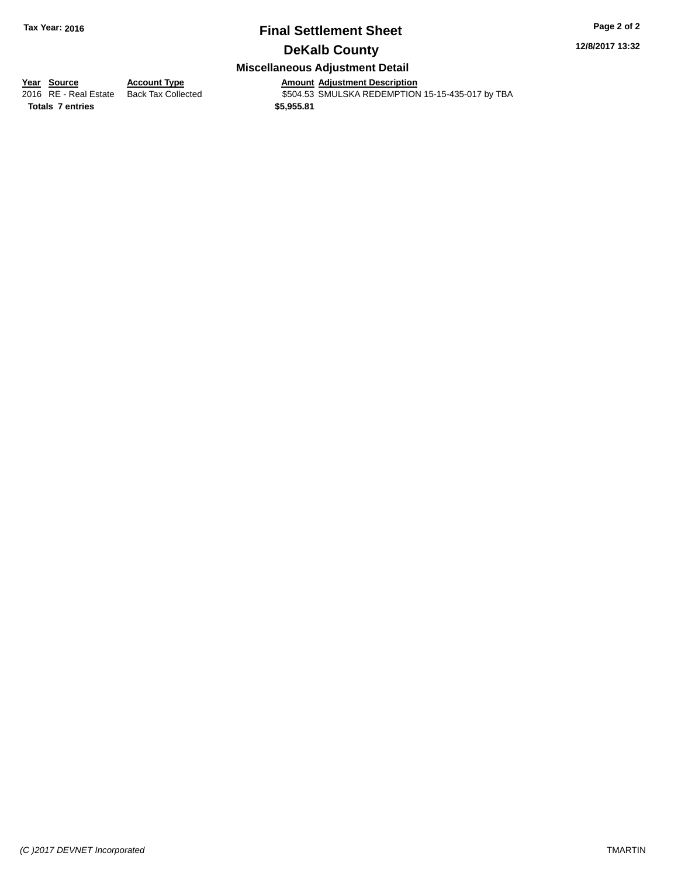# **Final Settlement Sheet Tax Year: 2016 Page 2 of 2**

**12/8/2017 13:32**

## **DeKalb County**

## **Miscellaneous Adjustment Detail**

**Totals 7 entries \$5,955.81**

**Year Source Account Type Amount Adjustment Description** \$504.53 SMULSKA REDEMPTION 15-15-435-017 by TBA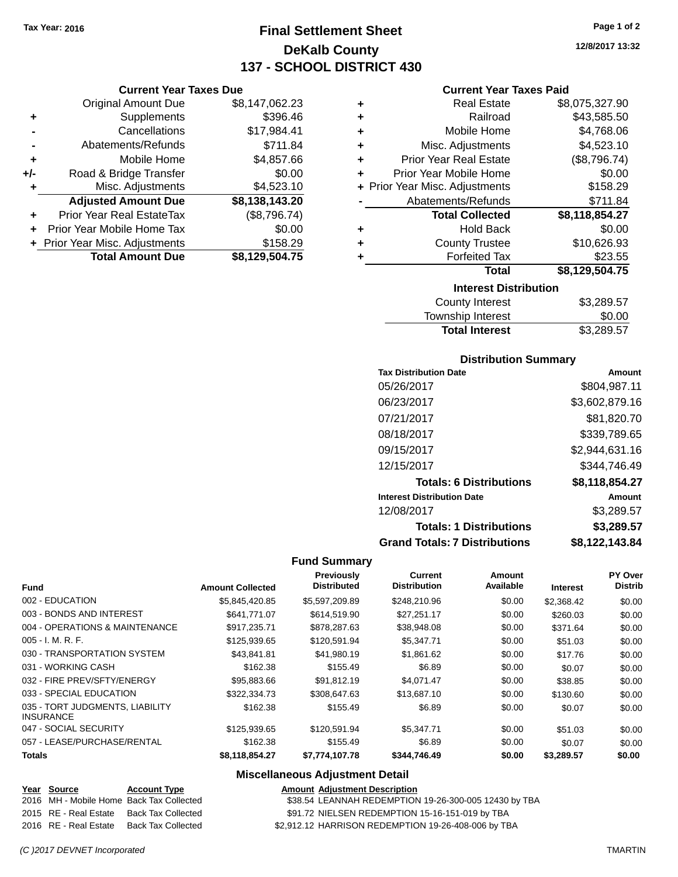**Current Year Taxes Due** Original Amount Due \$8,147,062.23

**Adjusted Amount Due \$8,138,143.20**

**Total Amount Due \$8,129,504.75**

**+** Supplements \$396.46 **-** Cancellations \$17,984.41 **-** Abatements/Refunds \$711.84 **+** Mobile Home \$4,857.66 **+/-** Road & Bridge Transfer \$0.00 **+** Misc. Adjustments \$4,523.10

**+** Prior Year Real EstateTax (\$8,796.74) **+** Prior Year Mobile Home Tax \$0.00 **+** Prior Year Misc. Adjustments \$158.29

# **Final Settlement Sheet Tax Year: 2016 Page 1 of 2 DeKalb County 137 - SCHOOL DISTRICT 430**

**Current Year Taxes Paid**

| \$8,075,327.90 |
|----------------|
| \$43,585.50    |
| \$4,768.06     |
| \$4,523.10     |
| (\$8,796.74)   |
| \$0.00         |
|                |
| \$158.29       |
| \$711.84       |
| \$8,118,854.27 |
| \$0.00         |
| \$10,626.93    |
| \$23.55        |
| \$8,129,504.75 |
|                |
|                |

| <b>Total Interest</b> | \$3,289.57 |
|-----------------------|------------|
| Township Interest     | \$0.00     |
| County Interest       | \$3,289.57 |

### **Distribution Summary**

| <b>Tax Distribution Date</b>         | Amount         |
|--------------------------------------|----------------|
| 05/26/2017                           | \$804,987.11   |
| 06/23/2017                           | \$3,602,879.16 |
| 07/21/2017                           | \$81,820.70    |
| 08/18/2017                           | \$339,789.65   |
| 09/15/2017                           | \$2,944,631.16 |
| 12/15/2017                           | \$344.746.49   |
| <b>Totals: 6 Distributions</b>       | \$8,118,854.27 |
| <b>Interest Distribution Date</b>    | Amount         |
| 12/08/2017                           | \$3,289.57     |
| <b>Totals: 1 Distributions</b>       | \$3,289.57     |
| <b>Grand Totals: 7 Distributions</b> | \$8.122.143.84 |

## **Fund Summary**

| <b>Fund</b>                                         | <b>Amount Collected</b> | Previously<br><b>Distributed</b> | Current<br><b>Distribution</b> | Amount<br>Available | <b>Interest</b> | PY Over<br><b>Distrib</b> |
|-----------------------------------------------------|-------------------------|----------------------------------|--------------------------------|---------------------|-----------------|---------------------------|
| 002 - EDUCATION                                     | \$5.845.420.85          | \$5,597,209.89                   | \$248,210.96                   | \$0.00              | \$2,368.42      | \$0.00                    |
| 003 - BONDS AND INTEREST                            | \$641.771.07            | \$614,519.90                     | \$27,251.17                    | \$0.00              | \$260.03        | \$0.00                    |
| 004 - OPERATIONS & MAINTENANCE                      | \$917.235.71            | \$878,287.63                     | \$38,948.08                    | \$0.00              | \$371.64        | \$0.00                    |
| $005 - I. M. R. F.$                                 | \$125,939.65            | \$120,591.94                     | \$5,347.71                     | \$0.00              | \$51.03         | \$0.00                    |
| 030 - TRANSPORTATION SYSTEM                         | \$43.841.81             | \$41.980.19                      | \$1.861.62                     | \$0.00              | \$17.76         | \$0.00                    |
| 031 - WORKING CASH                                  | \$162.38                | \$155.49                         | \$6.89                         | \$0.00              | \$0.07          | \$0.00                    |
| 032 - FIRE PREV/SFTY/ENERGY                         | \$95,883,66             | \$91.812.19                      | \$4.071.47                     | \$0.00              | \$38.85         | \$0.00                    |
| 033 - SPECIAL EDUCATION                             | \$322,334.73            | \$308,647.63                     | \$13,687.10                    | \$0.00              | \$130.60        | \$0.00                    |
| 035 - TORT JUDGMENTS, LIABILITY<br><b>INSURANCE</b> | \$162.38                | \$155.49                         | \$6.89                         | \$0.00              | \$0.07          | \$0.00                    |
| 047 - SOCIAL SECURITY                               | \$125,939.65            | \$120.591.94                     | \$5.347.71                     | \$0.00              | \$51.03         | \$0.00                    |
| 057 - LEASE/PURCHASE/RENTAL                         | \$162.38                | \$155.49                         | \$6.89                         | \$0.00              | \$0.07          | \$0.00                    |
| <b>Totals</b>                                       | \$8,118,854.27          | \$7,774,107.78                   | \$344,746.49                   | \$0.00              | \$3,289.57      | \$0.00                    |

### **Miscellaneous Adjustment Detail**

**Amount Adjustment Description** 

| Year Source                              | <b>Account Type</b>       |
|------------------------------------------|---------------------------|
| 2016 MH - Mobile Home Back Tax Collected |                           |
| 2015 RE - Real Estate                    | <b>Back Tax Collected</b> |
| 2016 RE - Real Estate                    | <b>Back Tax Collected</b> |

\$38.54 LEANNAH REDEMPTION 19-26-300-005 12430 by TBA

\$91.72 NIELSEN REDEMPTION 15-16-151-019 by TBA

\$2,912.12 HARRISON REDEMPTION 19-26-408-006 by TBA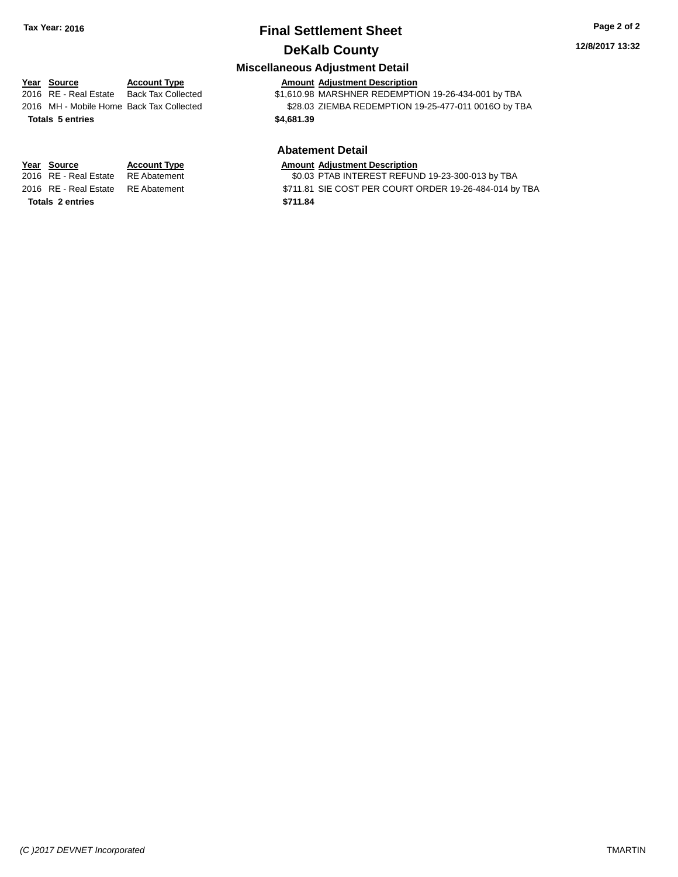# **Final Settlement Sheet Tax Year: 2016 Page 2 of 2 DeKalb County**

### **12/8/2017 13:32**

## **Miscellaneous Adjustment Detail**

### **Year Source Account Type Amount Adjustment Description**

2016 RE - Real Estate Back Tax Collected \$1,610.98 MARSHNER REDEMPTION 19-26-434-001 by TBA 2016 MH - Mobile Home Back Tax Collected \$28.03 ZIEMBA REDEMPTION 19-25-477-011 0016O by TBA **Totals 5 entries \$4,681.39**

## **Abatement Detail**

| Year Source                        | <b>Account Type</b> | <b>Amount Adiustment Description</b> |
|------------------------------------|---------------------|--------------------------------------|
| 2016 RE - Real Estate RE Abatement |                     | \$0.03 PTAB INTEREST REFUN           |

\$0.03 PTAB INTEREST REFUND 19-23-300-013 by TBA

2016 RE - Real Estate RE Abatement \$711.81 SIE COST PER COURT ORDER 19-26-484-014 by TBA

|  | 2016   MH - Mobile Home  Back Ta |  |  |
|--|----------------------------------|--|--|
|  | <b>Totals 5 entries</b>          |  |  |

**Totals 2 entries \$711.84**

*(C )2017 DEVNET Incorporated* TMARTIN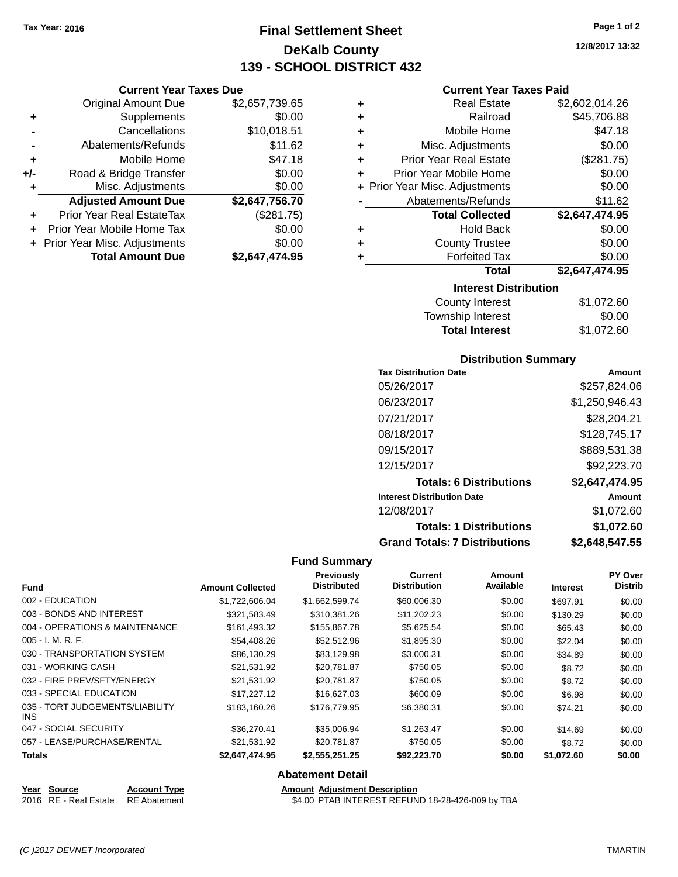**Current Year Taxes Due** Original Amount Due \$2,657,739.65

**Adjusted Amount Due \$2,647,756.70**

**Total Amount Due \$2,647,474.95**

**+** Supplements \$0.00 **-** Cancellations \$10,018.51 **-** Abatements/Refunds \$11.62 **+** Mobile Home \$47.18 **+/-** Road & Bridge Transfer \$0.00 **+** Misc. Adjustments \$0.00

**+** Prior Year Real EstateTax (\$281.75) **+** Prior Year Mobile Home Tax \$0.00 **+ Prior Year Misc. Adjustments**  $$0.00$ 

# **Final Settlement Sheet Tax Year: 2016 Page 1 of 2 DeKalb County 139 - SCHOOL DISTRICT 432**

**12/8/2017 13:32**

### **Current Year Taxes Paid**

| ٠ | <b>Real Estate</b>             | \$2,602,014.26 |  |  |  |
|---|--------------------------------|----------------|--|--|--|
| ٠ | Railroad                       | \$45,706.88    |  |  |  |
| ٠ | Mobile Home                    | \$47.18        |  |  |  |
| ٠ | Misc. Adjustments              | \$0.00         |  |  |  |
| ÷ | <b>Prior Year Real Estate</b>  | (\$281.75)     |  |  |  |
| ٠ | Prior Year Mobile Home         | \$0.00         |  |  |  |
|   | + Prior Year Misc. Adjustments | \$0.00         |  |  |  |
|   | Abatements/Refunds             | \$11.62        |  |  |  |
|   | <b>Total Collected</b>         | \$2,647,474.95 |  |  |  |
| ٠ | <b>Hold Back</b>               | \$0.00         |  |  |  |
| ٠ | <b>County Trustee</b>          | \$0.00         |  |  |  |
| ٠ | <b>Forfeited Tax</b>           | \$0.00         |  |  |  |
|   | <b>Total</b>                   | \$2,647,474.95 |  |  |  |
|   | <b>Interest Distribution</b>   |                |  |  |  |
|   | <b>County Interest</b>         | \$1,072.60     |  |  |  |

| <b>County Interest</b> | \$1,072.60 |
|------------------------|------------|
| Township Interest      | \$0.00     |
| <b>Total Interest</b>  | \$1,072.60 |

### **Distribution Summary**

| <b>Tax Distribution Date</b>         | Amount         |
|--------------------------------------|----------------|
| 05/26/2017                           | \$257,824.06   |
| 06/23/2017                           | \$1,250,946.43 |
| 07/21/2017                           | \$28,204.21    |
| 08/18/2017                           | \$128,745.17   |
| 09/15/2017                           | \$889,531.38   |
| 12/15/2017                           | \$92,223.70    |
| <b>Totals: 6 Distributions</b>       | \$2,647,474.95 |
| <b>Interest Distribution Date</b>    | Amount         |
| 12/08/2017                           | \$1.072.60     |
| <b>Totals: 1 Distributions</b>       | \$1,072.60     |
| <b>Grand Totals: 7 Distributions</b> | \$2,648,547.55 |

### **Fund Summary**

|                | <b>Distributed</b>      | <b>Distribution</b> | Available | <b>Interest</b> | <b>Distrib</b> |
|----------------|-------------------------|---------------------|-----------|-----------------|----------------|
| \$1,722,606.04 | \$1,662,599.74          | \$60,006.30         | \$0.00    | \$697.91        | \$0.00         |
| \$321,583.49   | \$310.381.26            | \$11,202.23         | \$0.00    | \$130.29        | \$0.00         |
| \$161,493.32   | \$155,867.78            | \$5,625.54          | \$0.00    | \$65.43         | \$0.00         |
| \$54,408.26    | \$52,512.96             | \$1,895.30          | \$0.00    | \$22.04         | \$0.00         |
| \$86,130.29    | \$83,129.98             | \$3,000.31          | \$0.00    | \$34.89         | \$0.00         |
| \$21,531.92    | \$20.781.87             | \$750.05            | \$0.00    | \$8.72          | \$0.00         |
| \$21,531.92    | \$20,781.87             | \$750.05            | \$0.00    | \$8.72          | \$0.00         |
| \$17.227.12    | \$16,627.03             | \$600.09            | \$0.00    | \$6.98          | \$0.00         |
| \$183,160.26   | \$176,779.95            | \$6,380.31          | \$0.00    | \$74.21         | \$0.00         |
| \$36,270.41    | \$35,006.94             | \$1,263.47          | \$0.00    | \$14.69         | \$0.00         |
| \$21,531.92    | \$20,781.87             | \$750.05            | \$0.00    | \$8.72          | \$0.00         |
| \$2,647,474.95 | \$2,555,251.25          | \$92,223.70         | \$0.00    | \$1,072.60      | \$0.00         |
|                | <b>Amount Collected</b> |                     |           |                 |                |

### **Abatement Detail**

### **Year Source Account Type Amount Adjustment Description** 2016 RE - Real Estate RE Abatement \$4.00 PTAB INTEREST REFUND 18-28-426-009 by TBA

*(C )2017 DEVNET Incorporated* TMARTIN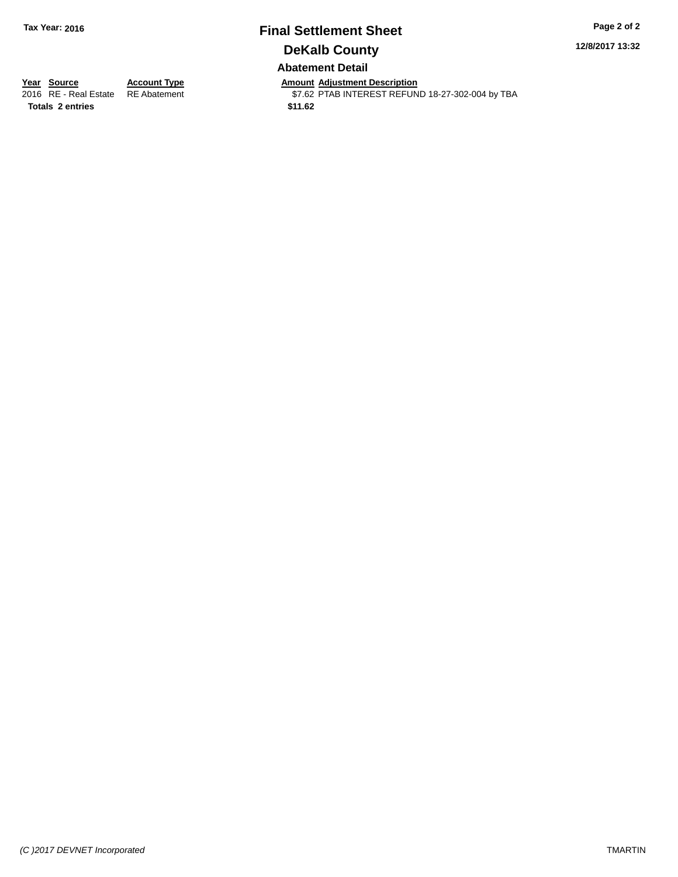# **Final Settlement Sheet Tax Year: 2016 Page 2 of 2 DeKalb County Abatement Detail**

**12/8/2017 13:32**

**Totals 2 entries \$11.62**

**Year Source Account Type Anneurs Amount Adjustment Description**<br>2016 RE - Real Estate RE Abatement **Account 1976 ACCOUNTEREST REFUN** \$7.62 PTAB INTEREST REFUND 18-27-302-004 by TBA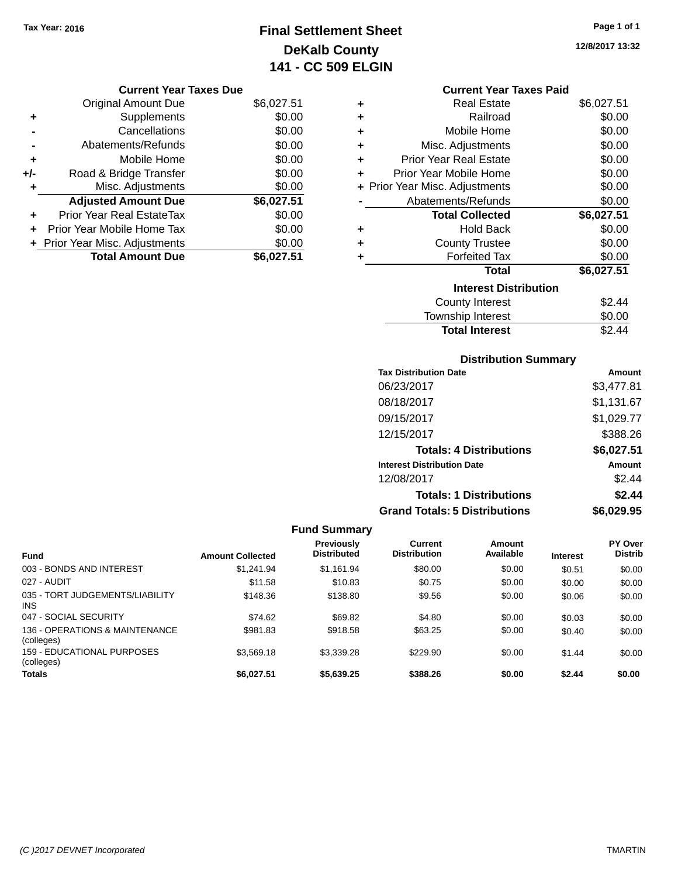# **Final Settlement Sheet Tax Year: 2016 Page 1 of 1 DeKalb County 141 - CC 509 ELGIN**

**12/8/2017 13:32**

| <b>Current Year Taxes Due</b> |  |  |
|-------------------------------|--|--|
|                               |  |  |

|       | <b>Original Amount Due</b>     | \$6,027.51 |
|-------|--------------------------------|------------|
| ٠     | Supplements                    | \$0.00     |
|       | Cancellations                  | \$0.00     |
|       | Abatements/Refunds             | \$0.00     |
| ÷     | Mobile Home                    | \$0.00     |
| $+/-$ | Road & Bridge Transfer         | \$0.00     |
| ٠     | Misc. Adjustments              | \$0.00     |
|       | <b>Adjusted Amount Due</b>     | \$6,027.51 |
|       | Prior Year Real EstateTax      | \$0.00     |
|       | Prior Year Mobile Home Tax     | \$0.00     |
|       | + Prior Year Misc. Adjustments | \$0.00     |
|       | <b>Total Amount Due</b>        | \$6.027.51 |

## **Current Year Taxes Paid**

| ٠ | Real Estate                    | \$6,027.51 |
|---|--------------------------------|------------|
| ÷ | Railroad                       | \$0.00     |
| ÷ | Mobile Home                    | \$0.00     |
| ٠ | Misc. Adjustments              | \$0.00     |
| ٠ | <b>Prior Year Real Estate</b>  | \$0.00     |
| ٠ | Prior Year Mobile Home         | \$0.00     |
|   | + Prior Year Misc. Adjustments | \$0.00     |
|   | Abatements/Refunds             | \$0.00     |
|   | <b>Total Collected</b>         | \$6,027.51 |
| ٠ | <b>Hold Back</b>               | \$0.00     |
| ÷ | <b>County Trustee</b>          | \$0.00     |
| ٠ | <b>Forfeited Tax</b>           | \$0.00     |
|   | <b>Total</b>                   | \$6,027.51 |
|   | <b>Interest Distribution</b>   |            |
|   | <b>County Interest</b>         | \$2.44     |
|   | <b>Township Interest</b>       | \$0.00     |
|   | <b>Total Interest</b>          | \$2.44     |

## **Distribution Summary**

| <b>Tax Distribution Date</b>         | Amount     |
|--------------------------------------|------------|
| 06/23/2017                           | \$3,477.81 |
| 08/18/2017                           | \$1,131.67 |
| 09/15/2017                           | \$1,029.77 |
| 12/15/2017                           | \$388.26   |
| <b>Totals: 4 Distributions</b>       | \$6,027.51 |
| <b>Interest Distribution Date</b>    | Amount     |
| 12/08/2017                           | \$2.44     |
| <b>Totals: 1 Distributions</b>       | \$2.44     |
| <b>Grand Totals: 5 Distributions</b> | \$6.029.95 |

## **Fund Summary**

| <b>Fund</b>                                  | <b>Amount Collected</b> | <b>Previously</b><br><b>Distributed</b> | Current<br><b>Distribution</b> | Amount<br>Available | <b>Interest</b> | <b>PY Over</b><br><b>Distrib</b> |
|----------------------------------------------|-------------------------|-----------------------------------------|--------------------------------|---------------------|-----------------|----------------------------------|
| 003 - BONDS AND INTEREST                     | \$1.241.94              | \$1,161.94                              | \$80.00                        | \$0.00              | \$0.51          | \$0.00                           |
| 027 - AUDIT                                  | \$11.58                 | \$10.83                                 | \$0.75                         | \$0.00              | \$0.00          | \$0.00                           |
| 035 - TORT JUDGEMENTS/LIABILITY<br>INS.      | \$148.36                | \$138.80                                | \$9.56                         | \$0.00              | \$0.06          | \$0.00                           |
| 047 - SOCIAL SECURITY                        | \$74.62                 | \$69.82                                 | \$4.80                         | \$0.00              | \$0.03          | \$0.00                           |
| 136 - OPERATIONS & MAINTENANCE<br>(colleges) | \$981.83                | \$918.58                                | \$63.25                        | \$0.00              | \$0.40          | \$0.00                           |
| 159 - EDUCATIONAL PURPOSES<br>(colleges)     | \$3,569.18              | \$3,339.28                              | \$229.90                       | \$0.00              | \$1.44          | \$0.00                           |
| <b>Totals</b>                                | \$6.027.51              | \$5,639.25                              | \$388.26                       | \$0.00              | \$2.44          | \$0.00                           |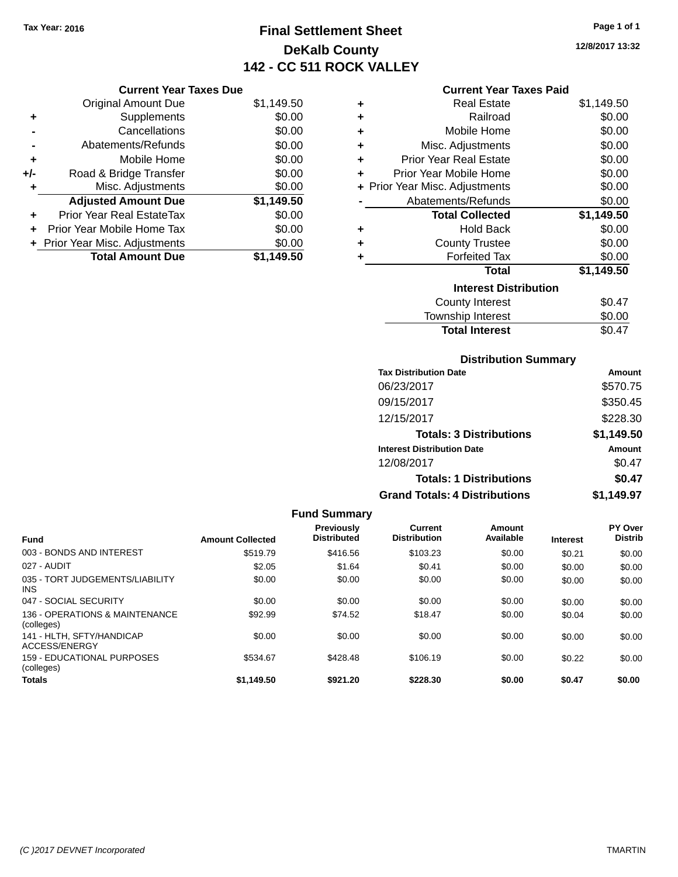# **Final Settlement Sheet Tax Year: 2016 Page 1 of 1 DeKalb County 142 - CC 511 ROCK VALLEY**

**12/8/2017 13:32**

## **Current Year Taxes Paid**

|     | <b>Current Year Taxes Due</b>  |            |
|-----|--------------------------------|------------|
|     | <b>Original Amount Due</b>     | \$1,149.50 |
| ٠   | Supplements                    | \$0.00     |
|     | Cancellations                  | \$0.00     |
|     | Abatements/Refunds             | \$0.00     |
| ٠   | Mobile Home                    | \$0.00     |
| +/- | Road & Bridge Transfer         | \$0.00     |
| ٠   | Misc. Adjustments              | \$0.00     |
|     | <b>Adjusted Amount Due</b>     | \$1,149.50 |
|     | Prior Year Real EstateTax      | \$0.00     |
|     | Prior Year Mobile Home Tax     | \$0.00     |
|     | + Prior Year Misc. Adjustments | \$0.00     |
|     | <b>Total Amount Due</b>        | \$1.149.50 |

| ٠ | Real Estate                    | \$1,149.50 |
|---|--------------------------------|------------|
| ÷ | Railroad                       | \$0.00     |
| ÷ | Mobile Home                    | \$0.00     |
| ٠ | Misc. Adjustments              | \$0.00     |
| ÷ | <b>Prior Year Real Estate</b>  | \$0.00     |
| ٠ | Prior Year Mobile Home         | \$0.00     |
|   | + Prior Year Misc. Adjustments | \$0.00     |
|   | Abatements/Refunds             | \$0.00     |
|   | <b>Total Collected</b>         | \$1,149.50 |
| ٠ | <b>Hold Back</b>               | \$0.00     |
| ٠ | <b>County Trustee</b>          | \$0.00     |
| ٠ | <b>Forfeited Tax</b>           | \$0.00     |
|   | <b>Total</b>                   | \$1,149.50 |
|   | <b>Interest Distribution</b>   |            |
|   | County Interest                | \$0.47     |
|   | <b>Township Interest</b>       | \$0.00     |
|   | <b>Total Interest</b>          | \$0.47     |

## **Distribution Summary**

| <b>Tax Distribution Date</b>         | Amount     |
|--------------------------------------|------------|
| 06/23/2017                           | \$570.75   |
| 09/15/2017                           | \$350.45   |
| 12/15/2017                           | \$228.30   |
| <b>Totals: 3 Distributions</b>       | \$1,149.50 |
| <b>Interest Distribution Date</b>    | Amount     |
| 12/08/2017                           | \$0.47     |
| <b>Totals: 1 Distributions</b>       | \$0.47     |
| <b>Grand Totals: 4 Distributions</b> | \$1,149.97 |

|                                               |                         | <b>Fund Summary</b>              |                                |                     |                 |                           |
|-----------------------------------------------|-------------------------|----------------------------------|--------------------------------|---------------------|-----------------|---------------------------|
| <b>Fund</b>                                   | <b>Amount Collected</b> | Previously<br><b>Distributed</b> | Current<br><b>Distribution</b> | Amount<br>Available | <b>Interest</b> | PY Over<br><b>Distrib</b> |
| 003 - BONDS AND INTEREST                      | \$519.79                | \$416.56                         | \$103.23                       | \$0.00              | \$0.21          | \$0.00                    |
| 027 - AUDIT                                   | \$2.05                  | \$1.64                           | \$0.41                         | \$0.00              | \$0.00          | \$0.00                    |
| 035 - TORT JUDGEMENTS/LIABILITY<br><b>INS</b> | \$0.00                  | \$0.00                           | \$0.00                         | \$0.00              | \$0.00          | \$0.00                    |
| 047 - SOCIAL SECURITY                         | \$0.00                  | \$0.00                           | \$0.00                         | \$0.00              | \$0.00          | \$0.00                    |
| 136 - OPERATIONS & MAINTENANCE<br>(colleges)  | \$92.99                 | \$74.52                          | \$18.47                        | \$0.00              | \$0.04          | \$0.00                    |
| 141 - HLTH, SFTY/HANDICAP<br>ACCESS/ENERGY    | \$0.00                  | \$0.00                           | \$0.00                         | \$0.00              | \$0.00          | \$0.00                    |
| 159 - EDUCATIONAL PURPOSES<br>(colleges)      | \$534.67                | \$428.48                         | \$106.19                       | \$0.00              | \$0.22          | \$0.00                    |
| <b>Totals</b>                                 | \$1.149.50              | \$921.20                         | \$228.30                       | \$0.00              | \$0.47          | \$0.00                    |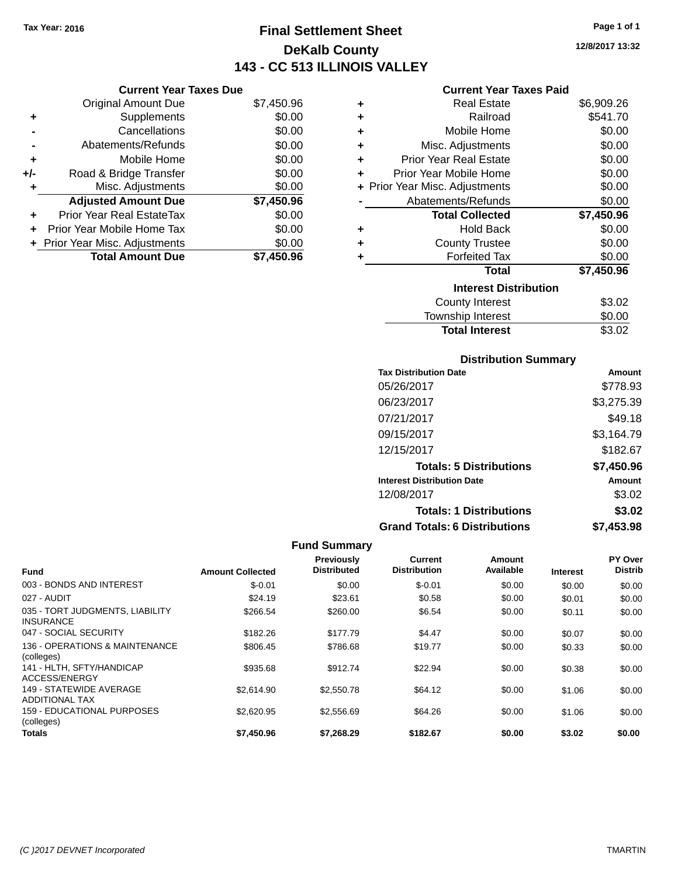**Current Year Taxes Due**

**Original Amount Due** 

**Adjusted Amount Due** 

**Total Amount Due** 

**+** Supplements **-** Cancellations **-** Abatements/Refunds **+** Mobile Home **+/-** Road & Bridge Transfer **+** Misc. Adjustments

**+** Prior Year Real EstateTax \$0.00 **+** Prior Year Mobile Home Tax **+** Prior Year Misc. Adjustments

# **Final Settlement Sheet Tax Year: 2016 Page 1 of 1 DeKalb County 143 - CC 513 ILLINOIS VALLEY**

**12/8/2017 13:32**

## **Current Year Taxes Paid**

| \$7,450.96 | ٠ | <b>Real Estate</b>             | \$6,909.26 |
|------------|---|--------------------------------|------------|
| \$0.00     | ٠ | Railroad                       | \$541.70   |
| \$0.00     | ٠ | Mobile Home                    | \$0.00     |
| \$0.00     | ٠ | Misc. Adjustments              | \$0.00     |
| \$0.00     | ٠ | <b>Prior Year Real Estate</b>  | \$0.00     |
| \$0.00     | ٠ | Prior Year Mobile Home         | \$0.00     |
| \$0.00     |   | + Prior Year Misc. Adjustments | \$0.00     |
| \$7,450.96 |   | Abatements/Refunds             | \$0.00     |
| \$0.00     |   | <b>Total Collected</b>         | \$7,450.96 |
| \$0.00     | ٠ | <b>Hold Back</b>               | \$0.00     |
| \$0.00     | ٠ | <b>County Trustee</b>          | \$0.00     |
| \$7,450.96 |   | <b>Forfeited Tax</b>           | \$0.00     |
|            |   | <b>Total</b>                   | \$7,450.96 |
|            |   | <b>Interest Distribution</b>   |            |
|            |   | <b>County Interest</b>         | \$3.02     |

| Interest Distribution  |        |  |  |
|------------------------|--------|--|--|
| <b>County Interest</b> | \$3.02 |  |  |
| Township Interest      | \$0.00 |  |  |
| <b>Total Interest</b>  | \$3.02 |  |  |
|                        |        |  |  |

## **Distribution Summary**

| <b>Tax Distribution Date</b>         | Amount     |
|--------------------------------------|------------|
| 05/26/2017                           | \$778.93   |
| 06/23/2017                           | \$3,275.39 |
| 07/21/2017                           | \$49.18    |
| 09/15/2017                           | \$3,164.79 |
| 12/15/2017                           | \$182.67   |
| <b>Totals: 5 Distributions</b>       | \$7,450.96 |
| <b>Interest Distribution Date</b>    | Amount     |
| 12/08/2017                           | \$3.02     |
| <b>Totals: 1 Distributions</b>       | \$3.02     |
| <b>Grand Totals: 6 Distributions</b> | \$7,453.98 |

### **Fund Summary**

| <b>Fund</b>                                         | <b>Amount Collected</b> | Previously<br><b>Distributed</b> | <b>Current</b><br><b>Distribution</b> | Amount<br>Available | <b>Interest</b> | PY Over<br><b>Distrib</b> |
|-----------------------------------------------------|-------------------------|----------------------------------|---------------------------------------|---------------------|-----------------|---------------------------|
| 003 - BONDS AND INTEREST                            | $$-0.01$                | \$0.00                           | $$-0.01$                              | \$0.00              | \$0.00          | \$0.00                    |
| 027 - AUDIT                                         | \$24.19                 | \$23.61                          | \$0.58                                | \$0.00              | \$0.01          | \$0.00                    |
| 035 - TORT JUDGMENTS, LIABILITY<br><b>INSURANCE</b> | \$266.54                | \$260.00                         | \$6.54                                | \$0.00              | \$0.11          | \$0.00                    |
| 047 - SOCIAL SECURITY                               | \$182.26                | \$177.79                         | \$4.47                                | \$0.00              | \$0.07          | \$0.00                    |
| 136 - OPERATIONS & MAINTENANCE<br>(colleges)        | \$806.45                | \$786.68                         | \$19.77                               | \$0.00              | \$0.33          | \$0.00                    |
| 141 - HLTH, SFTY/HANDICAP<br>ACCESS/ENERGY          | \$935.68                | \$912.74                         | \$22.94                               | \$0.00              | \$0.38          | \$0.00                    |
| 149 - STATEWIDE AVERAGE<br>ADDITIONAL TAX           | \$2.614.90              | \$2,550.78                       | \$64.12                               | \$0.00              | \$1.06          | \$0.00                    |
| <b>159 - EDUCATIONAL PURPOSES</b><br>(colleges)     | \$2,620.95              | \$2,556.69                       | \$64.26                               | \$0.00              | \$1.06          | \$0.00                    |
| <b>Totals</b>                                       | \$7,450.96              | \$7,268,29                       | \$182.67                              | \$0.00              | \$3.02          | \$0.00                    |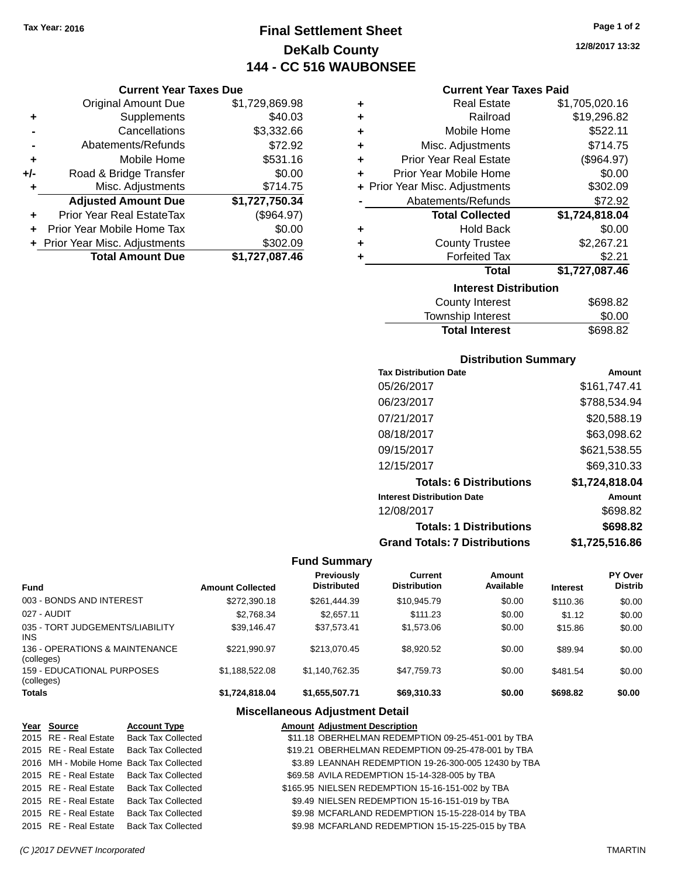# **Final Settlement Sheet Tax Year: 2016 Page 1 of 2 DeKalb County 144 - CC 516 WAUBONSEE**

**12/8/2017 13:32**

|       | <b>Current Year Taxes Due</b>    |                |  |  |  |
|-------|----------------------------------|----------------|--|--|--|
|       | <b>Original Amount Due</b>       | \$1,729,869.98 |  |  |  |
|       | Supplements                      | \$40.03        |  |  |  |
|       | Cancellations                    | \$3,332.66     |  |  |  |
|       | Abatements/Refunds               | \$72.92        |  |  |  |
| ٠     | Mobile Home                      | \$531.16       |  |  |  |
| $+/-$ | Road & Bridge Transfer           | \$0.00         |  |  |  |
|       | Misc. Adjustments                | \$714.75       |  |  |  |
|       | <b>Adjusted Amount Due</b>       | \$1,727,750.34 |  |  |  |
| ÷     | <b>Prior Year Real EstateTax</b> | (\$964.97)     |  |  |  |
| ÷     | Prior Year Mobile Home Tax       | \$0.00         |  |  |  |
|       | + Prior Year Misc. Adjustments   | \$302.09       |  |  |  |
|       | <b>Total Amount Due</b>          | \$1.727.087.46 |  |  |  |

|   | <b>Current Year Taxes Paid</b> |                |
|---|--------------------------------|----------------|
| ٠ | <b>Real Estate</b>             | \$1,705,020.16 |
| ÷ | Railroad                       | \$19,296.82    |
| ٠ | Mobile Home                    | \$522.11       |
| ٠ | Misc. Adjustments              | \$714.75       |
| ÷ | <b>Prior Year Real Estate</b>  | (\$964.97)     |
| ٠ | Prior Year Mobile Home         | \$0.00         |
|   | + Prior Year Misc. Adjustments | \$302.09       |
|   | Abatements/Refunds             | \$72.92        |
|   | <b>Total Collected</b>         | \$1,724,818.04 |
| ٠ | <b>Hold Back</b>               | \$0.00         |
| ٠ | <b>County Trustee</b>          | \$2,267.21     |
| ٠ | <b>Forfeited Tax</b>           | \$2.21         |
|   | <b>Total</b>                   | \$1,727,087.46 |
|   | <b>Interest Distribution</b>   |                |
|   | <b>County Interest</b>         | \$698.82       |
|   |                                | $\cdots$       |

| <b>Total Interest</b>  | \$698.82 |
|------------------------|----------|
| Township Interest      | \$0.00   |
| <b>County Interest</b> | \$698.82 |

## **Distribution Summary**

| <b>Tax Distribution Date</b>         | Amount         |
|--------------------------------------|----------------|
| 05/26/2017                           | \$161,747.41   |
| 06/23/2017                           | \$788,534.94   |
| 07/21/2017                           | \$20,588.19    |
| 08/18/2017                           | \$63,098.62    |
| 09/15/2017                           | \$621,538.55   |
| 12/15/2017                           | \$69.310.33    |
| <b>Totals: 6 Distributions</b>       | \$1,724,818.04 |
| <b>Interest Distribution Date</b>    | Amount         |
| 12/08/2017                           | \$698.82       |
| <b>Totals: 1 Distributions</b>       | \$698.82       |
| <b>Grand Totals: 7 Distributions</b> | \$1,725,516.86 |

## **Fund Summary**

| <b>Fund</b>                                   | <b>Amount Collected</b> | Previously<br><b>Distributed</b> | Current<br><b>Distribution</b> | Amount<br>Available | <b>Interest</b> | <b>PY Over</b><br><b>Distrib</b> |
|-----------------------------------------------|-------------------------|----------------------------------|--------------------------------|---------------------|-----------------|----------------------------------|
| 003 - BONDS AND INTEREST                      | \$272,390.18            | \$261,444.39                     | \$10,945.79                    | \$0.00              | \$110.36        | \$0.00                           |
| 027 - AUDIT                                   | \$2,768.34              | \$2,657.11                       | \$111.23                       | \$0.00              | \$1.12          | \$0.00                           |
| 035 - TORT JUDGEMENTS/LIABILITY<br><b>INS</b> | \$39.146.47             | \$37.573.41                      | \$1.573.06                     | \$0.00              | \$15.86         | \$0.00                           |
| 136 - OPERATIONS & MAINTENANCE<br>(colleges)  | \$221,990.97            | \$213.070.45                     | \$8.920.52                     | \$0.00              | \$89.94         | \$0.00                           |
| 159 - EDUCATIONAL PURPOSES<br>(colleges)      | \$1,188,522.08          | \$1.140.762.35                   | \$47,759.73                    | \$0.00              | \$481.54        | \$0.00                           |
| <b>Totals</b>                                 | \$1,724,818.04          | \$1,655,507.71                   | \$69,310.33                    | \$0.00              | \$698.82        | \$0.00                           |

## **Miscellaneous Adjustment Detail**

| Year Source           | <b>Account Type</b>                      | <b>Amount Adjustment Description</b>                 |
|-----------------------|------------------------------------------|------------------------------------------------------|
|                       | 2015 RE - Real Estate Back Tax Collected | \$11.18 OBERHELMAN REDEMPTION 09-25-451-001 by TBA   |
|                       | 2015 RE - Real Estate Back Tax Collected | \$19.21 OBERHELMAN REDEMPTION 09-25-478-001 by TBA   |
|                       | 2016 MH - Mobile Home Back Tax Collected | \$3.89 LEANNAH REDEMPTION 19-26-300-005 12430 by TBA |
|                       | 2015 RE - Real Estate Back Tax Collected | \$69.58 AVILA REDEMPTION 15-14-328-005 by TBA        |
|                       | 2015 RE - Real Estate Back Tax Collected | \$165.95 NIELSEN REDEMPTION 15-16-151-002 by TBA     |
| 2015 RE - Real Estate | <b>Back Tax Collected</b>                | \$9.49 NIELSEN REDEMPTION 15-16-151-019 by TBA       |
| 2015 RE - Real Estate | <b>Back Tax Collected</b>                | \$9.98 MCFARLAND REDEMPTION 15-15-228-014 by TBA     |
| 2015 RE - Real Estate | <b>Back Tax Collected</b>                | \$9.98 MCFARLAND REDEMPTION 15-15-225-015 by TBA     |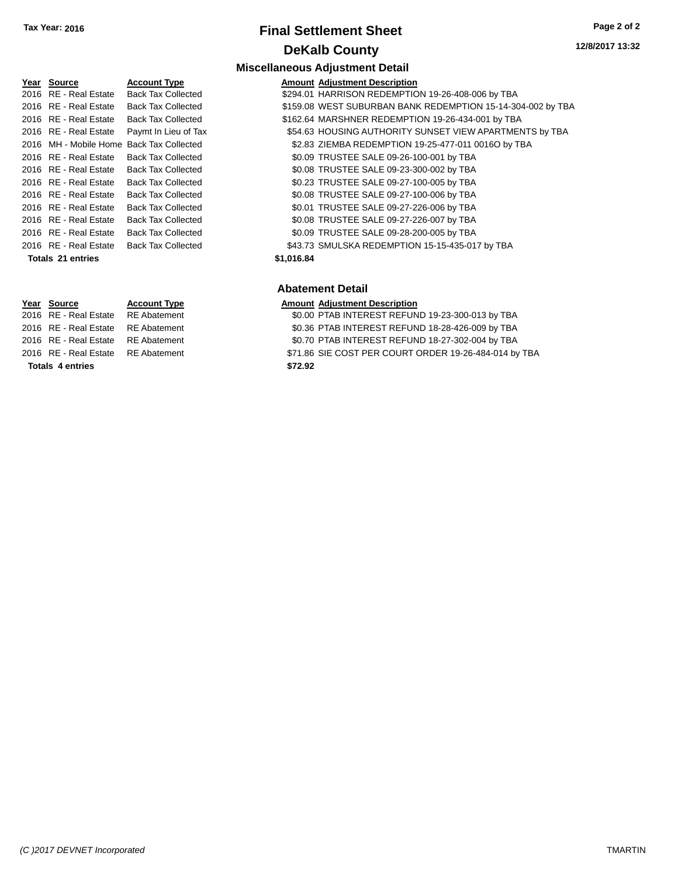# **Final Settlement Sheet Tax Year: 2016 Page 2 of 2 DeKalb County**

**Miscellaneous Adjustment Detail**

### **12/8/2017 13:32**

| Year Source           | <b>Account Type</b>                      |            | <b>Amount Adjustment Description</b> |
|-----------------------|------------------------------------------|------------|--------------------------------------|
| 2016 RE - Real Estate | <b>Back Tax Collected</b>                |            | \$294.01 HARRISON REDEMPTIC          |
| 2016 RE - Real Estate | <b>Back Tax Collected</b>                |            | \$159.08 WEST SUBURBAN BANI          |
| 2016 RE - Real Estate | <b>Back Tax Collected</b>                |            | \$162.64 MARSHNER REDEMPTI           |
| 2016 RE - Real Estate | Paymt In Lieu of Tax                     |            | \$54.63 HOUSING AUTHORITY \$         |
|                       | 2016 MH - Mobile Home Back Tax Collected |            | \$2.83 ZIEMBA REDEMPTION 1           |
| 2016 RE - Real Estate | <b>Back Tax Collected</b>                |            | \$0.09 TRUSTEE SALE 09-26-1          |
| 2016 RE - Real Estate | <b>Back Tax Collected</b>                |            | \$0.08 TRUSTEE SALE 09-23-3          |
| 2016 RE - Real Estate | <b>Back Tax Collected</b>                |            | \$0.23 TRUSTEE SALE 09-27-1          |
| 2016 RE - Real Estate | <b>Back Tax Collected</b>                |            | \$0.08 TRUSTEE SALE 09-27-1          |
| 2016 RE - Real Estate | <b>Back Tax Collected</b>                |            | \$0.01 TRUSTEE SALE 09-27-2          |
| 2016 RE - Real Estate | <b>Back Tax Collected</b>                |            | \$0.08 TRUSTEE SALE 09-27-2          |
| 2016 RE - Real Estate | <b>Back Tax Collected</b>                |            | \$0.09 TRUSTEE SALE 09-28-2          |
| 2016 RE - Real Estate | <b>Back Tax Collected</b>                |            | \$43.73 SMULSKA REDEMPTION           |
| Totals 21 entries     |                                          | \$1.016.84 |                                      |

**Totals 4 entries \$72.92**

| Year Source              | <b>Account Type</b>                      |            | <b>Amount Adjustment Description</b>                        |
|--------------------------|------------------------------------------|------------|-------------------------------------------------------------|
| 2016 RE - Real Estate    | <b>Back Tax Collected</b>                |            | \$294.01 HARRISON REDEMPTION 19-26-408-006 by TBA           |
| 2016 RE - Real Estate    | <b>Back Tax Collected</b>                |            | \$159.08 WEST SUBURBAN BANK REDEMPTION 15-14-304-002 by TBA |
| 2016 RE - Real Estate    | <b>Back Tax Collected</b>                |            | \$162.64 MARSHNER REDEMPTION 19-26-434-001 by TBA           |
| 2016 RE - Real Estate    | Paymt In Lieu of Tax                     |            | \$54.63 HOUSING AUTHORITY SUNSET VIEW APARTMENTS by TBA     |
|                          | 2016 MH - Mobile Home Back Tax Collected |            | \$2.83 ZIEMBA REDEMPTION 19-25-477-011 0016O by TBA         |
| 2016 RE - Real Estate    | <b>Back Tax Collected</b>                |            | \$0.09 TRUSTEE SALE 09-26-100-001 by TBA                    |
| 2016 RE - Real Estate    | <b>Back Tax Collected</b>                |            | \$0.08 TRUSTEE SALE 09-23-300-002 by TBA                    |
| 2016 RE - Real Estate    | <b>Back Tax Collected</b>                |            | \$0.23 TRUSTEE SALE 09-27-100-005 by TBA                    |
| 2016 RE - Real Estate    | <b>Back Tax Collected</b>                |            | \$0.08 TRUSTEE SALE 09-27-100-006 by TBA                    |
| 2016 RE - Real Estate    | <b>Back Tax Collected</b>                |            | \$0.01 TRUSTEE SALE 09-27-226-006 by TBA                    |
| 2016 RE - Real Estate    | <b>Back Tax Collected</b>                |            | \$0.08 TRUSTEE SALE 09-27-226-007 by TBA                    |
| 2016 RE - Real Estate    | <b>Back Tax Collected</b>                |            | \$0.09 TRUSTEE SALE 09-28-200-005 by TBA                    |
| 2016 RE - Real Estate    | <b>Back Tax Collected</b>                |            | \$43.73 SMULSKA REDEMPTION 15-15-435-017 by TBA             |
| <b>Totals 21 entries</b> |                                          | \$1,016.84 |                                                             |

## **Abatement Detail**

# **Year Source Account Type Amount Adjustment Description**

RE Abatement  $$0.00$  PTAB INTEREST REFUND 19-23-300-013 by TBA

- 2016 RE Real Estate RE Abatement \$0.36 PTAB INTEREST REFUND 18-28-426-009 by TBA
- 2016 RE Real Estate RE Abatement \$0.70 PTAB INTEREST REFUND 18-27-302-004 by TBA
- 2016 RE Real Estate RE Abatement \$71.86 SIE COST PER COURT ORDER 19-26-484-014 by TBA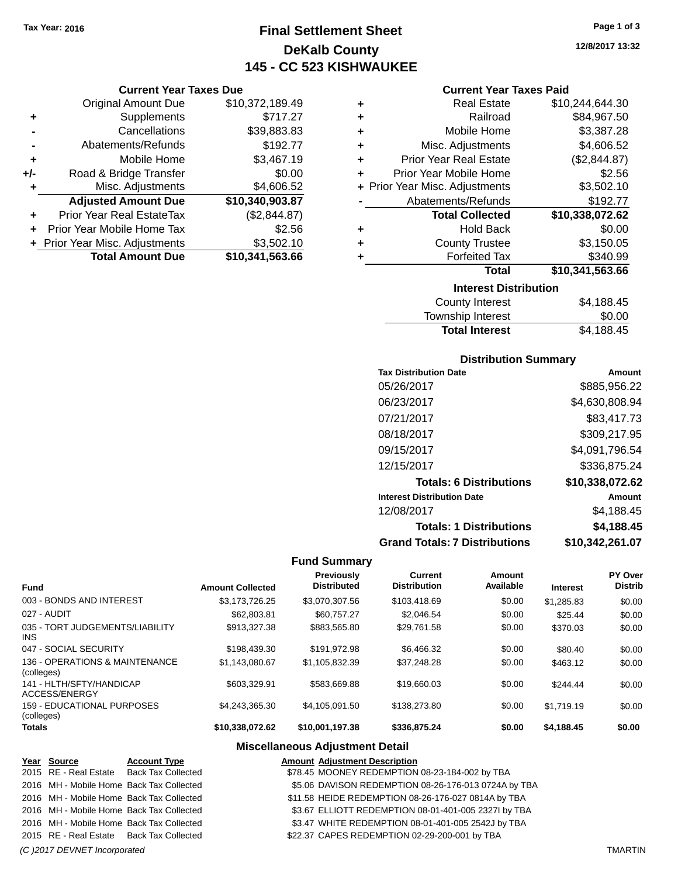# **Final Settlement Sheet Tax Year: 2016 Page 1 of 3 DeKalb County 145 - CC 523 KISHWAUKEE**

**12/8/2017 13:32**

|     | <b>Current Year Taxes Due</b>  |                 |
|-----|--------------------------------|-----------------|
|     | <b>Original Amount Due</b>     | \$10,372,189.49 |
| ٠   | Supplements                    | \$717.27        |
|     | Cancellations                  | \$39,883.83     |
|     | Abatements/Refunds             | \$192.77        |
| ٠   | Mobile Home                    | \$3,467.19      |
| +/- | Road & Bridge Transfer         | \$0.00          |
| ٠   | Misc. Adjustments              | \$4,606.52      |
|     | <b>Adjusted Amount Due</b>     | \$10,340,903.87 |
| ÷   | Prior Year Real EstateTax      | (\$2,844.87)    |
| ÷   | Prior Year Mobile Home Tax     | \$2.56          |
|     | + Prior Year Misc. Adjustments | \$3,502.10      |
|     | <b>Total Amount Due</b>        | \$10,341,563.66 |

| <b>Current Year Taxes Paid</b> |  |  |
|--------------------------------|--|--|
|--------------------------------|--|--|

|   | <b>Interest Distribution</b>   |                 |  |  |
|---|--------------------------------|-----------------|--|--|
|   | <b>Total</b>                   | \$10,341,563.66 |  |  |
|   | <b>Forfeited Tax</b>           | \$340.99        |  |  |
| ٠ | <b>County Trustee</b>          | \$3,150.05      |  |  |
| ٠ | <b>Hold Back</b>               | \$0.00          |  |  |
|   | <b>Total Collected</b>         | \$10,338,072.62 |  |  |
|   | Abatements/Refunds             | \$192.77        |  |  |
|   | + Prior Year Misc. Adjustments | \$3,502.10      |  |  |
| ٠ | Prior Year Mobile Home         | \$2.56          |  |  |
| ٠ | <b>Prior Year Real Estate</b>  | (\$2,844.87)    |  |  |
| ٠ | Misc. Adjustments              | \$4,606.52      |  |  |
| ٠ | Mobile Home                    | \$3,387.28      |  |  |
| ٠ | Railroad                       | \$84,967.50     |  |  |
|   | <b>Real Estate</b>             | \$10,244,644.30 |  |  |

| County Interest       | \$4,188.45 |
|-----------------------|------------|
|                       |            |
| Township Interest     | \$0.00     |
| <b>Total Interest</b> | \$4,188.45 |

## **Distribution Summary**

| <b>Tax Distribution Date</b>         | Amount          |
|--------------------------------------|-----------------|
| 05/26/2017                           | \$885.956.22    |
| 06/23/2017                           | \$4,630,808.94  |
| 07/21/2017                           | \$83,417.73     |
| 08/18/2017                           | \$309,217.95    |
| 09/15/2017                           | \$4,091,796.54  |
| 12/15/2017                           | \$336,875.24    |
| <b>Totals: 6 Distributions</b>       | \$10,338,072.62 |
| <b>Interest Distribution Date</b>    | Amount          |
| 12/08/2017                           | \$4.188.45      |
| <b>Totals: 1 Distributions</b>       | \$4,188.45      |
| <b>Grand Totals: 7 Distributions</b> | \$10,342,261.07 |

## **Fund Summary**

| <b>Fund</b>                                   | <b>Amount Collected</b> | <b>Previously</b><br><b>Distributed</b> | Current<br><b>Distribution</b> | Amount<br>Available | <b>Interest</b> | PY Over<br><b>Distrib</b> |
|-----------------------------------------------|-------------------------|-----------------------------------------|--------------------------------|---------------------|-----------------|---------------------------|
| 003 - BONDS AND INTEREST                      | \$3.173.726.25          | \$3,070,307.56                          | \$103.418.69                   | \$0.00              | \$1,285.83      | \$0.00                    |
| 027 - AUDIT                                   | \$62,803.81             | \$60.757.27                             | \$2.046.54                     | \$0.00              | \$25.44         | \$0.00                    |
| 035 - TORT JUDGEMENTS/LIABILITY<br><b>INS</b> | \$913,327,38            | \$883.565.80                            | \$29,761.58                    | \$0.00              | \$370.03        | \$0.00                    |
| 047 - SOCIAL SECURITY                         | \$198,439.30            | \$191.972.98                            | \$6,466,32                     | \$0.00              | \$80.40         | \$0.00                    |
| 136 - OPERATIONS & MAINTENANCE<br>(colleges)  | \$1.143.080.67          | \$1,105,832.39                          | \$37,248.28                    | \$0.00              | \$463.12        | \$0.00                    |
| 141 - HLTH/SFTY/HANDICAP<br>ACCESS/ENERGY     | \$603,329.91            | \$583.669.88                            | \$19,660.03                    | \$0.00              | \$244.44        | \$0.00                    |
| 159 - EDUCATIONAL PURPOSES<br>(colleges)      | \$4.243.365.30          | \$4.105.091.50                          | \$138,273.80                   | \$0.00              | \$1.719.19      | \$0.00                    |
| <b>Totals</b>                                 | \$10,338,072.62         | \$10,001,197.38                         | \$336,875.24                   | \$0.00              | \$4,188.45      | \$0.00                    |

## **Miscellaneous Adjustment Detail**

| Year Source                  | <b>Account Type</b>                      | <b>Amount Adjustment Description</b>                 |                |
|------------------------------|------------------------------------------|------------------------------------------------------|----------------|
|                              | 2015 RE - Real Estate Back Tax Collected | \$78.45 MOONEY REDEMPTION 08-23-184-002 by TBA       |                |
|                              | 2016 MH - Mobile Home Back Tax Collected | \$5.06 DAVISON REDEMPTION 08-26-176-013 0724A by TBA |                |
|                              | 2016 MH - Mobile Home Back Tax Collected | \$11.58 HEIDE REDEMPTION 08-26-176-027 0814A by TBA  |                |
|                              | 2016 MH - Mobile Home Back Tax Collected | \$3.67 ELLIOTT REDEMPTION 08-01-401-005 2327I by TBA |                |
|                              | 2016 MH - Mobile Home Back Tax Collected | \$3.47 WHITE REDEMPTION 08-01-401-005 2542J by TBA   |                |
|                              | 2015 RE - Real Estate Back Tax Collected | \$22.37 CAPES REDEMPTION 02-29-200-001 by TBA        |                |
| (C) 2017 DEVNET Incorporated |                                          |                                                      | <b>TMARTIN</b> |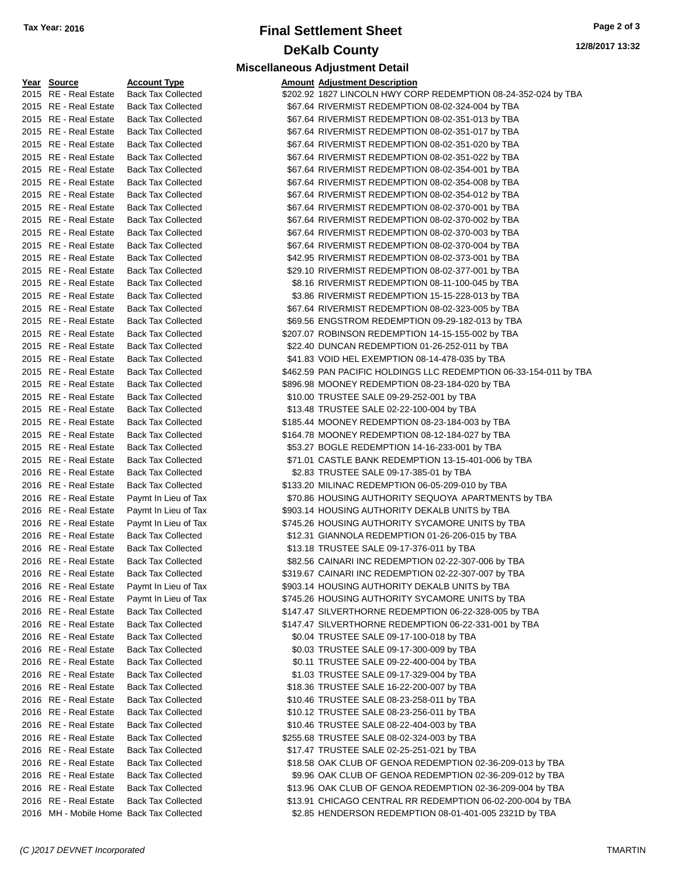# **Final Settlement Sheet Tax Year: 2016 Page 2 of 3 DeKalb County Miscellaneous Adjustment Detail**

**Amount Adjustment Description** 

**12/8/2017 13:32**

| <u> Year Source</u>                        | <b>Account Type</b>       | <b>Amount Adjustment Description</b>                             |
|--------------------------------------------|---------------------------|------------------------------------------------------------------|
| 2015 RE - Real Estate                      | <b>Back Tax Collected</b> | \$202.92 1827 LINCOLN HWY CORP REDEMPTION 08-24-352-024 by TBA   |
| 2015 RE - Real Estate                      | <b>Back Tax Collected</b> | \$67.64 RIVERMIST REDEMPTION 08-02-324-004 by TBA                |
| 2015 RE - Real Estate                      | <b>Back Tax Collected</b> | \$67.64 RIVERMIST REDEMPTION 08-02-351-013 by TBA                |
| 2015 RE - Real Estate                      | <b>Back Tax Collected</b> | \$67.64 RIVERMIST REDEMPTION 08-02-351-017 by TBA                |
| 2015 RE - Real Estate                      | <b>Back Tax Collected</b> | \$67.64 RIVERMIST REDEMPTION 08-02-351-020 by TBA                |
| 2015 RE - Real Estate                      | <b>Back Tax Collected</b> | \$67.64 RIVERMIST REDEMPTION 08-02-351-022 by TBA                |
| 2015 RE - Real Estate                      | <b>Back Tax Collected</b> | \$67.64 RIVERMIST REDEMPTION 08-02-354-001 by TBA                |
| 2015 RE - Real Estate                      | <b>Back Tax Collected</b> | \$67.64 RIVERMIST REDEMPTION 08-02-354-008 by TBA                |
| 2015 RE - Real Estate                      | <b>Back Tax Collected</b> | \$67.64 RIVERMIST REDEMPTION 08-02-354-012 by TBA                |
| 2015 RE - Real Estate                      | <b>Back Tax Collected</b> | \$67.64 RIVERMIST REDEMPTION 08-02-370-001 by TBA                |
| 2015 RE - Real Estate                      | <b>Back Tax Collected</b> | \$67.64 RIVERMIST REDEMPTION 08-02-370-002 by TBA                |
| 2015 RE - Real Estate                      | <b>Back Tax Collected</b> | \$67.64 RIVERMIST REDEMPTION 08-02-370-003 by TBA                |
| 2015 RE - Real Estate                      | <b>Back Tax Collected</b> | \$67.64 RIVERMIST REDEMPTION 08-02-370-004 by TBA                |
| 2015 RE - Real Estate                      | <b>Back Tax Collected</b> | \$42.95 RIVERMIST REDEMPTION 08-02-373-001 by TBA                |
| 2015 RE - Real Estate                      | <b>Back Tax Collected</b> | \$29.10 RIVERMIST REDEMPTION 08-02-377-001 by TBA                |
| 2015 RE - Real Estate                      | <b>Back Tax Collected</b> | \$8.16 RIVERMIST REDEMPTION 08-11-100-045 by TBA                 |
| 2015 RE - Real Estate                      | <b>Back Tax Collected</b> | \$3.86 RIVERMIST REDEMPTION 15-15-228-013 by TBA                 |
| 2015 RE - Real Estate                      | <b>Back Tax Collected</b> | \$67.64 RIVERMIST REDEMPTION 08-02-323-005 by TBA                |
| 2015 RE - Real Estate                      | <b>Back Tax Collected</b> | \$69.56 ENGSTROM REDEMPTION 09-29-182-013 by TBA                 |
| 2015 RE - Real Estate                      | <b>Back Tax Collected</b> | \$207.07 ROBINSON REDEMPTION 14-15-155-002 by TBA                |
| 2015 RE - Real Estate                      | <b>Back Tax Collected</b> | \$22.40 DUNCAN REDEMPTION 01-26-252-011 by TBA                   |
| 2015 RE - Real Estate                      | <b>Back Tax Collected</b> | \$41.83 VOID HEL EXEMPTION 08-14-478-035 by TBA                  |
| 2015 RE - Real Estate                      | <b>Back Tax Collected</b> | \$462.59 PAN PACIFIC HOLDINGS LLC REDEMPTION 06-33-154-011 by TI |
| 2015 RE - Real Estate                      | <b>Back Tax Collected</b> | \$896.98 MOONEY REDEMPTION 08-23-184-020 by TBA                  |
| 2015 RE - Real Estate                      | <b>Back Tax Collected</b> | \$10.00 TRUSTEE SALE 09-29-252-001 by TBA                        |
| 2015 RE - Real Estate                      | <b>Back Tax Collected</b> | \$13.48 TRUSTEE SALE 02-22-100-004 by TBA                        |
| 2015 RE - Real Estate                      | <b>Back Tax Collected</b> | \$185.44 MOONEY REDEMPTION 08-23-184-003 by TBA                  |
| 2015 RE - Real Estate                      | <b>Back Tax Collected</b> | \$164.78 MOONEY REDEMPTION 08-12-184-027 by TBA                  |
| 2015 RE - Real Estate                      | <b>Back Tax Collected</b> | \$53.27 BOGLE REDEMPTION 14-16-233-001 by TBA                    |
| 2015 RE - Real Estate                      | <b>Back Tax Collected</b> | \$71.01 CASTLE BANK REDEMPTION 13-15-401-006 by TBA              |
| 2016 RE - Real Estate                      | <b>Back Tax Collected</b> | \$2.83 TRUSTEE SALE 09-17-385-01 by TBA                          |
| 2016 RE - Real Estate                      | <b>Back Tax Collected</b> | \$133.20 MILINAC REDEMPTION 06-05-209-010 by TBA                 |
|                                            |                           |                                                                  |
| 2016 RE - Real Estate                      | Paymt In Lieu of Tax      | \$70.86 HOUSING AUTHORITY SEQUOYA APARTMENTS by TBA              |
| 2016 RE - Real Estate                      | Paymt In Lieu of Tax      | \$903.14 HOUSING AUTHORITY DEKALB UNITS by TBA                   |
| 2016 RE - Real Estate                      | Paymt In Lieu of Tax      | \$745.26 HOUSING AUTHORITY SYCAMORE UNITS by TBA                 |
| 2016 RE - Real Estate                      | <b>Back Tax Collected</b> | \$12.31 GIANNOLA REDEMPTION 01-26-206-015 by TBA                 |
| 2016 RE - Real Estate                      | <b>Back Tax Collected</b> | \$13.18 TRUSTEE SALE 09-17-376-011 by TBA                        |
| 2016 RE - Real Estate                      | <b>Back Tax Collected</b> | \$82.56 CAINARI INC REDEMPTION 02-22-307-006 by TBA              |
| 2016 RE - Real Estate                      | <b>Back Tax Collected</b> | \$319.67 CAINARI INC REDEMPTION 02-22-307-007 by TBA             |
| 2016 RE - Real Estate                      | Paymt In Lieu of Tax      | \$903.14 HOUSING AUTHORITY DEKALB UNITS by TBA                   |
| 2016 RE - Real Estate                      | Paymt In Lieu of Tax      | \$745.26 HOUSING AUTHORITY SYCAMORE UNITS by TBA                 |
| 2016 RE - Real Estate                      | <b>Back Tax Collected</b> | \$147.47 SILVERTHORNE REDEMPTION 06-22-328-005 by TBA            |
| 2016 RE - Real Estate                      | <b>Back Tax Collected</b> | \$147.47 SILVERTHORNE REDEMPTION 06-22-331-001 by TBA            |
| 2016 RE - Real Estate                      | <b>Back Tax Collected</b> | \$0.04 TRUSTEE SALE 09-17-100-018 by TBA                         |
| 2016 RE - Real Estate                      | <b>Back Tax Collected</b> | \$0.03 TRUSTEE SALE 09-17-300-009 by TBA                         |
| 2016 RE - Real Estate                      | <b>Back Tax Collected</b> | \$0.11 TRUSTEE SALE 09-22-400-004 by TBA                         |
| 2016 RE - Real Estate                      | <b>Back Tax Collected</b> | \$1.03 TRUSTEE SALE 09-17-329-004 by TBA                         |
| 2016 RE - Real Estate                      | <b>Back Tax Collected</b> | \$18.36 TRUSTEE SALE 16-22-200-007 by TBA                        |
| 2016 RE - Real Estate                      | <b>Back Tax Collected</b> | \$10.46 TRUSTEE SALE 08-23-258-011 by TBA                        |
| 2016 RE - Real Estate                      | <b>Back Tax Collected</b> | \$10.12 TRUSTEE SALE 08-23-256-011 by TBA                        |
| 2016 RE - Real Estate                      | <b>Back Tax Collected</b> | \$10.46 TRUSTEE SALE 08-22-404-003 by TBA                        |
| 2016 RE - Real Estate                      | <b>Back Tax Collected</b> | \$255.68 TRUSTEE SALE 08-02-324-003 by TBA                       |
| 2016 RE - Real Estate                      | <b>Back Tax Collected</b> | \$17.47 TRUSTEE SALE 02-25-251-021 by TBA                        |
| 2016 RE - Real Estate                      | <b>Back Tax Collected</b> | \$18.58 OAK CLUB OF GENOA REDEMPTION 02-36-209-013 by TBA        |
| 2016 RE - Real Estate                      | <b>Back Tax Collected</b> | \$9.96 OAK CLUB OF GENOA REDEMPTION 02-36-209-012 by TBA         |
| 2016 RE - Real Estate                      | <b>Back Tax Collected</b> | \$13.96 OAK CLUB OF GENOA REDEMPTION 02-36-209-004 by TBA        |
| 2016 RE - Real Estate                      | <b>Back Tax Collected</b> | \$13.91 CHICAGO CENTRAL RR REDEMPTION 06-02-200-004 by TBA       |
| 2016 MH - Mobile Home, Back Tax Collected. |                           | \$2.85 HENDERSON REDEMPTION 08-01-401-005 2321D by TBA           |

| 2015 RE - Real Estate | <b>Back Tax Collected</b> | \$67.64 RIVERMIST REDEMPTION 08-02-354-001 by TBA                 |  |
|-----------------------|---------------------------|-------------------------------------------------------------------|--|
| 2015 RE - Real Estate | <b>Back Tax Collected</b> | \$67.64 RIVERMIST REDEMPTION 08-02-354-008 by TBA                 |  |
| 2015 RE - Real Estate | <b>Back Tax Collected</b> | \$67.64 RIVERMIST REDEMPTION 08-02-354-012 by TBA                 |  |
| 2015 RE - Real Estate | <b>Back Tax Collected</b> | \$67.64 RIVERMIST REDEMPTION 08-02-370-001 by TBA                 |  |
| 2015 RE - Real Estate | <b>Back Tax Collected</b> | \$67.64 RIVERMIST REDEMPTION 08-02-370-002 by TBA                 |  |
| 2015 RE - Real Estate | <b>Back Tax Collected</b> | \$67.64 RIVERMIST REDEMPTION 08-02-370-003 by TBA                 |  |
| 2015 RE - Real Estate | <b>Back Tax Collected</b> | \$67.64 RIVERMIST REDEMPTION 08-02-370-004 by TBA                 |  |
| 2015 RE - Real Estate | <b>Back Tax Collected</b> | \$42.95 RIVERMIST REDEMPTION 08-02-373-001 by TBA                 |  |
| 2015 RE - Real Estate | <b>Back Tax Collected</b> | \$29.10 RIVERMIST REDEMPTION 08-02-377-001 by TBA                 |  |
| 2015 RE - Real Estate | <b>Back Tax Collected</b> | \$8.16 RIVERMIST REDEMPTION 08-11-100-045 by TBA                  |  |
| 2015 RE - Real Estate | <b>Back Tax Collected</b> | \$3.86 RIVERMIST REDEMPTION 15-15-228-013 by TBA                  |  |
| 2015 RE - Real Estate | <b>Back Tax Collected</b> | \$67.64 RIVERMIST REDEMPTION 08-02-323-005 by TBA                 |  |
| 2015 RE - Real Estate | <b>Back Tax Collected</b> | \$69.56 ENGSTROM REDEMPTION 09-29-182-013 by TBA                  |  |
| 2015 RE - Real Estate | <b>Back Tax Collected</b> | \$207.07 ROBINSON REDEMPTION 14-15-155-002 by TBA                 |  |
| 2015 RE - Real Estate | <b>Back Tax Collected</b> | \$22.40 DUNCAN REDEMPTION 01-26-252-011 by TBA                    |  |
| 2015 RE - Real Estate | <b>Back Tax Collected</b> | \$41.83 VOID HEL EXEMPTION 08-14-478-035 by TBA                   |  |
| 2015 RE - Real Estate | <b>Back Tax Collected</b> | \$462.59 PAN PACIFIC HOLDINGS LLC REDEMPTION 06-33-154-011 by TBA |  |
| 2015 RE - Real Estate | <b>Back Tax Collected</b> | \$896.98 MOONEY REDEMPTION 08-23-184-020 by TBA                   |  |
| 2015 RE - Real Estate | <b>Back Tax Collected</b> | \$10.00 TRUSTEE SALE 09-29-252-001 by TBA                         |  |
| 2015 RE - Real Estate | <b>Back Tax Collected</b> | \$13.48 TRUSTEE SALE 02-22-100-004 by TBA                         |  |
| 2015 RE - Real Estate | <b>Back Tax Collected</b> | \$185.44 MOONEY REDEMPTION 08-23-184-003 by TBA                   |  |
| 2015 RE - Real Estate | <b>Back Tax Collected</b> | \$164.78 MOONEY REDEMPTION 08-12-184-027 by TBA                   |  |
| 2015 RE - Real Estate | <b>Back Tax Collected</b> | \$53.27 BOGLE REDEMPTION 14-16-233-001 by TBA                     |  |
| 2015 RE - Real Estate | <b>Back Tax Collected</b> | \$71.01 CASTLE BANK REDEMPTION 13-15-401-006 by TBA               |  |
| 2016 RE - Real Estate | <b>Back Tax Collected</b> | \$2.83 TRUSTEE SALE 09-17-385-01 by TBA                           |  |
| 2016 RE - Real Estate | <b>Back Tax Collected</b> | \$133.20 MILINAC REDEMPTION 06-05-209-010 by TBA                  |  |
| 2016 RE - Real Estate | Paymt In Lieu of Tax      | \$70.86 HOUSING AUTHORITY SEQUOYA APARTMENTS by TBA               |  |
| 2016 RE - Real Estate | Paymt In Lieu of Tax      | \$903.14 HOUSING AUTHORITY DEKALB UNITS by TBA                    |  |
| 2016 RE - Real Estate | Paymt In Lieu of Tax      | \$745.26 HOUSING AUTHORITY SYCAMORE UNITS by TBA                  |  |
| 2016 RE - Real Estate | <b>Back Tax Collected</b> | \$12.31 GIANNOLA REDEMPTION 01-26-206-015 by TBA                  |  |
| 2016 RE - Real Estate | <b>Back Tax Collected</b> | \$13.18 TRUSTEE SALE 09-17-376-011 by TBA                         |  |
| 2016 RE - Real Estate | <b>Back Tax Collected</b> | \$82.56 CAINARI INC REDEMPTION 02-22-307-006 by TBA               |  |
| 2016 RE - Real Estate | <b>Back Tax Collected</b> | \$319.67 CAINARI INC REDEMPTION 02-22-307-007 by TBA              |  |
| 2016 RE - Real Estate | Paymt In Lieu of Tax      | \$903.14 HOUSING AUTHORITY DEKALB UNITS by TBA                    |  |
| 2016 RE - Real Estate | Paymt In Lieu of Tax      | \$745.26 HOUSING AUTHORITY SYCAMORE UNITS by TBA                  |  |
| 2016 RE - Real Estate | <b>Back Tax Collected</b> | \$147.47 SILVERTHORNE REDEMPTION 06-22-328-005 by TBA             |  |
| 2016 RE - Real Estate | <b>Back Tax Collected</b> | \$147.47 SILVERTHORNE REDEMPTION 06-22-331-001 by TBA             |  |
| 2016 RE - Real Estate | <b>Back Tax Collected</b> | \$0.04 TRUSTEE SALE 09-17-100-018 by TBA                          |  |
| 2016 RE - Real Estate | <b>Back Tax Collected</b> | \$0.03 TRUSTEE SALE 09-17-300-009 by TBA                          |  |
| 2016 RE - Real Estate | <b>Back Tax Collected</b> | \$0.11 TRUSTEE SALE 09-22-400-004 by TBA                          |  |
| 2016 RE - Real Estate | <b>Back Tax Collected</b> | \$1.03 TRUSTEE SALE 09-17-329-004 by TBA                          |  |
| 2016 RE - Real Estate | <b>Back Tax Collected</b> | \$18.36 TRUSTEE SALE 16-22-200-007 by TBA                         |  |
| 2016 RE - Real Estate | <b>Back Tax Collected</b> | \$10.46 TRUSTEE SALE 08-23-258-011 by TBA                         |  |
| 2016 RE - Real Estate | <b>Back Tax Collected</b> | \$10.12 TRUSTEE SALE 08-23-256-011 by TBA                         |  |
| 2016 RE - Real Estate | <b>Back Tax Collected</b> | \$10.46 TRUSTEE SALE 08-22-404-003 by TBA                         |  |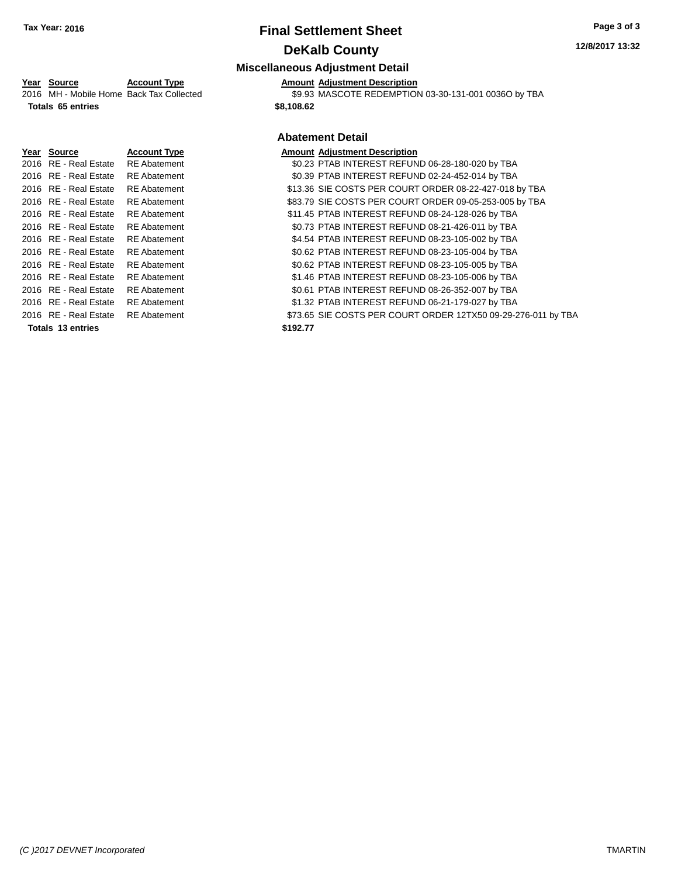# **Final Settlement Sheet Tax Year: 2016 Page 3 of 3 DeKalb County**

## **Miscellaneous Adjustment Detail**

**Year Source Account Type Amount Adjustment Description** \$9.93 MASCOTE REDEMPTION 03-30-131-001 0036O by TBA

**Totals 65 entries \$8,108.62**

## **Abatement Detail**

| Year Source           | <b>Account Type</b> |          | <b>Amount Adiustment Description</b>                          |
|-----------------------|---------------------|----------|---------------------------------------------------------------|
| 2016 RE - Real Estate | <b>RE</b> Abatement |          | \$0.23 PTAB INTEREST REFUND 06-28-180-020 by TBA              |
| 2016 RE - Real Estate | <b>RE</b> Abatement |          | \$0.39 PTAB INTEREST REFUND 02-24-452-014 by TBA              |
| 2016 RE - Real Estate | <b>RE</b> Abatement |          | \$13.36 SIE COSTS PER COURT ORDER 08-22-427-018 by TBA        |
| 2016 RE - Real Estate | <b>RE</b> Abatement |          | \$83.79 SIE COSTS PER COURT ORDER 09-05-253-005 by TBA        |
| 2016 RE - Real Estate | <b>RE</b> Abatement |          | \$11.45 PTAB INTEREST REFUND 08-24-128-026 by TBA             |
| 2016 RE - Real Estate | <b>RE</b> Abatement |          | \$0.73 PTAB INTEREST REFUND 08-21-426-011 by TBA              |
| 2016 RE - Real Estate | <b>RE</b> Abatement |          | \$4.54 PTAB INTEREST REFUND 08-23-105-002 by TBA              |
| 2016 RE - Real Estate | <b>RE</b> Abatement |          | \$0.62 PTAB INTEREST REFUND 08-23-105-004 by TBA              |
| 2016 RE - Real Estate | <b>RE</b> Abatement |          | \$0.62 PTAB INTEREST REFUND 08-23-105-005 by TBA              |
| 2016 RE - Real Estate | <b>RE</b> Abatement |          | \$1.46 PTAB INTEREST REFUND 08-23-105-006 by TBA              |
| 2016 RE - Real Estate | <b>RE</b> Abatement |          | \$0.61 PTAB INTEREST REFUND 08-26-352-007 by TBA              |
| 2016 RE - Real Estate | <b>RE</b> Abatement |          | \$1.32 PTAB INTEREST REFUND 06-21-179-027 by TBA              |
| 2016 RE - Real Estate | <b>RE</b> Abatement |          | \$73.65 SIE COSTS PER COURT ORDER 12TX50 09-29-276-011 by TBA |
| Totals 13 entries     |                     | \$192.77 |                                                               |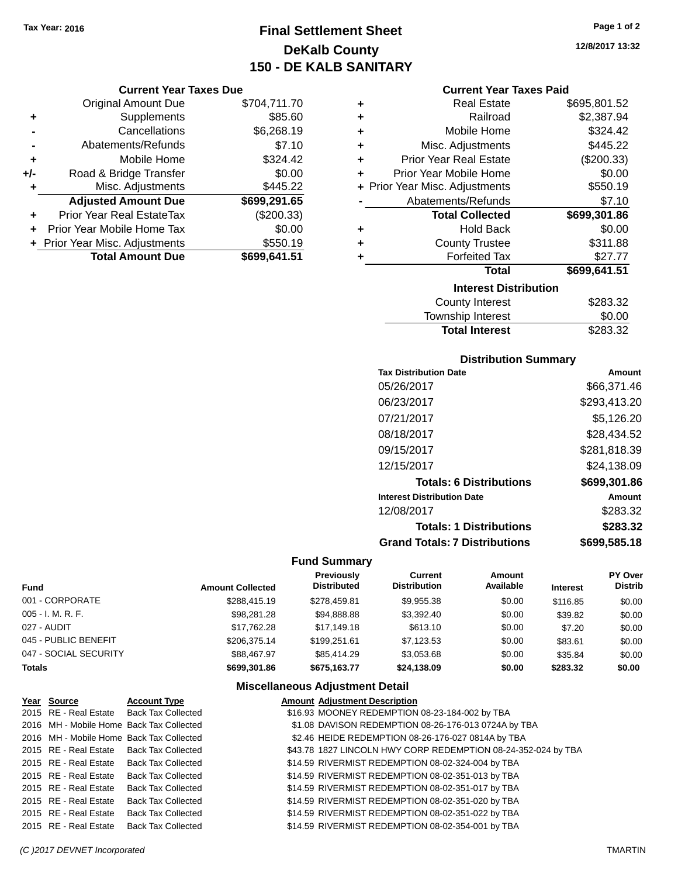**Current Year Taxes Due** Original Amount Due \$704,711.70

**Adjusted Amount Due \$699,291.65**

**Total Amount Due \$699,641.51**

**+** Supplements \$85.60 **-** Cancellations \$6,268.19 **-** Abatements/Refunds \$7.10 **+** Mobile Home \$324.42 **+/-** Road & Bridge Transfer \$0.00 **+** Misc. Adjustments \$445.22

**+** Prior Year Real EstateTax (\$200.33) **+** Prior Year Mobile Home Tax \$0.00 **+ Prior Year Misc. Adjustments \$550.19** 

# **Final Settlement Sheet Tax Year: 2016 Page 1 of 2 DeKalb County 150 - DE KALB SANITARY**

**12/8/2017 13:32**

### **Current Year Taxes Paid**

| ٠ | <b>Real Estate</b>             | \$695,801.52 |
|---|--------------------------------|--------------|
| ٠ | Railroad                       | \$2,387.94   |
| ÷ | Mobile Home                    | \$324.42     |
| ÷ | Misc. Adjustments              | \$445.22     |
| ÷ | <b>Prior Year Real Estate</b>  | (\$200.33)   |
| ٠ | Prior Year Mobile Home         | \$0.00       |
|   | + Prior Year Misc. Adjustments | \$550.19     |
|   | Abatements/Refunds             | \$7.10       |
|   | <b>Total Collected</b>         | \$699,301.86 |
| ٠ | <b>Hold Back</b>               | \$0.00       |
| ٠ | <b>County Trustee</b>          | \$311.88     |
| ٠ | <b>Forfeited Tax</b>           | \$27.77      |
|   | <b>Total</b>                   | \$699,641.51 |
|   | <b>Interest Distribution</b>   |              |
|   | <b>County Interest</b>         | \$283.32     |
|   | Township Interest              | \$0.00       |

## **Distribution Summary**

Total Interest \$283.32

| <b>Tax Distribution Date</b>         | Amount       |
|--------------------------------------|--------------|
| 05/26/2017                           | \$66.371.46  |
| 06/23/2017                           | \$293,413.20 |
| 07/21/2017                           | \$5.126.20   |
| 08/18/2017                           | \$28,434.52  |
| 09/15/2017                           | \$281,818.39 |
| 12/15/2017                           | \$24,138.09  |
| <b>Totals: 6 Distributions</b>       | \$699,301.86 |
| <b>Interest Distribution Date</b>    | Amount       |
| 12/08/2017                           | \$283.32     |
| <b>Totals: 1 Distributions</b>       | \$283.32     |
| <b>Grand Totals: 7 Distributions</b> | \$699,585.18 |

### **Fund Summary**

| <b>Fund</b>           | <b>Amount Collected</b> | Previously<br><b>Distributed</b> | Current<br><b>Distribution</b> | Amount<br>Available | <b>Interest</b> | PY Over<br><b>Distrib</b> |
|-----------------------|-------------------------|----------------------------------|--------------------------------|---------------------|-----------------|---------------------------|
| 001 - CORPORATE       | \$288.415.19            | \$278.459.81                     | \$9,955.38                     | \$0.00              | \$116.85        | \$0.00                    |
| $005 - I. M. R. F.$   | \$98,281,28             | \$94.888.88                      | \$3.392.40                     | \$0.00              | \$39.82         | \$0.00                    |
| 027 - AUDIT           | \$17.762.28             | \$17.149.18                      | \$613.10                       | \$0.00              | \$7.20          | \$0.00                    |
| 045 - PUBLIC BENEFIT  | \$206,375.14            | \$199.251.61                     | \$7.123.53                     | \$0.00              | \$83.61         | \$0.00                    |
| 047 - SOCIAL SECURITY | \$88,467.97             | \$85,414.29                      | \$3.053.68                     | \$0.00              | \$35.84         | \$0.00                    |
| <b>Totals</b>         | \$699,301.86            | \$675.163.77                     | \$24,138.09                    | \$0.00              | \$283.32        | \$0.00                    |

### **Miscellaneous Adjustment Detail**

| Year Source           | <b>Account Type</b>                      | <b>Amount Adjustment Description</b>                          |
|-----------------------|------------------------------------------|---------------------------------------------------------------|
|                       | 2015 RE - Real Estate Back Tax Collected | \$16.93 MOONEY REDEMPTION 08-23-184-002 by TBA                |
|                       | 2016 MH - Mobile Home Back Tax Collected | \$1.08 DAVISON REDEMPTION 08-26-176-013 0724A by TBA          |
|                       | 2016 MH - Mobile Home Back Tax Collected | \$2.46 HEIDE REDEMPTION 08-26-176-027 0814A by TBA            |
|                       | 2015 RE - Real Estate Back Tax Collected | \$43.78 1827 LINCOLN HWY CORP REDEMPTION 08-24-352-024 by TBA |
|                       | 2015 RE - Real Estate Back Tax Collected | \$14.59 RIVERMIST REDEMPTION 08-02-324-004 by TBA             |
|                       | 2015 RE - Real Estate Back Tax Collected | \$14.59 RIVERMIST REDEMPTION 08-02-351-013 by TBA             |
| 2015 RE - Real Estate | <b>Back Tax Collected</b>                | \$14.59 RIVERMIST REDEMPTION 08-02-351-017 by TBA             |
| 2015 RE - Real Estate | <b>Back Tax Collected</b>                | \$14.59 RIVERMIST REDEMPTION 08-02-351-020 by TBA             |
|                       | 2015 RE - Real Estate Back Tax Collected | \$14.59 RIVERMIST REDEMPTION 08-02-351-022 by TBA             |
|                       | 2015 RE - Real Estate Back Tax Collected | \$14.59 RIVERMIST REDEMPTION 08-02-354-001 by TBA             |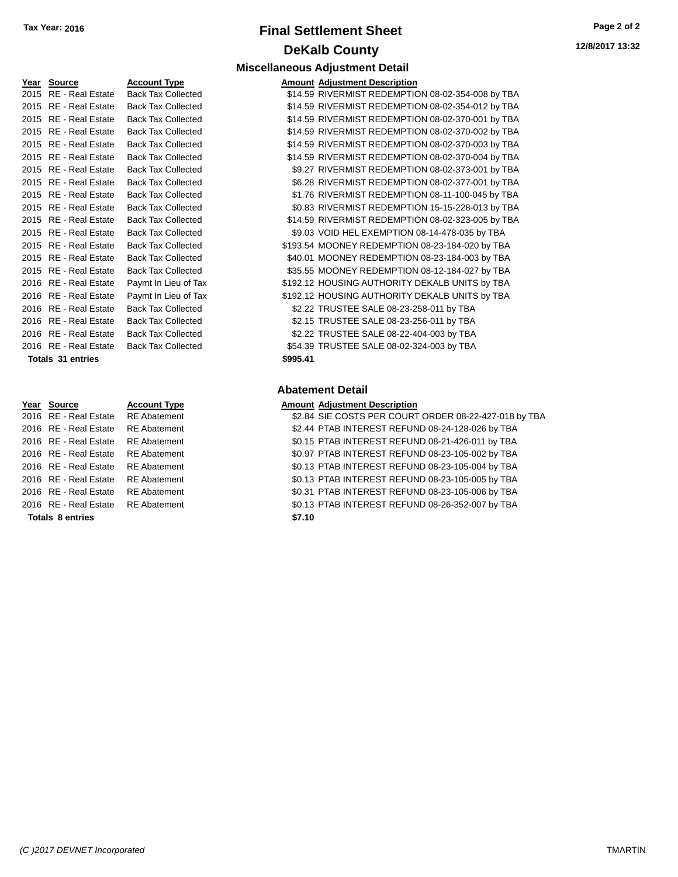# **Final Settlement Sheet Tax Year: 2016 Page 2 of 2 DeKalb County Miscellaneous Adjustment Detail**

**12/8/2017 13:32**

### **Year Source <b>Account Type** 2015 RE - Real Estate Back Tax Collected 2015 RE - Real Estate Back Tax Collected 2015 RE - Real Estate Back Tax Collected 2015 RE - Real Estate Back Tax Collected 2015 RE - Real Estate Back Tax Collected 2015 RE - Real Estate Back Tax Collected 2015 RE - Real Estate Back Tax Collected 2015 RE - Real Estate Back Tax Collected 2015 RE - Real Estate Back Tax Collected 2015 RE - Real Estate Back Tax Collected 2015 RE - Real Estate Back Tax Collected 2015 RE - Real Estate Back Tax Collected 2015 RE - Real Estate Back Tax Collected 2015 RE - Real Estate Back Tax Collected 2015 RE - Real Estate Back Tax Collected 2016 RE - Real Estate Paymt In Lieu of Tax 2016 RE - Real Estate Paymt In Lieu of Tax 2016 RE - Real Estate Back Tax Collected 2016 RE - Real Estate Back Tax Collected 2016 RE - Real Estate Back Tax Collected 2016 RE - Real Estate Back Tax Collected **Totals** 31 entries

| 2016 RE - Real Estate | RE Abatement        | \$0.13 |
|-----------------------|---------------------|--------|
| 2016 RE - Real Estate | <b>RE</b> Abatement | \$0.31 |
| 2016 RE - Real Estate | <b>RE</b> Abatement | \$0.13 |
| 2016 RE - Real Estate | <b>RE</b> Abatement | \$0.13 |
| 2016 RE - Real Estate | <b>RE</b> Abatement | \$0.97 |
| 2016 RE - Real Estate | <b>RE</b> Abatement | \$0.15 |
| 2016 RE - Real Estate | <b>RE</b> Abatement | \$2.44 |
| 2016 RE - Real Estate | RE Abatement        | \$2.84 |

|          | <b>Amount Adjustment Description</b>              |
|----------|---------------------------------------------------|
|          | \$14.59 RIVERMIST REDEMPTION 08-02-354-008 by TBA |
|          | \$14.59 RIVERMIST REDEMPTION 08-02-354-012 by TBA |
|          | \$14.59 RIVERMIST REDEMPTION 08-02-370-001 by TBA |
|          | \$14.59 RIVERMIST REDEMPTION 08-02-370-002 by TBA |
|          | \$14.59 RIVERMIST REDEMPTION 08-02-370-003 by TBA |
|          | \$14.59 RIVERMIST REDEMPTION 08-02-370-004 by TBA |
|          | \$9.27 RIVERMIST REDEMPTION 08-02-373-001 by TBA  |
|          | \$6.28 RIVERMIST REDEMPTION 08-02-377-001 by TBA  |
|          | \$1.76 RIVERMIST REDEMPTION 08-11-100-045 by TBA  |
|          | \$0.83 RIVERMIST REDEMPTION 15-15-228-013 by TBA  |
|          | \$14.59 RIVERMIST REDEMPTION 08-02-323-005 by TBA |
|          | \$9.03 VOID HEL EXEMPTION 08-14-478-035 by TBA    |
|          | \$193.54 MOONEY REDEMPTION 08-23-184-020 by TBA   |
|          | \$40.01 MOONEY REDEMPTION 08-23-184-003 by TBA    |
|          | \$35.55 MOONEY REDEMPTION 08-12-184-027 by TBA    |
|          | \$192.12 HOUSING AUTHORITY DEKALB UNITS by TBA    |
|          | \$192.12 HOUSING AUTHORITY DEKALB UNITS by TBA    |
|          | \$2.22 TRUSTEE SALE 08-23-258-011 by TBA          |
|          | \$2.15 TRUSTEE SALE 08-23-256-011 by TBA          |
|          | \$2.22 TRUSTEE SALE 08-22-404-003 by TBA          |
|          | \$54.39 TRUSTEE SALE 08-02-324-003 by TBA         |
| \$995.41 |                                                   |
|          |                                                   |

## **Abatement Detail**

### **Year Source Account Type Amount Adjustment Description**

Abatement **\$2.84 SIE COSTS PER COURT ORDER 08-22-427-018 by TBA** Abatement **32.44 PTAB INTEREST REFUND 08-24-128-026 by TBA** 2016 Abatement **12016 Real Estate REAL ESTATE REAL ESTATE REFUND** 08-21-426-011 by TBA Abatement **2016 REAL ESTATE REAL ESTATE REFUND 08-23-105-002 by TBA** 2016 RE - Real Estate RE Abatement \$0.13 PTAB INTEREST REFUND 08-23-105-004 by TBA 2016 Abatement The Solid Estate REAL Estate Real Estate Real Estate Real Estate Real Estate Real Estate Real E 2016 Abatement **2016 Real Estate REGIST STAB INTEREST REFUND 08-23-105-006 by TBA** 2013 PTAB INTEREST REFUND 08-26-352-007 by TBA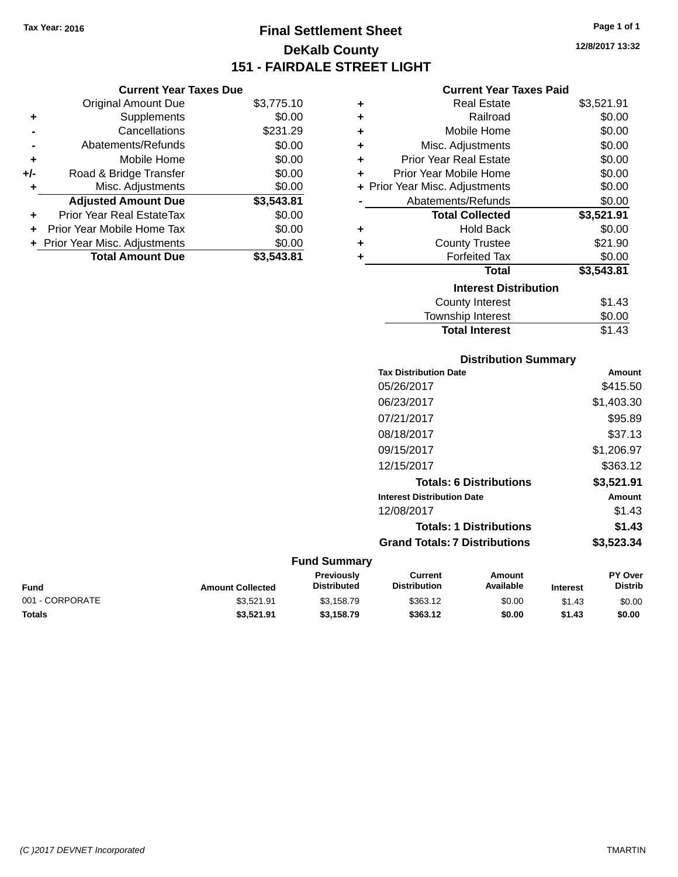# **Final Settlement Sheet Tax Year: 2016 Page 1 of 1 DeKalb County 151 - FAIRDALE STREET LIGHT**

**12/8/2017 13:32**

## **Current Year Taxes Paid**

| ٠ | <b>Real Estate</b>             | \$3,521.91 |
|---|--------------------------------|------------|
| ٠ | Railroad                       | \$0.00     |
| ٠ | Mobile Home                    | \$0.00     |
| ٠ | Misc. Adjustments              | \$0.00     |
| ÷ | <b>Prior Year Real Estate</b>  | \$0.00     |
| ٠ | Prior Year Mobile Home         | \$0.00     |
|   | + Prior Year Misc. Adjustments | \$0.00     |
|   | Abatements/Refunds             | \$0.00     |
|   | <b>Total Collected</b>         | \$3,521.91 |
| ٠ | <b>Hold Back</b>               | \$0.00     |
| ٠ | <b>County Trustee</b>          | \$21.90    |
| ٠ | <b>Forfeited Tax</b>           | \$0.00     |
|   | <b>Total</b>                   | \$3,543.81 |
|   | <b>Interest Distribution</b>   |            |
|   | <b>County Interest</b>         | \$1.43     |
|   | <b>Township Interest</b>       | \$0.00     |
|   |                                |            |

| <b>Distribution Summary</b>          |            |
|--------------------------------------|------------|
| <b>Tax Distribution Date</b>         | Amount     |
| 05/26/2017                           | \$415.50   |
| 06/23/2017                           | \$1,403.30 |
| 07/21/2017                           | \$95.89    |
| 08/18/2017                           | \$37.13    |
| 09/15/2017                           | \$1,206.97 |
| 12/15/2017                           | \$363.12   |
| <b>Totals: 6 Distributions</b>       | \$3,521.91 |
| <b>Interest Distribution Date</b>    | Amount     |
| 12/08/2017                           | \$1.43     |
| <b>Totals: 1 Distributions</b>       | \$1.43     |
| <b>Grand Totals: 7 Distributions</b> | \$3,523.34 |

**Total Interest** \$1.43

### **Fund Summary**

| Fund            | <b>Amount Collected</b> | Previously<br><b>Distributed</b> | Current<br><b>Distribution</b> | Amount<br>Available | <b>Interest</b> | <b>PY Over</b><br><b>Distrib</b> |
|-----------------|-------------------------|----------------------------------|--------------------------------|---------------------|-----------------|----------------------------------|
| 001 - CORPORATE | \$3.521.91              | \$3.158.79                       | \$363.12                       | \$0.00              | \$1.43          | \$0.00                           |
| Totals          | \$3,521.91              | \$3,158.79                       | \$363.12                       | \$0.00              | \$1.43          | \$0.00                           |

|       | <b>Adjusted Amount Due</b> | \$3,543.81 |
|-------|----------------------------|------------|
| ÷     | Misc. Adjustments          | \$0.00     |
| $+/-$ | Road & Bridge Transfer     | \$0.00     |
| ÷     | Mobile Home                | \$0.00     |
|       | Abatements/Refunds         | \$0.00     |
|       | Cancellations              | \$231.29   |
|       | Supplements                | \$0.00     |
|       |                            |            |

**Current Year Taxes Due** Original Amount Due \$3,775.10

| + Prior Year Misc. Adjustments | \$0.00     |
|--------------------------------|------------|
| <b>Total Amount Due</b>        | \$3,543.81 |
|                                |            |
|                                |            |
|                                |            |
|                                |            |

**+** Prior Year Real EstateTax \$0.00 **+** Prior Year Mobile Home Tax \$0.00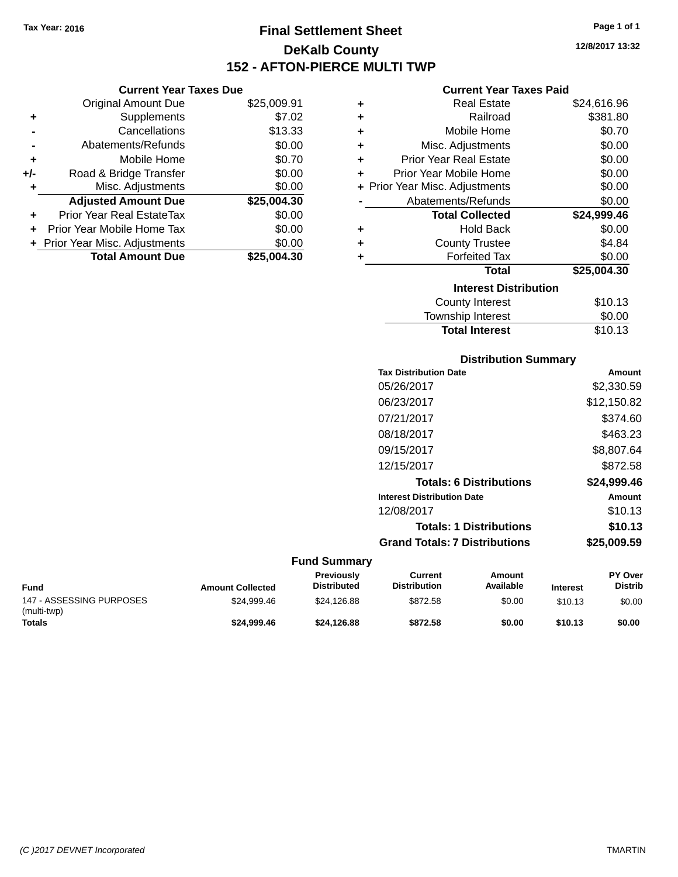**Current Year Taxes Due** Original Amount Due \$25,009.91

**Adjusted Amount Due \$25,004.30**

**Total Amount Due \$25,004.30**

**+** Supplements \$7.02 **-** Cancellations \$13.33 **-** Abatements/Refunds \$0.00 **+** Mobile Home \$0.70 **+/-** Road & Bridge Transfer \$0.00 **+** Misc. Adjustments \$0.00

**+** Prior Year Real EstateTax \$0.00 **+** Prior Year Mobile Home Tax \$0.00 **+ Prior Year Misc. Adjustments**  $$0.00$ 

# **Final Settlement Sheet Tax Year: 2016 Page 1 of 1 DeKalb County 152 - AFTON-PIERCE MULTI TWP**

**12/8/2017 13:32**

### **Current Year Taxes Paid**

| ٠ | <b>Real Estate</b>             | \$24,616.96 |
|---|--------------------------------|-------------|
| ٠ | Railroad                       | \$381.80    |
| ٠ | Mobile Home                    | \$0.70      |
| ÷ | Misc. Adjustments              | \$0.00      |
| ÷ | Prior Year Real Estate         | \$0.00      |
| ÷ | Prior Year Mobile Home         | \$0.00      |
|   | + Prior Year Misc. Adjustments | \$0.00      |
|   | Abatements/Refunds             | \$0.00      |
|   | <b>Total Collected</b>         | \$24,999.46 |
| ٠ | <b>Hold Back</b>               | \$0.00      |
| ÷ | <b>County Trustee</b>          | \$4.84      |
| ٠ | <b>Forfeited Tax</b>           | \$0.00      |
|   | <b>Total</b>                   | \$25,004.30 |
|   | <b>Interest Distribution</b>   |             |
|   | <b>County Interest</b>         | \$10.13     |
|   | Township Interest              | \$0.00      |
|   | <b>Total Interest</b>          | \$10.13     |

| <b>Distribution Summary</b>       |             |
|-----------------------------------|-------------|
| <b>Tax Distribution Date</b>      | Amount      |
| 05/26/2017                        | \$2,330.59  |
| 06/23/2017                        | \$12,150.82 |
| 07/21/2017                        | \$374.60    |
| 08/18/2017                        | \$463.23    |
| 09/15/2017                        | \$8,807.64  |
| 12/15/2017                        | \$872.58    |
| <b>Totals: 6 Distributions</b>    | \$24,999.46 |
| <b>Interest Distribution Date</b> | Amount      |
| 12/08/2017                        | \$10.13     |
| <b>Totals: 1 Distributions</b>    | \$10.13     |

# **Grand Totals: 7 Distributions \$25,009.59**

### **Fund Summary**

| Fund                                    | <b>Amount Collected</b> | <b>Previously</b><br><b>Distributed</b> | Current<br><b>Distribution</b> | Amount<br>Available | <b>Interest</b> | <b>PY Over</b><br><b>Distrib</b> |
|-----------------------------------------|-------------------------|-----------------------------------------|--------------------------------|---------------------|-----------------|----------------------------------|
| 147 - ASSESSING PURPOSES<br>(multi-twp) | \$24.999.46             | \$24.126.88                             | \$872.58                       | \$0.00              | \$10.13         | \$0.00                           |
| Totals                                  | \$24,999.46             | \$24.126.88                             | \$872.58                       | \$0.00              | \$10.13         | \$0.00                           |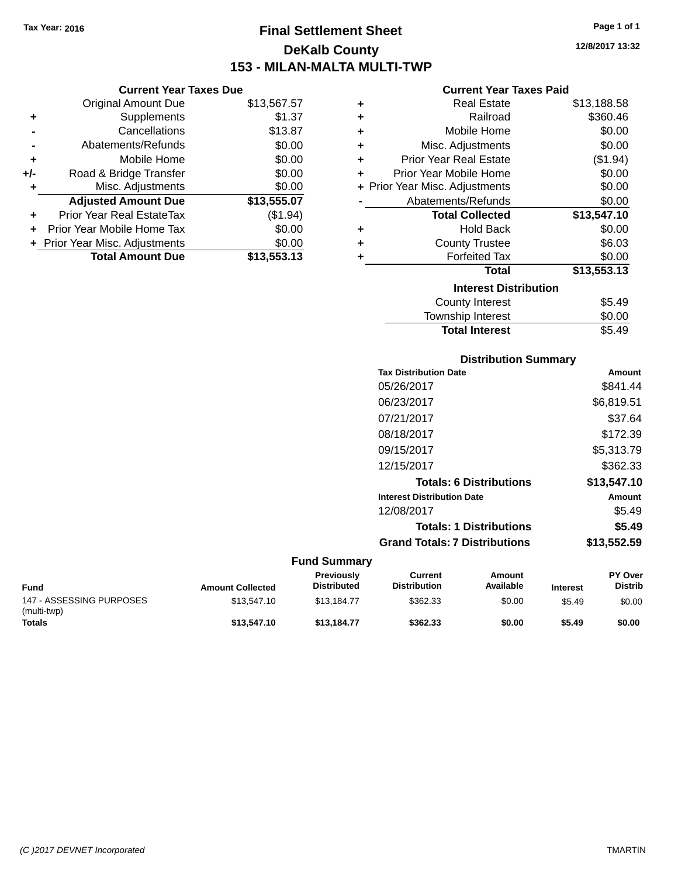**Current Year Taxes Due** Original Amount Due \$13,567.57

**Adjusted Amount Due \$13,555.07**

**Total Amount Due \$13,553.13**

**+** Supplements \$1.37 **-** Cancellations \$13.87 **-** Abatements/Refunds \$0.00 **+** Mobile Home \$0.00 **+/-** Road & Bridge Transfer \$0.00 **+** Misc. Adjustments \$0.00

**+** Prior Year Real EstateTax (\$1.94) **+** Prior Year Mobile Home Tax \$0.00 **+ Prior Year Misc. Adjustments**  $$0.00$ 

# **Final Settlement Sheet Tax Year: 2016 Page 1 of 1 DeKalb County 153 - MILAN-MALTA MULTI-TWP**

**12/8/2017 13:32**

### **Current Year Taxes Paid**

| ٠ | <b>Real Estate</b>             | \$13,188.58 |
|---|--------------------------------|-------------|
| ٠ | Railroad                       | \$360.46    |
| ٠ | Mobile Home                    | \$0.00      |
| ٠ | Misc. Adjustments              | \$0.00      |
| ٠ | <b>Prior Year Real Estate</b>  | (\$1.94)    |
| ÷ | Prior Year Mobile Home         | \$0.00      |
|   | + Prior Year Misc. Adjustments | \$0.00      |
|   | Abatements/Refunds             | \$0.00      |
|   | <b>Total Collected</b>         | \$13,547.10 |
| ٠ | <b>Hold Back</b>               | \$0.00      |
| ٠ | <b>County Trustee</b>          | \$6.03      |
| ٠ | <b>Forfeited Tax</b>           | \$0.00      |
|   | Total                          | \$13,553.13 |
|   | <b>Interest Distribution</b>   |             |
|   | <b>County Interest</b>         | \$5.49      |
|   | <b>Township Interest</b>       | \$0.00      |
|   | <b>Total Interest</b>          | \$5.49      |

| <b>Distribution Summary</b>          |             |
|--------------------------------------|-------------|
| <b>Tax Distribution Date</b>         | Amount      |
| 05/26/2017                           | \$841.44    |
| 06/23/2017                           | \$6,819.51  |
| 07/21/2017                           | \$37.64     |
| 08/18/2017                           | \$172.39    |
| 09/15/2017                           | \$5,313.79  |
| 12/15/2017                           | \$362.33    |
| <b>Totals: 6 Distributions</b>       | \$13,547.10 |
| <b>Interest Distribution Date</b>    | Amount      |
| 12/08/2017                           | \$5.49      |
| <b>Totals: 1 Distributions</b>       | \$5.49      |
| <b>Grand Totals: 7 Distributions</b> | \$13,552.59 |

### **Fund Summary**

| <b>Fund</b>                             | <b>Amount Collected</b> | <b>Previously</b><br><b>Distributed</b> | Current<br><b>Distribution</b> | Amount<br>Available | <b>Interest</b> | <b>PY Over</b><br><b>Distrib</b> |
|-----------------------------------------|-------------------------|-----------------------------------------|--------------------------------|---------------------|-----------------|----------------------------------|
| 147 - ASSESSING PURPOSES<br>(multi-twp) | \$13.547.10             | \$13.184.77                             | \$362.33                       | \$0.00              | \$5.49          | \$0.00                           |
| <b>Totals</b>                           | \$13,547.10             | \$13.184.77                             | \$362.33                       | \$0.00              | \$5.49          | \$0.00                           |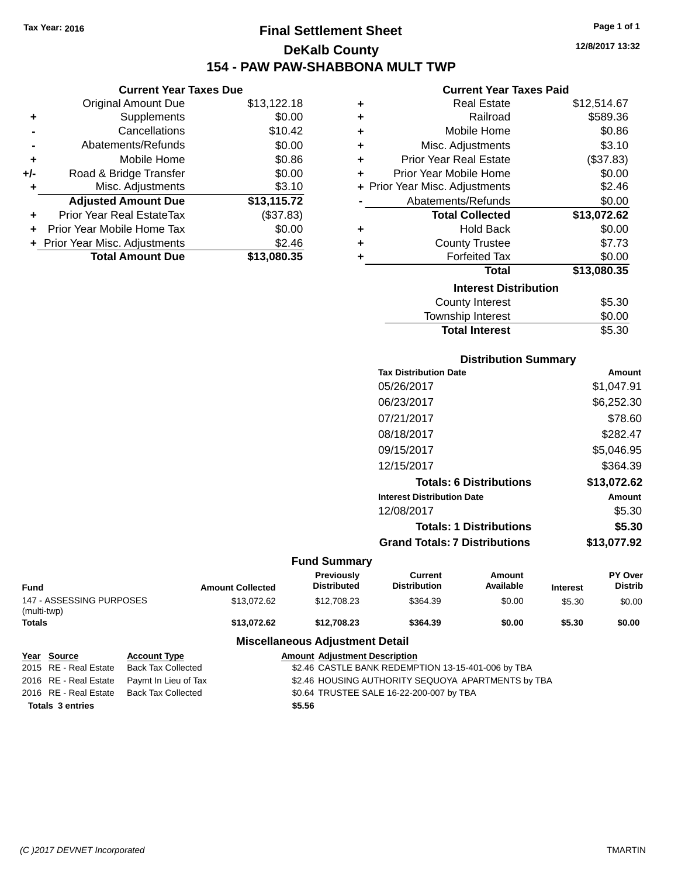# **Final Settlement Sheet Tax Year: 2016 Page 1 of 1 DeKalb County 154 - PAW PAW-SHABBONA MULT TWP**

## **Current Year Taxes Due** Original Amount Due \$13,122.18<br>Supplements \$0.00 **+** Supplements **-** Cancellations \$10.42 **-** Abatements/Refunds \$0.00 **+** Mobile Home \$0.86 **+/-** Road & Bridge Transfer \$0.00<br> **+** Misc. Adjustments \$3.10 **+** Misc. Adjustments **Adjusted Amount Due \$13,115.72 +** Prior Year Real EstateTax (\$37.83) **+** Prior Year Mobile Home Tax \$0.00 **+** Prior

| Year Misc. Adjustments  | \$2.46      |
|-------------------------|-------------|
| <b>Total Amount Due</b> | \$13,080.35 |

## **Current Year Taxes Paid**

| ٠ | <b>Real Estate</b>             | \$12,514.67             |
|---|--------------------------------|-------------------------|
| ÷ | Railroad                       | \$589.36                |
| ٠ | Mobile Home                    | \$0.86                  |
| ٠ | Misc. Adjustments              | \$3.10                  |
| ٠ | <b>Prior Year Real Estate</b>  | (\$37.83)               |
| ٠ | Prior Year Mobile Home         | \$0.00                  |
|   | + Prior Year Misc. Adjustments | \$2.46                  |
|   | Abatements/Refunds             | \$0.00                  |
|   | <b>Total Collected</b>         | \$13,072.62             |
| ٠ | <b>Hold Back</b>               | \$0.00                  |
| ٠ | <b>County Trustee</b>          | \$7.73                  |
| ٠ | <b>Forfeited Tax</b>           | \$0.00                  |
|   | <b>Total</b>                   | $\overline{$13,080.35}$ |
|   | <b>Interest Distribution</b>   |                         |
|   | County Interest                | \$5.30                  |
|   | <b>Township Interest</b>       | \$0.00                  |
|   | <b>Total Interest</b>          | \$5.30                  |

# **Distribution Summary Tax Distribution Date Amount**

| 05/26/2017                           | \$1,047.91  |
|--------------------------------------|-------------|
| 06/23/2017                           | \$6,252.30  |
| 07/21/2017                           | \$78.60     |
| 08/18/2017                           | \$282.47    |
| 09/15/2017                           | \$5,046.95  |
| 12/15/2017                           | \$364.39    |
| <b>Totals: 6 Distributions</b>       | \$13,072.62 |
| <b>Interest Distribution Date</b>    | Amount      |
| 12/08/2017                           | \$5.30      |
| <b>Totals: 1 Distributions</b>       | \$5.30      |
| <b>Grand Totals: 7 Distributions</b> | \$13.077.92 |

### **Fund Summary**

| Fund                                    | <b>Amount Collected</b> | <b>Previously</b><br><b>Distributed</b> | Current<br><b>Distribution</b> | Amount<br>Available | <b>Interest</b> | PY Over<br><b>Distrib</b> |
|-----------------------------------------|-------------------------|-----------------------------------------|--------------------------------|---------------------|-----------------|---------------------------|
| 147 - ASSESSING PURPOSES<br>(multi-twp) | \$13,072,62             | \$12,708.23                             | \$364.39                       | \$0.00              | \$5.30          | \$0.00                    |
| <b>Totals</b>                           | \$13,072.62             | \$12,708,23                             | \$364.39                       | \$0.00              | \$5.30          | \$0.00                    |

## **Miscellaneous Adjustment Detail**

| Year Source             | <b>Account Type</b>                        | <b>Amount Adjustment Description</b>               |
|-------------------------|--------------------------------------------|----------------------------------------------------|
| 2015 RE - Real Estate   | Back Tax Collected                         | \$2.46 CASTLE BANK REDEMPTION 13-15-401-006 by TBA |
|                         | 2016 RE - Real Estate Paymt In Lieu of Tax | \$2.46 HOUSING AUTHORITY SEQUOYA APARTMENTS by TBA |
| 2016 RE - Real Estate   | Back Tax Collected                         | \$0.64 TRUSTEE SALE 16-22-200-007 by TBA           |
| <b>Totals 3 entries</b> |                                            | \$5.56                                             |

**12/8/2017 13:32**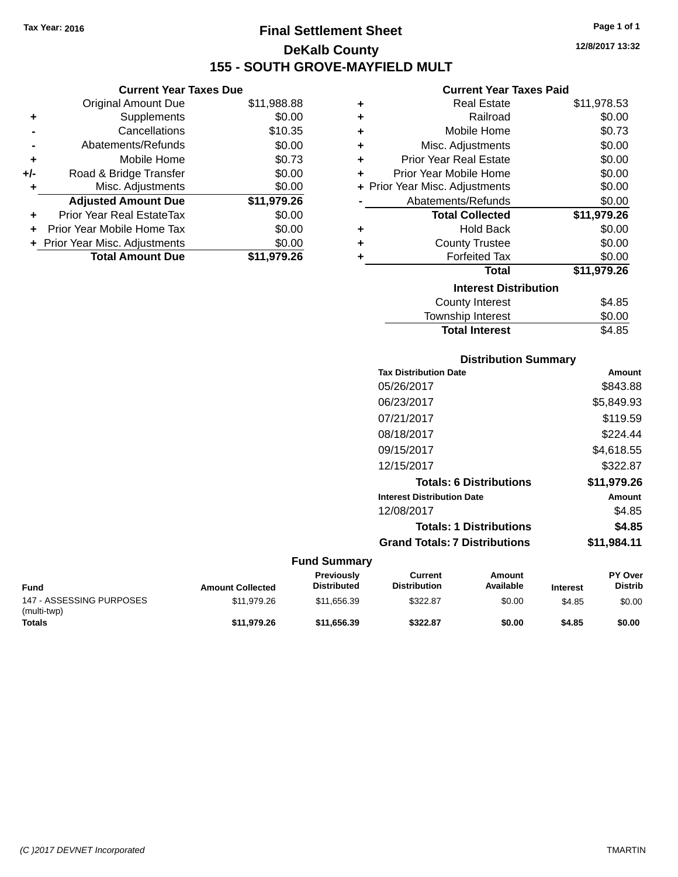**Current Year Taxes Due** Original Amount Due \$11,988.88

**Adjusted Amount Due \$11,979.26**

**Total Amount Due \$11,979.26**

**+** Supplements \$0.00 **-** Cancellations \$10.35 **-** Abatements/Refunds \$0.00 **+** Mobile Home \$0.73 **+/-** Road & Bridge Transfer \$0.00 **+** Misc. Adjustments \$0.00

**+** Prior Year Real EstateTax \$0.00 **+** Prior Year Mobile Home Tax \$0.00 **+ Prior Year Misc. Adjustments**  $$0.00$ 

# **Final Settlement Sheet Tax Year: 2016 Page 1 of 1 DeKalb County 155 - SOUTH GROVE-MAYFIELD MULT**

**12/8/2017 13:32**

### **Current Year Taxes Paid**

| ٠ | <b>Real Estate</b>             | \$11,978.53 |
|---|--------------------------------|-------------|
| ٠ | Railroad                       | \$0.00      |
| ÷ | Mobile Home                    | \$0.73      |
| ÷ | Misc. Adjustments              | \$0.00      |
| ٠ | <b>Prior Year Real Estate</b>  | \$0.00      |
| ٠ | Prior Year Mobile Home         | \$0.00      |
|   | + Prior Year Misc. Adjustments | \$0.00      |
|   | Abatements/Refunds             | \$0.00      |
|   | <b>Total Collected</b>         | \$11,979.26 |
| ٠ | <b>Hold Back</b>               | \$0.00      |
| ٠ | <b>County Trustee</b>          | \$0.00      |
| ٠ | <b>Forfeited Tax</b>           | \$0.00      |
|   | Total                          | \$11,979.26 |
|   | <b>Interest Distribution</b>   |             |
|   | <b>County Interest</b>         | \$4.85      |
|   | <b>Township Interest</b>       | \$0.00      |

| <b>Distribution Summary</b>          |               |
|--------------------------------------|---------------|
| <b>Tax Distribution Date</b>         | Amount        |
| 05/26/2017                           | \$843.88      |
| 06/23/2017                           | \$5,849.93    |
| 07/21/2017                           | \$119.59      |
| 08/18/2017                           | \$224.44      |
| 09/15/2017                           | \$4,618.55    |
| 12/15/2017                           | \$322.87      |
| <b>Totals: 6 Distributions</b>       | \$11,979.26   |
| <b>Interest Distribution Date</b>    | <b>Amount</b> |
| 12/08/2017                           | \$4.85        |
| <b>Totals: 1 Distributions</b>       | \$4.85        |
| <b>Grand Totals: 7 Distributions</b> | \$11,984.11   |

Total Interest \$4.85

### **Fund Summary**

| <b>Fund</b>                             | <b>Amount Collected</b> | <b>Previously</b><br><b>Distributed</b> | Current<br><b>Distribution</b> | Amount<br>Available | <b>Interest</b> | <b>PY Over</b><br><b>Distrib</b> |
|-----------------------------------------|-------------------------|-----------------------------------------|--------------------------------|---------------------|-----------------|----------------------------------|
| 147 - ASSESSING PURPOSES<br>(multi-twp) | \$11,979.26             | \$11.656.39                             | \$322.87                       | \$0.00              | \$4.85          | \$0.00                           |
| <b>Totals</b>                           | \$11.979.26             | \$11.656.39                             | \$322.87                       | \$0.00              | \$4.85          | \$0.00                           |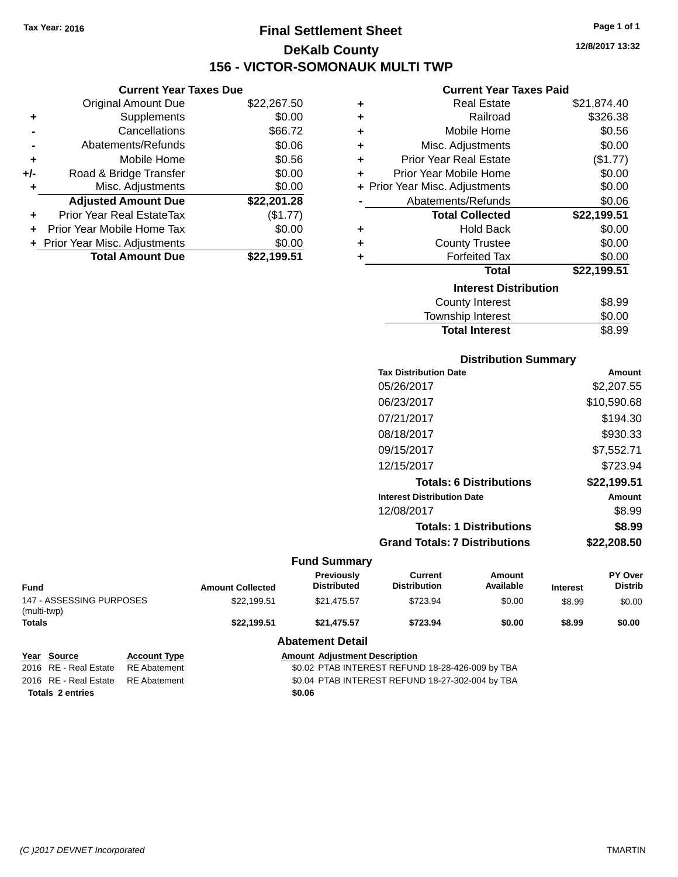# **Final Settlement Sheet Tax Year: 2016 Page 1 of 1 DeKalb County 156 - VICTOR-SOMONAUK MULTI TWP**

**Current Year Taxes Due**

|       | <b>Original Amount Due</b>       | \$22,267.50 |
|-------|----------------------------------|-------------|
| ٠     | Supplements                      | \$0.00      |
|       | Cancellations                    | \$66.72     |
|       | Abatements/Refunds               | \$0.06      |
| ٠     | Mobile Home                      | \$0.56      |
| $+/-$ | Road & Bridge Transfer           | \$0.00      |
| ٠     | Misc. Adjustments                | \$0.00      |
|       | <b>Adjusted Amount Due</b>       | \$22,201.28 |
|       | <b>Prior Year Real EstateTax</b> | (\$1.77)    |
|       | Prior Year Mobile Home Tax       | \$0.00      |
|       | + Prior Year Misc. Adjustments   | \$0.00      |
|       | <b>Total Amount Due</b>          | \$22.199.51 |

|   | <b>Current Year Taxes Paid</b> |             |
|---|--------------------------------|-------------|
|   |                                |             |
| ٠ | <b>Real Estate</b>             | \$21,874.40 |
| ÷ | Railroad                       | \$326.38    |
| ÷ | Mobile Home                    | \$0.56      |
| ÷ | Misc. Adjustments              | \$0.00      |
| ÷ | Prior Year Real Estate         | (\$1.77)    |
| ٠ | Prior Year Mobile Home         | \$0.00      |
|   | + Prior Year Misc. Adjustments | \$0.00      |
|   | Abatements/Refunds             | \$0.06      |
|   | <b>Total Collected</b>         | \$22,199.51 |
| ٠ | <b>Hold Back</b>               | \$0.00      |
| ÷ | <b>County Trustee</b>          | \$0.00      |
| ٠ | <b>Forfeited Tax</b>           | \$0.00      |
|   | <b>Total</b>                   | \$22,199.51 |
|   | <b>Interest Distribution</b>   |             |
|   | <b>County Interest</b>         | \$8.99      |
|   |                                |             |

| <b>Total Interest</b>  | \$8.99 |
|------------------------|--------|
| Township Interest      | \$0.00 |
| <b>COUTTY THICLEST</b> | ⊎ບ.ວວ  |

| <b>Distribution Summary</b> |  |
|-----------------------------|--|
| ate                         |  |

| <b>Tax Distribution Date</b>         | Amount      |
|--------------------------------------|-------------|
| 05/26/2017                           | \$2,207.55  |
| 06/23/2017                           | \$10,590.68 |
| 07/21/2017                           | \$194.30    |
| 08/18/2017                           | \$930.33    |
| 09/15/2017                           | \$7,552.71  |
| 12/15/2017                           | \$723.94    |
| <b>Totals: 6 Distributions</b>       | \$22,199.51 |
| <b>Interest Distribution Date</b>    | Amount      |
| 12/08/2017                           | \$8.99      |
| <b>Totals: 1 Distributions</b>       | \$8.99      |
| <b>Grand Totals: 7 Distributions</b> | \$22,208.50 |
|                                      |             |

|                                         |                                            |                                                                                          | <b>Fund Summary</b>                     |                                |                     |                 |                                  |
|-----------------------------------------|--------------------------------------------|------------------------------------------------------------------------------------------|-----------------------------------------|--------------------------------|---------------------|-----------------|----------------------------------|
| <b>Fund</b>                             |                                            | <b>Amount Collected</b>                                                                  | <b>Previously</b><br><b>Distributed</b> | Current<br><b>Distribution</b> | Amount<br>Available | <b>Interest</b> | <b>PY Over</b><br><b>Distrib</b> |
| 147 - ASSESSING PURPOSES<br>(multi-twp) |                                            | \$22.199.51                                                                              | \$21.475.57                             | \$723.94                       | \$0.00              | \$8.99          | \$0.00                           |
| Totals                                  |                                            | \$22.199.51                                                                              | \$723.94<br>\$21.475.57<br>\$0.00       |                                | \$8.99              | \$0.00          |                                  |
|                                         |                                            |                                                                                          | <b>Abatement Detail</b>                 |                                |                     |                 |                                  |
| Year<br>Source<br>2016 RE - Real Estate | <b>Account Type</b><br><b>RE Abatement</b> | <b>Amount Adjustment Description</b><br>\$0.02 PTAB INTEREST REFUND 18-28-426-009 by TBA |                                         |                                |                     |                 |                                  |

**Totals 2 entries \$0.06**

2016 RE - Real Estate RE Abatement \$0.04 PTAB INTEREST REFUND 18-27-302-004 by TBA

**12/8/2017 13:32**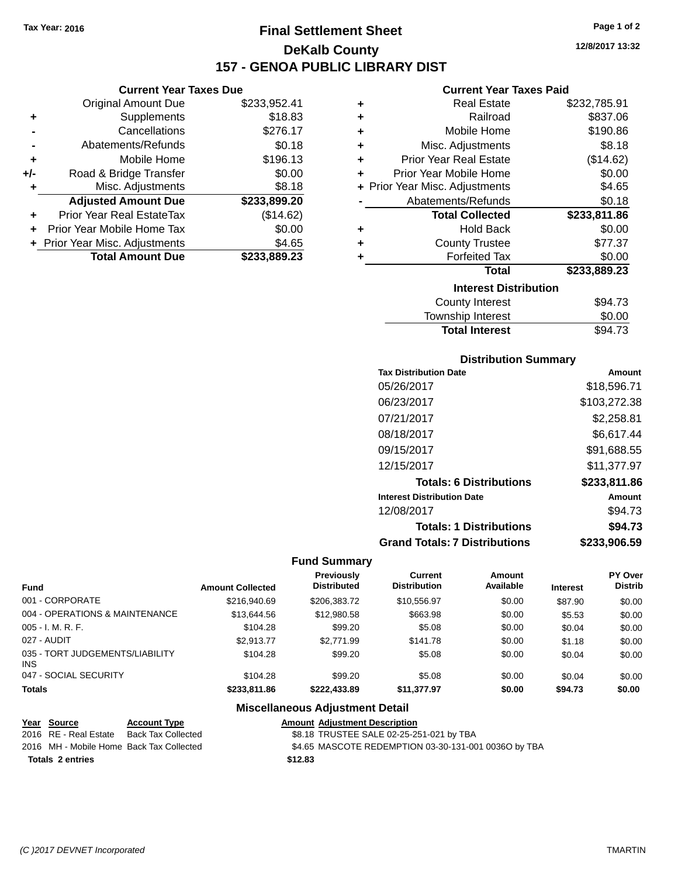# **Final Settlement Sheet Tax Year: 2016 Page 1 of 2 DeKalb County 157 - GENOA PUBLIC LIBRARY DIST**

## **Current Year Taxes Due**

|       | <b>Original Amount Due</b>       | \$233,952.41 |
|-------|----------------------------------|--------------|
| ٠     | Supplements                      | \$18.83      |
|       | Cancellations                    | \$276.17     |
|       | Abatements/Refunds               | \$0.18       |
| ٠     | Mobile Home                      | \$196.13     |
| $+/-$ | Road & Bridge Transfer           | \$0.00       |
| ٠     | Misc. Adjustments                | \$8.18       |
|       | <b>Adjusted Amount Due</b>       | \$233,899.20 |
|       | <b>Prior Year Real EstateTax</b> | (\$14.62)    |
|       | Prior Year Mobile Home Tax       | \$0.00       |
|       | + Prior Year Misc. Adjustments   | \$4.65       |
|       | <b>Total Amount Due</b>          | \$233,889.23 |

### **Current Year Taxes Paid**

| ٠ | <b>Real Estate</b>             | \$232,785.91 |
|---|--------------------------------|--------------|
| ÷ | Railroad                       | \$837.06     |
| ÷ | Mobile Home                    | \$190.86     |
| ÷ | Misc. Adjustments              | \$8.18       |
| ÷ | <b>Prior Year Real Estate</b>  | (\$14.62)    |
| ÷ | Prior Year Mobile Home         | \$0.00       |
|   | + Prior Year Misc. Adjustments | \$4.65       |
|   | Abatements/Refunds             | \$0.18       |
|   |                                |              |
|   | <b>Total Collected</b>         | \$233,811.86 |
| ٠ | <b>Hold Back</b>               | \$0.00       |
| ÷ | <b>County Trustee</b>          | \$77.37      |
| ٠ | <b>Forfeited Tax</b>           | \$0.00       |
|   | <b>Total</b>                   | \$233,889.23 |
|   | <b>Interest Distribution</b>   |              |
|   | County Interest                | \$94.73      |

## **Distribution Summary**

Total Interest \$94.73

| <b>Tax Distribution Date</b>         | Amount       |
|--------------------------------------|--------------|
| 05/26/2017                           | \$18,596.71  |
| 06/23/2017                           | \$103,272.38 |
| 07/21/2017                           | \$2,258.81   |
| 08/18/2017                           | \$6.617.44   |
| 09/15/2017                           | \$91,688.55  |
| 12/15/2017                           | \$11.377.97  |
| <b>Totals: 6 Distributions</b>       | \$233,811.86 |
| <b>Interest Distribution Date</b>    | Amount       |
| 12/08/2017                           | \$94.73      |
| <b>Totals: 1 Distributions</b>       | \$94.73      |
| <b>Grand Totals: 7 Distributions</b> | \$233,906.59 |

## **Fund Summary**

| Fund                                          | <b>Amount Collected</b> | <b>Previously</b><br><b>Distributed</b> | Current<br><b>Distribution</b> | Amount<br>Available | <b>Interest</b> | PY Over<br><b>Distrib</b> |
|-----------------------------------------------|-------------------------|-----------------------------------------|--------------------------------|---------------------|-----------------|---------------------------|
| 001 - CORPORATE                               | \$216,940.69            | \$206,383.72                            | \$10,556.97                    | \$0.00              | \$87.90         | \$0.00                    |
| 004 - OPERATIONS & MAINTENANCE                | \$13,644.56             | \$12,980.58                             | \$663.98                       | \$0.00              | \$5.53          | \$0.00                    |
| $005 - I. M. R. F.$                           | \$104.28                | \$99.20                                 | \$5.08                         | \$0.00              | \$0.04          | \$0.00                    |
| 027 - AUDIT                                   | \$2.913.77              | \$2,771.99                              | \$141.78                       | \$0.00              | \$1.18          | \$0.00                    |
| 035 - TORT JUDGEMENTS/LIABILITY<br><b>INS</b> | \$104.28                | \$99.20                                 | \$5.08                         | \$0.00              | \$0.04          | \$0.00                    |
| 047 - SOCIAL SECURITY                         | \$104.28                | \$99.20                                 | \$5.08                         | \$0.00              | \$0.04          | \$0.00                    |
| <b>Totals</b>                                 | \$233.811.86            | \$222.433.89                            | \$11,377.97                    | \$0.00              | \$94.73         | \$0.00                    |

## **Miscellaneous Adjustment Detail**

| Year Source             | <b>Account Type</b>                      |         | <b>Amount Adjustment Description</b>                 |
|-------------------------|------------------------------------------|---------|------------------------------------------------------|
| 2016 RE - Real Estate   | Back Tax Collected                       |         | \$8.18 TRUSTEE SALE 02-25-251-021 by TBA             |
|                         | 2016 MH - Mobile Home Back Tax Collected |         | \$4.65 MASCOTE REDEMPTION 03-30-131-001 0036O by TBA |
| <b>Totals 2 entries</b> |                                          | \$12.83 |                                                      |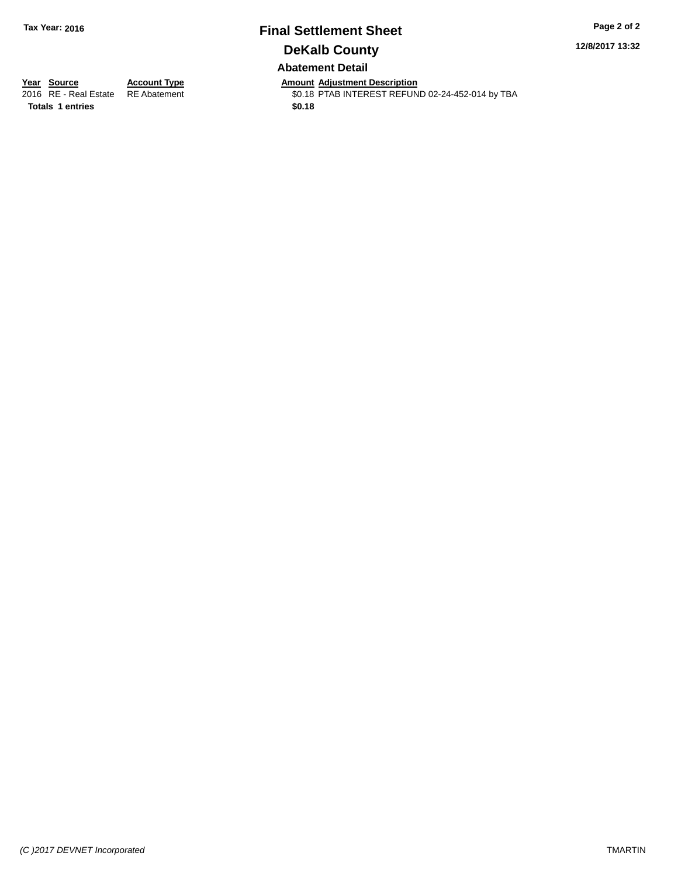# **Final Settlement Sheet Tax Year: 2016 Page 2 of 2 DeKalb County Abatement Detail**

**12/8/2017 13:32**

**Totals 1 entries \$0.18**

**Year Source Account Type Amount Adjustment Description** \$0.18 PTAB INTEREST REFUND 02-24-452-014 by TBA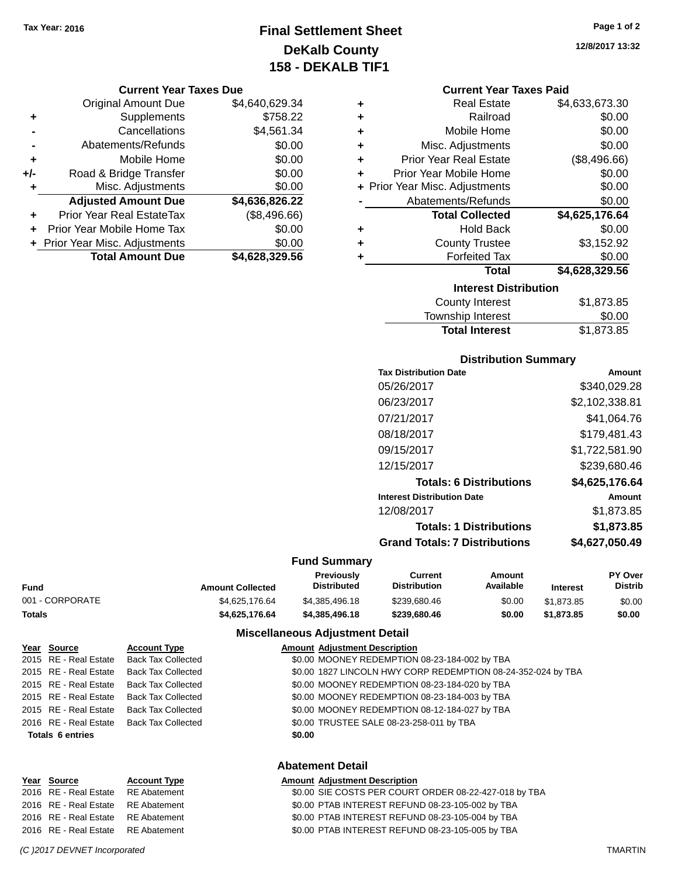# **Final Settlement Sheet Tax Year: 2016 Page 1 of 2 DeKalb County 158 - DEKALB TIF1**

### **Current Year Taxes Due**

|     | <b>Original Amount Due</b>     | \$4,640,629.34 |
|-----|--------------------------------|----------------|
| ٠   | Supplements                    | \$758.22       |
|     | Cancellations                  | \$4,561.34     |
|     | Abatements/Refunds             | \$0.00         |
| ٠   | Mobile Home                    | \$0.00         |
| +/- | Road & Bridge Transfer         | \$0.00         |
| ٠   | Misc. Adjustments              | \$0.00         |
|     | <b>Adjusted Amount Due</b>     | \$4,636,826.22 |
|     | Prior Year Real EstateTax      | (\$8,496.66)   |
|     | Prior Year Mobile Home Tax     | \$0.00         |
|     | + Prior Year Misc. Adjustments | \$0.00         |
|     | <b>Total Amount Due</b>        | \$4,628,329.56 |

### **Current Year Taxes Paid**

| ٠ | <b>Real Estate</b>             | \$4,633,673.30    |
|---|--------------------------------|-------------------|
| ٠ | Railroad                       | \$0.00            |
| ٠ | Mobile Home                    | \$0.00            |
| ٠ | Misc. Adjustments              | \$0.00            |
| ٠ | <b>Prior Year Real Estate</b>  | (\$8,496.66)      |
| ٠ | Prior Year Mobile Home         | \$0.00            |
|   | + Prior Year Misc. Adjustments | \$0.00            |
|   | Abatements/Refunds             | \$0.00            |
|   | <b>Total Collected</b>         | \$4,625,176.64    |
| ٠ | <b>Hold Back</b>               | \$0.00            |
| ٠ | <b>County Trustee</b>          | \$3,152.92        |
| ٠ | <b>Forfeited Tax</b>           | \$0.00            |
|   | <b>Total</b>                   | \$4,628,329.56    |
|   | <b>Interest Distribution</b>   |                   |
|   | County Interest                | <b>ዩ1 ጸ7</b> ዓ ጸ5 |

| <b>Total Interest</b> | \$1,873.85 |
|-----------------------|------------|
| Township Interest     | \$0.00     |
| County Interest       | \$1,873.85 |

## **Distribution Summary**

| <b>Tax Distribution Date</b>         | Amount         |
|--------------------------------------|----------------|
| 05/26/2017                           | \$340,029.28   |
| 06/23/2017                           | \$2,102,338.81 |
| 07/21/2017                           | \$41.064.76    |
| 08/18/2017                           | \$179.481.43   |
| 09/15/2017                           | \$1,722,581.90 |
| 12/15/2017                           | \$239,680.46   |
| <b>Totals: 6 Distributions</b>       | \$4,625,176.64 |
| <b>Interest Distribution Date</b>    | Amount         |
| 12/08/2017                           | \$1,873.85     |
| <b>Totals: 1 Distributions</b>       | \$1,873.85     |
| <b>Grand Totals: 7 Distributions</b> | \$4.627.050.49 |
|                                      |                |

## **Fund Summary**

|                 |                         | Previously<br>Current |                     |           | Amount          |         | <b>PY Over</b> |
|-----------------|-------------------------|-----------------------|---------------------|-----------|-----------------|---------|----------------|
| Fund            | <b>Amount Collected</b> | Distributed           | <b>Distribution</b> | Available | <b>Interest</b> | Distrib |                |
| 001 - CORPORATE | \$4.625.176.64          | \$4.385.496.18        | \$239,680.46        | \$0.00    | \$1,873.85      | \$0.00  |                |
| Totals          | \$4,625,176.64          | \$4,385,496,18        | \$239,680,46        | \$0.00    | \$1,873,85      | \$0.00  |                |

## **Miscellaneous Adjustment Detail**

|                         | Year Source           | <b>Account Type</b>       | <b>Amount Adjustment Description</b>                         |  |  |
|-------------------------|-----------------------|---------------------------|--------------------------------------------------------------|--|--|
|                         | 2015 RE - Real Estate | <b>Back Tax Collected</b> | \$0.00 MOONEY REDEMPTION 08-23-184-002 by TBA                |  |  |
|                         | 2015 RE - Real Estate | <b>Back Tax Collected</b> | \$0.00 1827 LINCOLN HWY CORP REDEMPTION 08-24-352-024 by TBA |  |  |
|                         | 2015 RE - Real Estate | <b>Back Tax Collected</b> | \$0.00 MOONEY REDEMPTION 08-23-184-020 by TBA                |  |  |
|                         | 2015 RE - Real Estate | <b>Back Tax Collected</b> | \$0.00 MOONEY REDEMPTION 08-23-184-003 by TBA                |  |  |
|                         | 2015 RE - Real Estate | <b>Back Tax Collected</b> | \$0.00 MOONEY REDEMPTION 08-12-184-027 by TBA                |  |  |
|                         | 2016 RE - Real Estate | <b>Back Tax Collected</b> | \$0.00 TRUSTEE SALE 08-23-258-011 by TBA                     |  |  |
| Totals 6 entries        |                       |                           | \$0.00                                                       |  |  |
| <b>Abatement Detail</b> |                       |                           |                                                              |  |  |
|                         | Year Source           | <b>Account Type</b>       | <b>Amount Adjustment Description</b>                         |  |  |
|                         | 2016 RE - Real Estate | <b>RE</b> Abatement       | \$0.00 SIE COSTS PER COURT ORDER 08-22-427-018 by TBA        |  |  |
|                         | 2016 RE - Real Estate | <b>RE</b> Abatement       | \$0.00 PTAB INTEREST REFUND 08-23-105-002 by TBA             |  |  |
|                         | 2016 RE - Real Estate | <b>RE</b> Abatement       | \$0.00 PTAB INTEREST REFUND 08-23-105-004 by TBA             |  |  |

2016 RE - Real Estate RE Abatement \$0.00 PTAB INTEREST REFUND 08-23-105-005 by TBA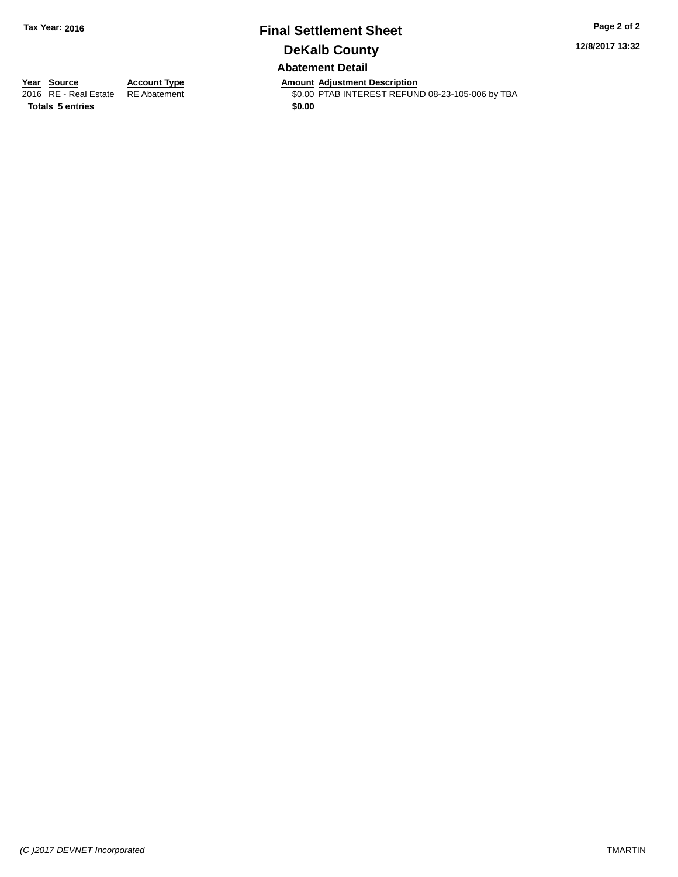## **Final Settlement Sheet Tax Year: 2016 Page 2 of 2 DeKalb County Abatement Detail**

**12/8/2017 13:32**

**Totals 5 entries \$0.00**

**Year Source Account Type Amount Adjustment Description** \$0.00 PTAB INTEREST REFUND 08-23-105-006 by TBA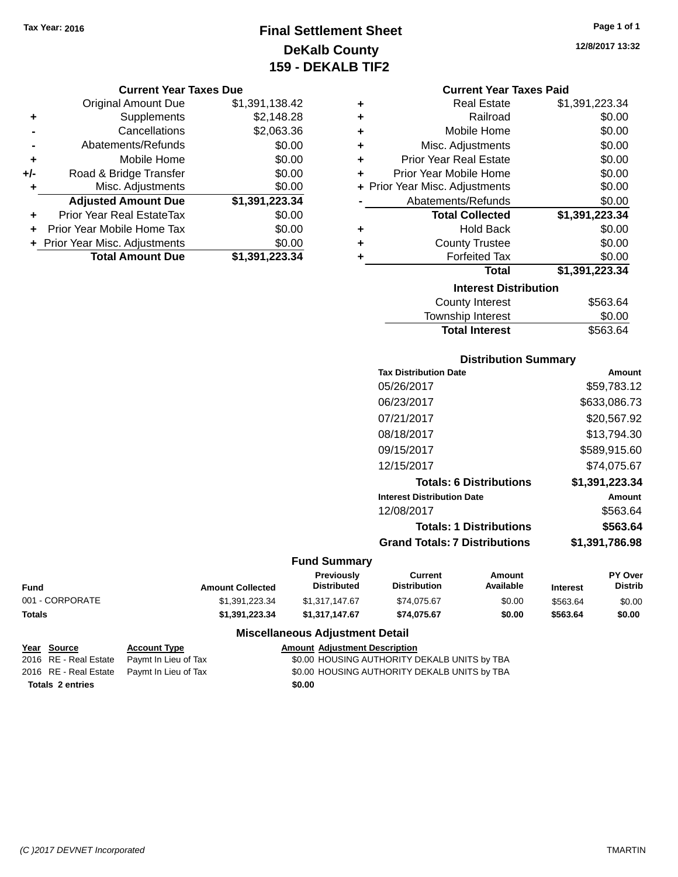# **Final Settlement Sheet Tax Year: 2016 Page 1 of 1 DeKalb County 159 - DEKALB TIF2**

### **Current Year Taxes Due**

|     | <b>Original Amount Due</b>     | \$1,391,138.42 |
|-----|--------------------------------|----------------|
| ٠   | Supplements                    | \$2,148.28     |
|     | Cancellations                  | \$2,063.36     |
|     | Abatements/Refunds             | \$0.00         |
| ٠   | Mobile Home                    | \$0.00         |
| +/- | Road & Bridge Transfer         | \$0.00         |
| ٠   | Misc. Adjustments              | \$0.00         |
|     | <b>Adjusted Amount Due</b>     | \$1,391,223.34 |
| ٠   | Prior Year Real EstateTax      | \$0.00         |
|     | Prior Year Mobile Home Tax     | \$0.00         |
|     | + Prior Year Misc. Adjustments | \$0.00         |
|     | <b>Total Amount Due</b>        | \$1,391,223.34 |

| ٠ | <b>Real Estate</b>                       | \$1,391,223.34 |  |  |  |
|---|------------------------------------------|----------------|--|--|--|
| ٠ | Railroad                                 | \$0.00         |  |  |  |
| ٠ | Mobile Home                              | \$0.00         |  |  |  |
| ٠ | Misc. Adjustments                        | \$0.00         |  |  |  |
| ٠ | \$0.00<br><b>Prior Year Real Estate</b>  |                |  |  |  |
| ٠ | \$0.00<br>Prior Year Mobile Home         |                |  |  |  |
|   | \$0.00<br>+ Prior Year Misc. Adjustments |                |  |  |  |
|   | Abatements/Refunds                       | \$0.00         |  |  |  |
|   | <b>Total Collected</b>                   | \$1,391,223.34 |  |  |  |
| ٠ | <b>Hold Back</b>                         | \$0.00         |  |  |  |
| ٠ | <b>County Trustee</b>                    | \$0.00         |  |  |  |
| ٠ | <b>Forfeited Tax</b>                     | \$0.00         |  |  |  |
|   | Total                                    | \$1,391,223.34 |  |  |  |
|   | <b>Interest Distribution</b>             |                |  |  |  |
|   |                                          |                |  |  |  |

| <b>Total Interest</b> | \$563.64 |
|-----------------------|----------|
| Township Interest     | \$0.00   |
| County Interest       | \$563.64 |

## **Distribution Summary**

| <b>Tax Distribution Date</b>         | Amount         |
|--------------------------------------|----------------|
| 05/26/2017                           | \$59.783.12    |
| 06/23/2017                           | \$633,086.73   |
| 07/21/2017                           | \$20,567.92    |
| 08/18/2017                           | \$13,794.30    |
| 09/15/2017                           | \$589,915.60   |
| 12/15/2017                           | \$74.075.67    |
| <b>Totals: 6 Distributions</b>       | \$1,391,223.34 |
| <b>Interest Distribution Date</b>    | Amount         |
| 12/08/2017                           | \$563.64       |
| <b>Totals: 1 Distributions</b>       | \$563.64       |
| <b>Grand Totals: 7 Distributions</b> | \$1,391,786.98 |
|                                      |                |

## **Fund Summary**

| Fund            | <b>Amount Collected</b> | Previously<br><b>Distributed</b> | Current<br><b>Distribution</b> | Amount<br>Available | Interest | <b>PY Over</b><br>Distrib |
|-----------------|-------------------------|----------------------------------|--------------------------------|---------------------|----------|---------------------------|
| 001 - CORPORATE | \$1.391.223.34          | \$1.317.147.67                   | \$74.075.67                    | \$0.00              | \$563.64 | \$0.00                    |
| Totals          | \$1.391.223.34          | \$1.317.147.67                   | \$74.075.67                    | \$0.00              | \$563.64 | \$0.00                    |

## **Miscellaneous Adjustment Detail**

|                         | Year Source | <b>Account Type</b>                        | <b>Amount Adjustment Description</b>         |
|-------------------------|-------------|--------------------------------------------|----------------------------------------------|
|                         |             | 2016 RE - Real Estate Paymt In Lieu of Tax | \$0.00 HOUSING AUTHORITY DEKALB UNITS by TBA |
|                         |             | 2016 RE - Real Estate Pavmt In Lieu of Tax | \$0.00 HOUSING AUTHORITY DEKALB UNITS by TBA |
| <b>Totals 2 entries</b> |             |                                            | \$0.00                                       |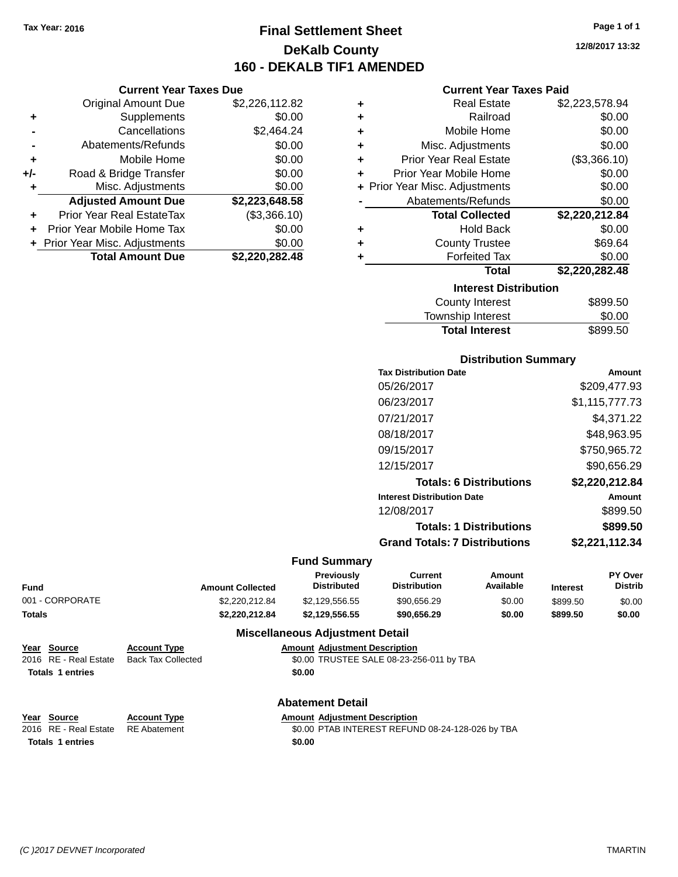**Current Year Taxes Due** Original Amount Due \$2,226,112.82

**Adjusted Amount Due \$2,223,648.58**

**Total Amount Due \$2,220,282.48**

**+** Supplements \$0.00 **-** Cancellations \$2,464.24 **-** Abatements/Refunds \$0.00 **+** Mobile Home \$0.00 **+/-** Road & Bridge Transfer \$0.00 **+** Misc. Adjustments \$0.00

**+** Prior Year Real EstateTax (\$3,366.10) **+** Prior Year Mobile Home Tax \$0.00 **+ Prior Year Misc. Adjustments**  $$0.00$ 

## **Final Settlement Sheet Tax Year: 2016 Page 1 of 1 DeKalb County 160 - DEKALB TIF1 AMENDED**

**12/8/2017 13:32**

#### **Current Year Taxes Paid**

| ٠ | <b>Real Estate</b>             | \$2,223,578.94 |
|---|--------------------------------|----------------|
| ٠ | Railroad                       | \$0.00         |
| ٠ | Mobile Home                    | \$0.00         |
| ÷ | Misc. Adjustments              | \$0.00         |
| ٠ | <b>Prior Year Real Estate</b>  | (\$3,366.10)   |
| ٠ | Prior Year Mobile Home         | \$0.00         |
|   | + Prior Year Misc. Adjustments | \$0.00         |
|   | Abatements/Refunds             | \$0.00         |
|   | <b>Total Collected</b>         | \$2,220,212.84 |
| ٠ | <b>Hold Back</b>               | \$0.00         |
| ٠ | <b>County Trustee</b>          | \$69.64        |
| ٠ | <b>Forfeited Tax</b>           | \$0.00         |
|   | <b>Total</b>                   | \$2,220,282.48 |
|   | <b>Interest Distribution</b>   |                |
|   | <b>County Interest</b>         | \$899.50       |
|   |                                |                |

| <b>Total Interest</b> | \$899.50 |
|-----------------------|----------|
| Township Interest     | \$0.00   |
| County Interest       | \$899.50 |

## **Distribution Summary**

| <b>Tax Distribution Date</b>         | Amount         |
|--------------------------------------|----------------|
| 05/26/2017                           | \$209,477.93   |
| 06/23/2017                           | \$1,115,777.73 |
| 07/21/2017                           | \$4.371.22     |
| 08/18/2017                           | \$48,963.95    |
| 09/15/2017                           | \$750,965.72   |
| 12/15/2017                           | \$90,656.29    |
| <b>Totals: 6 Distributions</b>       | \$2.220.212.84 |
| <b>Interest Distribution Date</b>    | Amount         |
| 12/08/2017                           | \$899.50       |
| <b>Totals: 1 Distributions</b>       | \$899.50       |
| <b>Grand Totals: 7 Distributions</b> | \$2,221,112.34 |
|                                      |                |

#### **Fund Summary**

| Fund            | <b>Amount Collected</b> | Previously<br><b>Distributed</b> | Current<br><b>Distribution</b> | Amount<br>Available | <b>Interest</b> | <b>PY Over</b><br><b>Distrib</b> |
|-----------------|-------------------------|----------------------------------|--------------------------------|---------------------|-----------------|----------------------------------|
| 001 - CORPORATE | \$2,220,212.84          | \$2.129.556.55                   | \$90,656.29                    | \$0.00              | \$899.50        | \$0.00                           |
| Totals          | \$2.220.212.84          | \$2.129.556.55                   | \$90,656.29                    | \$0.00              | \$899.50        | \$0.00                           |

#### **Miscellaneous Adjustment Detail**

| Year Source             | <b>Account Type</b>       |        | <b>Amount Adjustment Description</b>     |
|-------------------------|---------------------------|--------|------------------------------------------|
| 2016 RE - Real Estate   | <b>Back Tax Collected</b> |        | \$0.00 TRUSTEE SALE 08-23-256-011 by TBA |
| <b>Totals 1 entries</b> |                           | \$0.00 |                                          |
|                         |                           |        |                                          |
|                         |                           |        |                                          |

#### **Abatement Detail Year Source Account Type Amount Adjustment Description**

| <b>IGAI JUULUE</b>                 | ACCOUNT IVDE | Allivulli, Aulustillelli Describtion             |
|------------------------------------|--------------|--------------------------------------------------|
| 2016 RE - Real Estate RE Abatement |              | \$0.00 PTAB INTEREST REFUND 08-24-128-026 by TBA |
| <b>Totals 1 entries</b>            |              | \$0.00                                           |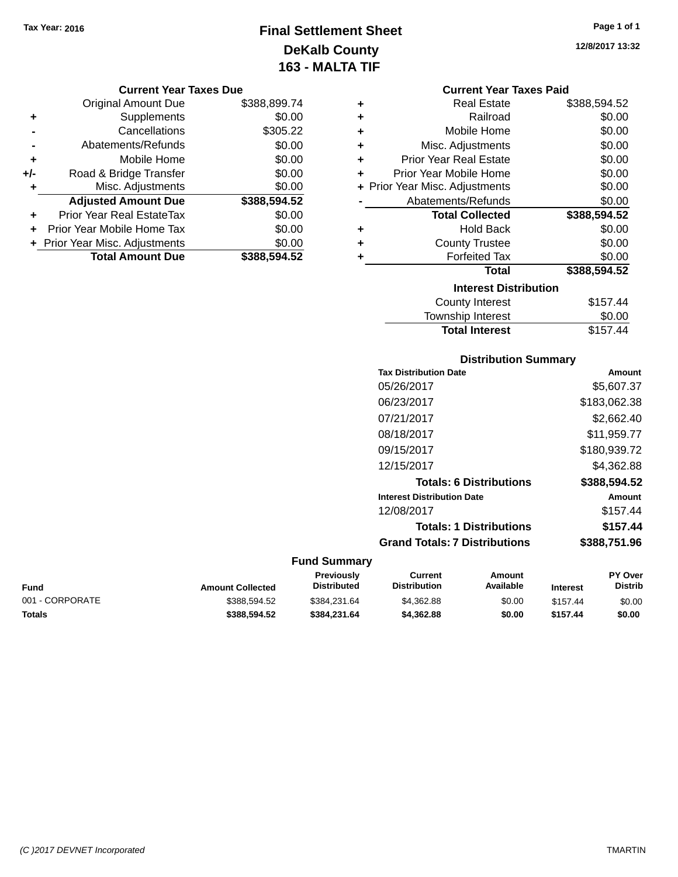## **Final Settlement Sheet Tax Year: 2016 Page 1 of 1 DeKalb County 163 - MALTA TIF**

## **12/8/2017 13:32**

| Current Year Taxes Paid |  |  |
|-------------------------|--|--|
|                         |  |  |

|                    |   |              | YUN YIN TVUL TUAVY PUV         |       |
|--------------------|---|--------------|--------------------------------|-------|
|                    | ٠ | \$388,899.74 | Original Amount Due            |       |
|                    | ٠ | \$0.00       | <b>Supplements</b>             |       |
|                    | ٠ | \$305.22     | Cancellations                  |       |
| Misc.              | ٠ | \$0.00       | Abatements/Refunds             |       |
| <b>Prior Year</b>  | ٠ | \$0.00       | Mobile Home                    |       |
| Prior Year M       |   | \$0.00       | Road & Bridge Transfer         | $+/-$ |
| + Prior Year Misc. |   | \$0.00       | Misc. Adjustments              |       |
| Abateme            |   | \$388,594.52 | <b>Adjusted Amount Due</b>     |       |
| Tot                |   | \$0.00       | Prior Year Real EstateTax      | ÷     |
|                    | ٠ | \$0.00       | Prior Year Mobile Home Tax     |       |
| Co                 | ٠ | \$0.00       | + Prior Year Misc. Adjustments |       |
|                    |   | \$388,594.52 | <b>Total Amount Due</b>        |       |
|                    |   |              |                                |       |
|                    |   |              |                                |       |

**Current Year Taxes Due**

| ٠ | <b>Real Estate</b>             | \$388,594.52 |
|---|--------------------------------|--------------|
| ÷ | Railroad                       | \$0.00       |
| ٠ | Mobile Home                    | \$0.00       |
| ÷ | Misc. Adjustments              | \$0.00       |
| ٠ | <b>Prior Year Real Estate</b>  | \$0.00       |
| ٠ | Prior Year Mobile Home         | \$0.00       |
|   | + Prior Year Misc. Adjustments | \$0.00       |
|   | Abatements/Refunds             | \$0.00       |
|   |                                |              |
|   | <b>Total Collected</b>         | \$388,594.52 |
| ٠ | Hold Back                      | \$0.00       |
| ٠ | <b>County Trustee</b>          | \$0.00       |
| ٠ | <b>Forfeited Tax</b>           | \$0.00       |
|   | Total                          | \$388,594.52 |
|   | <b>Interest Distribution</b>   |              |
|   | <b>County Interest</b>         | \$157.44     |

## **Distribution Summary Tax Distribution Date Amount** 05/26/2017 \$5,607.37 06/23/2017 \$183,062.38 07/21/2017 \$2,662.40 08/18/2017 \$11,959.77 09/15/2017 \$180,939.72 12/15/2017 \$4,362.88 **Totals: 6 Distributions \$388,594.52 Interest Distribution Date Amount** 12/08/2017 \$157.44 **Totals: 1 Distributions \$157.44 Grand Totals: 7 Distributions \$388,751.96**

**Total Interest** \$157.44

#### **Fund Summary**

| Fund            | <b>Amount Collected</b> | <b>Previously</b><br><b>Distributed</b> | Current<br><b>Distribution</b> | Amount<br>Available | <b>Interest</b> | <b>PY Over</b><br><b>Distrib</b> |
|-----------------|-------------------------|-----------------------------------------|--------------------------------|---------------------|-----------------|----------------------------------|
| 001 - CORPORATE | \$388,594.52            | \$384.231.64                            | \$4,362.88                     | \$0.00              | \$157.44        | \$0.00                           |
| Totals          | \$388.594.52            | \$384.231.64                            | \$4,362.88                     | \$0.00              | \$157.44        | \$0.00                           |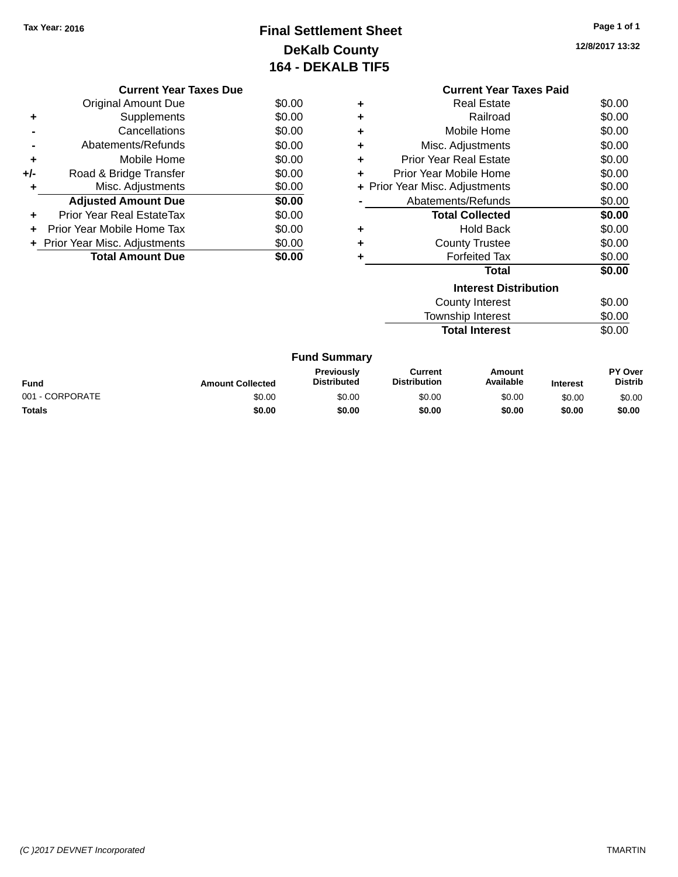## **Final Settlement Sheet Tax Year: 2016 Page 1 of 1 DeKalb County 164 - DEKALB TIF5**

**12/8/2017 13:32**

|     | <b>Current Year Taxes Due</b>  |        |
|-----|--------------------------------|--------|
|     | <b>Original Amount Due</b>     | \$0.00 |
|     | Supplements                    | \$0.00 |
|     | Cancellations                  | \$0.00 |
|     | Abatements/Refunds             | \$0.00 |
| ٠   | Mobile Home                    | \$0.00 |
| +/- | Road & Bridge Transfer         | \$0.00 |
|     | Misc. Adjustments              | \$0.00 |
|     | <b>Adjusted Amount Due</b>     | \$0.00 |
|     | Prior Year Real EstateTax      | \$0.00 |
|     | Prior Year Mobile Home Tax     | \$0.00 |
|     | + Prior Year Misc. Adjustments | \$0.00 |
|     | <b>Total Amount Due</b>        | \$0.00 |
|     |                                |        |

|   | <b>Current Year Taxes Paid</b> |        |
|---|--------------------------------|--------|
| ٠ | Real Estate                    | \$0.00 |
| ٠ | Railroad                       | \$0.00 |
| ٠ | Mobile Home                    | \$0.00 |
| ٠ | Misc. Adjustments              | \$0.00 |
| ٠ | Prior Year Real Estate         | \$0.00 |
| ٠ | Prior Year Mobile Home         | \$0.00 |
|   | + Prior Year Misc. Adjustments | \$0.00 |
|   | Abatements/Refunds             | \$0.00 |
|   | <b>Total Collected</b>         | \$0.00 |
| ٠ | Hold Back                      | \$0.00 |
| ٠ | <b>County Trustee</b>          | \$0.00 |
| ٠ | Forfeited Tax                  | \$0.00 |
|   | Total                          | \$0.00 |
|   | Interest Distribution          |        |
|   | County Interest                | \$0.00 |
|   | Township Interest              | \$0.00 |
|   | <b>Total Interest</b>          | \$0.00 |

| <b>Fund Summary</b> |                         |                                         |                                |                     |                 |                                  |
|---------------------|-------------------------|-----------------------------------------|--------------------------------|---------------------|-----------------|----------------------------------|
| <b>Fund</b>         | <b>Amount Collected</b> | <b>Previously</b><br><b>Distributed</b> | Current<br><b>Distribution</b> | Amount<br>Available | <b>Interest</b> | <b>PY Over</b><br><b>Distrib</b> |
| 001 - CORPORATE     | \$0.00                  | \$0.00                                  | \$0.00                         | \$0.00              | \$0.00          | \$0.00                           |
| <b>Totals</b>       | \$0.00                  | \$0.00                                  | \$0.00                         | \$0.00              | \$0.00          | \$0.00                           |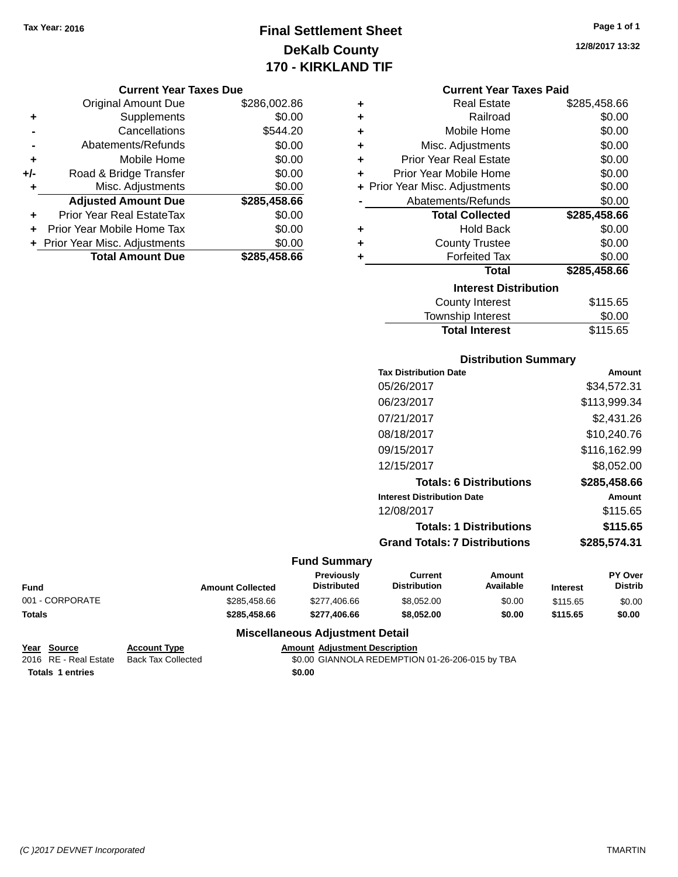## **Final Settlement Sheet Tax Year: 2016 Page 1 of 1 DeKalb County 170 - KIRKLAND TIF**

#### **Current Year Taxes Due**

|       | <b>Total Amount Due</b>        | \$285,458.66 |
|-------|--------------------------------|--------------|
|       | + Prior Year Misc. Adjustments | \$0.00       |
| ٠     | Prior Year Mobile Home Tax     | \$0.00       |
| ٠     | Prior Year Real EstateTax      | \$0.00       |
|       | <b>Adjusted Amount Due</b>     | \$285,458.66 |
|       | Misc. Adjustments              | \$0.00       |
| $+/-$ | Road & Bridge Transfer         | \$0.00       |
| ٠     | Mobile Home                    | \$0.00       |
|       | Abatements/Refunds             | \$0.00       |
|       | Cancellations                  | \$544.20     |
| ٠     | Supplements                    | \$0.00       |
|       | <b>Original Amount Due</b>     | \$286,002.86 |
|       |                                |              |

| ٠ | <b>Real Estate</b>                                                                                              | \$285,458.66 |  |  |  |  |
|---|-----------------------------------------------------------------------------------------------------------------|--------------|--|--|--|--|
| ÷ | Railroad                                                                                                        | \$0.00       |  |  |  |  |
| ٠ | Mobile Home                                                                                                     | \$0.00       |  |  |  |  |
| ٠ | Misc. Adjustments                                                                                               | \$0.00       |  |  |  |  |
| ٠ | <b>Prior Year Real Estate</b>                                                                                   | \$0.00       |  |  |  |  |
| ÷ | Prior Year Mobile Home                                                                                          | \$0.00       |  |  |  |  |
|   | + Prior Year Misc. Adjustments                                                                                  | \$0.00       |  |  |  |  |
|   | Abatements/Refunds                                                                                              | \$0.00       |  |  |  |  |
|   | <b>Total Collected</b>                                                                                          | \$285,458.66 |  |  |  |  |
| ٠ | <b>Hold Back</b>                                                                                                | \$0.00       |  |  |  |  |
| ٠ | <b>County Trustee</b>                                                                                           | \$0.00       |  |  |  |  |
| ٠ | <b>Forfeited Tax</b>                                                                                            | \$0.00       |  |  |  |  |
|   | Total                                                                                                           | \$285,458.66 |  |  |  |  |
|   | <b>Interest Distribution</b>                                                                                    |              |  |  |  |  |
|   | <b>County Interest</b>                                                                                          | \$115.65     |  |  |  |  |
|   | The contract of the contract of the contract of the contract of the contract of the contract of the contract of | ີົ້          |  |  |  |  |

| <b>Total Interest</b> | \$115.65 |
|-----------------------|----------|
| Township Interest     | \$0.00   |
| County Interest       | \$115.65 |

## **Distribution Summary**

| <b>Tax Distribution Date</b>         | Amount       |
|--------------------------------------|--------------|
| 05/26/2017                           | \$34,572.31  |
| 06/23/2017                           | \$113,999.34 |
| 07/21/2017                           | \$2,431.26   |
| 08/18/2017                           | \$10,240.76  |
| 09/15/2017                           | \$116,162.99 |
| 12/15/2017                           | \$8,052.00   |
| <b>Totals: 6 Distributions</b>       | \$285,458.66 |
| <b>Interest Distribution Date</b>    | Amount       |
| 12/08/2017                           | \$115.65     |
| <b>Totals: 1 Distributions</b>       | \$115.65     |
| <b>Grand Totals: 7 Distributions</b> | \$285,574.31 |
|                                      |              |

#### **Fund Summary**

| <b>Fund</b>     | <b>Amount Collected</b> | <b>Previously</b><br><b>Distributed</b> | Current<br><b>Distribution</b> | Amount<br>Available | <b>Interest</b> | <b>PY Over</b><br><b>Distrib</b> |
|-----------------|-------------------------|-----------------------------------------|--------------------------------|---------------------|-----------------|----------------------------------|
| 001 - CORPORATE | \$285,458,66            | \$277,406.66                            | \$8.052.00                     | \$0.00              | \$115.65        | \$0.00                           |
| <b>Totals</b>   | \$285.458.66            | \$277.406.66                            | \$8.052.00                     | \$0.00              | \$115.65        | \$0.00                           |

#### **Miscellaneous Adjustment Detail**

```
Year Source Account Type Amount Adjustment Description
                                    $0.00 GIANNOLA REDEMPTION 01-26-206-015 by TBA
Totals 1 entries $0.00
```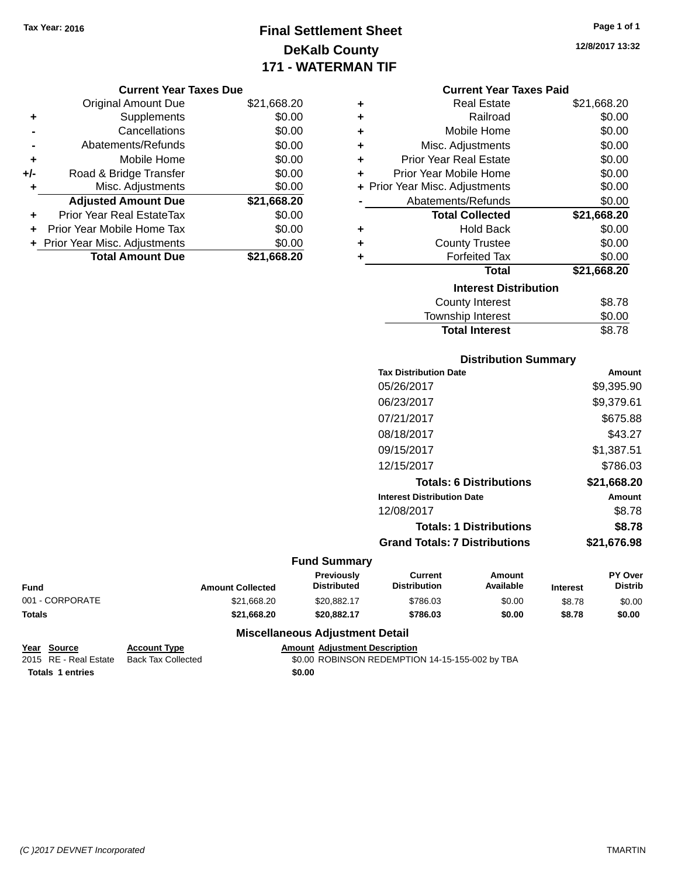## **Final Settlement Sheet Tax Year: 2016 Page 1 of 1 DeKalb County 171 - WATERMAN TIF**

**12/8/2017 13:32**

#### **Current Year Taxes Due**

|       | <b>Original Amount Due</b>       | \$21,668.20 |
|-------|----------------------------------|-------------|
| ٠     | Supplements                      | \$0.00      |
|       | Cancellations                    | \$0.00      |
|       | Abatements/Refunds               | \$0.00      |
| ÷     | Mobile Home                      | \$0.00      |
| $+/-$ | Road & Bridge Transfer           | \$0.00      |
| ۰     | Misc. Adjustments                | \$0.00      |
|       | <b>Adjusted Amount Due</b>       | \$21,668.20 |
|       | <b>Prior Year Real EstateTax</b> | \$0.00      |
|       | Prior Year Mobile Home Tax       | \$0.00      |
|       | + Prior Year Misc. Adjustments   | \$0.00      |
|       | <b>Total Amount Due</b>          | \$21,668.20 |

|   | <b>Current Year Taxes Paid</b> |             |  |  |  |  |
|---|--------------------------------|-------------|--|--|--|--|
| ٠ | <b>Real Estate</b>             | \$21,668.20 |  |  |  |  |
| ٠ | Railroad                       | \$0.00      |  |  |  |  |
| ٠ | Mobile Home                    | \$0.00      |  |  |  |  |
| ٠ | Misc. Adjustments              | \$0.00      |  |  |  |  |
| ÷ | <b>Prior Year Real Estate</b>  | \$0.00      |  |  |  |  |
| ٠ | Prior Year Mobile Home         | \$0.00      |  |  |  |  |
|   | + Prior Year Misc. Adjustments | \$0.00      |  |  |  |  |
|   | Abatements/Refunds             | \$0.00      |  |  |  |  |
|   | <b>Total Collected</b>         | \$21,668.20 |  |  |  |  |
| ٠ | <b>Hold Back</b>               | \$0.00      |  |  |  |  |
| ٠ | <b>County Trustee</b>          | \$0.00      |  |  |  |  |
| ٠ | <b>Forfeited Tax</b>           | \$0.00      |  |  |  |  |
|   | <b>Total</b>                   | \$21,668.20 |  |  |  |  |
|   | <b>Interest Distribution</b>   |             |  |  |  |  |
|   | <b>County Interest</b>         | \$8.78      |  |  |  |  |
|   | <b>Township Interest</b>       | \$0.00      |  |  |  |  |

## **Distribution Summary Tax Distribution Date Amount** 05/26/2017 \$9,395.90 06/23/2017 \$9,379.61 07/21/2017 \$675.88 08/18/2017 \$43.27 09/15/2017 \$1,387.51 12/15/2017 \$786.03 **Totals: 6 Distributions \$21,668.20 Interest Distribution Date Amount** 12/08/2017 \$8.78 **Totals: 1 Distributions \$8.78 Grand Totals: 7 Distributions \$21,676.98**

Total Interest \$8.78

#### **Fund Summary**

| <b>Fund</b>     | <b>Amount Collected</b> | Previously<br><b>Distributed</b> | Current<br><b>Distribution</b> | Amount<br><b>Available</b> | <b>Interest</b> | <b>PY Over</b><br>Distrib |
|-----------------|-------------------------|----------------------------------|--------------------------------|----------------------------|-----------------|---------------------------|
| 001 - CORPORATE | \$21.668.20             | \$20.882.17                      | \$786.03                       | \$0.00                     | \$8.78          | \$0.00                    |
| <b>Totals</b>   | \$21.668.20             | \$20.882.17                      | \$786.03                       | \$0.00                     | \$8.78          | \$0.00                    |

#### **Miscellaneous Adjustment Detail**

```
Year Source Account Type Amount Adjustment Description
                                    $0.00 ROBINSON REDEMPTION 14-15-155-002 by TBA
Totals 1 entries $0.00
```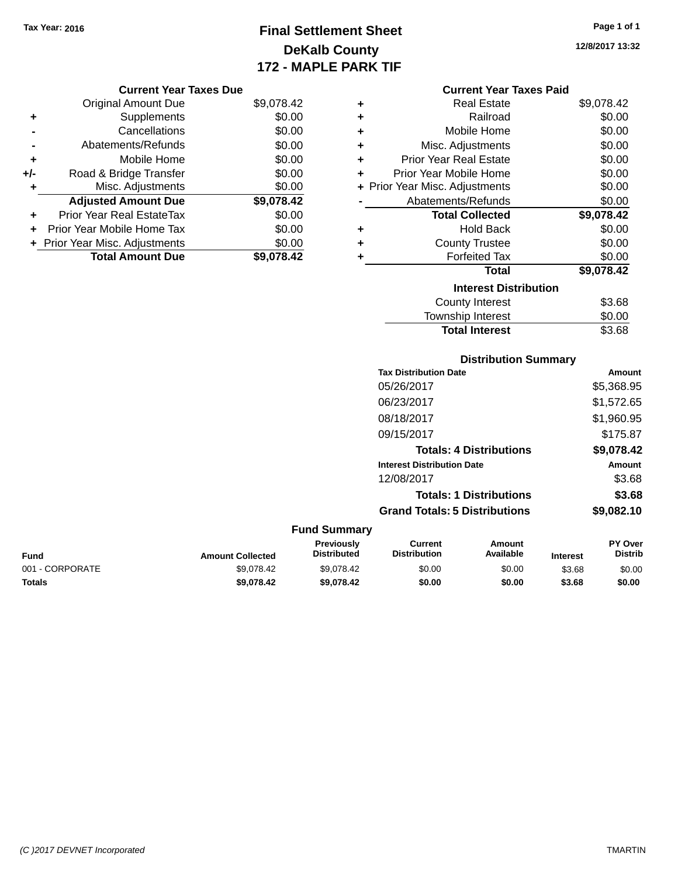## **Final Settlement Sheet Tax Year: 2016 Page 1 of 1 DeKalb County 172 - MAPLE PARK TIF**

**12/8/2017 13:32**

| <b>Current Year Taxes Due</b> |  |  |  |  |
|-------------------------------|--|--|--|--|
|-------------------------------|--|--|--|--|

|       | <b>Original Amount Due</b>     | \$9,078.42 |
|-------|--------------------------------|------------|
| ٠     | Supplements                    | \$0.00     |
|       | Cancellations                  | \$0.00     |
|       | Abatements/Refunds             | \$0.00     |
| ÷     | Mobile Home                    | \$0.00     |
| $+/-$ | Road & Bridge Transfer         | \$0.00     |
| ٠     | Misc. Adjustments              | \$0.00     |
|       | <b>Adjusted Amount Due</b>     | \$9,078.42 |
| ٠     | Prior Year Real EstateTax      | \$0.00     |
|       | Prior Year Mobile Home Tax     | \$0.00     |
|       | + Prior Year Misc. Adjustments | \$0.00     |
|       | <b>Total Amount Due</b>        | \$9,078.42 |

| <b>Current Year Taxes Paid</b> |  |  |
|--------------------------------|--|--|
|                                |  |  |

| ÷ | <b>Real Estate</b>             | \$9,078.42 |
|---|--------------------------------|------------|
| ÷ | Railroad                       | \$0.00     |
| ÷ | Mobile Home                    | \$0.00     |
| ÷ | Misc. Adjustments              | \$0.00     |
| ÷ | Prior Year Real Estate         | \$0.00     |
| ÷ | Prior Year Mobile Home         | \$0.00     |
|   | + Prior Year Misc. Adjustments | \$0.00     |
|   | Abatements/Refunds             | \$0.00     |
|   | <b>Total Collected</b>         | \$9,078.42 |
| ÷ | <b>Hold Back</b>               | \$0.00     |
| ÷ | <b>County Trustee</b>          | \$0.00     |
| ٠ | <b>Forfeited Tax</b>           | \$0.00     |
|   | Total                          | \$9,078.42 |
|   | <b>Interest Distribution</b>   |            |
|   | <b>County Interest</b>         | \$3.68     |
|   | <b>Township Interest</b>       | \$0.00     |
|   | <b>Total Interest</b>          | \$3.68     |

## **Distribution Summary**

| <b>Tax Distribution Date</b>         | Amount        |
|--------------------------------------|---------------|
| 05/26/2017                           | \$5,368.95    |
| 06/23/2017                           | \$1,572.65    |
| 08/18/2017                           | \$1,960.95    |
| 09/15/2017                           | \$175.87      |
| <b>Totals: 4 Distributions</b>       | \$9,078.42    |
| <b>Interest Distribution Date</b>    | <b>Amount</b> |
| 12/08/2017                           | \$3.68        |
| <b>Totals: 1 Distributions</b>       | \$3.68        |
| <b>Grand Totals: 5 Distributions</b> | \$9.082.10    |

## **Fund Summary**

| <b>Fund</b>     | <b>Amount Collected</b> | <b>Previously</b><br><b>Distributed</b> | Current<br><b>Distribution</b> | Amount<br>Available | <b>Interest</b> | <b>PY Over</b><br>Distrib |
|-----------------|-------------------------|-----------------------------------------|--------------------------------|---------------------|-----------------|---------------------------|
| 001 - CORPORATE | \$9.078.42              | \$9.078.42                              | \$0.00                         | \$0.00              | \$3.68          | \$0.00                    |
| <b>Totals</b>   | \$9.078.42              | \$9.078.42                              | \$0.00                         | \$0.00              | \$3.68          | \$0.00                    |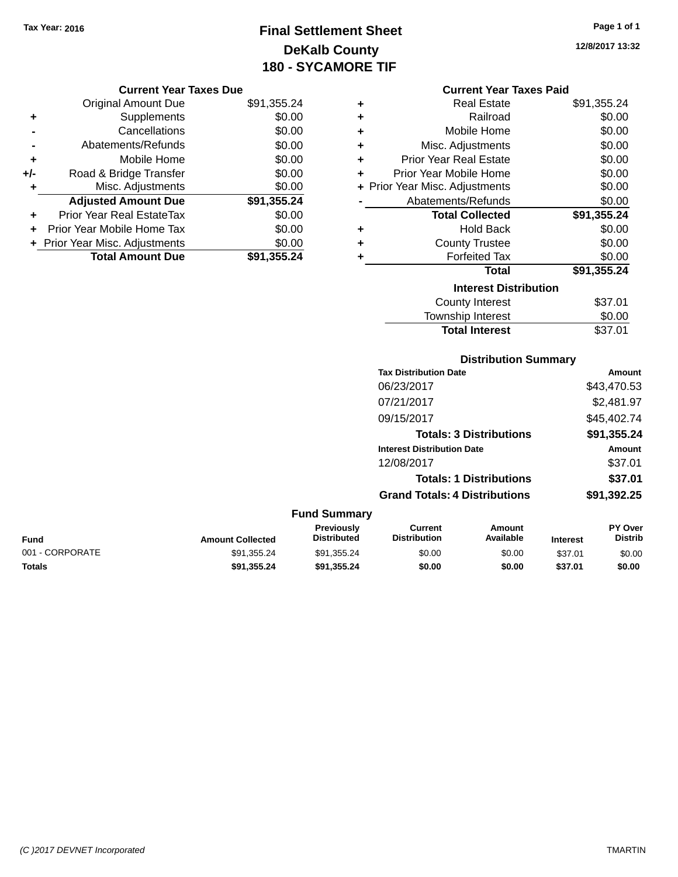## **Final Settlement Sheet Tax Year: 2016 Page 1 of 1 DeKalb County 180 - SYCAMORE TIF**

**12/8/2017 13:32**

#### **Current Year Taxes Due**

|     | <b>Original Amount Due</b>     | \$91,355.24 |
|-----|--------------------------------|-------------|
| ٠   | Supplements                    | \$0.00      |
|     | Cancellations                  | \$0.00      |
|     | Abatements/Refunds             | \$0.00      |
| ÷   | Mobile Home                    | \$0.00      |
| +/- | Road & Bridge Transfer         | \$0.00      |
|     | Misc. Adjustments              | \$0.00      |
|     | <b>Adjusted Amount Due</b>     | \$91,355.24 |
| ٠   | Prior Year Real EstateTax      | \$0.00      |
|     | Prior Year Mobile Home Tax     | \$0.00      |
|     | + Prior Year Misc. Adjustments | \$0.00      |
|     | <b>Total Amount Due</b>        | \$91,355.24 |

#### **Current Year Taxes Paid**

| ٠ | Real Estate                    | \$91,355.24 |
|---|--------------------------------|-------------|
| ٠ | Railroad                       | \$0.00      |
| ÷ | Mobile Home                    | \$0.00      |
| ٠ | Misc. Adjustments              | \$0.00      |
| ٠ | <b>Prior Year Real Estate</b>  | \$0.00      |
| ٠ | Prior Year Mobile Home         | \$0.00      |
|   | + Prior Year Misc. Adjustments | \$0.00      |
|   | Abatements/Refunds             | \$0.00      |
|   | <b>Total Collected</b>         | \$91,355.24 |
| ٠ | <b>Hold Back</b>               | \$0.00      |
| ٠ | <b>County Trustee</b>          | \$0.00      |
| ٠ | <b>Forfeited Tax</b>           | \$0.00      |
|   | <b>Total</b>                   | \$91,355.24 |
|   | <b>Interest Distribution</b>   |             |
|   | <b>County Interest</b>         | \$37.01     |
|   | <b>Township Interest</b>       | \$0.00      |
|   | <b>Total Interest</b>          | \$37.01     |

## **Distribution Summary**

| <b>Tax Distribution Date</b>         | Amount      |
|--------------------------------------|-------------|
| 06/23/2017                           | \$43,470.53 |
| 07/21/2017                           | \$2,481.97  |
| 09/15/2017                           | \$45,402.74 |
| <b>Totals: 3 Distributions</b>       | \$91,355.24 |
| <b>Interest Distribution Date</b>    | Amount      |
| 12/08/2017                           | \$37.01     |
| <b>Totals: 1 Distributions</b>       | \$37.01     |
| <b>Grand Totals: 4 Distributions</b> | \$91,392.25 |

#### **Fund Summary Fund Interest Amount Collected Distributed PY Over Distrib Amount Available Current Distribution Previously** 001 - CORPORATE 60.00 \$91,355.24 \$91,355.24 \$0.00 \$0.00 \$37.01 \$0.00 **Totals \$91,355.24 \$91,355.24 \$0.00 \$0.00 \$37.01 \$0.00**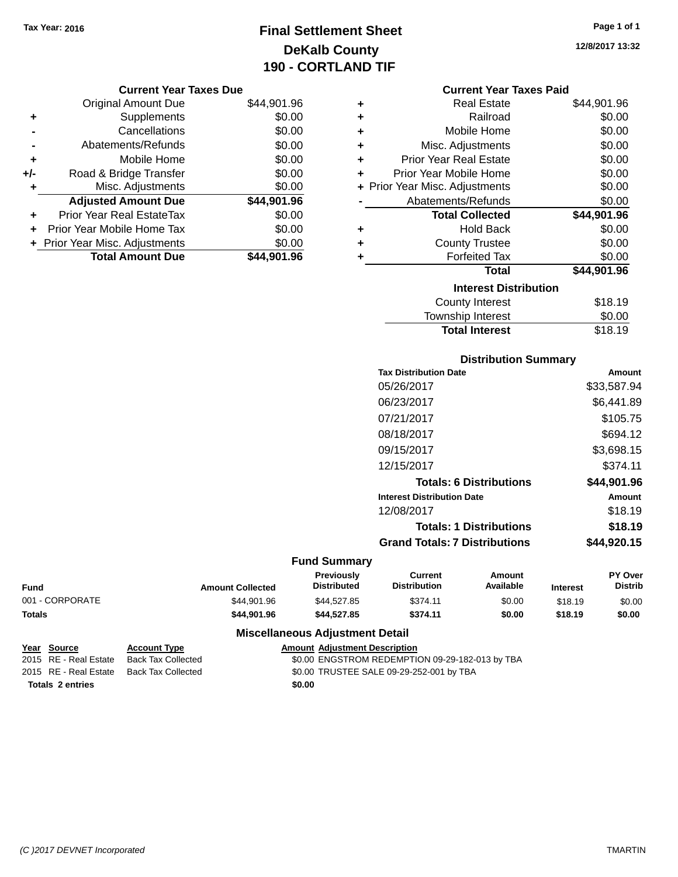## **Final Settlement Sheet Tax Year: 2016 Page 1 of 1 DeKalb County 190 - CORTLAND TIF**

**12/8/2017 13:32**

#### **Current Year Taxes Due**

|     | <b>Original Amount Due</b>       | \$44,901.96 |
|-----|----------------------------------|-------------|
| ٠   | Supplements                      | \$0.00      |
|     | Cancellations                    | \$0.00      |
|     | Abatements/Refunds               | \$0.00      |
| ÷   | Mobile Home                      | \$0.00      |
| +/- | Road & Bridge Transfer           | \$0.00      |
| ٠   | Misc. Adjustments                | \$0.00      |
|     | <b>Adjusted Amount Due</b>       | \$44,901.96 |
|     | <b>Prior Year Real EstateTax</b> | \$0.00      |
|     | Prior Year Mobile Home Tax       | \$0.00      |
|     | + Prior Year Misc. Adjustments   | \$0.00      |
|     | <b>Total Amount Due</b>          | \$44.901.96 |

|   | <b>Current Year Taxes Paid</b> |             |
|---|--------------------------------|-------------|
| ٠ | <b>Real Estate</b>             | \$44,901.96 |
| ٠ | Railroad                       | \$0.00      |
| ÷ | Mobile Home                    | \$0.00      |
| ٠ | Misc. Adjustments              | \$0.00      |
| ٠ | <b>Prior Year Real Estate</b>  | \$0.00      |
| ٠ | Prior Year Mobile Home         | \$0.00      |
|   | + Prior Year Misc. Adjustments | \$0.00      |
|   | Abatements/Refunds             | \$0.00      |
|   | <b>Total Collected</b>         | \$44,901.96 |
| ٠ | <b>Hold Back</b>               | \$0.00      |
| ٠ | <b>County Trustee</b>          | \$0.00      |
| ٠ | <b>Forfeited Tax</b>           | \$0.00      |
|   | <b>Total</b>                   | \$44,901.96 |
|   | <b>Interest Distribution</b>   |             |
|   | <b>County Interest</b>         | \$18.19     |
|   | <b>Township Interest</b>       | \$0.00      |
|   | <b>Total Interest</b>          | \$18.19     |

## **Distribution Summary Tax Distribution Date Amount** 05/26/2017 \$33,587.94 06/23/2017 \$6,441.89 07/21/2017 \$105.75 08/18/2017 \$694.12 09/15/2017 \$3,698.15 12/15/2017 \$374.11 **Totals: 6 Distributions \$44,901.96 Interest Distribution Date Amount** 12/08/2017 \$18.19 **Totals: 1 Distributions \$18.19 Grand Totals: 7 Distributions \$44,920.15**

#### **Fund Summary**

| Fund            | <b>Amount Collected</b> | Previously<br><b>Distributed</b> | Current<br><b>Distribution</b> | Amount<br>Available | <b>Interest</b> | PY Over<br><b>Distrib</b> |
|-----------------|-------------------------|----------------------------------|--------------------------------|---------------------|-----------------|---------------------------|
| 001 - CORPORATE | \$44.901.96             | \$44.527.85                      | \$374.11                       | \$0.00              | \$18.19         | \$0.00                    |
| Totals          | \$44,901.96             | \$44.527.85                      | \$374.11                       | \$0.00              | \$18.19         | \$0.00                    |

## **Miscellaneous Adjustment Detail**

| Year Source             | <b>Account Type</b> |        | <b>Amount Adjustment Description</b>            |
|-------------------------|---------------------|--------|-------------------------------------------------|
| 2015 RE - Real Estate   | Back Tax Collected  |        | \$0.00 ENGSTROM REDEMPTION 09-29-182-013 by TBA |
| 2015 RE - Real Estate   | Back Tax Collected  |        | \$0.00 TRUSTEE SALE 09-29-252-001 by TBA        |
| <b>Totals 2 entries</b> |                     | \$0.00 |                                                 |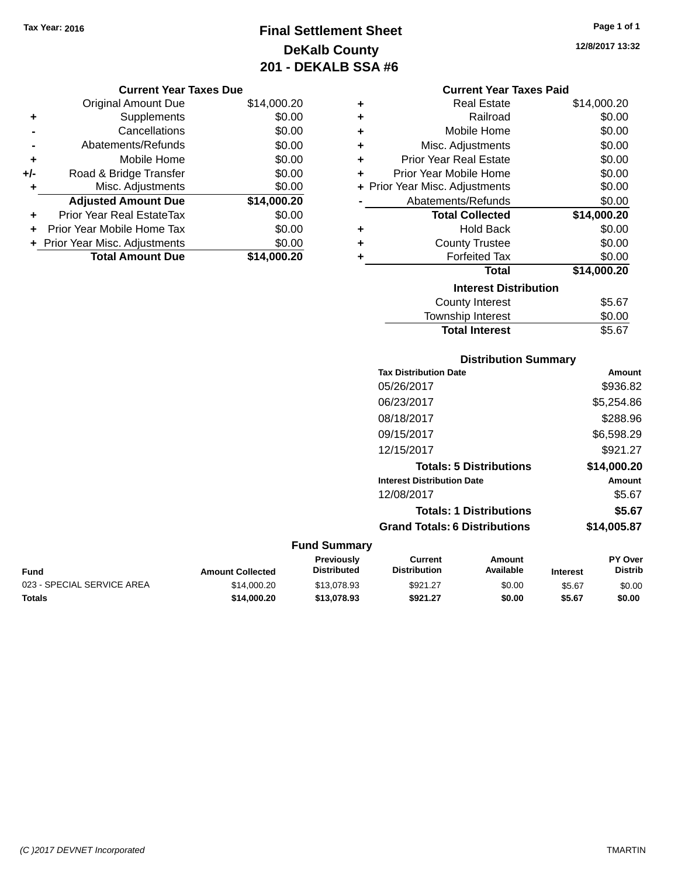## **Final Settlement Sheet Tax Year: 2016 Page 1 of 1 DeKalb County 201 - DEKALB SSA #6**

**12/8/2017 13:32**

## **Current Year Taxes Due**

|     | <b>Original Amount Due</b>       | \$14,000.20 |
|-----|----------------------------------|-------------|
| ٠   | Supplements                      | \$0.00      |
|     | Cancellations                    | \$0.00      |
|     | Abatements/Refunds               | \$0.00      |
| ٠   | Mobile Home                      | \$0.00      |
| +/- | Road & Bridge Transfer           | \$0.00      |
| ٠   | Misc. Adjustments                | \$0.00      |
|     | <b>Adjusted Amount Due</b>       | \$14,000.20 |
|     | <b>Prior Year Real EstateTax</b> | \$0.00      |
|     | Prior Year Mobile Home Tax       | \$0.00      |
|     | + Prior Year Misc. Adjustments   | \$0.00      |
|     | <b>Total Amount Due</b>          | \$14.000.20 |

|   | <b>Current Year Taxes Paid</b> |             |
|---|--------------------------------|-------------|
| ٠ | Real Estate                    | \$14,000.20 |
| ٠ | Railroad                       | \$0.00      |
| ٠ | Mobile Home                    | \$0.00      |
| ٠ | Misc. Adjustments              | \$0.00      |
| ٠ | <b>Prior Year Real Estate</b>  | \$0.00      |
| ٠ | Prior Year Mobile Home         | \$0.00      |
|   | + Prior Year Misc. Adjustments | \$0.00      |
|   | Abatements/Refunds             | \$0.00      |
|   | <b>Total Collected</b>         | \$14,000.20 |
| ٠ | <b>Hold Back</b>               | \$0.00      |
| ٠ | <b>County Trustee</b>          | \$0.00      |
| ٠ | <b>Forfeited Tax</b>           | \$0.00      |
|   | Total                          | \$14,000.20 |
|   | <b>Interest Distribution</b>   |             |
|   | <b>County Interest</b>         | \$5.67      |
|   | <b>Township Interest</b>       | \$0.00      |

Total Interest \$5.67

#### **Distribution Summary Tax Distribution Date Amount** 05/26/2017 \$936.82 06/23/2017 \$5,254.86 08/18/2017 \$288.96 09/15/2017 \$6,598.29 12/15/2017 \$921.27 **Totals: 5 Distributions \$14,000.20 Interest Distribution Date Amount** 12/08/2017 \$5.67 **Totals: 1 Distributions \$5.67 Grand Totals: 6 Distributions \$14,005.87 Fund Summary PY Over Distrib Amount Available Current Distribution Previously Amount Collected Distributed**

| Fund                       | <b>Amount Collected</b> | Distributed | <b>Distribution</b> | Available | <b>Interest</b> | Distrib |
|----------------------------|-------------------------|-------------|---------------------|-----------|-----------------|---------|
| 023 - SPECIAL SERVICE AREA | \$14.000.20             | \$13,078.93 | \$921.27            | \$0.00    | \$5.67          | \$0.00  |
| <b>Totals</b>              | \$14.000.20             | \$13,078,93 | \$921.27            | \$0.00    | \$5.67          | \$0.00  |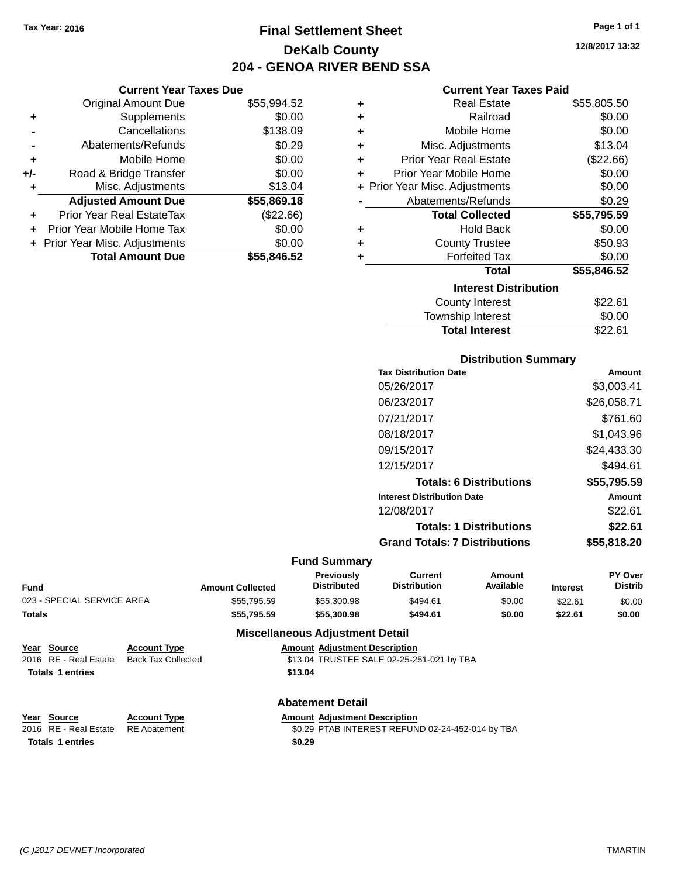**Current Year Taxes Due** Original Amount Due \$55,994.52

**Adjusted Amount Due \$55,869.18**

**Total Amount Due \$55,846.52**

**+** Supplements \$0.00 **-** Cancellations \$138.09 **-** Abatements/Refunds \$0.29 **+** Mobile Home \$0.00 **+/-** Road & Bridge Transfer \$0.00 **+** Misc. Adjustments \$13.04

**+** Prior Year Real EstateTax (\$22.66) **+** Prior Year Mobile Home Tax \$0.00 **+ Prior Year Misc. Adjustments**  $$0.00$ 

## **Final Settlement Sheet Tax Year: 2016 Page 1 of 1 DeKalb County 204 - GENOA RIVER BEND SSA**

## **Current Year Taxes Paid**

| ٠ | <b>Real Estate</b>             | \$55,805.50 |
|---|--------------------------------|-------------|
| ÷ | Railroad                       | \$0.00      |
| ÷ | Mobile Home                    | \$0.00      |
| ÷ | Misc. Adjustments              | \$13.04     |
| ÷ | <b>Prior Year Real Estate</b>  | (\$22.66)   |
| ٠ | Prior Year Mobile Home         | \$0.00      |
|   | + Prior Year Misc. Adjustments | \$0.00      |
|   | Abatements/Refunds             | \$0.29      |
|   | <b>Total Collected</b>         | \$55,795.59 |
| ٠ | <b>Hold Back</b>               | \$0.00      |
| ٠ | <b>County Trustee</b>          | \$50.93     |
| ٠ | <b>Forfeited Tax</b>           | \$0.00      |
|   | <b>Total</b>                   | \$55,846.52 |
|   | <b>Interest Distribution</b>   |             |
|   | <b>County Interest</b>         | \$22.61     |
|   | Township Interest              | \$0.00      |
|   |                                |             |

| <b>Township Interest</b> | \$0.00  |
|--------------------------|---------|
| <b>Total Interest</b>    | \$22.61 |
|                          |         |

| <b>Distribution Summary</b> |  |
|-----------------------------|--|
|-----------------------------|--|

| <b>Tax Distribution Date</b>         | Amount      |
|--------------------------------------|-------------|
| 05/26/2017                           | \$3.003.41  |
| 06/23/2017                           | \$26,058.71 |
| 07/21/2017                           | \$761.60    |
| 08/18/2017                           | \$1,043.96  |
| 09/15/2017                           | \$24,433.30 |
| 12/15/2017                           | \$494.61    |
| <b>Totals: 6 Distributions</b>       | \$55,795.59 |
| <b>Interest Distribution Date</b>    | Amount      |
| 12/08/2017                           | \$22.61     |
| <b>Totals: 1 Distributions</b>       | \$22.61     |
| <b>Grand Totals: 7 Distributions</b> | \$55,818,20 |
|                                      |             |

#### **Fund Summary**

| Fund                       | <b>Amount Collected</b> | <b>Previously</b><br><b>Distributed</b> | Current<br><b>Distribution</b> | Amount<br>Available | <b>Interest</b> | <b>PY Over</b><br><b>Distrib</b> |
|----------------------------|-------------------------|-----------------------------------------|--------------------------------|---------------------|-----------------|----------------------------------|
| 023 - SPECIAL SERVICE AREA | \$55,795.59             | \$55,300.98                             | \$494.61                       | \$0.00              | \$22.61         | \$0.00                           |
| Totals                     | \$55,795.59             | \$55,300.98                             | \$494.61                       | \$0.00              | \$22.61         | \$0.00                           |
|                            |                         |                                         |                                |                     |                 |                                  |

#### **Miscellaneous Adjustment Detail**

|                         | Year Source             | <b>Account Type</b> | <b>Amount Adjustment Description</b>      |
|-------------------------|-------------------------|---------------------|-------------------------------------------|
|                         | 2016 RE - Real Estate   | Back Tax Collected  | \$13.04 TRUSTEE SALE 02-25-251-021 by TBA |
|                         | <b>Totals 1 entries</b> |                     | \$13.04                                   |
| <b>Abatement Detail</b> |                         |                     |                                           |

| Year Source                        | <b>Account Type</b> | <b>Amount Adiustment Description</b>             |
|------------------------------------|---------------------|--------------------------------------------------|
| 2016 RE - Real Estate RE Abatement |                     | \$0.29 PTAB INTEREST REFUND 02-24-452-014 by TBA |
| <b>Totals 1 entries</b>            |                     | \$0.29                                           |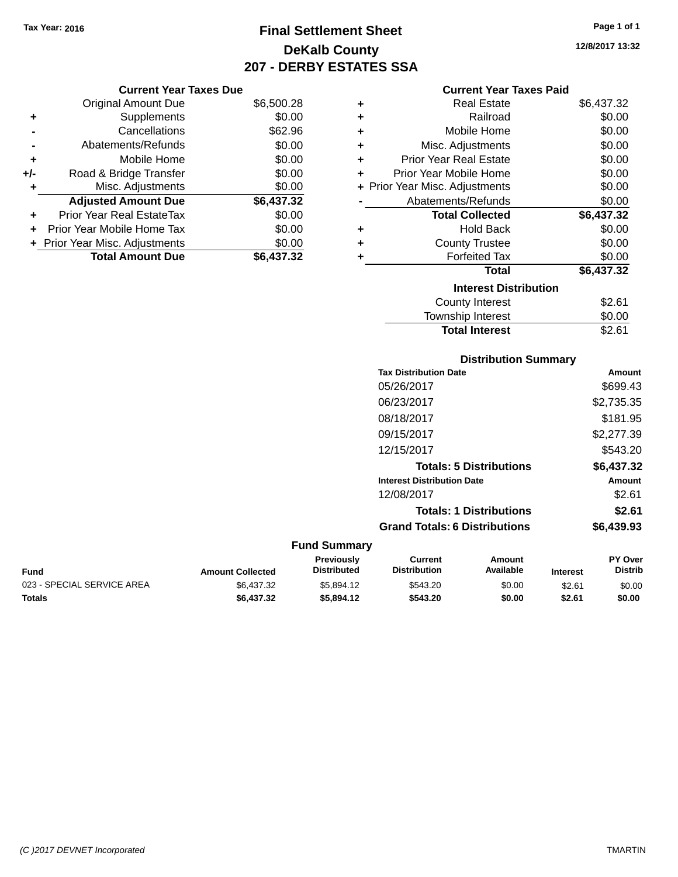## **Final Settlement Sheet Tax Year: 2016 Page 1 of 1 DeKalb County 207 - DERBY ESTATES SSA**

#### **Current Year Taxes Due**

|       | <b>Total Amount Due</b>          | \$6,437.32 |
|-------|----------------------------------|------------|
|       | + Prior Year Misc. Adjustments   | \$0.00     |
|       | Prior Year Mobile Home Tax       | \$0.00     |
| ÷     | <b>Prior Year Real EstateTax</b> | \$0.00     |
|       | <b>Adjusted Amount Due</b>       | \$6,437.32 |
|       | Misc. Adjustments                | \$0.00     |
| $+/-$ | Road & Bridge Transfer           | \$0.00     |
| ÷     | Mobile Home                      | \$0.00     |
|       | Abatements/Refunds               | \$0.00     |
|       | Cancellations                    | \$62.96    |
| ٠     | Supplements                      | \$0.00     |
|       | <b>Original Amount Due</b>       | \$6,500.28 |
|       |                                  |            |

#### **Current Year Taxes Paid**

| ٠ | Real Estate                    | \$6,437.32 |
|---|--------------------------------|------------|
| ٠ | Railroad                       | \$0.00     |
| ٠ | Mobile Home                    | \$0.00     |
| ٠ | Misc. Adjustments              | \$0.00     |
| ٠ | Prior Year Real Estate         | \$0.00     |
| ٠ | Prior Year Mobile Home         | \$0.00     |
|   | + Prior Year Misc. Adjustments | \$0.00     |
|   | Abatements/Refunds             | \$0.00     |
|   | <b>Total Collected</b>         | \$6,437.32 |
| ٠ | <b>Hold Back</b>               | \$0.00     |
| ÷ | <b>County Trustee</b>          | \$0.00     |
| ٠ | <b>Forfeited Tax</b>           | \$0.00     |
|   | <b>Total</b>                   | \$6,437.32 |
|   | <b>Interest Distribution</b>   |            |
|   | County Interest                | \$2.61     |
|   | <b>Township Interest</b>       | \$0.00     |
|   | <b>Total Interest</b>          | \$2.61     |

## **Distribution Summary Tax Distribution Date Amount** 05/26/2017 \$699.43 06/23/2017 \$2,735.35 08/18/2017 \$181.95 09/15/2017 \$2,277.39 12/15/2017 \$543.20 **Totals: 5 Distributions \$6,437.32 Interest Distribution Date Amount** 12/08/2017 \$2.61 **Totals: 1 Distributions \$2.61 Grand Totals: 6 Distributions \$6,439.93**

#### **Fund Summary**

| Fund                       | <b>Amount Collected</b> | <b>Previously</b><br>Distributed | Current<br>Distribution | Amount<br>Available | <b>Interest</b> | <b>PY Over</b><br><b>Distrib</b> |
|----------------------------|-------------------------|----------------------------------|-------------------------|---------------------|-----------------|----------------------------------|
| 023 - SPECIAL SERVICE AREA | \$6.437.32              | \$5.894.12                       | \$543.20                | \$0.00              | \$2.61          | \$0.00                           |
| <b>Totals</b>              | \$6,437.32              | \$5.894.12                       | \$543.20                | \$0.00              | \$2.61          | \$0.00                           |

**12/8/2017 13:32**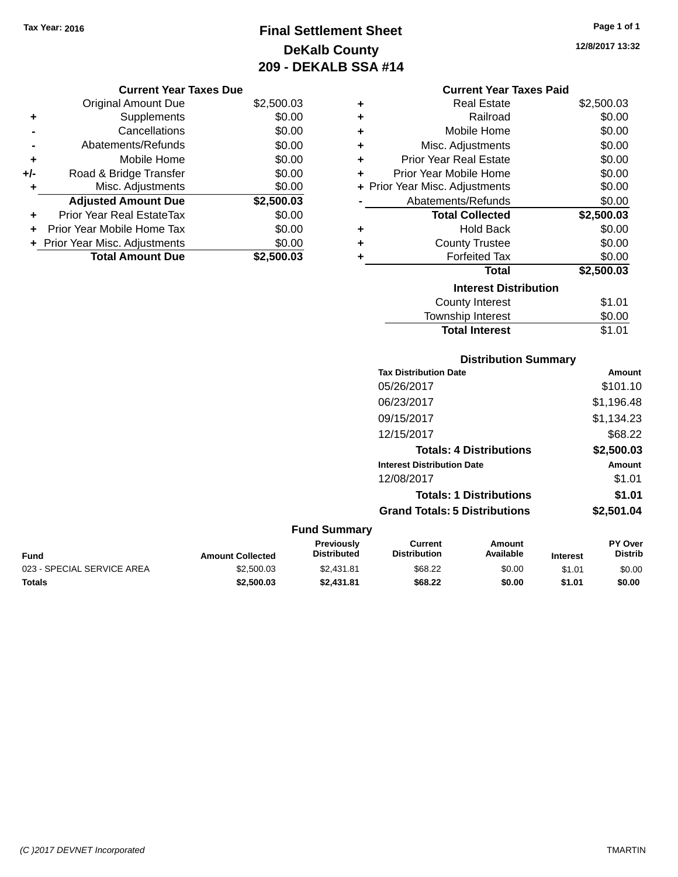## **Final Settlement Sheet Tax Year: 2016 Page 1 of 1 DeKalb County 209 - DEKALB SSA #14**

**12/8/2017 13:32**

| <b>Current Year Taxes Due</b> |      |
|-------------------------------|------|
| Amount Due ו                  | ደን 5 |

|       | <b>Total Amount Due</b>          | \$2,500.03 |  |  |
|-------|----------------------------------|------------|--|--|
|       | + Prior Year Misc. Adjustments   | \$0.00     |  |  |
|       | Prior Year Mobile Home Tax       | \$0.00     |  |  |
| ٠     | <b>Prior Year Real EstateTax</b> | \$0.00     |  |  |
|       | <b>Adjusted Amount Due</b>       | \$2,500.03 |  |  |
| ٠     | Misc. Adjustments                | \$0.00     |  |  |
| $+/-$ | Road & Bridge Transfer           | \$0.00     |  |  |
| ÷     | Mobile Home                      | \$0.00     |  |  |
|       | Abatements/Refunds               | \$0.00     |  |  |
|       | \$0.00<br>Cancellations          |            |  |  |
| ٠     | Supplements                      | \$0.00     |  |  |
|       | <b>Original Amount Due</b>       | \$2,500.03 |  |  |

## **Current Year Taxes Paid**

| ٠ | Real Estate                    | \$2,500.03 |
|---|--------------------------------|------------|
| ÷ | Railroad                       | \$0.00     |
| ÷ | Mobile Home                    | \$0.00     |
| ٠ | Misc. Adjustments              | \$0.00     |
| ÷ | Prior Year Real Estate         | \$0.00     |
| ٠ | Prior Year Mobile Home         | \$0.00     |
|   | + Prior Year Misc. Adjustments | \$0.00     |
|   | Abatements/Refunds             | \$0.00     |
|   | <b>Total Collected</b>         | \$2,500.03 |
| ٠ | Hold Back                      | \$0.00     |
| ٠ | <b>County Trustee</b>          | \$0.00     |
| ÷ | <b>Forfeited Tax</b>           | \$0.00     |
|   | Total                          | \$2,500.03 |
|   | <b>Interest Distribution</b>   |            |
|   | County Interest                | \$1.01     |
|   | <b>Township Interest</b>       | \$0.00     |
|   | <b>Total Interest</b>          | \$1.01     |

## **Distribution Summary**

| <b>Tax Distribution Date</b>         | Amount     |
|--------------------------------------|------------|
| 05/26/2017                           | \$101.10   |
| 06/23/2017                           | \$1,196.48 |
| 09/15/2017                           | \$1,134.23 |
| 12/15/2017                           | \$68.22    |
| <b>Totals: 4 Distributions</b>       | \$2,500.03 |
| <b>Interest Distribution Date</b>    | Amount     |
| 12/08/2017                           | \$1.01     |
| <b>Totals: 1 Distributions</b>       | \$1.01     |
| <b>Grand Totals: 5 Distributions</b> | \$2,501.04 |

## **Fund Summary**

| <b>Fund</b>                | <b>Amount Collected</b> | <b>Previously</b><br><b>Distributed</b> | Current<br><b>Distribution</b> | Amount<br>Available | <b>Interest</b> | <b>PY Over</b><br><b>Distrib</b> |
|----------------------------|-------------------------|-----------------------------------------|--------------------------------|---------------------|-----------------|----------------------------------|
| 023 - SPECIAL SERVICE AREA | \$2,500.03              | \$2,431.81                              | \$68.22                        | \$0.00              | \$1.01          | \$0.00                           |
| <b>Totals</b>              | \$2,500.03              | \$2.431.81                              | \$68.22                        | \$0.00              | \$1.01          | \$0.00                           |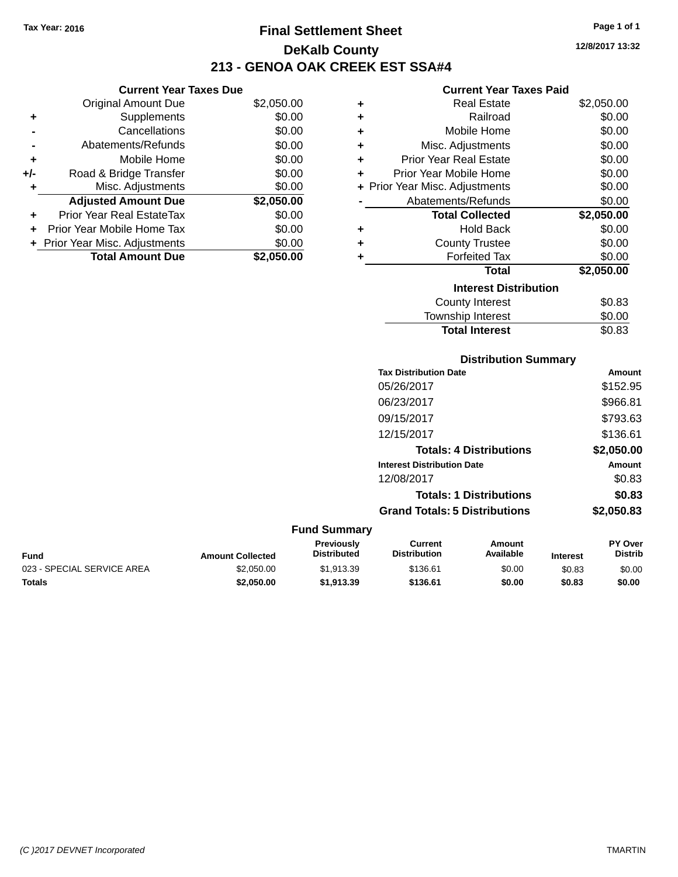**Current Year Taxes Due** Original Amount Due \$2,050.00

**Adjusted Amount Due \$2,050.00**

**Total Amount Due \$2,050.00**

**+** Supplements \$0.00 **-** Cancellations \$0.00 **-** Abatements/Refunds \$0.00 **+** Mobile Home \$0.00 **+/-** Road & Bridge Transfer \$0.00 **+** Misc. Adjustments \$0.00

**+** Prior Year Real EstateTax \$0.00 **+** Prior Year Mobile Home Tax \$0.00 **+** Prior Year Misc. Adjustments  $$0.00$ 

## **Final Settlement Sheet Tax Year: 2016 Page 1 of 1 DeKalb County 213 - GENOA OAK CREEK EST SSA#4**

#### **Current Year Taxes Paid**

| ٠ | Real Estate                    | \$2,050.00 |
|---|--------------------------------|------------|
| ٠ | Railroad                       | \$0.00     |
| ÷ | Mobile Home                    | \$0.00     |
| ÷ | Misc. Adjustments              | \$0.00     |
| ÷ | <b>Prior Year Real Estate</b>  | \$0.00     |
| ÷ | Prior Year Mobile Home         | \$0.00     |
|   | + Prior Year Misc. Adjustments | \$0.00     |
|   | Abatements/Refunds             | \$0.00     |
|   |                                |            |
|   | <b>Total Collected</b>         | \$2,050.00 |
| ٠ | <b>Hold Back</b>               | \$0.00     |
| ٠ | <b>County Trustee</b>          | \$0.00     |
| ٠ | <b>Forfeited Tax</b>           | \$0.00     |
|   | <b>Total</b>                   | \$2,050.00 |
|   | <b>Interest Distribution</b>   |            |
|   | <b>County Interest</b>         | \$0.83     |

**Total Interest** \$0.83

#### **Distribution Summary Tax Distribution Date Amount** 05/26/2017 \$152.95 06/23/2017 \$966.81 09/15/2017 \$793.63 12/15/2017 \$136.61 **Totals: 4 Distributions \$2,050.00 Interest Distribution Date Amount** 12/08/2017 \$0.83 **Totals: 1 Distributions \$0.83 Grand Totals: 5 Distributions \$2,050.83 Fund Summary Fund Interest Amount Collected Distributed PY Over Distrib Amount Available Current Distribution Previously** 023 - SPECIAL SERVICE AREA  $$2,050.00$   $$1,913.39$   $$136.61$  \$0.00 \$0.83 \$0.00

**Totals \$2,050.00 \$1,913.39 \$136.61 \$0.00 \$0.83 \$0.00**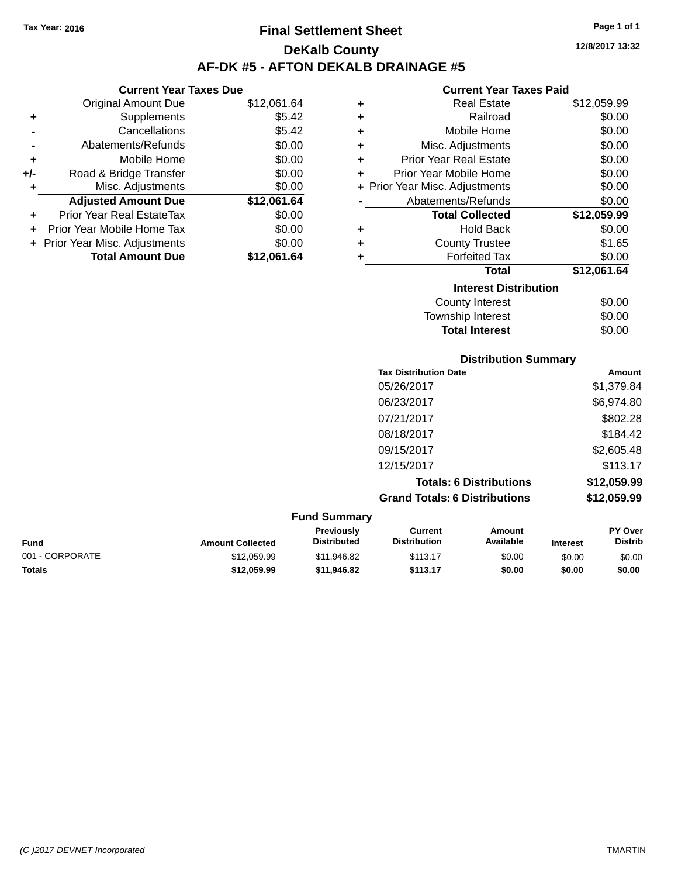## **Final Settlement Sheet Tax Year: 2016 Page 1 of 1 DeKalb County AF-DK #5 - AFTON DEKALB DRAINAGE #5**

## **Current Year Taxes Due** Original Amount Due \$12,061.64 **+** Supplements \$5.42 **-** Cancellations **\$5.42 -** Abatements/Refunds \$0.00 **+** Mobile Home \$0.00 **+/-** Road & Bridge Transfer \$0.00 **+** Misc. Adjustments \$0.00 **Adjusted Amount Due \$12,061.64 +** Prior Year Real EstateTax \$0.00 **+** Prior Year Mobile Home Tax \$0.00 **+** Prior Year Misc. Adjustments  $$0.00$ **Total Amount Due \$12,061.64**

#### **Current Year Taxes Paid +** Real Estate \$12,059.99 **+** Railroad \$0.00 **+** Mobile Home \$0.00 **+** Misc. Adjustments \$0.00 **+** Prior Year Real Estate \$0.00 **+** Prior Year Mobile Home \$0.00 **+** Prior Year Misc. Adjustments  $$0.00$ Abatements/Refunds \$0.00 **Total Collected \$12,059.99 +** Hold Back \$0.00 **+** County Trustee **+** Forfeited Tax \$0.00 **Total \$12,061.64 Interest Distribution** County Interest \$0.00 Township Interest \$0.00 \$1.65

Total Interest \$0.00

| <b>Distribution Summary</b>          |             |
|--------------------------------------|-------------|
| <b>Tax Distribution Date</b>         | Amount      |
| 05/26/2017                           | \$1,379.84  |
| 06/23/2017                           | \$6,974.80  |
| 07/21/2017                           | \$802.28    |
| 08/18/2017                           | \$184.42    |
| 09/15/2017                           | \$2,605.48  |
| 12/15/2017                           | \$113.17    |
| <b>Totals: 6 Distributions</b>       | \$12,059.99 |
| <b>Grand Totals: 6 Distributions</b> | \$12,059.99 |

|                 |                         | <b>Fund Summary</b>                     |                                |                     |                 |                                  |
|-----------------|-------------------------|-----------------------------------------|--------------------------------|---------------------|-----------------|----------------------------------|
| <b>Fund</b>     | <b>Amount Collected</b> | <b>Previously</b><br><b>Distributed</b> | Current<br><b>Distribution</b> | Amount<br>Available | <b>Interest</b> | <b>PY Over</b><br><b>Distrib</b> |
| 001 - CORPORATE | \$12.059.99             | \$11,946.82                             | \$113.17                       | \$0.00              | \$0.00          | \$0.00                           |
| <b>Totals</b>   | \$12,059.99             | \$11,946.82                             | \$113.17                       | \$0.00              | \$0.00          | \$0.00                           |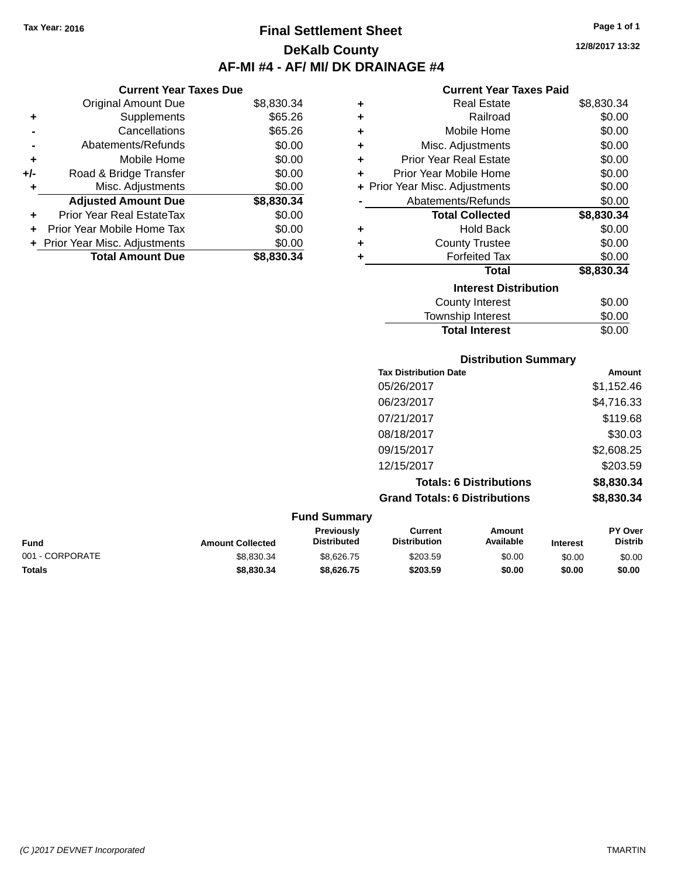**Current Year Taxes Due** Original Amount Due \$8,830.34

**Adjusted Amount Due \$8,830.34**

**Total Amount Due \$8,830.34**

**+** Supplements \$65.26 **-** Cancellations \$65.26 **-** Abatements/Refunds \$0.00 **+** Mobile Home \$0.00 **+/-** Road & Bridge Transfer \$0.00 **+** Misc. Adjustments \$0.00

**+** Prior Year Real EstateTax \$0.00 **+** Prior Year Mobile Home Tax \$0.00 **+ Prior Year Misc. Adjustments**  $$0.00$ 

## **Final Settlement Sheet Tax Year: 2016 Page 1 of 1 DeKalb County AF-MI #4 - AF/ MI/ DK DRAINAGE #4**

**12/8/2017 13:32**

#### **Current Year Taxes Paid**

**Total Interest** \$0.00

| <b>Real Estate</b>             | \$8,830.34 |  |  |  |
|--------------------------------|------------|--|--|--|
| Railroad                       | \$0.00     |  |  |  |
| Mobile Home                    | \$0.00     |  |  |  |
| Misc. Adjustments              | \$0.00     |  |  |  |
| <b>Prior Year Real Estate</b>  | \$0.00     |  |  |  |
| Prior Year Mobile Home         | \$0.00     |  |  |  |
| + Prior Year Misc. Adjustments | \$0.00     |  |  |  |
| Abatements/Refunds             | \$0.00     |  |  |  |
| <b>Total Collected</b>         | \$8,830.34 |  |  |  |
| <b>Hold Back</b>               | \$0.00     |  |  |  |
| <b>County Trustee</b>          | \$0.00     |  |  |  |
| <b>Forfeited Tax</b>           | \$0.00     |  |  |  |
| <b>Total</b>                   | \$8,830.34 |  |  |  |
| <b>Interest Distribution</b>   |            |  |  |  |
| <b>County Interest</b>         | \$0.00     |  |  |  |
| <b>Township Interest</b>       | \$0.00     |  |  |  |
|                                |            |  |  |  |

|                 |                         |                                  |                                       | <b>Distribution Summary</b>    |                 |                           |
|-----------------|-------------------------|----------------------------------|---------------------------------------|--------------------------------|-----------------|---------------------------|
|                 |                         |                                  | <b>Tax Distribution Date</b>          |                                |                 | <b>Amount</b>             |
|                 |                         |                                  | 05/26/2017                            |                                |                 | \$1,152.46                |
|                 |                         |                                  | 06/23/2017                            |                                |                 | \$4,716.33                |
|                 |                         |                                  | 07/21/2017                            |                                |                 | \$119.68                  |
|                 |                         |                                  | 08/18/2017                            |                                |                 | \$30.03                   |
|                 |                         |                                  | 09/15/2017                            |                                |                 | \$2,608.25                |
|                 |                         |                                  | 12/15/2017                            |                                |                 | \$203.59                  |
|                 |                         |                                  |                                       | <b>Totals: 6 Distributions</b> |                 | \$8,830.34                |
|                 |                         |                                  | <b>Grand Totals: 6 Distributions</b>  |                                |                 | \$8,830.34                |
|                 |                         | <b>Fund Summary</b>              |                                       |                                |                 |                           |
| <b>Fund</b>     | <b>Amount Collected</b> | Previously<br><b>Distributed</b> | <b>Current</b><br><b>Distribution</b> | Amount<br>Available            | <b>Interest</b> | PY Over<br><b>Distrib</b> |
| 001 - CORPORATE | \$8,830.34              | \$8,626.75                       | \$203.59                              | \$0.00                         | \$0.00          | \$0.00                    |

**Totals \$8,830.34 \$8,626.75 \$203.59 \$0.00 \$0.00 \$0.00**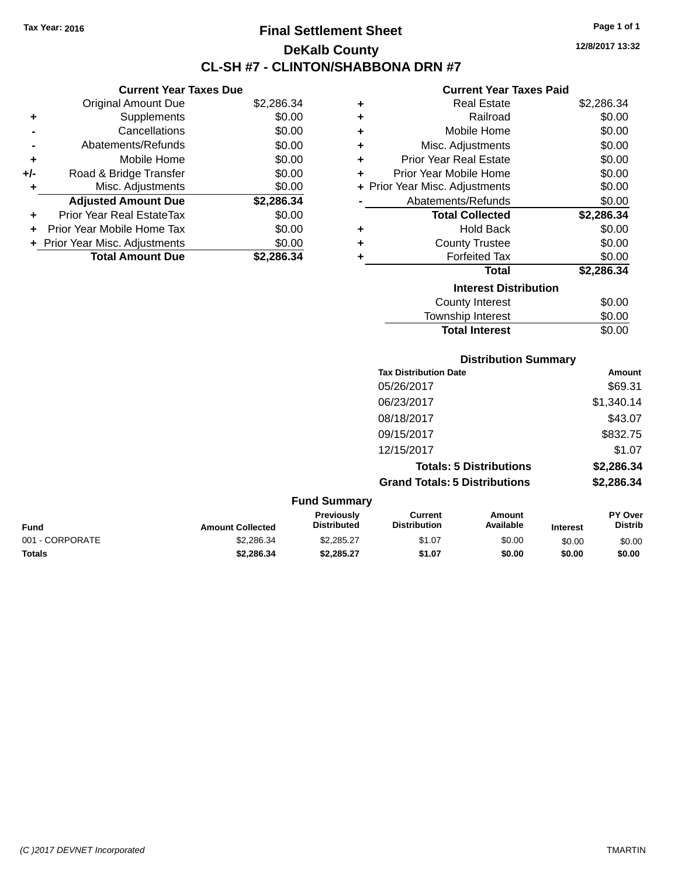## **Final Settlement Sheet Tax Year: 2016 Page 1 of 1 DeKalb County CL-SH #7 - CLINTON/SHABBONA DRN #7**

**12/8/2017 13:32**

#### **Current Year Taxes Paid**

|     | <b>Current Year Taxes Due</b>  |            |  |  |  |  |
|-----|--------------------------------|------------|--|--|--|--|
|     | <b>Original Amount Due</b>     | \$2,286.34 |  |  |  |  |
| ٠   | Supplements                    | \$0.00     |  |  |  |  |
|     | Cancellations                  | \$0.00     |  |  |  |  |
|     | Abatements/Refunds             | \$0.00     |  |  |  |  |
| ٠   | Mobile Home                    | \$0.00     |  |  |  |  |
| +/- | Road & Bridge Transfer         | \$0.00     |  |  |  |  |
| ٠   | Misc. Adjustments              | \$0.00     |  |  |  |  |
|     | <b>Adjusted Amount Due</b>     | \$2,286.34 |  |  |  |  |
| ٠   | Prior Year Real EstateTax      | \$0.00     |  |  |  |  |
|     | Prior Year Mobile Home Tax     | \$0.00     |  |  |  |  |
|     | + Prior Year Misc. Adjustments | \$0.00     |  |  |  |  |
|     | <b>Total Amount Due</b>        | \$2.286.34 |  |  |  |  |

| ٠ | <b>Real Estate</b>             | \$2,286.34 |
|---|--------------------------------|------------|
| ٠ | Railroad                       | \$0.00     |
| ٠ | Mobile Home                    | \$0.00     |
| ٠ | Misc. Adjustments              | \$0.00     |
| ٠ | Prior Year Real Estate         | \$0.00     |
| ٠ | Prior Year Mobile Home         | \$0.00     |
|   | + Prior Year Misc. Adjustments | \$0.00     |
|   | Abatements/Refunds             | \$0.00     |
|   | <b>Total Collected</b>         | \$2,286.34 |
| ٠ | <b>Hold Back</b>               | \$0.00     |
| ٠ | <b>County Trustee</b>          | \$0.00     |
| ٠ | <b>Forfeited Tax</b>           | \$0.00     |
|   | <b>Total</b>                   | \$2,286.34 |
|   | <b>Interest Distribution</b>   |            |
|   | <b>County Interest</b>         | \$0.00     |
|   | <b>Township Interest</b>       | \$0.00     |
|   | <b>Total Interest</b>          | \$0.00     |

**Distribution Summary Tax Distribution Date Amount** 05/26/2017 \$69.31 06/23/2017 \$1,340.14 08/18/2017 \$43.07 09/15/2017 \$832.75 12/15/2017 \$1.07 **Totals: 5 Distributions \$2,286.34 Grand Totals: 5 Distributions \$2,286.34**

| <b>Fund Summary</b> |                         |                                         |                                |                     |                 |                           |
|---------------------|-------------------------|-----------------------------------------|--------------------------------|---------------------|-----------------|---------------------------|
| Fund                | <b>Amount Collected</b> | <b>Previously</b><br><b>Distributed</b> | Current<br><b>Distribution</b> | Amount<br>Available | <b>Interest</b> | PY Over<br><b>Distrib</b> |
| 001 - CORPORATE     | \$2,286.34              | \$2.285.27                              | \$1.07                         | \$0.00              | \$0.00          | \$0.00                    |
| <b>Totals</b>       | \$2,286,34              | \$2.285.27                              | \$1.07                         | \$0.00              | \$0.00          | \$0.00                    |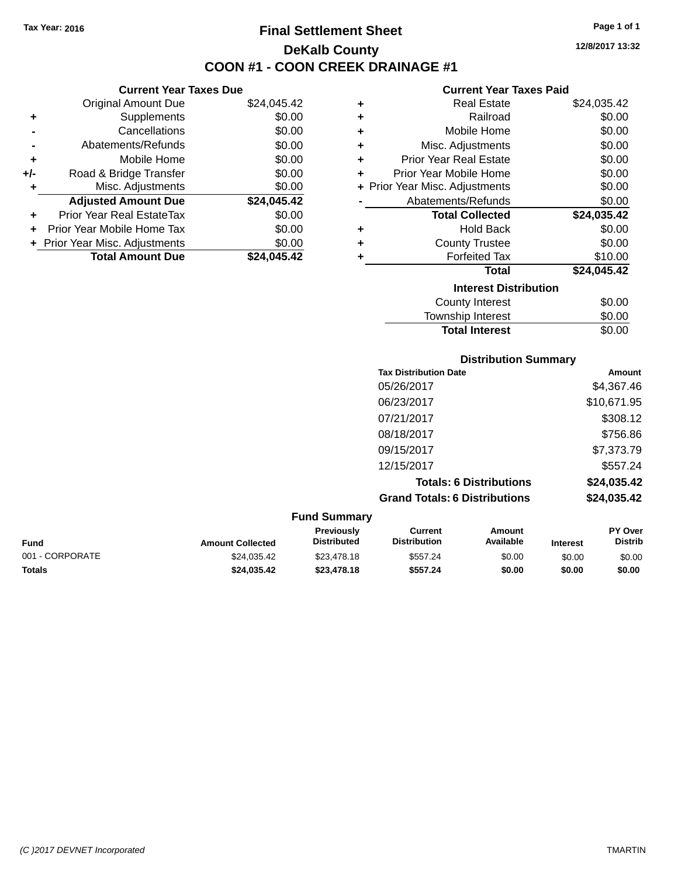**Current Year Taxes Due** Original Amount Due \$24,045.42

**Adjusted Amount Due \$24,045.42**

**Total Amount Due \$24,045.42**

**+** Supplements \$0.00 **-** Cancellations \$0.00 **-** Abatements/Refunds \$0.00 **+** Mobile Home \$0.00 **+/-** Road & Bridge Transfer \$0.00 **+** Misc. Adjustments \$0.00

**+** Prior Year Real EstateTax \$0.00 **+** Prior Year Mobile Home Tax \$0.00 **+ Prior Year Misc. Adjustments**  $$0.00$ 

## **Final Settlement Sheet Tax Year: 2016 Page 1 of 1 DeKalb County COON #1 - COON CREEK DRAINAGE #1**

**12/8/2017 13:32**

#### **Current Year Taxes Paid**

| ٠ | <b>Real Estate</b>             | \$24,035.42 |
|---|--------------------------------|-------------|
| ÷ | Railroad                       | \$0.00      |
| ÷ | Mobile Home                    | \$0.00      |
| ٠ | Misc. Adjustments              | \$0.00      |
| ÷ | <b>Prior Year Real Estate</b>  | \$0.00      |
| ٠ | Prior Year Mobile Home         | \$0.00      |
|   | + Prior Year Misc. Adjustments | \$0.00      |
|   | Abatements/Refunds             | \$0.00      |
|   | <b>Total Collected</b>         | \$24,035.42 |
| ÷ | <b>Hold Back</b>               | \$0.00      |
| ٠ | <b>County Trustee</b>          | \$0.00      |
| ÷ | <b>Forfeited Tax</b>           | \$10.00     |
|   | <b>Total</b>                   | \$24,045.42 |
|   | <b>Interest Distribution</b>   |             |
|   | <b>County Interest</b>         | \$0.00      |
|   | <b>Township Interest</b>       | \$0.00      |

**Total Interest** \$0.00

|                 |                         |                                  | <b>Distribution Summary</b>           |                                |                 |                           |
|-----------------|-------------------------|----------------------------------|---------------------------------------|--------------------------------|-----------------|---------------------------|
|                 |                         |                                  | <b>Tax Distribution Date</b>          |                                |                 | Amount                    |
|                 |                         |                                  | 05/26/2017                            |                                |                 | \$4,367.46                |
|                 |                         |                                  | 06/23/2017                            |                                |                 | \$10,671.95               |
|                 |                         |                                  | 07/21/2017                            |                                |                 | \$308.12                  |
|                 |                         |                                  | 08/18/2017                            |                                |                 | \$756.86                  |
|                 |                         |                                  | 09/15/2017                            |                                |                 | \$7,373.79                |
|                 |                         |                                  | 12/15/2017                            |                                |                 | \$557.24                  |
|                 |                         |                                  |                                       | <b>Totals: 6 Distributions</b> |                 | \$24,035.42               |
|                 |                         |                                  | <b>Grand Totals: 6 Distributions</b>  |                                |                 | \$24,035.42               |
|                 |                         | <b>Fund Summary</b>              |                                       |                                |                 |                           |
| Fund            | <b>Amount Collected</b> | Previously<br><b>Distributed</b> | <b>Current</b><br><b>Distribution</b> | Amount<br>Available            | <b>Interest</b> | PY Over<br><b>Distrib</b> |
| 001 - CORPORATE | \$24,035.42             | \$23,478.18                      | \$557.24                              | \$0.00                         | \$0.00          | \$0.00                    |

**Totals \$24,035.42 \$23,478.18 \$557.24 \$0.00 \$0.00 \$0.00**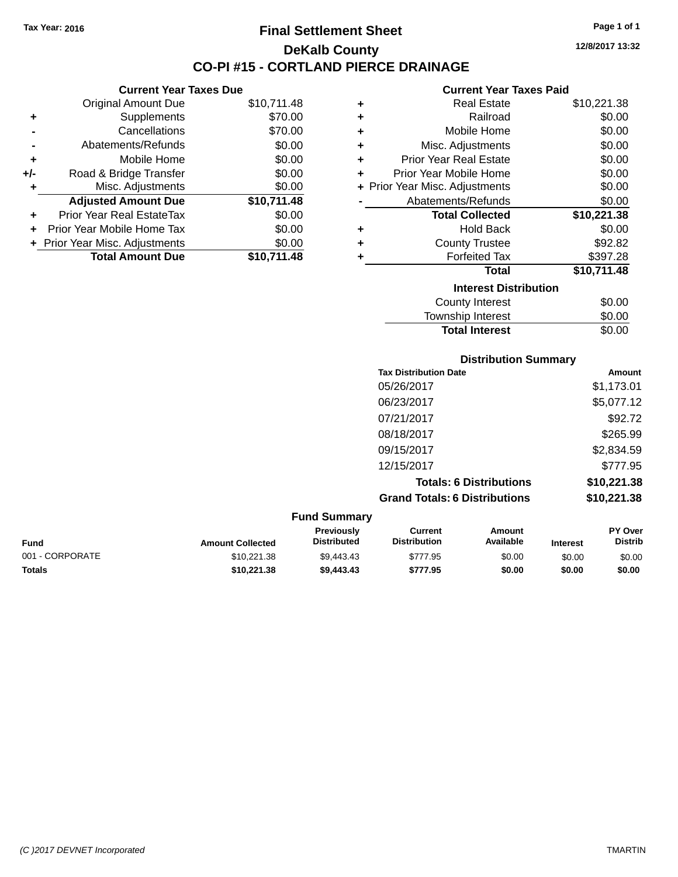**Current Year Taxes Due** Original Amount Due \$10,711.48

**Adjusted Amount Due \$10,711.48**

**Total Amount Due \$10,711.48**

**+** Supplements \$70.00 **-** Cancellations \$70.00 **-** Abatements/Refunds \$0.00 **+** Mobile Home \$0.00 **+/-** Road & Bridge Transfer \$0.00 **+** Misc. Adjustments \$0.00

**+** Prior Year Real EstateTax \$0.00 **+** Prior Year Mobile Home Tax \$0.00 **+ Prior Year Misc. Adjustments**  $$0.00$ 

## **Final Settlement Sheet Tax Year: 2016 Page 1 of 1 DeKalb County CO-PI #15 - CORTLAND PIERCE DRAINAGE**

**12/8/2017 13:32**

#### **Current Year Taxes Paid**

Total Interest \$0.00

| ٠ | <b>Real Estate</b>             | \$10,221.38 |
|---|--------------------------------|-------------|
| ٠ | Railroad                       | \$0.00      |
| ÷ | Mobile Home                    | \$0.00      |
| ÷ | Misc. Adjustments              | \$0.00      |
| ÷ | <b>Prior Year Real Estate</b>  | \$0.00      |
| ÷ | Prior Year Mobile Home         | \$0.00      |
|   | + Prior Year Misc. Adjustments | \$0.00      |
|   | Abatements/Refunds             | \$0.00      |
|   | <b>Total Collected</b>         | \$10,221.38 |
| ٠ | <b>Hold Back</b>               | \$0.00      |
| ٠ | <b>County Trustee</b>          | \$92.82     |
| ٠ | <b>Forfeited Tax</b>           | \$397.28    |
|   | <b>Total</b>                   | \$10,711.48 |
|   | <b>Interest Distribution</b>   |             |
|   | <b>County Interest</b>         | \$0.00      |
|   | <b>Township Interest</b>       | \$0.00      |

|                     |                                      | <b>Distribution Summary</b>    |                |
|---------------------|--------------------------------------|--------------------------------|----------------|
|                     | <b>Tax Distribution Date</b>         |                                | Amount         |
|                     | 05/26/2017                           |                                | \$1,173.01     |
|                     | 06/23/2017                           |                                | \$5,077.12     |
|                     | 07/21/2017                           |                                | \$92.72        |
|                     | 08/18/2017                           |                                | \$265.99       |
|                     | 09/15/2017                           |                                | \$2,834.59     |
|                     | 12/15/2017                           |                                | \$777.95       |
|                     |                                      | <b>Totals: 6 Distributions</b> | \$10,221.38    |
|                     | <b>Grand Totals: 6 Distributions</b> |                                | \$10,221.38    |
| <b>Fund Summary</b> |                                      |                                |                |
| Previously          | <b>Current</b>                       | Amount                         | <b>PY Over</b> |

| <b>Fund</b>     | <b>Amount Collected</b> | <b>Previously</b><br><b>Distributed</b> | Current<br><b>Distribution</b> | Amount<br>Available | <b>Interest</b> | <b>PY Over</b><br><b>Distrib</b> |
|-----------------|-------------------------|-----------------------------------------|--------------------------------|---------------------|-----------------|----------------------------------|
| 001 - CORPORATE | \$10.221.38             | \$9.443.43                              | \$777.95                       | \$0.00              | \$0.00          | \$0.00                           |
| <b>Totals</b>   | \$10.221.38             | \$9,443,43                              | \$777.95                       | \$0.00              | \$0.00          | \$0.00                           |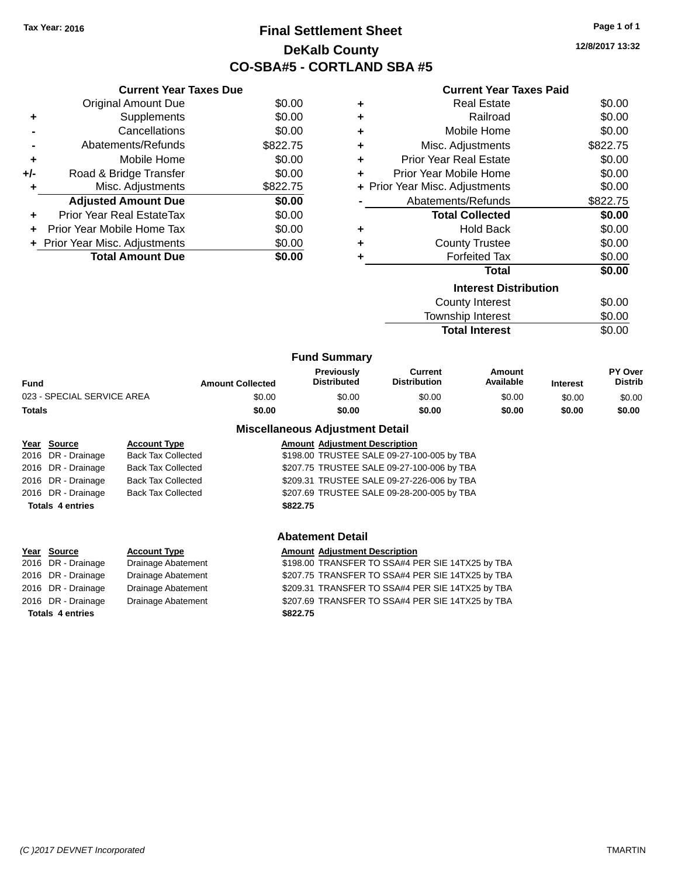## **Final Settlement Sheet Tax Year: 2016 Page 1 of 1 DeKalb County CO-SBA#5 - CORTLAND SBA #5**

**12/8/2017 13:32**

|                | <b>Current Year Taxes Due</b> |          |         |
|----------------|-------------------------------|----------|---------|
|                | <b>Original Amount Due</b>    | \$0.00   | ٠       |
| ٠              | Supplements                   | \$0.00   | ٠       |
| $\blacksquare$ | Cancellations                 | \$0.00   | ٠       |
| $\blacksquare$ | Abatements/Refunds            | \$822.75 | ٠       |
| ٠              | Mobile Home                   | \$0.00   | ٠       |
| $+/-$          | Road & Bridge Transfer        | \$0.00   | ٠       |
| ÷              | Misc. Adjustments             | \$822.75 | + Prior |
|                | <b>Adjusted Amount Due</b>    | \$0.00   |         |

**+** Prior Year Real EstateTax \$0.00 **+** Prior Year Mobile Home Tax \$0.00 **+** Prior Year Misc. Adjustments  $$0.00$ 

**Total Amount Due \$0.00**

## **Current Year Taxes Paid Paral Estate \$0.00 +** Railroad \$0.00

| ÷ | Mobile Home                    | \$0.00   |
|---|--------------------------------|----------|
| ÷ | Misc. Adjustments              | \$822.75 |
| ÷ | <b>Prior Year Real Estate</b>  | \$0.00   |
| ٠ | Prior Year Mobile Home         | \$0.00   |
|   | + Prior Year Misc. Adjustments | \$0.00   |
|   | Abatements/Refunds             | \$822.75 |
|   | <b>Total Collected</b>         | \$0.00   |
| ÷ | <b>Hold Back</b>               | \$0.00   |
| ÷ | <b>County Trustee</b>          | \$0.00   |
| ٠ | <b>Forfeited Tax</b>           | \$0.00   |
|   | Total                          | \$0.00   |
|   | <b>Interest Distribution</b>   |          |
|   | <b>County Interest</b>         | \$0.00   |
|   |                                |          |

| \$0.00 |
|--------|
| \$0.00 |
|        |

| <b>Fund Summary</b>        |                         |                                         |                                |                     |                 |                                  |
|----------------------------|-------------------------|-----------------------------------------|--------------------------------|---------------------|-----------------|----------------------------------|
| Fund                       | <b>Amount Collected</b> | <b>Previously</b><br><b>Distributed</b> | Current<br><b>Distribution</b> | Amount<br>Available | <b>Interest</b> | <b>PY Over</b><br><b>Distrib</b> |
| 023 - SPECIAL SERVICE AREA | \$0.00                  | \$0.00                                  | \$0.00                         | \$0.00              | \$0.00          | \$0.00                           |
| Totals                     | \$0.00                  | \$0.00                                  | \$0.00                         | \$0.00              | \$0.00          | \$0.00                           |
|                            |                         |                                         |                                |                     |                 |                                  |

## **Year Source Account Type Amount Adjustment Description** 2016 DR - Drainage Back Tax Collected \$198.00 TRUSTEE SALE 09-27-100-005 by TBA 2016 DR - Drainage Back Tax Collected \$207.75 TRUSTEE SALE 09-27-100-006 by TBA 2016 DR - Drainage Back Tax Collected \$209.31 TRUSTEE SALE 09-27-226-006 by TBA 2016 DR - Drainage Back Tax Collected \$207.69 TRUSTEE SALE 09-28-200-005 by TBA **Totals 4 entries \$822.75**

# **Year Source Account Type Amount Adjustment Description**

| <b>Totals 4 entries</b> |                    | \$822.75 |
|-------------------------|--------------------|----------|
| 016 DR - Drainage       | Drainage Abatement | \$207.69 |
| 016 DR - Drainage       | Drainage Abatement | \$209.31 |
| 016 DR - Drainage       | Drainage Abatement | \$207.75 |

## **Miscellaneous Adjustment Detail**

## **Abatement Detail**

| Year Source        | <b>Account Type</b> | <b>Amount Adiustment Description</b>             |
|--------------------|---------------------|--------------------------------------------------|
| 2016 DR - Drainage | Drainage Abatement  | \$198.00 TRANSFER TO SSA#4 PER SIE 14TX25 by TBA |

2016 DR - Drainage Drainage Abatement \$207.75 TRANSFER TO SSA#4 PER SIE 14TX25 by TBA 2016 DR - Drainage Drainage Abatement \$209.31 TRANSFER TO SSA#4 PER SIE 14TX25 by TBA 2016 DR - Drainage Drainage Abatement \$207.69 TRANSFER TO SSA#4 PER SIE 14TX25 by TBA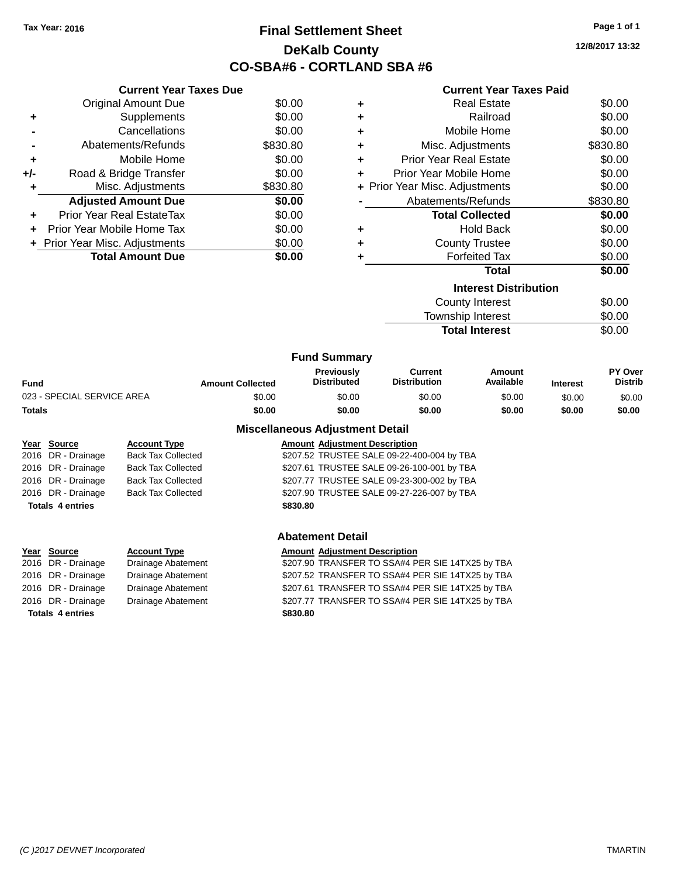## **Final Settlement Sheet Tax Year: 2016 Page 1 of 1 DeKalb County CO-SBA#6 - CORTLAND SBA #6**

**12/8/2017 13:32**

|     | <b>Current Year Taxes Due</b>  |          |
|-----|--------------------------------|----------|
|     | <b>Original Amount Due</b>     | \$0.00   |
| ٠   | Supplements                    | \$0.00   |
|     | Cancellations                  | \$0.00   |
|     | Abatements/Refunds             | \$830.80 |
| ٠   | Mobile Home                    | \$0.00   |
| +/- | Road & Bridge Transfer         | \$0.00   |
| ٠   | Misc. Adjustments              | \$830.80 |
|     | <b>Adjusted Amount Due</b>     | \$0.00   |
| ÷   | Prior Year Real EstateTax      | \$0.00   |
|     | Prior Year Mobile Home Tax     | \$0.00   |
|     | + Prior Year Misc. Adjustments | \$0.00   |
|     | <b>Total Amount Due</b>        | \$0.00   |
|     |                                |          |

## **Current Year Taxes Paid**

| ÷ | <b>Real Estate</b>             | \$0.00   |
|---|--------------------------------|----------|
| ÷ | Railroad                       | \$0.00   |
| ÷ | Mobile Home                    | \$0.00   |
| ٠ | Misc. Adjustments              | \$830.80 |
| ٠ | <b>Prior Year Real Estate</b>  | \$0.00   |
| ÷ | Prior Year Mobile Home         | \$0.00   |
|   | + Prior Year Misc. Adjustments | \$0.00   |
|   | Abatements/Refunds             | \$830.80 |
|   | <b>Total Collected</b>         | \$0.00   |
| ٠ | <b>Hold Back</b>               | \$0.00   |
| ÷ | <b>County Trustee</b>          | \$0.00   |
| ٠ | <b>Forfeited Tax</b>           | \$0.00   |
|   | <b>Total</b>                   | \$0.00   |
|   | <b>Interest Distribution</b>   |          |
|   | County Interest                | \$0.00   |
|   | <b>Township Interest</b>       | \$0.00   |

| טטווטוווא שוויטוויי   | ູນບ.ບບ |
|-----------------------|--------|
| <b>Total Interest</b> | \$0.00 |

|                            |                         | <b>Fund Summary</b>                     |                                |                            |                 |                                  |
|----------------------------|-------------------------|-----------------------------------------|--------------------------------|----------------------------|-----------------|----------------------------------|
| <b>Fund</b>                | <b>Amount Collected</b> | <b>Previously</b><br><b>Distributed</b> | Current<br><b>Distribution</b> | <b>Amount</b><br>Available | <b>Interest</b> | <b>PY Over</b><br><b>Distrib</b> |
| 023 - SPECIAL SERVICE AREA | \$0.00                  | \$0.00                                  | \$0.00                         | \$0.00                     | \$0.00          | \$0.00                           |
| Totals                     | \$0.00                  | \$0.00                                  | \$0.00                         | \$0.00                     | \$0.00          | \$0.00                           |
|                            |                         | <b>Miscellaneous Adjustment Detail</b>  |                                |                            |                 |                                  |

## **Year Source Account Type Amount Adjustment Description** 2016 DR - Drainage Back Tax Collected \$207.52 TRUSTEE SALE 09-22-400-004 by TBA 2016 DR - Drainage Back Tax Collected \$207.61 TRUSTEE SALE 09-26-100-001 by TBA 2016 DR - Drainage Back Tax Collected \$207.77 TRUSTEE SALE 09-23-300-002 by TBA 2016 DR - Drainage Back Tax Collected \$207.90 TRUSTEE SALE 09-27-226-007 by TBA **Totals 4 entries \$830.80**

# **Totals 4 entries \$830.80**

#### **Abatement Detail**

#### **Year Source Account Type Amount Adjustment Description** 2016 DR - Drainage Drainage Abatement \$207.90 TRANSFER TO SSA#4 PER SIE 14TX25 by TBA

2016 DR - Drainage Drainage Abatement \$207.52 TRANSFER TO SSA#4 PER SIE 14TX25 by TBA 2016 DR - Drainage Drainage Abatement \$207.61 TRANSFER TO SSA#4 PER SIE 14TX25 by TBA 2016 DR - Drainage Drainage Abatement \$207.77 TRANSFER TO SSA#4 PER SIE 14TX25 by TBA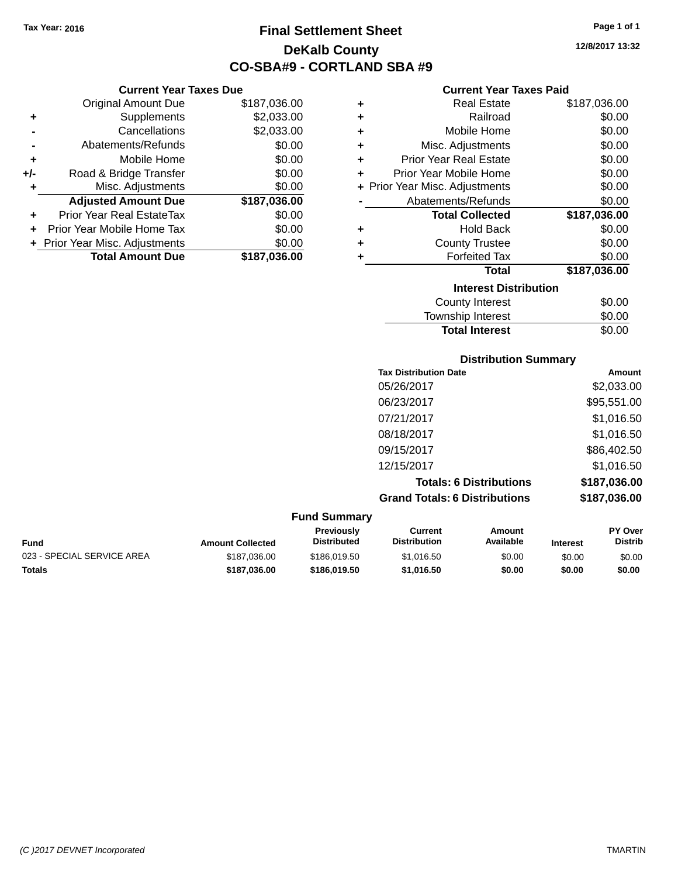**Current Year Taxes Due** Original Amount Due \$187,036.00

**Adjusted Amount Due \$187,036.00**

**+** Supplements \$2,033.00 **-** Cancellations \$2,033.00 **-** Abatements/Refunds \$0.00 **+** Mobile Home \$0.00 **+/-** Road & Bridge Transfer \$0.00 **+** Misc. Adjustments \$0.00

**+** Prior Year Real EstateTax \$0.00 **+** Prior Year Mobile Home Tax \$0.00 **+** Prior Year Misc. Adjustments \$0.00<br> **Total Amount Due** \$187,036.00

**Total Amount Due** 

## **Final Settlement Sheet Tax Year: 2016 Page 1 of 1 DeKalb County CO-SBA#9 - CORTLAND SBA #9**

**12/8/2017 13:32**

#### **Current Year Taxes Paid**

| ٠ | <b>Real Estate</b>             | \$187,036.00 |
|---|--------------------------------|--------------|
| ٠ | Railroad                       | \$0.00       |
| ٠ | Mobile Home                    | \$0.00       |
| ٠ | Misc. Adjustments              | \$0.00       |
| ٠ | <b>Prior Year Real Estate</b>  | \$0.00       |
| ÷ | Prior Year Mobile Home         | \$0.00       |
|   | + Prior Year Misc. Adjustments | \$0.00       |
|   | Abatements/Refunds             | \$0.00       |
|   | <b>Total Collected</b>         | \$187,036.00 |
| ٠ | <b>Hold Back</b>               | \$0.00       |
| ٠ | <b>County Trustee</b>          | \$0.00       |
| ٠ | <b>Forfeited Tax</b>           | \$0.00       |
|   | <b>Total</b>                   | \$187,036.00 |
|   | <b>Interest Distribution</b>   |              |
|   | <b>County Interest</b>         | \$0.00       |
|   |                                | ີົ້          |

| <b>Total Interest</b> | \$0.00 |
|-----------------------|--------|
| Township Interest     | \$0.00 |
| County Interest       | \$0.00 |

## **Distribution Summary**

| <b>Tax Distribution Date</b>         | <b>Amount</b> |
|--------------------------------------|---------------|
| 05/26/2017                           | \$2,033.00    |
| 06/23/2017                           | \$95,551.00   |
| 07/21/2017                           | \$1,016.50    |
| 08/18/2017                           | \$1,016.50    |
| 09/15/2017                           | \$86,402.50   |
| 12/15/2017                           | \$1,016.50    |
| <b>Totals: 6 Distributions</b>       | \$187,036.00  |
| <b>Grand Totals: 6 Distributions</b> | \$187,036.00  |

|                            |                         | <b>Fund Summary</b>                     |                                |                     |                 |                                  |
|----------------------------|-------------------------|-----------------------------------------|--------------------------------|---------------------|-----------------|----------------------------------|
| Fund                       | <b>Amount Collected</b> | <b>Previously</b><br><b>Distributed</b> | Current<br><b>Distribution</b> | Amount<br>Available | <b>Interest</b> | <b>PY Over</b><br><b>Distrib</b> |
| 023 - SPECIAL SERVICE AREA | \$187,036,00            | \$186,019.50                            | \$1.016.50                     | \$0.00              | \$0.00          | \$0.00                           |
| Totals                     | \$187.036.00            | \$186,019.50                            | \$1.016.50                     | \$0.00              | \$0.00          | \$0.00                           |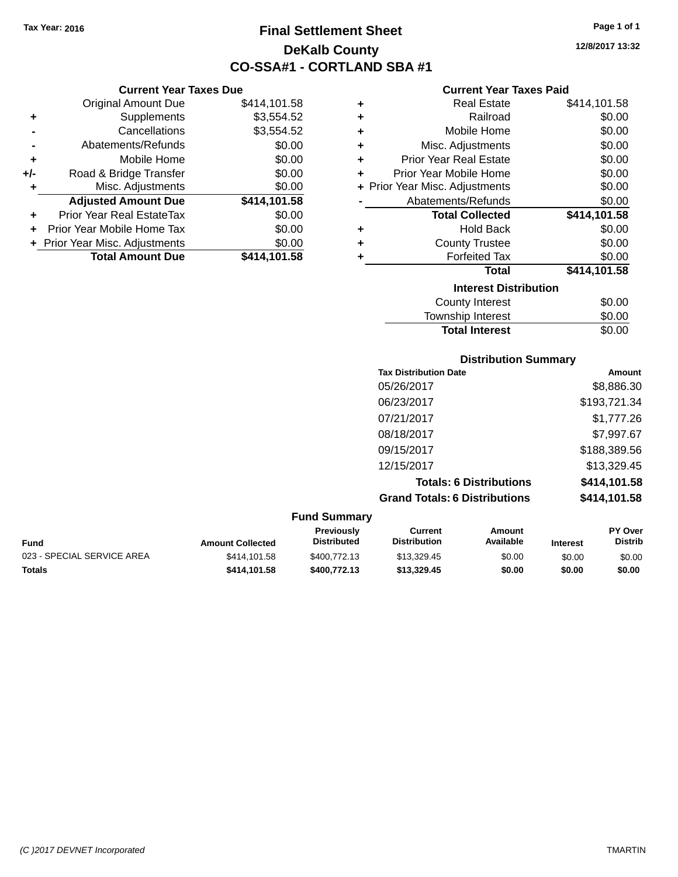**Current Year Taxes Due** Original Amount Due \$414,101.58

**Adjusted Amount Due \$414,101.58**

**Total Amount Due \$414,101.58**

**+** Supplements \$3,554.52 **-** Cancellations \$3,554.52 **-** Abatements/Refunds \$0.00 **+** Mobile Home \$0.00 **+/-** Road & Bridge Transfer \$0.00 **+** Misc. Adjustments \$0.00

**+** Prior Year Real EstateTax \$0.00 **+** Prior Year Mobile Home Tax \$0.00 **+ Prior Year Misc. Adjustments**  $$0.00$ 

## **Final Settlement Sheet Tax Year: 2016 Page 1 of 1 DeKalb County CO-SSA#1 - CORTLAND SBA #1**

**12/8/2017 13:32**

## **Current Year Taxes Paid**

| ٠ | <b>Real Estate</b>             | \$414,101.58 |
|---|--------------------------------|--------------|
| ٠ | Railroad                       | \$0.00       |
| ٠ | Mobile Home                    | \$0.00       |
| ÷ | Misc. Adjustments              | \$0.00       |
| ÷ | <b>Prior Year Real Estate</b>  | \$0.00       |
| ٠ | Prior Year Mobile Home         | \$0.00       |
|   | + Prior Year Misc. Adjustments | \$0.00       |
|   | Abatements/Refunds             | \$0.00       |
|   | <b>Total Collected</b>         | \$414,101.58 |
| ٠ | <b>Hold Back</b>               | \$0.00       |
| ٠ | <b>County Trustee</b>          | \$0.00       |
| ٠ | <b>Forfeited Tax</b>           | \$0.00       |
|   | <b>Total</b>                   | \$414,101.58 |
|   | <b>Interest Distribution</b>   |              |
|   | <b>County Interest</b>         | \$0.00       |
|   | <b>Township Interest</b>       | \$0.00       |

**Total Interest** \$0.00

| <b>Distribution Summary</b>          |              |
|--------------------------------------|--------------|
| <b>Tax Distribution Date</b>         | Amount       |
| 05/26/2017                           | \$8,886.30   |
| 06/23/2017                           | \$193,721.34 |
| 07/21/2017                           | \$1,777.26   |
| 08/18/2017                           | \$7,997.67   |
| 09/15/2017                           | \$188,389.56 |
| 12/15/2017                           | \$13,329.45  |
| <b>Totals: 6 Distributions</b>       | \$414,101.58 |
| <b>Grand Totals: 6 Distributions</b> | \$414,101.58 |
| <b>Fund Summary</b>                  |              |

| Fund                       | <b>Amount Collected</b> | <b>Previously</b><br><b>Distributed</b> | Current<br><b>Distribution</b> | Amount<br>Available | <b>Interest</b> | <b>PY Over</b><br><b>Distrib</b> |  |
|----------------------------|-------------------------|-----------------------------------------|--------------------------------|---------------------|-----------------|----------------------------------|--|
| 023 - SPECIAL SERVICE AREA | \$414.101.58            | \$400,772.13                            | \$13,329.45                    | \$0.00              | \$0.00          | \$0.00                           |  |
| Totals                     | \$414.101.58            | \$400,772.13                            | \$13,329.45                    | \$0.00              | \$0.00          | \$0.00                           |  |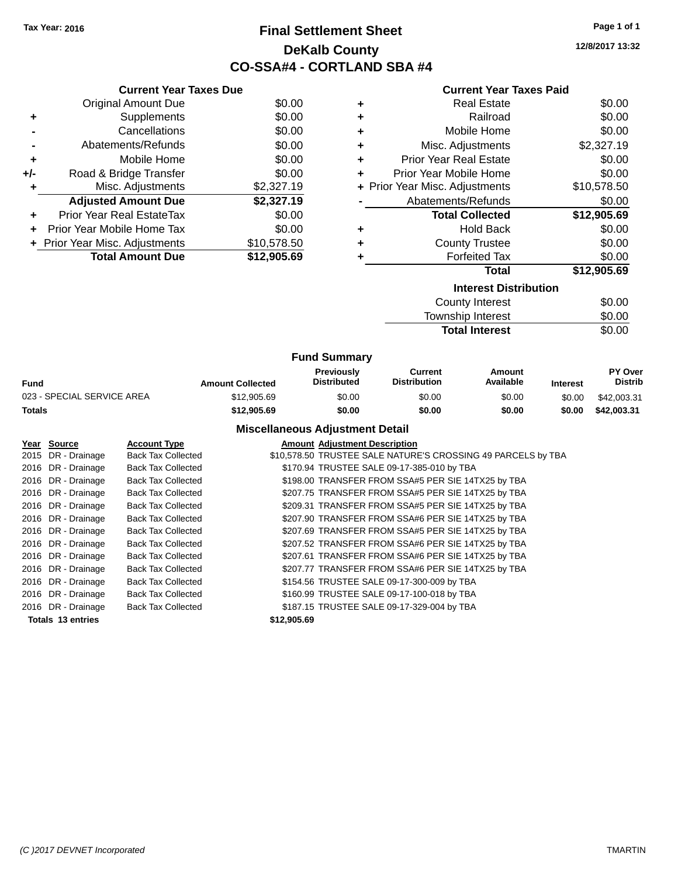## **Final Settlement Sheet Tax Year: 2016 Page 1 of 1 DeKalb County CO-SSA#4 - CORTLAND SBA #4**

|  |  | <b>Current Year Taxes Paid</b> |  |
|--|--|--------------------------------|--|
|  |  |                                |  |

|     | <b>Current Year Taxes Due</b>  |             |
|-----|--------------------------------|-------------|
|     | <b>Original Amount Due</b>     | \$0.00      |
| ٠   | Supplements                    | \$0.00      |
|     | Cancellations                  | \$0.00      |
|     | Abatements/Refunds             | \$0.00      |
| ٠   | Mobile Home                    | \$0.00      |
| +/- | Road & Bridge Transfer         | \$0.00      |
| ٠   | Misc. Adjustments              | \$2,327.19  |
|     | <b>Adjusted Amount Due</b>     | \$2,327.19  |
| ٠   | Prior Year Real EstateTax      | \$0.00      |
| ÷   | Prior Year Mobile Home Tax     | \$0.00      |
|     | + Prior Year Misc. Adjustments | \$10,578.50 |
|     | <b>Total Amount Due</b>        | \$12,905.69 |

| Gurient Tear Taxes Falu        |             |
|--------------------------------|-------------|
| <b>Real Estate</b>             | \$0.00      |
| Railroad                       | \$0.00      |
| Mobile Home                    | \$0.00      |
| Misc. Adjustments              | \$2,327.19  |
| <b>Prior Year Real Estate</b>  | \$0.00      |
| Prior Year Mobile Home         | \$0.00      |
| + Prior Year Misc. Adjustments | \$10,578.50 |
| Abatements/Refunds             | \$0.00      |
| <b>Total Collected</b>         | \$12,905.69 |
| <b>Hold Back</b>               | \$0.00      |
| <b>County Trustee</b>          | \$0.00      |
| <b>Forfeited Tax</b>           | \$0.00      |
| Total                          | \$12,905.69 |
| <b>Interest Distribution</b>   |             |
|                                |             |

| <u>METEST DISTINGUOTI</u> |        |
|---------------------------|--------|
| County Interest           | \$0.00 |
| Township Interest         | \$0.00 |
| <b>Total Interest</b>     | \$0.00 |
|                           |        |

|                            |                         | <b>Fund Summary</b>                     |                                |                     |                 |                                  |
|----------------------------|-------------------------|-----------------------------------------|--------------------------------|---------------------|-----------------|----------------------------------|
| Fund                       | <b>Amount Collected</b> | <b>Previously</b><br><b>Distributed</b> | Current<br><b>Distribution</b> | Amount<br>Available | <b>Interest</b> | <b>PY Over</b><br><b>Distrib</b> |
| 023 - SPECIAL SERVICE AREA | \$12,905.69             | \$0.00                                  | \$0.00                         | \$0.00              | \$0.00          | \$42,003.31                      |
| Totals                     | \$12,905.69             | \$0.00                                  | \$0.00                         | \$0.00              | \$0.00          | \$42,003.31                      |

## **Miscellaneous Adjustment Detail**

| Year Source              | <b>Account Type</b>       |             | <b>Amount Adiustment Description</b>                         |
|--------------------------|---------------------------|-------------|--------------------------------------------------------------|
| 2015 DR - Drainage       | <b>Back Tax Collected</b> |             | \$10,578.50 TRUSTEE SALE NATURE'S CROSSING 49 PARCELS by TBA |
| 2016 DR - Drainage       | <b>Back Tax Collected</b> |             | \$170.94 TRUSTEE SALE 09-17-385-010 by TBA                   |
| 2016 DR - Drainage       | <b>Back Tax Collected</b> |             | \$198.00 TRANSFER FROM SSA#5 PER SIE 14TX25 by TBA           |
| 2016 DR - Drainage       | <b>Back Tax Collected</b> |             | \$207.75 TRANSFER FROM SSA#5 PER SIE 14TX25 by TBA           |
| 2016 DR - Drainage       | <b>Back Tax Collected</b> |             | \$209.31 TRANSFER FROM SSA#5 PER SIE 14TX25 by TBA           |
| 2016 DR - Drainage       | <b>Back Tax Collected</b> |             | \$207.90 TRANSFER FROM SSA#6 PER SIE 14TX25 by TBA           |
| 2016 DR - Drainage       | <b>Back Tax Collected</b> |             | \$207.69 TRANSFER FROM SSA#5 PER SIE 14TX25 by TBA           |
| 2016 DR - Drainage       | <b>Back Tax Collected</b> |             | \$207.52 TRANSFER FROM SSA#6 PER SIE 14TX25 by TBA           |
| 2016 DR - Drainage       | <b>Back Tax Collected</b> |             | \$207.61 TRANSFER FROM SSA#6 PER SIE 14TX25 by TBA           |
| 2016 DR - Drainage       | <b>Back Tax Collected</b> |             | \$207.77 TRANSFER FROM SSA#6 PER SIE 14TX25 by TBA           |
| 2016 DR - Drainage       | <b>Back Tax Collected</b> |             | \$154.56 TRUSTEE SALE 09-17-300-009 by TBA                   |
| 2016 DR - Drainage       | <b>Back Tax Collected</b> |             | \$160.99 TRUSTEE SALE 09-17-100-018 by TBA                   |
| 2016 DR - Drainage       | <b>Back Tax Collected</b> |             | \$187.15 TRUSTEE SALE 09-17-329-004 by TBA                   |
| <b>Totals 13 entries</b> |                           | \$12,905.69 |                                                              |

*(C )2017 DEVNET Incorporated* TMARTIN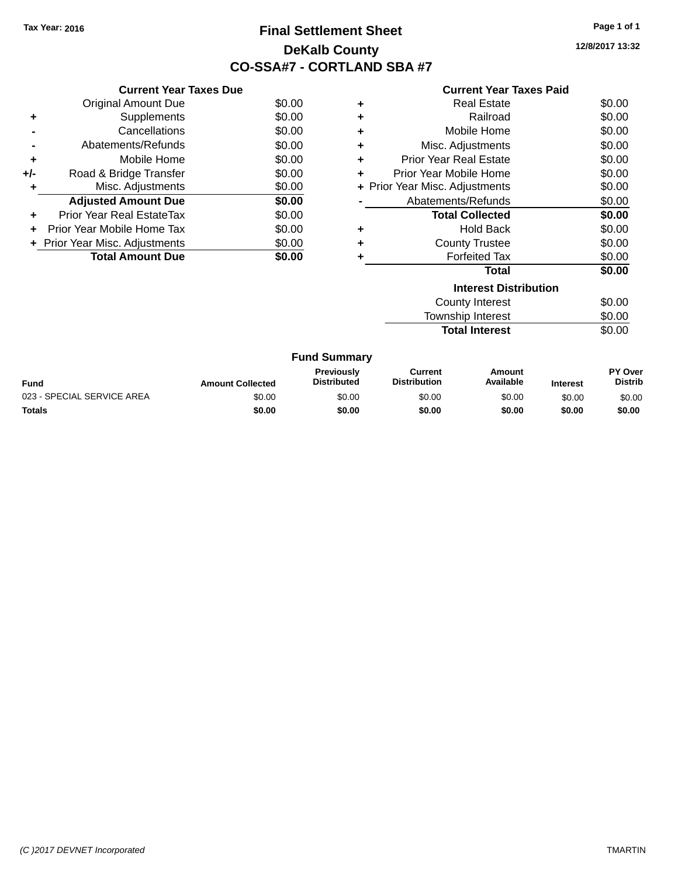## **Final Settlement Sheet Tax Year: 2016 Page 1 of 1 DeKalb County CO-SSA#7 - CORTLAND SBA #7**

**12/8/2017 13:32**

| <b>Current Year Taxes Paid</b> |  |  |
|--------------------------------|--|--|
|--------------------------------|--|--|

|     | <b>Current Year Taxes Due</b>  |        |
|-----|--------------------------------|--------|
|     | <b>Original Amount Due</b>     | \$0.00 |
| ٠   | Supplements                    | \$0.00 |
|     | Cancellations                  | \$0.00 |
|     | Abatements/Refunds             | \$0.00 |
| ٠   | Mobile Home                    | \$0.00 |
| +/- | Road & Bridge Transfer         | \$0.00 |
|     | Misc. Adjustments              | \$0.00 |
|     | <b>Adjusted Amount Due</b>     | \$0.00 |
| ÷   | Prior Year Real EstateTax      | \$0.00 |
|     | Prior Year Mobile Home Tax     | \$0.00 |
|     | + Prior Year Misc. Adjustments | \$0.00 |
|     | <b>Total Amount Due</b>        | \$0.00 |

| ٠ | <b>Real Estate</b>             | \$0.00 |
|---|--------------------------------|--------|
| ٠ | Railroad                       | \$0.00 |
| ÷ | Mobile Home                    | \$0.00 |
| ٠ | Misc. Adjustments              | \$0.00 |
| ÷ | <b>Prior Year Real Estate</b>  | \$0.00 |
| ٠ | Prior Year Mobile Home         | \$0.00 |
|   | + Prior Year Misc. Adjustments | \$0.00 |
|   | Abatements/Refunds             | \$0.00 |
|   | <b>Total Collected</b>         | \$0.00 |
| ٠ | <b>Hold Back</b>               | \$0.00 |
| ÷ | <b>County Trustee</b>          | \$0.00 |
| ٠ | <b>Forfeited Tax</b>           | \$0.00 |
|   | Total                          | \$0.00 |
|   | <b>Interest Distribution</b>   |        |
|   | <b>County Interest</b>         | \$0.00 |
|   | <b>Township Interest</b>       | \$0.00 |
|   | <b>Total Interest</b>          | \$0.00 |

| <b>Fund Summary</b>        |                         |                                         |                                |                     |                 |                           |
|----------------------------|-------------------------|-----------------------------------------|--------------------------------|---------------------|-----------------|---------------------------|
| Fund                       | <b>Amount Collected</b> | <b>Previously</b><br><b>Distributed</b> | Current<br><b>Distribution</b> | Amount<br>Available | <b>Interest</b> | PY Over<br><b>Distrib</b> |
| 023 - SPECIAL SERVICE AREA | \$0.00                  | \$0.00                                  | \$0.00                         | \$0.00              | \$0.00          | \$0.00                    |
| <b>Totals</b>              | \$0.00                  | \$0.00                                  | \$0.00                         | \$0.00              | \$0.00          | \$0.00                    |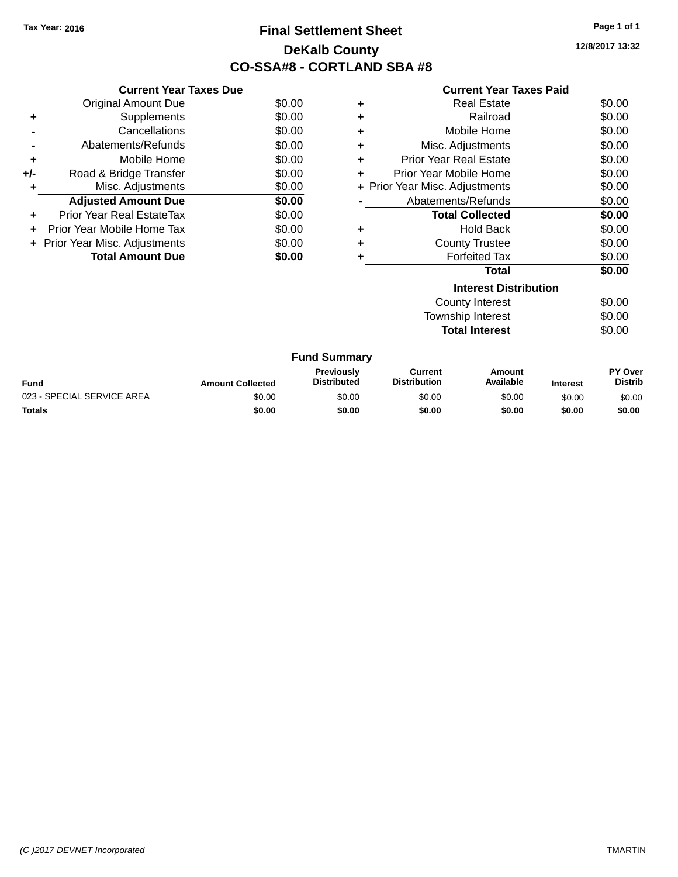## **Final Settlement Sheet Tax Year: 2016 Page 1 of 1 DeKalb County CO-SSA#8 - CORTLAND SBA #8**

**12/8/2017 13:32**

| <b>Current Year Taxes Paid</b> |  |  |  |
|--------------------------------|--|--|--|
|--------------------------------|--|--|--|

|     | <b>Current Year Taxes Due</b>     |        |
|-----|-----------------------------------|--------|
|     | <b>Original Amount Due</b>        | \$0.00 |
| ٠   | Supplements                       | \$0.00 |
|     | Cancellations                     | \$0.00 |
|     | Abatements/Refunds                | \$0.00 |
| ٠   | Mobile Home                       | \$0.00 |
| +/- | Road & Bridge Transfer            | \$0.00 |
| ٠   | Misc. Adjustments                 | \$0.00 |
|     | <b>Adjusted Amount Due</b>        | \$0.00 |
| ٠   | Prior Year Real EstateTax         | \$0.00 |
| ٠   | <b>Prior Year Mobile Home Tax</b> | \$0.00 |
|     | + Prior Year Misc. Adjustments    | \$0.00 |
|     | <b>Total Amount Due</b>           | \$0.00 |

| ٠ | <b>Real Estate</b>             | \$0.00 |
|---|--------------------------------|--------|
| ٠ | Railroad                       | \$0.00 |
| ٠ | Mobile Home                    | \$0.00 |
| ٠ | Misc. Adjustments              | \$0.00 |
| ٠ | Prior Year Real Estate         | \$0.00 |
| ÷ | Prior Year Mobile Home         | \$0.00 |
|   | + Prior Year Misc. Adjustments | \$0.00 |
|   | Abatements/Refunds             | \$0.00 |
|   | <b>Total Collected</b>         | \$0.00 |
| ٠ | <b>Hold Back</b>               | \$0.00 |
| ÷ | <b>County Trustee</b>          | \$0.00 |
| ٠ | <b>Forfeited Tax</b>           | \$0.00 |
|   | Total                          | \$0.00 |
|   | <b>Interest Distribution</b>   |        |
|   | <b>County Interest</b>         | \$0.00 |
|   | <b>Township Interest</b>       | \$0.00 |
|   | <b>Total Interest</b>          | \$0.00 |

| <b>Fund Summary</b>        |                         |                                         |                                |                     |                 |                                  |
|----------------------------|-------------------------|-----------------------------------------|--------------------------------|---------------------|-----------------|----------------------------------|
| Fund                       | <b>Amount Collected</b> | <b>Previously</b><br><b>Distributed</b> | Current<br><b>Distribution</b> | Amount<br>Available | <b>Interest</b> | <b>PY Over</b><br><b>Distrib</b> |
| 023 - SPECIAL SERVICE AREA | \$0.00                  | \$0.00                                  | \$0.00                         | \$0.00              | \$0.00          | \$0.00                           |
| <b>Totals</b>              | \$0.00                  | \$0.00                                  | \$0.00                         | \$0.00              | \$0.00          | \$0.00                           |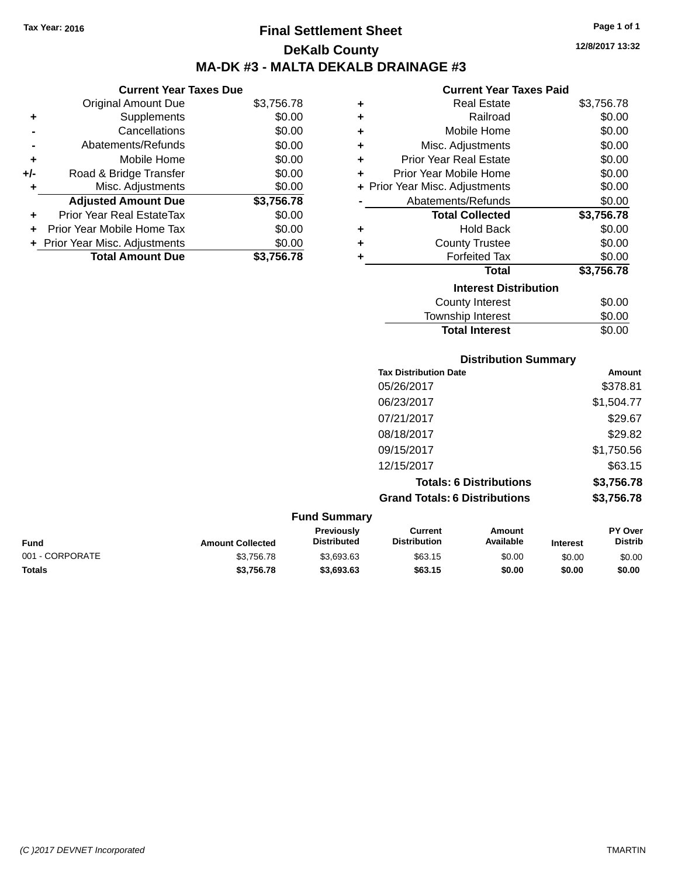**Current Year Taxes Due** Original Amount Due \$3,756.78

**Adjusted Amount Due \$3,756.78**

**Total Amount Due \$3,756.78**

**+** Supplements \$0.00 **-** Cancellations \$0.00 **-** Abatements/Refunds \$0.00 **+** Mobile Home \$0.00 **+/-** Road & Bridge Transfer \$0.00 **+** Misc. Adjustments \$0.00

**+** Prior Year Real EstateTax \$0.00 **+** Prior Year Mobile Home Tax \$0.00 **+ Prior Year Misc. Adjustments**  $$0.00$ 

## **Final Settlement Sheet Tax Year: 2016 Page 1 of 1 DeKalb County MA-DK #3 - MALTA DEKALB DRAINAGE #3**

|   | <b>Current Year Taxes Paid</b> |            |
|---|--------------------------------|------------|
| ٠ | <b>Real Estate</b>             | \$3,756.78 |
| ÷ | Railroad                       | \$0.00     |
| ÷ | Mobile Home                    | \$0.00     |
| ÷ | Misc. Adjustments              | \$0.00     |
| ÷ | <b>Prior Year Real Estate</b>  | \$0.00     |
| ٠ | Prior Year Mobile Home         | \$0.00     |
|   | + Prior Year Misc. Adjustments | \$0.00     |
|   | Abatements/Refunds             | \$0.00     |
|   | <b>Total Collected</b>         | \$3,756.78 |
| ٠ | <b>Hold Back</b>               | \$0.00     |
|   |                                |            |
| ÷ | <b>County Trustee</b>          | \$0.00     |
| ÷ | <b>Forfeited Tax</b>           | \$0.00     |
|   | Total                          | \$3,756.78 |
|   | <b>Interest Distribution</b>   |            |
|   | County Interest                | \$0.00     |

**Total Interest** \$0.00

|                 |                         |                                  | <b>Distribution Summary</b>           |                                |                 |                           |
|-----------------|-------------------------|----------------------------------|---------------------------------------|--------------------------------|-----------------|---------------------------|
|                 |                         |                                  | <b>Tax Distribution Date</b>          |                                |                 | Amount                    |
|                 |                         |                                  | 05/26/2017                            |                                |                 | \$378.81                  |
|                 |                         |                                  | 06/23/2017                            |                                |                 | \$1,504.77                |
|                 |                         |                                  | 07/21/2017                            |                                |                 | \$29.67                   |
|                 |                         |                                  | 08/18/2017                            |                                |                 | \$29.82                   |
|                 |                         |                                  | 09/15/2017                            |                                |                 | \$1,750.56                |
|                 |                         |                                  | 12/15/2017                            |                                |                 | \$63.15                   |
|                 |                         |                                  |                                       | <b>Totals: 6 Distributions</b> |                 | \$3,756.78                |
|                 |                         |                                  | <b>Grand Totals: 6 Distributions</b>  |                                |                 | \$3,756.78                |
|                 |                         | <b>Fund Summary</b>              |                                       |                                |                 |                           |
| <b>Fund</b>     | <b>Amount Collected</b> | Previously<br><b>Distributed</b> | <b>Current</b><br><b>Distribution</b> | <b>Amount</b><br>Available     | <b>Interest</b> | PY Over<br><b>Distrib</b> |
| 001 - CORPORATE | \$3,756.78              | \$3,693.63                       | \$63.15                               | \$0.00                         | \$0.00          | \$0.00                    |

**Totals \$3,756.78 \$3,693.63 \$63.15 \$0.00 \$0.00 \$0.00**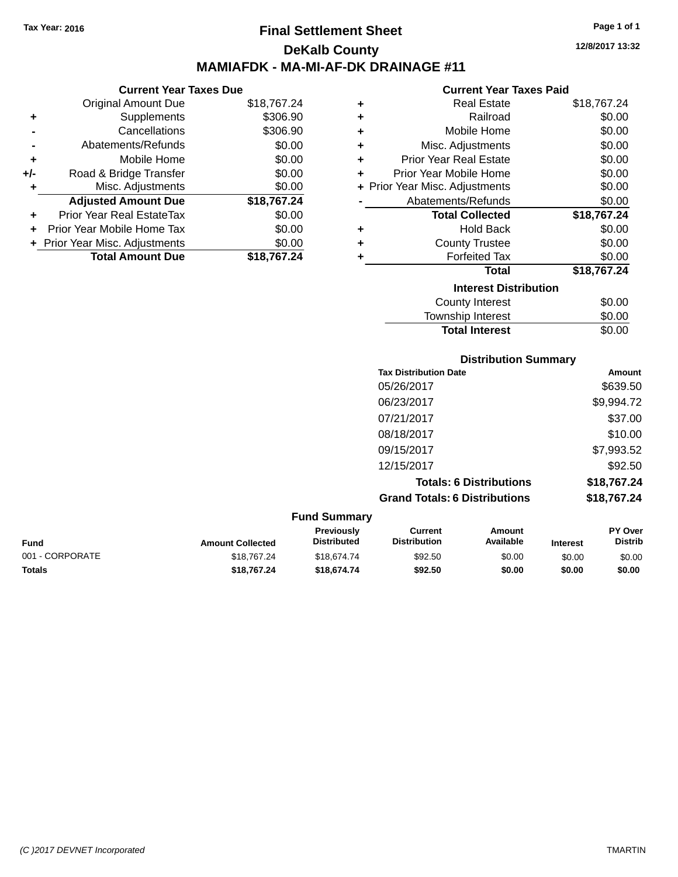## **Final Settlement Sheet Tax Year: 2016 Page 1 of 1 DeKalb County MAMIAFDK - MA-MI-AF-DK DRAINAGE #11**

**12/8/2017 13:32**

## **Current Year Taxes Paid**

|       | <b>Current Year Taxes Due</b>    |             |   | <b>Current Ye</b>            |
|-------|----------------------------------|-------------|---|------------------------------|
|       | Original Amount Due              | \$18,767.24 | ٠ | <b>Real Esta</b>             |
| ٠     | Supplements                      | \$306.90    | ٠ | Railro                       |
|       | Cancellations                    | \$306.90    | ٠ | Mobile Hor                   |
|       | Abatements/Refunds               | \$0.00      | ٠ | Misc. Adjustmer              |
| ٠     | Mobile Home                      | \$0.00      | ٠ | <b>Prior Year Real Esta</b>  |
| $+/-$ | Road & Bridge Transfer           | \$0.00      |   | Prior Year Mobile Hor        |
| ٠     | Misc. Adjustments                | \$0.00      |   | + Prior Year Misc. Adjustmer |
|       | <b>Adjusted Amount Due</b>       | \$18,767.24 |   | Abatements/Refun             |
| ٠     | <b>Prior Year Real EstateTax</b> | \$0.00      |   | <b>Total Collect</b>         |
|       | Prior Year Mobile Home Tax       | \$0.00      | ٠ | Hold Ba                      |
|       | + Prior Year Misc. Adjustments   | \$0.00      | ٠ | <b>County Trust</b>          |
|       | <b>Total Amount Due</b>          | \$18,767.24 |   | <b>Forfeited T</b>           |
|       |                                  |             |   | То                           |
|       |                                  |             |   | Interest l                   |

| ÷ | <b>Real Estate</b>             | \$18,767.24 |
|---|--------------------------------|-------------|
| ÷ | Railroad                       | \$0.00      |
| ÷ | Mobile Home                    | \$0.00      |
| ÷ | Misc. Adjustments              | \$0.00      |
| ÷ | <b>Prior Year Real Estate</b>  | \$0.00      |
| ٠ | Prior Year Mobile Home         | \$0.00      |
|   | + Prior Year Misc. Adjustments | \$0.00      |
|   | Abatements/Refunds             | \$0.00      |
|   |                                |             |
|   | <b>Total Collected</b>         | \$18,767.24 |
| ÷ | <b>Hold Back</b>               | \$0.00      |
| ÷ | <b>County Trustee</b>          | \$0.00      |
| ٠ | <b>Forfeited Tax</b>           | \$0.00      |
|   | Total                          | \$18,767.24 |
|   | <b>Interest Distribution</b>   |             |
|   | <b>County Interest</b>         | \$0.00      |

Total Interest \$0.00

|                 |                         |                                  | <b>Distribution Summary</b>           |                                |                 |                           |
|-----------------|-------------------------|----------------------------------|---------------------------------------|--------------------------------|-----------------|---------------------------|
|                 |                         |                                  | <b>Tax Distribution Date</b>          |                                |                 | Amount                    |
|                 |                         |                                  | 05/26/2017                            |                                |                 | \$639.50                  |
|                 |                         |                                  | 06/23/2017                            |                                |                 | \$9,994.72                |
|                 |                         |                                  | 07/21/2017                            |                                |                 | \$37.00                   |
|                 |                         |                                  | 08/18/2017                            |                                |                 | \$10.00                   |
|                 |                         |                                  | 09/15/2017                            |                                |                 | \$7,993.52                |
|                 |                         |                                  | 12/15/2017                            |                                |                 | \$92.50                   |
|                 |                         |                                  |                                       | <b>Totals: 6 Distributions</b> |                 | \$18,767.24               |
|                 |                         |                                  | <b>Grand Totals: 6 Distributions</b>  |                                |                 | \$18,767.24               |
|                 |                         | <b>Fund Summary</b>              |                                       |                                |                 |                           |
| <b>Fund</b>     | <b>Amount Collected</b> | Previously<br><b>Distributed</b> | <b>Current</b><br><b>Distribution</b> | <b>Amount</b><br>Available     | <b>Interest</b> | PY Over<br><b>Distrib</b> |
| 001 - CORPORATE | \$18,767.24             | \$18,674.74                      | \$92.50                               | \$0.00                         | \$0.00          | \$0.00                    |

**Totals \$18,767.24 \$18,674.74 \$92.50 \$0.00 \$0.00 \$0.00**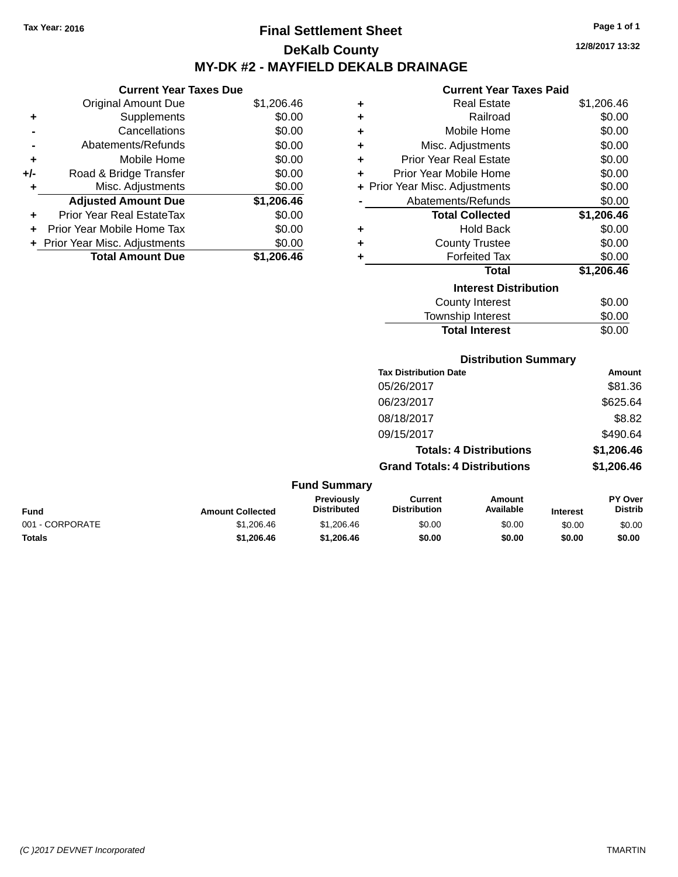## **Final Settlement Sheet Tax Year: 2016 Page 1 of 1 DeKalb County MY-DK #2 - MAYFIELD DEKALB DRAINAGE**

**Current Year Taxes Due**

|     | <b>Original Amount Due</b>       | \$1,206.46 |
|-----|----------------------------------|------------|
| ٠   | Supplements                      | \$0.00     |
|     | Cancellations                    | \$0.00     |
|     | Abatements/Refunds               | \$0.00     |
| ٠   | Mobile Home                      | \$0.00     |
| +/- | Road & Bridge Transfer           | \$0.00     |
| ٠   | Misc. Adjustments                | \$0.00     |
|     | <b>Adjusted Amount Due</b>       | \$1,206.46 |
|     | <b>Prior Year Real EstateTax</b> | \$0.00     |
|     | Prior Year Mobile Home Tax       | \$0.00     |
|     | + Prior Year Misc. Adjustments   | \$0.00     |
|     | <b>Total Amount Due</b>          | \$1.206.46 |

#### **Current Year Taxes Paid**

| ٠ | <b>Real Estate</b>           | \$1,206.46 |  |  |  |  |
|---|------------------------------|------------|--|--|--|--|
| ÷ | Railroad                     | \$0.00     |  |  |  |  |
| ÷ | Mobile Home                  | \$0.00     |  |  |  |  |
| ÷ | Misc. Adjustments            | \$0.00     |  |  |  |  |
| ٠ | Prior Year Real Estate       | \$0.00     |  |  |  |  |
| ٠ | Prior Year Mobile Home       | \$0.00     |  |  |  |  |
| ÷ | Prior Year Misc. Adjustments | \$0.00     |  |  |  |  |
|   | Abatements/Refunds           | \$0.00     |  |  |  |  |
|   | <b>Total Collected</b>       | \$1,206.46 |  |  |  |  |
| ٠ | Hold Back                    | \$0.00     |  |  |  |  |
| ÷ | <b>County Trustee</b>        | \$0.00     |  |  |  |  |
|   | <b>Forfeited Tax</b>         | \$0.00     |  |  |  |  |
|   | Total                        | \$1,206.46 |  |  |  |  |
|   | <b>Interest Distribution</b> |            |  |  |  |  |
|   | <b>County Interest</b>       | \$0.00     |  |  |  |  |
|   | Township Interest            | \$0.00     |  |  |  |  |
|   | <b>Total Interest</b>        | \$0.00     |  |  |  |  |

## **Distribution Summary**

| <b>Tax Distribution Date</b>         | Amount     |
|--------------------------------------|------------|
| 05/26/2017                           | \$81.36    |
| 06/23/2017                           | \$625.64   |
| 08/18/2017                           | \$8.82     |
| 09/15/2017                           | \$490.64   |
| <b>Totals: 4 Distributions</b>       | \$1,206.46 |
| <b>Grand Totals: 4 Distributions</b> | \$1,206.46 |

| <b>Fund Summary</b> |                         |                                  |                                |                     |                 |                                  |
|---------------------|-------------------------|----------------------------------|--------------------------------|---------------------|-----------------|----------------------------------|
| <b>Fund</b>         | <b>Amount Collected</b> | Previously<br><b>Distributed</b> | Current<br><b>Distribution</b> | Amount<br>Available | <b>Interest</b> | <b>PY Over</b><br><b>Distrib</b> |
| 001 - CORPORATE     | \$1,206.46              | \$1,206.46                       | \$0.00                         | \$0.00              | \$0.00          | \$0.00                           |
| <b>Totals</b>       | \$1,206,46              | \$1,206,46                       | \$0.00                         | \$0.00              | \$0.00          | \$0.00                           |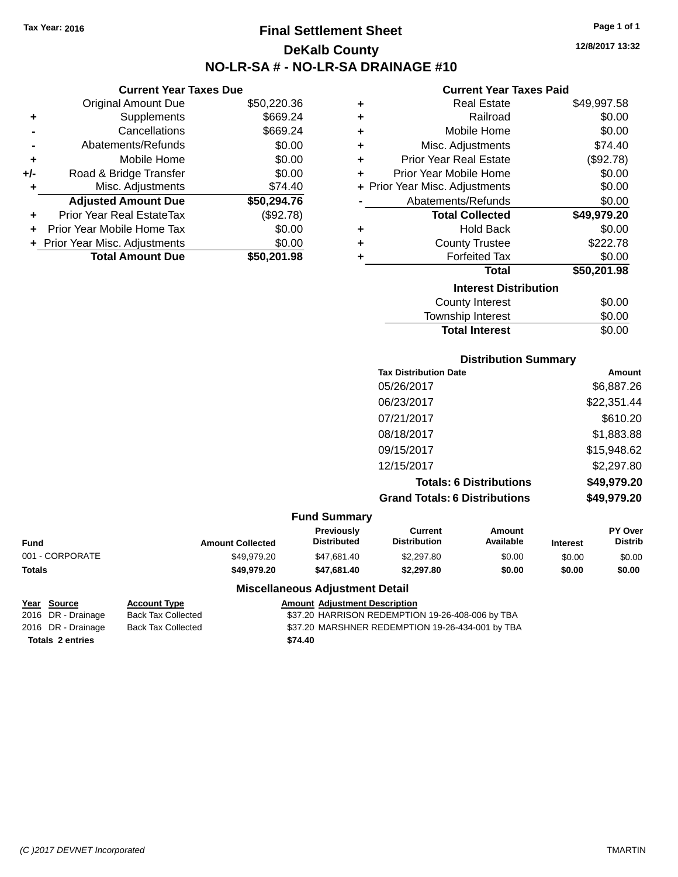## **Final Settlement Sheet Tax Year: 2016 Page 1 of 1 DeKalb County NO-LR-SA # - NO-LR-SA DRAINAGE #10**

**12/8/2017 13:32**

#### **Current Year Taxes Paid**

**Distribution Summary**

**Total Interest** \$0.00

|     | <b>Original Amount Due</b>       | \$50,220.36 | ٠ | <b>Real Estate</b>             | \$49,997.58 |
|-----|----------------------------------|-------------|---|--------------------------------|-------------|
| ٠   | Supplements                      | \$669.24    |   | Railroad                       | \$0.00      |
|     | Cancellations                    | \$669.24    |   | Mobile Home                    | \$0.00      |
|     | Abatements/Refunds               | \$0.00      | ٠ | Misc. Adjustments              | \$74.40     |
| ٠   | Mobile Home                      | \$0.00      | ٠ | <b>Prior Year Real Estate</b>  | (\$92.78)   |
| +/- | Road & Bridge Transfer           | \$0.00      |   | Prior Year Mobile Home         | \$0.00      |
|     | Misc. Adjustments                | \$74.40     |   | + Prior Year Misc. Adjustments | \$0.00      |
|     | <b>Adjusted Amount Due</b>       | \$50,294.76 |   | Abatements/Refunds             | \$0.00      |
| ٠   | <b>Prior Year Real EstateTax</b> | (\$92.78)   |   | <b>Total Collected</b>         | \$49,979.20 |
|     | Prior Year Mobile Home Tax       | \$0.00      | ٠ | <b>Hold Back</b>               | \$0.00      |
|     | + Prior Year Misc. Adjustments   | \$0.00      |   | <b>County Trustee</b>          | \$222.78    |
|     | <b>Total Amount Due</b>          | \$50,201.98 |   | <b>Forfeited Tax</b>           | \$0.00      |
|     |                                  |             |   | <b>Total</b>                   | \$50,201.98 |
|     |                                  |             |   | <b>Interest Distribution</b>   |             |
|     |                                  |             |   | <b>County Interest</b>         | \$0.00      |
|     |                                  |             |   | Township Interest              | \$0.00      |

|            |                         |                                  |                                       | <b>PISUIMUUTI VUIIIIIIUI V</b> |               |                                               |
|------------|-------------------------|----------------------------------|---------------------------------------|--------------------------------|---------------|-----------------------------------------------|
|            |                         |                                  | <b>Tax Distribution Date</b>          |                                |               | Amount                                        |
|            |                         |                                  | 05/26/2017                            |                                |               | \$6,887.26                                    |
|            |                         |                                  | 06/23/2017                            |                                |               | \$22,351.44                                   |
|            |                         |                                  | 07/21/2017                            |                                |               | \$610.20                                      |
|            |                         |                                  | 08/18/2017                            |                                |               | \$1,883.88                                    |
|            |                         |                                  | 09/15/2017                            |                                |               | \$15,948.62                                   |
|            |                         |                                  | 12/15/2017                            |                                |               | \$2,297.80                                    |
|            |                         |                                  |                                       | <b>Totals: 6 Distributions</b> |               | \$49,979.20                                   |
|            |                         |                                  | <b>Grand Totals: 6 Distributions</b>  |                                |               | \$49,979.20                                   |
|            |                         | <b>Fund Summary</b>              |                                       |                                |               |                                               |
| ٦d         | <b>Amount Collected</b> | Previously<br><b>Distributed</b> | <b>Current</b><br><b>Distribution</b> | Amount<br>Available            | Interest      | PY Over<br><b>Distrib</b>                     |
| 0000000000 | 0.1002000               | 0.1700110                        | 0.0200                                | $\sim$ $\sim$                  | $\sim$ $\sim$ | $\mathbf{A} \mathbf{A} \mathbf{A} \mathbf{A}$ |

| <b>Fund</b>     | <b>Amount Collected</b> | <b>Previously</b><br>Distributed | Current<br><b>Distribution</b> | Amount<br>Available | <b>Interest</b> | <b>PY Over</b><br>Distrib |
|-----------------|-------------------------|----------------------------------|--------------------------------|---------------------|-----------------|---------------------------|
| 001 - CORPORATE | \$49.979.20             | \$47.681.40                      | \$2,297.80                     | \$0.00              | \$0.00          | \$0.00                    |
| <b>Totals</b>   | \$49.979.20             | \$47.681.40                      | \$2,297.80                     | \$0.00              | \$0.00          | \$0.00                    |

## **Miscellaneous Adjustment Detail**

# **Totals 2 entries \$74.40**

**Current Year Taxes Due**

# **Year Source Account Type Amount Adjustment Description**

2016 DR - Drainage Back Tax Collected \$37.20 HARRISON REDEMPTION 19-26-408-006 by TBA 2016 DR - Drainage Back Tax Collected \$37.20 MARSHNER REDEMPTION 19-26-434-001 by TBA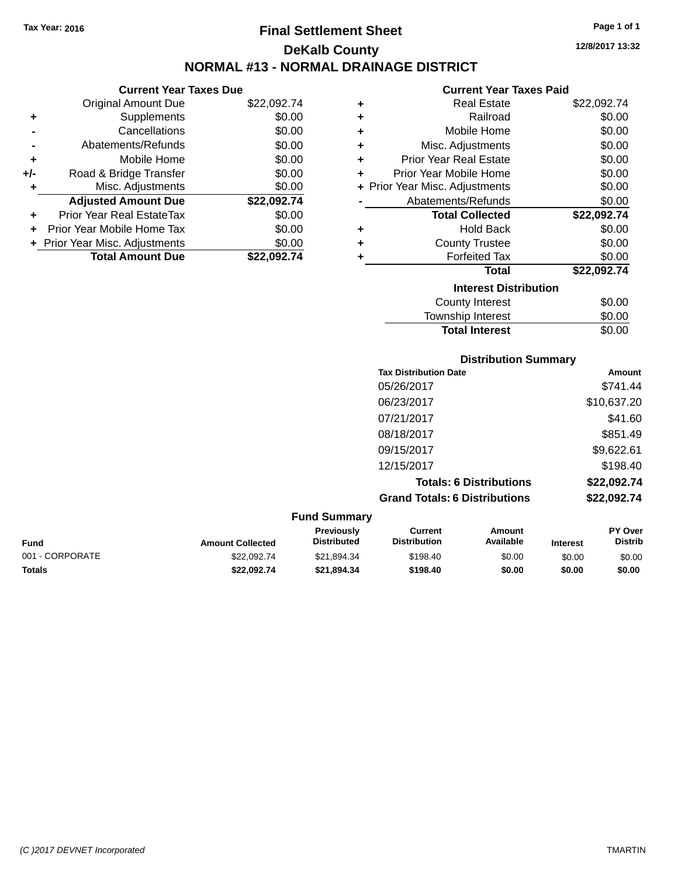## **Final Settlement Sheet Tax Year: 2016 Page 1 of 1 DeKalb County NORMAL #13 - NORMAL DRAINAGE DISTRICT**

**12/8/2017 13:32**

## **Current Year Taxes Paid**

|     | <b>Current Year Taxes Due</b>  |             |
|-----|--------------------------------|-------------|
|     | <b>Original Amount Due</b>     | \$22,092.74 |
| ٠   | Supplements                    | \$0.00      |
|     | Cancellations                  | \$0.00      |
|     | Abatements/Refunds             | \$0.00      |
| ٠   | Mobile Home                    | \$0.00      |
| +/- | Road & Bridge Transfer         | \$0.00      |
| ٠   | Misc. Adjustments              | \$0.00      |
|     | <b>Adjusted Amount Due</b>     | \$22,092.74 |
|     | Prior Year Real EstateTax      | \$0.00      |
|     | Prior Year Mobile Home Tax     | \$0.00      |
|     | + Prior Year Misc. Adjustments | \$0.00      |
|     | <b>Total Amount Due</b>        | \$22.092.74 |

| ٠ | <b>Real Estate</b>             | \$22,092.74 |
|---|--------------------------------|-------------|
| ٠ | Railroad                       | \$0.00      |
| ٠ | Mobile Home                    | \$0.00      |
| ٠ | Misc. Adjustments              | \$0.00      |
| ÷ | Prior Year Real Estate         | \$0.00      |
| ÷ | Prior Year Mobile Home         | \$0.00      |
|   | + Prior Year Misc. Adjustments | \$0.00      |
|   | Abatements/Refunds             | \$0.00      |
|   | <b>Total Collected</b>         | \$22,092.74 |
| ٠ | <b>Hold Back</b>               | \$0.00      |
| ٠ | <b>County Trustee</b>          | \$0.00      |
| ٠ | <b>Forfeited Tax</b>           | \$0.00      |
|   | <b>Total</b>                   | \$22,092.74 |
|   | <b>Interest Distribution</b>   |             |
|   | <b>County Interest</b>         | \$0.00      |
|   | <b>Township Interest</b>       | \$0.00      |
|   | <b>Total Interest</b>          | \$0.00      |

|                     | <b>Distribution Summary</b>          |             |
|---------------------|--------------------------------------|-------------|
|                     | <b>Tax Distribution Date</b>         | Amount      |
|                     | 05/26/2017                           | \$741.44    |
|                     | 06/23/2017                           | \$10,637.20 |
|                     | 07/21/2017                           | \$41.60     |
|                     | 08/18/2017                           | \$851.49    |
|                     | 09/15/2017                           | \$9,622.61  |
|                     | 12/15/2017                           | \$198.40    |
|                     | <b>Totals: 6 Distributions</b>       | \$22,092.74 |
|                     | <b>Grand Totals: 6 Distributions</b> | \$22,092.74 |
| <b>Fund Summary</b> |                                      |             |

| Funu Juniniary  |                         |                                         |                                |                     |                 |                                  |
|-----------------|-------------------------|-----------------------------------------|--------------------------------|---------------------|-----------------|----------------------------------|
| <b>Fund</b>     | <b>Amount Collected</b> | <b>Previously</b><br><b>Distributed</b> | Current<br><b>Distribution</b> | Amount<br>Available | <b>Interest</b> | <b>PY Over</b><br><b>Distrib</b> |
| 001 - CORPORATE | \$22.092.74             | \$21.894.34                             | \$198.40                       | \$0.00              | \$0.00          | \$0.00                           |
| Totals          | \$22.092.74             | \$21.894.34                             | \$198.40                       | \$0.00              | \$0.00          | \$0.00                           |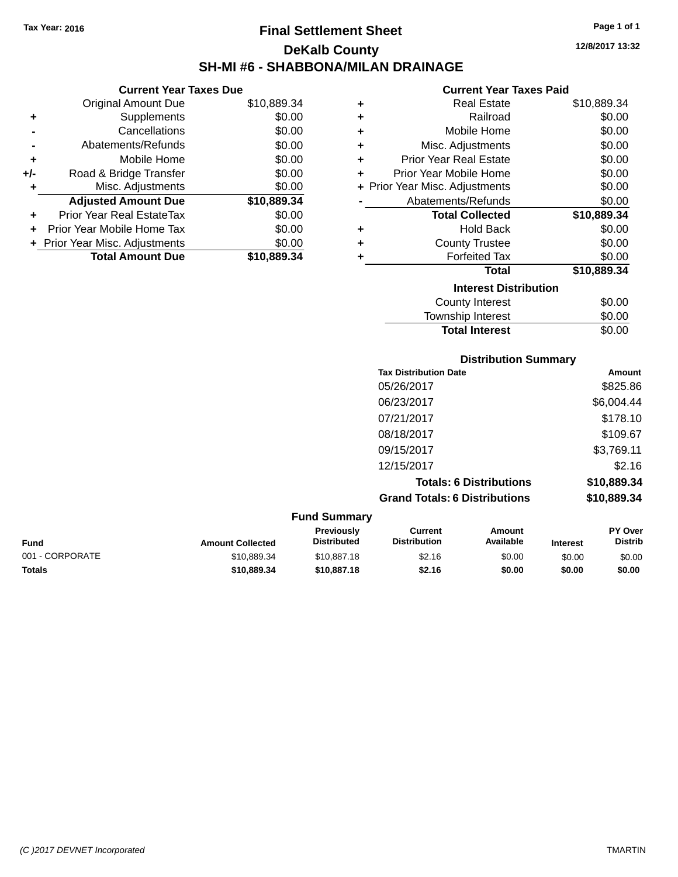## **Final Settlement Sheet Tax Year: 2016 Page 1 of 1 DeKalb County SH-MI #6 - SHABBONA/MILAN DRAINAGE**

**12/8/2017 13:32**

#### **Current Year Taxes Paid**

| <b>Current Year Taxes Due</b> |                                |  |  |
|-------------------------------|--------------------------------|--|--|
| Original Amount Due           | \$10,889.34                    |  |  |
| Supplements                   | \$0.00                         |  |  |
| Cancellations                 | \$0.00                         |  |  |
| Abatements/Refunds            | \$0.00                         |  |  |
| Mobile Home                   | \$0.00                         |  |  |
| Road & Bridge Transfer        | \$0.00                         |  |  |
| Misc. Adjustments             | \$0.00                         |  |  |
| <b>Adjusted Amount Due</b>    | \$10,889.34                    |  |  |
| Prior Year Real EstateTax     | \$0.00                         |  |  |
| Prior Year Mobile Home Tax    | \$0.00                         |  |  |
|                               | \$0.00                         |  |  |
| <b>Total Amount Due</b>       | \$10,889.34                    |  |  |
|                               | + Prior Year Misc. Adjustments |  |  |

| ٠ | <b>Real Estate</b>             | \$10,889.34 |
|---|--------------------------------|-------------|
| ٠ | Railroad                       | \$0.00      |
| ٠ | Mobile Home                    | \$0.00      |
| ٠ | Misc. Adjustments              | \$0.00      |
| ٠ | <b>Prior Year Real Estate</b>  | \$0.00      |
| ٠ | Prior Year Mobile Home         | \$0.00      |
|   | + Prior Year Misc. Adjustments | \$0.00      |
|   | Abatements/Refunds             | \$0.00      |
|   | <b>Total Collected</b>         | \$10,889.34 |
| ٠ | <b>Hold Back</b>               | \$0.00      |
| ٠ | <b>County Trustee</b>          | \$0.00      |
| ٠ | <b>Forfeited Tax</b>           | \$0.00      |
|   | <b>Total</b>                   | \$10,889.34 |
|   | <b>Interest Distribution</b>   |             |
|   | <b>County Interest</b>         | \$0.00      |
|   | <b>Township Interest</b>       | \$0.00      |
|   | <b>Total Interest</b>          | \$0.00      |

| <b>Distribution Summary</b>          |             |
|--------------------------------------|-------------|
| <b>Tax Distribution Date</b>         | Amount      |
| 05/26/2017                           | \$825.86    |
| 06/23/2017                           | \$6,004.44  |
| 07/21/2017                           | \$178.10    |
| 08/18/2017                           | \$109.67    |
| 09/15/2017                           | \$3,769.11  |
| 12/15/2017                           | \$2.16      |
| <b>Totals: 6 Distributions</b>       | \$10,889.34 |
| <b>Grand Totals: 6 Distributions</b> | \$10,889.34 |

| <b>Fund Summary</b> |                         |                                         |                                |                     |                 |                                  |
|---------------------|-------------------------|-----------------------------------------|--------------------------------|---------------------|-----------------|----------------------------------|
| <b>Fund</b>         | <b>Amount Collected</b> | <b>Previously</b><br><b>Distributed</b> | Current<br><b>Distribution</b> | Amount<br>Available | <b>Interest</b> | <b>PY Over</b><br><b>Distrib</b> |
| 001 - CORPORATE     | \$10.889.34             | \$10,887.18                             | \$2.16                         | \$0.00              | \$0.00          | \$0.00                           |
| Totals              | \$10,889,34             | \$10,887.18                             | \$2.16                         | \$0.00              | \$0.00          | \$0.00                           |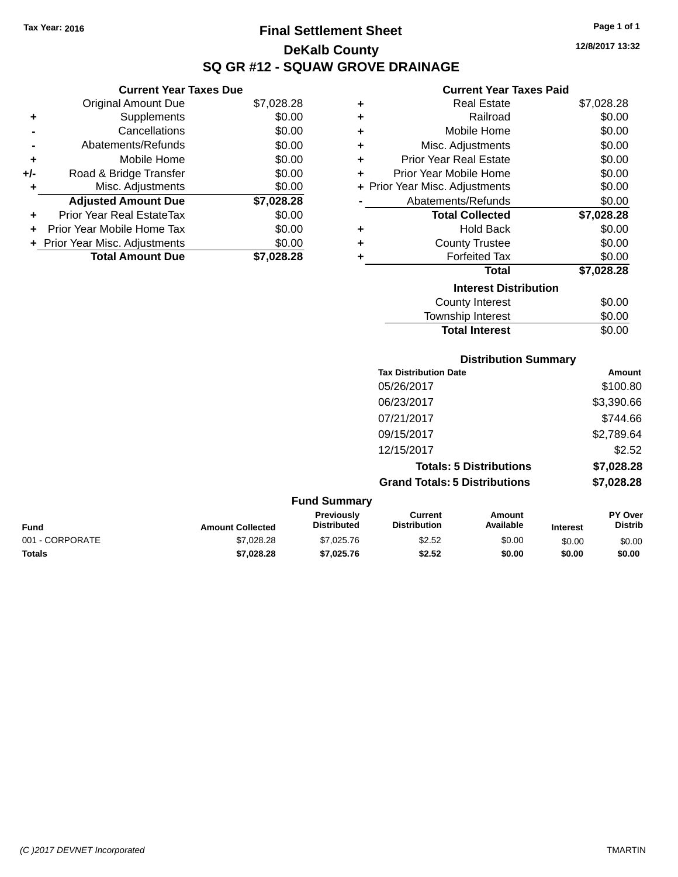## **Final Settlement Sheet Tax Year: 2016 Page 1 of 1 DeKalb County SQ GR #12 - SQUAW GROVE DRAINAGE**

## **Current Year Taxes Due**

|       | <b>Original Amount Due</b>     | \$7,028.28 |
|-------|--------------------------------|------------|
| ٠     | Supplements                    | \$0.00     |
|       | Cancellations                  | \$0.00     |
|       | Abatements/Refunds             | \$0.00     |
| ÷     | Mobile Home                    | \$0.00     |
| $+/-$ | Road & Bridge Transfer         | \$0.00     |
|       | Misc. Adjustments              | \$0.00     |
|       | <b>Adjusted Amount Due</b>     | \$7,028.28 |
| ÷     | Prior Year Real EstateTax      | \$0.00     |
|       | Prior Year Mobile Home Tax     | \$0.00     |
|       | + Prior Year Misc. Adjustments | \$0.00     |
|       | <b>Total Amount Due</b>        | \$7,028.28 |

#### **Current Year Taxes Paid**

| ٠ | Real Estate                    | \$7,028.28 |
|---|--------------------------------|------------|
| ÷ | Railroad                       | \$0.00     |
| ٠ | Mobile Home                    | \$0.00     |
| ٠ | Misc. Adjustments              | \$0.00     |
| ٠ | <b>Prior Year Real Estate</b>  | \$0.00     |
| ٠ | Prior Year Mobile Home         | \$0.00     |
|   | + Prior Year Misc. Adjustments | \$0.00     |
|   | Abatements/Refunds             | \$0.00     |
|   | <b>Total Collected</b>         | \$7,028.28 |
| ٠ | <b>Hold Back</b>               | \$0.00     |
| ٠ | <b>County Trustee</b>          | \$0.00     |
|   | <b>Forfeited Tax</b>           | \$0.00     |
|   | <b>Total</b>                   | \$7,028.28 |
|   | <b>Interest Distribution</b>   |            |
|   | <b>County Interest</b>         | \$0.00     |
|   | <b>Township Interest</b>       | \$0.00     |
|   | <b>Total Interest</b>          | \$0.00     |

| <b>Distribution Summary</b>          |            |
|--------------------------------------|------------|
| <b>Tax Distribution Date</b>         | Amount     |
| 05/26/2017                           | \$100.80   |
| 06/23/2017                           | \$3,390.66 |
| 07/21/2017                           | \$744.66   |
| 09/15/2017                           | \$2,789.64 |
| 12/15/2017                           | \$2.52     |
| <b>Totals: 5 Distributions</b>       | \$7,028.28 |
| <b>Grand Totals: 5 Distributions</b> | \$7,028.28 |

|                 |                         | <b>Fund Summary</b>                     |                                |                     |                 |                           |
|-----------------|-------------------------|-----------------------------------------|--------------------------------|---------------------|-----------------|---------------------------|
| Fund            | <b>Amount Collected</b> | <b>Previously</b><br><b>Distributed</b> | Current<br><b>Distribution</b> | Amount<br>Available | <b>Interest</b> | PY Over<br><b>Distrib</b> |
| 001 - CORPORATE | \$7,028,28              | \$7,025.76                              | \$2.52                         | \$0.00              | \$0.00          | \$0.00                    |
| Totals          | \$7.028.28              | \$7.025.76                              | \$2.52                         | \$0.00              | \$0.00          | \$0.00                    |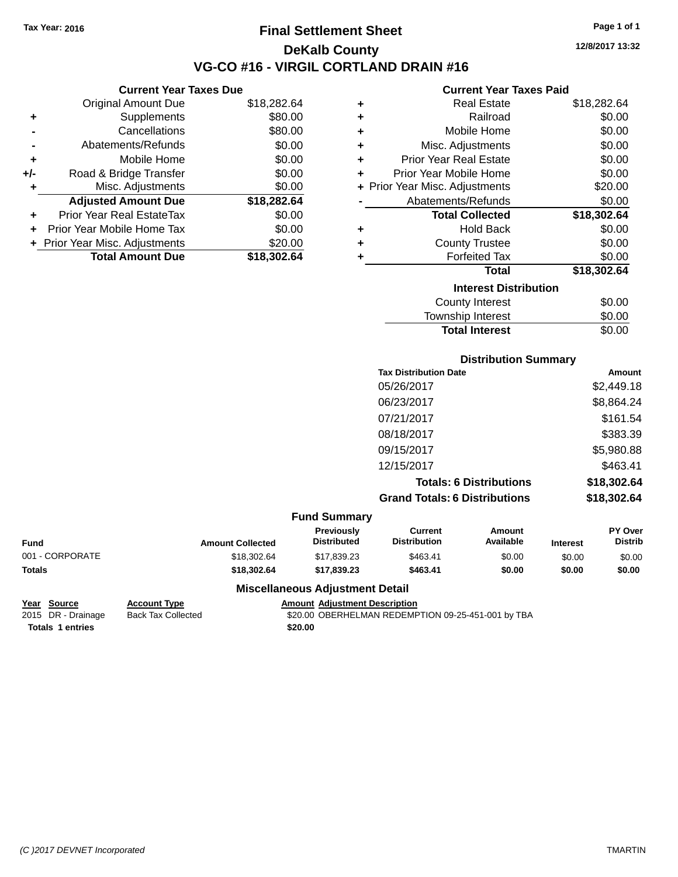## **Final Settlement Sheet Tax Year: 2016 Page 1 of 1 DeKalb County VG-CO #16 - VIRGIL CORTLAND DRAIN #16**

**12/8/2017 13:32**

#### **Current Year Taxes Paid**

|     | <b>Current Year Taxes Due</b>    |             |
|-----|----------------------------------|-------------|
|     | <b>Original Amount Due</b>       | \$18,282.64 |
| ٠   | Supplements                      | \$80.00     |
|     | Cancellations                    | \$80.00     |
|     | Abatements/Refunds               | \$0.00      |
| ٠   | Mobile Home                      | \$0.00      |
| +/- | Road & Bridge Transfer           | \$0.00      |
| ٠   | Misc. Adjustments                | \$0.00      |
|     | <b>Adjusted Amount Due</b>       | \$18,282.64 |
| ٠   | <b>Prior Year Real EstateTax</b> | \$0.00      |
| ÷   | Prior Year Mobile Home Tax       | \$0.00      |
|     | + Prior Year Misc. Adjustments   | \$20.00     |
|     | <b>Total Amount Due</b>          | \$18,302.64 |

| ٠ | <b>Real Estate</b>             | \$18,282.64 |
|---|--------------------------------|-------------|
| ÷ | Railroad                       | \$0.00      |
| ÷ | Mobile Home                    | \$0.00      |
| ٠ | Misc. Adjustments              | \$0.00      |
| ÷ | <b>Prior Year Real Estate</b>  | \$0.00      |
| ٠ | Prior Year Mobile Home         | \$0.00      |
|   | + Prior Year Misc. Adjustments | \$20.00     |
|   | Abatements/Refunds             | \$0.00      |
|   | <b>Total Collected</b>         | \$18,302.64 |
| ٠ | Hold Back                      | \$0.00      |
| ÷ | <b>County Trustee</b>          | \$0.00      |
| ٠ | <b>Forfeited Tax</b>           | \$0.00      |
|   | <b>Total</b>                   | \$18,302.64 |
|   | <b>Interest Distribution</b>   |             |
|   | <b>County Interest</b>         | \$0.00      |
|   | <b>Township Interest</b>       | \$0.00      |
|   | <b>Total Interest</b>          | \$0.00      |

|                 |                         |                                         | <b>Distribution Summary</b>          |                                |                 |                           |
|-----------------|-------------------------|-----------------------------------------|--------------------------------------|--------------------------------|-----------------|---------------------------|
|                 |                         |                                         | <b>Tax Distribution Date</b>         |                                |                 | Amount                    |
|                 |                         |                                         | 05/26/2017                           |                                |                 | \$2,449.18                |
|                 |                         |                                         | 06/23/2017                           |                                |                 | \$8,864.24                |
|                 |                         |                                         | 07/21/2017                           |                                |                 | \$161.54                  |
|                 |                         |                                         | 08/18/2017                           |                                |                 | \$383.39                  |
|                 |                         |                                         | 09/15/2017                           |                                |                 | \$5,980.88                |
|                 |                         |                                         | 12/15/2017                           |                                |                 | \$463.41                  |
|                 |                         |                                         |                                      | <b>Totals: 6 Distributions</b> |                 | \$18,302.64               |
|                 |                         |                                         | <b>Grand Totals: 6 Distributions</b> |                                |                 | \$18,302.64               |
|                 |                         | <b>Fund Summary</b>                     |                                      |                                |                 |                           |
| <b>Fund</b>     | <b>Amount Collected</b> | <b>Previously</b><br><b>Distributed</b> | Current<br><b>Distribution</b>       | Amount<br>Available            | <b>Interest</b> | PY Over<br><b>Distrib</b> |
| 001 - CORPORATE | \$18,302.64             | \$17,839.23                             | \$463.41                             | \$0.00                         | \$0.00          | \$0.00                    |
| <b>Totals</b>   | \$18,302.64             | \$17,839.23                             | \$463.41                             | \$0.00                         | \$0.00          | \$0.00                    |

## **Year Source Account Type Amount Adjustment Description Totals 1 entries \$20.00**

## **Miscellaneous Adjustment Detail**

\$20.00 OBERHELMAN REDEMPTION 09-25-451-001 by TBA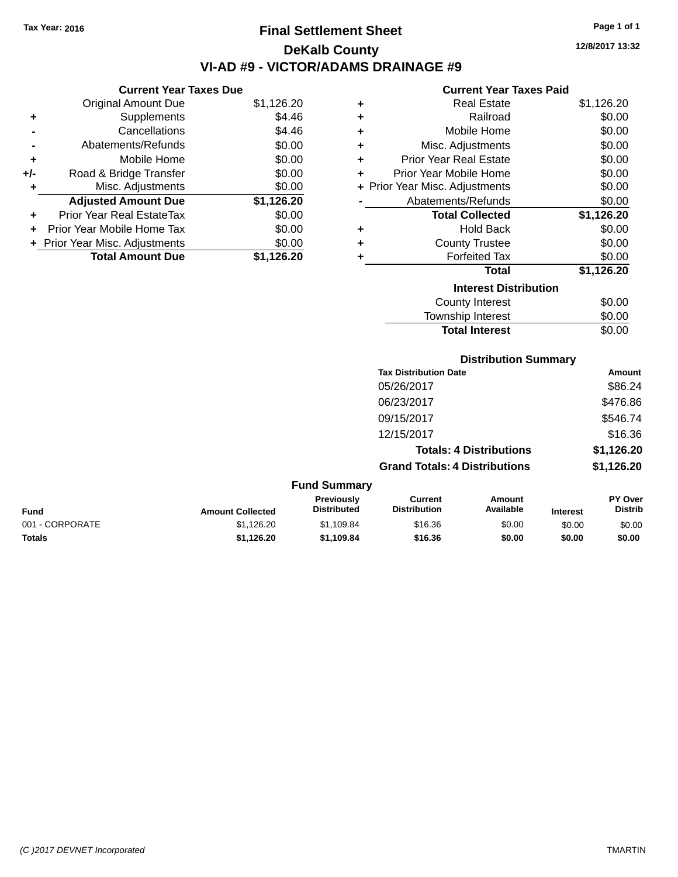## **Final Settlement Sheet Tax Year: 2016 Page 1 of 1 DeKalb County VI-AD #9 - VICTOR/ADAMS DRAINAGE #9**

**12/8/2017 13:32**

#### **Current Year Taxes Paid**

|     | <b>Current Year Taxes Due</b>  |            |  |
|-----|--------------------------------|------------|--|
|     | <b>Original Amount Due</b>     | \$1,126.20 |  |
| ٠   | Supplements                    | \$4.46     |  |
|     | Cancellations                  | \$4.46     |  |
|     | Abatements/Refunds             | \$0.00     |  |
| ٠   | Mobile Home                    | \$0.00     |  |
| +/- | Road & Bridge Transfer         | \$0.00     |  |
| ٠   | Misc. Adjustments              | \$0.00     |  |
|     | <b>Adjusted Amount Due</b>     | \$1,126.20 |  |
| ٠   | Prior Year Real EstateTax      | \$0.00     |  |
|     | Prior Year Mobile Home Tax     | \$0.00     |  |
|     | + Prior Year Misc. Adjustments | \$0.00     |  |
|     | <b>Total Amount Due</b>        | \$1.126.20 |  |

| ٠ | <b>Real Estate</b>             | \$1,126.20 |
|---|--------------------------------|------------|
| ٠ | Railroad                       | \$0.00     |
| ٠ | Mobile Home                    | \$0.00     |
| ٠ | Misc. Adjustments              | \$0.00     |
| ٠ | Prior Year Real Estate         | \$0.00     |
| ٠ | Prior Year Mobile Home         | \$0.00     |
|   | + Prior Year Misc. Adjustments | \$0.00     |
|   | Abatements/Refunds             | \$0.00     |
|   | <b>Total Collected</b>         | \$1,126.20 |
| ٠ | <b>Hold Back</b>               | \$0.00     |
| ٠ | <b>County Trustee</b>          | \$0.00     |
| ٠ | <b>Forfeited Tax</b>           | \$0.00     |
|   | <b>Total</b>                   | \$1,126.20 |
|   | <b>Interest Distribution</b>   |            |
|   | <b>County Interest</b>         | \$0.00     |
|   | <b>Township Interest</b>       | \$0.00     |
|   | <b>Total Interest</b>          | \$0.00     |

#### **Distribution Summary**

| <b>Tax Distribution Date</b>         | Amount     |
|--------------------------------------|------------|
| 05/26/2017                           | \$86.24    |
| 06/23/2017                           | \$476.86   |
| 09/15/2017                           | \$546.74   |
| 12/15/2017                           | \$16.36    |
| <b>Totals: 4 Distributions</b>       | \$1,126.20 |
| <b>Grand Totals: 4 Distributions</b> | \$1,126.20 |

#### **Fund Summary Fund Interest Amount Collected Distributed PY Over Distrib Amount Available Current Distribution Previously** 001 - CORPORATE 60.00 \$1,126.20 \$1,109.84 \$16.36 \$0.00 \$0.00 \$0.00 \$0.00 **Totals \$1,126.20 \$1,109.84 \$16.36 \$0.00 \$0.00 \$0.00**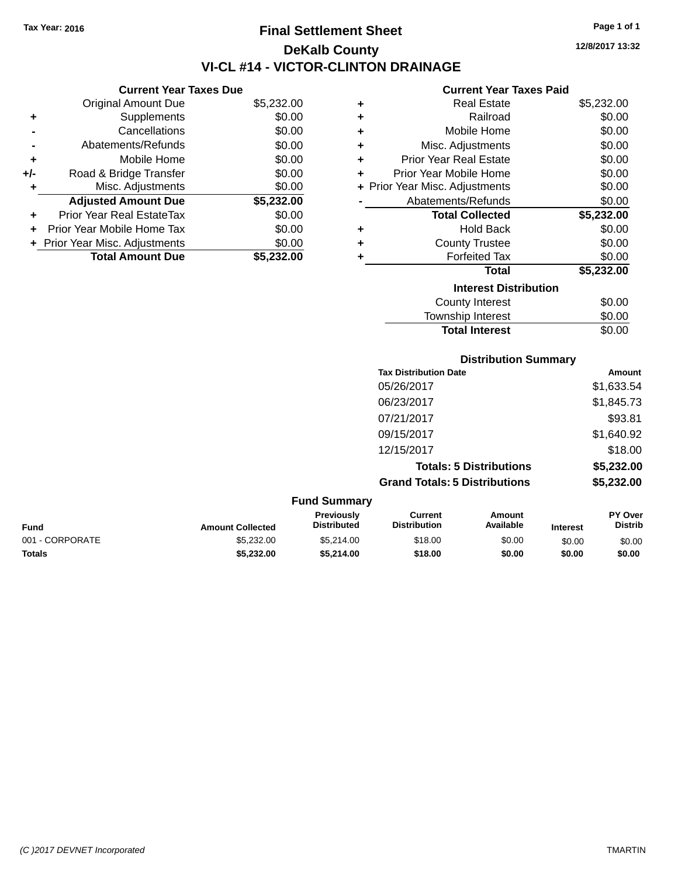**Current Year Taxes Due**

**Original Amount Due** 

**Adjusted Amount Due** 

**Total Amount Due** 

**+** Supplements **-** Cancellations **-** Abatements/Refunds **+** Mobile Home **+/-** Road & Bridge Transfer **+** Misc. Adjustments

**+** Prior Year Real EstateTax \$0.00 **+** Prior Year Mobile Home Tax **+** Prior Year Misc. Adjustments

## **Final Settlement Sheet Tax Year: 2016 Page 1 of 1 DeKalb County VI-CL #14 - VICTOR-CLINTON DRAINAGE**

**12/8/2017 13:32**

#### **Current Year Taxes Paid**

|            |   | oan chi toan taxoo fara        |            |
|------------|---|--------------------------------|------------|
| \$5,232.00 | ٠ | <b>Real Estate</b>             | \$5,232.00 |
| \$0.00     | ٠ | Railroad                       | \$0.00     |
| \$0.00     | ٠ | Mobile Home                    | \$0.00     |
| \$0.00     | ٠ | Misc. Adjustments              | \$0.00     |
| \$0.00     | ٠ | <b>Prior Year Real Estate</b>  | \$0.00     |
| \$0.00     | ٠ | Prior Year Mobile Home         | \$0.00     |
| \$0.00     |   | + Prior Year Misc. Adjustments | \$0.00     |
| \$5,232.00 |   | Abatements/Refunds             | \$0.00     |
| \$0.00     |   | <b>Total Collected</b>         | \$5,232.00 |
| \$0.00     | ٠ | <b>Hold Back</b>               | \$0.00     |
| \$0.00     | ٠ | <b>County Trustee</b>          | \$0.00     |
| \$5,232.00 | ٠ | <b>Forfeited Tax</b>           | \$0.00     |
|            |   | <b>Total</b>                   | \$5,232.00 |
|            |   | <b>Interest Distribution</b>   |            |
|            |   | County Interest                | \$0.00     |

| <b>Township Interest</b>     | \$0.00        |
|------------------------------|---------------|
| <b>Total Interest</b>        | \$0.00        |
| <b>Distribution Summary</b>  |               |
| <b>Tax Distribution Date</b> | <b>Amount</b> |
| 05/26/2017                   | \$1,633.54    |
| 06/23/2017                   | \$1,845.73    |
| 07/21/2017                   | \$93.81       |
| 09/15/2017                   | \$1,640.92    |
| 12/15/2017                   | \$18.00       |

**Totals: 5 Distributions \$5,232.00 Grand Totals: 5 Distributions \$5,232.00**

|                 |                         | <b>Fund Summary</b>                     |                                |                     |                 |                                  |
|-----------------|-------------------------|-----------------------------------------|--------------------------------|---------------------|-----------------|----------------------------------|
| Fund            | <b>Amount Collected</b> | <b>Previously</b><br><b>Distributed</b> | Current<br><b>Distribution</b> | Amount<br>Available | <b>Interest</b> | <b>PY Over</b><br><b>Distrib</b> |
| 001 - CORPORATE | \$5,232,00              | \$5,214.00                              | \$18.00                        | \$0.00              | \$0.00          | \$0.00                           |
| <b>Totals</b>   | \$5,232.00              | \$5.214.00                              | \$18.00                        | \$0.00              | \$0.00          | \$0.00                           |